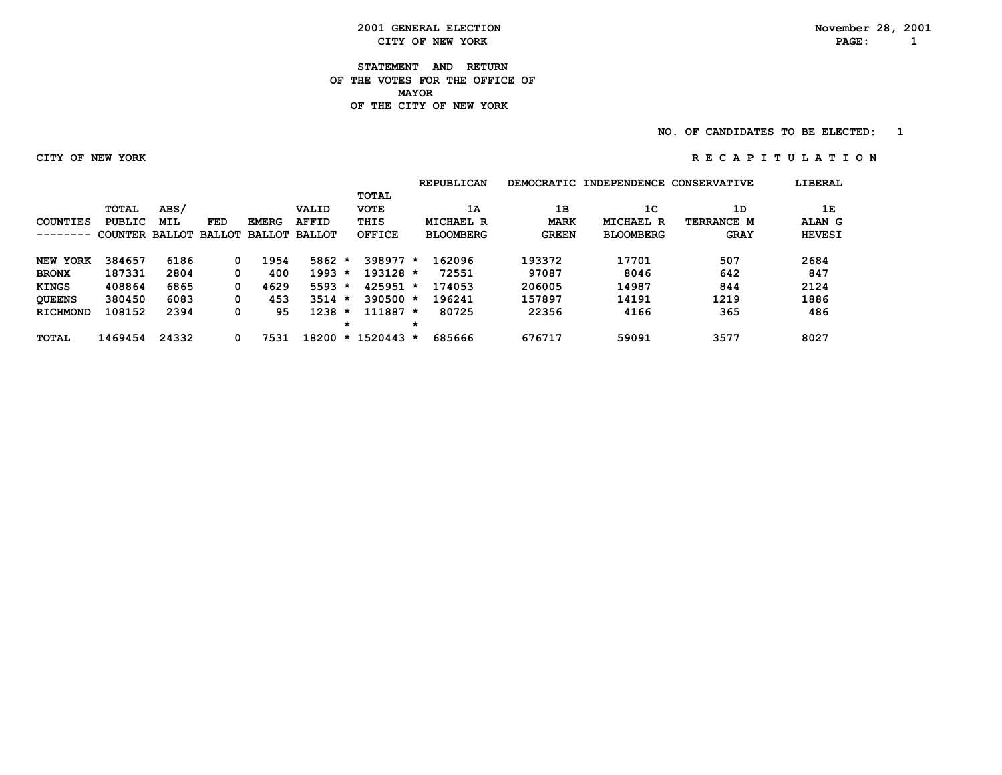**2001 GENERAL ELECTION November 28, 2001**<br> **CITY OF NEW YORK NOTE: PAGE:** 1 **CITY OF NEW YORK** 

**STATEMENT AND RETURN OF THE VOTES FOR THE OFFICE OF MAYORMAYOR OF THE CITY OF NEW YORK**

**NO. OF CANDIDATES TO BE ELECTED:** 1

 **CITY OF NEW YORK R E C A P I T U L A T I O N**

|                 |                       |       |     |              |                      |         |               |         | <b>REPUBLICAN</b> |              | DEMOCRATIC INDEPENDENCE | <b>CONSERVATIVE</b> | LIBERAL       |
|-----------------|-----------------------|-------|-----|--------------|----------------------|---------|---------------|---------|-------------------|--------------|-------------------------|---------------------|---------------|
|                 |                       |       |     |              |                      |         | TOTAL         |         |                   |              |                         |                     |               |
|                 | <b>TOTAL</b>          | ABS/  |     |              | VALID                |         | <b>VOTE</b>   |         | 1А                | 1B           | 1 <sup>C</sup>          | 1D                  | 1Е            |
| COUNTIES        | PUBLIC                | MIL   | FED | <b>EMERG</b> | <b>AFFID</b>         |         | THIS          |         | MICHAEL R         | <b>MARK</b>  | MICHAEL R               | TERRANCE M          | ALAN G        |
|                 | COUNTER BALLOT BALLOT |       |     |              | <b>BALLOT BALLOT</b> |         | <b>OFFICE</b> |         | <b>BLOOMBERG</b>  | <b>GREEN</b> | <b>BLOOMBERG</b>        | <b>GRAY</b>         | <b>HEVESI</b> |
| <b>NEW YORK</b> | 384657                | 6186  | 0   | 1954         | 5862                 | $\star$ | $398977*$     |         | 162096            | 193372       | 17701                   | 507                 | 2684          |
| <b>BRONX</b>    | 187331                | 2804  |     | 400          | $1993 *$             |         | $193128 *$    |         | 72551             | 97087        | 8046                    | 642                 | 847           |
| <b>KINGS</b>    | 408864                | 6865  | 0   | 4629         | $5593 *$             |         | $425951$ *    |         | 174053            | 206005       | 14987                   | 844                 | 2124          |
| <b>QUEENS</b>   | 380450                | 6083  | 0   | 453          | $3514 *$             |         | $390500 *$    |         | 196241            | 157897       | 14191                   | 1219                | 1886          |
| <b>RICHMOND</b> | 108152                | 2394  |     | 95           | 1238                 | $\star$ | $111887 *$    |         | 80725             | 22356        | 4166                    | 365                 | 486           |
|                 |                       |       |     |              |                      | $\star$ |               | $\star$ |                   |              |                         |                     |               |
| <b>TOTAL</b>    | 1469454               | 24332 |     | 7531         | 18200                |         | $* 1520443 *$ |         | 685666            | 676717       | 59091                   | 3577                | 8027          |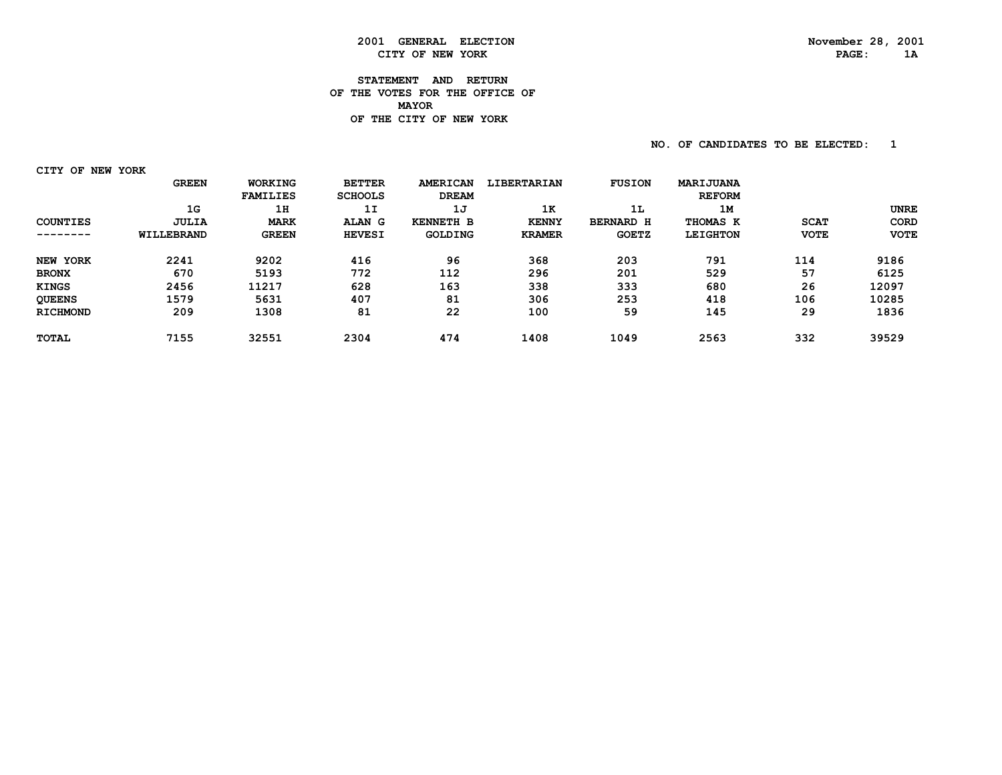## **2001 GENERAL ELECTION November 28, 2001 CITY OF NEW YORK**

#### **STATEMENT AND RETURN OF THE VOTES FOR THE OFFICE OF MAYORDE THE CITY OF NEW YORK**

**NO. OF CANDIDATES TO BE ELECTED:** 1

 **CITY OF NEW YORK**

|                 | <b>GREEN</b> | <b>WORKING</b>  | <b>BETTER</b>  | <b>AMERICAN</b>  | <b>LIBERTARIAN</b> | <b>FUSION</b>    | MARIJUANA       |             |             |
|-----------------|--------------|-----------------|----------------|------------------|--------------------|------------------|-----------------|-------------|-------------|
|                 |              | <b>FAMILIES</b> | <b>SCHOOLS</b> | <b>DREAM</b>     |                    |                  | <b>REFORM</b>   |             |             |
|                 | 1G           | 1H              | 1I             | 1J               | 1K                 | 1L               | 1M              |             | UNRE        |
| <b>COUNTIES</b> | JULIA        | <b>MARK</b>     | ALAN G         | <b>KENNETH B</b> | <b>KENNY</b>       | <b>BERNARD H</b> | THOMAS K        | <b>SCAT</b> | CORD        |
| . _ _ _ _ _ _ _ | WILLEBRAND   | <b>GREEN</b>    | <b>HEVESI</b>  | <b>GOLDING</b>   | <b>KRAMER</b>      | <b>GOETZ</b>     | <b>LEIGHTON</b> | <b>VOTE</b> | <b>VOTE</b> |
| NEW YORK        | 2241         | 9202            | 416            | 96               | 368                | 203              | 791             | 114         | 9186        |
| <b>BRONX</b>    | 670          | 5193            | 772            | 112              | 296                | 201              | 529             | 57          | 6125        |
| <b>KINGS</b>    | 2456         | 11217           | 628            | 163              | 338                | 333              | 680             | 26          | 12097       |
| <b>QUEENS</b>   | 1579         | 5631            | 407            | 81               | 306                | 253              | 418             | 106         | 10285       |
| <b>RICHMOND</b> | 209          | 1308            | 81             | 22               | 100                | 59               | 145             | 29          | 1836        |
| <b>TOTAL</b>    | 7155         | 32551           | 2304           | 474              | 1408               | 1049             | 2563            | 332         | 39529       |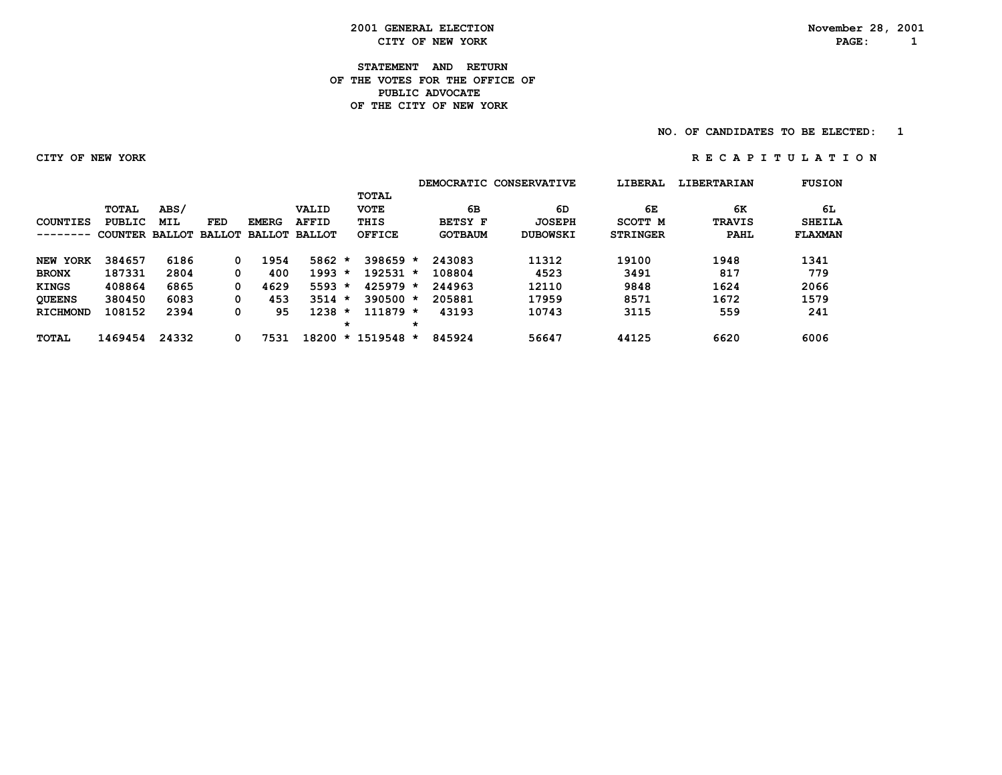**2001 GENERAL ELECTION November 28, 2001 CITY OF NEW YORK PAGE: 1**

#### **STATEMENT AND RETURN OF THE VOTES FOR THE OFFICE OFPUBLIC ADVOCATE OF THE CITY OF NEW YORK**

#### **NO. OF CANDIDATES TO BE ELECTED:** 1

#### **CITY OF NEW YORK R E C A P I T U L A T I O N**

|                 |                       |       |     |                      |              |         |               |         |                | DEMOCRATIC CONSERVATIVE | LIBERAL         | <b>LIBERTARIAN</b> | <b>FUSION</b>  |
|-----------------|-----------------------|-------|-----|----------------------|--------------|---------|---------------|---------|----------------|-------------------------|-----------------|--------------------|----------------|
|                 |                       |       |     |                      |              |         | <b>TOTAL</b>  |         |                |                         |                 |                    |                |
|                 | <b>TOTAL</b>          | ABS/  |     |                      | VALID        |         | <b>VOTE</b>   |         | 6В             | 6D                      | 6Е              | 6К                 | 6L             |
| COUNTIES        | PUBLIC                | MIL   | FED | <b>EMERG</b>         | <b>AFFID</b> |         | THIS          |         | <b>BETSY F</b> | <b>JOSEPH</b>           | SCOTT M         | <b>TRAVIS</b>      | <b>SHEILA</b>  |
|                 | COUNTER BALLOT BALLOT |       |     | <b>BALLOT BALLOT</b> |              |         | OFFICE        |         | <b>GOTBAUM</b> | <b>DUBOWSKI</b>         | <b>STRINGER</b> | PAHL               | <b>FLAXMAN</b> |
| NEW YORK        | 384657                | 6186  | 0   | 1954                 | 5862         | $\star$ | $398659*$     |         | 243083         | 11312                   | 19100           | 1948               | 1341           |
| <b>BRONX</b>    | 187331                | 2804  | 0   | 400                  | 1993         | $\star$ | $192531 *$    |         | 108804         | 4523                    | 3491            | 817                | 779            |
| <b>KINGS</b>    | 408864                | 6865  | 0   | 4629                 | $5593 *$     |         | $425979 *$    |         | 244963         | 12110                   | 9848            | 1624               | 2066           |
| <b>QUEENS</b>   | 380450                | 6083  | 0   | 453                  | $3514 *$     |         | $390500 *$    |         | 205881         | 17959                   | 8571            | 1672               | 1579           |
| <b>RICHMOND</b> | 108152                | 2394  | 0   | 95                   | 1238         | $\star$ | $111879 *$    |         | 43193          | 10743                   | 3115            | 559                | 241            |
|                 |                       |       |     |                      |              | *       |               | $\star$ |                |                         |                 |                    |                |
| <b>TOTAL</b>    | 1469454               | 24332 |     | 7531                 | 18200        |         | $* 1519548 *$ |         | 845924         | 56647                   | 44125           | 6620               | 6006           |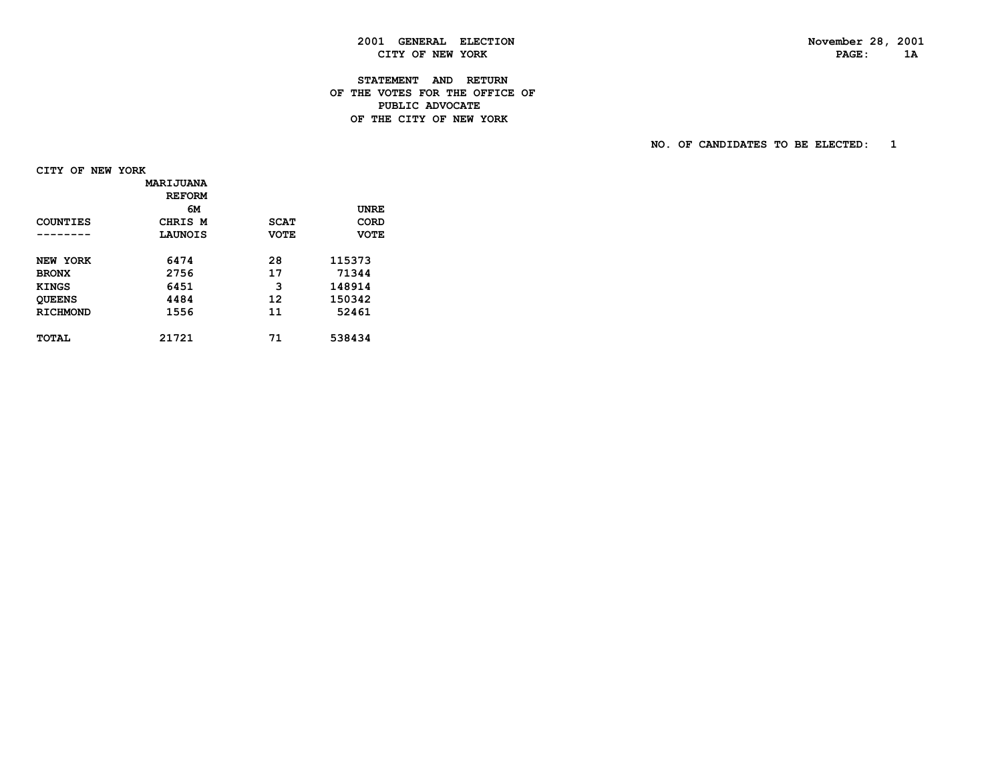### **2001 GENERAL ELECTION November 28, 2001 CITY OF NEW YORK**

#### **STATEMENT AND RETURN OF THE VOTES FOR THE OFFICE OF PUBLIC ADVOCATEDE THE CITY OF NEW YORK**

 **NO. OF CANDIDATES TO BE ELECTED: 1**

 **CITY OF NEW YORK**

|                 | MARIJUANA     |             |             |
|-----------------|---------------|-------------|-------------|
|                 | <b>REFORM</b> |             |             |
|                 | 6м            |             | <b>UNRE</b> |
| COUNTIES        | CHRIS M       | <b>SCAT</b> | CORD        |
| -------         | LAUNOIS       | <b>VOTE</b> | <b>VOTE</b> |
|                 |               |             |             |
| NEW YORK        | 6474          | 28          | 115373      |
| <b>BRONX</b>    | 2756          | 17          | 71344       |
| <b>KINGS</b>    | 6451          | 3           | 148914      |
| <b>QUEENS</b>   | 4484          | 12          | 150342      |
| <b>RICHMOND</b> | 1556          | 11          | 52461       |
|                 |               |             |             |
| TOTAL           | 21721         | 71          | 538434      |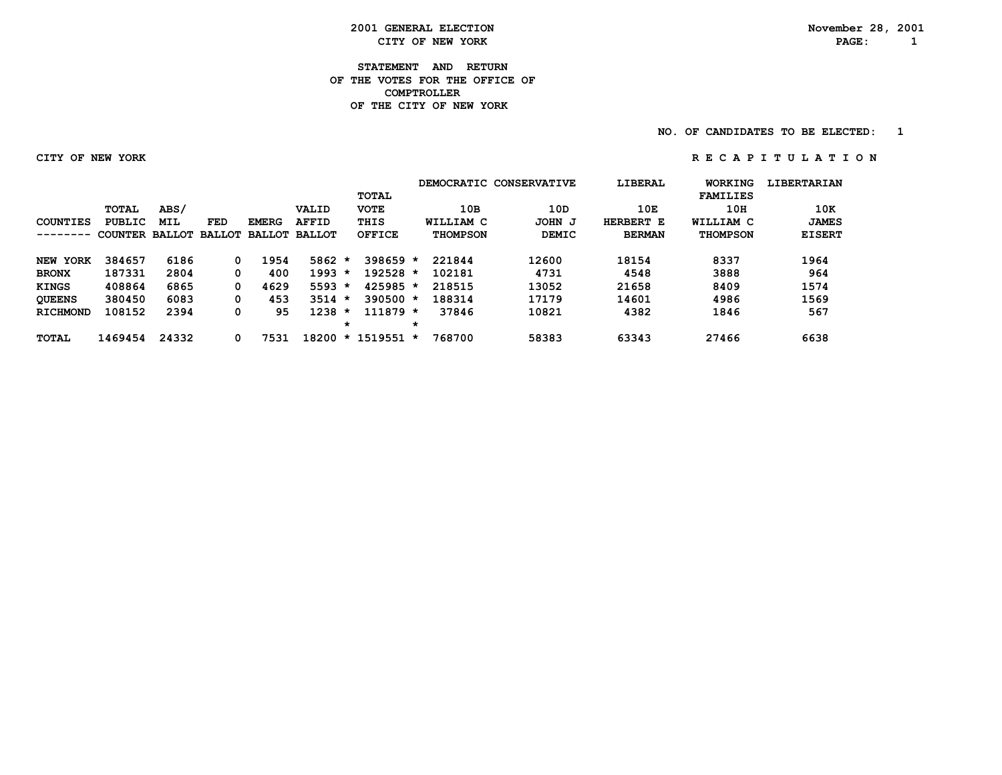**2001 GENERAL ELECTION November 28, 2001 CITY OF NEW YORK PAGE: 1**

**STATEMENT AND RETURN OF THE VOTES FOR THE OFFICE OF COMPTROLLER OF THE CITY OF NEW YORK**

**NO. OF CANDIDATES TO BE ELECTED:** 1

 **CITY OF NEW YORK R E C A P I T U L A T I O N**

|                 |                |       |               |               |               |         |               |   |                 | DEMOCRATIC CONSERVATIVE | LIBERAL       | WORKING         | <b>LIBERTARIAN</b> |
|-----------------|----------------|-------|---------------|---------------|---------------|---------|---------------|---|-----------------|-------------------------|---------------|-----------------|--------------------|
|                 |                |       |               |               |               |         | TOTAL         |   |                 |                         |               | <b>FAMILIES</b> |                    |
|                 | TOTAL          | ABS/  |               |               | VALID         |         | <b>VOTE</b>   |   | 10B             | 10D                     | 10E           | 10H             | 10K                |
| COUNTIES        | PUBLIC         | MIL   | <b>FED</b>    | <b>EMERG</b>  | <b>AFFID</b>  |         | THIS          |   | WILLIAM C       | JOHN J                  | HERBERT E     | WILLIAM C       | <b>JAMES</b>       |
| ------          | COUNTER BALLOT |       | <b>BALLOT</b> | <b>BALLOT</b> | <b>BALLOT</b> |         | <b>OFFICE</b> |   | <b>THOMPSON</b> | <b>DEMIC</b>            | <b>BERMAN</b> | <b>THOMPSON</b> | <b>EISERT</b>      |
| <b>NEW YORK</b> | 384657         | 6186  | 0             | 1954          | $5862 *$      |         | $398659*$     |   | 221844          | 12600                   | 18154         | 8337            | 1964               |
| <b>BRONX</b>    | 187331         | 2804  | 0             | 400           | $1993 *$      |         | $192528 *$    |   | 102181          | 4731                    | 4548          | 3888            | 964                |
| <b>KINGS</b>    | 408864         | 6865  | 0             | 4629          | 5593          | $\star$ | $425985 *$    |   | 218515          | 13052                   | 21658         | 8409            | 1574               |
| <b>QUEENS</b>   | 380450         | 6083  | 0             | 453           | $3514 *$      |         | $390500 *$    |   | 188314          | 17179                   | 14601         | 4986            | 1569               |
| <b>RICHMOND</b> | 108152         | 2394  | 0             | 95            | 1238          | $\star$ | $111879 *$    |   | 37846           | 10821                   | 4382          | 1846            | 567                |
|                 |                |       |               |               |               | *       |               | * |                 |                         |               |                 |                    |
| <b>TOTAL</b>    | 1469454        | 24332 | 0             | 7531          | 18200         |         | $* 1519551$   | * | 768700          | 58383                   | 63343         | 27466           | 6638               |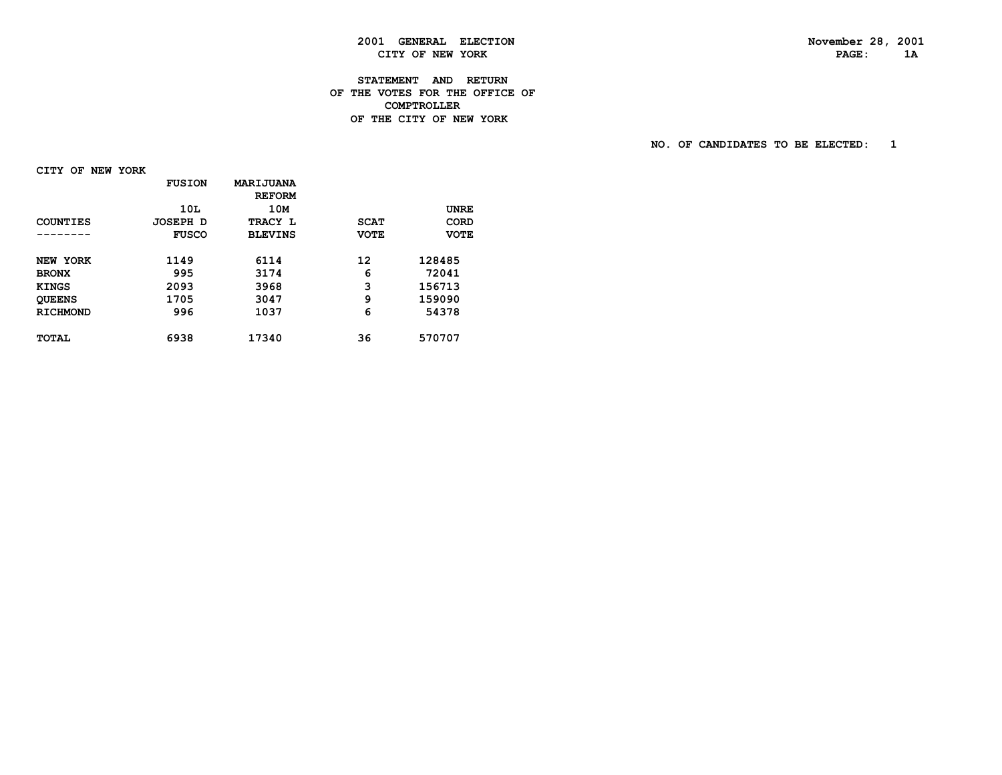### **2001 GENERAL ELECTION November 28, 2001 CITY OF NEW YORK**

#### **STATEMENT AND RETURN OF THE VOTES FOR THE OFFICE OF COMPTROLLERDE THE CITY OF NEW YORK**

 **NO. OF CANDIDATES TO BE ELECTED: 1**

 **CITY OF NEW YORK**

|                 | <b>FUSION</b>   | <b>MARIJUANA</b><br><b>REFORM</b> |             |             |
|-----------------|-----------------|-----------------------------------|-------------|-------------|
|                 | 10L             | 10M                               |             | <b>UNRE</b> |
| COUNTIES        | <b>JOSEPH D</b> | TRACY L                           | <b>SCAT</b> | CORD        |
|                 | <b>FUSCO</b>    | <b>BLEVINS</b>                    | <b>VOTE</b> | <b>VOTE</b> |
| NEW YORK        | 1149            | 6114                              | 12          | 128485      |
| <b>BRONX</b>    | 995             | 3174                              | 6           | 72041       |
| <b>KINGS</b>    | 2093            | 3968                              | 3           | 156713      |
| <b>QUEENS</b>   | 1705            | 3047                              | 9           | 159090      |
| <b>RICHMOND</b> | 996             | 1037                              | 6           | 54378       |
| <b>TOTAL</b>    | 6938            | 17340                             | 36          | 570707      |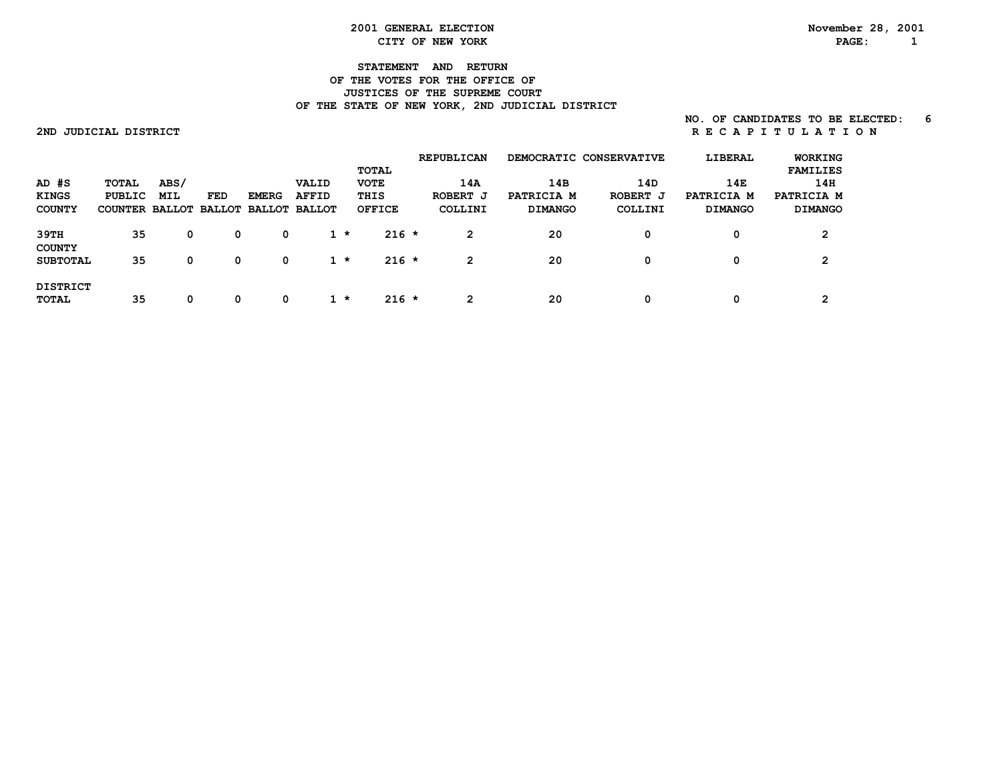#### **2001 GENERAL ELECTION November 28, 2001 CITY OF NEW YORK PAGE: 1**

#### **STATEMENT AND RETURN OF THE VOTES FOR THE OFFICE OF JUSTICES OF THE SUPREME COURT** OF THE STATE OF NEW YORK, 2ND JUDICIAL DISTRICT

#### **NO. OF CANDIDATES TO BE ELECTED: 6 2NDJUDICIALDISTRICT R E C A P I T U L A T I O N**

|                                            |                                                        |             |     |              |                       | <b>TOTAL</b>                         | <b>REPUBLICAN</b>          |                                     | DEMOCRATIC CONSERVATIVE    | LIBERAL                             | <b>WORKING</b><br><b>FAMILIES</b>   |
|--------------------------------------------|--------------------------------------------------------|-------------|-----|--------------|-----------------------|--------------------------------------|----------------------------|-------------------------------------|----------------------------|-------------------------------------|-------------------------------------|
| $AD$ $#S$<br><b>KINGS</b><br><b>COUNTY</b> | TOTAL<br>PUBLIC<br>COUNTER BALLOT BALLOT BALLOT BALLOT | ABS/<br>MIL | FED | <b>EMERG</b> | VALID<br><b>AFFID</b> | <b>VOTE</b><br>THIS<br><b>OFFICE</b> | 14A<br>ROBERT J<br>COLLINI | 14B<br>PATRICIA M<br><b>DIMANGO</b> | 14D<br>ROBERT J<br>COLLINI | 14E<br>PATRICIA M<br><b>DIMANGO</b> | 14H<br>PATRICIA M<br><b>DIMANGO</b> |
| 39TH                                       | 35                                                     | 0           | 0   | 0            | $1 *$                 | $216 *$                              | 2                          | 20                                  |                            | 0                                   | っ                                   |
| <b>COUNTY</b><br><b>SUBTOTAL</b>           | 35                                                     | 0           | 0   | 0            | $1 *$                 | $216 *$                              | $\mathbf{2}$               | 20                                  |                            | 0                                   | ົ                                   |
| <b>DISTRICT</b><br><b>TOTAL</b>            | 35                                                     | 0           | 0   | 0            | $1 *$                 | $216 *$                              | 2                          | 20                                  |                            | 0                                   | ົ                                   |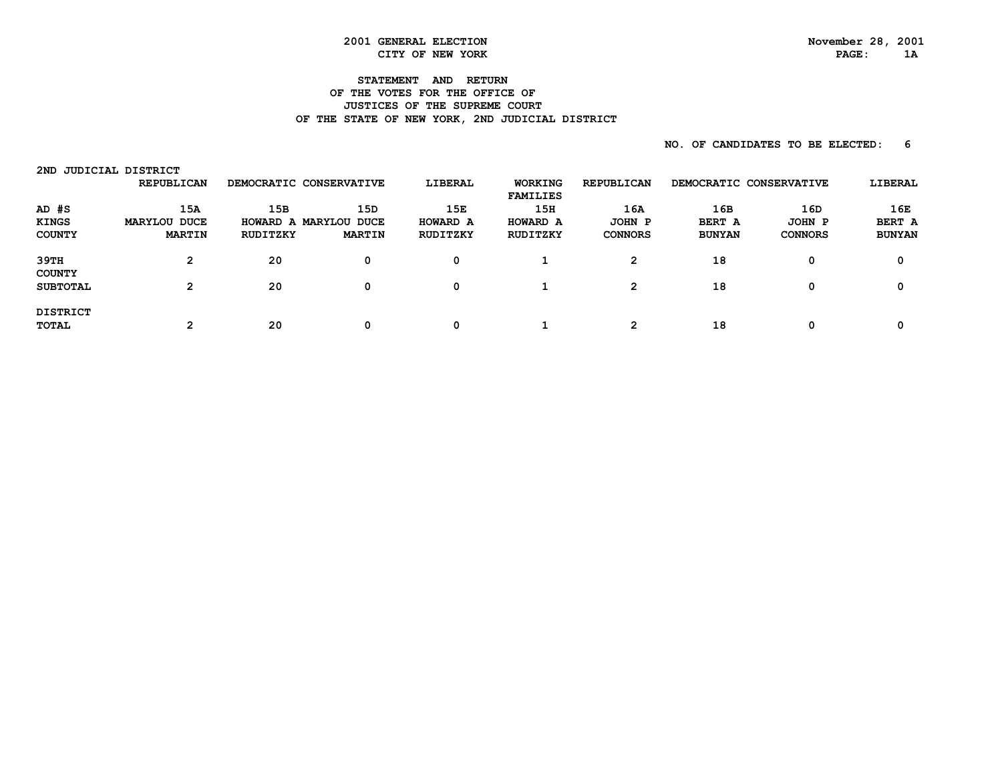#### **2001 GENERAL ELECTION November 28, 2001 CITY OF NEW YORK PAGE: 1A**

#### **STATEMENT AND RETURN OF THE VOTES FOR THE OFFICE OF JUSTICES OF THE SUPREME COURT** OF THE STATE OF NEW YORK, 2ND JUDICIAL DISTRICT

| 2ND                                      | JUDICIAL DISTRICT                    |                 |                                               |                             |                                   |                                         |                                       |                                 |                                |
|------------------------------------------|--------------------------------------|-----------------|-----------------------------------------------|-----------------------------|-----------------------------------|-----------------------------------------|---------------------------------------|---------------------------------|--------------------------------|
|                                          | <b>REPUBLICAN</b>                    |                 | DEMOCRATIC CONSERVATIVE                       | LIBERAL                     | <b>WORKING</b><br><b>FAMILIES</b> | <b>REPUBLICAN</b>                       | DEMOCRATIC CONSERVATIVE               |                                 | LIBERAL                        |
| AD #S<br><b>KINGS</b><br><b>COUNTY</b>   | 15A<br>MARYLOU DUCE<br><b>MARTIN</b> | 15B<br>RUDITZKY | 15D<br>HOWARD A MARYLOU DUCE<br><b>MARTIN</b> | 15E<br>HOWARD A<br>RUDITZKY | 15H<br>HOWARD A<br>RUDITZKY       | 16A<br>JOHN P<br><b>CONNORS</b>         | 16B<br><b>BERT A</b><br><b>BUNYAN</b> | 16D<br>JOHN P<br><b>CONNORS</b> | 16E<br>BERT A<br><b>BUNYAN</b> |
| 39TH<br><b>COUNTY</b><br><b>SUBTOTAL</b> | 2<br>2                               | 20<br>20        | 0<br>0                                        | 0<br>0                      |                                   | $\mathbf{2}^{\prime}$<br>$\overline{2}$ | 18<br>18                              | 0<br>0                          | 0<br>0                         |
| <b>DISTRICT</b><br><b>TOTAL</b>          | 2                                    | 20              | 0                                             | 0                           |                                   | າ                                       | 18                                    | 0                               | 0                              |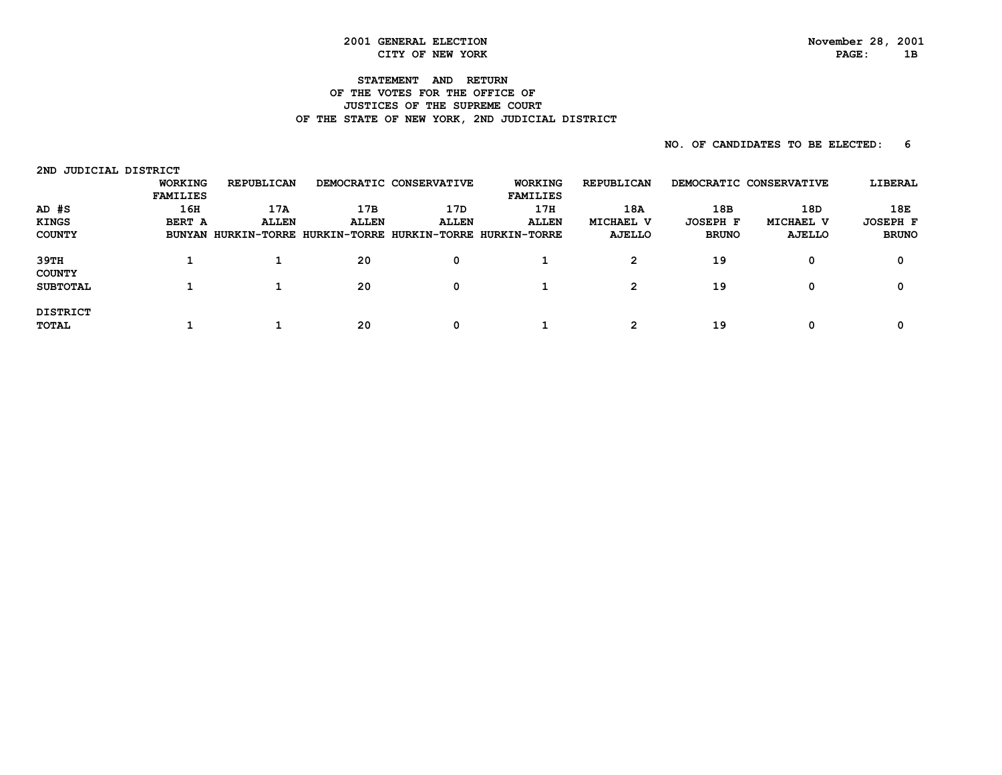# **2001 GENERAL ELECTION November 28, 2001**

#### **STATEMENT AND RETURN OF THE VOTES FOR THE OFFICE OF JUSTICES OF THE SUPREME COURT** OF THE STATE OF NEW YORK, 2ND JUDICIAL DISTRICT

| JUDICIAL DISTRICT<br>2ND |                 |                   |              |                         |                                                            |                   |                         |           |                 |
|--------------------------|-----------------|-------------------|--------------|-------------------------|------------------------------------------------------------|-------------------|-------------------------|-----------|-----------------|
|                          | <b>WORKING</b>  | <b>REPUBLICAN</b> |              | DEMOCRATIC CONSERVATIVE | <b>WORKING</b>                                             | <b>REPUBLICAN</b> | DEMOCRATIC CONSERVATIVE |           | LIBERAL         |
|                          | <b>FAMILIES</b> |                   |              |                         | <b>FAMILIES</b>                                            |                   |                         |           |                 |
| AD #S                    | 16H             | 17A               | 17B          | 17D                     | 17H                                                        | 18A               | 18B                     | 18D       | 18E             |
| <b>KINGS</b>             | BERT A          | <b>ALLEN</b>      | <b>ALLEN</b> | <b>ALLEN</b>            | <b>ALLEN</b>                                               | MICHAEL V         | <b>JOSEPH F</b>         | MICHAEL V | <b>JOSEPH F</b> |
| <b>COUNTY</b>            |                 |                   |              |                         | BUNYAN HURKIN-TORRE HURKIN-TORRE HURKIN-TORRE HURKIN-TORRE | AJELLO            | <b>BRUNO</b>            | AJELLO    | <b>BRUNO</b>    |
| 39TH                     |                 |                   | 20           | 0                       |                                                            | 2                 | 19                      | 0         |                 |
| <b>COUNTY</b>            |                 |                   |              |                         |                                                            |                   |                         |           |                 |
| <b>SUBTOTAL</b>          |                 |                   | 20           | 0                       |                                                            | 2                 | 19                      | 0         |                 |
| <b>DISTRICT</b>          |                 |                   |              |                         |                                                            |                   |                         |           |                 |
| <b>TOTAL</b>             |                 |                   | 20           | 0                       |                                                            | າ                 | 19                      | 0         |                 |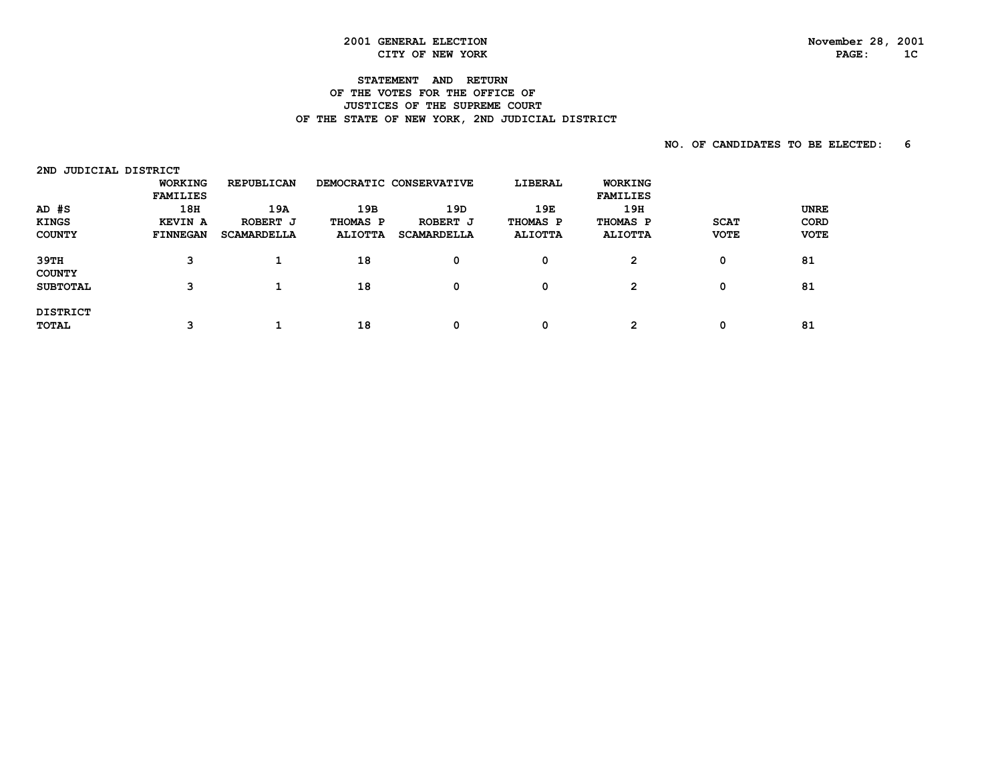## **STATEMENT AND RETURN**

#### **OF THE VOTES FOR THE OFFICE OF JUSTICES OF THE SUPREME COURT** OF THE STATE OF NEW YORK, 2ND JUDICIAL DISTRICT

| JUDICIAL DISTRICT<br>2ND |                 |                    |                |                         |                |                 |             |             |
|--------------------------|-----------------|--------------------|----------------|-------------------------|----------------|-----------------|-------------|-------------|
|                          | <b>WORKING</b>  | <b>REPUBLICAN</b>  |                | DEMOCRATIC CONSERVATIVE | LIBERAL        | <b>WORKING</b>  |             |             |
|                          | <b>FAMILIES</b> |                    |                |                         |                | <b>FAMILIES</b> |             |             |
| $AD$ $#S$                | 18H             | 19A                | 19B            | 19D                     | 19E            | 19H             |             | <b>UNRE</b> |
| <b>KINGS</b>             | <b>KEVIN A</b>  | ROBERT J           | THOMAS P       | ROBERT J                | THOMAS P       | THOMAS P        | <b>SCAT</b> | CORD        |
| <b>COUNTY</b>            | <b>FINNEGAN</b> | <b>SCAMARDELLA</b> | <b>ALIOTTA</b> | <b>SCAMARDELLA</b>      | <b>ALIOTTA</b> | <b>ALIOTTA</b>  | <b>VOTE</b> | <b>VOTE</b> |
| 39TH                     | з               |                    | 18             | 0                       | 0              | $\overline{2}$  | 0           | 81          |
| <b>COUNTY</b>            |                 |                    |                |                         |                |                 |             |             |
| <b>SUBTOTAL</b>          | з               |                    | 18             | 0                       | 0              | $\mathbf{2}$    | 0           | 81          |
|                          |                 |                    |                |                         |                |                 |             |             |
| <b>DISTRICT</b><br>TOTAL | ີ               |                    | 18             | 0                       | 0              | 2               | 0           | 81          |
|                          |                 |                    |                |                         |                |                 |             |             |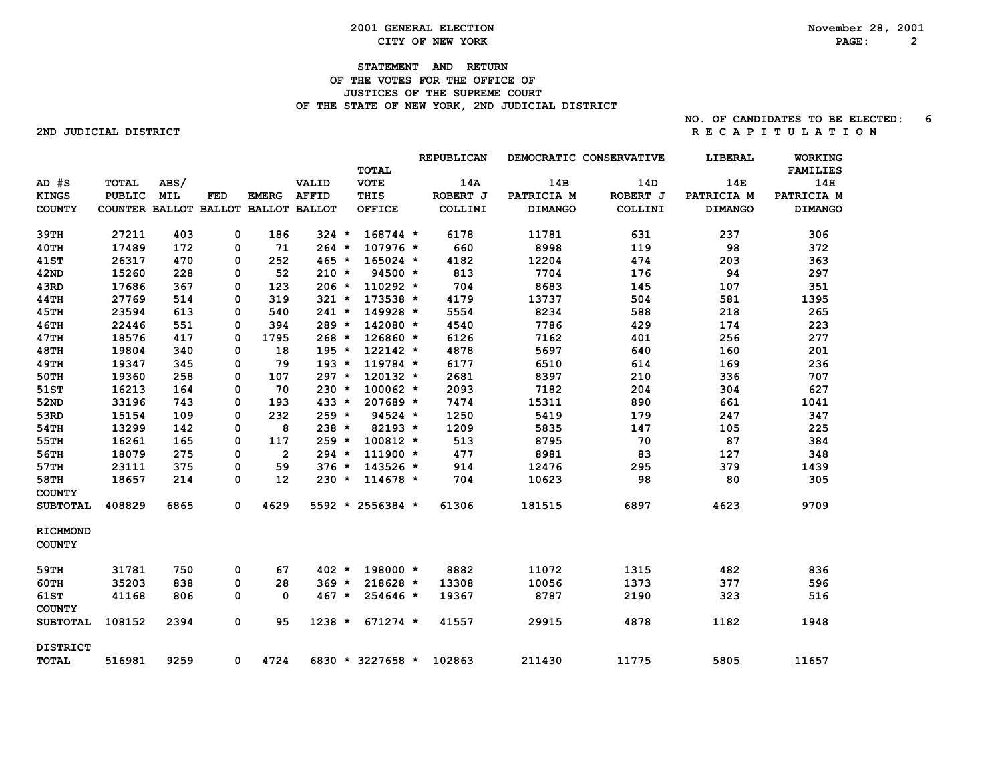#### **2001 GENERAL ELECTION November 28, 2001 CITY OF NEW YORK PAGE: 2**

#### **STATEMENT AND RETURN OF THE VOTES FOR THE OFFICE OF JUSTICES OF THE SUPREME COURT** OF THE STATE OF NEW YORK, 2ND JUDICIAL DISTRICT

#### **NO. OF CANDIDATES TO BE ELECTED: 6 2NDJUDICIALDISTRICT R E C A P I T U L A T I O N**

|                                  |                                     |            |            |                |              | <b>TOTAL</b>       | REPUBLICAN | DEMOCRATIC CONSERVATIVE |          | LIBERAL        | WORKING<br><b>FAMILIES</b> |
|----------------------------------|-------------------------------------|------------|------------|----------------|--------------|--------------------|------------|-------------------------|----------|----------------|----------------------------|
| $AD$ $#S$                        | <b>TOTAL</b>                        | ABS/       |            |                | VALID        | <b>VOTE</b>        | 14A        | 14B                     | 14D      | 14E            | 14H                        |
| <b>KINGS</b>                     | <b>PUBLIC</b>                       | <b>MIL</b> | <b>FED</b> | <b>EMERG</b>   | <b>AFFID</b> | THIS               | ROBERT J   | PATRICIA M              | ROBERT J | PATRICIA M     | PATRICIA M                 |
| <b>COUNTY</b>                    | COUNTER BALLOT BALLOT BALLOT BALLOT |            |            |                |              | <b>OFFICE</b>      | COLLINI    | <b>DIMANGO</b>          | COLLINI  | <b>DIMANGO</b> | <b>DIMANGO</b>             |
| 39TH                             | 27211                               | 403        | 0          | 186            | 324 *        | $168744*$          | 6178       | 11781                   | 631      | 237            | 306                        |
| 40TH                             | 17489                               | 172        | 0          | 71             | $264 *$      | $107976$ *         | 660        | 8998                    | 119      | 98             | 372                        |
| <b>41ST</b>                      | 26317                               | 470        | 0          | 252            | $465 *$      | $165024$ *         | 4182       | 12204                   | 474      | 203            | 363                        |
| 42ND                             | 15260                               | 228        | 0          | 52             | $210 *$      | $94500 *$          | 813        | 7704                    | 176      | 94             | 297                        |
| 43RD                             | 17686                               | 367        | 0          | 123            | $206 *$      | $110292 *$         | 704        | 8683                    | 145      | 107            | 351                        |
| 44TH                             | 27769                               | 514        | 0          | 319            | $321 *$      | 173538 *           | 4179       | 13737                   | 504      | 581            | 1395                       |
| <b>45TH</b>                      | 23594                               | 613        | 0          | 540            | $241 *$      | 149928 *           | 5554       | 8234                    | 588      | 218            | 265                        |
| <b>46TH</b>                      | 22446                               | 551        | 0          | 394            | $289 *$      | 142080 *           | 4540       | 7786                    | 429      | 174            | 223                        |
| 47TH                             | 18576                               | 417        | 0          | 1795           | $268 *$      | 126860 *           | 6126       | 7162                    | 401      | 256            | 277                        |
| <b>48TH</b>                      | 19804                               | 340        | 0          | 18             | $195 *$      | $122142 *$         | 4878       | 5697                    | 640      | 160            | 201                        |
| <b>49TH</b>                      | 19347                               | 345        | 0          | 79             | $193 *$      | 119784 *           | 6177       | 6510                    | 614      | 169            | 236                        |
| 50TH                             | 19360                               | 258        | 0          | 107            | $297 *$      | $120132 *$         | 2681       | 8397                    | 210      | 336            | 707                        |
| 51ST                             | 16213                               | 164        | 0          | 70             | $230 *$      | $100062 *$         | 2093       | 7182                    | 204      | 304            | 627                        |
| <b>52ND</b>                      | 33196                               | 743        | 0          | 193            | $433 *$      | 207689 *           | 7474       | 15311                   | 890      | 661            | 1041                       |
| 53RD                             | 15154                               | 109        | 0          | 232            | $259 *$      | $94524 *$          | 1250       | 5419                    | 179      | 247            | 347                        |
| 54TH                             | 13299                               | 142        | 0          | 8              | $238 *$      | $82193 *$          | 1209       | 5835                    | 147      | 105            | 225                        |
| 55TH                             | 16261                               | 165        | 0          | 117            | $259 *$      | $100812 *$         | 513        | 8795                    | 70       | 87             | 384                        |
| 56TH                             | 18079                               | 275        | 0          | $\overline{2}$ | $294 *$      | $111900 *$         | 477        | 8981                    | 83       | 127            | 348                        |
| 57TH                             | 23111                               | 375        | 0          | 59             | $376 *$      | 143526 *           | 914        | 12476                   | 295      | 379            | 1439                       |
| 58TH<br><b>COUNTY</b>            | 18657                               | 214        | 0          | 12             | $230 *$      | $114678 *$         | 704        | 10623                   | 98       | 80             | 305                        |
| <b>SUBTOTAL</b>                  | 408829                              | 6865       | 0          | 4629           |              | 5592 * 2556384 *   | 61306      | 181515                  | 6897     | 4623           | 9709                       |
| <b>RICHMOND</b><br><b>COUNTY</b> |                                     |            |            |                |              |                    |            |                         |          |                |                            |
| 59TH                             | 31781                               | 750        | 0          | 67             | $402 *$      | 198000 *           | 8882       | 11072                   | 1315     | 482            | 836                        |
| $60$ TH                          | 35203                               | 838        | 0          | 28             | $369 *$      | 218628 *           | 13308      | 10056                   | 1373     | 377            | 596                        |
| <b>61ST</b><br><b>COUNTY</b>     | 41168                               | 806        | 0          | 0              | $467 *$      | 254646 *           | 19367      | 8787                    | 2190     | 323            | 516                        |
| <b>SUBTOTAL</b>                  | 108152                              | 2394       | 0          | 95             | $1238 *$     | $671274 *$         | 41557      | 29915                   | 4878     | 1182           | 1948                       |
| <b>DISTRICT</b><br><b>TOTAL</b>  | 516981                              | 9259       | 0          | 4724           |              | $6830 * 3227658 *$ | 102863     | 211430                  | 11775    | 5805           | 11657                      |
|                                  |                                     |            |            |                |              |                    |            |                         |          |                |                            |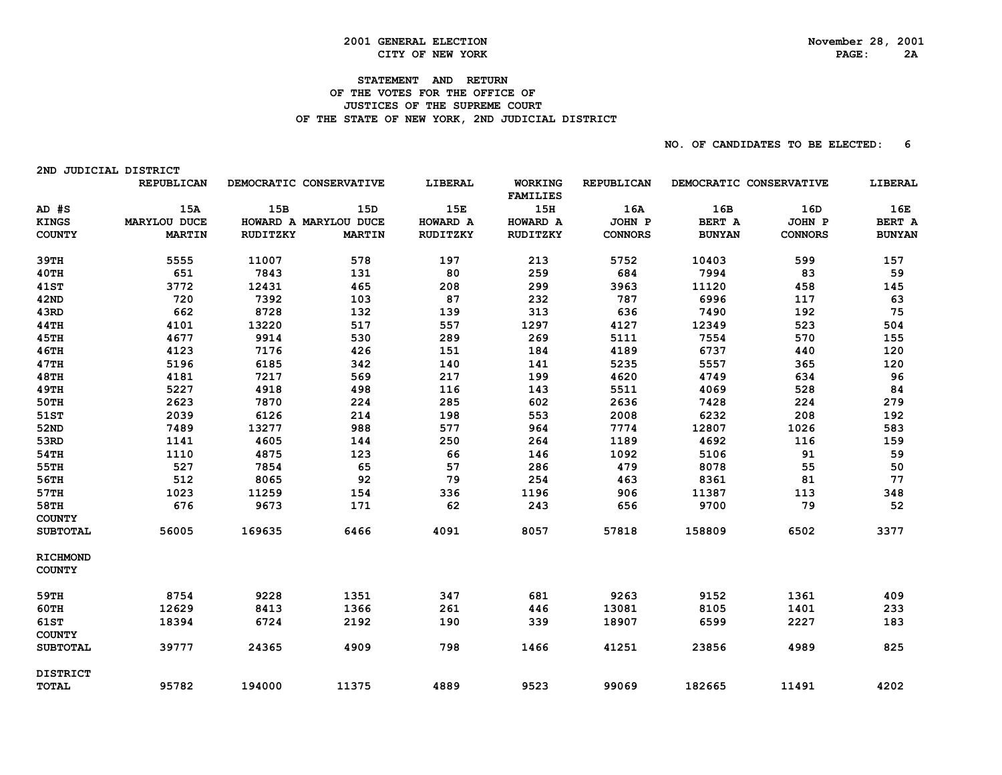2ND JUDICIAL DISTRICT

#### **STATEMENT AND RETURN OF THE VOTES FOR THE OFFICE OF JUSTICES OF THE SUPREME COURT** OF THE STATE OF NEW YORK, 2ND JUDICIAL DISTRICT

|                                  | REPUBLICAN    | DEMOCRATIC CONSERVATIVE |               | LIBERAL  | <b>WORKING</b><br><b>FAMILIES</b> | REPUBLICAN     | DEMOCRATIC CONSERVATIVE |                | LIBERAL       |
|----------------------------------|---------------|-------------------------|---------------|----------|-----------------------------------|----------------|-------------------------|----------------|---------------|
| AD #S                            | 15A           | 15B                     | 15D           | 15E      | 15H                               | 16A            | 16B                     | 16D            | 16E           |
| <b>KINGS</b>                     | MARYLOU DUCE  | HOWARD A MARYLOU DUCE   |               | HOWARD A | HOWARD A                          | JOHN P         | BERT A                  | JOHN P         | BERT A        |
| <b>COUNTY</b>                    | <b>MARTIN</b> | <b>RUDITZKY</b>         | <b>MARTIN</b> | RUDITZKY | RUDITZKY                          | <b>CONNORS</b> | <b>BUNYAN</b>           | <b>CONNORS</b> | <b>BUNYAN</b> |
| 39TH                             | 5555          | 11007                   | 578           | 197      | 213                               | 5752           | 10403                   | 599            | 157           |
| 40TH                             | 651           | 7843                    | 131           | 80       | 259                               | 684            | 7994                    | 83             | 59            |
| <b>41ST</b>                      | 3772          | 12431                   | 465           | 208      | 299                               | 3963           | 11120                   | 458            | 145           |
| <b>42ND</b>                      | 720           | 7392                    | 103           | 87       | 232                               | 787            | 6996                    | 117            | 63            |
| 43RD                             | 662           | 8728                    | 132           | 139      | 313                               | 636            | 7490                    | 192            | 75            |
| 44TH                             | 4101          | 13220                   | 517           | 557      | 1297                              | 4127           | 12349                   | 523            | 504           |
| <b>45TH</b>                      | 4677          | 9914                    | 530           | 289      | 269                               | 5111           | 7554                    | 570            | 155           |
| <b>46TH</b>                      | 4123          | 7176                    | 426           | 151      | 184                               | 4189           | 6737                    | 440            | 120           |
| 47TH                             | 5196          | 6185                    | 342           | 140      | 141                               | 5235           | 5557                    | 365            | 120           |
| <b>48TH</b>                      | 4181          | 7217                    | 569           | 217      | 199                               | 4620           | 4749                    | 634            | 96            |
| <b>49TH</b>                      | 5227          | 4918                    | 498           | 116      | 143                               | 5511           | 4069                    | 528            | 84            |
| 50TH                             | 2623          | 7870                    | 224           | 285      | 602                               | 2636           | 7428                    | 224            | 279           |
| 51ST                             | 2039          | 6126                    | 214           | 198      | 553                               | 2008           | 6232                    | 208            | 192           |
| <b>52ND</b>                      | 7489          | 13277                   | 988           | 577      | 964                               | 7774           | 12807                   | 1026           | 583           |
| 53RD                             | 1141          | 4605                    | 144           | 250      | 264                               | 1189           | 4692                    | 116            | 159           |
| 54TH                             | 1110          | 4875                    | 123           | 66       | 146                               | 1092           | 5106                    | 91             | 59            |
| 55TH                             | 527           | 7854                    | 65            | 57       | 286                               | 479            | 8078                    | 55             | 50            |
| 56TH                             | 512           | 8065                    | 92            | 79       | 254                               | 463            | 8361                    | 81             | 77            |
| 57TH                             | 1023          | 11259                   | 154           | 336      | 1196                              | 906            | 11387                   | 113            | 348           |
| 58TH                             | 676           | 9673                    | 171           | 62       | 243                               | 656            | 9700                    | 79             | 52            |
| <b>COUNTY</b>                    |               |                         |               |          |                                   |                |                         |                |               |
| <b>SUBTOTAL</b>                  | 56005         | 169635                  | 6466          | 4091     | 8057                              | 57818          | 158809                  | 6502           | 3377          |
| <b>RICHMOND</b><br><b>COUNTY</b> |               |                         |               |          |                                   |                |                         |                |               |
|                                  |               |                         |               |          |                                   |                |                         |                |               |
| 59TH                             | 8754          | 9228                    | 1351          | 347      | 681                               | 9263           | 9152                    | 1361           | 409           |
| <b>60TH</b>                      | 12629         | 8413                    | 1366          | 261      | 446                               | 13081          | 8105                    | 1401           | 233           |
| 61ST<br><b>COUNTY</b>            | 18394         | 6724                    | 2192          | 190      | 339                               | 18907          | 6599                    | 2227           | 183           |
| <b>SUBTOTAL</b>                  | 39777         | 24365                   | 4909          | 798      | 1466                              | 41251          | 23856                   | 4989           | 825           |
| <b>DISTRICT</b>                  |               |                         |               |          |                                   |                |                         |                |               |
| <b>TOTAL</b>                     | 95782         | 194000                  | 11375         | 4889     | 9523                              | 99069          | 182665                  | 11491          | 4202          |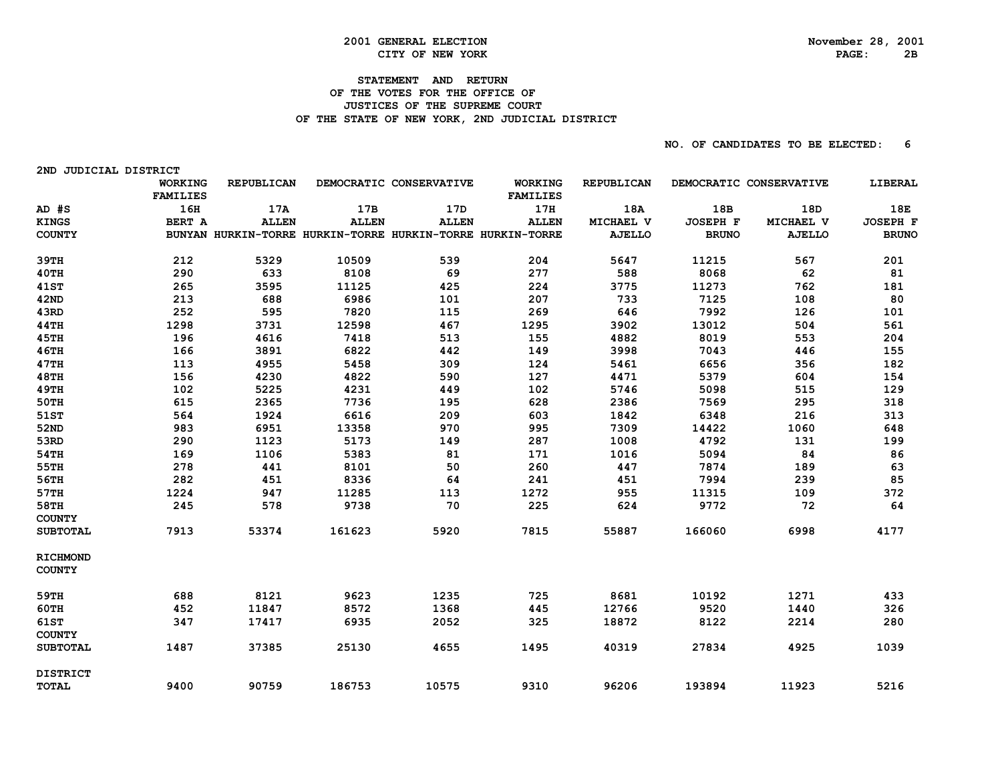2ND JUDICIAL DISTRICT

#### **STATEMENT AND RETURN OF THE VOTES FOR THE OFFICE OF JUSTICES OF THE SUPREME COURT** OF THE STATE OF NEW YORK, 2ND JUDICIAL DISTRICT

|                 | <b>WORKING</b>  | REPUBLICAN   |              | DEMOCRATIC CONSERVATIVE                                    | <b>WORKING</b>  | REPUBLICAN    |                 | DEMOCRATIC CONSERVATIVE | LIBERAL         |
|-----------------|-----------------|--------------|--------------|------------------------------------------------------------|-----------------|---------------|-----------------|-------------------------|-----------------|
|                 | <b>FAMILIES</b> |              |              |                                                            | <b>FAMILIES</b> |               |                 |                         |                 |
| $AD$ #S         | 16H             | 17A          | 17B          | 17D                                                        | 17H             | 18A           | 18B             | 18D                     | 18E             |
| <b>KINGS</b>    | BERT A          | <b>ALLEN</b> | <b>ALLEN</b> | <b>ALLEN</b>                                               | <b>ALLEN</b>    | MICHAEL V     | <b>JOSEPH F</b> | MICHAEL V               | <b>JOSEPH F</b> |
| <b>COUNTY</b>   |                 |              |              | BUNYAN HURKIN-TORRE HURKIN-TORRE HURKIN-TORRE HURKIN-TORRE |                 | <b>AJELLO</b> | <b>BRUNO</b>    | <b>AJELLO</b>           | <b>BRUNO</b>    |
| 39TH            | 212             | 5329         | 10509        | 539                                                        | 204             | 5647          | 11215           | 567                     | 201             |
| 40TH            | 290             | 633          | 8108         | 69                                                         | 277             | 588           | 8068            | 62                      | 81              |
| <b>41ST</b>     | 265             | 3595         | 11125        | 425                                                        | 224             | 3775          | 11273           | 762                     | 181             |
| 42ND            | 213             | 688          | 6986         | 101                                                        | 207             | 733           | 7125            | 108                     | 80              |
| 43RD            | 252             | 595          | 7820         | 115                                                        | 269             | 646           | 7992            | 126                     | 101             |
| 44TH            | 1298            | 3731         | 12598        | 467                                                        | 1295            | 3902          | 13012           | 504                     | 561             |
| <b>45TH</b>     | 196             | 4616         | 7418         | 513                                                        | 155             | 4882          | 8019            | 553                     | 204             |
| <b>46TH</b>     | 166             | 3891         | 6822         | 442                                                        | 149             | 3998          | 7043            | 446                     | 155             |
| 47TH            | 113             | 4955         | 5458         | 309                                                        | 124             | 5461          | 6656            | 356                     | 182             |
| <b>48TH</b>     | 156             | 4230         | 4822         | 590                                                        | 127             | 4471          | 5379            | 604                     | 154             |
| <b>49TH</b>     | 102             | 5225         | 4231         | 449                                                        | 102             | 5746          | 5098            | 515                     | 129             |
| 50TH            | 615             | 2365         | 7736         | 195                                                        | 628             | 2386          | 7569            | 295                     | 318             |
| 51ST            | 564             | 1924         | 6616         | 209                                                        | 603             | 1842          | 6348            | 216                     | 313             |
| 52ND            | 983             | 6951         | 13358        | 970                                                        | 995             | 7309          | 14422           | 1060                    | 648             |
| 53RD            | 290             | 1123         | 5173         | 149                                                        | 287             | 1008          | 4792            | 131                     | 199             |
| 54TH            | 169             | 1106         | 5383         | 81                                                         | 171             | 1016          | 5094            | 84                      | 86              |
| 55TH            | 278             | 441          | 8101         | 50                                                         | 260             | 447           | 7874            | 189                     | 63              |
| 56TH            | 282             | 451          | 8336         | 64                                                         | 241             | 451           | 7994            | 239                     | 85              |
| 57TH            | 1224            | 947          | 11285        | 113                                                        | 1272            | 955           | 11315           | 109                     | 372             |
| 58TH            | 245             | 578          | 9738         | 70                                                         | 225             | 624           | 9772            | 72                      | 64              |
| <b>COUNTY</b>   |                 |              |              |                                                            |                 |               |                 |                         |                 |
| <b>SUBTOTAL</b> | 7913            | 53374        | 161623       | 5920                                                       | 7815            | 55887         | 166060          | 6998                    | 4177            |
| <b>RICHMOND</b> |                 |              |              |                                                            |                 |               |                 |                         |                 |
| <b>COUNTY</b>   |                 |              |              |                                                            |                 |               |                 |                         |                 |
| 59TH            | 688             | 8121         | 9623         | 1235                                                       | 725             | 8681          | 10192           | 1271                    | 433             |
| 60TH            | 452             | 11847        | 8572         | 1368                                                       | 445             | 12766         | 9520            | 1440                    | 326             |
| 61ST            | 347             | 17417        | 6935         | 2052                                                       | 325             | 18872         | 8122            | 2214                    | 280             |
| <b>COUNTY</b>   |                 |              |              |                                                            |                 |               |                 |                         |                 |
| <b>SUBTOTAL</b> | 1487            | 37385        | 25130        | 4655                                                       | 1495            | 40319         | 27834           | 4925                    | 1039            |
| <b>DISTRICT</b> |                 |              |              |                                                            |                 |               |                 |                         |                 |
| <b>TOTAL</b>    | 9400            | 90759        | 186753       | 10575                                                      | 9310            | 96206         | 193894          | 11923                   | 5216            |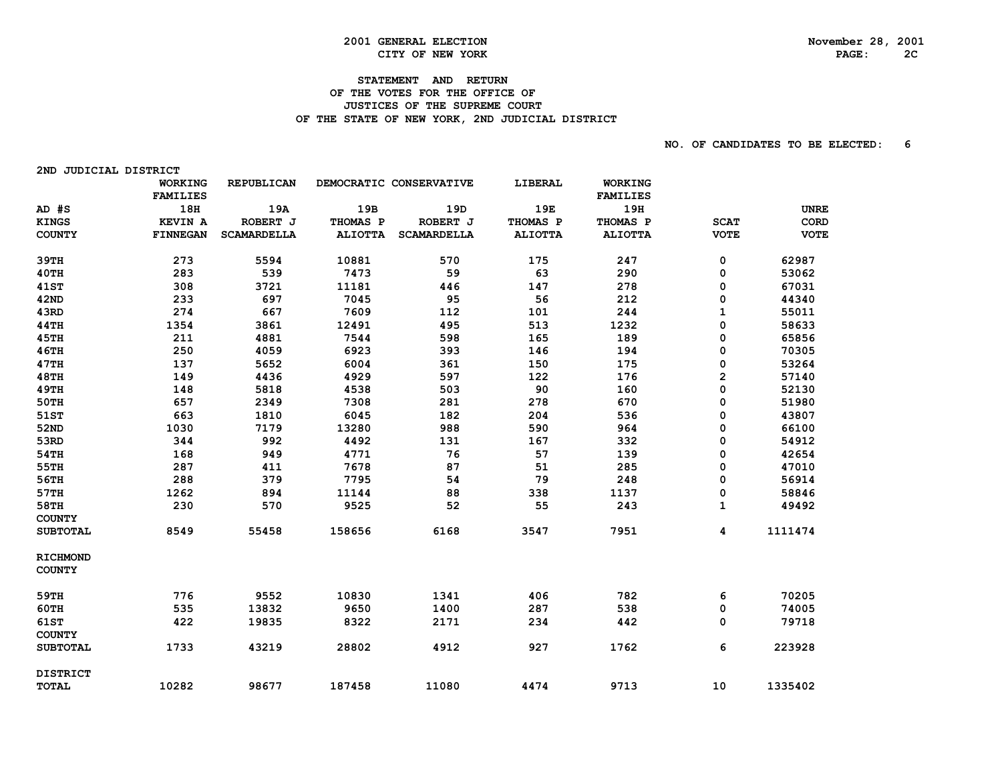# **2001 GENERAL ELECTION CITY OF NEW YORK CONSUMING A SUBSEX PAGE:** 28, 2001 CITY OF NEW YORK

2ND JUDICIAL DISTRICT

## **STATEMENT AND RETURN**

#### **OF THE VOTES FOR THE OFFICE OF JUSTICES OF THE SUPREME COURT** OF THE STATE OF NEW YORK, 2ND JUDICIAL DISTRICT

|                                  | <b>WORKING</b>  | REPUBLICAN         |                | DEMOCRATIC CONSERVATIVE | LIBERAL        | <b>WORKING</b>  |             |             |
|----------------------------------|-----------------|--------------------|----------------|-------------------------|----------------|-----------------|-------------|-------------|
|                                  | <b>FAMILIES</b> |                    |                |                         |                | <b>FAMILIES</b> |             |             |
| AD #S                            | 18H             | 19A                | 19B            | 19D                     | 19E            | 19H             |             | <b>UNRE</b> |
| <b>KINGS</b>                     | <b>KEVIN A</b>  | ROBERT J           | THOMAS P       | ROBERT J                | THOMAS P       | THOMAS P        | <b>SCAT</b> | CORD        |
| <b>COUNTY</b>                    | <b>FINNEGAN</b> | <b>SCAMARDELLA</b> | <b>ALIOTTA</b> | <b>SCAMARDELLA</b>      | <b>ALIOTTA</b> | <b>ALIOTTA</b>  | <b>VOTE</b> | <b>VOTE</b> |
| 39TH                             | 273             | 5594               | 10881          | 570                     | 175            | 247             | 0           | 62987       |
| 40TH                             | 283             | 539                | 7473           | 59                      | 63             | 290             | 0           | 53062       |
| <b>41ST</b>                      | 308             | 3721               | 11181          | 446                     | 147            | 278             | 0           | 67031       |
| <b>42ND</b>                      | 233             | 697                | 7045           | 95                      | 56             | 212             | 0           | 44340       |
| 43RD                             | 274             | 667                | 7609           | 112                     | 101            | 244             | 1           | 55011       |
| <b>44TH</b>                      | 1354            | 3861               | 12491          | 495                     | 513            | 1232            | 0           | 58633       |
| <b>45TH</b>                      | 211             | 4881               | 7544           | 598                     | 165            | 189             | 0           | 65856       |
| <b>46TH</b>                      | 250             | 4059               | 6923           | 393                     | 146            | 194             | 0           | 70305       |
| 47TH                             | 137             | 5652               | 6004           | 361                     | 150            | 175             | 0           | 53264       |
| <b>48TH</b>                      | 149             | 4436               | 4929           | 597                     | 122            | 176             | 2           | 57140       |
| <b>49TH</b>                      | 148             | 5818               | 4538           | 503                     | 90             | 160             | 0           | 52130       |
| 50TH                             | 657             | 2349               | 7308           | 281                     | 278            | 670             | 0           | 51980       |
| 51ST                             | 663             | 1810               | 6045           | 182                     | 204            | 536             | 0           | 43807       |
| <b>52ND</b>                      | 1030            | 7179               | 13280          | 988                     | 590            | 964             | 0           | 66100       |
| 53RD                             | 344             | 992                | 4492           | 131                     | 167            | 332             | 0           | 54912       |
| 54TH                             | 168             | 949                | 4771           | 76                      | 57             | 139             | 0           | 42654       |
| 55TH                             | 287             | 411                | 7678           | 87                      | 51             | 285             | 0           | 47010       |
| 56TH                             | 288             | 379                | 7795           | 54                      | 79             | 248             | 0           | 56914       |
| 57TH                             | 1262            | 894                | 11144          | 88                      | 338            | 1137            | 0           | 58846       |
| 58TH                             | 230             | 570                | 9525           | 52                      | 55             | 243             | 1           | 49492       |
| <b>COUNTY</b><br><b>SUBTOTAL</b> | 8549            | 55458              | 158656         | 6168                    | 3547           | 7951            | 4           | 1111474     |
| <b>RICHMOND</b>                  |                 |                    |                |                         |                |                 |             |             |
| <b>COUNTY</b>                    |                 |                    |                |                         |                |                 |             |             |
| 59TH                             | 776             | 9552               | 10830          | 1341                    | 406            | 782             | 6           | 70205       |
| <b>60TH</b>                      | 535             | 13832              | 9650           | 1400                    | 287            | 538             | 0           | 74005       |
| <b>61ST</b><br><b>COUNTY</b>     | 422             | 19835              | 8322           | 2171                    | 234            | 442             | 0           | 79718       |
| <b>SUBTOTAL</b>                  | 1733            | 43219              | 28802          | 4912                    | 927            | 1762            | 6           | 223928      |
| <b>DISTRICT</b>                  |                 |                    |                |                         |                |                 |             |             |
| <b>TOTAL</b>                     | 10282           | 98677              | 187458         | 11080                   | 4474           | 9713            | 10          | 1335402     |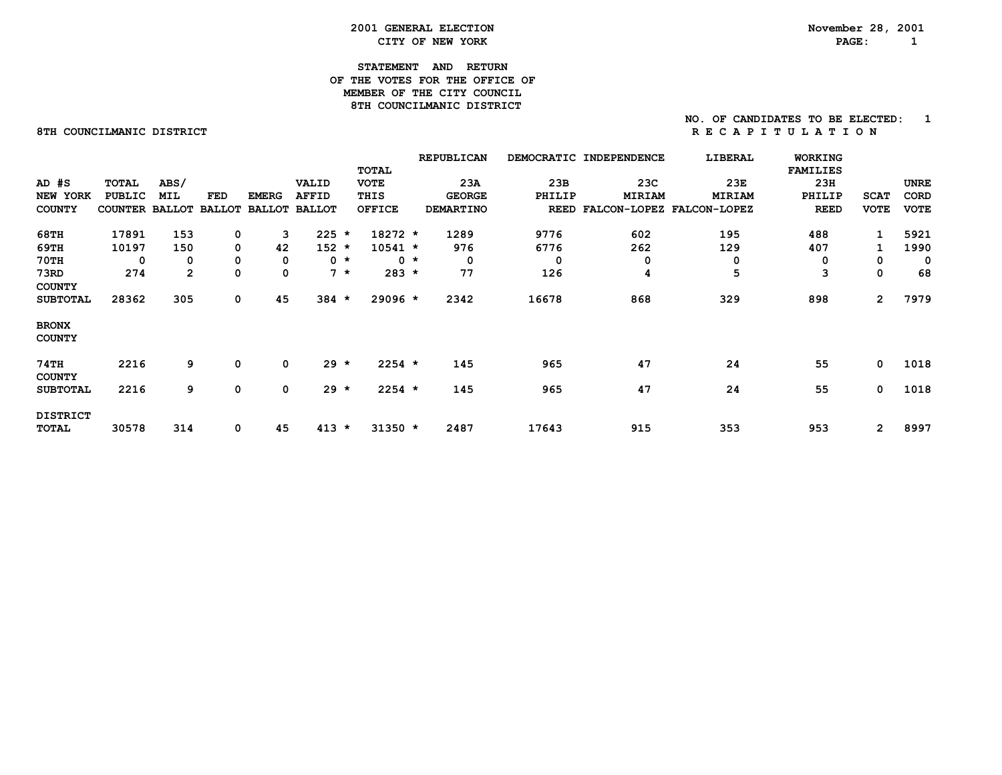#### **2001 GENERAL ELECTION November 28, 2001 CITY OF NEW YORK PAGE: 1**

#### **STATEMENT AND RETURN OF THE VOTES FOR THE OFFICE OFMEMBER OF THE CITY COUNCIL 8TH COUNCILMANIC DISTRICT**

#### **NO. OF CANDIDATES TO BE ELECTED: 18TH COUNCILMANIC DISTRICT REPORT COUNCILMANIC DISTRICT**

| $AD$ $#S$<br>NEW YORK<br><b>COUNTY</b> | TOTAL<br><b>PUBLIC</b><br>COUNTER | ABS/<br>MIL<br><b>BALLOT</b> | FED<br><b>BALLOT</b> | <b>EMERG</b><br><b>BALLOT</b> | VALID<br><b>AFFID</b><br><b>BALLOT</b> | <b>TOTAL</b><br><b>VOTE</b><br>THIS<br><b>OFFICE</b> |       | <b>REPUBLICAN</b><br>23A<br><b>GEORGE</b><br><b>DEMARTINO</b> | 23B<br>PHILIP<br><b>REED</b> | DEMOCRATIC INDEPENDENCE<br>23C<br>MIRIAM | LIBERAL<br>23E<br>MIRIAM<br>FALCON-LOPEZ FALCON-LOPEZ | <b>WORKING</b><br><b>FAMILIES</b><br>23H<br>PHILIP<br><b>REED</b> | <b>SCAT</b><br><b>VOTE</b> | <b>UNRE</b><br>CORD<br><b>VOTE</b> |
|----------------------------------------|-----------------------------------|------------------------------|----------------------|-------------------------------|----------------------------------------|------------------------------------------------------|-------|---------------------------------------------------------------|------------------------------|------------------------------------------|-------------------------------------------------------|-------------------------------------------------------------------|----------------------------|------------------------------------|
| 68TH                                   | 17891                             | 153                          | 0                    | 3                             | $225 *$                                | $18272 *$                                            |       | 1289                                                          | 9776                         | 602                                      | 195                                                   | 488                                                               | 1                          | 5921                               |
| 69TH                                   | 10197                             | 150                          | 0                    | 42                            | $152 *$                                | $10541 *$                                            |       | 976                                                           | 6776                         | 262                                      | 129                                                   | 407                                                               | 1                          | 1990                               |
| <b>70TH</b>                            | 0                                 | 0                            | 0                    | 0                             | $0 *$                                  |                                                      | $0 *$ | 0                                                             | 0                            | 0                                        | 0                                                     | 0                                                                 | 0                          | 0                                  |
| 73RD                                   | 274                               | $\mathbf{2}$                 | 0                    | 0                             | $7 *$                                  | $283 *$                                              |       | 77                                                            | 126                          | 4                                        | 5                                                     | 3                                                                 | 0                          | 68                                 |
| <b>COUNTY</b><br><b>SUBTOTAL</b>       | 28362                             | 305                          | 0                    | 45                            | $384 *$                                | $29096 *$                                            |       | 2342                                                          | 16678                        | 868                                      | 329                                                   | 898                                                               | $\mathbf{2}$               | 7979                               |
| <b>BRONX</b><br><b>COUNTY</b>          |                                   |                              |                      |                               |                                        |                                                      |       |                                                               |                              |                                          |                                                       |                                                                   |                            |                                    |
| <b>74TH</b><br><b>COUNTY</b>           | 2216                              | 9                            | 0                    | 0                             | $29 *$                                 | $2254$ *                                             |       | 145                                                           | 965                          | 47                                       | 24                                                    | 55                                                                | 0                          | 1018                               |
| <b>SUBTOTAL</b>                        | 2216                              | 9                            | 0                    | 0                             | $29 *$                                 | $2254$ *                                             |       | 145                                                           | 965                          | 47                                       | 24                                                    | 55                                                                | $\mathbf 0$                | 1018                               |
| <b>DISTRICT</b><br>TOTAL               | 30578                             | 314                          | 0                    | 45                            | $413 *$                                | $31350 *$                                            |       | 2487                                                          | 17643                        | 915                                      | 353                                                   | 953                                                               | $\overline{2}$             | 8997                               |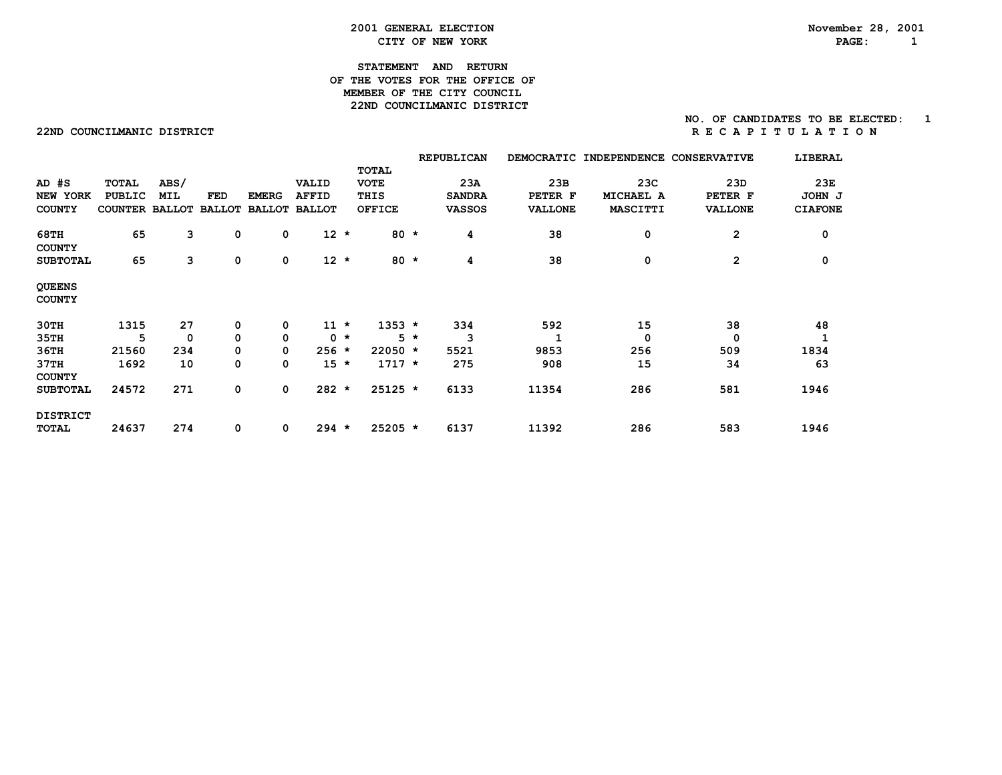#### **2001 GENERAL ELECTION November 28, 2001 CITY OF NEW YORK PAGE: 1**

#### **STATEMENT AND RETURN OF THE VOTES FOR THE OFFICE OFMEMBER OF THE CITY COUNCIL 22ND COUNCILMANIC DISTRICT**

#### **22NDCOUNCILMANICDISTRICT R E C A P I T U L A T I O N**

|                                |                       |      |               |               |               |       |               |       | <b>REPUBLICAN</b> |                | DEMOCRATIC INDEPENDENCE | <b>CONSERVATIVE</b> | LIBERAL        |
|--------------------------------|-----------------------|------|---------------|---------------|---------------|-------|---------------|-------|-------------------|----------------|-------------------------|---------------------|----------------|
|                                |                       |      |               |               |               |       | TOTAL         |       |                   |                |                         |                     |                |
| $AD$ $#S$                      | <b>TOTAL</b>          | ABS/ |               |               | VALID         |       | <b>VOTE</b>   |       | 23A               | 23B            | 23C                     | 23D                 | 23E            |
| NEW YORK                       | PUBLIC                | MIL  | FED           | <b>EMERG</b>  | <b>AFFID</b>  |       | THIS          |       | <b>SANDRA</b>     | PETER F        | MICHAEL A               | PETER F             | JOHN J         |
| <b>COUNTY</b>                  | <b>COUNTER BALLOT</b> |      | <b>BALLOT</b> | <b>BALLOT</b> | <b>BALLOT</b> |       | <b>OFFICE</b> |       | <b>VASSOS</b>     | <b>VALLONE</b> | MASCITTI                | <b>VALLONE</b>      | <b>CIAFONE</b> |
| 68TH<br><b>COUNTY</b>          | 65                    | 3    | 0             | 0             | $12 *$        |       | $80 *$        |       | 4                 | 38             | 0                       | $\mathbf{2}$        | 0              |
| <b>SUBTOTAL</b>                | 65                    | 3    | 0             | 0             | $12 *$        |       | 80 $\star$    |       | 4                 | 38             | 0                       | $\overline{2}$      | 0              |
| <b>QUEENS</b><br><b>COUNTY</b> |                       |      |               |               |               |       |               |       |                   |                |                         |                     |                |
| 30TH                           | 1315                  | 27   | 0             | 0             | $11 *$        |       | $1353 *$      |       | 334               | 592            | 15                      | 38                  | 48             |
| 35TH                           | 5                     | 0    | 0             | 0             |               | $0 *$ |               | $5 *$ | 3                 |                | 0                       | 0                   |                |
| 36TH                           | 21560                 | 234  | 0             | 0             | $256 *$       |       | $22050 *$     |       | 5521              | 9853           | 256                     | 509                 | 1834           |
| 37TH<br><b>COUNTY</b>          | 1692                  | 10   | 0             | 0             | $15 *$        |       | $1717 *$      |       | 275               | 908            | 15                      | 34                  | 63             |
| <b>SUBTOTAL</b>                | 24572                 | 271  | 0             | 0             | $282 *$       |       | $25125$ *     |       | 6133              | 11354          | 286                     | 581                 | 1946           |
| <b>DISTRICT</b>                |                       |      |               |               |               |       |               |       |                   |                |                         |                     |                |
| <b>TOTAL</b>                   | 24637                 | 274  | 0             | 0             | $294 *$       |       | $25205$ *     |       | 6137              | 11392          | 286                     | 583                 | 1946           |
|                                |                       |      |               |               |               |       |               |       |                   |                |                         |                     |                |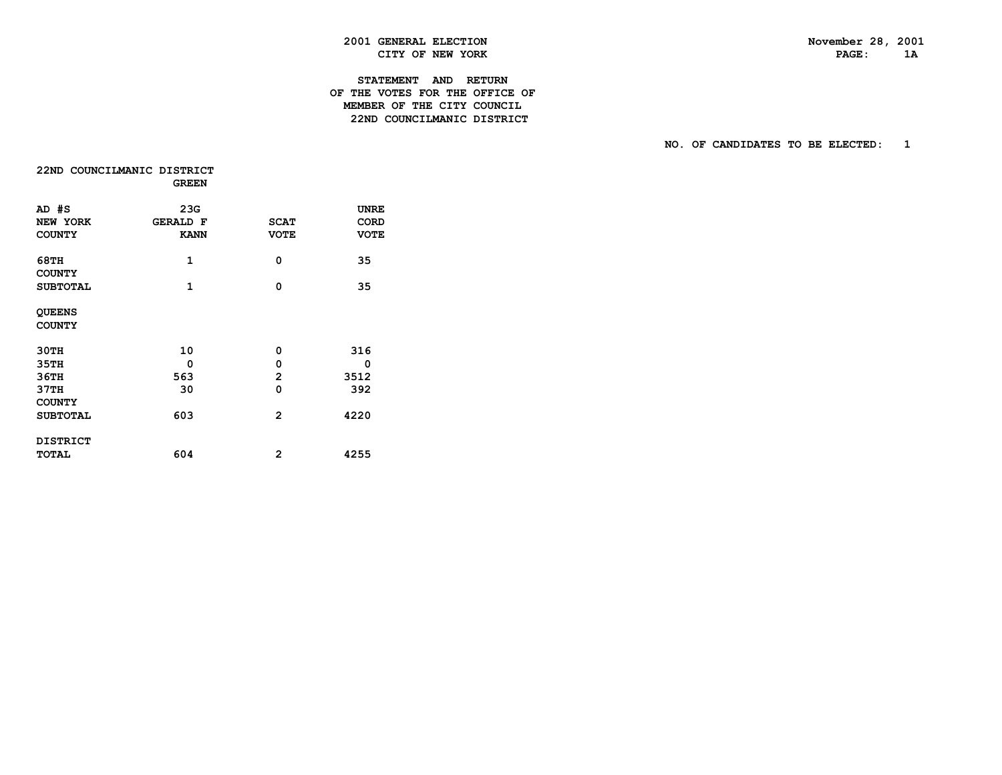$1A$ 

### **2001 GENERAL ELECTION November 28, 2001 CITY OF NEW YORK PAGE:** 2.1 THE PAGE:

#### **STATEMENT AND RETURN OF THE VOTES FOR THE OFFICE OF MEMBER OF THE CITY COUNCIL22ND COUNCILMANIC DISTRICT**

|                                | 22ND COUNCILMANIC DISTRICT<br><b>GREEN</b> |                |                            |
|--------------------------------|--------------------------------------------|----------------|----------------------------|
| AD #S<br><b>NEW YORK</b>       | 23G<br><b>GERALD F</b>                     | <b>SCAT</b>    | <b>UNRE</b><br><b>CORD</b> |
| <b>COUNTY</b>                  | <b>KANN</b>                                | <b>VOTE</b>    | <b>VOTE</b>                |
| 68TH<br><b>COUNTY</b>          | 1                                          | 0              | 35                         |
| <b>SUBTOTAL</b>                | 1                                          | 0              | 35                         |
| <b>QUEENS</b><br><b>COUNTY</b> |                                            |                |                            |
| <b>30TH</b>                    | 10                                         | 0              | 316                        |
| 35TH                           | 0                                          | 0              | 0                          |
| <b>36TH</b>                    | 563                                        | 2              | 3512                       |
| 37TH<br><b>COUNTY</b>          | 30                                         | 0              | 392                        |
| <b>SUBTOTAL</b>                | 603                                        | $\overline{2}$ | 4220                       |
| <b>DISTRICT</b>                |                                            |                |                            |
| <b>TOTAL</b>                   | 604                                        | 2              | 4255                       |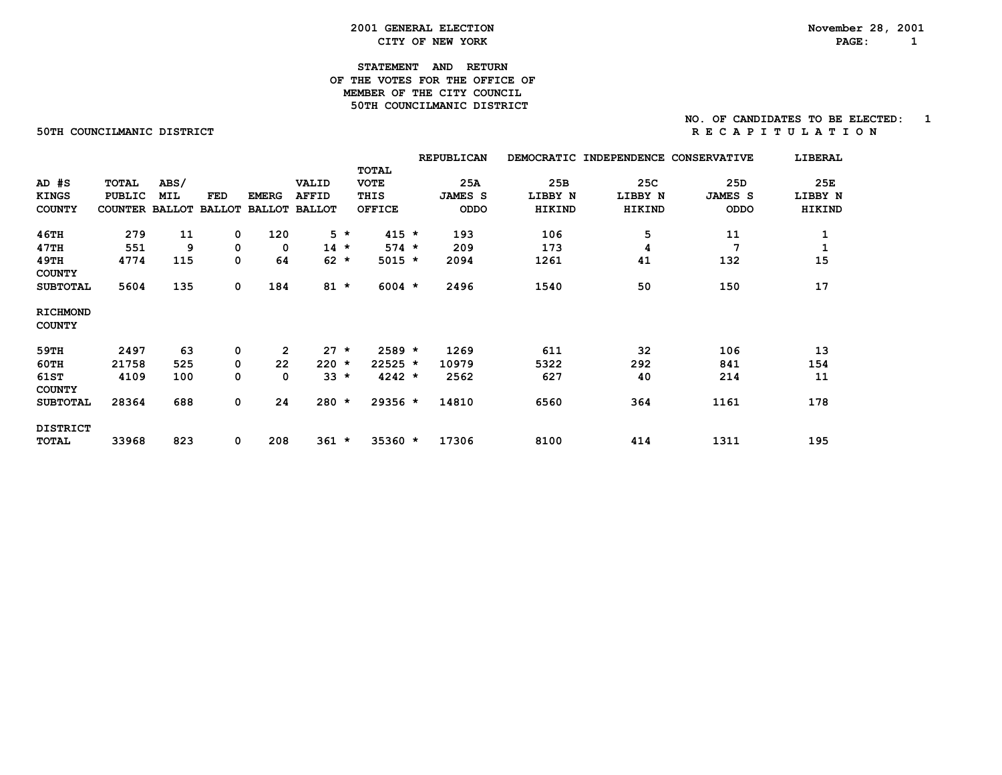#### **2001 GENERAL ELECTION November 28, 2001 CITY OF NEW YORK PAGE: 1**

#### **STATEMENT AND RETURN OF THE VOTES FOR THE OFFICE OFMEMBER OF THE CITY COUNCIL 50TH COUNCILMANIC DISTRICT**

#### **NO. OF CANDIDATES TO BE ELECTED: 1 50THCOUNCILMANICDISTRICT R E C A P I T U L A T I O N**

|                                  |                |               |               |                |               |       |               | <b>REPUBLICAN</b> | <b>DEMOCRATIC</b> | <b>INDEPENDENCE</b> | <b>CONSERVATIVE</b> | LIBERAL |
|----------------------------------|----------------|---------------|---------------|----------------|---------------|-------|---------------|-------------------|-------------------|---------------------|---------------------|---------|
|                                  |                |               |               |                |               |       | <b>TOTAL</b>  |                   |                   |                     |                     |         |
| $AD$ $#S$                        | <b>TOTAL</b>   | ABS/          |               |                | VALID         |       | <b>VOTE</b>   | 25A               | 25B               | 25C                 | 25D                 | 25E     |
| <b>KINGS</b>                     | <b>PUBLIC</b>  | MIL           | FED           | <b>EMERG</b>   | <b>AFFID</b>  |       | THIS          | <b>JAMES S</b>    | LIBBY N           | LIBBY N             | <b>JAMES S</b>      | LIBBY N |
| <b>COUNTY</b>                    | <b>COUNTER</b> | <b>BALLOT</b> | <b>BALLOT</b> | <b>BALLOT</b>  | <b>BALLOT</b> |       | <b>OFFICE</b> | ODDO              | HIKIND            | HIKIND              | <b>ODDO</b>         | HIKIND  |
| <b>46TH</b>                      | 279            | 11            | 0             | 120            |               | $5 *$ | $415 *$       | 193               | 106               | 5                   | 11                  | 1       |
| 47TH                             | 551            | 9             | 0             | 0              | $14$ *        |       | $574 *$       | 209               | 173               | 4                   | 7                   | 1       |
| 49TH<br><b>COUNTY</b>            | 4774           | 115           | 0             | 64             | $62 *$        |       | $5015 *$      | 2094              | 1261              | 41                  | 132                 | 15      |
| <b>SUBTOTAL</b>                  | 5604           | 135           | 0             | 184            | $81 *$        |       | $6004$ *      | 2496              | 1540              | 50                  | 150                 | 17      |
| <b>RICHMOND</b><br><b>COUNTY</b> |                |               |               |                |               |       |               |                   |                   |                     |                     |         |
| 59TH                             | 2497           | 63            | 0             | $\overline{2}$ | $27 \star$    |       | $2589 *$      | 1269              | 611               | 32                  | 106                 | 13      |
| 60TH                             | 21758          | 525           | 0             | 22             | $220 *$       |       | $22525 *$     | 10979             | 5322              | 292                 | 841                 | 154     |
| <b>61ST</b><br><b>COUNTY</b>     | 4109           | 100           | 0             | 0              | $33 *$        |       | $4242 *$      | 2562              | 627               | 40                  | 214                 | 11      |
| <b>SUBTOTAL</b>                  | 28364          | 688           | 0             | 24             | $280 *$       |       | $29356 *$     | 14810             | 6560              | 364                 | 1161                | 178     |
| <b>DISTRICT</b>                  |                |               |               |                |               |       |               |                   |                   |                     |                     |         |
| TOTAL                            | 33968          | 823           | 0             | 208            | $361 *$       |       | 35360 *       | 17306             | 8100              | 414                 | 1311                | 195     |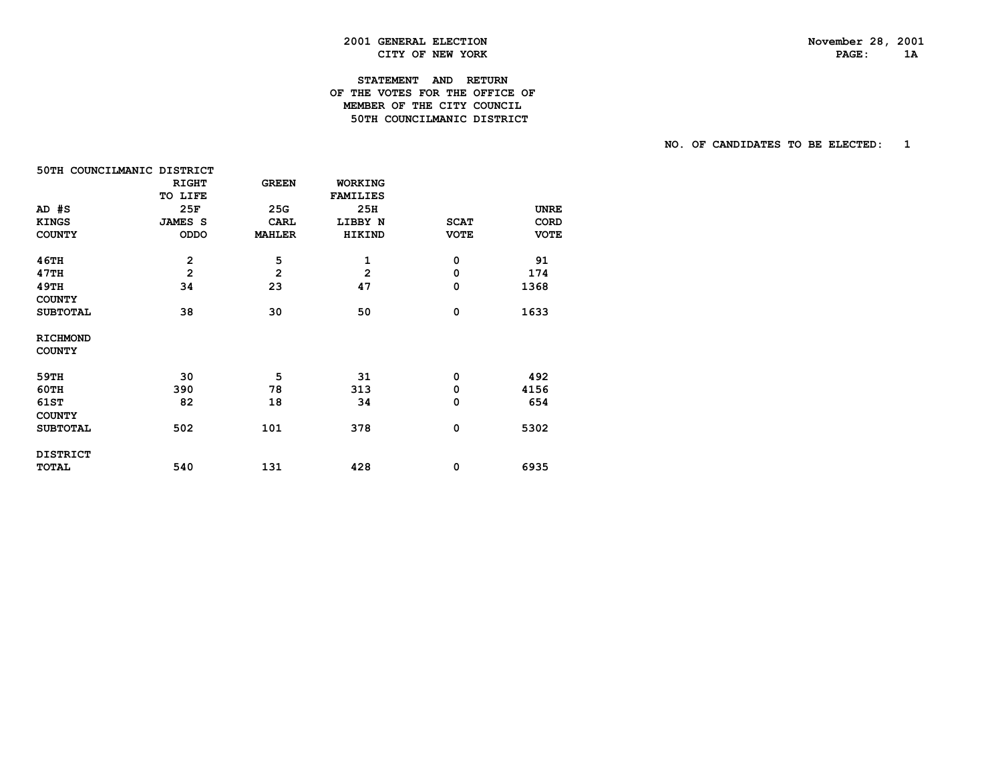PAGE: 1A

### **2001 GENERAL ELECTION November 28, 2001 CITY OF NEW YORK**

#### **STATEMENT AND RETURN OF THE VOTES FOR THE OFFICE OF MEMBER OF THE CITY COUNCIL50TH COUNCILMANIC DISTRICT**

| 50TH COUNCILMANIC DISTRICT |                |                |                 |             |             |
|----------------------------|----------------|----------------|-----------------|-------------|-------------|
|                            | <b>RIGHT</b>   | <b>GREEN</b>   | <b>WORKING</b>  |             |             |
|                            | TO LIFE        |                | <b>FAMILIES</b> |             |             |
| AD #S                      | 25F            | 25G            | 25H             |             | <b>UNRE</b> |
| <b>KINGS</b>               | <b>JAMES S</b> | <b>CARL</b>    | LIBBY N         | <b>SCAT</b> | <b>CORD</b> |
| <b>COUNTY</b>              | ODDO           | <b>MAHLER</b>  | HIKIND          | <b>VOTE</b> | <b>VOTE</b> |
| 46TH                       | $\mathbf{2}$   | 5              | 1               | 0           | 91          |
| 47TH                       | $\overline{2}$ | $\overline{2}$ | 2               | $\mathbf 0$ | 174         |
| 49TH                       | 34             | 23             | 47              | 0           | 1368        |
| <b>COUNTY</b>              |                |                |                 |             |             |
| <b>SUBTOTAL</b>            | 38             | 30             | 50              | $\mathbf 0$ | 1633        |
| <b>RICHMOND</b>            |                |                |                 |             |             |
| <b>COUNTY</b>              |                |                |                 |             |             |
| 59TH                       | 30             | 5              | 31              | 0           | 492         |
| 60TH                       | 390            | 78             | 313             | 0           | 4156        |
| 61ST                       | 82             | 18             | 34              | $\mathbf 0$ | 654         |
| <b>COUNTY</b>              |                |                |                 |             |             |
| <b>SUBTOTAL</b>            | 502            | 101            | 378             | $\mathbf 0$ | 5302        |
| <b>DISTRICT</b>            |                |                |                 |             |             |
| <b>TOTAL</b>               | 540            | 131            | 428             | 0           | 6935        |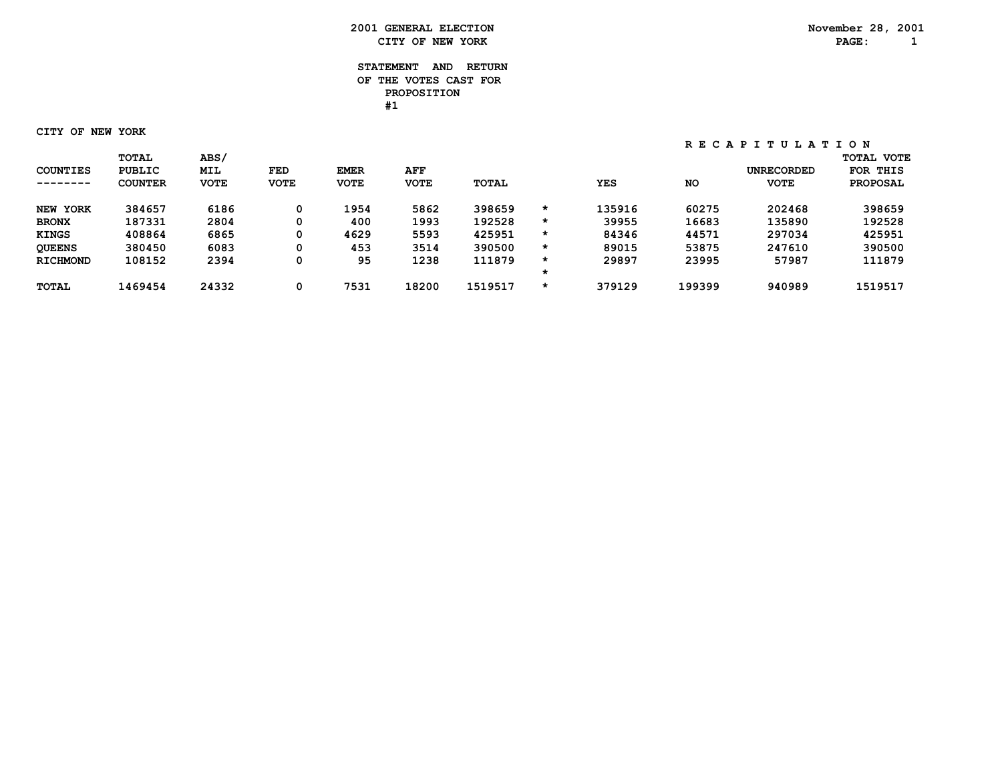#### **STATEMENT AND RETURN OF THE VOTES CAST FOR PROPOSITION #1**

 **CITY OF NEW YORK**

|                 | <b>TOTAL</b>   | <b>ABS/</b> |             |             |             |              |         |            |           |                   | <b>TOTAL VOTE</b> |
|-----------------|----------------|-------------|-------------|-------------|-------------|--------------|---------|------------|-----------|-------------------|-------------------|
| <b>COUNTIES</b> | <b>PUBLIC</b>  | <b>MIL</b>  | FED         | <b>EMER</b> | AFF         |              |         |            |           | <b>UNRECORDED</b> | FOR THIS          |
| --------        | <b>COUNTER</b> | <b>VOTE</b> | <b>VOTE</b> | <b>VOTE</b> | <b>VOTE</b> | <b>TOTAL</b> |         | <b>YES</b> | <b>NO</b> | <b>VOTE</b>       | <b>PROPOSAL</b>   |
| NEW YORK        | 384657         | 6186        | 0           | 1954        | 5862        | 398659       | $\star$ | 135916     | 60275     | 202468            | 398659            |
| <b>BRONX</b>    | 187331         | 2804        | 0           | 400         | 1993        | 192528       | $\star$ | 39955      | 16683     | 135890            | 192528            |
| <b>KINGS</b>    | 408864         | 6865        | 0           | 4629        | 5593        | 425951       | *       | 84346      | 44571     | 297034            | 425951            |
| <b>QUEENS</b>   | 380450         | 6083        | 0           | 453         | 3514        | 390500       | $\star$ | 89015      | 53875     | 247610            | 390500            |
| <b>RICHMOND</b> | 108152         | 2394        | 0           | 95          | 1238        | 111879       | *       | 29897      | 23995     | 57987             | 111879            |
|                 |                |             |             |             |             |              |         |            |           |                   |                   |
| <b>TOTAL</b>    | 1469454        | 24332       | 0           | 7531        | 18200       | 1519517      | *       | 379129     | 199399    | 940989            | 1519517           |
|                 |                |             |             |             |             |              |         |            |           |                   |                   |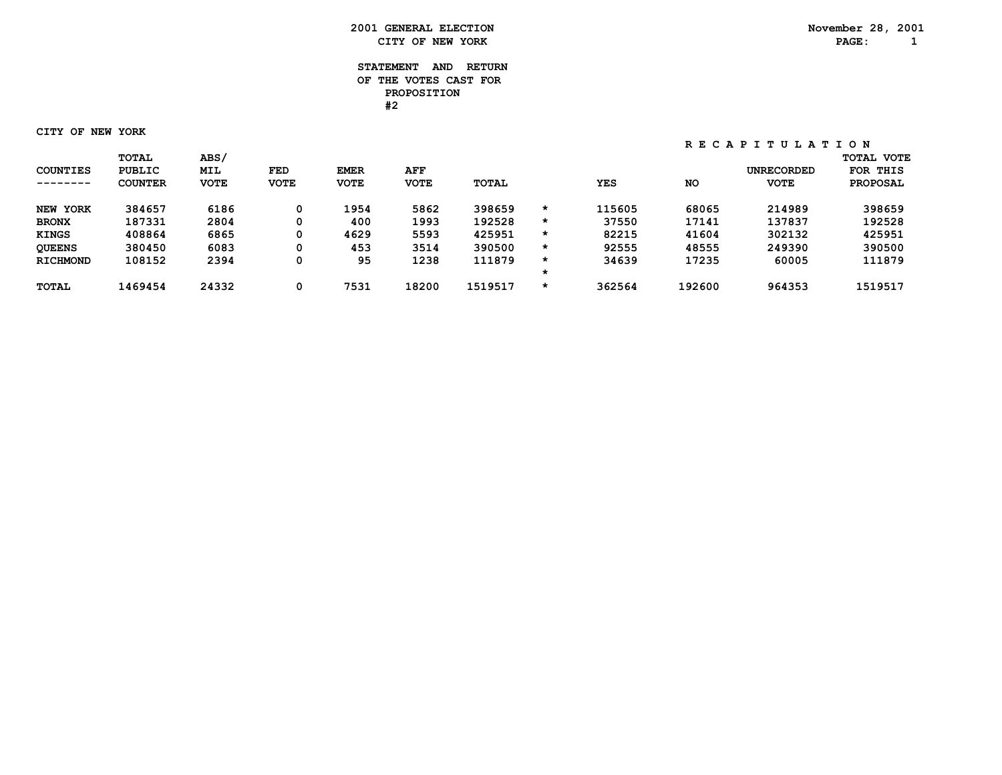#### **STATEMENT AND RETURN OF THE VOTES CAST FOR PROPOSITION #2**

 **CITY OF NEW YORK**

|                 | <b>TOTAL</b>   | <b>ABS/</b> |             |             |             |              |         |            |           |                   | <b>TOTAL VOTE</b> |
|-----------------|----------------|-------------|-------------|-------------|-------------|--------------|---------|------------|-----------|-------------------|-------------------|
| <b>COUNTIES</b> | <b>PUBLIC</b>  | <b>MIL</b>  | FED         | <b>EMER</b> | AFF         |              |         |            |           | <b>UNRECORDED</b> | FOR THIS          |
| --------        | <b>COUNTER</b> | <b>VOTE</b> | <b>VOTE</b> | <b>VOTE</b> | <b>VOTE</b> | <b>TOTAL</b> |         | <b>YES</b> | <b>NO</b> | <b>VOTE</b>       | <b>PROPOSAL</b>   |
| NEW YORK        | 384657         | 6186        | 0           | 1954        | 5862        | 398659       | *       | 115605     | 68065     | 214989            | 398659            |
| <b>BRONX</b>    | 187331         | 2804        | 0           | 400         | 1993        | 192528       | $\star$ | 37550      | 17141     | 137837            | 192528            |
| <b>KINGS</b>    | 408864         | 6865        | 0           | 4629        | 5593        | 425951       | *       | 82215      | 41604     | 302132            | 425951            |
| <b>QUEENS</b>   | 380450         | 6083        | 0           | 453         | 3514        | 390500       | $\star$ | 92555      | 48555     | 249390            | 390500            |
| <b>RICHMOND</b> | 108152         | 2394        | 0           | 95          | 1238        | 111879       | *       | 34639      | 17235     | 60005             | 111879            |
|                 |                |             |             |             |             |              | *       |            |           |                   |                   |
| <b>TOTAL</b>    | 1469454        | 24332       | 0           | 7531        | 18200       | 1519517      | *       | 362564     | 192600    | 964353            | 1519517           |
|                 |                |             |             |             |             |              |         |            |           |                   |                   |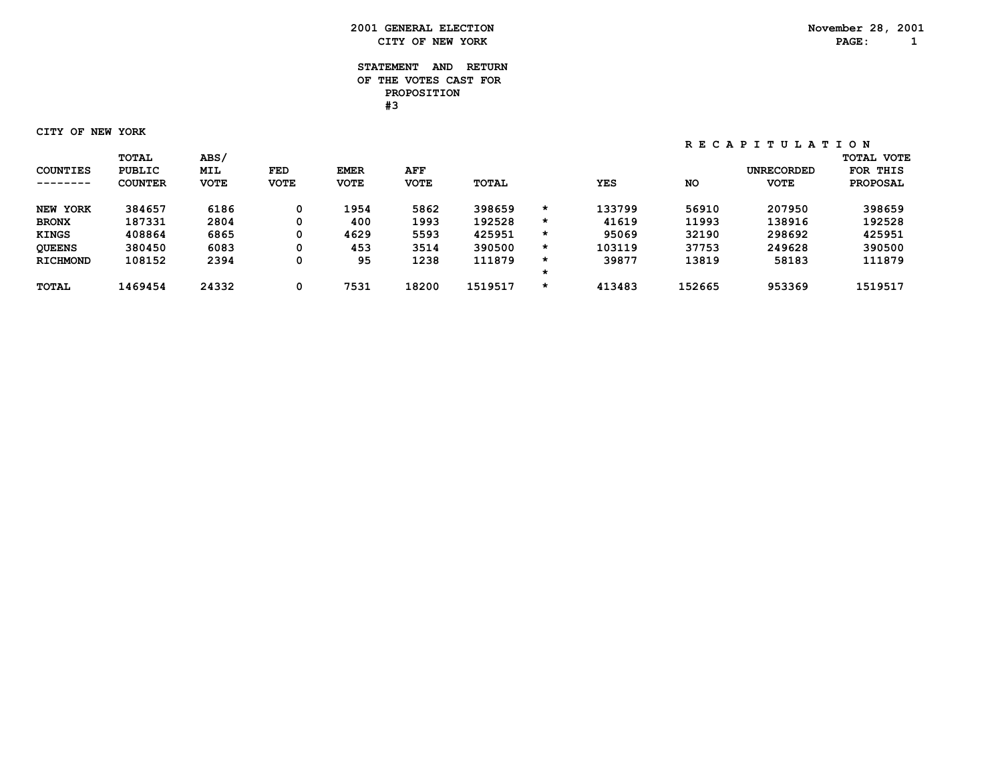#### **STATEMENT AND RETURN OF THE VOTES CAST FOR PROPOSITION #3**

 **CITY OF NEW YORK**

| <b>COUNTIES</b> | <b>TOTAL</b><br><b>PUBLIC</b> | <b>ABS/</b><br><b>MIL</b> | FED         | <b>EMER</b> | AFF         |              |         |            |           | <b>UNRECORDED</b> | <b>TOTAL VOTE</b><br>FOR THIS |
|-----------------|-------------------------------|---------------------------|-------------|-------------|-------------|--------------|---------|------------|-----------|-------------------|-------------------------------|
| --------        | <b>COUNTER</b>                | <b>VOTE</b>               | <b>VOTE</b> | <b>VOTE</b> | <b>VOTE</b> | <b>TOTAL</b> |         | <b>YES</b> | <b>NO</b> | <b>VOTE</b>       | <b>PROPOSAL</b>               |
| NEW YORK        | 384657                        | 6186                      | 0           | 1954        | 5862        | 398659       | *       | 133799     | 56910     | 207950            | 398659                        |
| <b>BRONX</b>    | 187331                        | 2804                      | 0           | 400         | 1993        | 192528       | $\star$ | 41619      | 11993     | 138916            | 192528                        |
| <b>KINGS</b>    | 408864                        | 6865                      | 0           | 4629        | 5593        | 425951       | *       | 95069      | 32190     | 298692            | 425951                        |
| <b>OUEENS</b>   | 380450                        | 6083                      | 0           | 453         | 3514        | 390500       | $\star$ | 103119     | 37753     | 249628            | 390500                        |
| <b>RICHMOND</b> | 108152                        | 2394                      | 0           | 95          | 1238        | 111879       | *       | 39877      | 13819     | 58183             | 111879                        |
|                 |                               |                           |             |             |             |              |         |            |           |                   |                               |
| <b>TOTAL</b>    | 1469454                       | 24332                     | 0           | 7531        | 18200       | 1519517      | *       | 413483     | 152665    | 953369            | 1519517                       |
|                 |                               |                           |             |             |             |              |         |            |           |                   |                               |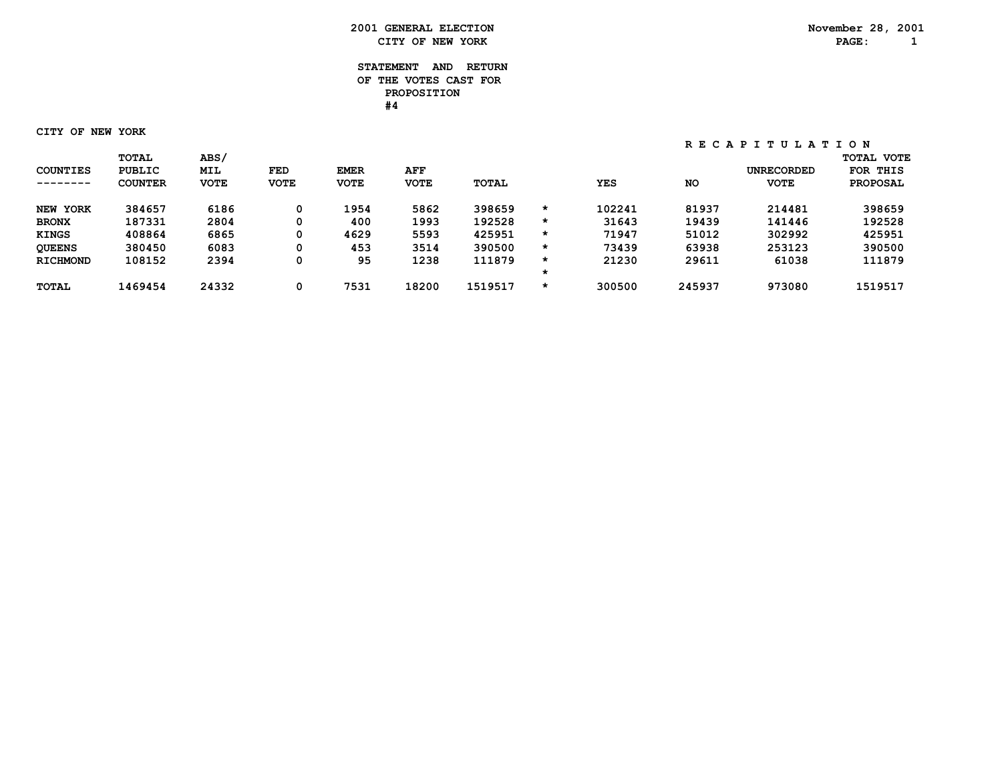#### **STATEMENT AND RETURN OF THE VOTES CAST FOR PROPOSITION #4**

 **CITY OF NEW YORK**

| <b>COUNTIES</b> | <b>TOTAL</b><br><b>PUBLIC</b> | <b>ABS/</b><br><b>MIL</b> | FED         | <b>EMER</b> | AFF         |              |         |            |           | <b>UNRECORDED</b> | <b>TOTAL VOTE</b><br>FOR THIS |
|-----------------|-------------------------------|---------------------------|-------------|-------------|-------------|--------------|---------|------------|-----------|-------------------|-------------------------------|
| --------        | <b>COUNTER</b>                | <b>VOTE</b>               | <b>VOTE</b> | <b>VOTE</b> | <b>VOTE</b> | <b>TOTAL</b> |         | <b>YES</b> | <b>NO</b> | <b>VOTE</b>       | <b>PROPOSAL</b>               |
| NEW YORK        | 384657                        | 6186                      | 0           | 1954        | 5862        | 398659       | *       | 102241     | 81937     | 214481            | 398659                        |
| <b>BRONX</b>    | 187331                        | 2804                      | 0           | 400         | 1993        | 192528       | $\star$ | 31643      | 19439     | 141446            | 192528                        |
| <b>KINGS</b>    | 408864                        | 6865                      | 0           | 4629        | 5593        | 425951       | *       | 71947      | 51012     | 302992            | 425951                        |
| <b>OUEENS</b>   | 380450                        | 6083                      | 0           | 453         | 3514        | 390500       | $\star$ | 73439      | 63938     | 253123            | 390500                        |
| <b>RICHMOND</b> | 108152                        | 2394                      | 0           | 95          | 1238        | 111879       | *       | 21230      | 29611     | 61038             | 111879                        |
|                 |                               |                           |             |             |             |              |         |            |           |                   |                               |
| <b>TOTAL</b>    | 1469454                       | 24332                     | 0           | 7531        | 18200       | 1519517      | *       | 300500     | 245937    | 973080            | 1519517                       |
|                 |                               |                           |             |             |             |              |         |            |           |                   |                               |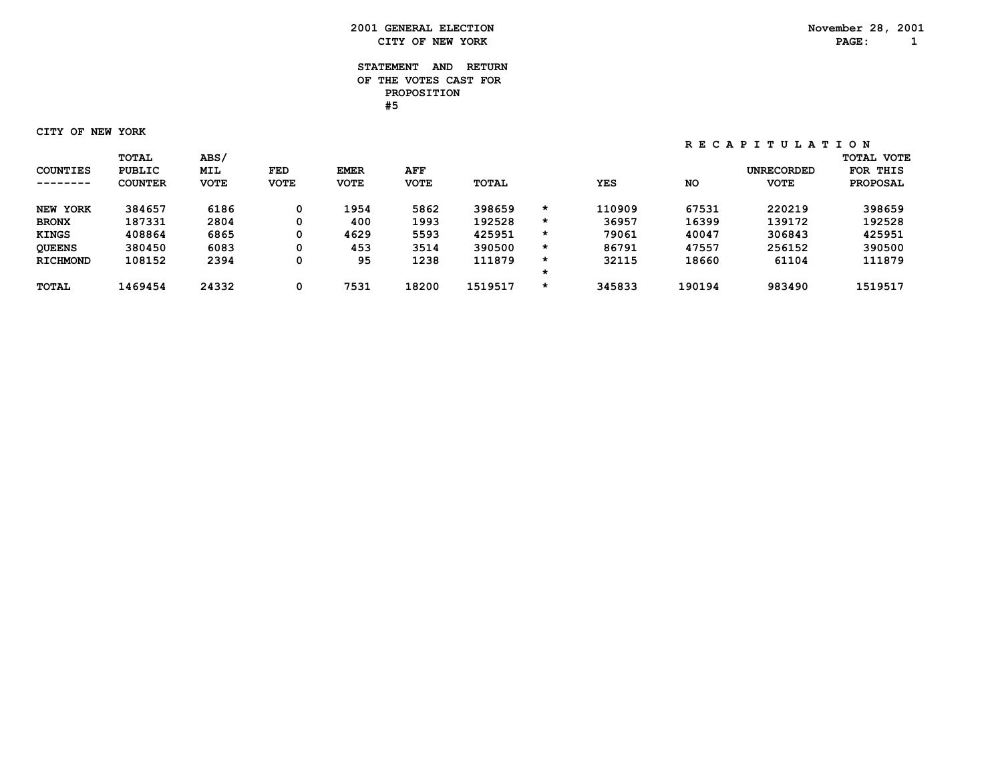#### **STATEMENT AND RETURN OF THE VOTES CAST FOR PROPOSITION #5**

 **CITY OF NEW YORK**

| <b>COUNTIES</b> | <b>TOTAL</b><br><b>PUBLIC</b> | <b>ABS/</b><br><b>MIL</b> | FED         | <b>EMER</b> | AFF         |              |         |            |           | <b>UNRECORDED</b> | <b>TOTAL VOTE</b><br>FOR THIS |
|-----------------|-------------------------------|---------------------------|-------------|-------------|-------------|--------------|---------|------------|-----------|-------------------|-------------------------------|
| --------        | <b>COUNTER</b>                | <b>VOTE</b>               | <b>VOTE</b> | <b>VOTE</b> | <b>VOTE</b> | <b>TOTAL</b> |         | <b>YES</b> | <b>NO</b> | <b>VOTE</b>       | <b>PROPOSAL</b>               |
| NEW YORK        | 384657                        | 6186                      | 0           | 1954        | 5862        | 398659       | $\star$ | 110909     | 67531     | 220219            | 398659                        |
| <b>BRONX</b>    | 187331                        | 2804                      | 0           | 400         | 1993        | 192528       | $\star$ | 36957      | 16399     | 139172            | 192528                        |
| <b>KINGS</b>    | 408864                        | 6865                      | 0           | 4629        | 5593        | 425951       | *       | 79061      | 40047     | 306843            | 425951                        |
| <b>OUEENS</b>   | 380450                        | 6083                      | 0           | 453         | 3514        | 390500       | $\star$ | 86791      | 47557     | 256152            | 390500                        |
| <b>RICHMOND</b> | 108152                        | 2394                      | 0           | 95          | 1238        | 111879       | *       | 32115      | 18660     | 61104             | 111879                        |
|                 |                               |                           |             |             |             |              |         |            |           |                   |                               |
| <b>TOTAL</b>    | 1469454                       | 24332                     | 0           | 7531        | 18200       | 1519517      | $\star$ | 345833     | 190194    | 983490            | 1519517                       |
|                 |                               |                           |             |             |             |              |         |            |           |                   |                               |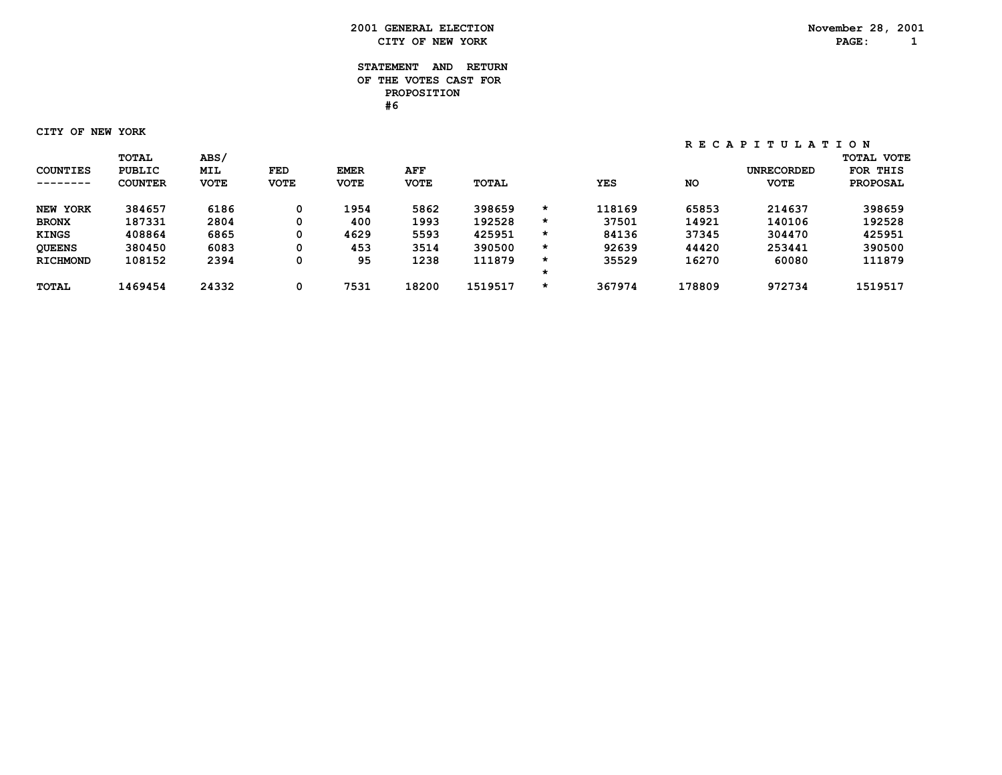#### **STATEMENT AND RETURN OF THE VOTES CAST FOR PROPOSITION #6**

 **CITY OF NEW YORK**

|                 | <b>TOTAL</b>   | <b>ABS/</b> |             |             |             |              |         |            |           |                   | <b>TOTAL VOTE</b> |
|-----------------|----------------|-------------|-------------|-------------|-------------|--------------|---------|------------|-----------|-------------------|-------------------|
| <b>COUNTIES</b> | <b>PUBLIC</b>  | <b>MIL</b>  | FED         | <b>EMER</b> | AFF         |              |         |            |           | <b>UNRECORDED</b> | FOR THIS          |
| --------        | <b>COUNTER</b> | <b>VOTE</b> | <b>VOTE</b> | <b>VOTE</b> | <b>VOTE</b> | <b>TOTAL</b> |         | <b>YES</b> | <b>NO</b> | <b>VOTE</b>       | <b>PROPOSAL</b>   |
| NEW YORK        | 384657         | 6186        | 0           | 1954        | 5862        | 398659       | $\star$ | 118169     | 65853     | 214637            | 398659            |
| <b>BRONX</b>    | 187331         | 2804        | 0           | 400         | 1993        | 192528       | $\star$ | 37501      | 14921     | 140106            | 192528            |
| <b>KINGS</b>    | 408864         | 6865        | 0           | 4629        | 5593        | 425951       | *       | 84136      | 37345     | 304470            | 425951            |
| <b>QUEENS</b>   | 380450         | 6083        | 0           | 453         | 3514        | 390500       | $\star$ | 92639      | 44420     | 253441            | 390500            |
| <b>RICHMOND</b> | 108152         | 2394        | 0           | 95          | 1238        | 111879       | *       | 35529      | 16270     | 60080             | 111879            |
|                 |                |             |             |             |             |              | *       |            |           |                   |                   |
| <b>TOTAL</b>    | 1469454        | 24332       | 0           | 7531        | 18200       | 1519517      | *       | 367974     | 178809    | 972734            | 1519517           |
|                 |                |             |             |             |             |              |         |            |           |                   |                   |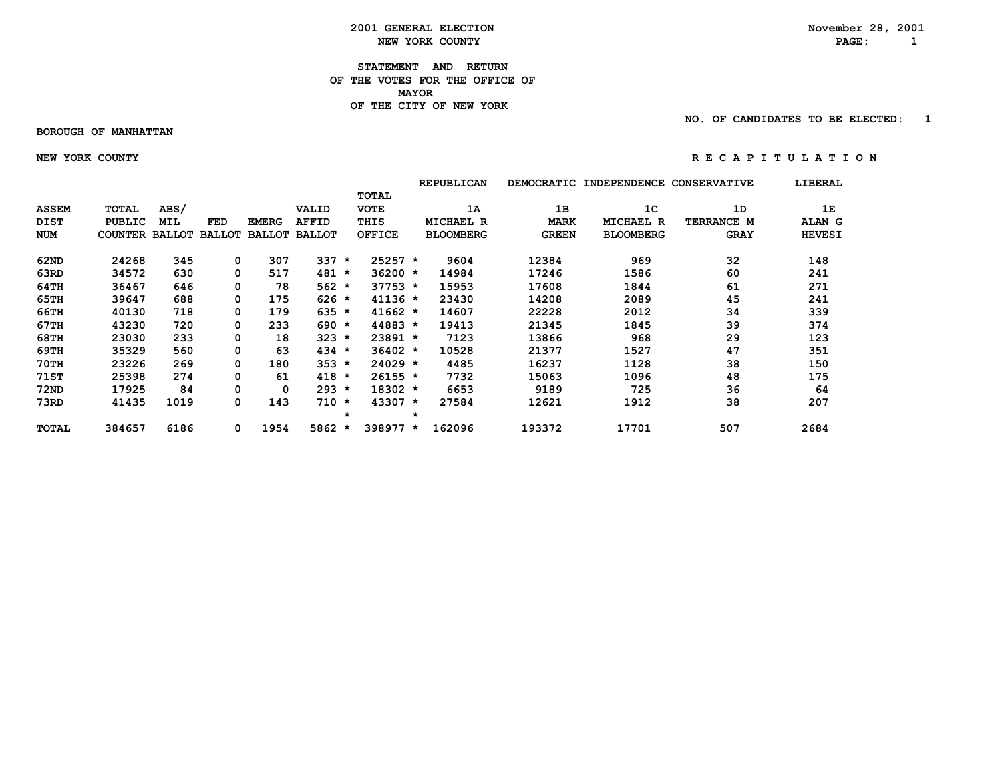**2001 GENERAL ELECTION** November 28, 2001<br> **NEW YORK COUNTY NEW YORK COUNTY NEW YORK COUNTY PAGE: 1**

**STATEMENT AND RETURN OF THE VOTES FOR THE OFFICE OF MAYORMAYOR OF THE CITY OF NEW YORK**

 **NO. OF CANDIDATES TO BE ELECTED: 1**

#### **BOROUGH OF MANHATTAN**

 **NEW YORK COUNTY R E C A P I T U L A T I O N**

|              |                       |            |               |              |                      |         |               |         | <b>REPUBLICAN</b> | <b>DEMOCRATIC</b> | <b>INDEPENDENCE</b> | <b>CONSERVATIVE</b> | LIBERAL       |
|--------------|-----------------------|------------|---------------|--------------|----------------------|---------|---------------|---------|-------------------|-------------------|---------------------|---------------------|---------------|
|              |                       |            |               |              |                      |         | <b>TOTAL</b>  |         |                   |                   |                     |                     |               |
| <b>ASSEM</b> | <b>TOTAL</b>          | ABS/       |               |              | VALID                |         | <b>VOTE</b>   |         | 1A                | 1B                | 1 <sup>c</sup>      | 1D                  | 1E            |
| <b>DIST</b>  | <b>PUBLIC</b>         | <b>MIL</b> | <b>FED</b>    | <b>EMERG</b> | <b>AFFID</b>         |         | THIS          |         | <b>MICHAEL R</b>  | <b>MARK</b>       | <b>MICHAEL R</b>    | TERRANCE M          | <b>ALAN G</b> |
| <b>NUM</b>   | <b>COUNTER BALLOT</b> |            | <b>BALLOT</b> |              | <b>BALLOT BALLOT</b> |         | <b>OFFICE</b> |         | <b>BLOOMBERG</b>  | <b>GREEN</b>      | <b>BLOOMBERG</b>    | <b>GRAY</b>         | <b>HEVESI</b> |
| 62ND         | 24268                 | 345        | 0             | 307          | 337                  | $\star$ | $25257 *$     |         | 9604              | 12384             | 969                 | 32                  | 148           |
| 63RD         | 34572                 | 630        | 0             | 517          | 481                  | $\star$ | $36200 *$     |         | 14984             | 17246             | 1586                | 60                  | 241           |
| 64TH         | 36467                 | 646        | 0             | 78           | $562 *$              |         | $37753 *$     |         | 15953             | 17608             | 1844                | 61                  | 271           |
| 65TH         | 39647                 | 688        | 0             | 175          | $626 *$              |         | $41136 *$     |         | 23430             | 14208             | 2089                | 45                  | 241           |
| 66TH         | 40130                 | 718        | 0             | 179          | $635 *$              |         | $41662 *$     |         | 14607             | 22228             | 2012                | 34                  | 339           |
| 67TH         | 43230                 | 720        | 0             | 233          | $690 *$              |         | 44883 *       |         | 19413             | 21345             | 1845                | 39                  | 374           |
| 68TH         | 23030                 | 233        | 0             | 18           | $323 *$              |         | 23891 *       |         | 7123              | 13866             | 968                 | 29                  | 123           |
| 69TH         | 35329                 | 560        | 0             | 63           | $434 *$              |         | $36402 *$     |         | 10528             | 21377             | 1527                | 47                  | 351           |
| <b>70TH</b>  | 23226                 | 269        | 0             | 180          | $353 *$              |         | $24029 *$     |         | 4485              | 16237             | 1128                | 38                  | 150           |
| 71ST         | 25398                 | 274        | 0             | 61           | $418 *$              |         | $26155 *$     |         | 7732              | 15063             | 1096                | 48                  | 175           |
| 72ND         | 17925                 | 84         | 0             | 0            | $293 *$              |         | 18302 *       |         | 6653              | 9189              | 725                 | 36                  | 64            |
| 73RD         | 41435                 | 1019       | 0             | 143          | $710 *$              |         | 43307 *       |         | 27584             | 12621             | 1912                | 38                  | 207           |
|              |                       |            |               |              |                      | $\star$ |               | $\star$ |                   |                   |                     |                     |               |
| TOTAL        | 384657                | 6186       | 0             | 1954         | $5862 *$             |         | 398977 *      |         | 162096            | 193372            | 17701               | 507                 | 2684          |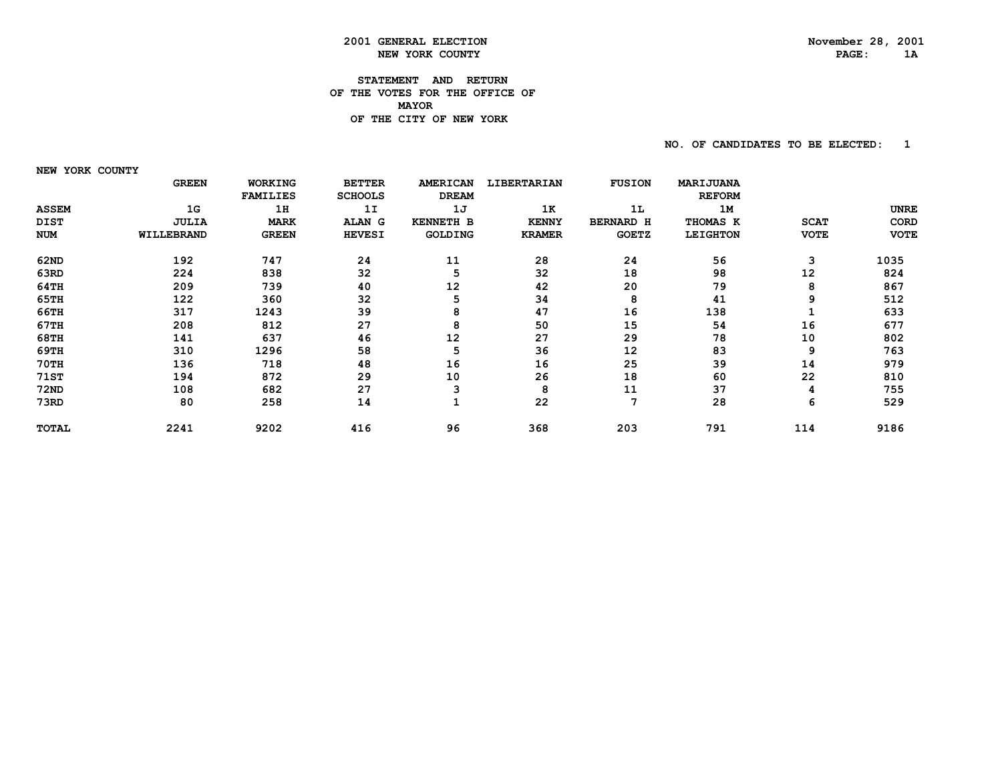## **2001 GENERAL ELECTION November 28, 2001 NEW YORK COUNTY**

#### **STATEMENT AND RETURN OF THE VOTES FOR THE OFFICE OF MAYOR OF THE CITY OF NEW YORK**

 **NO. OF CANDIDATES TO BE ELECTED: 1**

 **NEW YORK COUNTY**

|              | <b>GREEN</b> | <b>WORKING</b>  | <b>BETTER</b>  | <b>AMERICAN</b>  | LIBERTARIAN   | <b>FUSION</b>    | MARIJUANA       |             |             |
|--------------|--------------|-----------------|----------------|------------------|---------------|------------------|-----------------|-------------|-------------|
|              |              | <b>FAMILIES</b> | <b>SCHOOLS</b> | <b>DREAM</b>     |               |                  | <b>REFORM</b>   |             |             |
| <b>ASSEM</b> | 1G           | 1H              | 1I             | 1J               | 1K            | 1L               | 1M              |             | <b>UNRE</b> |
| <b>DIST</b>  | <b>JULIA</b> | <b>MARK</b>     | <b>ALAN</b> G  | <b>KENNETH B</b> | <b>KENNY</b>  | <b>BERNARD H</b> | THOMAS K        | <b>SCAT</b> | CORD        |
| <b>NUM</b>   | WILLEBRAND   | <b>GREEN</b>    | <b>HEVESI</b>  | <b>GOLDING</b>   | <b>KRAMER</b> | <b>GOETZ</b>     | <b>LEIGHTON</b> | <b>VOTE</b> | <b>VOTE</b> |
| 62ND         | 192          | 747             | 24             | 11               | 28            | 24               | 56              | 3           | 1035        |
| 63RD         | 224          | 838             | 32             | 5                | 32            | 18               | 98              | 12          | 824         |
| 64TH         | 209          | 739             | 40             | 12               | 42            | 20               | 79              | 8           | 867         |
| 65TH         | 122          | 360             | 32             | 5                | 34            | 8                | 41              | 9           | 512         |
| 66TH         | 317          | 1243            | 39             | 8                | 47            | 16               | 138             |             | 633         |
| 67TH         | 208          | 812             | 27             | 8                | 50            | 15               | 54              | 16          | 677         |
| 68TH         | 141          | 637             | 46             | 12               | 27            | 29               | 78              | 10          | 802         |
| 69TH         | 310          | 1296            | 58             | 5                | 36            | 12               | 83              | 9           | 763         |
| 70TH         | 136          | 718             | 48             | 16               | 16            | 25               | 39              | 14          | 979         |
| 71ST         | 194          | 872             | 29             | 10               | 26            | 18               | 60              | 22          | 810         |
| 72ND         | 108          | 682             | 27             | ٩                | 8             | 11               | 37              | 4           | 755         |
| 73RD         | 80           | 258             | 14             |                  | 22            | 7                | 28              | 6           | 529         |
| <b>TOTAL</b> | 2241         | 9202            | 416            | 96               | 368           | 203              | 791             | 114         | 9186        |
|              |              |                 |                |                  |               |                  |                 |             |             |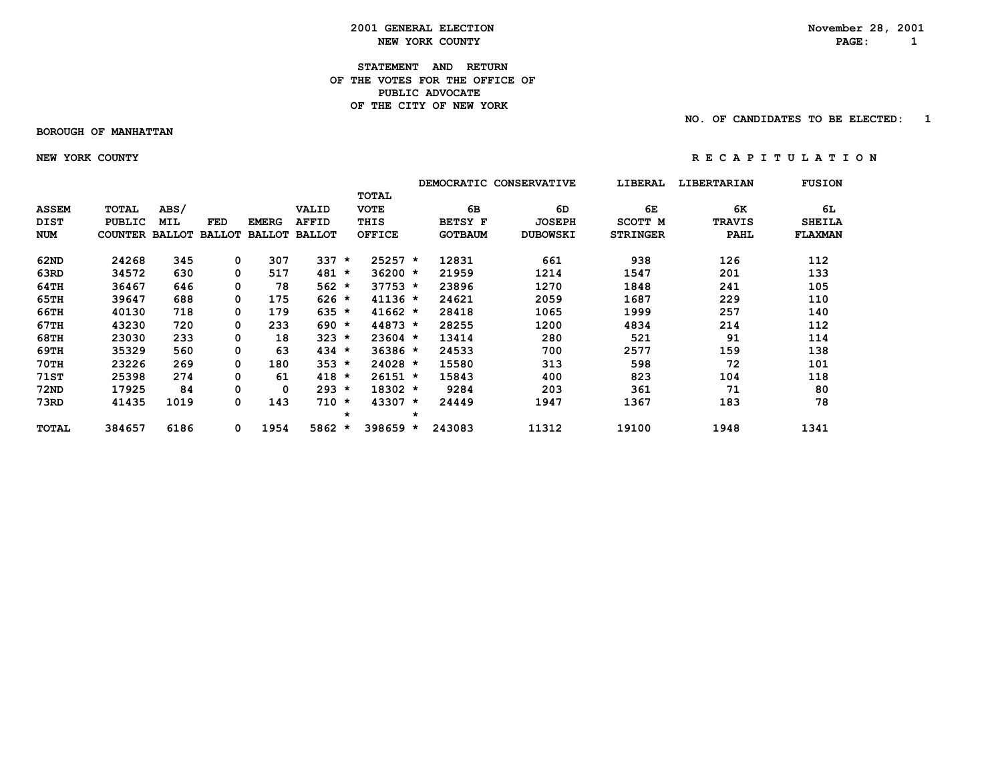**2001 GENERAL ELECTION** November 28, 2001<br> **NEW YORK COUNTY NEW YORK COUNTY NEW YORK COUNTY PAGE: 1**

#### **STATEMENT AND RETURN OF THE VOTES FOR THE OFFICE OFPUBLIC ADVOCATE OF THE CITY OF NEW YORK**

 **BOROUGH OF MANHATTAN**

 **NO. OF CANDIDATES TO BE ELECTED: 1**

 **NEW YORK COUNTY R E C A P I T U L A T I O N**

|              |                       |      |               |               |               |         |               |         |                | DEMOCRATIC CONSERVATIVE | LIBERAL         | <b>LIBERTARIAN</b> | <b>FUSION</b> |
|--------------|-----------------------|------|---------------|---------------|---------------|---------|---------------|---------|----------------|-------------------------|-----------------|--------------------|---------------|
|              |                       |      |               |               |               |         | <b>TOTAL</b>  |         |                |                         |                 |                    |               |
| <b>ASSEM</b> | <b>TOTAL</b>          | ABS/ |               |               | VALID         |         | <b>VOTE</b>   |         | 6В             | 6D                      | 6E              | 6K                 | 6L            |
| <b>DIST</b>  | PUBLIC                | MIL  | FED           | <b>EMERG</b>  | <b>AFFID</b>  |         | THIS          |         | <b>BETSY F</b> | <b>JOSEPH</b>           | SCOTT M         | <b>TRAVIS</b>      | <b>SHEILA</b> |
| <b>NUM</b>   | <b>COUNTER BALLOT</b> |      | <b>BALLOT</b> | <b>BALLOT</b> | <b>BALLOT</b> |         | <b>OFFICE</b> |         | <b>GOTBAUM</b> | <b>DUBOWSKI</b>         | <b>STRINGER</b> | <b>PAHL</b>        | FLAXMAN       |
| 62ND         | 24268                 | 345  | 0             | 307           | 337           | $\star$ | $25257 *$     |         | 12831          | 661                     | 938             | 126                | 112           |
| 63RD         | 34572                 | 630  | 0             | 517           | 481           | $\star$ | $36200 *$     |         | 21959          | 1214                    | 1547            | 201                | 133           |
| 64TH         | 36467                 | 646  | 0             | 78            | $562 *$       |         | $37753 *$     |         | 23896          | 1270                    | 1848            | 241                | 105           |
| 65TH         | 39647                 | 688  | 0             | 175           | $626 *$       |         | $41136 *$     |         | 24621          | 2059                    | 1687            | 229                | 110           |
| 66TH         | 40130                 | 718  | 0             | 179           | 635           | $\star$ | $41662 *$     |         | 28418          | 1065                    | 1999            | 257                | 140           |
| 67TH         | 43230                 | 720  | 0             | 233           | $690 *$       |         | $44873 *$     |         | 28255          | 1200                    | 4834            | 214                | 112           |
| 68TH         | 23030                 | 233  | 0             | 18            | 323           | $\star$ | $23604$ *     |         | 13414          | 280                     | 521             | 91                 | 114           |
| 69TH         | 35329                 | 560  | 0             | 63            | 434           | *       | $36386 *$     |         | 24533          | 700                     | 2577            | 159                | 138           |
| 70TH         | 23226                 | 269  | 0             | 180           | 353           | $\star$ | $24028 *$     |         | 15580          | 313                     | 598             | 72                 | 101           |
| 71ST         | 25398                 | 274  | 0             | 61            | 418           | $\star$ | $26151 *$     |         | 15843          | 400                     | 823             | 104                | 118           |
| <b>72ND</b>  | 17925                 | 84   | 0             | 0             | $293 *$       |         | $18302 *$     |         | 9284           | 203                     | 361             | 71                 | 80            |
| 73RD         | 41435                 | 1019 | 0             | 143           | 710           | $\star$ | 43307 *       |         | 24449          | 1947                    | 1367            | 183                | 78            |
|              |                       |      |               |               |               | $\star$ |               | $\star$ |                |                         |                 |                    |               |
| <b>TOTAL</b> | 384657                | 6186 | 0             | 1954          | $5862 *$      |         | $398659 *$    |         | 243083         | 11312                   | 19100           | 1948               | 1341          |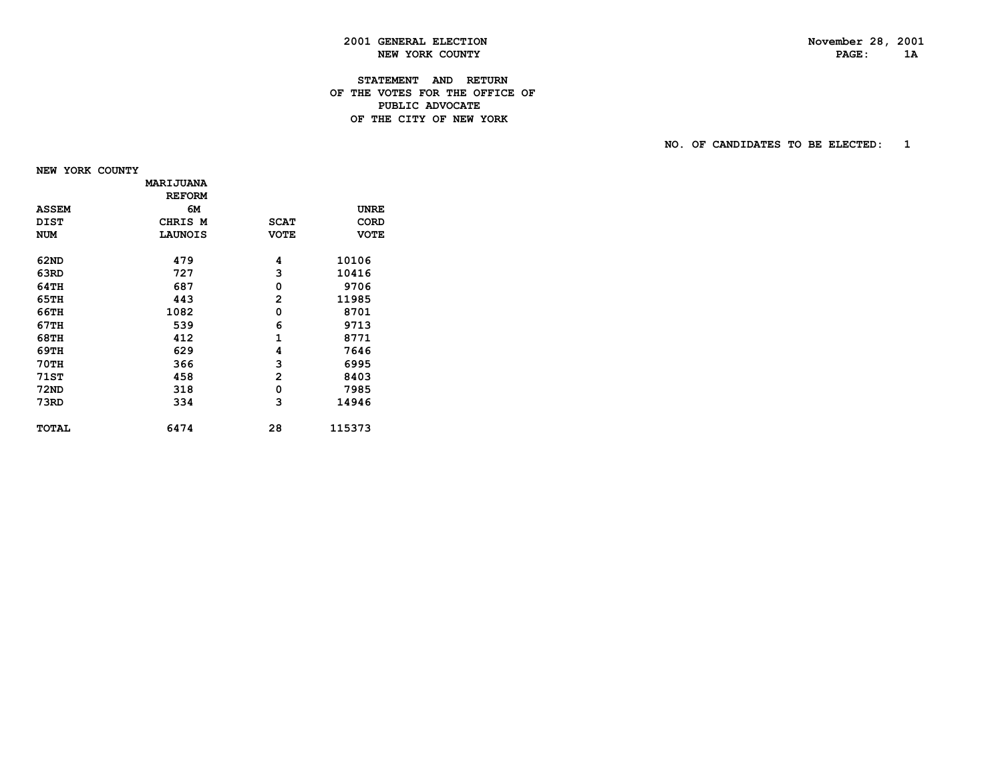PAGE: 1A

### **2001 GENERAL ELECTION November 28, 2001 NEW YORK COUNTY**

#### **STATEMENT AND RETURN OF THE VOTES FOR THE OFFICE OF PUBLIC ADVOCATEDE THE CITY OF NEW YORK**

 **NO. OF CANDIDATES TO BE ELECTED: 1**

 **NEW YORK COUNTY**

|              | <b>MARIJUANA</b> |                |             |
|--------------|------------------|----------------|-------------|
|              | <b>REFORM</b>    |                |             |
| <b>ASSEM</b> | 6М               |                | <b>UNRE</b> |
| <b>DIST</b>  | CHRIS M          | <b>SCAT</b>    | CORD        |
| <b>NUM</b>   | <b>LAUNOIS</b>   | <b>VOTE</b>    | <b>VOTE</b> |
| 62ND         | 479              | 4              | 10106       |
| 63RD         | 727              | 3              | 10416       |
| 64TH         | 687              | 0              | 9706        |
| 65TH         | 443              | $\overline{2}$ | 11985       |
| 66TH         | 1082             | 0              | 8701        |
| 67TH         | 539              | 6              | 9713        |
| 68TH         | 412              | $\mathbf{1}$   | 8771        |
| 69TH         | 629              | 4              | 7646        |
| <b>70TH</b>  | 366              | 3              | 6995        |
| <b>71ST</b>  | 458              | 2              | 8403        |
| <b>72ND</b>  | 318              | 0              | 7985        |
| 73RD         | 334              | 3              | 14946       |
| <b>TOTAL</b> | 6474             | 28             | 115373      |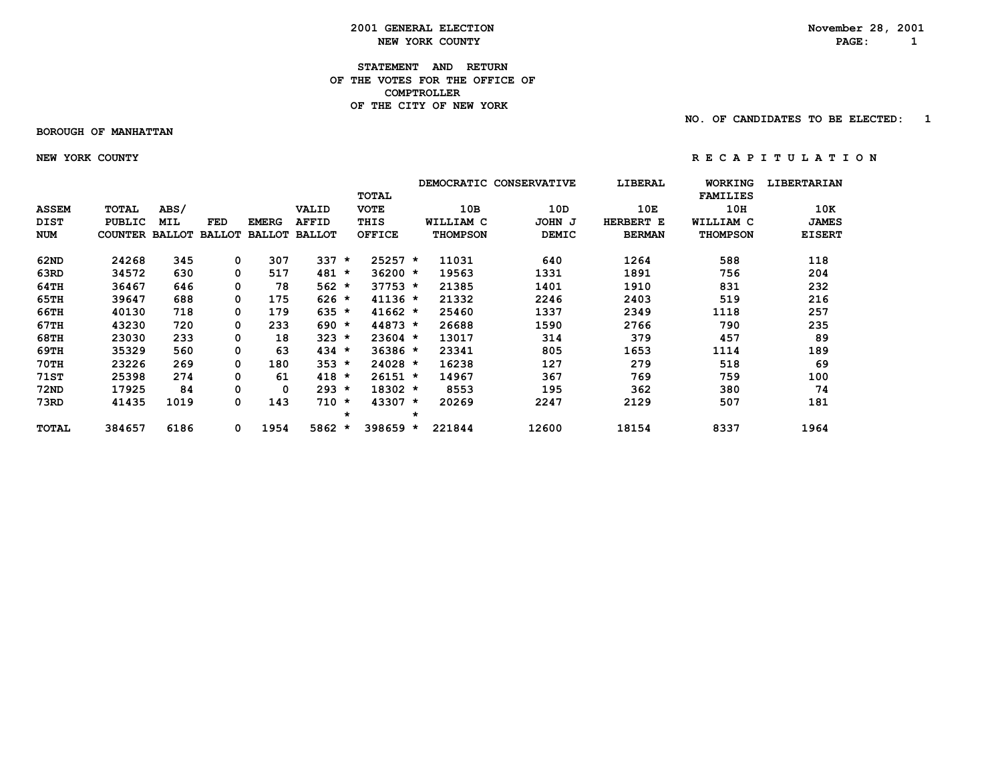**2001 GENERAL ELECTION** November 28, 2001<br> **NEW YORK COUNTY NEW YORK COUNTY NEW YORK COUNTY PAGE: 1**

**STATEMENT AND RETURN OF THE VOTES FOR THE OFFICE OF COMPTROLLER OF THE CITY OF NEW YORK**

 **BOROUGH OF MANHATTAN**

 **NO. OF CANDIDATES TO BE ELECTED: 1**

 **NEW YORK COUNTY R E C A P I T U L A T I O N**

|              |                |               |               |               |               |         |               |         | <b>DEMOCRATIC</b> | <b>CONSERVATIVE</b> | LIBERAL       | <b>WORKING</b>   | <b>LIBERTARIAN</b> |
|--------------|----------------|---------------|---------------|---------------|---------------|---------|---------------|---------|-------------------|---------------------|---------------|------------------|--------------------|
|              |                |               |               |               |               |         | <b>TOTAL</b>  |         |                   |                     |               | <b>FAMILIES</b>  |                    |
| <b>ASSEM</b> | <b>TOTAL</b>   | ABS/          |               |               | VALID         |         | <b>VOTE</b>   |         | 10B               | 10D                 | 10E           | 10H              | 10K                |
| <b>DIST</b>  | PUBLIC         | MIL           | FED           | <b>EMERG</b>  | <b>AFFID</b>  |         | THIS          |         | WILLIAM C         | JOHN J              | HERBERT E     | <b>WILLIAM C</b> | <b>JAMES</b>       |
| <b>NUM</b>   | <b>COUNTER</b> | <b>BALLOT</b> | <b>BALLOT</b> | <b>BALLOT</b> | <b>BALLOT</b> |         | <b>OFFICE</b> |         | <b>THOMPSON</b>   | <b>DEMIC</b>        | <b>BERMAN</b> | <b>THOMPSON</b>  | <b>EISERT</b>      |
| 62ND         | 24268          | 345           | 0             | 307           | 337           | $\star$ | $25257 *$     |         | 11031             | 640                 | 1264          | 588              | 118                |
| 63RD         | 34572          | 630           | 0             | 517           | 481           | $\star$ | $36200 *$     |         | 19563             | 1331                | 1891          | 756              | 204                |
| 64TH         | 36467          | 646           | 0             | 78            | $562 *$       |         | $37753 *$     |         | 21385             | 1401                | 1910          | 831              | 232                |
| 65TH         | 39647          | 688           | 0             | 175           | $626 *$       |         | $41136 *$     |         | 21332             | 2246                | 2403          | 519              | 216                |
| 66TH         | 40130          | 718           | 0             | 179           | $635 *$       |         | $41662 *$     |         | 25460             | 1337                | 2349          | 1118             | 257                |
| 67TH         | 43230          | 720           | 0             | 233           | $690 *$       |         | 44873 *       |         | 26688             | 1590                | 2766          | 790              | 235                |
| <b>68TH</b>  | 23030          | 233           | 0             | 18            | $323 *$       |         | $23604$ *     |         | 13017             | 314                 | 379           | 457              | 89                 |
| 69TH         | 35329          | 560           | 0             | 63            | $434 *$       |         | $36386 *$     |         | 23341             | 805                 | 1653          | 1114             | 189                |
| <b>70TH</b>  | 23226          | 269           | 0             | 180           | $353 *$       |         | $24028 *$     |         | 16238             | 127                 | 279           | 518              | 69                 |
| <b>71ST</b>  | 25398          | 274           | 0             | 61            | $418 *$       |         | $26151 *$     |         | 14967             | 367                 | 769           | 759              | 100                |
| <b>72ND</b>  | 17925          | 84            | 0             | 0             | $293 *$       |         | $18302 *$     |         | 8553              | 195                 | 362           | 380              | 74                 |
| 73RD         | 41435          | 1019          | 0             | 143           | $710 *$       |         | 43307 *       |         | 20269             | 2247                | 2129          | 507              | 181                |
|              |                |               |               |               |               | $\star$ |               | $\star$ |                   |                     |               |                  |                    |
| <b>TOTAL</b> | 384657         | 6186          | 0             | 1954          | $5862 *$      |         | 398659        | *       | 221844            | 12600               | 18154         | 8337             | 1964               |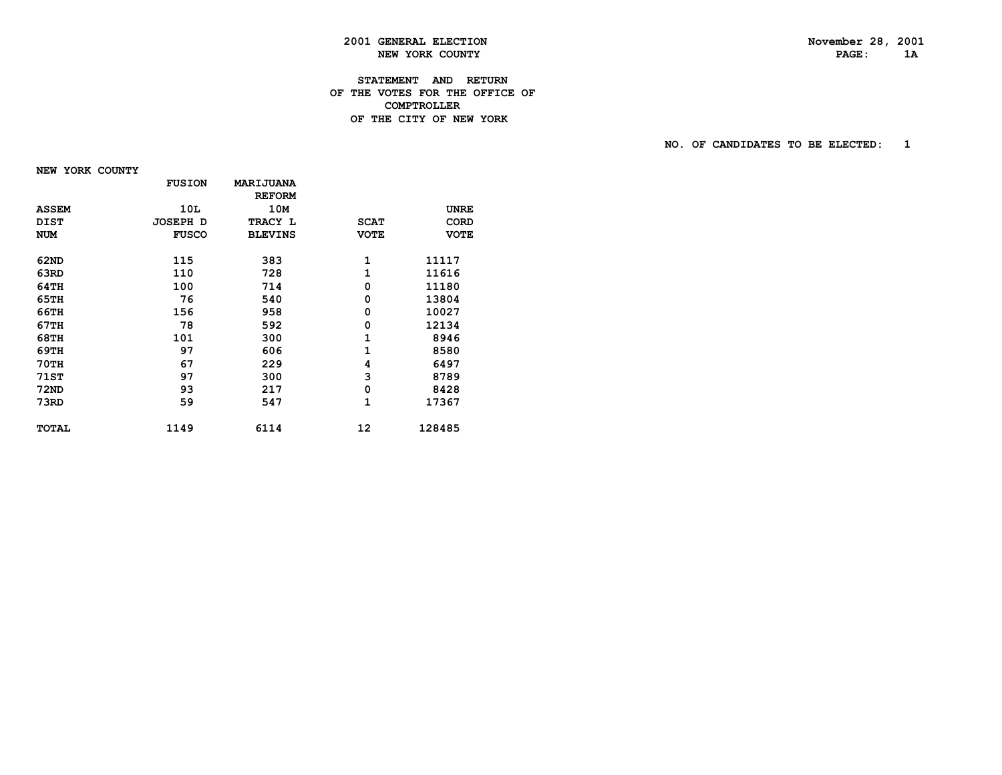PAGE: 1A

## **2001 GENERAL ELECTION November 28, 2001 NEW YORK COUNTY**

#### **STATEMENT AND RETURN OF THE VOTES FOR THE OFFICE OF COMPTROLLERDE THE CITY OF NEW YORK**

 **NO. OF CANDIDATES TO BE ELECTED: 1**

 **NEW YORK COUNTY**

|              | <b>FUSION</b> | MARIJUANA      |             |             |
|--------------|---------------|----------------|-------------|-------------|
|              |               | <b>REFORM</b>  |             |             |
| <b>ASSEM</b> | 10L           | 10M            |             | <b>UNRE</b> |
| <b>DIST</b>  | JOSEPH D      | TRACY L        | <b>SCAT</b> | <b>CORD</b> |
| <b>NUM</b>   | <b>FUSCO</b>  | <b>BLEVINS</b> | <b>VOTE</b> | <b>VOTE</b> |
| 62ND         | 115           | 383            | 1           | 11117       |
| 63RD         | 110           | 728            | 1           | 11616       |
| 64TH         | 100           | 714            | 0           | 11180       |
| 65TH         | 76            | 540            | 0           | 13804       |
| 66TH         | 156           | 958            | 0           | 10027       |
| 67TH         | 78            | 592            | 0           | 12134       |
| 68TH         | 101           | 300            | 1           | 8946        |
| 69TH         | 97            | 606            | 1           | 8580        |
| 70TH         | 67            | 229            | 4           | 6497        |
| 71ST         | 97            | 300            | 3           | 8789        |
| <b>72ND</b>  | 93            | 217            | 0           | 8428        |
| 73RD         | 59            | 547            | 1           | 17367       |
| <b>TOTAL</b> | 1149          | 6114           | 12          | 128485      |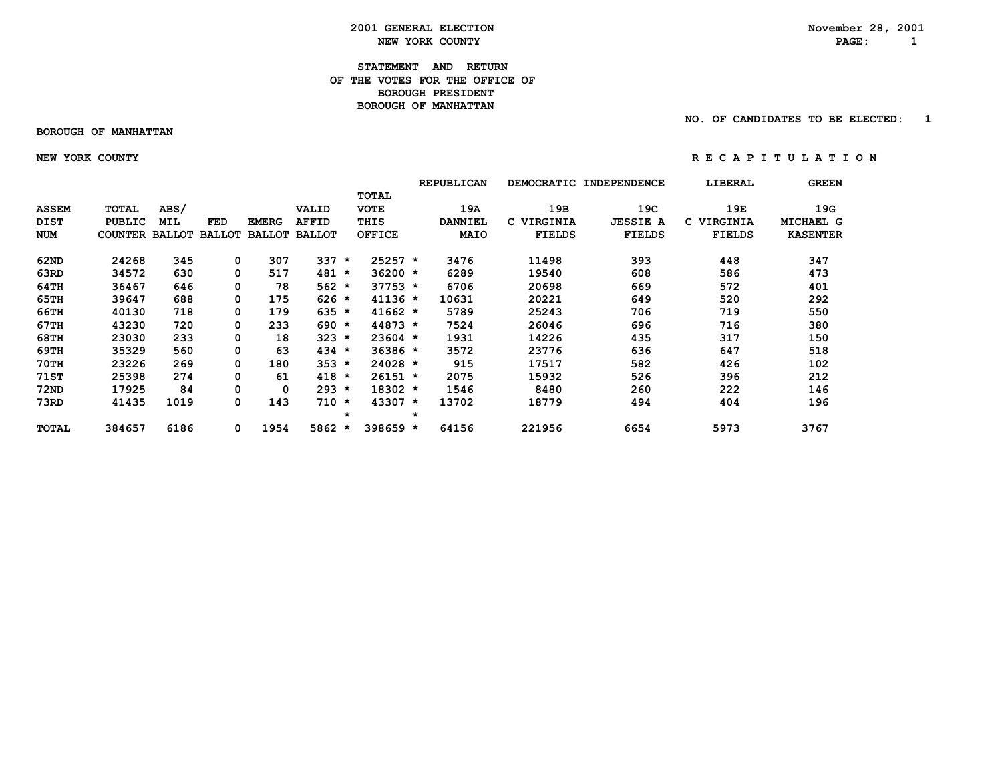**2001 GENERAL ELECTION** November 28, 2001<br> **NEW YORK COUNTY NEW YORK COUNTY NEW YORK COUNTY PAGE: 1**

#### **STATEMENT AND RETURN OF THE VOTES FOR THE OFFICE OF BOROUGH PRESIDENT BOROUGH OF MANHATTAN**

 **BOROUGH OF MANHATTAN**

 **NO. OF CANDIDATES TO BE ELECTED: 1**

 **NEW YORK COUNTY R E C A P I T U L A T I O N**

|              |                       |            |               |              |                      |         |               |         | <b>REPUBLICAN</b> | <b>DEMOCRATIC</b> | <b>INDEPENDENCE</b> | LIBERAL        | <b>GREEN</b>    |
|--------------|-----------------------|------------|---------------|--------------|----------------------|---------|---------------|---------|-------------------|-------------------|---------------------|----------------|-----------------|
|              |                       |            |               |              |                      |         | <b>TOTAL</b>  |         |                   |                   |                     |                |                 |
| <b>ASSEM</b> | TOTAL                 | ABS/       |               |              | VALID                |         | <b>VOTE</b>   |         | 19A               | 19B               | 19C                 | 19E            | 19G             |
| <b>DIST</b>  | PUBLIC                | <b>MIL</b> | FED           | <b>EMERG</b> | <b>AFFID</b>         |         | THIS          |         | <b>DANNIEL</b>    | C VIRGINIA        | <b>JESSIE A</b>     | VIRGINIA<br>C. | MICHAEL G       |
| <b>NUM</b>   | <b>COUNTER BALLOT</b> |            | <b>BALLOT</b> |              | <b>BALLOT BALLOT</b> |         | <b>OFFICE</b> |         | <b>MAIO</b>       | <b>FIELDS</b>     | <b>FIELDS</b>       | <b>FIELDS</b>  | <b>KASENTER</b> |
| 62ND         | 24268                 | 345        | 0             | 307          | 337                  | $\star$ | $25257 *$     |         | 3476              | 11498             | 393                 | 448            | 347             |
| 63RD         | 34572                 | 630        |               | 517          | 481                  | $\star$ | $36200 *$     |         | 6289              | 19540             | 608                 | 586            | 473             |
| 64TH         | 36467                 | 646        |               | 78           | $562 *$              |         | $37753 *$     |         | 6706              | 20698             | 669                 | 572            | 401             |
| 65TH         | 39647                 | 688        | 0             | 175          | $626 *$              |         | $41136 *$     |         | 10631             | 20221             | 649                 | 520            | 292             |
| 66TH         | 40130                 | 718        | 0             | 179          | $635 *$              |         | $41662 *$     |         | 5789              | 25243             | 706                 | 719            | 550             |
| 67TH         | 43230                 | 720        | 0             | 233          | $690 *$              |         | $44873 *$     |         | 7524              | 26046             | 696                 | 716            | 380             |
| <b>68TH</b>  | 23030                 | 233        | 0             | 18           | $323 *$              |         | $23604$ *     |         | 1931              | 14226             | 435                 | 317            | 150             |
| 69TH         | 35329                 | 560        | 0             | 63           | $434 *$              |         | $36386 *$     |         | 3572              | 23776             | 636                 | 647            | 518             |
| <b>70TH</b>  | 23226                 | 269        | 0             | 180          | $353 *$              |         | $24028 *$     |         | 915               | 17517             | 582                 | 426            | 102             |
| <b>71ST</b>  | 25398                 | 274        | 0             | 61           | $418 *$              |         | 26151 *       |         | 2075              | 15932             | 526                 | 396            | 212             |
| <b>72ND</b>  | 17925                 | 84         |               | 0            | $293 *$              |         | $18302 *$     |         | 1546              | 8480              | 260                 | 222            | 146             |
| 73RD         | 41435                 | 1019       | 0             | 143          | $710 *$              |         | $43307 *$     |         | 13702             | 18779             | 494                 | 404            | 196             |
|              |                       |            |               |              |                      | $\star$ |               | $\star$ |                   |                   |                     |                |                 |
| TOTAL        | 384657                | 6186       | 0             | 1954         | 5862 *               |         | 398659 *      |         | 64156             | 221956            | 6654                | 5973           | 3767            |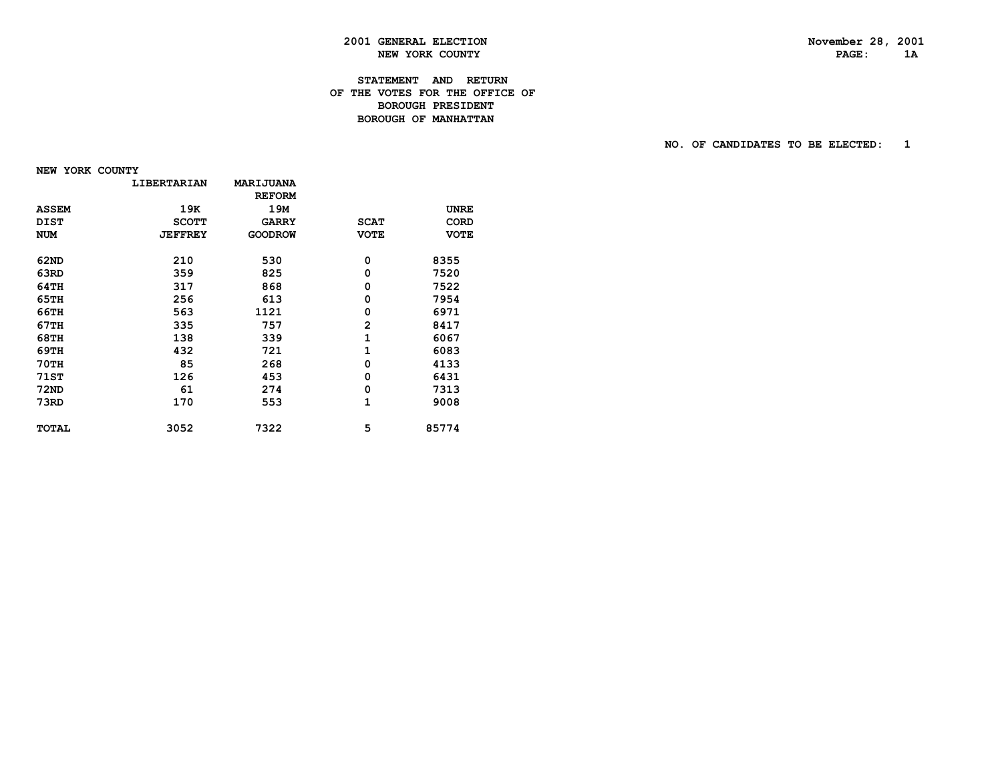PAGE: 1A

### **2001 GENERAL ELECTION November 28, 2001 NEW YORK COUNTY**

#### **STATEMENT AND RETURN OF THE VOTES FOR THE OFFICE OF BOROUGH PRESIDENT BOROUGH OF MANHATTAN**

#### **NO. OF CANDIDATES TO BE ELECTED: 1**

 **NEW YORK COUNTY**

| <b>LIBERTARIAN</b> | MARIJUANA      |                |             |
|--------------------|----------------|----------------|-------------|
|                    | <b>REFORM</b>  |                |             |
| 19K                | 19M            |                | <b>UNRE</b> |
| <b>SCOTT</b>       | <b>GARRY</b>   | <b>SCAT</b>    | <b>CORD</b> |
| <b>JEFFREY</b>     | <b>GOODROW</b> | <b>VOTE</b>    | <b>VOTE</b> |
|                    |                |                | 8355        |
|                    |                |                | 7520        |
| 317                | 868            | 0              | 7522        |
| 256                | 613            | 0              | 7954        |
| 563                | 1121           | 0              | 6971        |
| 335                | 757            | $\overline{2}$ | 8417        |
| 138                | 339            | 1              | 6067        |
| 432                | 721            | 1              | 6083        |
| 85                 | 268            | 0              | 4133        |
| 126                | 453            | 0              | 6431        |
| 61                 | 274            | 0              | 7313        |
| 170                | 553            | 1              | 9008        |
| 3052               | 7322           | 5              | 85774       |
|                    | 210<br>359     | 530<br>825     | 0<br>0      |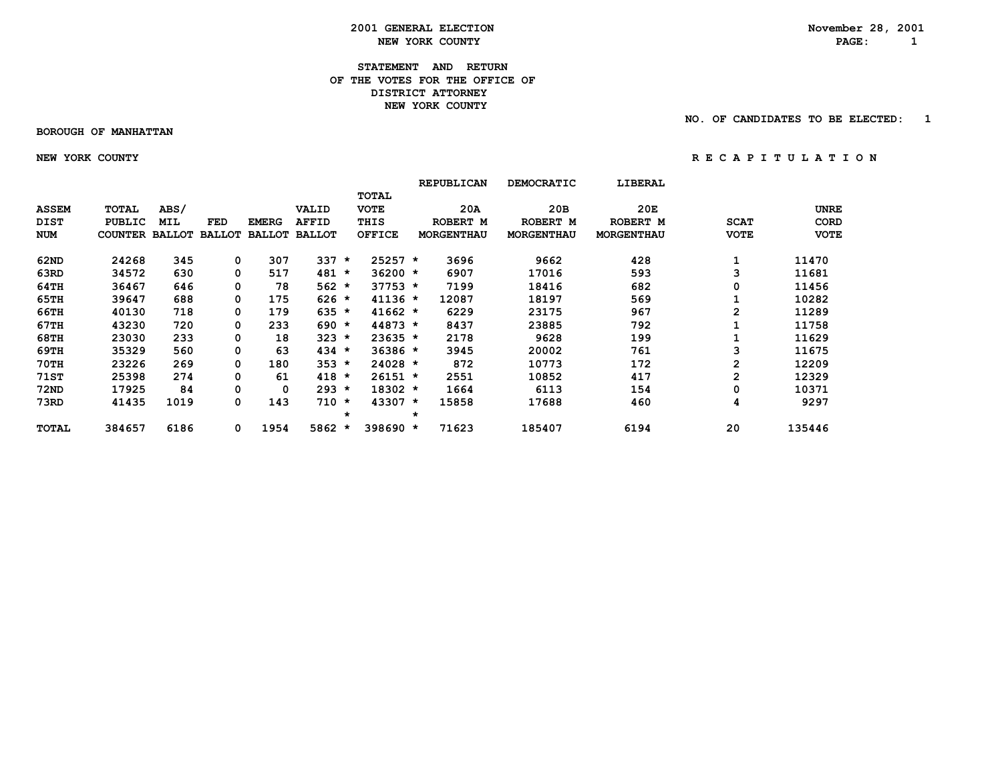**2001 GENERAL ELECTION**<br> **November 28, 2001**<br> **NOVEMBER 28, 2001**<br> **NOVEMBER 28, 2001 NEW YORK COUNTY PAGE: 1**

#### **STATEMENT AND RETURN OF THE VOTES FOR THE OFFICE OF DISTRICT ATTORNEY NEW YORK COUNTY**

#### **BOROUGH OF MANHATTAN**

 **NO. OF CANDIDATES TO BE ELECTED: 1**

 **NEW YORK COUNTY R E C A P I T U L A T I O N**

|              |                       |            |               |              |                      |         |               |         | <b>REPUBLICAN</b> | <b>DEMOCRATIC</b> | <b>LIBERAL</b>    |                |             |
|--------------|-----------------------|------------|---------------|--------------|----------------------|---------|---------------|---------|-------------------|-------------------|-------------------|----------------|-------------|
|              |                       |            |               |              |                      |         | <b>TOTAL</b>  |         |                   |                   |                   |                |             |
| <b>ASSEM</b> | <b>TOTAL</b>          | ABS/       |               |              | VALID                |         | <b>VOTE</b>   |         | 20A               | 20B               | 20E               |                | <b>UNRE</b> |
| <b>DIST</b>  | <b>PUBLIC</b>         | <b>MIL</b> | <b>FED</b>    | <b>EMERG</b> | <b>AFFID</b>         |         | THIS          |         | ROBERT M          | ROBERT M          | ROBERT M          | <b>SCAT</b>    | CORD        |
| <b>NUM</b>   | <b>COUNTER BALLOT</b> |            | <b>BALLOT</b> |              | <b>BALLOT BALLOT</b> |         | <b>OFFICE</b> |         | <b>MORGENTHAU</b> | <b>MORGENTHAU</b> | <b>MORGENTHAU</b> | <b>VOTE</b>    | <b>VOTE</b> |
| 62ND         | 24268                 | 345        | 0             | 307          | 337                  | $\star$ | $25257 *$     |         | 3696              | 9662              | 428               |                | 11470       |
| 63RD         | 34572                 | 630        |               | 517          | 481                  | $\star$ | $36200 *$     |         | 6907              | 17016             | 593               | 3              | 11681       |
| 64TH         | 36467                 | 646        | 0             | 78           | $562 *$              |         | $37753 *$     |         | 7199              | 18416             | 682               | 0              | 11456       |
| 65TH         | 39647                 | 688        | 0             | 175          | $626 *$              |         | $41136 *$     |         | 12087             | 18197             | 569               |                | 10282       |
| 66TH         | 40130                 | 718        | 0             | 179          | $635 *$              |         | $41662 *$     |         | 6229              | 23175             | 967               | $\overline{2}$ | 11289       |
| 67TH         | 43230                 | 720        | 0             | 233          | $690 *$              |         | $44873 *$     |         | 8437              | 23885             | 792               |                | 11758       |
| 68TH         | 23030                 | 233        | 0             | 18           | $323 *$              |         | $23635 *$     |         | 2178              | 9628              | 199               |                | 11629       |
| 69TH         | 35329                 | 560        | 0             | 63           | $434 *$              |         | $36386 *$     |         | 3945              | 20002             | 761               | 3              | 11675       |
| <b>70TH</b>  | 23226                 | 269        | 0             | 180          | $353 *$              |         | 24028 *       |         | 872               | 10773             | 172               | $\mathbf{2}$   | 12209       |
| <b>71ST</b>  | 25398                 | 274        | 0             | 61           | $418 *$              |         | $26151 *$     |         | 2551              | 10852             | 417               | $\mathbf{2}$   | 12329       |
| <b>72ND</b>  | 17925                 | 84         |               | 0            | $293 *$              |         | $18302 *$     |         | 1664              | 6113              | 154               | 0              | 10371       |
| 73RD         | 41435                 | 1019       | 0             | 143          | $710 *$              |         | $43307 *$     |         | 15858             | 17688             | 460               | 4              | 9297        |
|              |                       |            |               |              |                      | $\star$ |               | $\star$ |                   |                   |                   |                |             |
| TOTAL        | 384657                | 6186       | 0             | 1954         | 5862 *               |         | 398690 *      |         | 71623             | 185407            | 6194              | 20             | 135446      |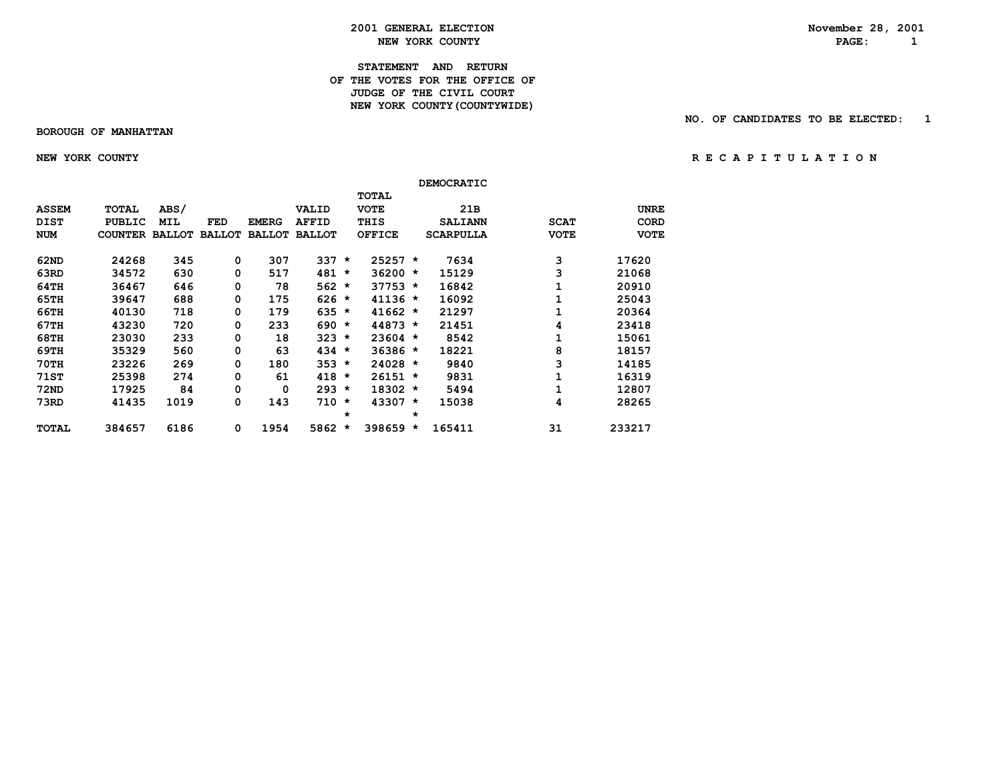#### **2001 GENERAL ELECTION November 28, 2001 NEW YORK COUNTY PAGE: 1**

#### **STATEMENT AND RETURN OF THE VOTES FOR THE OFFICE OF** *JUDGE OF THE CIVIL COURT*  **NEW YORK COUNTY(COUNTYWIDE)**

#### **BOROUGH OF MANHATTAN**

 **NO. OF CANDIDATES TO BE ELECTED: 1**

 **NEW YORK COUNTY R E C A P I T U L A T I O N**

|              |               |               |               |               |               |         |               |         | <b>DEMOCRATIC</b> |             |             |
|--------------|---------------|---------------|---------------|---------------|---------------|---------|---------------|---------|-------------------|-------------|-------------|
|              |               |               |               |               |               |         | <b>TOTAL</b>  |         |                   |             |             |
| <b>ASSEM</b> | <b>TOTAL</b>  | ABS/          |               |               | VALID         |         | <b>VOTE</b>   |         | 21B               |             | <b>UNRE</b> |
| <b>DIST</b>  | <b>PUBLIC</b> | <b>MIL</b>    | <b>FED</b>    | <b>EMERG</b>  | <b>AFFID</b>  |         | THIS          |         | <b>SALIANN</b>    | <b>SCAT</b> | <b>CORD</b> |
| <b>NUM</b>   | COUNTER       | <b>BALLOT</b> | <b>BALLOT</b> | <b>BALLOT</b> | <b>BALLOT</b> |         | <b>OFFICE</b> |         | <b>SCARPULLA</b>  | <b>VOTE</b> | <b>VOTE</b> |
| 62ND         | 24268         | 345           | 0             | 307           | 337           | $\star$ | $25257 *$     |         | 7634              | з           | 17620       |
| 63RD         | 34572         | 630           | 0             | 517           | 481           | $\star$ | $36200 *$     |         | 15129             | 3           | 21068       |
| 64TH         | 36467         | 646           | 0             | 78            | 562           | $\star$ | $37753 *$     |         | 16842             |             | 20910       |
| 65TH         | 39647         | 688           | 0             | 175           | $626 *$       |         | $41136 *$     |         | 16092             |             | 25043       |
| 66TH         | 40130         | 718           | 0             | 179           | 635           | $\star$ | $41662 *$     |         | 21297             |             | 20364       |
| 67TH         | 43230         | 720           | 0             | 233           | 690           | $\star$ | 44873 *       |         | 21451             | 4           | 23418       |
| 68TH         | 23030         | 233           | 0             | 18            | 323           | $\star$ | $23604$ *     |         | 8542              | 1           | 15061       |
| 69TH         | 35329         | 560           | 0             | 63            | 434           | $\star$ | $36386 *$     |         | 18221             | 8           | 18157       |
| 70TH         | 23226         | 269           | 0             | 180           | 353           | $\star$ | 24028         | $\star$ | 9840              | 3           | 14185       |
| <b>71ST</b>  | 25398         | 274           | 0             | 61            | 418           | $\star$ | 26151         | $\star$ | 9831              |             | 16319       |
| <b>72ND</b>  | 17925         | 84            | 0             | 0             | 293           | $\star$ | $18302 *$     |         | 5494              |             | 12807       |
| 73RD         | 41435         | 1019          | 0             | 143           | $710 *$       |         | 43307 *       |         | 15038             | 4           | 28265       |
|              |               |               |               |               |               | *       |               | *       |                   |             |             |
| <b>TOTAL</b> | 384657        | 6186          | 0             | 1954          | 5862          | $\star$ | 398659        | $\star$ | 165411            | 31          | 233217      |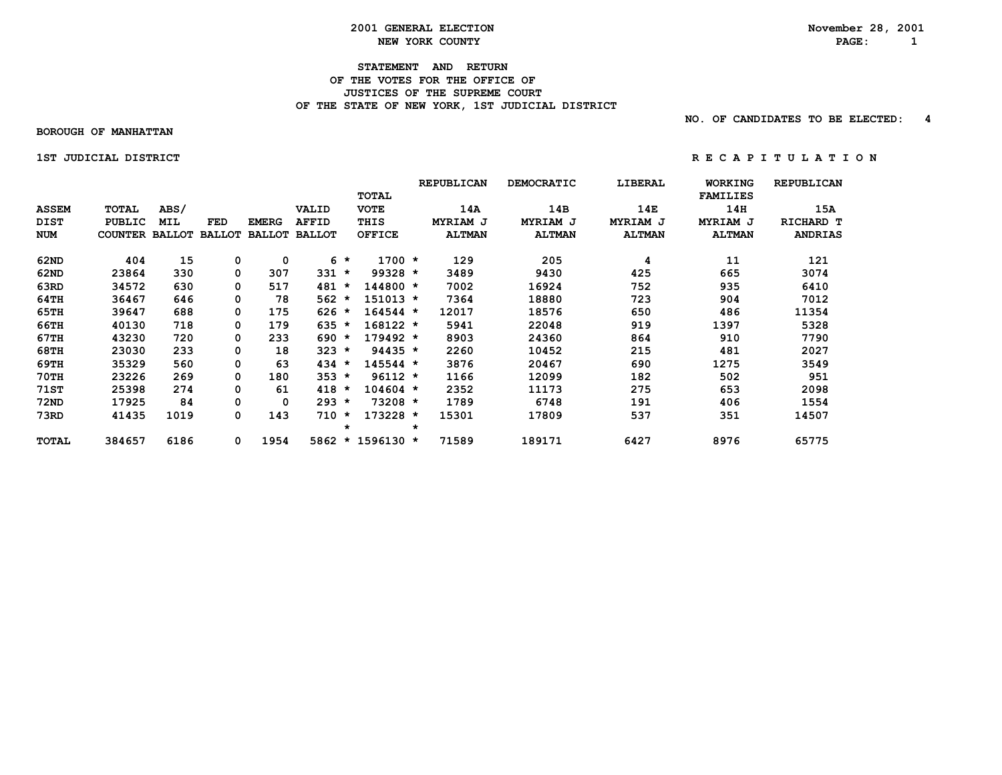#### **2001 GENERAL ELECTION November 28, 2001 NEW YORK COUNTY PAGE: 1**

#### **STATEMENT AND RETURN OF THE VOTES FOR THE OFFICE OF JUSTICES OF THE SUPREME COURT** OF THE STATE OF NEW YORK, 1ST JUDICIAL DISTRICT

 **NO. OF CANDIDATES TO BE ELECTED: 4**

 **BOROUGH OF MANHATTAN**

 **1STJUDICIALDISTRICT R E C A P I T U L A T I O N**

|              |                       |      |               |               |               |         |                  |         | <b>REPUBLICAN</b> | <b>DEMOCRATIC</b> | LIBERAL       | <b>WORKING</b>  | <b>REPUBLICAN</b> |
|--------------|-----------------------|------|---------------|---------------|---------------|---------|------------------|---------|-------------------|-------------------|---------------|-----------------|-------------------|
|              |                       |      |               |               |               |         | <b>TOTAL</b>     |         |                   |                   |               | <b>FAMILIES</b> |                   |
| <b>ASSEM</b> | <b>TOTAL</b>          | ABS/ |               |               | VALID         |         | <b>VOTE</b>      |         | 14A               | 14B               | 14E           | 14H             | 15A               |
| <b>DIST</b>  | <b>PUBLIC</b>         | MIL  | FED           | <b>EMERG</b>  | <b>AFFID</b>  |         | THIS             |         | MYRIAM J          | MYRIAM J          | MYRIAM J      | MYRIAM J        | RICHARD T         |
| <b>NUM</b>   | <b>COUNTER BALLOT</b> |      | <b>BALLOT</b> | <b>BALLOT</b> | <b>BALLOT</b> |         | <b>OFFICE</b>    |         | <b>ALTMAN</b>     | <b>ALTMAN</b>     | <b>ALTMAN</b> | <b>ALTMAN</b>   | <b>ANDRIAS</b>    |
| 62ND         | 404                   | 15   | 0             | 0             |               | $6 *$   | $1700 *$         |         | 129               | 205               | 4             | 11              | 121               |
| 62ND         | 23864                 | 330  | 0             | 307           | 331           | $\star$ | $99328 *$        |         | 3489              | 9430              | 425           | 665             | 3074              |
| 63RD         | 34572                 | 630  | 0             | 517           | 481           | $\star$ | 144800 *         |         | 7002              | 16924             | 752           | 935             | 6410              |
| 64TH         | 36467                 | 646  | 0             | 78            | $562 *$       |         | $151013 *$       |         | 7364              | 18880             | 723           | 904             | 7012              |
| 65TH         | 39647                 | 688  | 0             | 175           | $626 *$       |         | $164544 *$       |         | 12017             | 18576             | 650           | 486             | 11354             |
| 66TH         | 40130                 | 718  | 0             | 179           | 635           | $\star$ | $168122 *$       |         | 5941              | 22048             | 919           | 1397            | 5328              |
| 67TH         | 43230                 | 720  | 0             | 233           | 690           | $\star$ | $179492 *$       |         | 8903              | 24360             | 864           | 910             | 7790              |
| <b>68TH</b>  | 23030                 | 233  | 0             | 18            | 323           | $\star$ | $94435 *$        |         | 2260              | 10452             | 215           | 481             | 2027              |
| 69TH         | 35329                 | 560  | 0             | 63            | 434           | $\star$ | $145544 *$       |         | 3876              | 20467             | 690           | 1275            | 3549              |
| <b>70TH</b>  | 23226                 | 269  | 0             | 180           | $353 *$       |         | $96112 *$        |         | 1166              | 12099             | 182           | 502             | 951               |
| <b>71ST</b>  | 25398                 | 274  | 0             | 61            | 418           | $\star$ | $104604 *$       |         | 2352              | 11173             | 275           | 653             | 2098              |
| <b>72ND</b>  | 17925                 | 84   | 0             | 0             | $293 *$       |         | $73208 *$        |         | 1789              | 6748              | 191           | 406             | 1554              |
| 73RD         | 41435                 | 1019 | 0             | 143           | 710           | $\star$ | $173228 *$       |         | 15301             | 17809             | 537           | 351             | 14507             |
|              |                       |      |               |               |               | *       |                  | $\star$ |                   |                   |               |                 |                   |
| TOTAL        | 384657                | 6186 | 0             | 1954          |               |         | 5862 * 1596130 * |         | 71589             | 189171            | 6427          | 8976            | 65775             |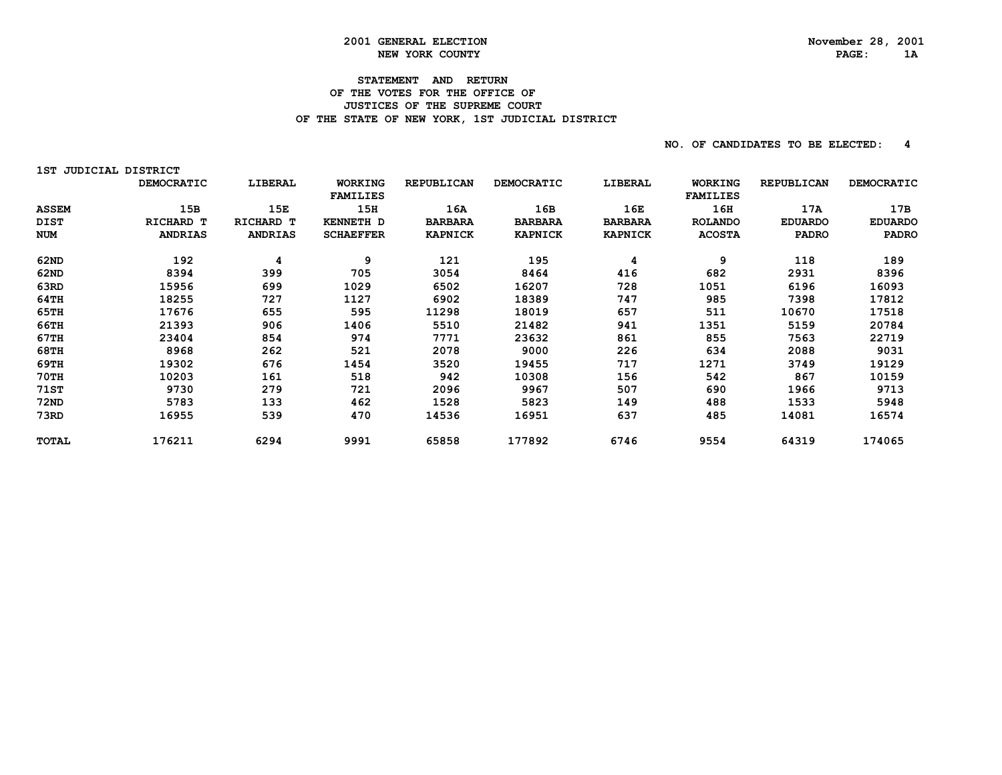### **STATEMENT AND RETURN OF THE VOTES FOR THE OFFICE OF JUSTICES OF THE SUPREME COURT** OF THE STATE OF NEW YORK, 1ST JUDICIAL DISTRICT

| 1ST.         | <b>JUDICIAL DISTRICT</b> |                |                            |                   |                |                |                                   |                   |                |
|--------------|--------------------------|----------------|----------------------------|-------------------|----------------|----------------|-----------------------------------|-------------------|----------------|
|              | DEMOCRATIC               | LIBERAL        | WORKING<br><b>FAMILIES</b> | <b>REPUBLICAN</b> | DEMOCRATIC     | LIBERAL        | <b>WORKING</b><br><b>FAMILIES</b> | <b>REPUBLICAN</b> | DEMOCRATIC     |
| <b>ASSEM</b> | 15B                      | 15E            | 15H                        | 16A               | 16B            | 16E            | 16H                               | 17A               | 17B            |
| <b>DIST</b>  | RICHARD T                | RICHARD T      | <b>KENNETH D</b>           | <b>BARBARA</b>    | <b>BARBARA</b> | <b>BARBARA</b> | <b>ROLANDO</b>                    | <b>EDUARDO</b>    | <b>EDUARDO</b> |
| <b>NUM</b>   | <b>ANDRIAS</b>           | <b>ANDRIAS</b> | <b>SCHAEFFER</b>           | <b>KAPNICK</b>    | <b>KAPNICK</b> | <b>KAPNICK</b> | <b>ACOSTA</b>                     | <b>PADRO</b>      | <b>PADRO</b>   |
| 62ND         | 192                      | 4              | 9                          | 121               | 195            | 4              | 9                                 | 118               | 189            |
| 62ND         | 8394                     | 399            | 705                        | 3054              | 8464           | 416            | 682                               | 2931              | 8396           |
| 63RD         | 15956                    | 699            | 1029                       | 6502              | 16207          | 728            | 1051                              | 6196              | 16093          |
| 64TH         | 18255                    | 727            | 1127                       | 6902              | 18389          | 747            | 985                               | 7398              | 17812          |
| 65TH         | 17676                    | 655            | 595                        | 11298             | 18019          | 657            | 511                               | 10670             | 17518          |
| 66TH         | 21393                    | 906            | 1406                       | 5510              | 21482          | 941            | 1351                              | 5159              | 20784          |
| 67TH         | 23404                    | 854            | 974                        | 7771              | 23632          | 861            | 855                               | 7563              | 22719          |
| 68TH         | 8968                     | 262            | 521                        | 2078              | 9000           | 226            | 634                               | 2088              | 9031           |
| 69TH         | 19302                    | 676            | 1454                       | 3520              | 19455          | 717            | 1271                              | 3749              | 19129          |
| 70TH         | 10203                    | 161            | 518                        | 942               | 10308          | 156            | 542                               | 867               | 10159          |
| 71ST         | 9730                     | 279            | 721                        | 2096              | 9967           | 507            | 690                               | 1966              | 9713           |
| 72ND         | 5783                     | 133            | 462                        | 1528              | 5823           | 149            | 488                               | 1533              | 5948           |
| 73RD         | 16955                    | 539            | 470                        | 14536             | 16951          | 637            | 485                               | 14081             | 16574          |
| <b>TOTAL</b> | 176211                   | 6294           | 9991                       | 65858             | 177892         | 6746           | 9554                              | 64319             | 174065         |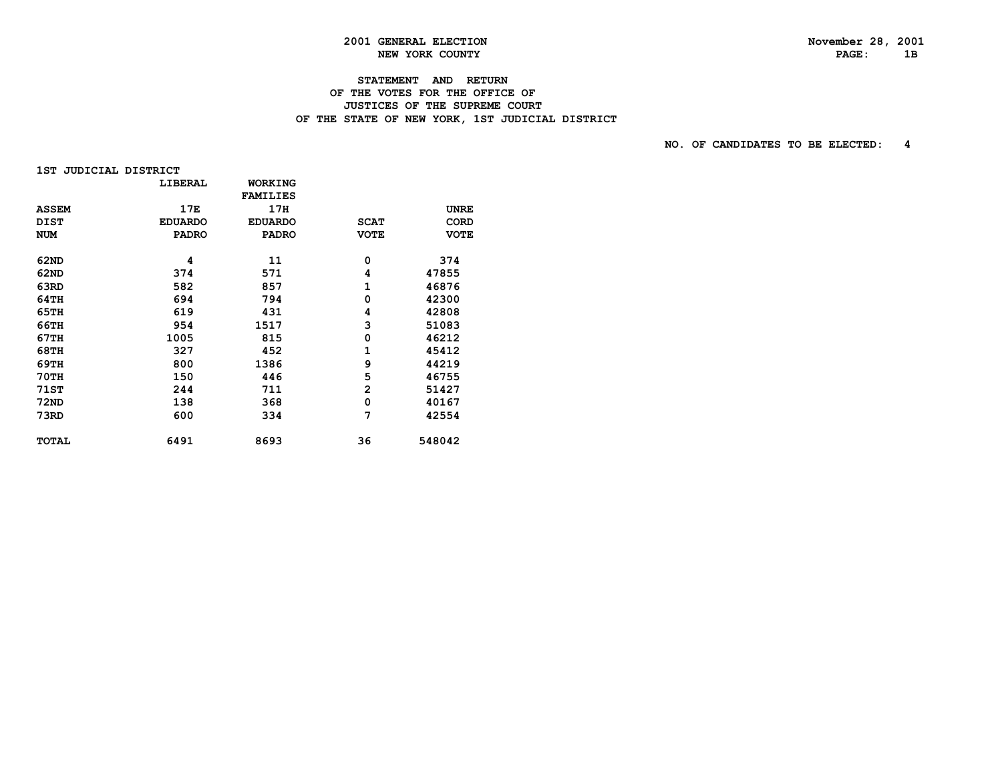# **STATEMENT AND RETURN**

### **OF THE VOTES FOR THE OFFICE OF JUSTICES OF THE SUPREME COURT** OF THE STATE OF NEW YORK, 1ST JUDICIAL DISTRICT

|  | 1ST JUDICIAL DISTRICT |  |
|--|-----------------------|--|
|--|-----------------------|--|

|              | LIBERAL        | <b>WORKING</b>  |                |             |
|--------------|----------------|-----------------|----------------|-------------|
|              |                | <b>FAMILIES</b> |                |             |
| <b>ASSEM</b> | 17E            | 17H             |                | <b>UNRE</b> |
| <b>DIST</b>  | <b>EDUARDO</b> | <b>EDUARDO</b>  | <b>SCAT</b>    | <b>CORD</b> |
| <b>NUM</b>   | <b>PADRO</b>   | <b>PADRO</b>    | <b>VOTE</b>    | <b>VOTE</b> |
| 62ND         | 4              | 11              | 0              | 374         |
| 62ND         | 374            | 571             | 4              | 47855       |
| 63RD         | 582            | 857             | 1              | 46876       |
| 64TH         | 694            | 794             | 0              | 42300       |
| 65TH         | 619            | 431             | 4              | 42808       |
| 66TH         | 954            | 1517            | 3              | 51083       |
| 67TH         | 1005           | 815             | 0              | 46212       |
| 68TH         | 327            | 452             | 1              | 45412       |
| 69TH         | 800            | 1386            | 9              | 44219       |
| <b>70TH</b>  | 150            | 446             | 5              | 46755       |
| 71ST         | 244            | 711             | $\overline{2}$ | 51427       |
| 72ND         | 138            | 368             | 0              | 40167       |
| 73RD         | 600            | 334             | 7              | 42554       |
| <b>TOTAL</b> | 6491           | 8693            | 36             | 548042      |
|              |                |                 |                |             |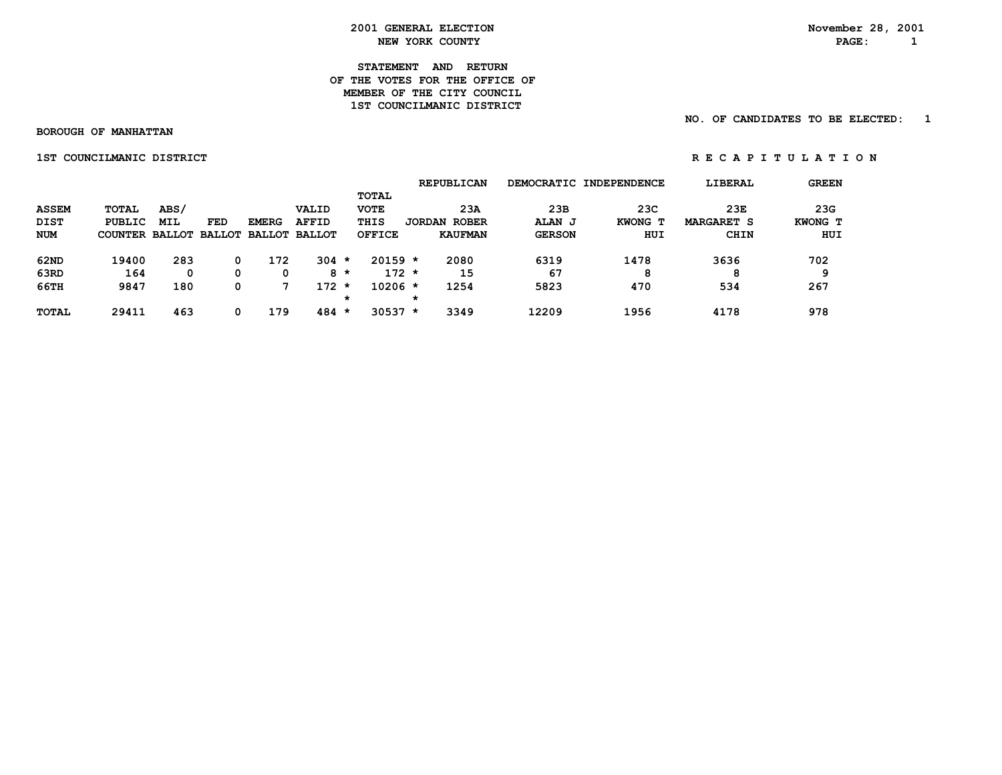**STATEMENT AND RETURN OF THE VOTES FOR THE OFFICE OFMEMBER OF THE CITY COUNCIL 1ST COUNCILMANIC DISTRICT** 

 **NO. OF CANDIDATES TO BE ELECTED: 1**

 **BOROUGH OF MANHATTAN**

 **1ST COUNCILMANIC DISTRICT A REPORT OF REGAPITULATION** 

|              |                                     |            |     |              |              |         |               |         | <b>REPUBLICAN</b>   |               | DEMOCRATIC INDEPENDENCE | LIBERAL           | <b>GREEN</b> |
|--------------|-------------------------------------|------------|-----|--------------|--------------|---------|---------------|---------|---------------------|---------------|-------------------------|-------------------|--------------|
|              |                                     |            |     |              |              |         | TOTAL         |         |                     |               |                         |                   |              |
| <b>ASSEM</b> | TOTAL                               | ABS/       |     |              | VALID        |         | <b>VOTE</b>   |         | 23A                 | 23B           | 23C                     | 23E               | 23G          |
| <b>DIST</b>  | PUBLIC                              | <b>MIL</b> | FED | <b>EMERG</b> | <b>AFFID</b> |         | THIS          |         | <b>JORDAN ROBER</b> | ALAN J        | KWONG T                 | <b>MARGARET S</b> | KWONG T      |
| <b>NUM</b>   | COUNTER BALLOT BALLOT BALLOT BALLOT |            |     |              |              |         | <b>OFFICE</b> |         | <b>KAUFMAN</b>      | <b>GERSON</b> | HUI                     | <b>CHIN</b>       | HUI          |
| 62ND         | 19400                               | 283        | 0   | 172          | $304 *$      |         | $20159 *$     |         | 2080                | 6319          | 1478                    | 3636              | 702          |
| 63RD         | 164                                 | 0          | 0   | 0            |              | 8 *     | $172 *$       |         | 15                  | 67            | 8                       | 8                 | ۵            |
| 66TH         | 9847                                | 180        | 0   |              | $172 *$      |         | $10206 *$     |         | 1254                | 5823          | 470                     | 534               | 267          |
|              |                                     |            |     |              |              | $\star$ |               | $\star$ |                     |               |                         |                   |              |
| <b>TOTAL</b> | 29411                               | 463        |     | 179          | $484 *$      |         | $30537 *$     |         | 3349                | 12209         | 1956                    | 4178              | 978          |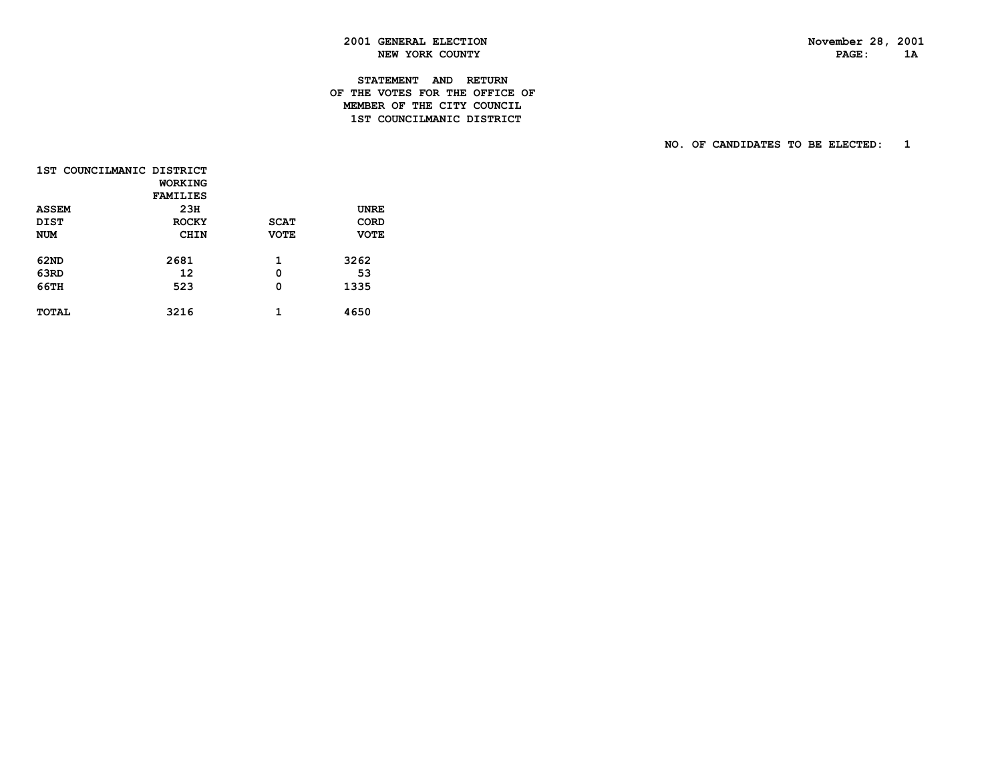PAGE: 1A

### **2001 GENERAL ELECTION November 28, 2001 NEW YORK COUNTY**

### **STATEMENT AND RETURN OF THE VOTES FOR THE OFFICE OF MEMBER OF THE CITY COUNCIL1ST COUNCILMANIC DISTRICT**

| 1ST COUNCILMANIC DISTRICT |                 |             |             |
|---------------------------|-----------------|-------------|-------------|
|                           | WORKING         |             |             |
|                           | <b>FAMILIES</b> |             |             |
| <b>ASSEM</b>              | 23H             |             | UNRE        |
| <b>DIST</b>               | <b>ROCKY</b>    | <b>SCAT</b> | CORD        |
| <b>NUM</b>                | CHIN            | <b>VOTE</b> | <b>VOTE</b> |
|                           |                 |             |             |
| 62ND                      | 2681            | 1           | 3262        |
| 63RD                      | 12              | 0           | 53          |
| 66TH                      | 523             | 0           | 1335        |
|                           |                 |             |             |
| <b>TOTAL</b>              | 3216            | 1           | 4650        |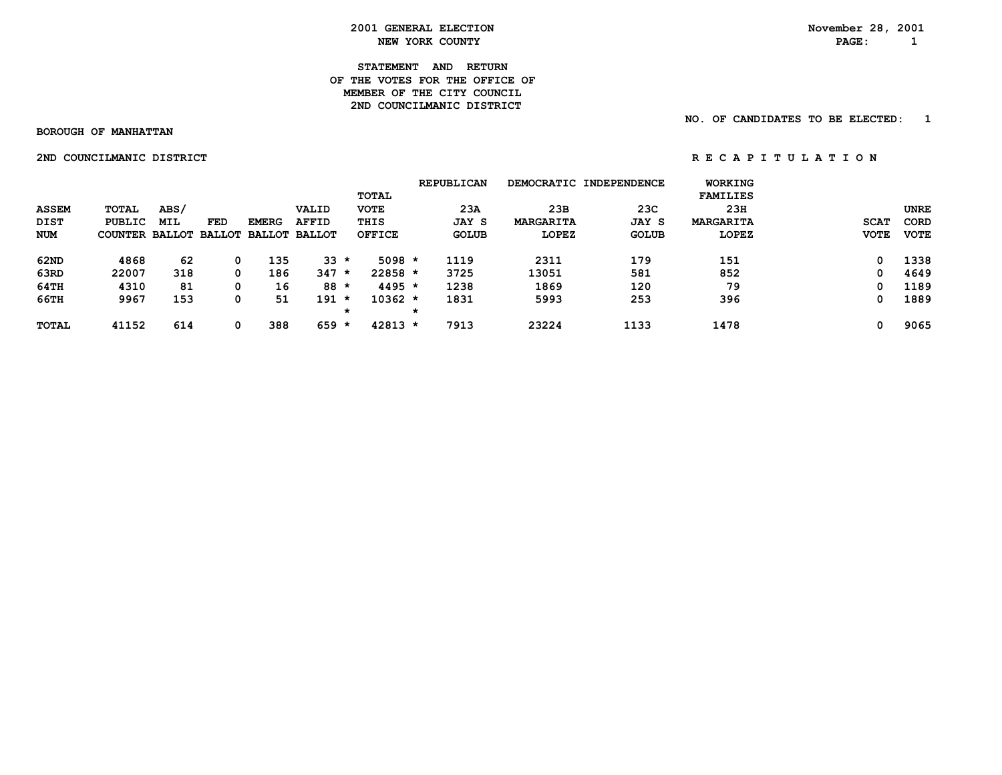**STATEMENT AND RETURN OF THE VOTES FOR THE OFFICE OF MEMBER OF THE CITY COUNCIL**2ND COUNCILMANIC DISTRICT

 **NO. OF CANDIDATES TO BE ELECTED: 1**

 **BOROUGH OF MANHATTAN**

 **2ND COUNCILMANIC DISTRICT A REPORT OF A P I T U L A T I O N** 

 **REPUBLICAN DEMOCRATIC INDEPENDENCE WORKING TOTAL FAMILIES ASSEM TOTAL ABS/ VALID VOTE 23A 23B 23C 23H UNRE DIST PUBLIC MIL FED EMERG AFFID THIS JAY S MARGARITA JAY S MARGARITA SCAT CORD NUM COUNTER BALLOT BALLOT BALLOT BALLOT OFFICE GOLUB LOPEZ GOLUB LOPEZ VOTE VOTE 62ND 4868 62 0 135 33 \* 5098 \* 1119 2311 179 151 0 1338 63RD 22007 318 0 186 347 \* 22858 \* 3725 13051 581 852 0 4649 64TH 4310 81 0 16 88 \* 4495 \* 1238 1869 120 79 0 1189 66TH 9967 153 0 51 191 \* 10362 \* 1831 5993 253 396 0 1889 \* \* TOTAL 41152 614 0 388 659 \* 42813 \* 7913 23224 1133 1478 0 9065**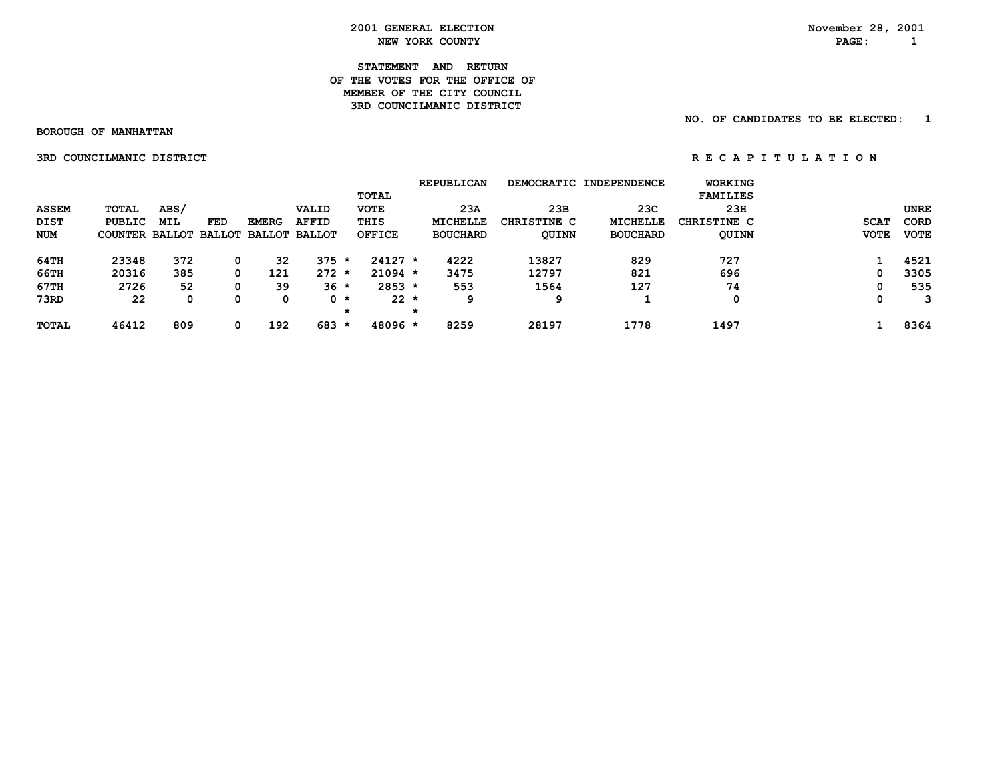**STATEMENT AND RETURN OF THE VOTES FOR THE OFFICE OFMEMBER OF THE CITY COUNCIL 3RD COUNCILMANIC DISTRICT** 

 **NO. OF CANDIDATES TO BE ELECTED: 1**

 **BOROUGH OF MANHATTAN**

 **3RD COUNCILMANIC DISTRICT A REPORT OF A P I T U L A T I O N** 

|              |                                     |      |     |              |              |         |             |         | <b>REPUBLICAN</b> |              | DEMOCRATIC INDEPENDENCE | WORKING         |             |             |
|--------------|-------------------------------------|------|-----|--------------|--------------|---------|-------------|---------|-------------------|--------------|-------------------------|-----------------|-------------|-------------|
|              |                                     |      |     |              |              |         | TOTAL       |         |                   |              |                         | <b>FAMILIES</b> |             |             |
| <b>ASSEM</b> | TOTAL                               | ABS/ |     |              | VALID        |         | <b>VOTE</b> |         | 23A               | 23B          | 23C                     | 23H             |             | <b>UNRE</b> |
| DIST         | PUBLIC                              | MIL  | FED | <b>EMERG</b> | <b>AFFID</b> |         | THIS        |         | <b>MICHELLE</b>   | CHRISTINE C  | MICHELLE                | CHRISTINE C     | <b>SCAT</b> | <b>CORD</b> |
| <b>NUM</b>   | COUNTER BALLOT BALLOT BALLOT BALLOT |      |     |              |              |         | OFFICE      |         | <b>BOUCHARD</b>   | <b>QUINN</b> | <b>BOUCHARD</b>         | <b>QUINN</b>    | <b>VOTE</b> | <b>VOTE</b> |
| 64TH         | 23348                               | 372  | 0   | 32           | $375 *$      |         | $24127 *$   |         | 4222              | 13827        | 829                     | 727             |             | 4521        |
| 66TH         | 20316                               | 385  | 0   | 121          | $272 *$      |         | $21094$ *   |         | 3475              | 12797        | 821                     | 696             | 0           | 3305        |
| 67TH         | 2726                                | 52   | 0   | 39           | $36 *$       |         | $2853 *$    |         | 553               | 1564         | 127                     | 74              |             | 535         |
| 73RD         | 22                                  | 0    | 0   | 0            | $0 *$        |         | $22 *$      |         | 9                 | 9            |                         | 0               | 0           |             |
|              |                                     |      |     |              |              | $\star$ |             | $\star$ |                   |              |                         |                 |             |             |
| <b>TOTAL</b> | 46412                               | 809  | 0   | 192          | 683          | *       | 48096 *     |         | 8259              | 28197        | 1778                    | 1497            |             | 8364        |
|              |                                     |      |     |              |              |         |             |         |                   |              |                         |                 |             |             |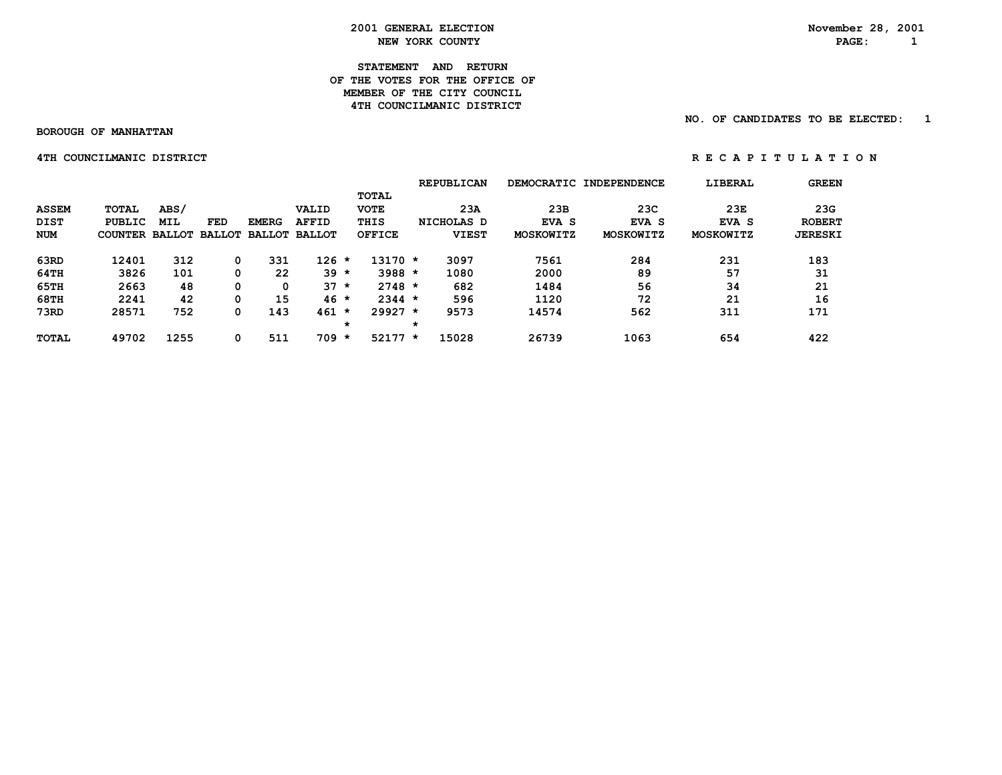**STATEMENT AND RETURN OF THE VOTES FOR THE OFFICE OFMEMBER OF THE CITY COUNCIL 4TH COUNCILMANIC DISTRICT** 

 **BOROUGH OF MANHATTAN**

 **NO. OF CANDIDATES TO BE ELECTED: 1**

 **4TH COUNCILMANIC DISTRICT A REPORT OF REGAPITULATION** 

|              |                       |      |     |              |                      |         |              | <b>REPUBLICAN</b> |                  | DEMOCRATIC INDEPENDENCE | LIBERAL          | <b>GREEN</b>   |
|--------------|-----------------------|------|-----|--------------|----------------------|---------|--------------|-------------------|------------------|-------------------------|------------------|----------------|
|              |                       |      |     |              |                      |         | <b>TOTAL</b> |                   |                  |                         |                  |                |
| <b>ASSEM</b> | <b>TOTAL</b>          | ABS/ |     |              | VALID                |         | <b>VOTE</b>  | 23A               | 23B              | 23C                     | 23E              | 23G            |
| <b>DIST</b>  | PUBLIC                | MIL  | FED | <b>EMERG</b> | <b>AFFID</b>         |         | THIS         | NICHOLAS D        | EVA S            | EVA S                   | EVA S            | <b>ROBERT</b>  |
| <b>NUM</b>   | COUNTER BALLOT BALLOT |      |     |              | <b>BALLOT BALLOT</b> |         | OFFICE       | <b>VIEST</b>      | <b>MOSKOWITZ</b> | MOSKOWITZ               | <b>MOSKOWITZ</b> | <b>JERESKI</b> |
| 63RD         | 12401                 | 312  |     | 331          | 126                  | $\star$ | $13170 *$    | 3097              | 7561             | 284                     | 231              | 183            |
| $64$ TH      | 3826                  | 101  |     | 22           | $39 *$               |         | $3988 *$     | 1080              | 2000             | 89                      | 57               | 31             |
| 65TH         | 2663                  | 48   |     | 0            | 37                   | $\star$ | $2748 *$     | 682               | 1484             | 56                      | 34               | 21             |
| <b>68TH</b>  | 2241                  | 42   |     | 15           | 46 *                 |         | $2344 *$     | 596               | 1120             | 72                      | 21               | 16             |
| 73RD         | 28571                 | 752  |     | 143          | 461                  | $\star$ | $29927 *$    | 9573              | 14574            | 562                     | 311              | 171            |
|              |                       |      |     |              |                      | *       |              | $\star$           |                  |                         |                  |                |
| <b>TOTAL</b> | 49702                 | 1255 |     | 511          | 709                  | *       | $52177 *$    | 15028             | 26739            | 1063                    | 654              | 422            |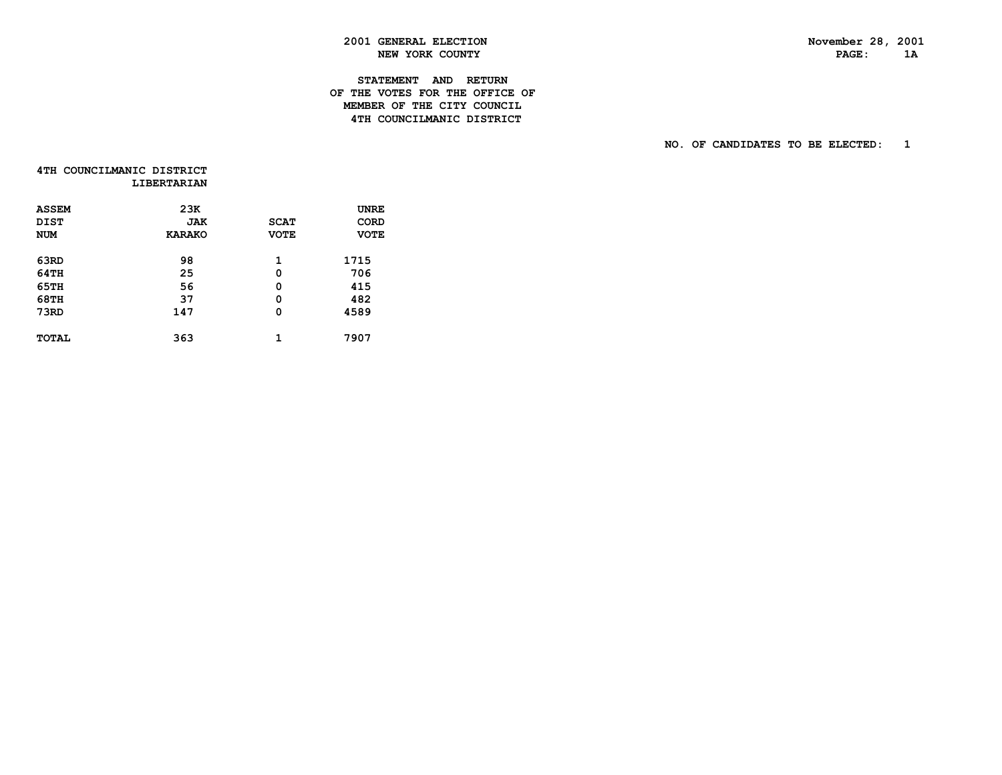PAGE: 1A

### **2001 GENERAL ELECTION November 28, 2001 NEW YORK COUNTY**

### **STATEMENT AND RETURN OF THE VOTES FOR THE OFFICE OF MEMBER OF THE CITY COUNCIL4TH COUNCILMANIC DISTRICT**

|  | 4TH COUNCILMANIC DISTRICT |                    |
|--|---------------------------|--------------------|
|  |                           | <b>LIBERTARIAN</b> |

| <b>ASSEM</b><br><b>DIST</b><br><b>NUM</b> | 23K<br>JAK<br><b>KARAKO</b> | <b>SCAT</b><br><b>VOTE</b> | UNRE<br><b>CORD</b><br><b>VOTE</b> |
|-------------------------------------------|-----------------------------|----------------------------|------------------------------------|
| 63RD                                      | 98                          | 1                          | 1715                               |
| 64TH                                      | 25                          | 0                          | 706                                |
| 65TH                                      | 56                          | 0                          | 415                                |
| <b>68TH</b>                               | 37                          | 0                          | 482                                |
| 73RD                                      | 147                         | 0                          | 4589                               |
| <b>TOTAL</b>                              | 363                         | 1                          | 7907                               |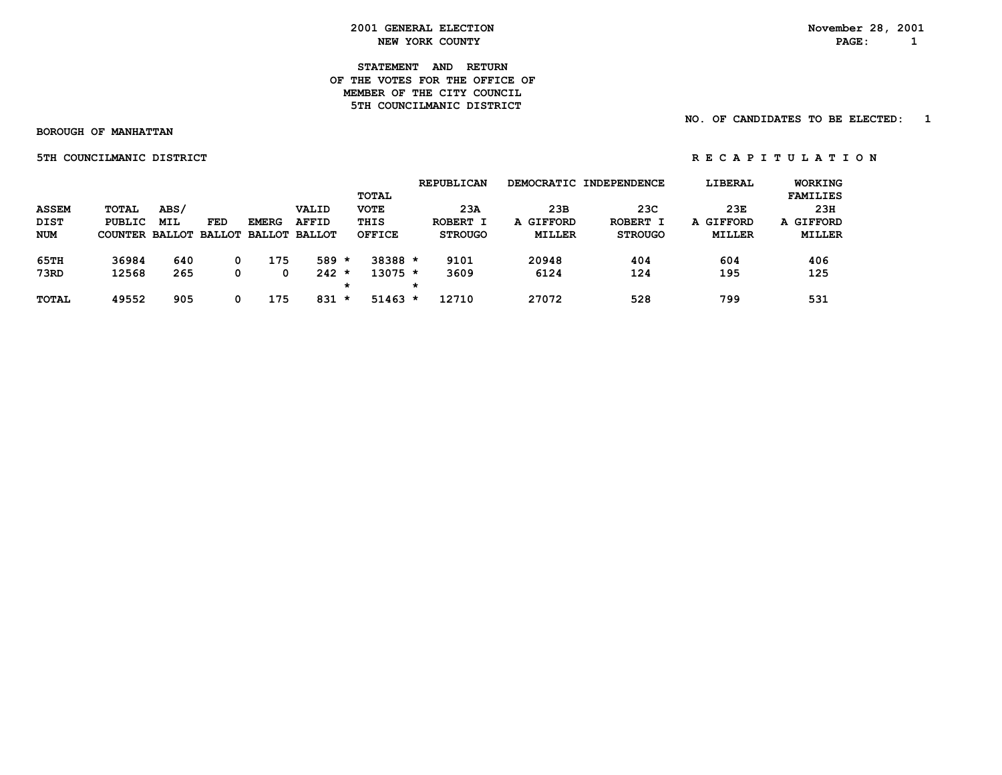**STATEMENT AND RETURN OF THE VOTES FOR THE OFFICE OFMEMBER OF THE CITY COUNCIL 5TH COUNCILMANIC DISTRICT** 

 **NO. OF CANDIDATES TO BE ELECTED: 1**

 **BOROUGH OF MANHATTAN**

 **5TH COUNCILMANIC DISTRICT A REPORT OF REGAPITULATION** 

|              |         |            |            |              |                             |         |               |         | <b>REPUBLICAN</b> |               | DEMOCRATIC INDEPENDENCE | LIBERAL       | <b>WORKING</b>      |
|--------------|---------|------------|------------|--------------|-----------------------------|---------|---------------|---------|-------------------|---------------|-------------------------|---------------|---------------------|
|              |         |            |            |              |                             |         | TOTAL         |         |                   |               |                         |               | <b>FAMILIES</b>     |
| <b>ASSEM</b> | TOTAL   | ABS/       |            |              | VALID                       |         | <b>VOTE</b>   |         | 23A               | 23B           | 23C                     | 23E           | 23H                 |
| <b>DIST</b>  | PUBLIC  | <b>MIL</b> | <b>FED</b> | <b>EMERG</b> | <b>AFFID</b>                |         | THIS          |         | ROBERT I          | A GIFFORD     | ROBERT I                | A GIFFORD     | <b>GIFFORD</b><br>A |
| <b>NUM</b>   | COUNTER |            |            |              | BALLOT BALLOT BALLOT BALLOT |         | <b>OFFICE</b> |         | <b>STROUGO</b>    | <b>MILLER</b> | <b>STROUGO</b>          | <b>MILLER</b> | <b>MILLER</b>       |
| 65TH         | 36984   | 640        | 0          | 175          | $589 *$                     |         | $38388 *$     |         | 9101              | 20948         | 404                     | 604           | 406                 |
| 73RD         | 12568   | 265        | 0          |              | $242 *$                     |         | $13075 *$     |         | 3609              | 6124          | 124                     | 195           | 125                 |
|              |         |            |            |              |                             | *       |               | $\star$ |                   |               |                         |               |                     |
| <b>TOTAL</b> | 49552   | 905        |            | 175          | 831                         | $\star$ | $51463 *$     |         | 12710             | 27072         | 528                     | 799           | 531                 |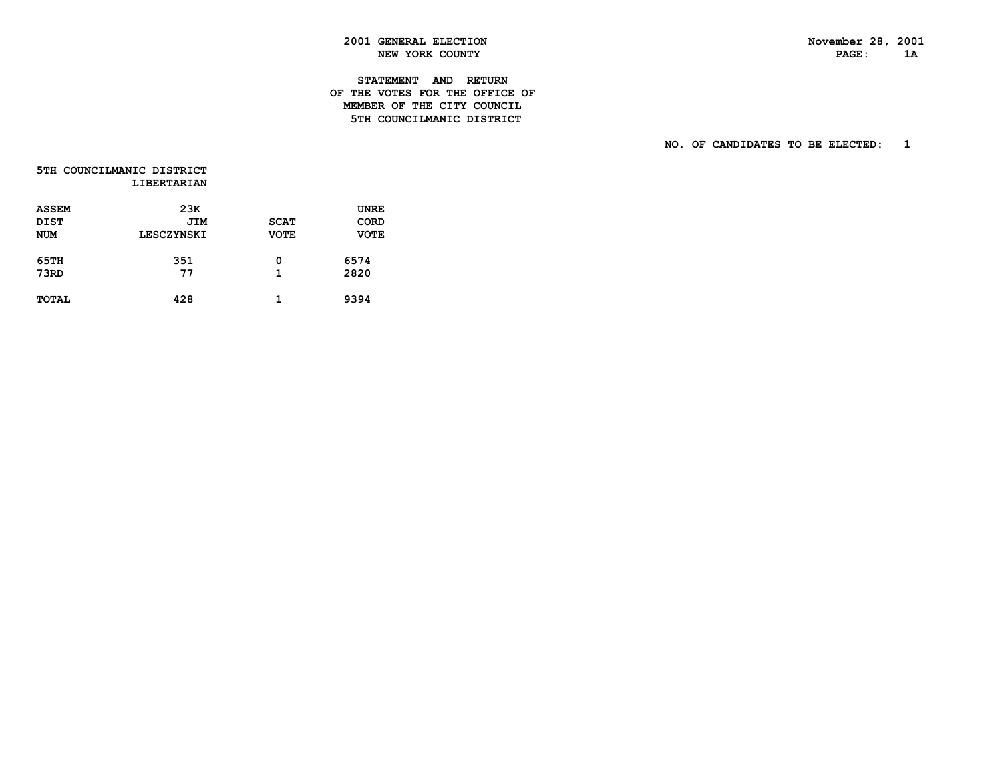PAGE: 1A

### **2001 GENERAL ELECTION November 28, 2001 NEW YORK COUNTY**

### **STATEMENT AND RETURN OF THE VOTES FOR THE OFFICE OF MEMBER OF THE CITY COUNCIL5TH COUNCILMANIC DISTRICT**

|  | 5TH COUNCILMANIC DISTRICT |                    |
|--|---------------------------|--------------------|
|  |                           | <b>LIBERTARIAN</b> |

| <b>ASSEM</b><br>DIST<br><b>NUM</b> | 23K<br><b>JIM</b><br>LESCZYNSKI | <b>SCAT</b><br><b>VOTE</b> | UNRE<br>CORD<br><b>VOTE</b> |
|------------------------------------|---------------------------------|----------------------------|-----------------------------|
| 65TH<br>73RD                       | 351<br>77                       | 0<br>1                     | 6574<br>2820                |
| <b>TOTAL</b>                       | 428                             | 1                          | 9394                        |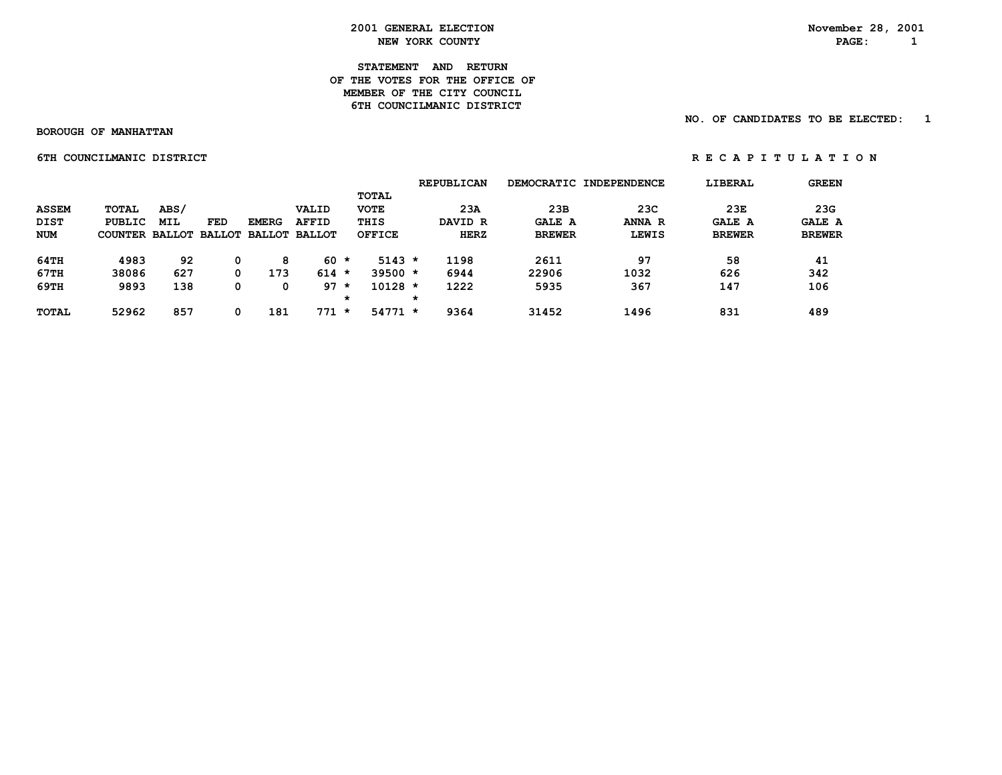### **STATEMENT AND RETURN OF THE VOTES FOR THE OFFICE OFMEMBER OF THE CITY COUNCIL 6TH COUNCILMANIC DISTRICT**

 **NO. OF CANDIDATES TO BE ELECTED: 1**

 **BOROUGH OF MANHATTAN**

 **6TH COUNCILMANIC DISTRICT A REPORT OF REGAPITULATION** 

|              |                                     |      |     |              |              |         |               |   | <b>REPUBLICAN</b> |               | DEMOCRATIC INDEPENDENCE | LIBERAL       | <b>GREEN</b>  |
|--------------|-------------------------------------|------|-----|--------------|--------------|---------|---------------|---|-------------------|---------------|-------------------------|---------------|---------------|
|              |                                     |      |     |              |              |         | <b>TOTAL</b>  |   |                   |               |                         |               |               |
| <b>ASSEM</b> | TOTAL                               | ABS/ |     |              | VALID        |         | <b>VOTE</b>   |   | 23A               | 23B           | 23C                     | 23E           | 23G           |
| <b>DIST</b>  | PUBLIC                              | MIL  | FED | <b>EMERG</b> | <b>AFFID</b> |         | THIS          |   | DAVID R           | <b>GALE A</b> | ANNA R                  | <b>GALE A</b> | <b>GALE A</b> |
| <b>NUM</b>   | COUNTER BALLOT BALLOT BALLOT BALLOT |      |     |              |              |         | <b>OFFICE</b> |   | HERZ              | <b>BREWER</b> | <b>LEWIS</b>            | <b>BREWER</b> | <b>BREWER</b> |
| 64TH         | 4983                                | 92   |     | 8            | 60 *         |         | $5143 *$      |   | 1198              | 2611          | 97                      | 58            | 41            |
| 67TH         | 38086                               | 627  |     | 173          | $614 *$      |         | $39500 *$     |   | 6944              | 22906         | 1032                    | 626           | 342           |
| 69TH         | 9893                                | 138  |     | 0            | 97           | $\star$ | $10128 *$     |   | 1222              | 5935          | 367                     | 147           | 106           |
|              |                                     |      |     |              |              | *       |               | * |                   |               |                         |               |               |
| <b>TOTAL</b> | 52962                               | 857  |     | 181          | 771          | $\star$ | $54771 *$     |   | 9364              | 31452         | 1496                    | 831           | 489           |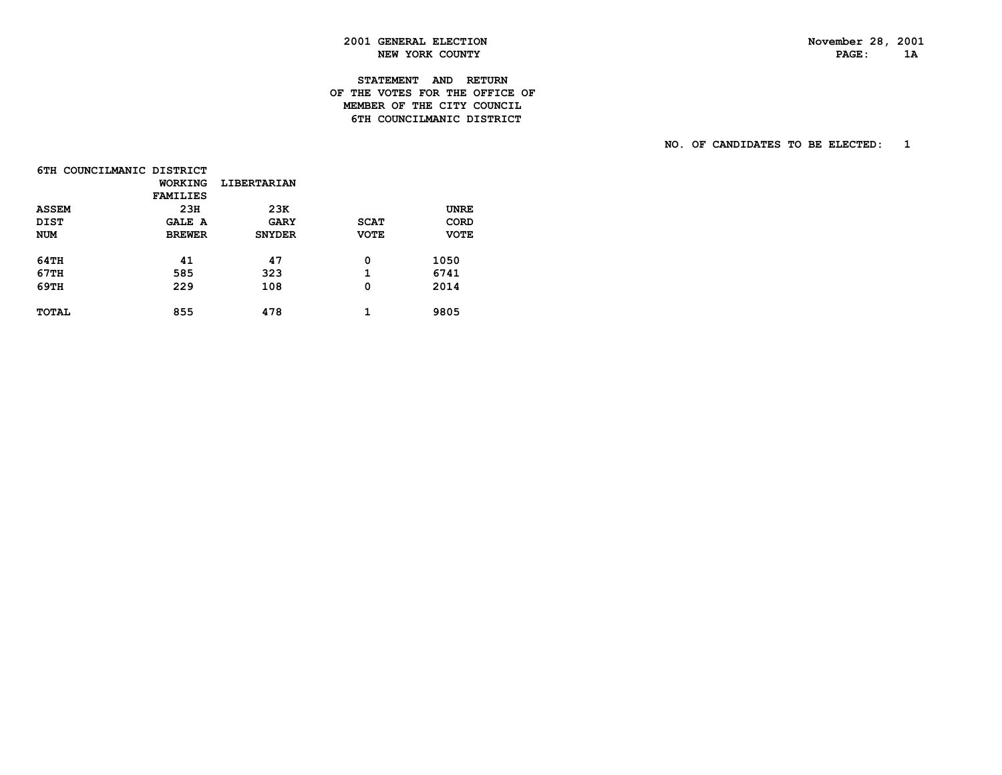PAGE: 1A

### **2001 GENERAL ELECTION November 28, 2001 NEW YORK COUNTY**

### **STATEMENT AND RETURN OF THE VOTES FOR THE OFFICE OF MEMBER OF THE CITY COUNCIL6TH COUNCILMANIC DISTRICT**

|              | 6TH COUNCILMANIC DISTRICT |                    |             |             |
|--------------|---------------------------|--------------------|-------------|-------------|
|              | WORKING                   | <b>LIBERTARIAN</b> |             |             |
|              | <b>FAMILIES</b>           |                    |             |             |
| <b>ASSEM</b> | 23H                       | 23K                |             | <b>UNRE</b> |
| <b>DIST</b>  | <b>GALE A</b>             | <b>GARY</b>        | <b>SCAT</b> | <b>CORD</b> |
| <b>NUM</b>   | <b>BREWER</b>             | <b>SNYDER</b>      | <b>VOTE</b> | <b>VOTE</b> |
| 64TH         | 41                        | 47                 | 0           |             |
|              |                           |                    |             | 1050        |
| 67TH         | 585                       | 323                | 1           | 6741        |
| 69TH         | 229                       | 108                | 0           | 2014        |
| <b>TOTAL</b> | 855                       | 478                | 1           | 9805        |
|              |                           |                    |             |             |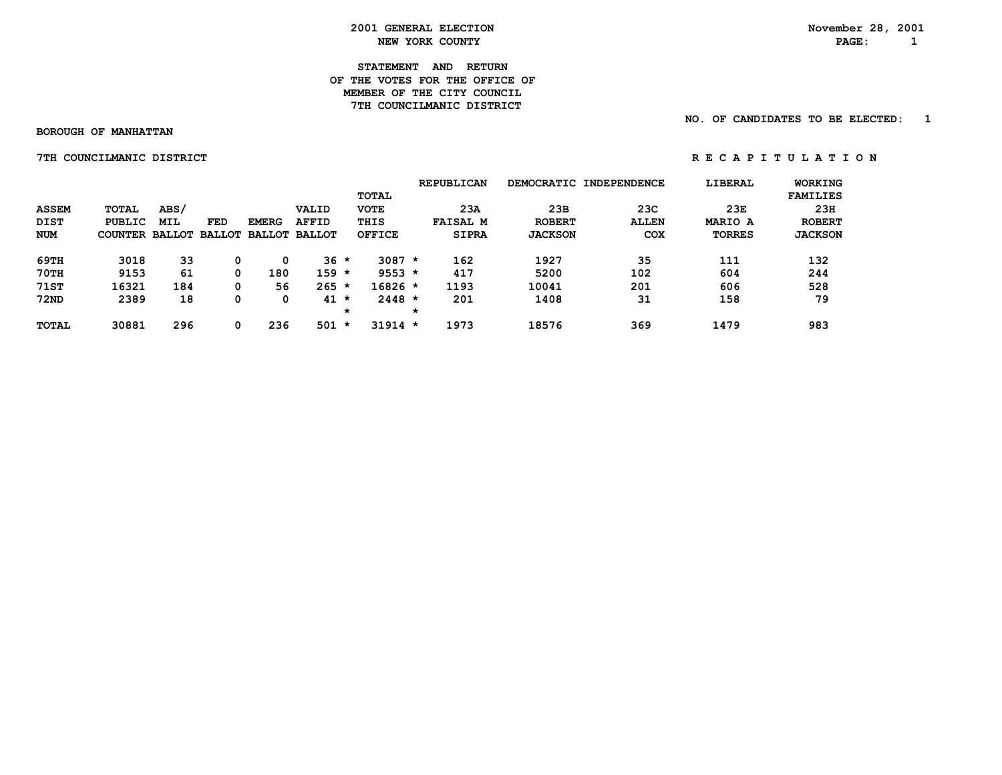### **STATEMENT AND RETURN OF THE VOTES FOR THE OFFICE OFMEMBER OF THE CITY COUNCIL 7TH COUNCILMANIC DISTRICT**

 **NO. OF CANDIDATES TO BE ELECTED: 1**

 **BOROUGH OF MANHATTAN**

 **7TH COUNCILMANIC DISTRICT A REPORT OF REGAPITULATION** 

|              |         |      |     |              |                             |         |              |         | <b>REPUBLICAN</b> |                | DEMOCRATIC INDEPENDENCE | LIBERAL        | <b>WORKING</b>  |
|--------------|---------|------|-----|--------------|-----------------------------|---------|--------------|---------|-------------------|----------------|-------------------------|----------------|-----------------|
|              |         |      |     |              |                             |         | <b>TOTAL</b> |         |                   |                |                         |                | <b>FAMILIES</b> |
| <b>ASSEM</b> | TOTAL   | ABS/ |     |              | VALID                       |         | <b>VOTE</b>  |         | 23A               | 23B            | 23C                     | 23E            | 23H             |
| <b>DIST</b>  | PUBLIC  | MIL  | FED | <b>EMERG</b> | <b>AFFID</b>                |         | THIS         |         | <b>FAISAL M</b>   | <b>ROBERT</b>  | <b>ALLEN</b>            | <b>MARIO A</b> | <b>ROBERT</b>   |
| <b>NUM</b>   | COUNTER |      |     |              | BALLOT BALLOT BALLOT BALLOT |         | OFFICE       |         | <b>SIPRA</b>      | <b>JACKSON</b> | COX                     | <b>TORRES</b>  | <b>JACKSON</b>  |
| 69TH         | 3018    | 33   | 0   |              | $36 *$                      |         | $3087 *$     |         | 162               | 1927           | 35                      | 111            | 132             |
| 70TH         | 9153    | 61   | 0   | 180          | $159 *$                     |         | $9553 *$     |         | 417               | 5200           | 102                     | 604            | 244             |
| <b>71ST</b>  | 16321   | 184  | 0   | 56           | $265 *$                     |         | $16826 *$    |         | 1193              | 10041          | 201                     | 606            | 528             |
| <b>72ND</b>  | 2389    | 18   | 0   |              | 41                          | $\star$ | $2448 *$     |         | 201               | 1408           | 31                      | 158            | 79              |
|              |         |      |     |              |                             | *       |              | $\star$ |                   |                |                         |                |                 |
| <b>TOTAL</b> | 30881   | 296  | 0   | 236          | 501                         | $\star$ | $31914 *$    |         | 1973              | 18576          | 369                     | 1479           | 983             |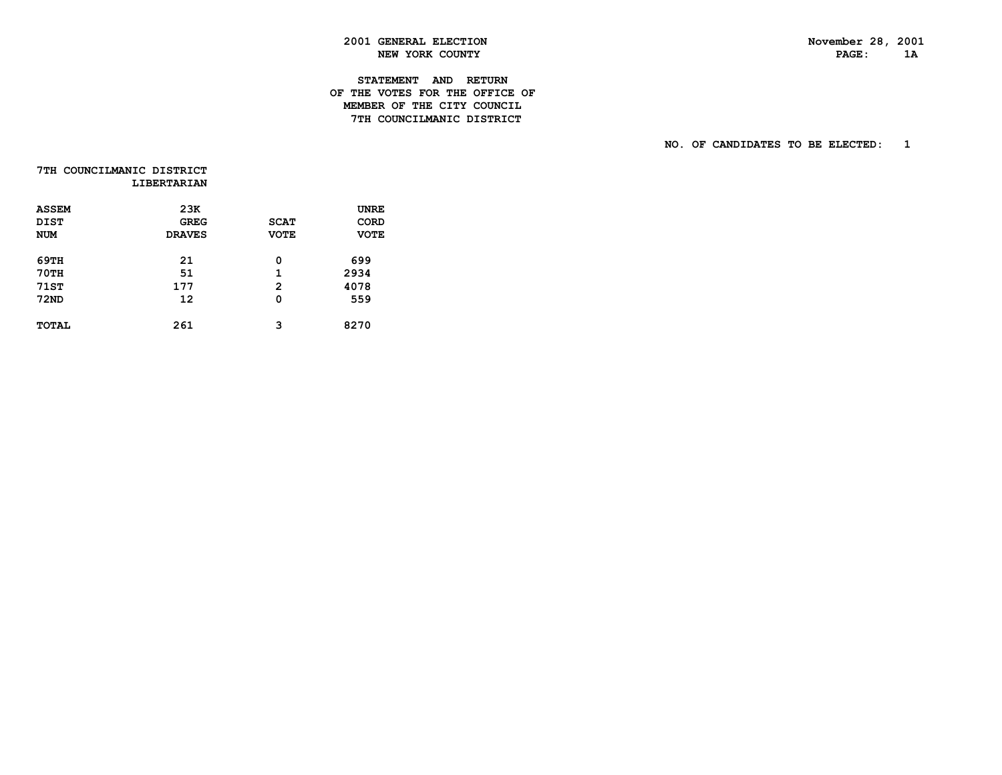PAGE: 1A

### **2001 GENERAL ELECTION November 28, 2001 NEW YORK COUNTY**

### **STATEMENT AND RETURN OF THE VOTES FOR THE OFFICE OF MEMBER OF THE CITY COUNCIL7TH COUNCILMANIC DISTRICT**

| 7TH COUNCILMANIC DISTRICT |                    |
|---------------------------|--------------------|
|                           | <b>LIBERTARIAN</b> |

| <b>ASSEM</b><br><b>DIST</b><br><b>NUM</b>  | 23K<br><b>GREG</b><br><b>DRAVES</b> | <b>SCAT</b><br><b>VOTE</b>  | UNRE<br><b>CORD</b><br><b>VOTE</b> |
|--------------------------------------------|-------------------------------------|-----------------------------|------------------------------------|
| 69TH<br><b>70TH</b><br>71ST<br><b>72ND</b> | 21<br>51<br>177<br>12               | 0<br>1<br>$\mathbf{2}$<br>Ω | 699<br>2934<br>4078<br>559         |
| <b>TOTAL</b>                               | 261                                 | 3                           | 8270                               |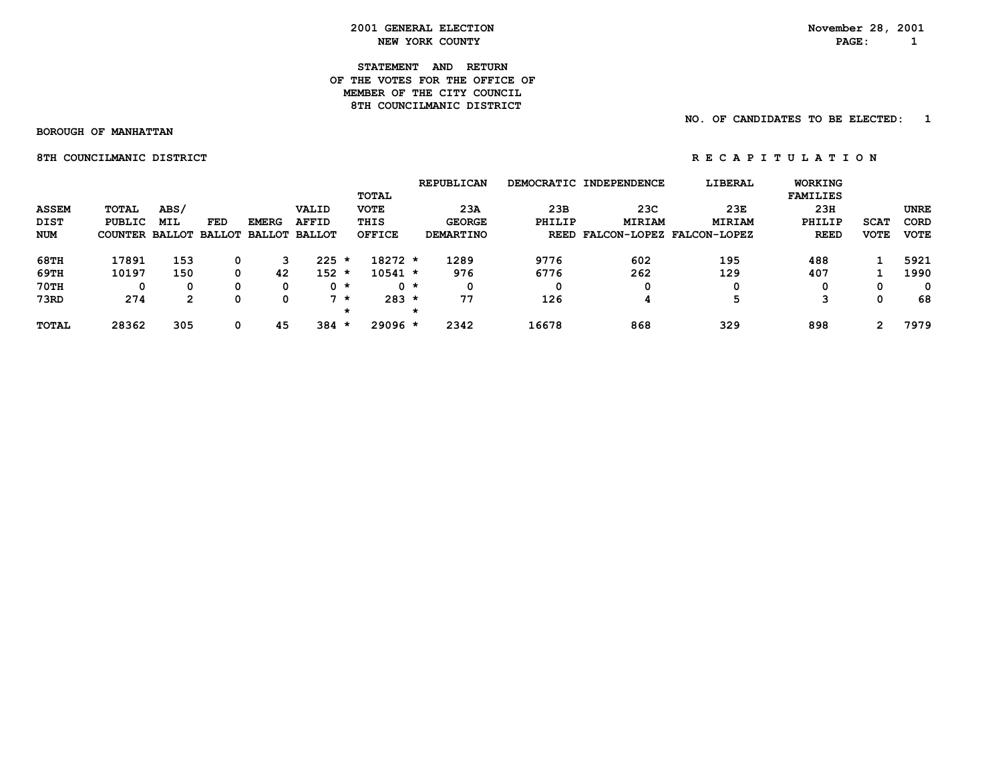### **STATEMENT AND RETURN OF THE VOTES FOR THE OFFICE OFMEMBER OF THE CITY COUNCIL** 8TH COUNCILMANIC DISTRICT

### **NO. OF CANDIDATES TO BE ELECTED: 1**

 **BOROUGH OF MANHATTAN**

**8TH COUNCILMANIC DISTRICT A REPORT OF REGAPITULATION** 

|              |                       |            |               |               |               |         |               | <b>REPUBLICAN</b> |        | DEMOCRATIC INDEPENDENCE        | LIBERAL       | <b>WORKING</b>  |             |             |
|--------------|-----------------------|------------|---------------|---------------|---------------|---------|---------------|-------------------|--------|--------------------------------|---------------|-----------------|-------------|-------------|
|              |                       |            |               |               |               |         | <b>TOTAL</b>  |                   |        |                                |               | <b>FAMILIES</b> |             |             |
| <b>ASSEM</b> | <b>TOTAL</b>          | ABS/       |               |               | VALID         |         | <b>VOTE</b>   | 23A               | 23B    | 23C                            | 23E           | 23H             |             | <b>UNRE</b> |
| DIST         | PUBLIC                | <b>MIL</b> | FED           | <b>EMERG</b>  | <b>AFFID</b>  |         | THIS          | <b>GEORGE</b>     | PHILIP | <b>MIRIAM</b>                  | <b>MIRIAM</b> | PHILIP          | <b>SCAT</b> | CORD        |
| <b>NUM</b>   | <b>COUNTER BALLOT</b> |            | <b>BALLOT</b> | <b>BALLOT</b> | <b>BALLOT</b> |         | <b>OFFICE</b> | <b>DEMARTINO</b>  |        | REED FALCON-LOPEZ FALCON-LOPEZ |               | <b>REED</b>     | <b>VOTE</b> | <b>VOTE</b> |
| 68TH         | 17891                 | 153        | 0             |               | 225           | $\star$ | 18272 *       | 1289              | 9776   | 602                            | 195           | 488             |             | 5921        |
| 69TH         | 10197                 | 150        | 0             | 42            | 152           | *       | $10541 *$     | 976               | 6776   | 262                            | 129           | 407             |             | 1990        |
| 70TH         |                       | 0          | 0             | 0             | 0 *           |         | $0 *$         | 0                 |        | 0                              | 0             | 0               | 0           | 0           |
| 73RD         | 274                   | 2          | 0             | Ω             |               | *       | $283 *$       | 77                | 126    |                                | 5             | 3               | 0           | 68          |
|              |                       |            |               |               |               | $\star$ |               |                   |        |                                |               |                 |             |             |
| <b>TOTAL</b> | 28362                 | 305        | 0             | 45            | 384           | *       | 29096 *       | 2342              | 16678  | 868                            | 329           | 898             | 2           | 7979        |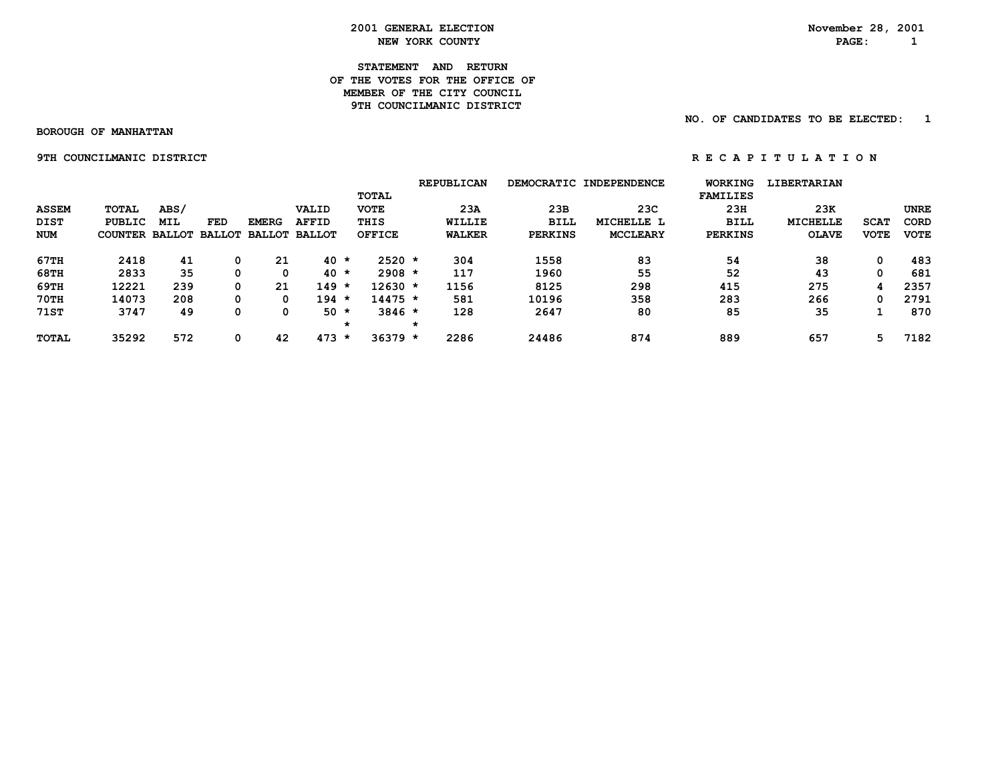### **STATEMENT AND RETURN OF THE VOTES FOR THE OFFICE OFMEMBER OF THE CITY COUNCIL 9TH COUNCILMANIC DISTRICT**

 **BOROUGH OF MANHATTAN**

 **NO. OF CANDIDATES TO BE ELECTED: 1**

**9TH COUNCILMANIC DISTRICT SERVICE REPORTS ON STATE OF A T I O N** 

|              |                       |            |            |                             |              |              |               | <b>REPUBLICAN</b> |        |                | DEMOCRATIC INDEPENDENCE | <b>WORKING</b>  | <b>LIBERTARIAN</b> |             |             |
|--------------|-----------------------|------------|------------|-----------------------------|--------------|--------------|---------------|-------------------|--------|----------------|-------------------------|-----------------|--------------------|-------------|-------------|
|              |                       |            |            |                             |              | <b>TOTAL</b> |               |                   |        |                |                         | <b>FAMILIES</b> |                    |             |             |
| <b>ASSEM</b> | TOTAL                 | ABS/       |            |                             | VALID        | <b>VOTE</b>  |               |                   | 23A    | 23B            | 23C                     | 23H             | 23K                |             | <b>UNRE</b> |
| DIST         | PUBLIC                | <b>MIL</b> | <b>FED</b> | <b>EMERG</b>                | <b>AFFID</b> | THIS         |               |                   | WILLIE | <b>BILL</b>    | MICHELLE L              | <b>BILL</b>     | <b>MICHELLE</b>    | <b>SCAT</b> | CORD        |
| <b>NUM</b>   | <b>COUNTER BALLOT</b> |            |            | <b>BALLOT BALLOT BALLOT</b> |              |              | <b>OFFICE</b> | <b>WALKER</b>     |        | <b>PERKINS</b> | <b>MCCLEARY</b>         | <b>PERKINS</b>  | <b>OLAVE</b>       | <b>VOTE</b> | <b>VOTE</b> |
| 67TH         | 2418                  | 41         | 0          | 21                          | $40*$        |              | $2520 *$      | 304               |        | 1558           | 83                      | 54              | 38                 | 0           | 483         |
| <b>68TH</b>  | 2833                  | 35         | 0          | 0                           | $40*$        |              | $2908 *$      | 117               |        | 1960           | 55                      | 52              | 43                 | 0           | 681         |
| 69TH         | 12221                 | 239        | 0          | 21                          | $149 *$      |              | 12630 *       | 1156              |        | 8125           | 298                     | 415             | 275                | 4           | 2357        |
| 70TH         | 14073                 | 208        | 0          | 0                           | 194          | *            | $14475 *$     | 581               |        | 10196          | 358                     | 283             | 266                | 0           | 2791        |
| 71ST         | 3747                  | 49         | 0          | 0                           | $50 *$       |              | $3846 *$      | 128               |        | 2647           | 80                      | 85              | 35                 |             | 870         |
|              |                       |            |            |                             |              | $\star$      |               |                   |        |                |                         |                 |                    |             |             |
| <b>TOTAL</b> | 35292                 | 572        | 0          | 42                          | 473          | $\star$      | $36379 *$     | 2286              |        | 24486          | 874                     | 889             | 657                | 5.          | 7182        |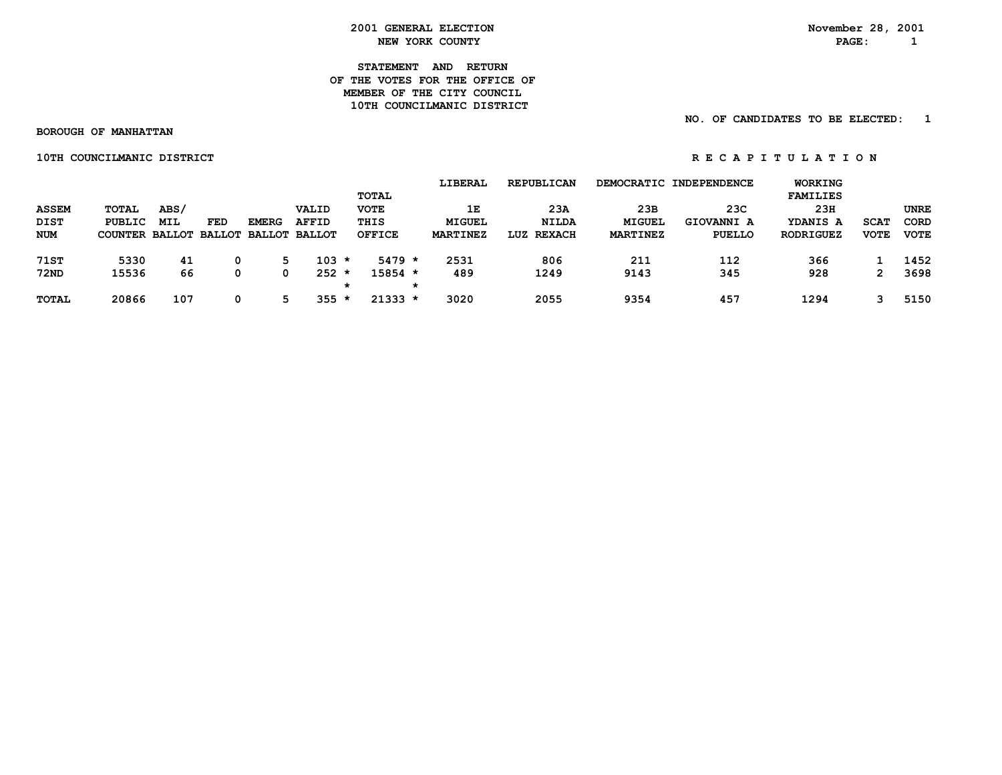**STATEMENT AND RETURN OF THE VOTES FOR THE OFFICE OFMEMBER OF THE CITY COUNCIL 10TH COUNCILMANIC DISTRICT** 

 **NO. OF CANDIDATES TO BE ELECTED: 1**

 **BOROUGH OF MANHATTAN**

 **10TH COUNCILMANIC DISTRICT A REPORT OF REGARITY ON REGARITY ON REGARITY ON REGARITY ON REGARITY ON REGARITY ON** 

|              |                |      |     |                      |              |    |               |   | LIBERAL         | <b>REPUBLICAN</b>    |                 | DEMOCRATIC INDEPENDENCE | WORKING          |             |             |
|--------------|----------------|------|-----|----------------------|--------------|----|---------------|---|-----------------|----------------------|-----------------|-------------------------|------------------|-------------|-------------|
|              |                |      |     |                      |              |    | <b>TOTAL</b>  |   |                 |                      |                 |                         | <b>FAMILIES</b>  |             |             |
| <b>ASSEM</b> | TOTAL          | ABS/ |     |                      | VALID        |    | <b>VOTE</b>   |   | 1E              | 23A                  | 23B             | 23C                     | 23H              |             | <b>UNRE</b> |
| DIST         | PUBLIC         | MIL  | FED | <b>EMERG</b>         | <b>AFFID</b> |    | THIS          |   | MIGUEL          | <b>NILDA</b>         | <b>MIGUEL</b>   | <b>GIOVANNI A</b>       | YDANIS A         | <b>SCAT</b> | <b>CORD</b> |
| <b>NUM</b>   | COUNTER BALLOT |      |     | BALLOT BALLOT BALLOT |              |    | <b>OFFICE</b> |   | <b>MARTINEZ</b> | <b>REXACH</b><br>LUZ | <b>MARTINEZ</b> | PUELLO                  | <b>RODRIGUEZ</b> | <b>VOTE</b> | <b>VOTE</b> |
|              |                |      |     |                      |              |    |               |   |                 |                      |                 |                         |                  |             |             |
| <b>71ST</b>  | 5330           | 41   |     | 5                    | $103 *$      |    | $5479 *$      |   | 2531            | 806                  | 211             | 112                     | 366              |             | 1452        |
| <b>72ND</b>  | 15536          | 66   |     | 0                    | $252 *$      |    | 15854 *       |   | 489             | 1249                 | 9143            | 345                     | 928              | 2           | 3698        |
|              |                |      |     |                      |              | *  |               | * |                 |                      |                 |                         |                  |             |             |
| <b>TOTAL</b> | 20866          | 107  |     | ᄃ                    | 355          | -∗ | $21333 *$     |   | 3020            | 2055                 | 9354            | 457                     | 1294             |             | 5150        |
|              |                |      |     |                      |              |    |               |   |                 |                      |                 |                         |                  |             |             |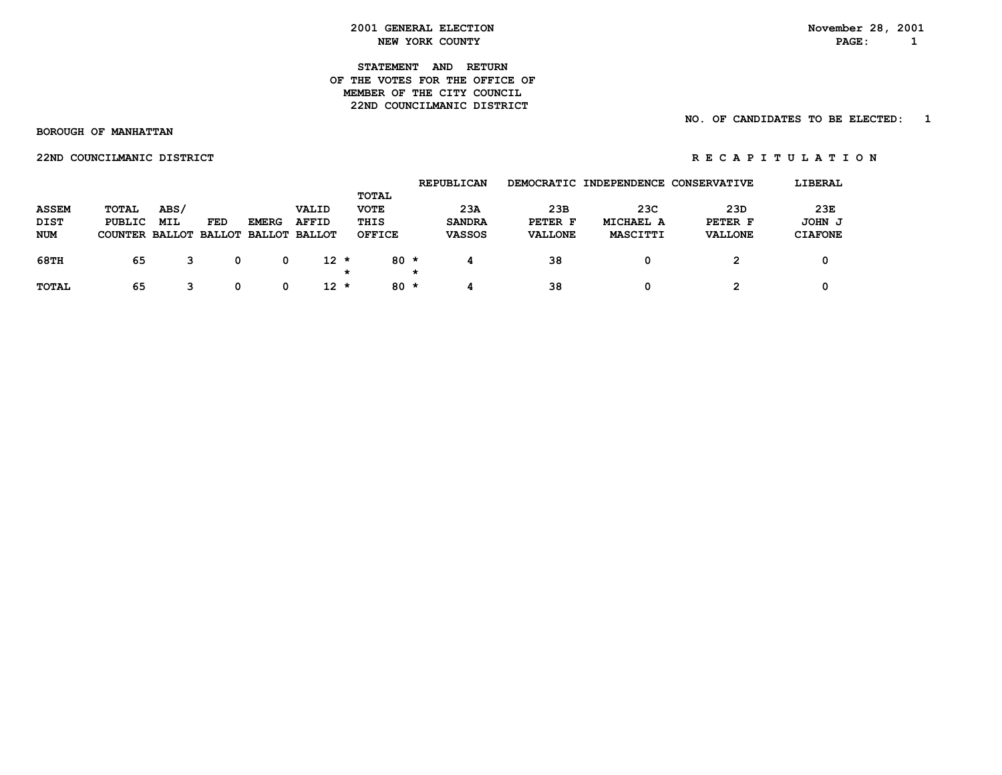### **STATEMENT AND RETURN OF THE VOTES FOR THE OFFICE OFMEMBER OF THE CITY COUNCIL 22ND COUNCILMANIC DISTRICT**

### **NO. OF CANDIDATES TO BE ELECTED: 1**

 **BOROUGH OF MANHATTAN**

 **22NDCOUNCILMANICDISTRICT R E C A P I T U L A T I O N**

|              |                                     |            |            |              |              |               | <b>REPUBLICAN</b> | <b>DEMOCRATIC</b> | INDEPENDENCE | <b>CONSERVATIVE</b> | LIBERAL        |
|--------------|-------------------------------------|------------|------------|--------------|--------------|---------------|-------------------|-------------------|--------------|---------------------|----------------|
|              |                                     |            |            |              |              | TOTAL         |                   |                   |              |                     |                |
| <b>ASSEM</b> | <b>TOTAL</b>                        | ABS/       |            |              | VALID        | <b>VOTE</b>   | 23A               | 23B               | 23C          | 23D                 | 23E            |
| <b>DIST</b>  | PUBLIC                              | <b>MIL</b> | <b>FED</b> | <b>EMERG</b> | <b>AFFID</b> | THIS          | <b>SANDRA</b>     | PETER F           | MICHAEL A    | PETER F             | JOHN J         |
| NUM          | COUNTER BALLOT BALLOT BALLOT BALLOT |            |            |              |              | <b>OFFICE</b> | <b>VASSOS</b>     | <b>VALLONE</b>    | MASCITTI     | <b>VALLONE</b>      | <b>CIAFONE</b> |
|              |                                     |            |            |              |              |               |                   |                   |              |                     |                |
| <b>68TH</b>  | 65                                  |            | 0          | 0            | $12 *$       | $80 *$        |                   | 38                | 0            | 2                   | 0              |
|              |                                     |            |            |              |              | *             | *                 |                   |              |                     |                |
| <b>TOTAL</b> | 65                                  | 3          | 0          | 0            | $12 *$       | $80 *$        |                   | 38                | 0            | 2                   | 0              |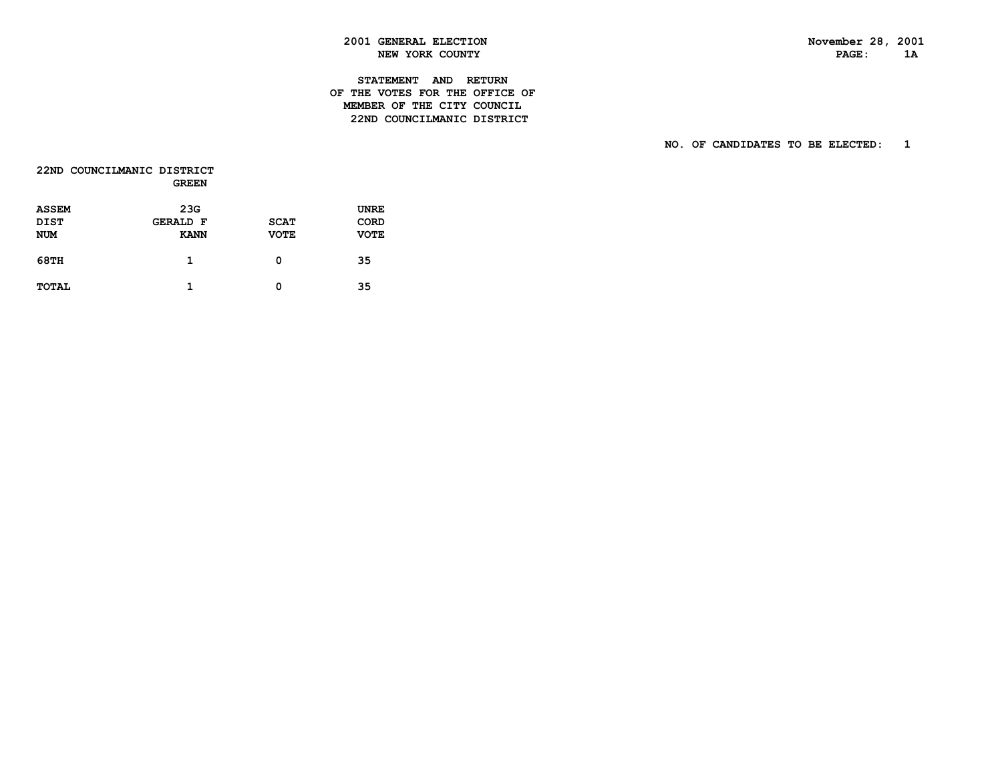$1A$ 

### **2001 GENERAL ELECTION November 28, 2001 NEW YORK COUNTY PAGE:**

### **STATEMENT AND RETURN OF THE VOTES FOR THE OFFICE OF MEMBER OF THE CITY COUNCIL22ND COUNCILMANIC DISTRICT**

|              | 22ND COUNCILMANIC DISTRICT<br><b>GREEN</b> |             |             |
|--------------|--------------------------------------------|-------------|-------------|
| <b>ASSEM</b> | 23G                                        |             | UNRE        |
| DIST         | <b>GERALD F</b>                            | <b>SCAT</b> | CORD        |
| <b>NUM</b>   | <b>KANN</b>                                | <b>VOTE</b> | <b>VOTE</b> |
| 68TH         | 1                                          | 0           | 35          |
| <b>TOTAL</b> | 1                                          | 0           | 35          |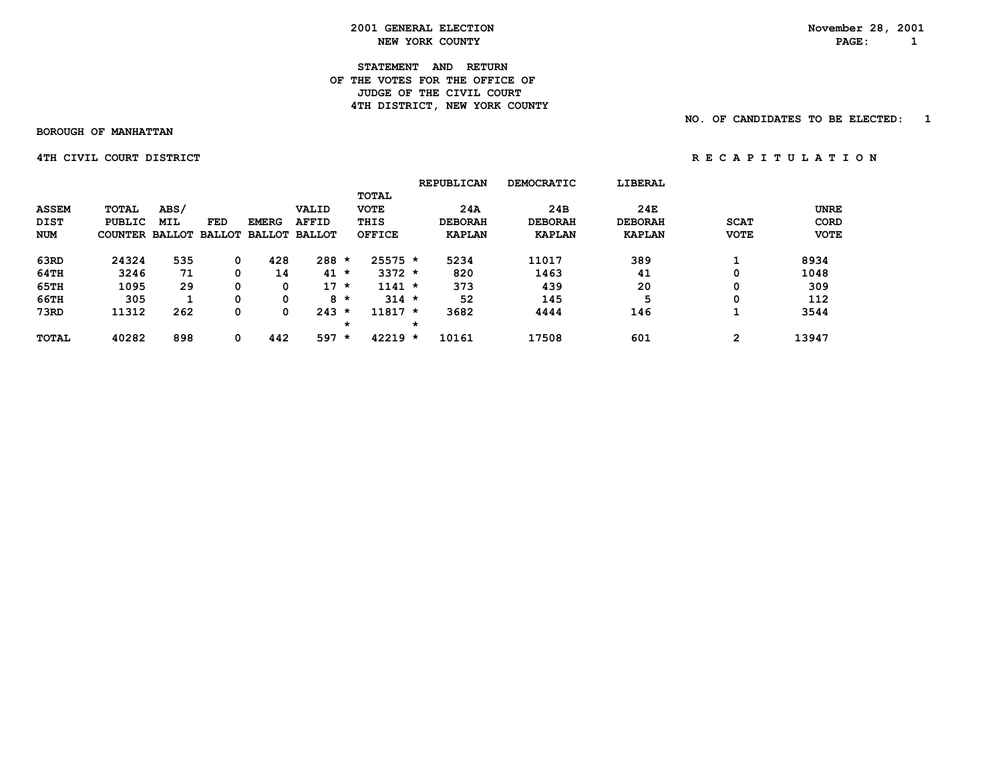**2001 GENERAL ELECTION** November 28, 2001<br> **NEW YORK COUNTY NEW YORK COUNTY NEW YORK COUNTY PAGE: 1**

**STATEMENT AND RETURN OF THE VOTES FOR THE OFFICE OF** *JUDGE OF THE CIVIL COURT* **4TH DISTRICT, NEW YORK COUNTY** 

 **NO. OF CANDIDATES TO BE ELECTED: 1**

 **BOROUGH OF MANHATTAN**

 **4THCIVIL COURTDISTRICT R E C A P I T U L A T I O N**

|              |                |            |     |              |                      |         |               |         | <b>REPUBLICAN</b> | <b>DEMOCRATIC</b> | LIBERAL        |             |             |
|--------------|----------------|------------|-----|--------------|----------------------|---------|---------------|---------|-------------------|-------------------|----------------|-------------|-------------|
|              |                |            |     |              |                      |         | <b>TOTAL</b>  |         |                   |                   |                |             |             |
| <b>ASSEM</b> | TOTAL          | ABS/       |     |              | <b>VALID</b>         |         | <b>VOTE</b>   |         | 24A               | 24B               | 24E            |             | <b>UNRE</b> |
| <b>DIST</b>  | PUBLIC         | <b>MIL</b> | FED | <b>EMERG</b> | <b>AFFID</b>         |         | THIS          |         | <b>DEBORAH</b>    | <b>DEBORAH</b>    | <b>DEBORAH</b> | <b>SCAT</b> | CORD        |
| <b>NUM</b>   | COUNTER BALLOT |            |     |              | BALLOT BALLOT BALLOT |         | <b>OFFICE</b> |         | <b>KAPLAN</b>     | <b>KAPLAN</b>     | <b>KAPLAN</b>  | <b>VOTE</b> | <b>VOTE</b> |
| 63RD         | 24324          | 535        | 0   | 428          | 288                  | $\star$ | $25575$ *     |         | 5234              | 11017             | 389            |             | 8934        |
| 64TH         | 3246           | 71         |     | 14           | 41                   | $\star$ | $3372 *$      |         | 820               | 1463              | 41             | 0           | 1048        |
| 65TH         | 1095           | 29         | 0   | 0            | $17 *$               |         | $1141 *$      |         | 373               | 439               | 20             | 0           | 309         |
| 66TH         | 305            |            | 0   | 0            |                      | $8 *$   | $314 *$       |         | 52                | 145               | 5              | 0           | 112         |
| 73RD         | 11312          | 262        | 0   | 0            | $243 *$              |         | $11817 *$     |         | 3682              | 4444              | 146            |             | 3544        |
|              |                |            |     |              |                      | $\star$ |               | $\star$ |                   |                   |                |             |             |
| <b>TOTAL</b> | 40282          | 898        | 0   | 442          | 597                  | $\star$ | $42219 *$     |         | 10161             | 17508             | 601            | 2           | 13947       |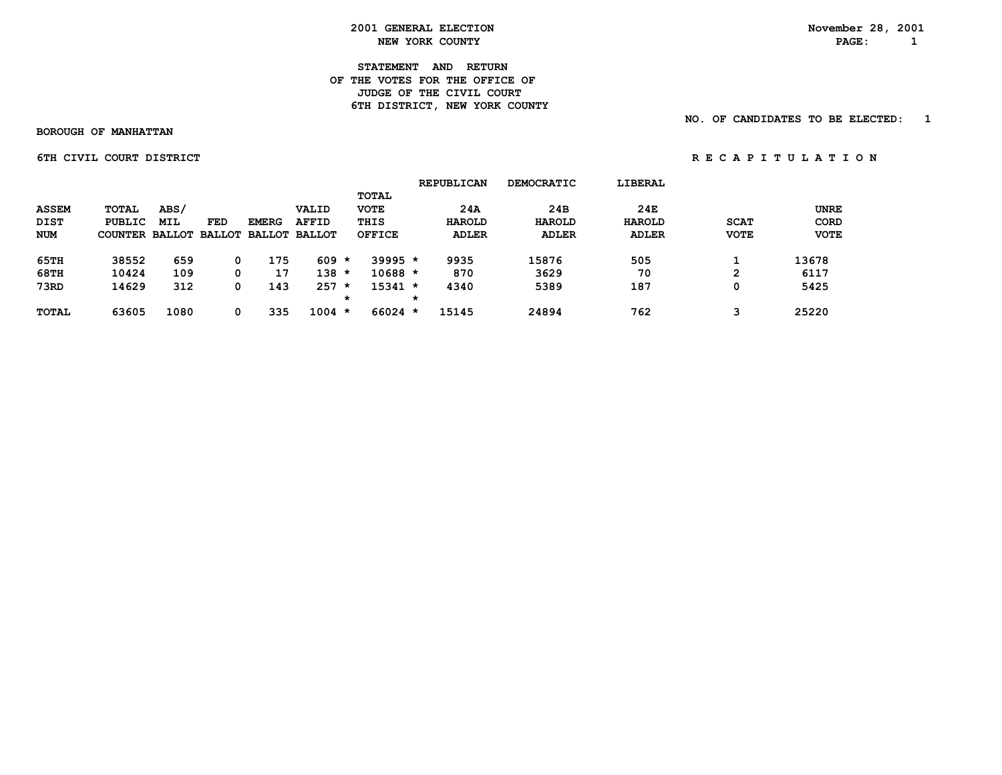**2001 GENERAL ELECTION** November 28, 2001<br> **NEW YORK COUNTY NEW YORK COUNTY NEW YORK COUNTY** 

**STATEMENT AND RETURN OF THE VOTES FOR THE OFFICE OF** *JUDGE OF THE CIVIL COURT* **6TH DISTRICT, NEW YORK COUNTY** 

 **NO. OF CANDIDATES TO BE ELECTED: 1**

 **BOROUGH OF MANHATTAN**

 **6TH CIVIL COURT DISTRICT A RE C A P I T U L A T I O N** 

|              |                                     |            |     |              |              |         |               |   | <b>REPUBLICAN</b> | <b>DEMOCRATIC</b> | LIBERAL       |             |             |
|--------------|-------------------------------------|------------|-----|--------------|--------------|---------|---------------|---|-------------------|-------------------|---------------|-------------|-------------|
|              |                                     |            |     |              |              |         | TOTAL         |   |                   |                   |               |             |             |
| <b>ASSEM</b> | TOTAL                               | ABS/       |     |              | VALID        |         | <b>VOTE</b>   |   | 24A               | 24B               | 24E           |             | <b>UNRE</b> |
| <b>DIST</b>  | PUBLIC                              | <b>MIL</b> | FED | <b>EMERG</b> | <b>AFFID</b> |         | THIS          |   | <b>HAROLD</b>     | HAROLD            | <b>HAROLD</b> | <b>SCAT</b> | <b>CORD</b> |
| <b>NUM</b>   | COUNTER BALLOT BALLOT BALLOT BALLOT |            |     |              |              |         | <b>OFFICE</b> |   | <b>ADLER</b>      | <b>ADLER</b>      | <b>ADLER</b>  | <b>VOTE</b> | <b>VOTE</b> |
| 65TH         | 38552                               | 659        |     | 175          | 609          | *       | $39995 *$     |   | 9935              | 15876             | 505           |             | 13678       |
| 68TH         | 10424                               | 109        |     | 17           | 138          | $\star$ | $10688 *$     |   | 870               | 3629              | 70            | 2           | 6117        |
| 73RD         | 14629                               | 312        |     | 143          | 257          | $\star$ | $15341 *$     |   | 4340              | 5389              | 187           | 0           | 5425        |
|              |                                     |            |     |              |              | *       |               | * |                   |                   |               |             |             |
| <b>TOTAL</b> | 63605                               | 1080       |     | 335          | $1004 *$     |         | $66024$ *     |   | 15145             | 24894             | 762           | з           | 25220       |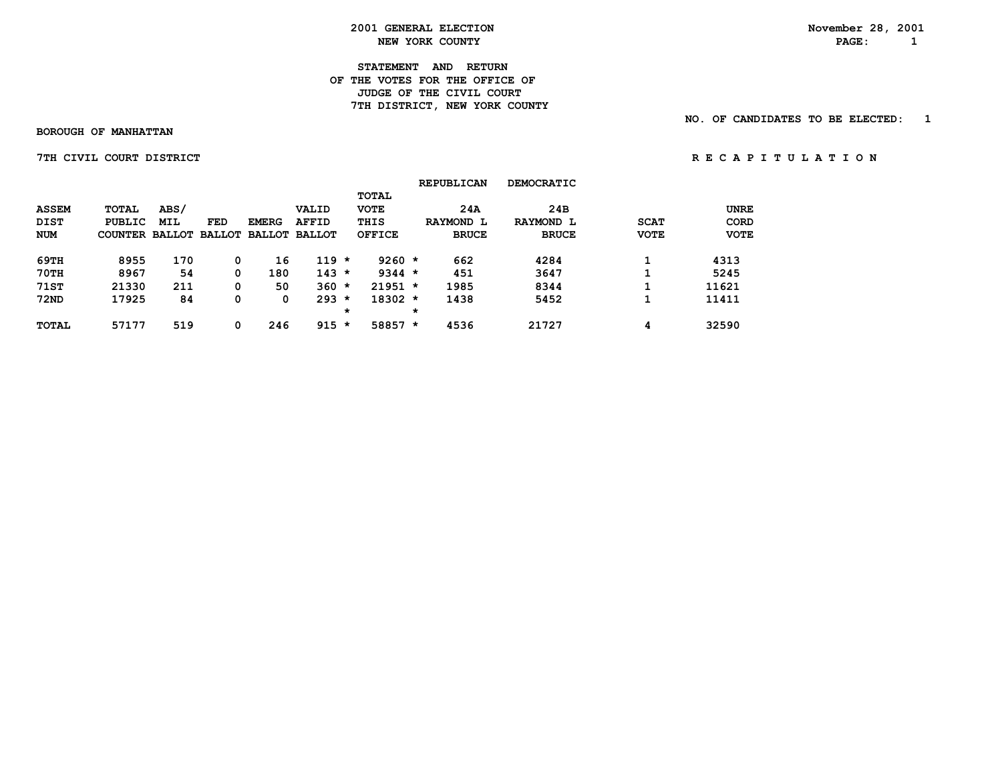**2001 GENERAL ELECTION** November 28, 2001<br> **NEW YORK COUNTY NEW YORK COUNTY NEW YORK COUNTY** 

**STATEMENT AND RETURN OF THE VOTES FOR THE OFFICE OF** *JUDGE OF THE CIVIL COURT* **7TH DISTRICT, NEW YORK COUNTY** 

 **BOROUGH OF MANHATTAN**

 **NO. OF CANDIDATES TO BE ELECTED: 1**

 **7THCIVIL COURTDISTRICT R E C A P I T U L A T I O N**

|                             |                                     |                    |     |              |                       |         |                                     |         | <b>REPUBLICAN</b> | <b>DEMOCRATIC</b> |             |                            |
|-----------------------------|-------------------------------------|--------------------|-----|--------------|-----------------------|---------|-------------------------------------|---------|-------------------|-------------------|-------------|----------------------------|
| <b>ASSEM</b><br><b>DIST</b> | <b>TOTAL</b><br>PUBLIC              | ABS/<br><b>MIL</b> | FED | <b>EMERG</b> | VALID<br><b>AFFID</b> |         | <b>TOTAL</b><br><b>VOTE</b><br>THIS |         | 24A<br>RAYMOND L  | 24B<br>RAYMOND L  | <b>SCAT</b> | <b>UNRE</b><br><b>CORD</b> |
| <b>NUM</b>                  | COUNTER BALLOT BALLOT BALLOT BALLOT |                    |     |              |                       |         | <b>OFFICE</b>                       |         | <b>BRUCE</b>      | <b>BRUCE</b>      | <b>VOTE</b> | <b>VOTE</b>                |
| 69TH                        | 8955                                | 170                | 0   | 16           | $119 *$               |         | $9260 *$                            |         | 662               | 4284              |             | 4313                       |
| <b>70TH</b>                 | 8967                                | 54                 | 0   | 180          | $143 *$               |         | $9344 *$                            |         | 451               | 3647              |             | 5245                       |
| <b>71ST</b>                 | 21330                               | 211                | 0   | 50           | $360 *$               |         | $21951 *$                           |         | 1985              | 8344              |             | 11621                      |
| <b>72ND</b>                 | 17925                               | 84                 | 0   | 0            | $293 *$               |         | $18302 *$                           |         | 1438              | 5452              |             | 11411                      |
|                             |                                     |                    |     |              |                       | $\star$ |                                     | $\star$ |                   |                   |             |                            |
| <b>TOTAL</b>                | 57177                               | 519                | 0   | 246          | $915 *$               |         | $58857 *$                           |         | 4536              | 21727             | 4           | 32590                      |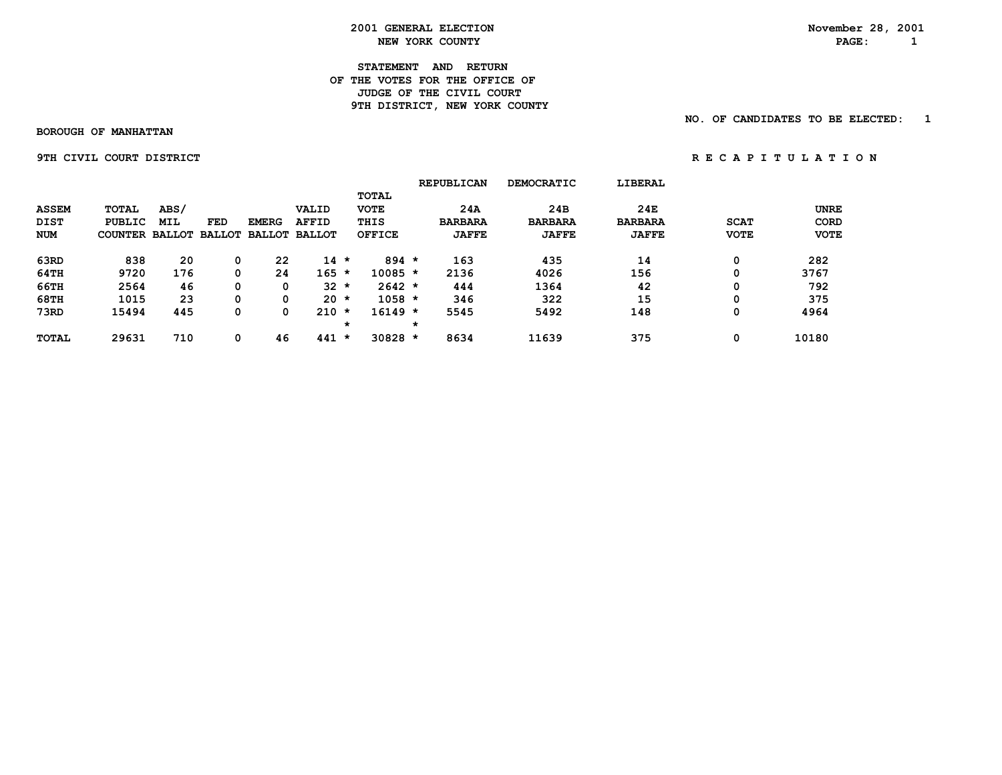**2001 GENERAL ELECTION** November 28, 2001<br> **NEW YORK COUNTY NEW YORK COUNTY NEW YORK COUNTY** 

**STATEMENT AND RETURN OF THE VOTES FOR THE OFFICE OF** *JUDGE OF THE CIVIL COURT* **9TH DISTRICT, NEW YORK COUNTY** 

 **NO. OF CANDIDATES TO BE ELECTED: 1**

 **BOROUGH OF MANHATTAN**

**9TH CIVIL COURT DISTRICT A REPORT ON REGAPITULATION** 

|              |                |            |     |              |                      |         |               |         | <b>REPUBLICAN</b> | <b>DEMOCRATIC</b> | <b>LIBERAL</b> |             |             |
|--------------|----------------|------------|-----|--------------|----------------------|---------|---------------|---------|-------------------|-------------------|----------------|-------------|-------------|
|              |                |            |     |              |                      |         | <b>TOTAL</b>  |         |                   |                   |                |             |             |
| <b>ASSEM</b> | <b>TOTAL</b>   | ABS/       |     |              | <b>VALID</b>         |         | <b>VOTE</b>   |         | 24A               | 24B               | 24E            |             | <b>UNRE</b> |
| <b>DIST</b>  | PUBLIC         | <b>MIL</b> | FED | <b>EMERG</b> | <b>AFFID</b>         |         | THIS          |         | <b>BARBARA</b>    | <b>BARBARA</b>    | <b>BARBARA</b> | <b>SCAT</b> | CORD        |
| <b>NUM</b>   | COUNTER BALLOT |            |     |              | BALLOT BALLOT BALLOT |         | <b>OFFICE</b> |         | <b>JAFFE</b>      | <b>JAFFE</b>      | <b>JAFFE</b>   | <b>VOTE</b> | <b>VOTE</b> |
| 63RD         | 838            | 20         | 0   | 22           | $14$ *               |         | $894 *$       |         | 163               | 435               | 14             | 0           | 282         |
| $64$ TH      | 9720           | 176        |     | 24           | $165 *$              |         | $10085 *$     |         | 2136              | 4026              | 156            | 0           | 3767        |
| 66TH         | 2564           | 46         | 0   | 0            | $32 *$               |         | $2642 *$      |         | 444               | 1364              | 42             | 0           | 792         |
| <b>68TH</b>  | 1015           | 23         | 0   | 0            | 20                   | $\star$ | $1058 *$      |         | 346               | 322               | 15             | 0           | 375         |
| 73RD         | 15494          | 445        | 0   | 0            | 210                  | $\star$ | $16149 *$     |         | 5545              | 5492              | 148            | 0           | 4964        |
|              |                |            |     |              |                      | $\star$ |               | $\star$ |                   |                   |                |             |             |
| <b>TOTAL</b> | 29631          | 710        | 0   | 46           | $441 *$              |         | $30828 *$     |         | 8634              | 11639             | 375            | 0           | 10180       |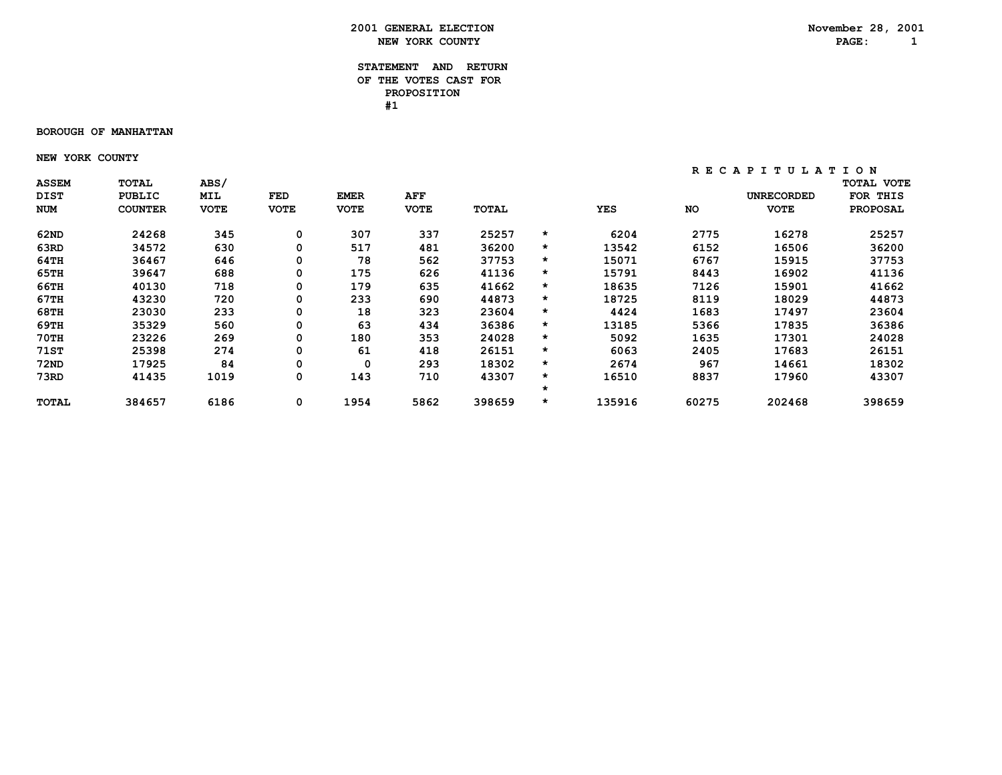### **STATEMENT AND RETURN OF THE VOTES CAST FOR PROPOSITION #1**

#### **BOROUGH OF MANHATTAN**

 **NEW YORK COUNTY**

| <b>ASSEM</b> | TOTAL          | <b>ABS/</b> |             |             |             |        |         |        |           |                   | <b>TOTAL VOTE</b> |
|--------------|----------------|-------------|-------------|-------------|-------------|--------|---------|--------|-----------|-------------------|-------------------|
| <b>DIST</b>  | PUBLIC         | MIL         | FED         | <b>EMER</b> | AFF         |        |         |        |           | <b>UNRECORDED</b> | FOR THIS          |
| NUM          | <b>COUNTER</b> | <b>VOTE</b> | <b>VOTE</b> | <b>VOTE</b> | <b>VOTE</b> | TOTAL  |         | YES    | <b>NO</b> | <b>VOTE</b>       | <b>PROPOSAL</b>   |
| 62ND         | 24268          | 345         | 0           | 307         | 337         | 25257  | *       | 6204   | 2775      | 16278             | 25257             |
| 63RD         | 34572          | 630         | 0           | 517         | 481         | 36200  | $\star$ | 13542  | 6152      | 16506             | 36200             |
| 64TH         | 36467          | 646         | 0           | 78          | 562         | 37753  | $\star$ | 15071  | 6767      | 15915             | 37753             |
| 65TH         | 39647          | 688         | 0           | 175         | 626         | 41136  | $\star$ | 15791  | 8443      | 16902             | 41136             |
| 66TH         | 40130          | 718         | 0           | 179         | 635         | 41662  | $\star$ | 18635  | 7126      | 15901             | 41662             |
| 67TH         | 43230          | 720         | 0           | 233         | 690         | 44873  | $\star$ | 18725  | 8119      | 18029             | 44873             |
| 68TH         | 23030          | 233         | 0           | 18          | 323         | 23604  | $\star$ | 4424   | 1683      | 17497             | 23604             |
| 69TH         | 35329          | 560         | 0           | 63          | 434         | 36386  | $\star$ | 13185  | 5366      | 17835             | 36386             |
| 70TH         | 23226          | 269         | 0           | 180         | 353         | 24028  | $\star$ | 5092   | 1635      | 17301             | 24028             |
| 71ST         | 25398          | 274         | 0           | 61          | 418         | 26151  | $\star$ | 6063   | 2405      | 17683             | 26151             |
| 72ND         | 17925          | 84          | 0           | 0           | 293         | 18302  | $\star$ | 2674   | 967       | 14661             | 18302             |
| 73RD         | 41435          | 1019        | 0           | 143         | 710         | 43307  | $\star$ | 16510  | 8837      | 17960             | 43307             |
|              |                |             |             |             |             |        | $\star$ |        |           |                   |                   |
| <b>TOTAL</b> | 384657         | 6186        | 0           | 1954        | 5862        | 398659 | $\star$ | 135916 | 60275     | 202468            | 398659            |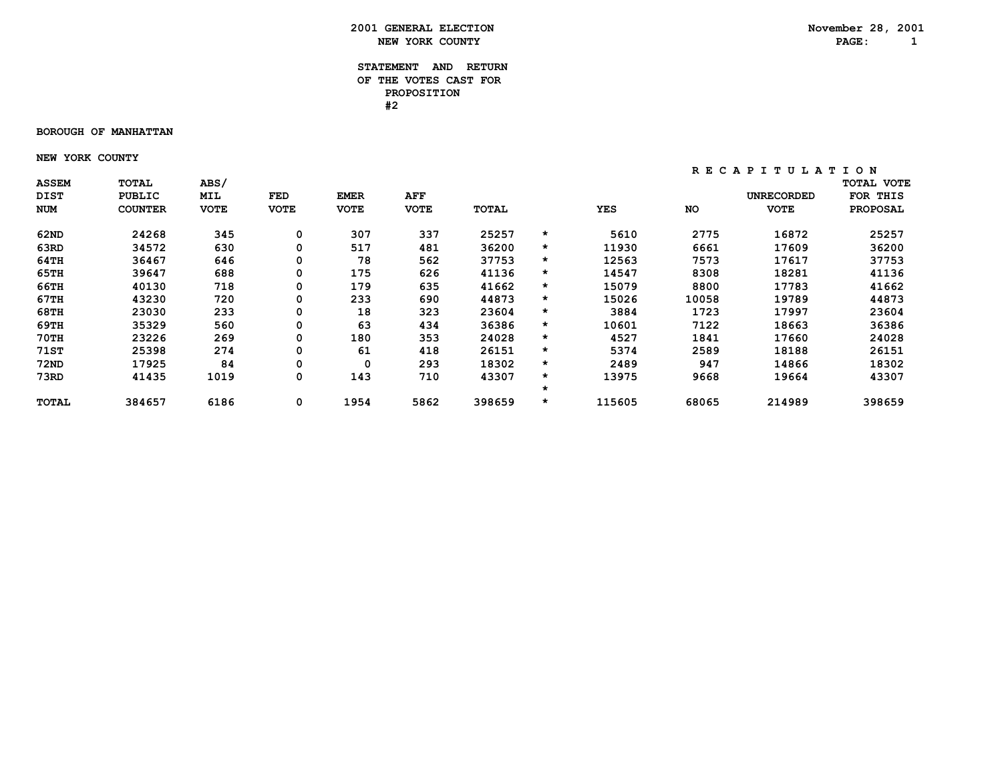### **STATEMENT AND RETURN OF THE VOTES CAST FOR PROPOSITION #2**

#### **BOROUGH OF MANHATTAN**

 **NEW YORK COUNTY**

| <b>ASSEM</b> | <b>TOTAL</b>   | <b>ABS/</b> |             |             |             |        |         |            |           |                   | <b>TOTAL VOTE</b> |
|--------------|----------------|-------------|-------------|-------------|-------------|--------|---------|------------|-----------|-------------------|-------------------|
| <b>DIST</b>  | PUBLIC         | MIL         | FED         | <b>EMER</b> | <b>AFF</b>  |        |         |            |           | <b>UNRECORDED</b> | FOR THIS          |
| <b>NUM</b>   | <b>COUNTER</b> | <b>VOTE</b> | <b>VOTE</b> | <b>VOTE</b> | <b>VOTE</b> | TOTAL  |         | <b>YES</b> | <b>NO</b> | <b>VOTE</b>       | <b>PROPOSAL</b>   |
| 62ND         | 24268          | 345         | 0           | 307         | 337         | 25257  | $\star$ | 5610       | 2775      | 16872             | 25257             |
| 63RD         | 34572          | 630         | 0           | 517         | 481         | 36200  | $\star$ | 11930      | 6661      | 17609             | 36200             |
| 64TH         | 36467          | 646         | 0           | 78          | 562         | 37753  | $\star$ | 12563      | 7573      | 17617             | 37753             |
| 65TH         | 39647          | 688         | 0           | 175         | 626         | 41136  | $\star$ | 14547      | 8308      | 18281             | 41136             |
| 66TH         | 40130          | 718         | 0           | 179         | 635         | 41662  | $\star$ | 15079      | 8800      | 17783             | 41662             |
| 67TH         | 43230          | 720         | 0           | 233         | 690         | 44873  | $\star$ | 15026      | 10058     | 19789             | 44873             |
| 68TH         | 23030          | 233         | 0           | 18          | 323         | 23604  | $\star$ | 3884       | 1723      | 17997             | 23604             |
| 69TH         | 35329          | 560         | 0           | 63          | 434         | 36386  | $\star$ | 10601      | 7122      | 18663             | 36386             |
| 70TH         | 23226          | 269         | 0           | 180         | 353         | 24028  | $\star$ | 4527       | 1841      | 17660             | 24028             |
| 71ST         | 25398          | 274         | 0           | 61          | 418         | 26151  | $\star$ | 5374       | 2589      | 18188             | 26151             |
| 72ND         | 17925          | 84          | 0           | 0           | 293         | 18302  | *       | 2489       | 947       | 14866             | 18302             |
| 73RD         | 41435          | 1019        | 0           | 143         | 710         | 43307  | $\star$ | 13975      | 9668      | 19664             | 43307             |
|              |                |             |             |             |             |        | *       |            |           |                   |                   |
| <b>TOTAL</b> | 384657         | 6186        | 0           | 1954        | 5862        | 398659 | $\star$ | 115605     | 68065     | 214989            | 398659            |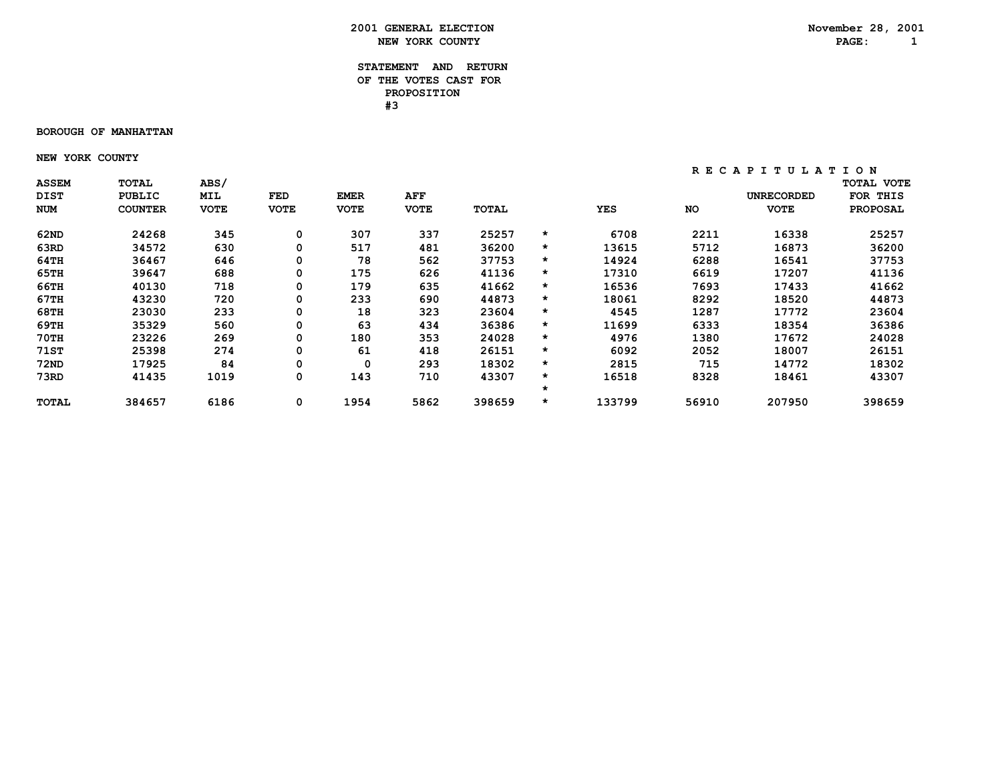### **STATEMENT AND RETURN OF THE VOTES CAST FOR PROPOSITION #3**

#### **BOROUGH OF MANHATTAN**

 **NEW YORK COUNTY**

| <b>ASSEM</b> | <b>TOTAL</b>   | <b>ABS/</b> |             |             |             |        |         |            |           |                   | <b>TOTAL VOTE</b> |
|--------------|----------------|-------------|-------------|-------------|-------------|--------|---------|------------|-----------|-------------------|-------------------|
| <b>DIST</b>  | PUBLIC         | MIL         | FED         | <b>EMER</b> | <b>AFF</b>  |        |         |            |           | <b>UNRECORDED</b> | FOR THIS          |
| <b>NUM</b>   | <b>COUNTER</b> | <b>VOTE</b> | <b>VOTE</b> | <b>VOTE</b> | <b>VOTE</b> | TOTAL  |         | <b>YES</b> | <b>NO</b> | <b>VOTE</b>       | <b>PROPOSAL</b>   |
| 62ND         | 24268          | 345         | 0           | 307         | 337         | 25257  | $\star$ | 6708       | 2211      | 16338             | 25257             |
| 63RD         | 34572          | 630         | 0           | 517         | 481         | 36200  | $\star$ | 13615      | 5712      | 16873             | 36200             |
| 64TH         | 36467          | 646         | 0           | 78          | 562         | 37753  | *       | 14924      | 6288      | 16541             | 37753             |
| 65TH         | 39647          | 688         | 0           | 175         | 626         | 41136  | $\star$ | 17310      | 6619      | 17207             | 41136             |
| 66TH         | 40130          | 718         | 0           | 179         | 635         | 41662  | $\star$ | 16536      | 7693      | 17433             | 41662             |
| 67TH         | 43230          | 720         | 0           | 233         | 690         | 44873  | $\star$ | 18061      | 8292      | 18520             | 44873             |
| 68TH         | 23030          | 233         | 0           | 18          | 323         | 23604  | $\star$ | 4545       | 1287      | 17772             | 23604             |
| 69TH         | 35329          | 560         | 0           | 63          | 434         | 36386  | $\star$ | 11699      | 6333      | 18354             | 36386             |
| 70TH         | 23226          | 269         | 0           | 180         | 353         | 24028  | $\star$ | 4976       | 1380      | 17672             | 24028             |
| 71ST         | 25398          | 274         | 0           | 61          | 418         | 26151  | $\star$ | 6092       | 2052      | 18007             | 26151             |
| 72ND         | 17925          | 84          | 0           | 0           | 293         | 18302  | *       | 2815       | 715       | 14772             | 18302             |
| 73RD         | 41435          | 1019        | 0           | 143         | 710         | 43307  | $\star$ | 16518      | 8328      | 18461             | 43307             |
|              |                |             |             |             |             |        | *       |            |           |                   |                   |
| <b>TOTAL</b> | 384657         | 6186        | 0           | 1954        | 5862        | 398659 | $\star$ | 133799     | 56910     | 207950            | 398659            |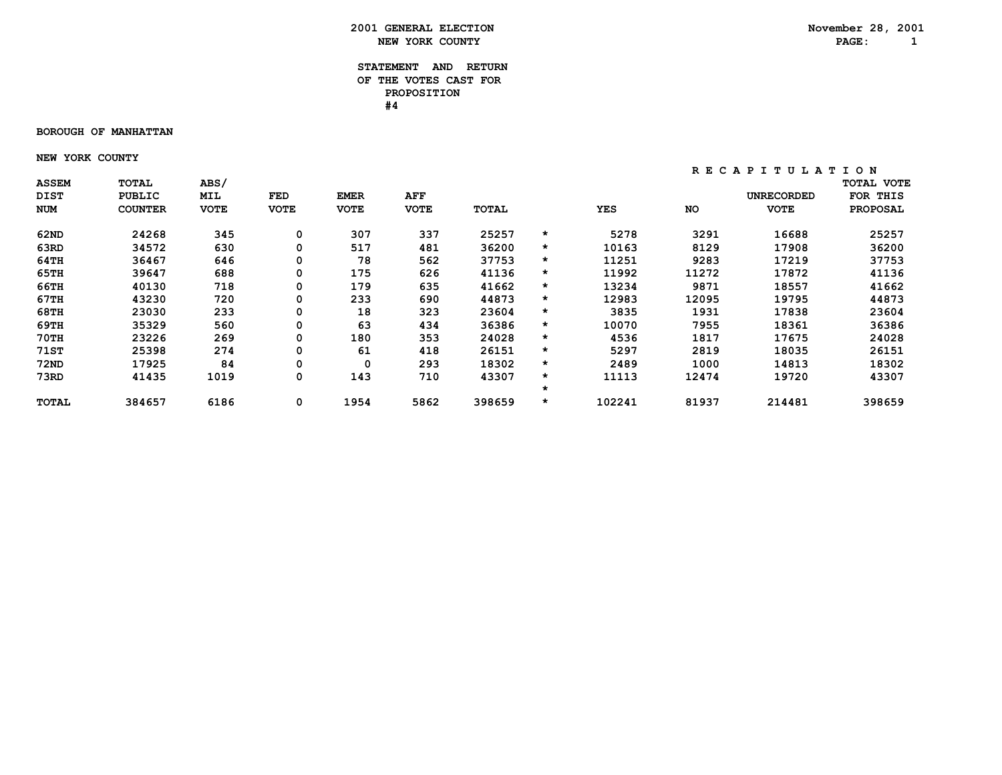### **STATEMENT AND RETURN OF THE VOTES CAST FOR PROPOSITION #4**

#### **BOROUGH OF MANHATTAN**

 **NEW YORK COUNTY**

| <b>ASSEM</b> | <b>TOTAL</b>   | <b>ABS/</b> |             |             |             |        |         |            |           |                   | <b>TOTAL VOTE</b> |
|--------------|----------------|-------------|-------------|-------------|-------------|--------|---------|------------|-----------|-------------------|-------------------|
| <b>DIST</b>  | PUBLIC         | <b>MIL</b>  | FED         | <b>EMER</b> | <b>AFF</b>  |        |         |            |           | <b>UNRECORDED</b> | FOR THIS          |
| NUM          | <b>COUNTER</b> | <b>VOTE</b> | <b>VOTE</b> | <b>VOTE</b> | <b>VOTE</b> | TOTAL  |         | <b>YES</b> | <b>NO</b> | <b>VOTE</b>       | <b>PROPOSAL</b>   |
| 62ND         | 24268          | 345         | 0           | 307         | 337         | 25257  | $\star$ | 5278       | 3291      | 16688             | 25257             |
| 63RD         | 34572          | 630         | 0           | 517         | 481         | 36200  | $\star$ | 10163      | 8129      | 17908             | 36200             |
| 64TH         | 36467          | 646         | 0           | 78          | 562         | 37753  | $\star$ | 11251      | 9283      | 17219             | 37753             |
| 65TH         | 39647          | 688         | 0           | 175         | 626         | 41136  | $\star$ | 11992      | 11272     | 17872             | 41136             |
| 66TH         | 40130          | 718         | 0           | 179         | 635         | 41662  | $\star$ | 13234      | 9871      | 18557             | 41662             |
| 67TH         | 43230          | 720         | 0           | 233         | 690         | 44873  | $\star$ | 12983      | 12095     | 19795             | 44873             |
| 68TH         | 23030          | 233         | 0           | 18          | 323         | 23604  | $\star$ | 3835       | 1931      | 17838             | 23604             |
| 69TH         | 35329          | 560         | 0           | 63          | 434         | 36386  | $\star$ | 10070      | 7955      | 18361             | 36386             |
| 70TH         | 23226          | 269         | 0           | 180         | 353         | 24028  | $\star$ | 4536       | 1817      | 17675             | 24028             |
| 71ST         | 25398          | 274         | 0           | 61          | 418         | 26151  | $\star$ | 5297       | 2819      | 18035             | 26151             |
| <b>72ND</b>  | 17925          | 84          | 0           | 0           | 293         | 18302  | $\star$ | 2489       | 1000      | 14813             | 18302             |
| 73RD         | 41435          | 1019        | 0           | 143         | 710         | 43307  | $\star$ | 11113      | 12474     | 19720             | 43307             |
|              |                |             |             |             |             |        | $\star$ |            |           |                   |                   |
| TOTAL        | 384657         | 6186        | 0           | 1954        | 5862        | 398659 | $\star$ | 102241     | 81937     | 214481            | 398659            |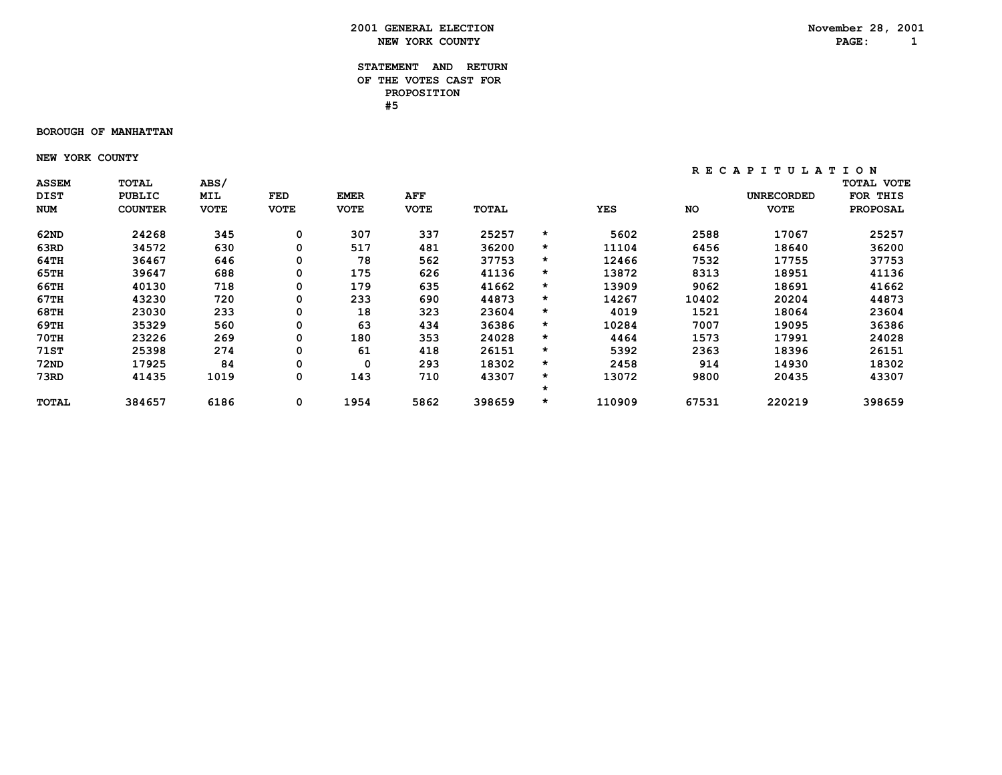### **STATEMENT AND RETURN OF THE VOTES CAST FOR PROPOSITION #5**

#### **BOROUGH OF MANHATTAN**

 **NEW YORK COUNTY**

| <b>ASSEM</b> | TOTAL          | <b>ABS/</b> |             |             |             |        |         |        |           |                   | <b>TOTAL VOTE</b> |
|--------------|----------------|-------------|-------------|-------------|-------------|--------|---------|--------|-----------|-------------------|-------------------|
| <b>DIST</b>  | PUBLIC         | MIL         | FED         | <b>EMER</b> | <b>AFF</b>  |        |         |        |           | <b>UNRECORDED</b> | FOR THIS          |
| NUM          | <b>COUNTER</b> | <b>VOTE</b> | <b>VOTE</b> | <b>VOTE</b> | <b>VOTE</b> | TOTAL  |         | YES    | <b>NO</b> | <b>VOTE</b>       | <b>PROPOSAL</b>   |
| 62ND         | 24268          | 345         | 0           | 307         | 337         | 25257  | $\star$ | 5602   | 2588      | 17067             | 25257             |
| 63RD         | 34572          | 630         | 0           | 517         | 481         | 36200  | *       | 11104  | 6456      | 18640             | 36200             |
| 64TH         | 36467          | 646         | 0           | 78          | 562         | 37753  | $\star$ | 12466  | 7532      | 17755             | 37753             |
| 65TH         | 39647          | 688         | 0           | 175         | 626         | 41136  | $\star$ | 13872  | 8313      | 18951             | 41136             |
| 66TH         | 40130          | 718         | 0           | 179         | 635         | 41662  | $\star$ | 13909  | 9062      | 18691             | 41662             |
| 67TH         | 43230          | 720         | 0           | 233         | 690         | 44873  | $\star$ | 14267  | 10402     | 20204             | 44873             |
| 68TH         | 23030          | 233         | 0           | 18          | 323         | 23604  | $\star$ | 4019   | 1521      | 18064             | 23604             |
| 69TH         | 35329          | 560         | 0           | 63          | 434         | 36386  | $\star$ | 10284  | 7007      | 19095             | 36386             |
| 70TH         | 23226          | 269         | 0           | 180         | 353         | 24028  | $\star$ | 4464   | 1573      | 17991             | 24028             |
| 71ST         | 25398          | 274         | 0           | 61          | 418         | 26151  | $\star$ | 5392   | 2363      | 18396             | 26151             |
| 72ND         | 17925          | 84          | 0           | 0           | 293         | 18302  | $\star$ | 2458   | 914       | 14930             | 18302             |
| 73RD         | 41435          | 1019        | 0           | 143         | 710         | 43307  | $\star$ | 13072  | 9800      | 20435             | 43307             |
|              |                |             |             |             |             |        | $\star$ |        |           |                   |                   |
| <b>TOTAL</b> | 384657         | 6186        | 0           | 1954        | 5862        | 398659 | $\star$ | 110909 | 67531     | 220219            | 398659            |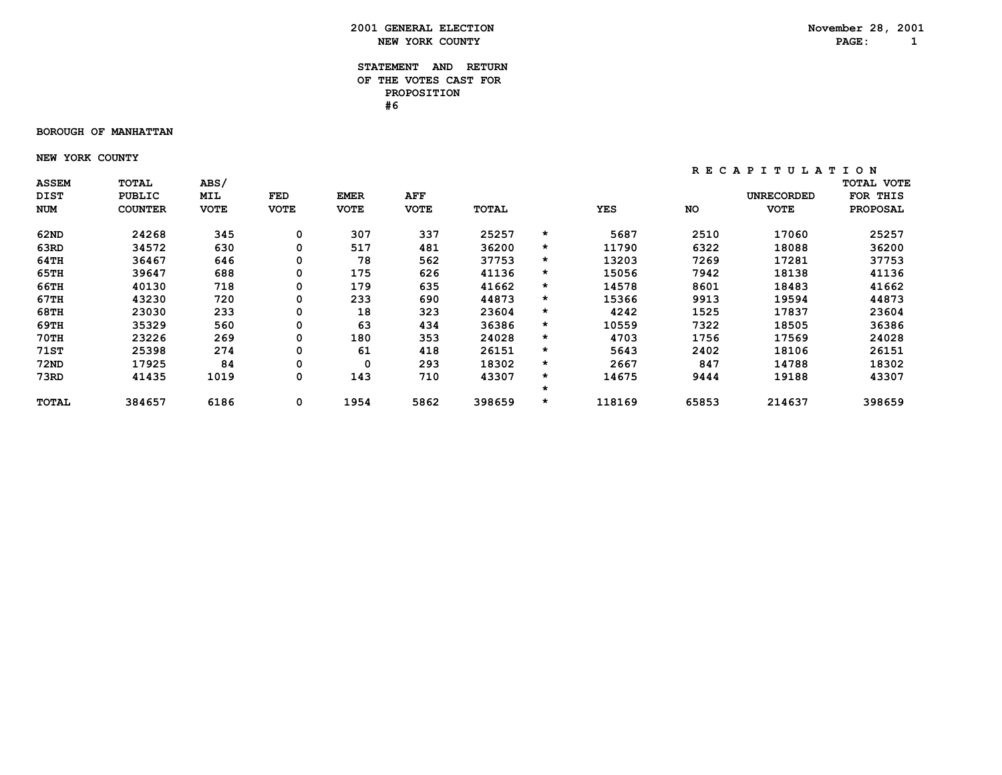### **STATEMENT AND RETURN OF THE VOTES CAST FOR PROPOSITION #6**

#### **BOROUGH OF MANHATTAN**

 **NEW YORK COUNTY**

| <b>ASSEM</b> | <b>TOTAL</b>   | <b>ABS/</b> |             |             |             |        |         |            |           |                   | <b>TOTAL VOTE</b> |
|--------------|----------------|-------------|-------------|-------------|-------------|--------|---------|------------|-----------|-------------------|-------------------|
| <b>DIST</b>  | PUBLIC         | MIL         | FED         | <b>EMER</b> | <b>AFF</b>  |        |         |            |           | <b>UNRECORDED</b> | FOR THIS          |
| <b>NUM</b>   | <b>COUNTER</b> | <b>VOTE</b> | <b>VOTE</b> | <b>VOTE</b> | <b>VOTE</b> | TOTAL  |         | <b>YES</b> | <b>NO</b> | <b>VOTE</b>       | <b>PROPOSAL</b>   |
| 62ND         | 24268          | 345         | 0           | 307         | 337         | 25257  | $\star$ | 5687       | 2510      | 17060             | 25257             |
| 63RD         | 34572          | 630         | 0           | 517         | 481         | 36200  | $\star$ | 11790      | 6322      | 18088             | 36200             |
| 64TH         | 36467          | 646         | 0           | 78          | 562         | 37753  | $\star$ | 13203      | 7269      | 17281             | 37753             |
| 65TH         | 39647          | 688         | 0           | 175         | 626         | 41136  | $\star$ | 15056      | 7942      | 18138             | 41136             |
| 66TH         | 40130          | 718         | 0           | 179         | 635         | 41662  | $\star$ | 14578      | 8601      | 18483             | 41662             |
| 67TH         | 43230          | 720         | 0           | 233         | 690         | 44873  | $\star$ | 15366      | 9913      | 19594             | 44873             |
| 68TH         | 23030          | 233         | 0           | 18          | 323         | 23604  | $\star$ | 4242       | 1525      | 17837             | 23604             |
| 69TH         | 35329          | 560         | 0           | 63          | 434         | 36386  | $\star$ | 10559      | 7322      | 18505             | 36386             |
| 70TH         | 23226          | 269         | 0           | 180         | 353         | 24028  | $\star$ | 4703       | 1756      | 17569             | 24028             |
| 71ST         | 25398          | 274         | 0           | 61          | 418         | 26151  | $\star$ | 5643       | 2402      | 18106             | 26151             |
| 72ND         | 17925          | 84          | 0           | 0           | 293         | 18302  | *       | 2667       | 847       | 14788             | 18302             |
| 73RD         | 41435          | 1019        | 0           | 143         | 710         | 43307  | $\star$ | 14675      | 9444      | 19188             | 43307             |
|              |                |             |             |             |             |        | $\star$ |            |           |                   |                   |
| <b>TOTAL</b> | 384657         | 6186        | 0           | 1954        | 5862        | 398659 | $\star$ | 118169     | 65853     | 214637            | 398659            |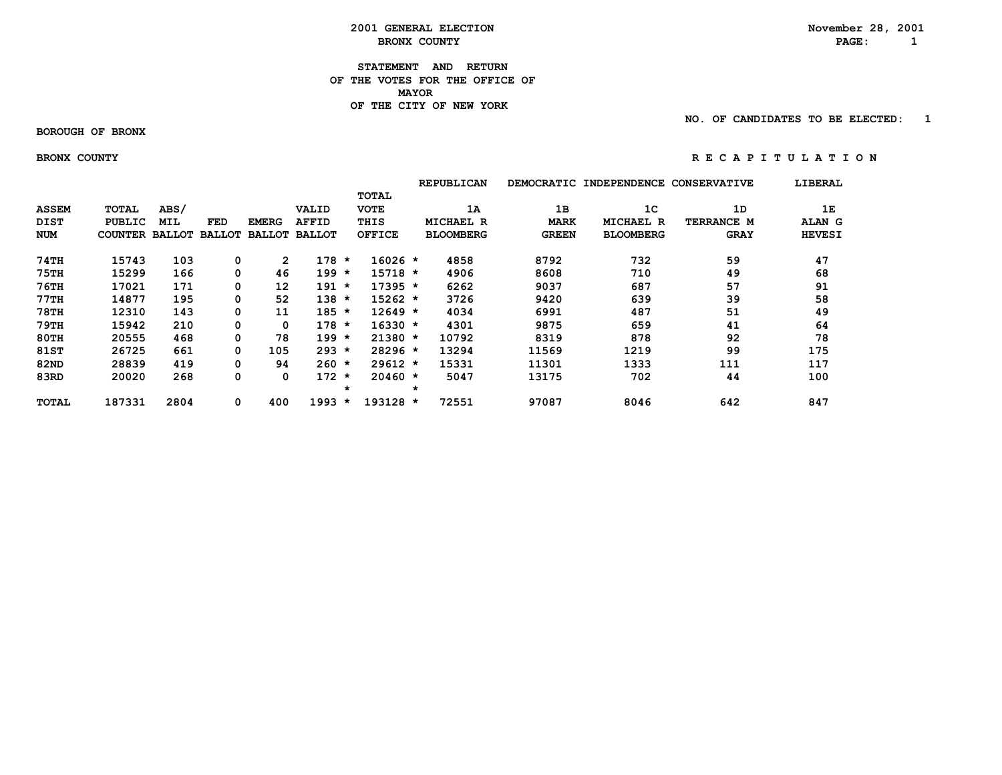### **2001 GENERAL ELECTION**<br> **BRONX COUNTY** BRONX **BRON BRONX COUNTY** 2008 **PAGE:** 2

**STATEMENT AND RETURN OF THE VOTES FOR THE OFFICE OF MAYORMAYOR OF THE CITY OF NEW YORK**

 **NO. OF CANDIDATES TO BE ELECTED: 1**

 **BOROUGH OF BRONX**

BRONX COUNTY **RECAPITY** RECAPITULATION

|              |                       |            |        |              |                      |                    |               |         | <b>REPUBLICAN</b> | <b>DEMOCRATIC</b> | <b>INDEPENDENCE</b> | <b>CONSERVATIVE</b> | LIBERAL       |
|--------------|-----------------------|------------|--------|--------------|----------------------|--------------------|---------------|---------|-------------------|-------------------|---------------------|---------------------|---------------|
|              |                       |            |        |              |                      |                    | <b>TOTAL</b>  |         |                   |                   |                     |                     |               |
| <b>ASSEM</b> | TOTAL                 | ABS/       |        |              | VALID                |                    | <b>VOTE</b>   |         | 1A                | 1B                | 1 <sup>C</sup>      | 1D                  | 1E            |
| <b>DIST</b>  | PUBLIC                | <b>MIL</b> | FED    | <b>EMERG</b> | <b>AFFID</b>         |                    | THIS          |         | <b>MICHAEL R</b>  | <b>MARK</b>       | <b>MICHAEL R</b>    | TERRANCE M          | ALAN G        |
| <b>NUM</b>   | <b>COUNTER BALLOT</b> |            | BALLOT |              | <b>BALLOT BALLOT</b> |                    | <b>OFFICE</b> |         | <b>BLOOMBERG</b>  | <b>GREEN</b>      | <b>BLOOMBERG</b>    | <b>GRAY</b>         | <b>HEVESI</b> |
| 74TH         | 15743                 | 103        | 0      | $\mathbf{2}$ | 178                  | $\star$            | $16026 *$     |         | 4858              | 8792              | 732                 | 59                  | 47            |
| <b>75TH</b>  | 15299                 | 166        | 0      | 46           | 199                  | *                  | $15718 *$     |         | 4906              | 8608              | 710                 | 49                  | 68            |
| <b>76TH</b>  | 17021                 | 171        | 0      | 12           | 191                  | $\star$            | $17395 *$     |         | 6262              | 9037              | 687                 | 57                  | 91            |
| 77TH         | 14877                 | 195        | 0      | 52           | 138                  | $\star$            | $15262 *$     |         | 3726              | 9420              | 639                 | 39                  | 58            |
| <b>78TH</b>  | 12310                 | 143        | 0      | 11           | $185 *$              |                    | $12649 *$     |         | 4034              | 6991              | 487                 | 51                  | 49            |
| <b>79TH</b>  | 15942                 | 210        | 0      | 0            | 178                  | $\star$            | $16330 *$     |         | 4301              | 9875              | 659                 | 41                  | 64            |
| 80TH         | 20555                 | 468        | 0      | 78           | 199                  | $\star$            | $21380 *$     |         | 10792             | 8319              | 878                 | 92                  | 78            |
| <b>81ST</b>  | 26725                 | 661        | 0      | 105          | $293 *$              |                    | $28296$ *     |         | 13294             | 11569             | 1219                | 99                  | 175           |
| 82ND         | 28839                 | 419        | 0      | 94           | 260                  | $\star$            | $29612 *$     |         | 15331             | 11301             | 1333                | 111                 | 117           |
| 83RD         | 20020                 | 268        | 0      | 0            | 172                  | $\star$<br>$\star$ | $20460 *$     | $\star$ | 5047              | 13175             | 702                 | 44                  | 100           |
| <b>TOTAL</b> | 187331                | 2804       | 0      | 400          | 1993                 | $\star$            | 193128 *      |         | 72551             | 97087             | 8046                | 642                 | 847           |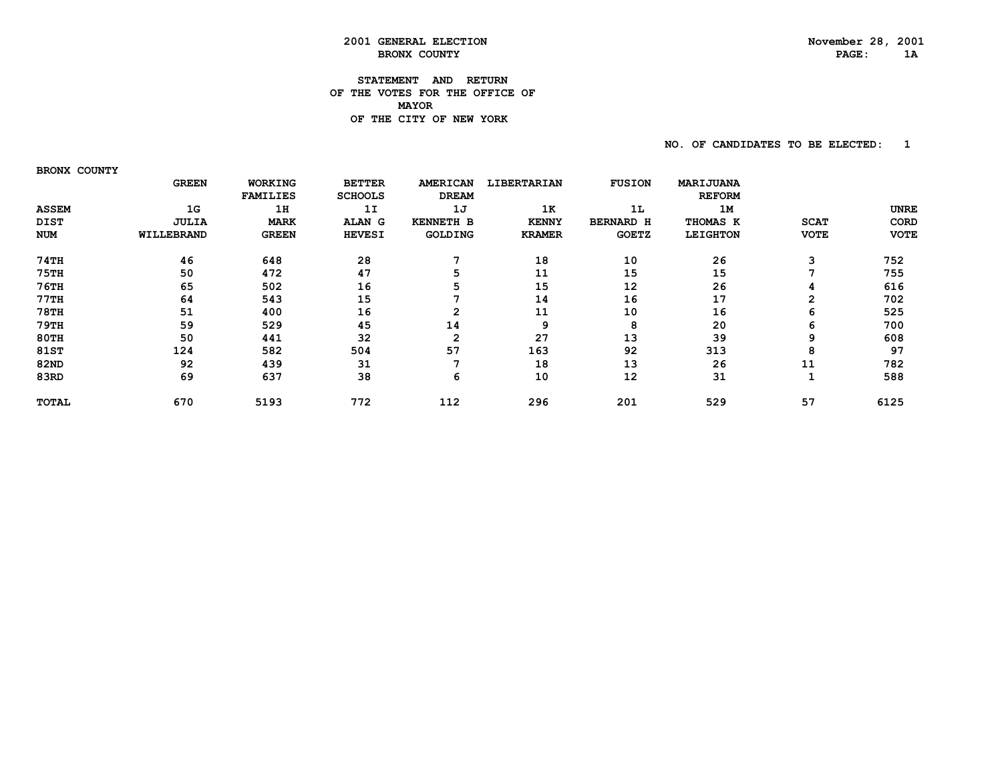### **2001 GENERAL ELECTION November 28, 2001 BRONX COUNTY**

### **STATEMENT AND RETURN OF THE VOTES FOR THE OFFICE OF MAYORDE THE CITY OF NEW YORK**

 **NO. OF CANDIDATES TO BE ELECTED: 1**

 **BRONX COUNTY**

|              | <b>GREEN</b> | WORKING         | <b>BETTER</b>  | <b>AMERICAN</b>  | LIBERTARIAN   | <b>FUSION</b>    | MARIJUANA       |             |             |
|--------------|--------------|-----------------|----------------|------------------|---------------|------------------|-----------------|-------------|-------------|
|              |              | <b>FAMILIES</b> | <b>SCHOOLS</b> | <b>DREAM</b>     |               |                  | <b>REFORM</b>   |             |             |
| <b>ASSEM</b> | 1G           | 1H              | 1I             | 1J               | 1K            | 1L               | 1M              |             | <b>UNRE</b> |
| <b>DIST</b>  | <b>JULIA</b> | <b>MARK</b>     | <b>ALAN</b> G  | <b>KENNETH B</b> | <b>KENNY</b>  | <b>BERNARD H</b> | THOMAS K        | <b>SCAT</b> | CORD        |
| <b>NUM</b>   | WILLEBRAND   | <b>GREEN</b>    | <b>HEVESI</b>  | <b>GOLDING</b>   | <b>KRAMER</b> | <b>GOETZ</b>     | <b>LEIGHTON</b> | <b>VOTE</b> | <b>VOTE</b> |
| 74TH         | 46           | 648             | 28             |                  | 18            | 10               | 26              | 3           | 752         |
| <b>75TH</b>  | 50           | 472             | 47             | 5                | 11            | 15               | 15              |             | 755         |
| 76TH         | 65           | 502             | 16             | 5                | 15            | 12               | 26              |             | 616         |
| $77$ TH      | 64           | 543             | 15             |                  | 14            | 16               | 17              | 2           | 702         |
| <b>78TH</b>  | 51           | 400             | 16             | $\overline{2}$   | 11            | 10               | 16              | 6           | 525         |
| 79TH         | 59           | 529             | 45             | 14               | 9             | 8                | 20              | 6           | 700         |
| <b>80TH</b>  | 50           | 441             | 32             | $\overline{2}$   | 27            | 13               | 39              | 9           | 608         |
| 81ST         | 124          | 582             | 504            | 57               | 163           | 92               | 313             | 8           | 97          |
| 82ND         | 92           | 439             | 31             | -                | 18            | 13               | 26              | 11          | 782         |
| 83RD         | 69           | 637             | 38             | 6                | 10            | 12               | 31              |             | 588         |
| <b>TOTAL</b> | 670          | 5193            | 772            | 112              | 296           | 201              | 529             | 57          | 6125        |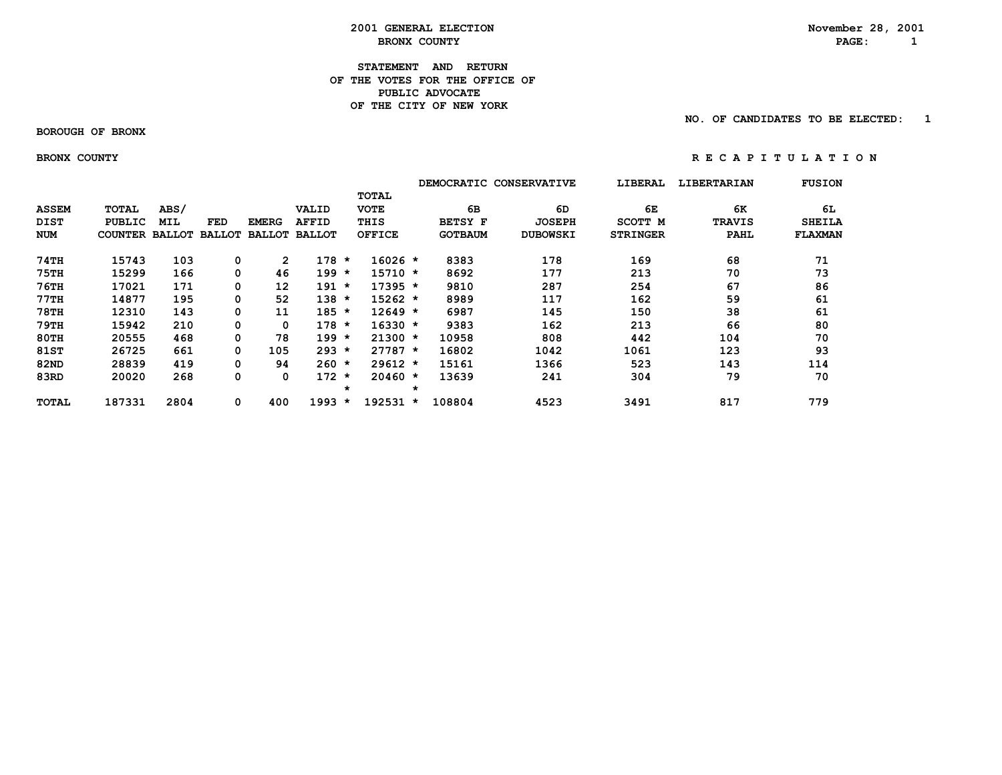**2001 GENERAL ELECTION November 28, 2001**<br>**BRONX COUNTY BRON BRONX COUNTY PAGE:** 1

### **STATEMENT AND RETURN OF THE VOTES FOR THE OFFICE OFPUBLIC ADVOCATE OF THE CITY OF NEW YORK**

 **BOROUGH OF BRONX**

 **NO. OF CANDIDATES TO BE ELECTED: 1**

BRONX COUNTY **RECAPITY** RECAPITULATION

|              |                       |            |               |                |                      |                    |               |         |                | DEMOCRATIC CONSERVATIVE | LIBERAL         | <b>LIBERTARIAN</b> | <b>FUSION</b>  |
|--------------|-----------------------|------------|---------------|----------------|----------------------|--------------------|---------------|---------|----------------|-------------------------|-----------------|--------------------|----------------|
|              |                       |            |               |                |                      |                    | <b>TOTAL</b>  |         |                |                         |                 |                    |                |
| <b>ASSEM</b> | TOTAL                 | ABS/       |               |                | VALID                |                    | <b>VOTE</b>   |         | 6В             | 6D                      | 6Е              | 6K                 | 6L             |
| <b>DIST</b>  | PUBLIC                | <b>MIL</b> | FED           | <b>EMERG</b>   | <b>AFFID</b>         |                    | THIS          |         | <b>BETSY F</b> | <b>JOSEPH</b>           | <b>SCOTT M</b>  | <b>TRAVIS</b>      | <b>SHEILA</b>  |
| <b>NUM</b>   | <b>COUNTER BALLOT</b> |            | <b>BALLOT</b> |                | <b>BALLOT BALLOT</b> |                    | <b>OFFICE</b> |         | <b>GOTBAUM</b> | <b>DUBOWSKI</b>         | <b>STRINGER</b> | PAHL               | <b>FLAXMAN</b> |
| 74TH         | 15743                 | 103        | 0             | $\overline{2}$ | 178                  | $\star$            | $16026 *$     |         | 8383           | 178                     | 169             | 68                 | 71             |
| 75TH         | 15299                 | 166        | 0             | 46             | $199 *$              |                    | $15710 *$     |         | 8692           | 177                     | 213             | 70                 | 73             |
| $76$ TH      | 17021                 | 171        | 0             | 12             | $191 *$              |                    | $17395 *$     |         | 9810           | 287                     | 254             | 67                 | 86             |
| 77TH         | 14877                 | 195        | 0             | 52             | $138 *$              |                    | $15262 *$     |         | 8989           | 117                     | 162             | 59                 | 61             |
| <b>78TH</b>  | 12310                 | 143        | 0             | 11             | $185 *$              |                    | $12649 *$     |         | 6987           | 145                     | 150             | 38                 | 61             |
| 79TH         | 15942                 | 210        | 0             | 0              | $178 *$              |                    | $16330 *$     |         | 9383           | 162                     | 213             | 66                 | 80             |
| 80TH         | 20555                 | 468        | 0             | 78             | $199 *$              |                    | $21300 *$     |         | 10958          | 808                     | 442             | 104                | 70             |
| <b>81ST</b>  | 26725                 | 661        | 0             | 105            | 293                  | $\star$            | $27787 *$     |         | 16802          | 1042                    | 1061            | 123                | 93             |
| 82ND         | 28839                 | 419        | 0             | 94             | $260 *$              |                    | $29612 *$     |         | 15161          | 1366                    | 523             | 143                | 114            |
| 83RD         | 20020                 | 268        | 0             | 0              | 172                  | $\star$<br>$\star$ | $20460 *$     | $\star$ | 13639          | 241                     | 304             | 79                 | 70             |
| TOTAL        | 187331                | 2804       | 0             | 400            | 1993                 | $\star$            | $192531 *$    |         | 108804         | 4523                    | 3491            | 817                | 779            |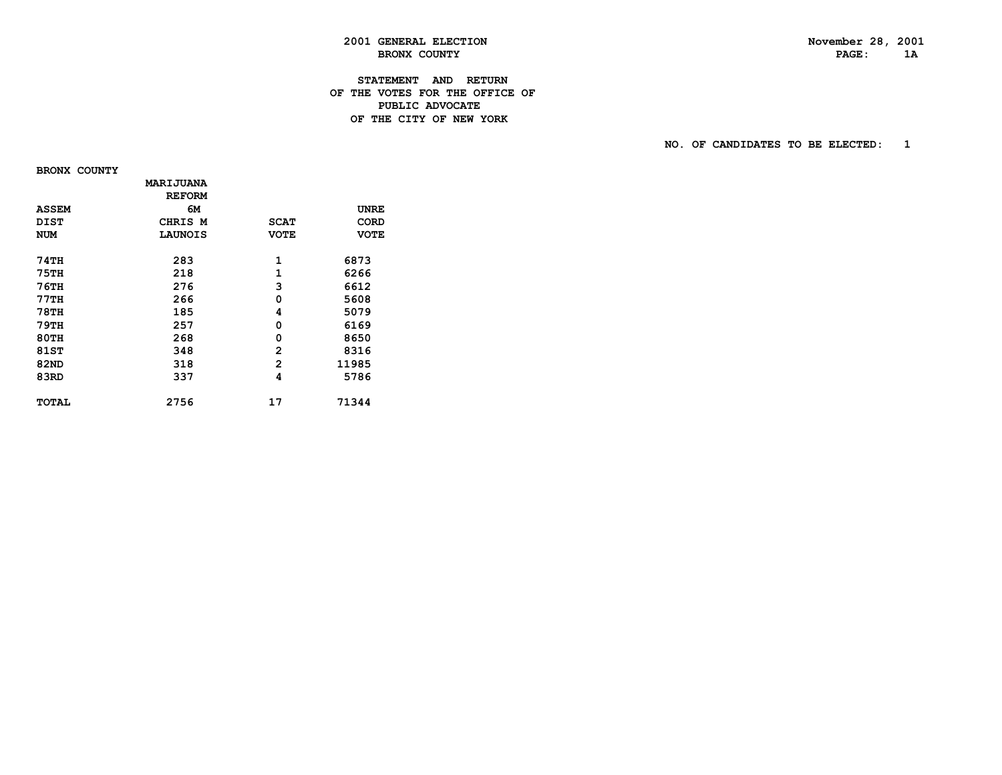## PAGE: 1A

### **2001 GENERAL ELECTION November 28, 2001 BRONX COUNTY**

### **STATEMENT AND RETURN OF THE VOTES FOR THE OFFICE OF PUBLIC ADVOCATEDE THE CITY OF NEW YORK**

 **NO. OF CANDIDATES TO BE ELECTED: 1**

 **BRONX COUNTY**

|              | MARIJUANA      |             |             |
|--------------|----------------|-------------|-------------|
|              | <b>REFORM</b>  |             |             |
| <b>ASSEM</b> | 6м             |             | UNRE        |
| <b>DIST</b>  | CHRIS M        | <b>SCAT</b> | CORD        |
| <b>NUM</b>   | <b>LAUNOIS</b> | <b>VOTE</b> | <b>VOTE</b> |
|              |                |             |             |
| <b>74TH</b>  | 283            | 1           | 6873        |
| <b>75TH</b>  | 218            | 1           | 6266        |
| 76TH         | 276            | 3           | 6612        |
| 77TH         | 266            | 0           | 5608        |
| <b>78TH</b>  | 185            | 4           | 5079        |
| 79TH         | 257            | 0           | 6169        |
| <b>80TH</b>  | 268            | 0           | 8650        |
| 81ST         | 348            | 2           | 8316        |
| 82ND         | 318            | 2           | 11985       |
| 83RD         | 337            | 4           | 5786        |
| TOTAL        | 2756           | 17          | 71344       |
|              |                |             |             |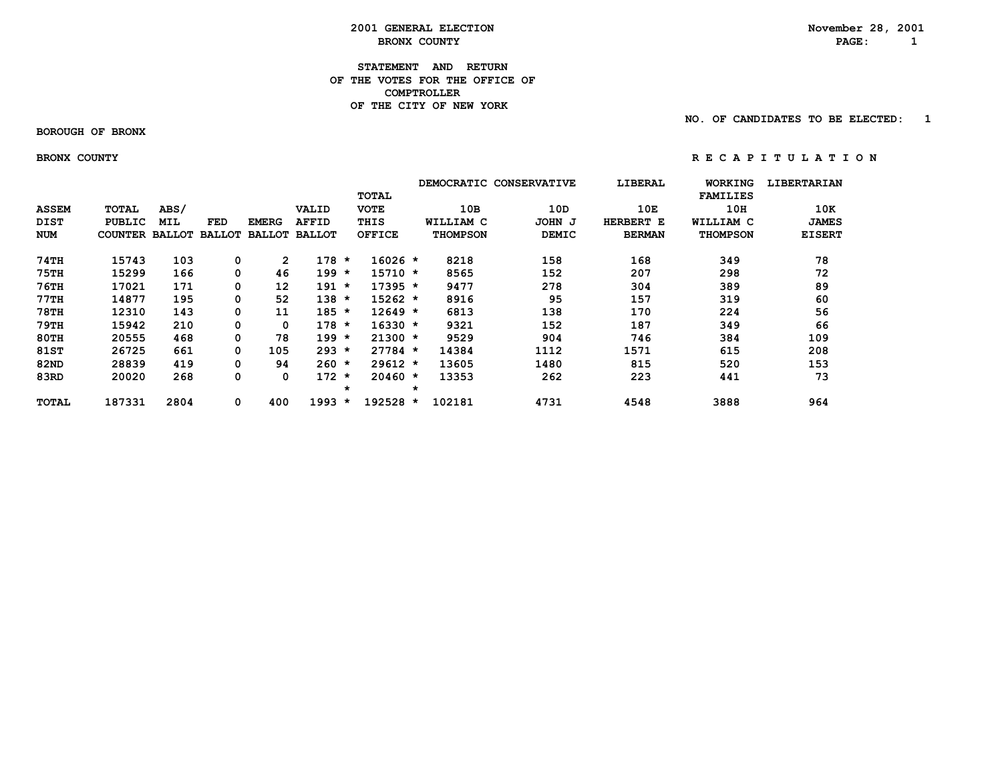### **2001 GENERAL ELECTION November 28, 2001**<br>**BRONX COUNTY BRON BRONX COUNTY** 2008 **PAGE:** 2

### **STATEMENT AND RETURN OF THE VOTES FOR THE OFFICE OF COMPTROLLER OF THE CITY OF NEW YORK**

 **BOROUGH OF BRONX**

 **NO. OF CANDIDATES TO BE ELECTED: 1**

BRONX COUNTY **RECAPITY** RECAPITULATION

|              |                       |      |               |               |               |         |               |         |                 | DEMOCRATIC CONSERVATIVE | LIBERAL       | <b>WORKING</b>  | <b>LIBERTARIAN</b> |
|--------------|-----------------------|------|---------------|---------------|---------------|---------|---------------|---------|-----------------|-------------------------|---------------|-----------------|--------------------|
|              |                       |      |               |               |               |         | <b>TOTAL</b>  |         |                 |                         |               | <b>FAMILIES</b> |                    |
| <b>ASSEM</b> | <b>TOTAL</b>          | ABS/ |               |               | VALID         |         | <b>VOTE</b>   |         | 10B             | 10D                     | 10E           | 10H             | 10K                |
| <b>DIST</b>  | PUBLIC                | MIL  | FED           | <b>EMERG</b>  | <b>AFFID</b>  |         | THIS          |         | WILLIAM C       | JOHN J                  | HERBERT E     | WILLIAM C       | <b>JAMES</b>       |
| <b>NUM</b>   | <b>COUNTER BALLOT</b> |      | <b>BALLOT</b> | <b>BALLOT</b> | <b>BALLOT</b> |         | <b>OFFICE</b> |         | <b>THOMPSON</b> | <b>DEMIC</b>            | <b>BERMAN</b> | <b>THOMPSON</b> | <b>EISERT</b>      |
| 74TH         | 15743                 | 103  | 0             | $\mathbf{2}$  | 178           | $\star$ | 16026 *       |         | 8218            | 158                     | 168           | 349             | 78                 |
| <b>75TH</b>  | 15299                 | 166  | 0             | 46            | 199           | $\star$ | 15710 *       |         | 8565            | 152                     | 207           | 298             | 72                 |
| <b>76TH</b>  | 17021                 | 171  | 0             | 12            | $191 *$       |         | $17395 *$     |         | 9477            | 278                     | 304           | 389             | 89                 |
| 77TH         | 14877                 | 195  | 0             | 52            | $138 *$       |         | $15262 *$     |         | 8916            | 95                      | 157           | 319             | 60                 |
| <b>78TH</b>  | 12310                 | 143  | 0             | 11            | $185 *$       |         | $12649 *$     |         | 6813            | 138                     | 170           | 224             | 56                 |
| 79TH         | 15942                 | 210  | 0             | 0             | $178 *$       |         | $16330 *$     |         | 9321            | 152                     | 187           | 349             | 66                 |
| <b>80TH</b>  | 20555                 | 468  | 0             | 78            | $199 *$       |         | $21300 *$     |         | 9529            | 904                     | 746           | 384             | 109                |
| 81ST         | 26725                 | 661  | 0             | 105           | 293           | $\star$ | $27784 *$     |         | 14384           | 1112                    | 1571          | 615             | 208                |
| 82ND         | 28839                 | 419  | 0             | 94            | $260 *$       |         | $29612 *$     |         | 13605           | 1480                    | 815           | 520             | 153                |
| 83RD         | 20020                 | 268  | 0             | 0             | 172           | $\star$ | $20460 *$     |         | 13353           | 262                     | 223           | 441             | 73                 |
|              |                       |      |               |               |               | $\star$ |               | $\star$ |                 |                         |               |                 |                    |
| TOTAL        | 187331                | 2804 | 0             | 400           | 1993          | $\star$ | 192528        | $\star$ | 102181          | 4731                    | 4548          | 3888            | 964                |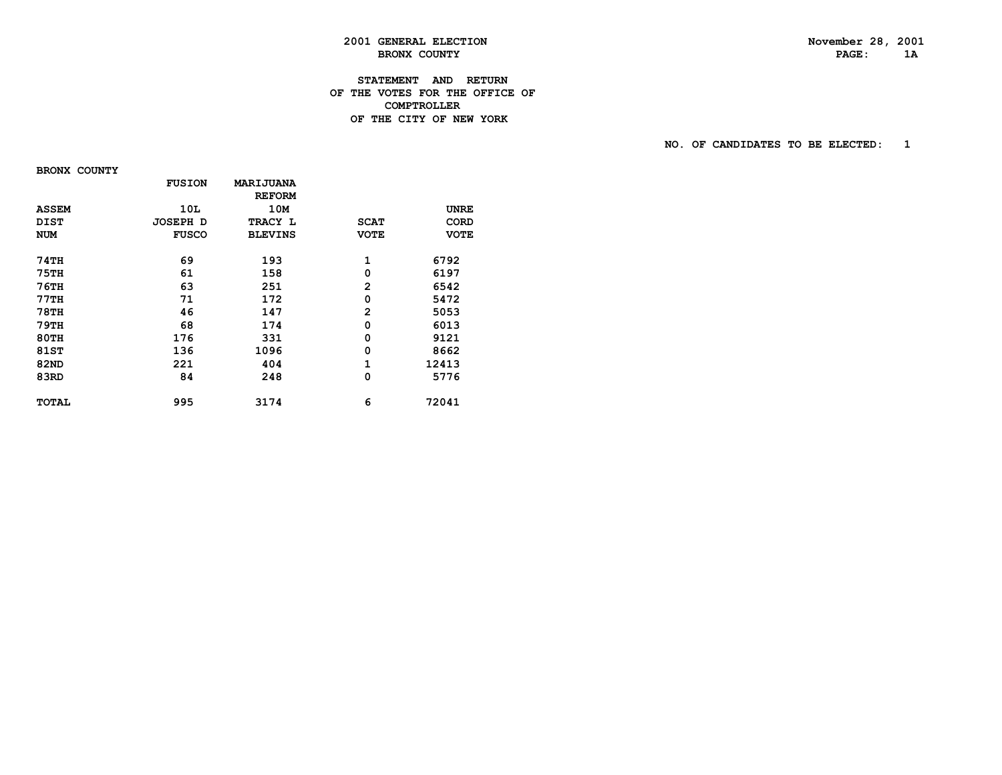PAGE: 1A

### **2001 GENERAL ELECTION November 28, 2001 BRONX COUNTY**

### **STATEMENT AND RETURN OF THE VOTES FOR THE OFFICE OF COMPTROLLERDE THE CITY OF NEW YORK**

 **NO. OF CANDIDATES TO BE ELECTED: 1**

 **BRONX COUNTY**

|              | <b>FUSION</b>   | <b>MARIJUANA</b> |                |             |
|--------------|-----------------|------------------|----------------|-------------|
|              |                 | <b>REFORM</b>    |                |             |
| <b>ASSEM</b> | 10L             | 10M              |                | <b>UNRE</b> |
| <b>DIST</b>  | <b>JOSEPH D</b> | TRACY L          | <b>SCAT</b>    | <b>CORD</b> |
| <b>NUM</b>   | <b>FUSCO</b>    | <b>BLEVINS</b>   | <b>VOTE</b>    | <b>VOTE</b> |
| 74TH         | 69              | 193              | 1              | 6792        |
| 75TH         | 61              | 158              | 0              | 6197        |
| 76TH         | 63              | 251              | $\overline{2}$ | 6542        |
| 77TH         | 71              | 172              | 0              | 5472        |
| 78TH         | 46              | 147              | $\overline{2}$ | 5053        |
| 79TH         | 68              | 174              | 0              | 6013        |
| 80TH         | 176             | 331              | 0              | 9121        |
| 81ST         | 136             | 1096             | 0              | 8662        |
| 82ND         | 221             | 404              | $\mathbf{1}$   | 12413       |
| 83RD         | 84              | 248              | 0              | 5776        |
| <b>TOTAL</b> | 995             | 3174             | 6              | 72041       |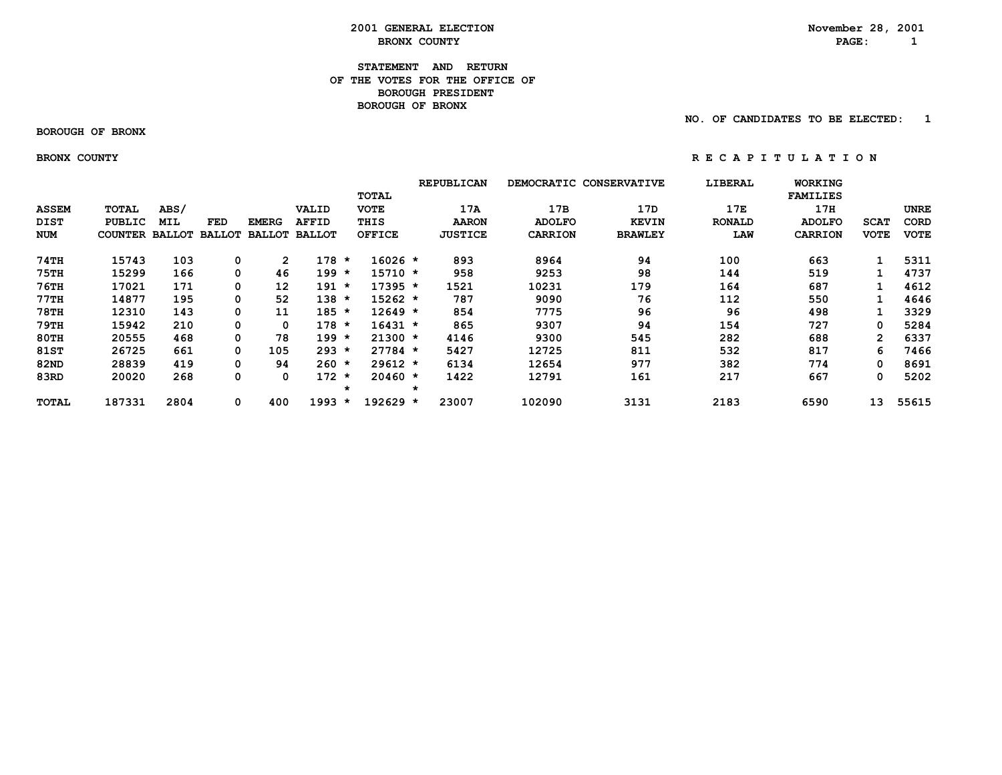### **2001 GENERAL ELECTION**<br> **BRONX COUNTY** BRONX **BRON BRONX COUNTY PAGE:** 1

### **STATEMENT AND RETURN OF THE VOTES FOR THE OFFICE OFBOROUGH PRESIDENT BOROUGH OF BRONX**

 **NO. OF CANDIDATES TO BE ELECTED: 1**

 **BOROUGH OF BRONX**

BRONX COUNTY **RECAPITY** RECAPITULATION

|              |                |               |               |               |               |         |               |         | <b>REPUBLICAN</b><br>DEMOCRATIC CONSERVATIVE |                | LIBERAL        | <b>WORKING</b> |                 |                |             |
|--------------|----------------|---------------|---------------|---------------|---------------|---------|---------------|---------|----------------------------------------------|----------------|----------------|----------------|-----------------|----------------|-------------|
|              |                |               |               |               |               |         | TOTAL         |         |                                              |                |                |                | <b>FAMILIES</b> |                |             |
| <b>ASSEM</b> | TOTAL          | ABS/          |               |               | <b>VALID</b>  |         | <b>VOTE</b>   |         | 17A                                          | 17B            | 17D            | 17E            | 17H             |                | <b>UNRE</b> |
| DIST         | <b>PUBLIC</b>  | <b>MIL</b>    | FED           | <b>EMERG</b>  | <b>AFFID</b>  |         | THIS          |         | <b>AARON</b>                                 | <b>ADOLFO</b>  | <b>KEVIN</b>   | <b>RONALD</b>  | <b>ADOLFO</b>   | <b>SCAT</b>    | <b>CORD</b> |
| <b>NUM</b>   | <b>COUNTER</b> | <b>BALLOT</b> | <b>BALLOT</b> | <b>BALLOT</b> | <b>BALLOT</b> |         | <b>OFFICE</b> |         | <b>JUSTICE</b>                               | <b>CARRION</b> | <b>BRAWLEY</b> | LAW            | <b>CARRION</b>  | <b>VOTE</b>    | <b>VOTE</b> |
| 74TH         | 15743          | 103           | 0             | $\mathbf{2}$  | 178           | *       | 16026 *       |         | 893                                          | 8964           | 94             | 100            | 663             |                | 5311        |
| 75TH         | 15299          | 166           | 0             | 46            | 199           | *       | 15710 *       |         | 958                                          | 9253           | 98             | 144            | 519             |                | 4737        |
| <b>76TH</b>  | 17021          | 171           | 0             | 12            | $191 *$       |         | $17395 *$     |         | 1521                                         | 10231          | 179            | 164            | 687             |                | 4612        |
| 77TH         | 14877          | 195           | 0             | 52            | $138 *$       |         | $15262 *$     |         | 787                                          | 9090           | 76             | 112            | 550             |                | 4646        |
| <b>78TH</b>  | 12310          | 143           | 0             | 11            | $185 *$       |         | $12649 *$     |         | 854                                          | 7775           | 96             | 96             | 498             |                | 3329        |
| 79TH         | 15942          | 210           | 0             | 0             | $178 *$       |         | $16431 *$     |         | 865                                          | 9307           | 94             | 154            | 727             | 0              | 5284        |
| <b>80TH</b>  | 20555          | 468           | 0             | 78            | $199 *$       |         | $21300 *$     |         | 4146                                         | 9300           | 545            | 282            | 688             | $\overline{2}$ | 6337        |
| 81ST         | 26725          | 661           | 0             | 105           | $293 *$       |         | $27784 *$     |         | 5427                                         | 12725          | 811            | 532            | 817             | 6              | 7466        |
| 82ND         | 28839          | 419           | 0             | 94            | $260 *$       |         | 29612 *       |         | 6134                                         | 12654          | 977            | 382            | 774             | 0              | 8691        |
| 83RD         | 20020          | 268           | 0             | 0             | 172           | $\star$ | $20460 *$     |         | 1422                                         | 12791          | 161            | 217            | 667             | 0              | 5202        |
|              |                |               |               |               |               | $\star$ |               | $\star$ |                                              |                |                |                |                 |                |             |
| TOTAL        | 187331         | 2804          | 0             | 400           | 1993          | $\star$ | $192629$ *    |         | 23007                                        | 102090         | 3131           | 2183           | 6590            | 13             | 55615       |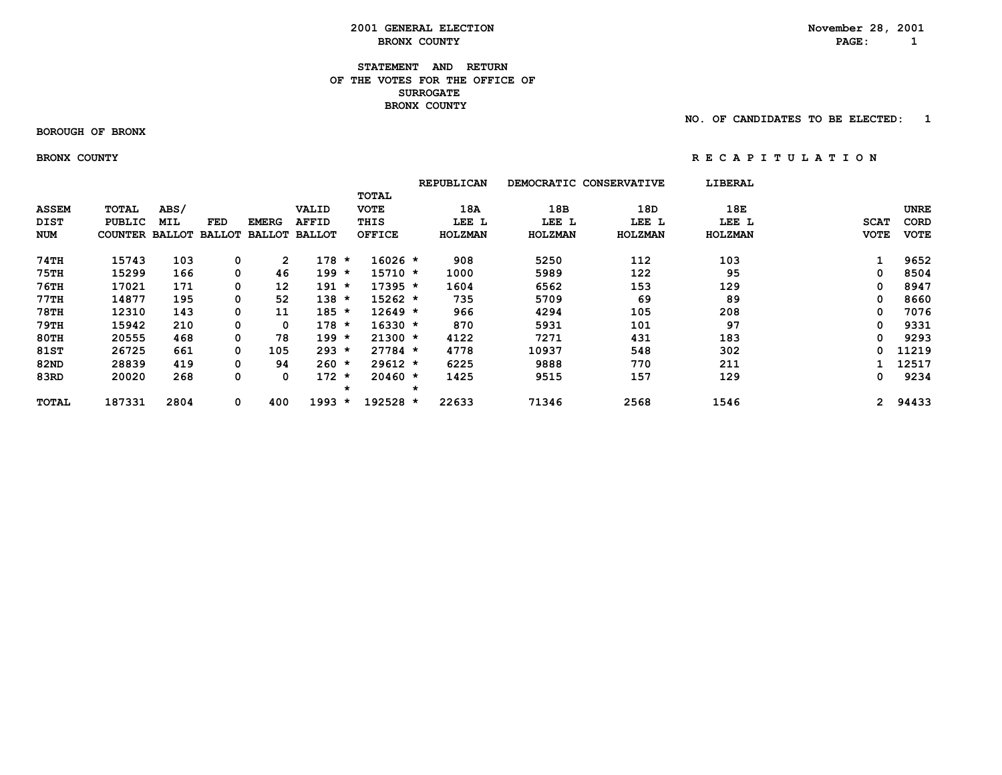#### **STATEMENT AND RETURN OF THE VOTES FOR THE OFFICE OFSURROGATE BRONX COUNTY**

#### **BOROUGH OF BRONX**

 **NO. OF CANDIDATES TO BE ELECTED: 1**

#### BRONX COUNTY **RECAPITY** RECAPITULATION

|              |                |               |               |               |               |                      | <b>REPUBLICAN</b> |                | DEMOCRATIC CONSERVATIVE | LIBERAL |             |             |
|--------------|----------------|---------------|---------------|---------------|---------------|----------------------|-------------------|----------------|-------------------------|---------|-------------|-------------|
|              |                |               |               |               |               | <b>TOTAL</b>         |                   |                |                         |         |             |             |
| <b>ASSEM</b> | TOTAL          | ABS/          |               |               | VALID         | <b>VOTE</b>          |                   | 18B<br>18A     | 18D                     | 18E     |             | <b>UNRE</b> |
| <b>DIST</b>  | <b>PUBLIC</b>  | <b>MIL</b>    | FED           | <b>EMERG</b>  | <b>AFFID</b>  | THIS                 |                   | LEE L<br>LEE L | LEE L                   | LEE L   | <b>SCAT</b> | <b>CORD</b> |
| NUM          | <b>COUNTER</b> | <b>BALLOT</b> | <b>BALLOT</b> | <b>BALLOT</b> | <b>BALLOT</b> | <b>OFFICE</b>        | HOLZMAN           | <b>HOLZMAN</b> | <b>HOLZMAN</b>          | HOLZMAN | <b>VOTE</b> | <b>VOTE</b> |
| 74TH         | 15743          | 103           | 0             | $\mathbf{2}$  | $178 *$       | $16026 *$            | 908               | 5250           | 112                     | 103     |             | 9652        |
| 75TH         | 15299          | 166           | 0             | 46            | $199 *$       | $15710 *$            | 1000              | 5989           | 122                     | 95      | 0           | 8504        |
| <b>76TH</b>  | 17021          | 171           | 0             | 12            | $191 *$       | $17395 *$            | 1604              | 6562           | 153                     | 129     | 0           | 8947        |
| $77$ TH      | 14877          | 195           | 0             | 52            | $138 *$       | $15262 *$            | 735               | 5709           | 69                      | 89      | 0           | 8660        |
| 78TH         | 12310          | 143           | 0             | 11            | $185 *$       | $12649 *$            | 966               | 4294           | 105                     | 208     | 0           | 7076        |
| <b>79TH</b>  | 15942          | 210           | 0             | 0             | $178 *$       | $16330 *$            | 870               | 5931           | 101                     | 97      | 0           | 9331        |
| <b>80TH</b>  | 20555          | 468           | 0             | 78            | $199 *$       | $21300 *$            | 4122              | 7271           | 431                     | 183     | 0           | 9293        |
| 81ST         | 26725          | 661           | 0             | 105           | $293 *$       | $27784 *$            | 4778              | 10937          | 548                     | 302     | 0           | 11219       |
| 82ND         | 28839          | 419           | 0             | 94            | $260 *$       | $29612 *$            | 6225              | 9888           | 770                     | 211     |             | 12517       |
| 83RD         | 20020          | 268           | 0             | 0             | $172 *$       | $20460 *$<br>$\star$ | 1425<br>$\star$   | 9515           | 157                     | 129     | 0           | 9234        |
| TOTAL        | 187331         | 2804          | 0             | 400           | 1993          | 192528 *<br>$\star$  | 22633             | 71346          | 2568                    | 1546    |             | 2 94433     |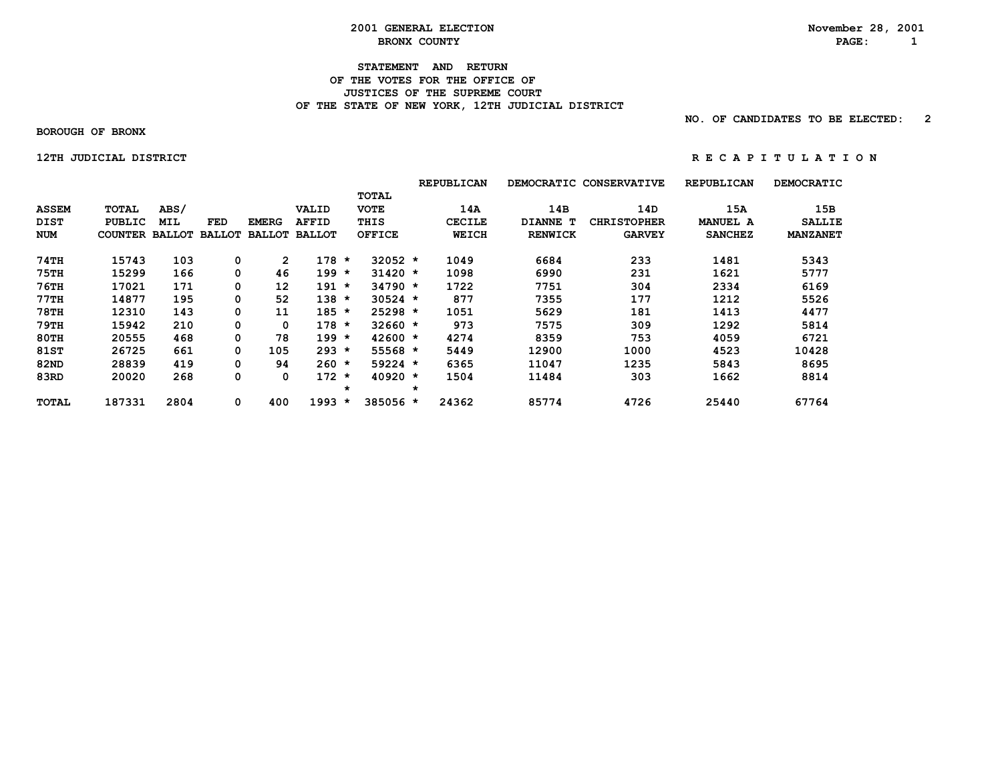#### **STATEMENT AND RETURN OF THE VOTES FOR THE OFFICE OF JUSTICES OF THE SUPREME COURT** OF THE STATE OF NEW YORK, 12TH JUDICIAL DISTRICT

 **NO. OF CANDIDATES TO BE ELECTED: 2**

 **BOROUGH OF BRONX**

 **12THJUDICIALDISTRICT R E C A P I T U L A T I O N**

|              |                |               |               |               |               |         |               |         | <b>REPUBLICAN</b> | <b>DEMOCRATIC</b> | <b>CONSERVATIVE</b> | <b>REPUBLICAN</b> | <b>DEMOCRATIC</b> |
|--------------|----------------|---------------|---------------|---------------|---------------|---------|---------------|---------|-------------------|-------------------|---------------------|-------------------|-------------------|
|              |                |               |               |               |               |         | <b>TOTAL</b>  |         |                   |                   |                     |                   |                   |
| <b>ASSEM</b> | <b>TOTAL</b>   | ABS/          |               |               | VALID         |         | <b>VOTE</b>   |         | 14A               | 14B               | 14D                 | 15A               | 15B               |
| <b>DIST</b>  | <b>PUBLIC</b>  | MIL           | <b>FED</b>    | <b>EMERG</b>  | <b>AFFID</b>  |         | THIS          |         | <b>CECILE</b>     | DIANNE T          | <b>CHRISTOPHER</b>  | <b>MANUEL A</b>   | <b>SALLIE</b>     |
| <b>NUM</b>   | <b>COUNTER</b> | <b>BALLOT</b> | <b>BALLOT</b> | <b>BALLOT</b> | <b>BALLOT</b> |         | <b>OFFICE</b> |         | <b>WEICH</b>      | <b>RENWICK</b>    | <b>GARVEY</b>       | <b>SANCHEZ</b>    | <b>MANZANET</b>   |
| 74TH         | 15743          | 103           | 0             | 2             | $178 *$       |         | $32052 *$     |         | 1049              | 6684              | 233                 | 1481              | 5343              |
| <b>75TH</b>  | 15299          | 166           | 0             | 46            | $199 *$       |         | $31420 *$     |         | 1098              | 6990              | 231                 | 1621              | 5777              |
| <b>76TH</b>  | 17021          | 171           | 0             | 12            | 191           | $\star$ | $34790 *$     |         | 1722              | 7751              | 304                 | 2334              | 6169              |
| 77TH         | 14877          | 195           | 0             | 52            | $138 *$       |         | $30524$ *     |         | 877               | 7355              | 177                 | 1212              | 5526              |
| <b>78TH</b>  | 12310          | 143           | 0             | 11            | $185 *$       |         | $25298 *$     |         | 1051              | 5629              | 181                 | 1413              | 4477              |
| 79TH         | 15942          | 210           | 0             | 0             | $178 *$       |         | $32660 *$     |         | 973               | 7575              | 309                 | 1292              | 5814              |
| <b>80TH</b>  | 20555          | 468           | 0             | 78            | $199 *$       |         | $42600 *$     |         | 4274              | 8359              | 753                 | 4059              | 6721              |
| <b>81ST</b>  | 26725          | 661           | 0             | 105           | $293 *$       |         | $55568 *$     |         | 5449              | 12900             | 1000                | 4523              | 10428             |
| <b>82ND</b>  | 28839          | 419           | 0             | 94            | $260 *$       |         | $59224$ *     |         | 6365              | 11047             | 1235                | 5843              | 8695              |
| 83RD         | 20020          | 268           | 0             | 0             | $172 *$       |         | $40920 *$     |         | 1504              | 11484             | 303                 | 1662              | 8814              |
|              |                |               |               |               |               | $\star$ |               | $\star$ |                   |                   |                     |                   |                   |
| TOTAL        | 187331         | 2804          | 0             | 400           | 1993          | $\star$ | 385056 *      |         | 24362             | 85774             | 4726                | 25440             | 67764             |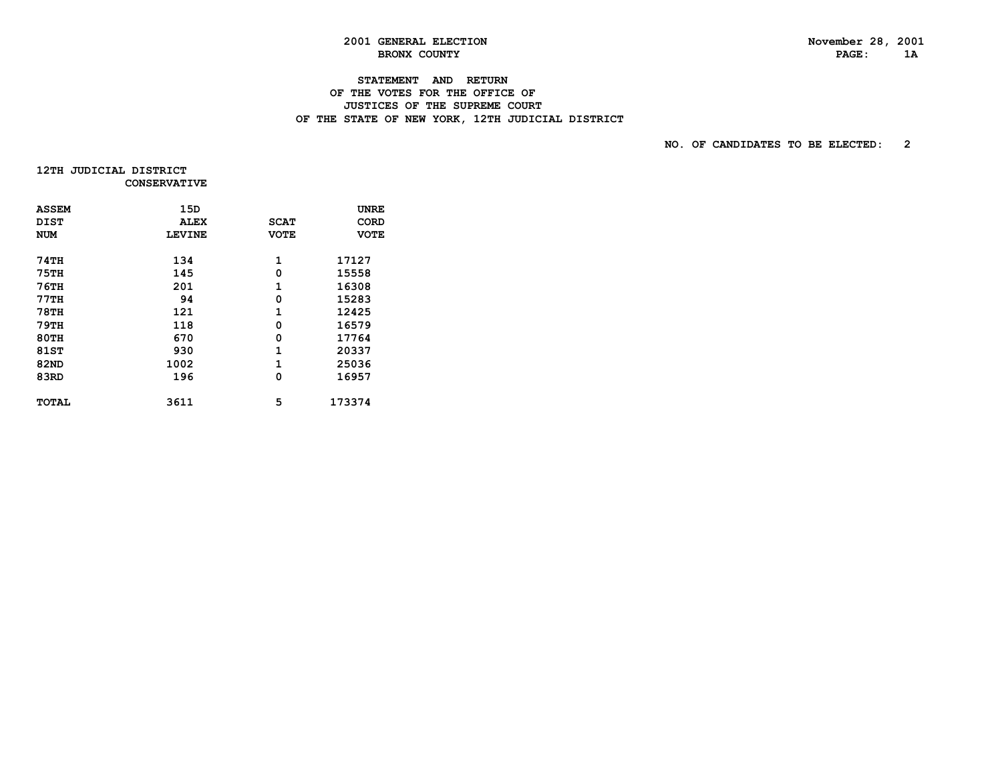# **STATEMENT AND RETURN OF THE VOTES FOR THE OFFICE OF**

# **JUSTICES OF THE SUPREME COURT**OF THE STATE OF NEW YORK, 12TH JUDICIAL DISTRICT

| 12TH JUDICIAL DISTRICT |                     |
|------------------------|---------------------|
|                        | <b>CONSERVATIVE</b> |

| <b>ASSEM</b> | 15D           |             | UNRE        |
|--------------|---------------|-------------|-------------|
| <b>DIST</b>  | <b>ALEX</b>   | <b>SCAT</b> | CORD        |
| <b>NUM</b>   | <b>LEVINE</b> | <b>VOTE</b> | <b>VOTE</b> |
|              |               |             |             |
| <b>74TH</b>  | 134           | 1           | 17127       |
| <b>75TH</b>  | 145           | 0           | 15558       |
| <b>76TH</b>  | 201           | 1           | 16308       |
| 77TH         | 94            | 0           | 15283       |
| <b>78TH</b>  | 121           | 1           | 12425       |
| <b>79TH</b>  | 118           | 0           | 16579       |
| <b>80TH</b>  | 670           | 0           | 17764       |
| 81ST         | 930           | 1           | 20337       |
| <b>82ND</b>  | 1002          | 1           | 25036       |
| 83RD         | 196           | 0           | 16957       |
|              |               |             |             |
| <b>TOTAL</b> | 3611          | 5           | 173374      |
|              |               |             |             |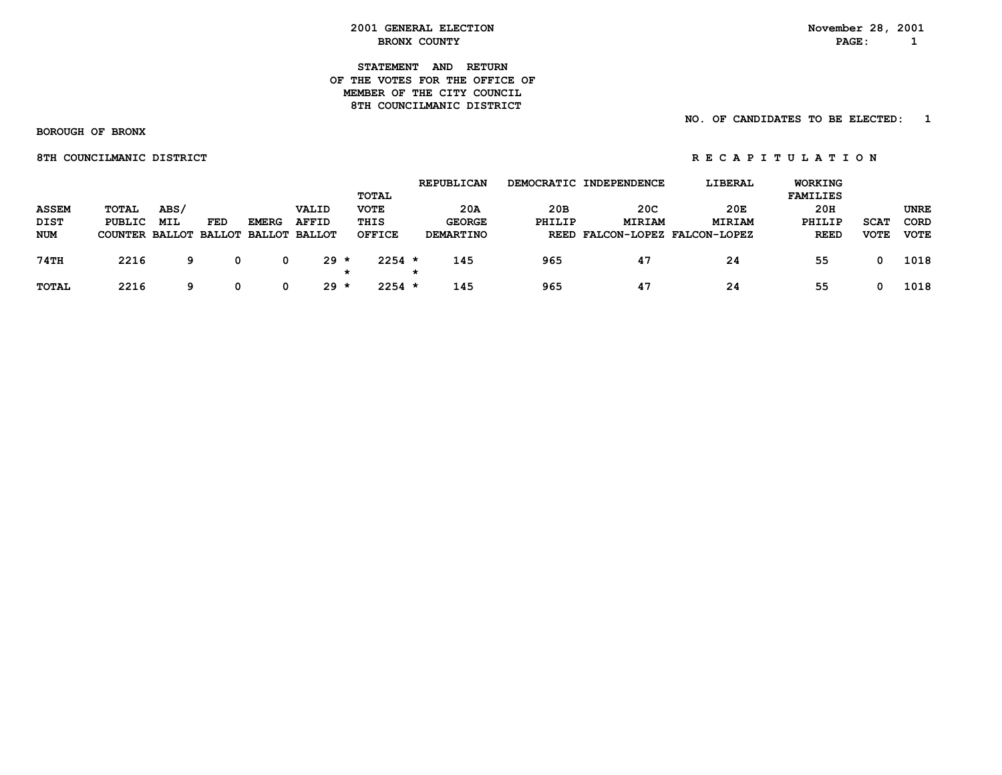**STATEMENT AND RETURN OF THE VOTES FOR THE OFFICE OFMEMBER OF THE CITY COUNCIL** 8TH COUNCILMANIC DISTRICT

 **NO. OF CANDIDATES TO BE ELECTED: 1**

 **BOROUGH OF BRONX**

**8TH COUNCILMANIC DISTRICT A REPORT OF REGAPITULATION** 

|              |                |            |            |                      |                   | <b>TOTAL</b>  | <b>REPUBLICAN</b> |        | DEMOCRATIC INDEPENDENCE        | LIBERAL       | WORKING<br><b>FAMILIES</b> |             |             |
|--------------|----------------|------------|------------|----------------------|-------------------|---------------|-------------------|--------|--------------------------------|---------------|----------------------------|-------------|-------------|
| <b>ASSEM</b> | TOTAL          | ABS/       |            |                      | VALID             | <b>VOTE</b>   | 20A               | 20B    | 20C                            | 20E           | 20H                        |             | <b>UNRE</b> |
| DIST         | <b>PUBLIC</b>  | <b>MIL</b> | <b>FED</b> | <b>EMERG</b>         | <b>AFFID</b>      | THIS          | <b>GEORGE</b>     | PHILIP | <b>MIRIAM</b>                  | <b>MIRIAM</b> | PHILIP                     | <b>SCAT</b> | CORD        |
| <b>NUM</b>   | COUNTER BALLOT |            |            | BALLOT BALLOT BALLOT |                   | <b>OFFICE</b> | DEMARTINO         |        | REED FALCON-LOPEZ FALCON-LOPEZ |               | <b>REED</b>                | <b>VOTE</b> | <b>VOTE</b> |
| 74TH         | 2216           | 9          |            | 0                    | $29 *$<br>$\star$ | $2254$ *      | 145               | 965    | 47                             | 24            | 55                         |             | 1018        |
| <b>TOTAL</b> | 2216           | q          |            | 0                    | 29 *              | $2254$ *      | 145               | 965    | 47                             | 24            | 55                         |             | 1018        |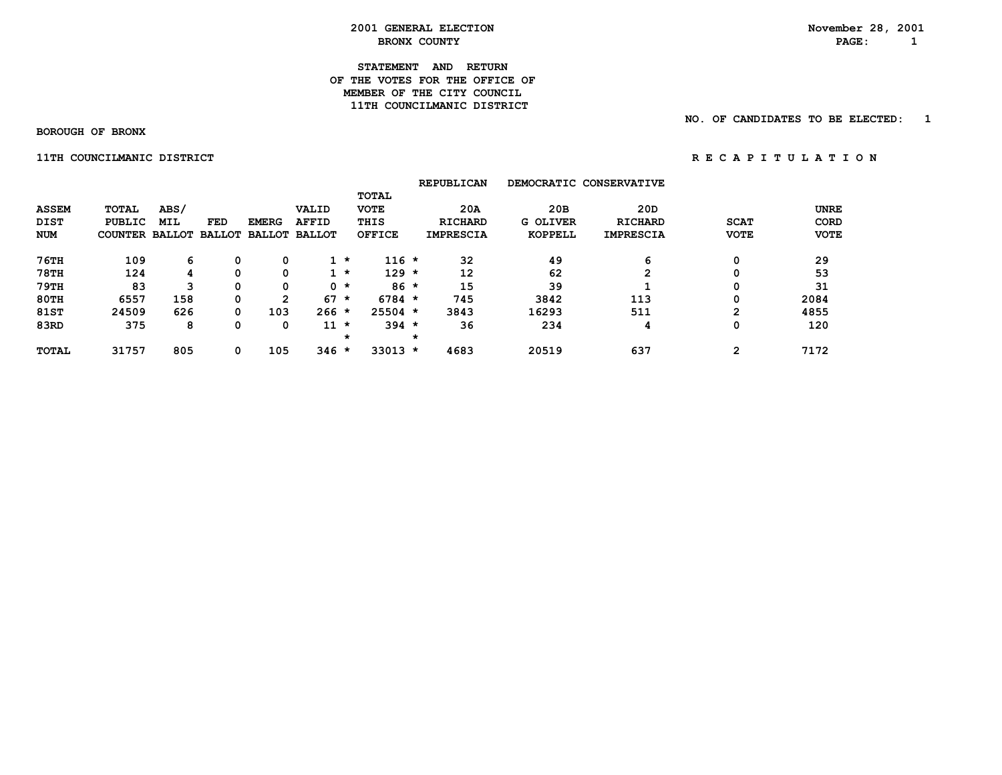**STATEMENT AND RETURN OF THE VOTES FOR THE OFFICE OFMEMBER OF THE CITY COUNCIL 11TH COUNCILMANIC DISTRICT** 

 **BOROUGH OF BRONX**

 **NO. OF CANDIDATES TO BE ELECTED: 1**

 **11TH COUNCILMANIC DISTRICT 11TH COUNCILMANIC DISTRICT** 

|                                           |                                                        |                    |     |              |                                               |         |                                                      |         | <b>REPUBLICAN</b>                         |                                   | DEMOCRATIC CONSERVATIVE                   |                            |                                    |
|-------------------------------------------|--------------------------------------------------------|--------------------|-----|--------------|-----------------------------------------------|---------|------------------------------------------------------|---------|-------------------------------------------|-----------------------------------|-------------------------------------------|----------------------------|------------------------------------|
| <b>ASSEM</b><br><b>DIST</b><br><b>NUM</b> | <b>TOTAL</b><br><b>PUBLIC</b><br>COUNTER BALLOT BALLOT | ABS/<br><b>MIL</b> | FED | <b>EMERG</b> | VALID<br><b>AFFID</b><br><b>BALLOT BALLOT</b> |         | <b>TOTAL</b><br><b>VOTE</b><br>THIS<br><b>OFFICE</b> |         | 20A<br><b>RICHARD</b><br><b>IMPRESCIA</b> | 20B<br><b>G OLIVER</b><br>KOPPELL | 20D<br><b>RICHARD</b><br><b>IMPRESCIA</b> | <b>SCAT</b><br><b>VOTE</b> | <b>UNRE</b><br>CORD<br><b>VOTE</b> |
| $76$ TH                                   | 109                                                    | 6                  |     | 0            |                                               | $1 *$   | $116 *$                                              |         | 32                                        | 49                                | 6                                         | 0                          | 29                                 |
| <b>78TH</b>                               | 124                                                    | 4                  |     | 0            |                                               | $1 *$   | $129 *$                                              |         | 12                                        | 62                                | 2                                         | 0                          | 53                                 |
| 79TH                                      | 83                                                     | 3                  |     | 0            |                                               | $0 *$   | $86*$                                                |         | 15                                        | 39                                |                                           | 0                          | 31                                 |
| 80TH                                      | 6557                                                   | 158                | 0   | 2            | 67                                            | $\star$ | $6784 *$                                             |         | 745                                       | 3842                              | 113                                       | 0                          | 2084                               |
| 81ST                                      | 24509                                                  | 626                | 0   | 103          | $266 *$                                       |         | $25504$ *                                            |         | 3843                                      | 16293                             | 511                                       | $\overline{2}$             | 4855                               |
| 83RD                                      | 375                                                    | 8                  |     | 0            | $11 *$                                        |         | $394 *$                                              |         | 36                                        | 234                               | 4                                         | 0                          | 120                                |
|                                           |                                                        |                    |     |              |                                               | *       |                                                      | $\star$ |                                           |                                   |                                           |                            |                                    |
| <b>TOTAL</b>                              | 31757                                                  | 805                | 0   | 105          | $346 *$                                       |         | $33013 *$                                            |         | 4683                                      | 20519                             | 637                                       | 2                          | 7172                               |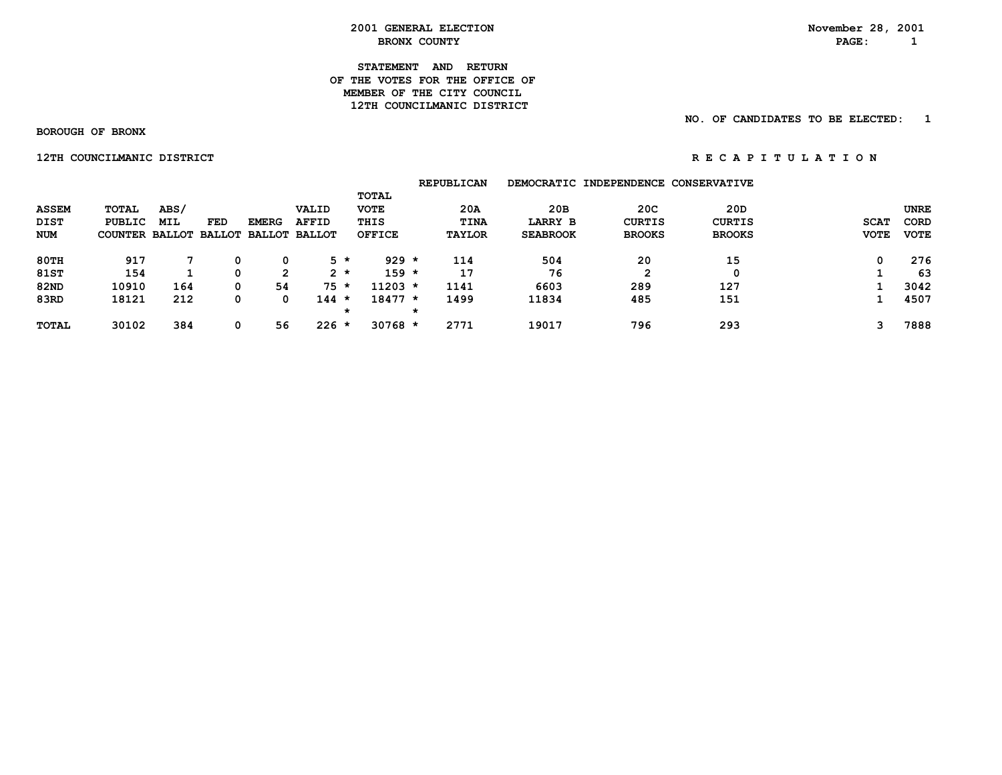**STATEMENT AND RETURN OF THE VOTES FOR THE OFFICE OFMEMBER OF THE CITY COUNCIL 12TH COUNCILMANIC DISTRICT** 

 **NO. OF CANDIDATES TO BE ELECTED: 1**

 **BOROUGH OF BRONX**

 **12TH COUNCILMANIC DISTRICT** *RECAPITULATION* 

|              |                       |            |     |              |                      |               | <b>REPUBLICAN</b> |                 | DEMOCRATIC INDEPENDENCE CONSERVATIVE |               |             |             |
|--------------|-----------------------|------------|-----|--------------|----------------------|---------------|-------------------|-----------------|--------------------------------------|---------------|-------------|-------------|
|              |                       |            |     |              |                      | TOTAL         |                   |                 |                                      |               |             |             |
| <b>ASSEM</b> | TOTAL                 | ABS/       |     |              | VALID                | <b>VOTE</b>   | 20A               | 20B             | 20 <sub>C</sub>                      | 20D           |             | <b>UNRE</b> |
| DIST         | <b>PUBLIC</b>         | <b>MIL</b> | FED | <b>EMERG</b> | <b>AFFID</b>         | THIS          | <b>TINA</b>       | <b>LARRY B</b>  | <b>CURTIS</b>                        | <b>CURTIS</b> | <b>SCAT</b> | CORD        |
| <b>NUM</b>   | COUNTER BALLOT BALLOT |            |     |              | <b>BALLOT BALLOT</b> | <b>OFFICE</b> | <b>TAYLOR</b>     | <b>SEABROOK</b> | <b>BROOKS</b>                        | <b>BROOKS</b> | <b>VOTE</b> | <b>VOTE</b> |
| 80TH         | 917                   |            | 0   | 0            | 5 *                  | 929           | 114<br>$\star$    | 504             | 20                                   | 15            | 0           | 276         |
| <b>81ST</b>  | 154                   |            | 0   | 2            | $2 *$                | $159 *$       | 17                | 76              |                                      | 0             |             | 63          |
| <b>82ND</b>  | 10910                 | 164        | 0   | 54           | $75 *$               | $11203 *$     | 1141              | 6603            | 289                                  | 127           |             | 3042        |
| 83RD         | 18121                 | 212        | 0   | 0            | $144 *$              | $18477 *$     | 1499              | 11834           | 485                                  | 151           |             | 4507        |
|              |                       |            |     |              |                      | *             | $\star$           |                 |                                      |               |             |             |
| <b>TOTAL</b> | 30102                 | 384        | 0   | 56           | $226 *$              | $30768$ *     | 2771              | 19017           | 796                                  | 293           | 3           | 7888        |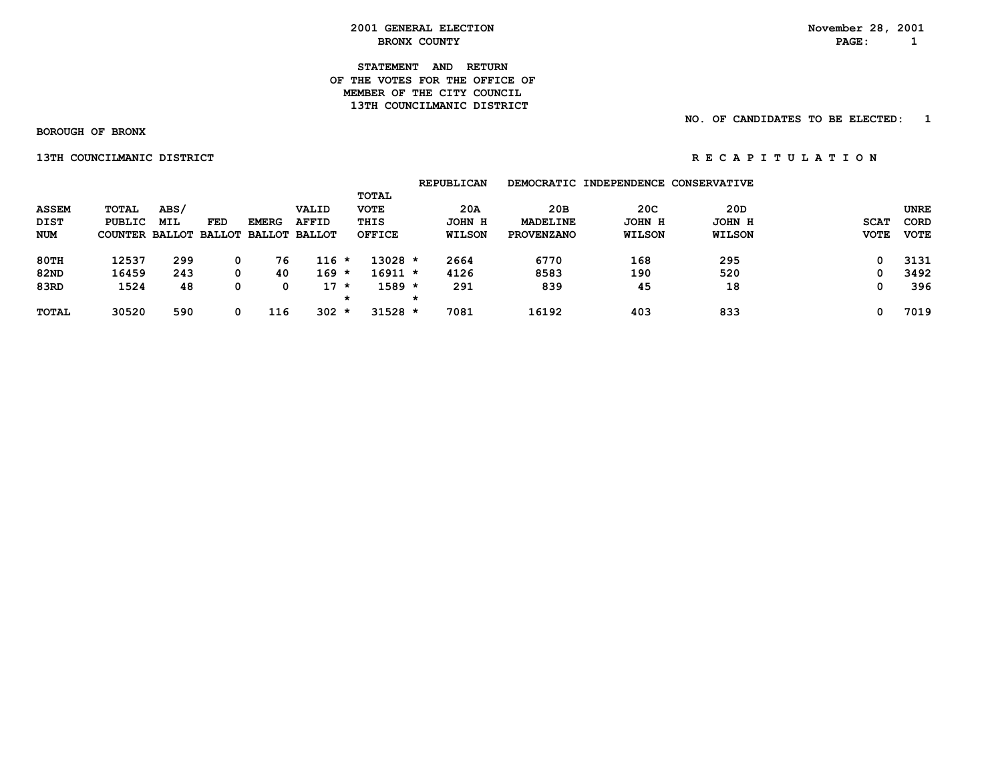**STATEMENT AND RETURN OF THE VOTES FOR THE OFFICE OFMEMBER OF THE CITY COUNCIL 13TH COUNCILMANIC DISTRICT** 

 **NO. OF CANDIDATES TO BE ELECTED: 1**

 **BOROUGH OF BRONX**

 **13TH COUNCILMANIC DISTRICT A REPORT OF REGARITY ON REGARITY ON REGARITY ON REGARITY ON REGARITY ON REGARITY ON** 

|                                    |                                                 |             |                      |                                      |                       |                                               | <b>REPUBLICAN</b>              |                                      | DEMOCRATIC INDEPENDENCE        | <b>CONSERVATIVE</b>            |                            |                                           |
|------------------------------------|-------------------------------------------------|-------------|----------------------|--------------------------------------|-----------------------|-----------------------------------------------|--------------------------------|--------------------------------------|--------------------------------|--------------------------------|----------------------------|-------------------------------------------|
| <b>ASSEM</b><br>DIST<br><b>NUM</b> | TOTAL<br><b>PUBLIC</b><br><b>COUNTER BALLOT</b> | ABS/<br>MIL | FED<br><b>BALLOT</b> | <b>EMERG</b><br><b>BALLOT BALLOT</b> | VALID<br><b>AFFID</b> | TOTAL<br><b>VOTE</b><br>THIS<br><b>OFFICE</b> | 20A<br>JOHN H<br><b>WILSON</b> | 20в<br>MADELINE<br><b>PROVENZANO</b> | 20C<br>JOHN H<br><b>WILSON</b> | 20D<br>JOHN H<br><b>WILSON</b> | <b>SCAT</b><br><b>VOTE</b> | <b>UNRE</b><br><b>CORD</b><br><b>VOTE</b> |
| <b>80TH</b>                        | 12537                                           | 299         | 0                    | 76                                   | $116 *$               | $13028$ *                                     | 2664                           | 6770                                 | 168                            | 295                            | 0                          | 3131                                      |
| <b>82ND</b>                        | 16459                                           | 243         | 0                    | 40                                   | $169 *$               | $16911 *$                                     | 4126                           | 8583                                 | 190                            | 520                            | 0                          | 3492                                      |
| 83RD                               | 1524                                            | 48          | 0                    |                                      | $17$ *                | $1589 *$                                      | 291                            | 839                                  | 45                             | 18                             | 0                          | 396                                       |
|                                    |                                                 |             |                      |                                      |                       | *                                             | $\star$                        |                                      |                                |                                |                            |                                           |
| <b>TOTAL</b>                       | 30520                                           | 590         | 0                    | 116                                  | 302                   | $31528 *$<br>*                                | 7081                           | 16192                                | 403                            | 833                            | O                          | 7019                                      |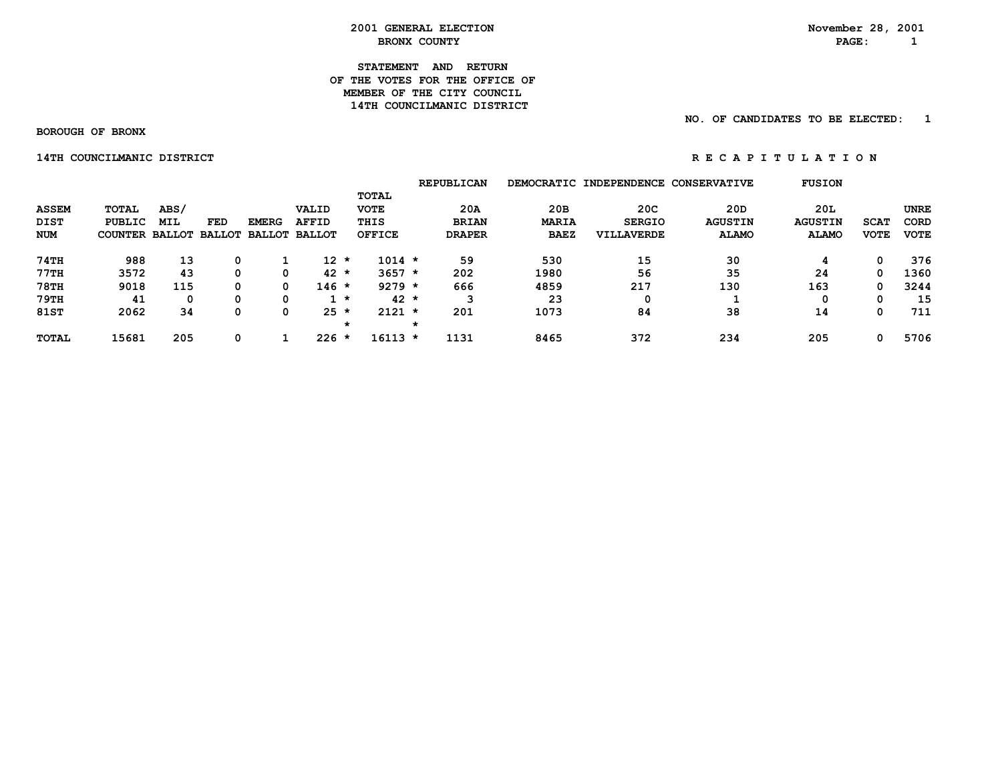#### **STATEMENT AND RETURN OF THE VOTES FOR THE OFFICE OFMEMBER OF THE CITY COUNCIL 14TH COUNCILMANIC DISTRICT**

#### **NO. OF CANDIDATES TO BE ELECTED: 1**

 **BOROUGH OF BRONX**

 **14TH COUNCILMANIC DISTRICT A REPORT OF REGARITY ON REGARITY ON REGARITY ON REGARITY ON REGARITY ON REGARITY ON** 

|              |                |               |               |               |               |              |               | <b>REPUBLICAN</b> |              | DEMOCRATIC INDEPENDENCE CONSERVATIVE |                | <b>FUSION</b>  |             |             |
|--------------|----------------|---------------|---------------|---------------|---------------|--------------|---------------|-------------------|--------------|--------------------------------------|----------------|----------------|-------------|-------------|
|              |                |               |               |               |               | <b>TOTAL</b> |               |                   |              |                                      |                |                |             |             |
| <b>ASSEM</b> | <b>TOTAL</b>   | ABS/          |               |               | VALID         | <b>VOTE</b>  |               | 20A               | 20B          | 20 <sub>C</sub>                      | 20D            | 20L            |             | <b>UNRE</b> |
| DIST         | PUBLIC         | <b>MIL</b>    | <b>FED</b>    | <b>EMERG</b>  | <b>AFFID</b>  | THIS         |               | <b>BRIAN</b>      | <b>MARIA</b> | <b>SERGIO</b>                        | <b>AGUSTIN</b> | <b>AGUSTIN</b> | <b>SCAT</b> | CORD        |
| <b>NUM</b>   | <b>COUNTER</b> | <b>BALLOT</b> | <b>BALLOT</b> | <b>BALLOT</b> | <b>BALLOT</b> |              | <b>OFFICE</b> | <b>DRAPER</b>     | <b>BAEZ</b>  | VILLAVERDE                           | <b>ALAMO</b>   | <b>ALAMO</b>   | <b>VOTE</b> | <b>VOTE</b> |
| 74TH         | 988            | 13            | 0             |               | 12 *          |              | $1014 *$      | 59                | 530          | 15                                   | 30             |                | 0           | 376         |
| 77TH         | 3572           | 43            | 0             | 0             | $42 *$        |              | $3657 *$      | 202               | 1980         | 56                                   | 35             | 24             | 0           | 1360        |
| <b>78TH</b>  | 9018           | 115           | 0             | 0             | $146 *$       |              | $9279 *$      | 666               | 4859         | 217                                  | 130            | 163            | 0           | 3244        |
| <b>79TH</b>  | 41             | 0             | 0             | 0             |               | *            | $42 *$        | з                 | 23           |                                      |                | 0              | 0           | 15          |
| 81ST         | 2062           | 34            | 0             | 0             | $25 *$        |              | $2121 *$      | 201               | 1073         | 84                                   | 38             | 14             | 0           | 711         |
|              |                |               |               |               |               | *            |               |                   |              |                                      |                |                |             |             |
| <b>TOTAL</b> | 15681          | 205           | 0             |               | $226 *$       |              | 16113 *       | 1131              | 8465         | 372                                  | 234            | 205            | 0           | 5706        |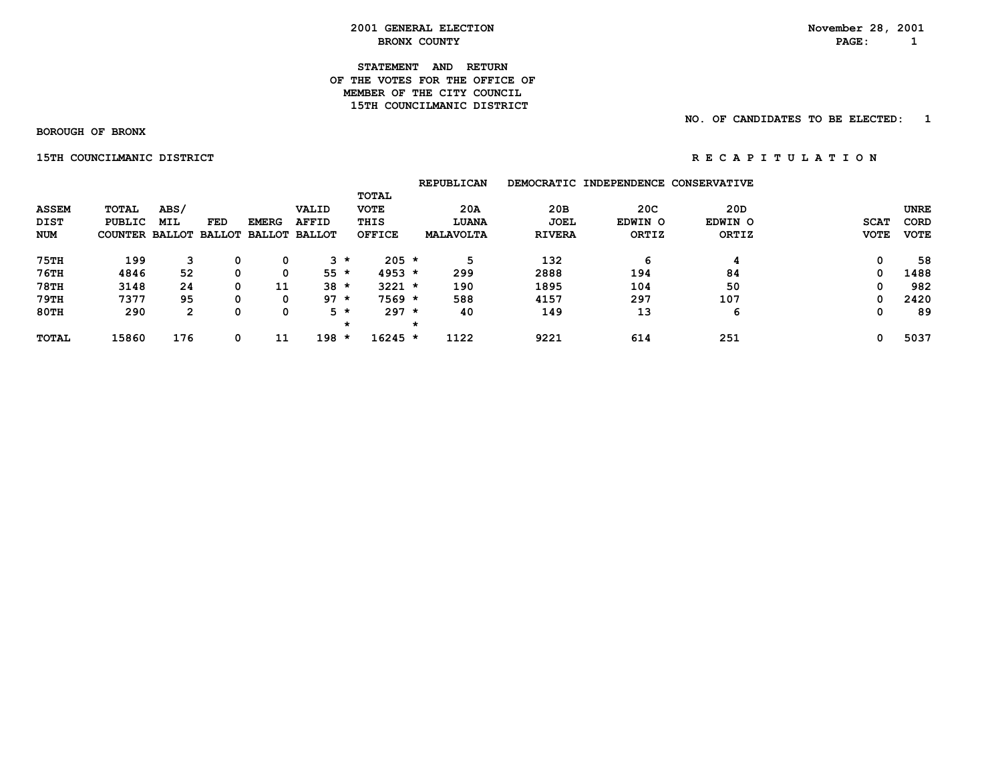**2001 GENERAL ELECTION November 28, 2001 BRONX COUNTY EXAMPLE 2 BRONX COUNTY** 

> **STATEMENT AND RETURN OF THE VOTES FOR THE OFFICE OF MEMBER OF THE CITY COUNCIL15TH COUNCILMANIC DISTRICT**

> > **NO. OF CANDIDATES TO BE ELECTED: 1**

 **BOROUGH OF BRONX**

 **15TH COUNCILMANIC DISTRICT A REPORT OF REGAPITULATION** 

 **REPUBLICAN DEMOCRATIC INDEPENDENCE CONSERVATIVE TOTAL ASSEM TOTAL ABS/ VALID VOTE 20A 20B 20C 20D UNRE DIST PUBLIC MIL FED EMERG AFFID THIS LUANA JOEL EDWIN O EDWIN O SCAT CORD NUM COUNTER BALLOT BALLOT BALLOT BALLOT OFFICE MALAVOLTA RIVERA ORTIZ ORTIZ VOTE VOTE 75TH 199 3 0 0 3 \* 205 \* 5 132 6 4 0 58 76TH 4846 52 0 0 55 \* 4953 \* 299 2888 194 84 0 1488 78TH 3148 24 0 11 38 \* 3221 \* 190 1895 104 50 0 982 79TH 7377 95 0 0 97 \* 7569 \* 588 4157 297 107 0 2420 80TH 290 2 0 0 5 \* 297 \* 40 149 13 6 0 89 \* \* TOTAL 15860 176 0 11 198 \* 16245 \* 1122 9221 614 251 0 5037**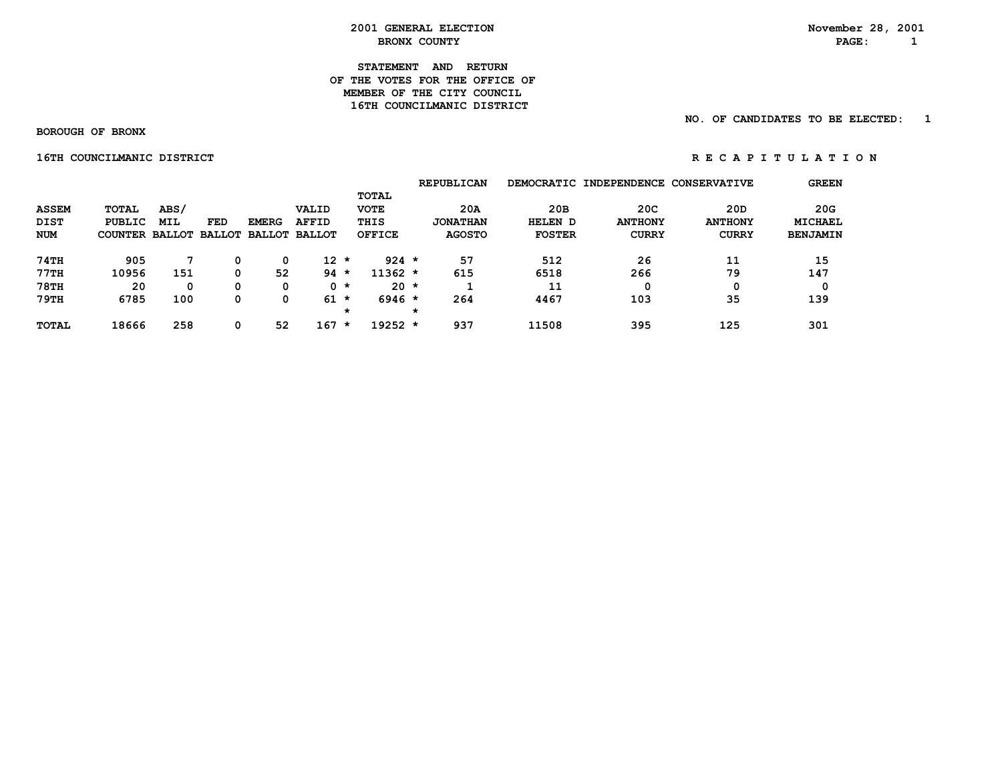#### **STATEMENT AND RETURN OF THE VOTES FOR THE OFFICE OFMEMBER OF THE CITY COUNCIL 16TH COUNCILMANIC DISTRICT**

#### **NO. OF CANDIDATES TO BE ELECTED: 1**

 **BOROUGH OF BRONX**

**16TH COUNCILMANIC DISTRICT A REPORT OF REGAPITULATION** 

|              |              |               |               |               |               |         |               |         | <b>REPUBLICAN</b> |               | DEMOCRATIC INDEPENDENCE | <b>CONSERVATIVE</b> | <b>GREEN</b>    |
|--------------|--------------|---------------|---------------|---------------|---------------|---------|---------------|---------|-------------------|---------------|-------------------------|---------------------|-----------------|
|              |              |               |               |               |               |         | <b>TOTAL</b>  |         |                   |               |                         |                     |                 |
| <b>ASSEM</b> | <b>TOTAL</b> | ABS/          |               |               | VALID         |         | <b>VOTE</b>   |         | 20A               | 20B           | 20 <sub>C</sub>         | 20D                 | 20G             |
| <b>DIST</b>  | PUBLIC       | <b>MIL</b>    | FED           | <b>EMERG</b>  | <b>AFFID</b>  |         | THIS          |         | <b>JONATHAN</b>   | HELEN D       | <b>ANTHONY</b>          | <b>ANTHONY</b>      | <b>MICHAEL</b>  |
| <b>NUM</b>   | COUNTER      | <b>BALLOT</b> | <b>BALLOT</b> | <b>BALLOT</b> | <b>BALLOT</b> |         | <b>OFFICE</b> |         | <b>AGOSTO</b>     | <b>FOSTER</b> | <b>CURRY</b>            | <b>CURRY</b>        | <b>BENJAMIN</b> |
|              |              |               |               |               |               |         |               |         |                   |               |                         |                     |                 |
| <b>74TH</b>  | 905          |               |               | 0             | $12 *$        |         | $924 *$       |         | 57                | 512           | 26                      | 11                  | 15              |
| 77TH         | 10956        | 151           |               | 52            | 94            | *       | $11362 *$     |         | 615               | 6518          | 266                     | 79                  | 147             |
| <b>78TH</b>  | 20           | 0             | 0             | 0             |               | 0 *     | $20 *$        |         |                   | 11            | 0                       | 0                   |                 |
| 79TH         | 6785         | 100           | 0             | 0             | 61            | $\star$ | $6946 *$      |         | 264               | 4467          | 103                     | 35                  | 139             |
|              |              |               |               |               |               | *       |               | $\star$ |                   |               |                         |                     |                 |
| <b>TOTAL</b> | 18666        | 258           |               | 52            | 167           | *       | $19252 *$     |         | 937               | 11508         | 395                     | 125                 | 301             |
|              |              |               |               |               |               |         |               |         |                   |               |                         |                     |                 |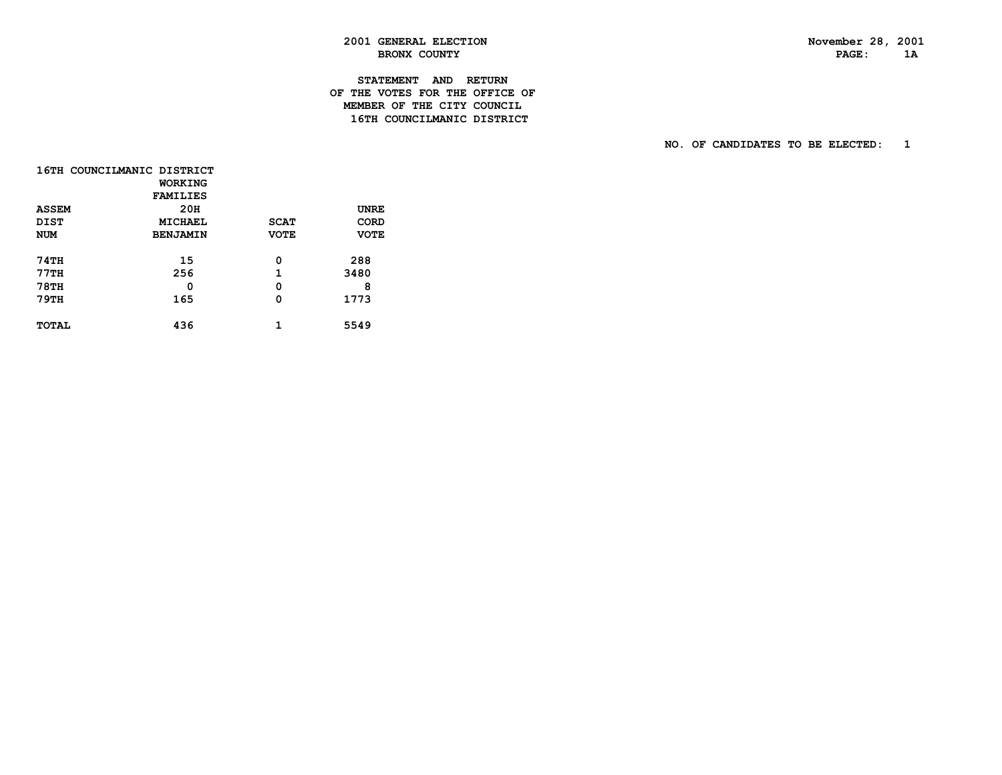PAGE: 1A

# **2001 GENERAL ELECTION November 28, 2001** BRONX COUNTY

#### **STATEMENT AND RETURN OF THE VOTES FOR THE OFFICE OF MEMBER OF THE CITY COUNCIL16TH COUNCILMANIC DISTRICT**

|              | 16TH COUNCILMANIC DISTRICT |             |             |
|--------------|----------------------------|-------------|-------------|
|              | WORKING                    |             |             |
|              | <b>FAMILIES</b>            |             |             |
| <b>ASSEM</b> | 20H                        |             | <b>UNRE</b> |
| <b>DIST</b>  | MICHAEL                    | <b>SCAT</b> | CORD        |
| <b>NUM</b>   | <b>BENJAMIN</b>            | <b>VOTE</b> | <b>VOTE</b> |
|              |                            |             |             |
| <b>74TH</b>  | 15                         | 0           | 288         |
| <b>77TH</b>  | 256                        | 1           | 3480        |
| <b>78TH</b>  | 0                          | 0           | 8           |
| <b>79TH</b>  | 165                        | 0           | 1773        |
|              |                            |             |             |
| <b>TOTAL</b> | 436                        |             | 5549        |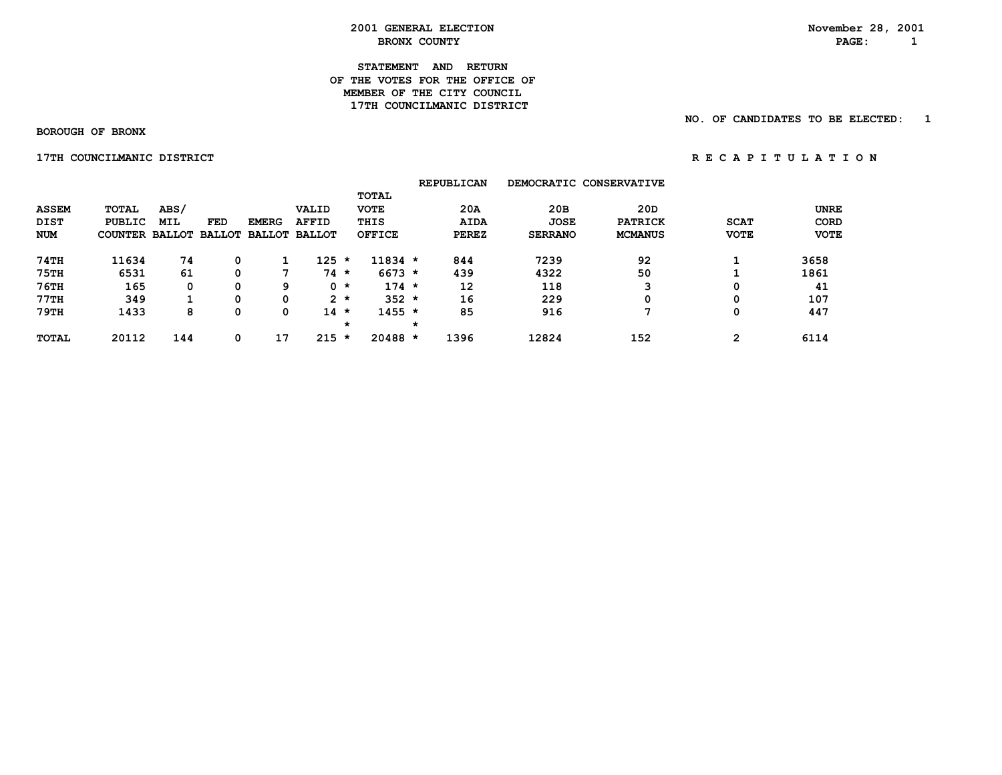**STATEMENT AND RETURN OF THE VOTES FOR THE OFFICE OFMEMBER OF THE CITY COUNCIL 17TH COUNCILMANIC DISTRICT** 

 **BOROUGH OF BRONX**

 **17TH COUNCILMANIC DISTRICT** *RECAPITULATION* 

|              |                       |      |            |              |                      |         |               |         | <b>REPUBLICAN</b> |                | DEMOCRATIC CONSERVATIVE |             |             |
|--------------|-----------------------|------|------------|--------------|----------------------|---------|---------------|---------|-------------------|----------------|-------------------------|-------------|-------------|
|              |                       |      |            |              |                      |         | <b>TOTAL</b>  |         |                   |                |                         |             |             |
| <b>ASSEM</b> | <b>TOTAL</b>          | ABS/ |            |              | VALID                |         | <b>VOTE</b>   |         | 20A               | 20B            | 20D                     |             | <b>UNRE</b> |
| <b>DIST</b>  | <b>PUBLIC</b>         | MIL  | <b>FED</b> | <b>EMERG</b> | <b>AFFID</b>         |         | THIS          |         | <b>AIDA</b>       | <b>JOSE</b>    | <b>PATRICK</b>          | <b>SCAT</b> | CORD        |
| <b>NUM</b>   | COUNTER BALLOT BALLOT |      |            |              | <b>BALLOT BALLOT</b> |         | <b>OFFICE</b> |         | <b>PEREZ</b>      | <b>SERRANO</b> | <b>MCMANUS</b>          | <b>VOTE</b> | <b>VOTE</b> |
| 74TH         | 11634                 | 74   |            |              | 125                  | $\star$ | $11834 *$     |         | 844               | 7239           | 92                      |             | 3658        |
| <b>75TH</b>  | 6531                  | 61   |            | -            | 74                   | $\star$ | $6673 *$      |         | 439               | 4322           | 50                      |             | 1861        |
| $76$ TH      | 165                   | 0    |            | 9            |                      | $0 *$   | $174 *$       |         | 12                | 118            | 3                       | 0           | 41          |
| 77TH         | 349                   |      | $\Omega$   | 0            |                      | $2 *$   | $352 *$       |         | 16                | 229            | 0                       | 0           | 107         |
| 79TH         | 1433                  | 8    |            | 0            | 14                   | $\star$ | $1455 *$      |         | 85                | 916            | 7                       | 0           | 447         |
|              |                       |      |            |              |                      | $\star$ |               | $\star$ |                   |                |                         |             |             |
| <b>TOTAL</b> | 20112                 | 144  | 0          | 17           | $215 *$              |         | $20488 *$     |         | 1396              | 12824          | 152                     | 2           | 6114        |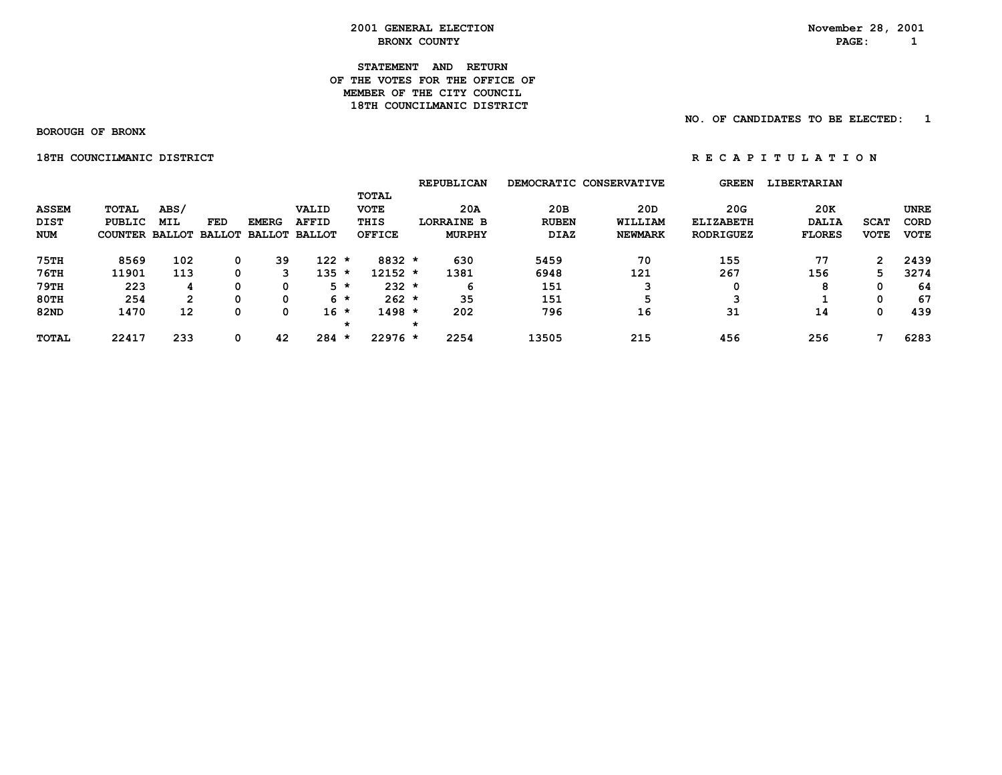#### **STATEMENT AND RETURN OF THE VOTES FOR THE OFFICE OFMEMBER OF THE CITY COUNCIL 18TH COUNCILMANIC DISTRICT**

 **NO. OF CANDIDATES TO BE ELECTED: 1**

 **BOROUGH OF BRONX**

 **18TH COUNCILMANIC DISTRICT A REPORT OF REGAPITULATION** 

|                                    |                                          |                    |            |                                             |                       |         |                                                      | <b>REPUBLICAN</b>                         |                                    | DEMOCRATIC CONSERVATIVE          | <b>GREEN</b>                                | <b>LIBERTARIAN</b>                   |                            |                                    |
|------------------------------------|------------------------------------------|--------------------|------------|---------------------------------------------|-----------------------|---------|------------------------------------------------------|-------------------------------------------|------------------------------------|----------------------------------|---------------------------------------------|--------------------------------------|----------------------------|------------------------------------|
| <b>ASSEM</b><br>DIST<br><b>NUM</b> | TOTAL<br>PUBLIC<br><b>COUNTER BALLOT</b> | ABS/<br><b>MIL</b> | <b>FED</b> | <b>EMERG</b><br><b>BALLOT BALLOT BALLOT</b> | VALID<br><b>AFFID</b> |         | <b>TOTAL</b><br><b>VOTE</b><br>THIS<br><b>OFFICE</b> | 20A<br><b>LORRAINE B</b><br><b>MURPHY</b> | 20B<br><b>RUBEN</b><br><b>DIAZ</b> | 20D<br>WILLIAM<br><b>NEWMARK</b> | 20G<br><b>ELIZABETH</b><br><b>RODRIGUEZ</b> | 20K<br><b>DALIA</b><br><b>FLORES</b> | <b>SCAT</b><br><b>VOTE</b> | <b>UNRE</b><br>CORD<br><b>VOTE</b> |
| <b>75TH</b>                        | 8569                                     | 102                | 0          | 39                                          | 122                   | *       | $8832 *$                                             | 630                                       | 5459                               | 70                               | 155                                         | 77                                   | 2                          | 2439                               |
| <b>76TH</b>                        | 11901                                    | 113                | 0          | 3                                           | 135                   | *       | 12152 *                                              | 1381                                      | 6948                               | 121                              | 267                                         | 156                                  | 5.                         | 3274                               |
| 79TH                               | 223                                      | 4                  | 0          | 0                                           | 5 *                   |         | $232 *$                                              | 6                                         | 151                                | ີ                                | 0                                           | 8                                    | 0                          | 64                                 |
| <b>80TH</b>                        | 254                                      | $\mathbf{2}$       | 0          | 0                                           | $6 *$                 |         | $262 *$                                              | 35                                        | 151                                |                                  | 3                                           |                                      | 0                          | 67                                 |
| <b>82ND</b>                        | 1470                                     | 12                 | 0          | 0                                           | 16 *                  |         | $1498 *$                                             | 202                                       | 796                                | 16                               | 31                                          | 14                                   | 0                          | 439                                |
|                                    |                                          |                    |            |                                             |                       | $\star$ |                                                      |                                           |                                    |                                  |                                             |                                      |                            |                                    |
| <b>TOTAL</b>                       | 22417                                    | 233                | 0          | 42                                          | 284                   | $\star$ | $22976$ *                                            | 2254                                      | 13505                              | 215                              | 456                                         | 256                                  |                            | 6283                               |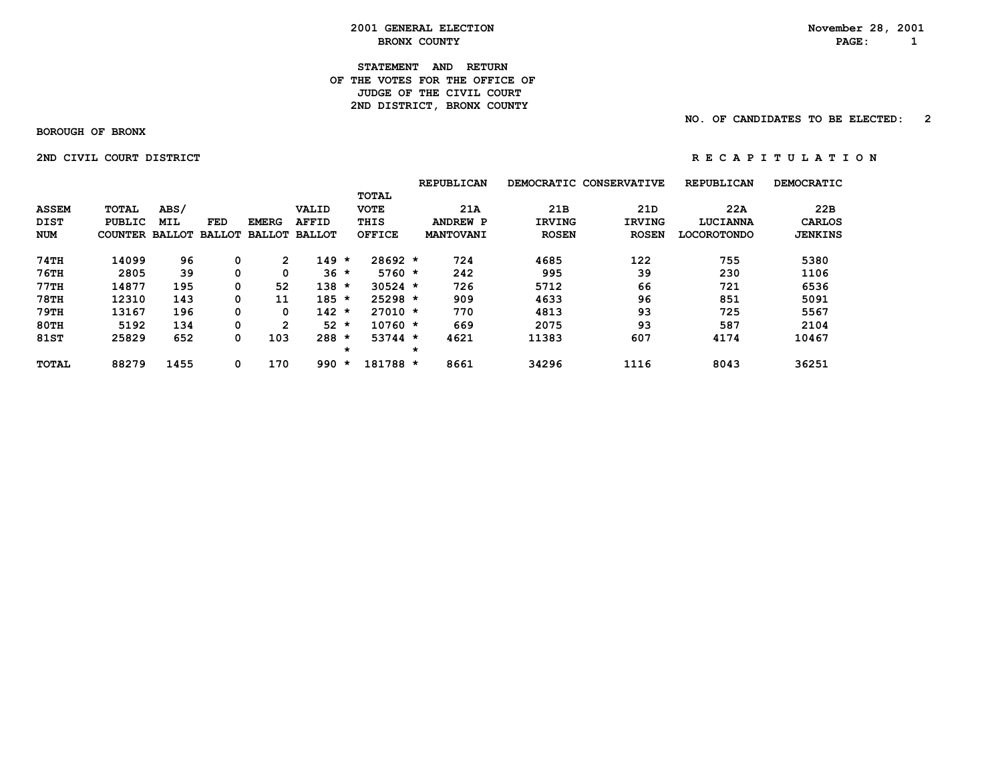**STATEMENT AND RETURN OF THE VOTES FOR THE OFFICE OF JUDGE OF THE CIVIL COURT** 2ND DISTRICT, BRONX COUNTY

 **NO. OF CANDIDATES TO BE ELECTED: 2**

 **BOROUGH OF BRONX**

 **2ND CIVIL COURT DISTRICT A RE C A P I T U L A T I O N** 

|              |               |      |                      |               |                 |         |               |         | <b>REPUBLICAN</b> |               | DEMOCRATIC CONSERVATIVE | <b>REPUBLICAN</b>  | DEMOCRATIC     |
|--------------|---------------|------|----------------------|---------------|-----------------|---------|---------------|---------|-------------------|---------------|-------------------------|--------------------|----------------|
|              |               |      |                      |               |                 |         | TOTAL         |         |                   |               |                         |                    |                |
| <b>ASSEM</b> | TOTAL         | ABS/ |                      |               | VALID           |         | <b>VOTE</b>   |         | 21A               | 21B           | 21 <sub>D</sub>         | 22A                | 22B            |
| <b>DIST</b>  | <b>PUBLIC</b> | MIL  | FED                  | <b>EMERG</b>  | <b>AFFID</b>    |         | THIS          |         | <b>ANDREW P</b>   | <b>IRVING</b> | <b>IRVING</b>           | LUCIANNA           | CARLOS         |
| <b>NUM</b>   | COUNTER       |      | <b>BALLOT BALLOT</b> | <b>BALLOT</b> | <b>BALLOT</b>   |         | <b>OFFICE</b> |         | <b>MANTOVANI</b>  | <b>ROSEN</b>  | <b>ROSEN</b>            | <b>LOCOROTONDO</b> | <b>JENKINS</b> |
| 74TH         | 14099         | 96   | 0                    |               | 149             | $\star$ | $28692 *$     |         | 724               | 4685          | 122                     | 755                | 5380           |
| 76TH         | 2805          | 39   | 0                    | 0             | $36 *$          |         | $5760 *$      |         | 242               | 995           | 39                      | 230                | 1106           |
| 77TH         | 14877         | 195  | 0                    | 52            | 138             | $\star$ | $30524$ *     |         | 726               | 5712          | 66                      | 721                | 6536           |
| <b>78TH</b>  | 12310         | 143  | 0                    | 11            | $185 *$         |         | $25298 *$     |         | 909               | 4633          | 96                      | 851                | 5091           |
| 79TH         | 13167         | 196  | 0                    | 0             | $142 *$         |         | $27010 *$     |         | 770               | 4813          | 93                      | 725                | 5567           |
| 80TH         | 5192          | 134  | 0                    | 2             | 52 <sub>2</sub> | $\star$ | $10760 *$     |         | 669               | 2075          | 93                      | 587                | 2104           |
| <b>81ST</b>  | 25829         | 652  | 0                    | 103           | 288             | $\star$ | $53744 *$     |         | 4621              | 11383         | 607                     | 4174               | 10467          |
|              |               |      |                      |               |                 | $\star$ |               | $\star$ |                   |               |                         |                    |                |
| <b>TOTAL</b> | 88279         | 1455 | 0                    | 170           | 990             | $\star$ | 181788 *      |         | 8661              | 34296         | 1116                    | 8043               | 36251          |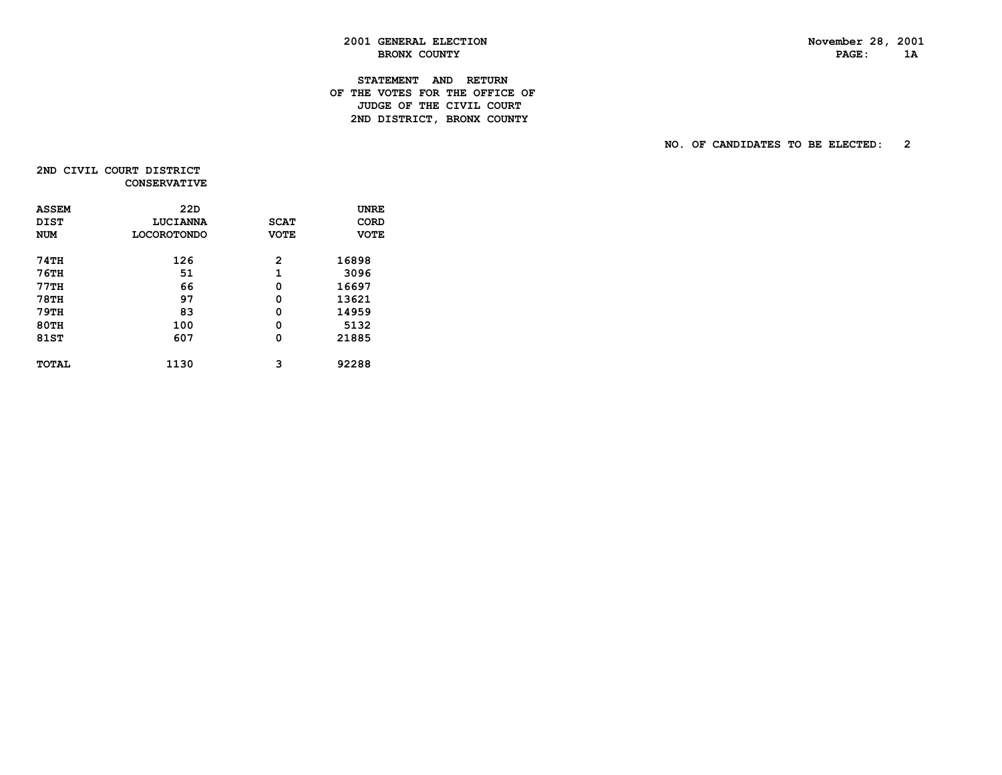PAGE: 1A

# **2001 GENERAL ELECTION November 28, 2001** BRONX COUNTY

#### **STATEMENT AND RETURN OF THE VOTES FOR THE OFFICE OF JUDGE OF THE CIVIL COURT** 2ND DISTRICT, BRONX COUNTY

 **NO. OF CANDIDATES TO BE ELECTED: 2**

2ND CIVIL COURT DISTRICT  **CONSERVATIVE**

| <b>ASSEM</b> | 22D                |             | <b>UNRE</b> |
|--------------|--------------------|-------------|-------------|
| <b>DIST</b>  | LUCIANNA           | <b>SCAT</b> | <b>CORD</b> |
| <b>NUM</b>   | <b>LOCOROTONDO</b> | <b>VOTE</b> | <b>VOTE</b> |
| 74TH         | 126                | 2           | 16898       |
| <b>76TH</b>  | 51                 | 1           | 3096        |
| 77TH         | 66                 | 0           | 16697       |
| <b>78TH</b>  | 97                 | 0           | 13621       |
| <b>79TH</b>  | 83                 | 0           | 14959       |
| <b>80TH</b>  | 100                | 0           | 5132        |
| 81ST         | 607                | 0           | 21885       |
| <b>TOTAL</b> | 1130               | 3           | 92288       |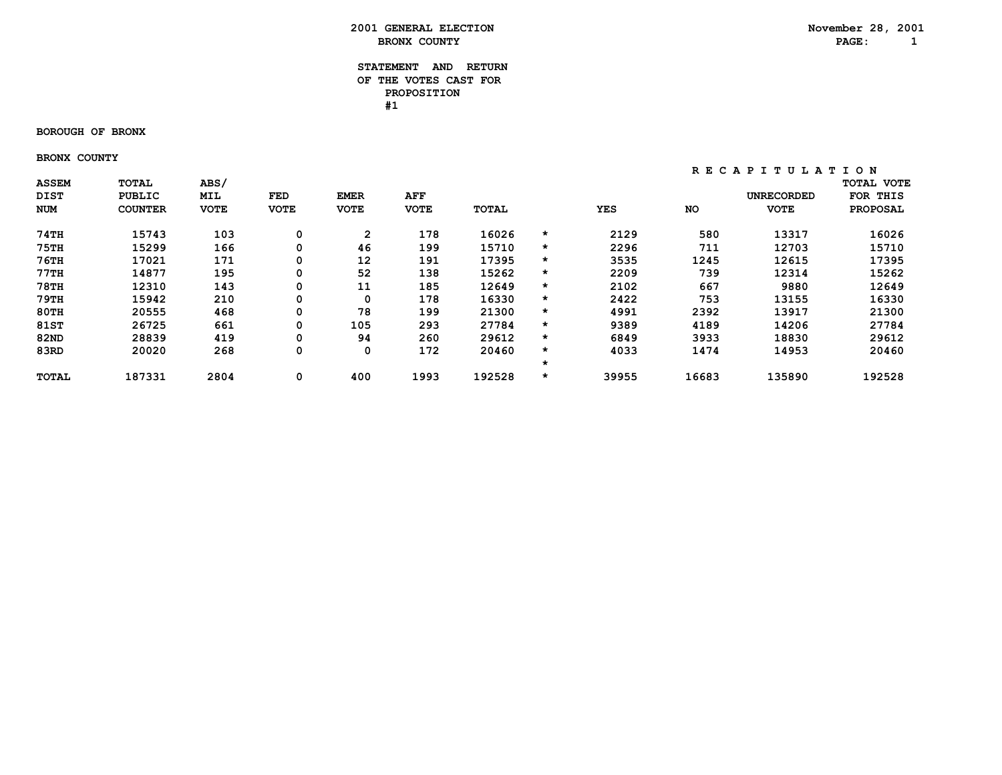#### **STATEMENT AND RETURN OF THE VOTES CAST FOR PROPOSITION #1**

#### **BOROUGH OF BRONX**

 **BRONX COUNTY**

| <b>ASSEM</b> | <b>TOTAL</b>   | ABS/        |             |                   |             |              |         |       |       |                   | <b>TOTAL VOTE</b> |
|--------------|----------------|-------------|-------------|-------------------|-------------|--------------|---------|-------|-------|-------------------|-------------------|
| <b>DIST</b>  | <b>PUBLIC</b>  | <b>MIL</b>  | FED         | <b>EMER</b>       | AFF         |              |         |       |       | <b>UNRECORDED</b> | THIS<br>FOR       |
| NUM          | <b>COUNTER</b> | <b>VOTE</b> | <b>VOTE</b> | <b>VOTE</b>       | <b>VOTE</b> | <b>TOTAL</b> |         | YES   | NO    | <b>VOTE</b>       | <b>PROPOSAL</b>   |
| 74TH         | 15743          | 103         | 0           | $\overline{2}$    | 178         | 16026        | *       | 2129  | 580   | 13317             | 16026             |
| <b>75TH</b>  | 15299          | 166         | 0           | 46                | 199         | 15710        | $\star$ | 2296  | 711   | 12703             | 15710             |
| $76$ TH      | 17021          | 171         | 0           | $12 \overline{ }$ | 191         | 17395        | $\star$ | 3535  | 1245  | 12615             | 17395             |
| 77TH         | 14877          | 195         | 0           | 52                | 138         | 15262        | $\star$ | 2209  | 739   | 12314             | 15262             |
| <b>78TH</b>  | 12310          | 143         | 0           | 11                | 185         | 12649        | $\star$ | 2102  | 667   | 9880              | 12649             |
| 79TH         | 15942          | 210         | 0           | 0                 | 178         | 16330        | $\star$ | 2422  | 753   | 13155             | 16330             |
| <b>80TH</b>  | 20555          | 468         | 0           | 78                | 199         | 21300        | $\star$ | 4991  | 2392  | 13917             | 21300             |
| <b>81ST</b>  | 26725          | 661         | 0           | 105               | 293         | 27784        | $\star$ | 9389  | 4189  | 14206             | 27784             |
| 82ND         | 28839          | 419         | 0           | 94                | 260         | 29612        | $\star$ | 6849  | 3933  | 18830             | 29612             |
| 83RD         | 20020          | 268         | 0           | $\mathbf 0$       | 172         | 20460        | $\star$ | 4033  | 1474  | 14953             | 20460             |
|              |                |             |             |                   |             |              | $\star$ |       |       |                   |                   |
| <b>TOTAL</b> | 187331         | 2804        | 0           | 400               | 1993        | 192528       | *       | 39955 | 16683 | 135890            | 192528            |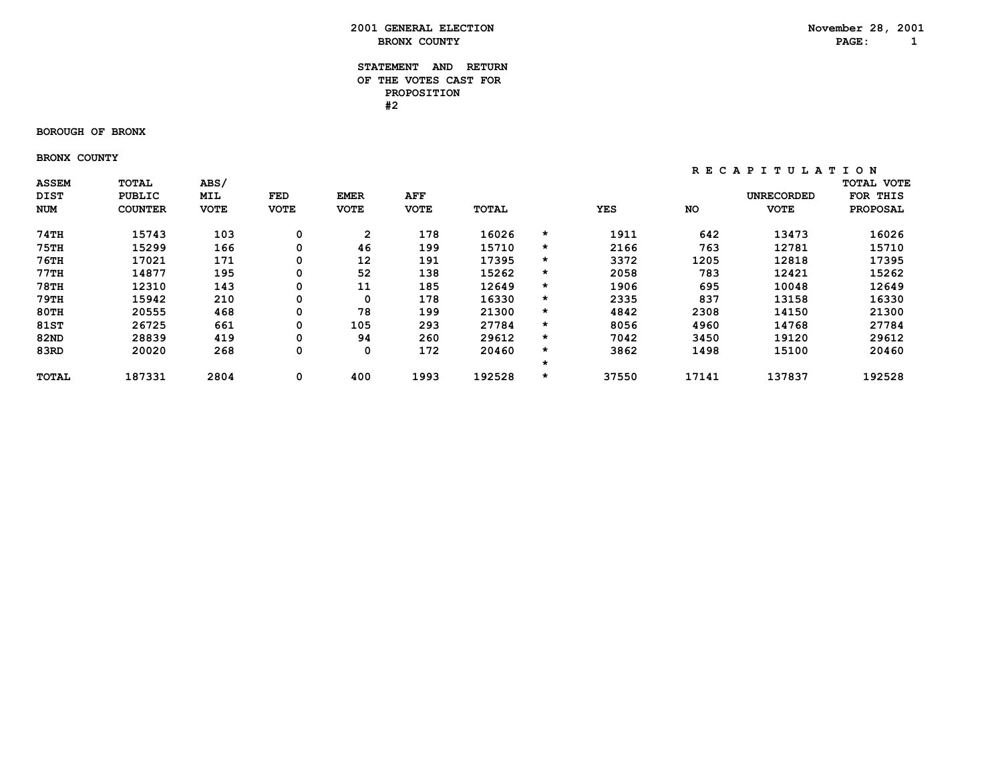#### **STATEMENT AND RETURN OF THE VOTES CAST FOR PROPOSITION #2**

#### **BOROUGH OF BRONX**

 **BRONX COUNTY**

| <b>ASSEM</b> | <b>TOTAL</b>   | ABS/        |             |                   |             |              |         |       |       |                   | <b>TOTAL VOTE</b> |
|--------------|----------------|-------------|-------------|-------------------|-------------|--------------|---------|-------|-------|-------------------|-------------------|
| <b>DIST</b>  | <b>PUBLIC</b>  | <b>MIL</b>  | FED         | <b>EMER</b>       | AFF         |              |         |       |       | <b>UNRECORDED</b> | THIS<br>FOR       |
| NUM          | <b>COUNTER</b> | <b>VOTE</b> | <b>VOTE</b> | <b>VOTE</b>       | <b>VOTE</b> | <b>TOTAL</b> |         | YES   | NO    | <b>VOTE</b>       | <b>PROPOSAL</b>   |
| 74TH         | 15743          | 103         | 0           | $\overline{2}$    | 178         | 16026        | *       | 1911  | 642   | 13473             | 16026             |
| <b>75TH</b>  | 15299          | 166         | 0           | 46                | 199         | 15710        | $\star$ | 2166  | 763   | 12781             | 15710             |
| $76$ TH      | 17021          | 171         | 0           | $12 \overline{ }$ | 191         | 17395        | $\star$ | 3372  | 1205  | 12818             | 17395             |
| 77TH         | 14877          | 195         | 0           | 52                | 138         | 15262        | $\star$ | 2058  | 783   | 12421             | 15262             |
| <b>78TH</b>  | 12310          | 143         | 0           | 11                | 185         | 12649        | $\star$ | 1906  | 695   | 10048             | 12649             |
| 79TH         | 15942          | 210         | 0           | 0                 | 178         | 16330        | $\star$ | 2335  | 837   | 13158             | 16330             |
| <b>80TH</b>  | 20555          | 468         | 0           | 78                | 199         | 21300        | $\star$ | 4842  | 2308  | 14150             | 21300             |
| <b>81ST</b>  | 26725          | 661         | 0           | 105               | 293         | 27784        | $\star$ | 8056  | 4960  | 14768             | 27784             |
| 82ND         | 28839          | 419         | 0           | 94                | 260         | 29612        | $\star$ | 7042  | 3450  | 19120             | 29612             |
| 83RD         | 20020          | 268         | 0           | $\mathbf 0$       | 172         | 20460        | $\star$ | 3862  | 1498  | 15100             | 20460             |
|              |                |             |             |                   |             |              | $\star$ |       |       |                   |                   |
| <b>TOTAL</b> | 187331         | 2804        | 0           | 400               | 1993        | 192528       | $\star$ | 37550 | 17141 | 137837            | 192528            |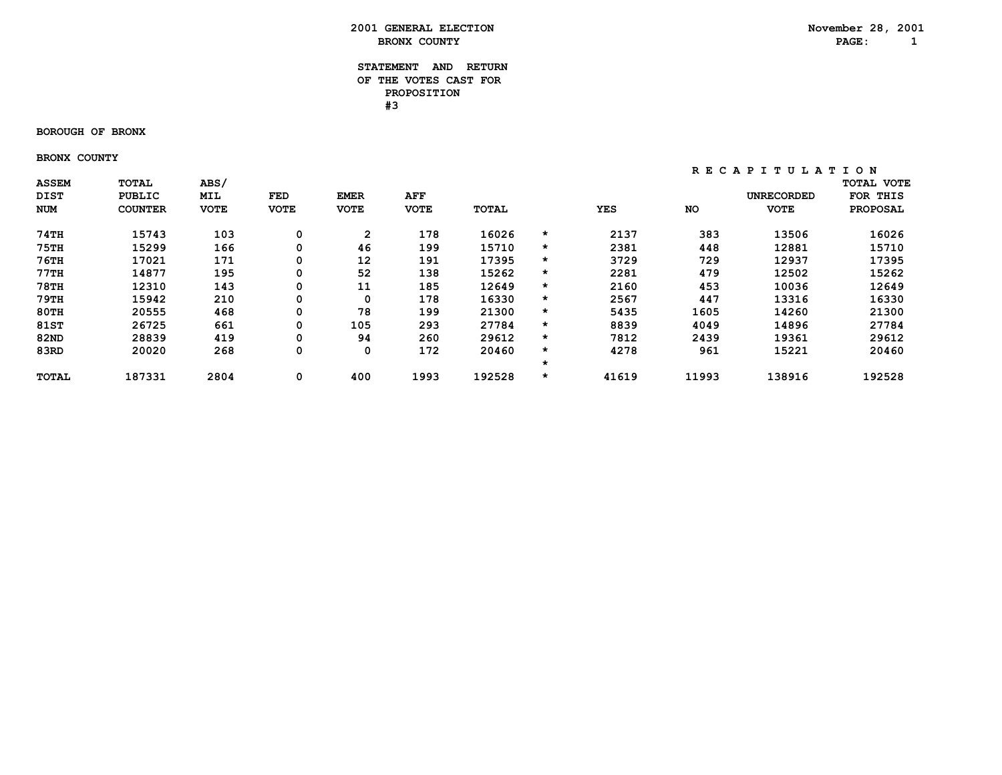#### **STATEMENT AND RETURN OF THE VOTES CAST FOR PROPOSITION #3**

#### **BOROUGH OF BRONX**

 **BRONX COUNTY**

| <b>ASSEM</b> | <b>TOTAL</b>   | ABS/        |             |                   |             |              |         |       |       |                   | <b>TOTAL VOTE</b> |
|--------------|----------------|-------------|-------------|-------------------|-------------|--------------|---------|-------|-------|-------------------|-------------------|
| <b>DIST</b>  | <b>PUBLIC</b>  | MIL         | FED         | <b>EMER</b>       | AFF         |              |         |       |       | <b>UNRECORDED</b> | FOR<br>THIS       |
| NUM          | <b>COUNTER</b> | <b>VOTE</b> | <b>VOTE</b> | <b>VOTE</b>       | <b>VOTE</b> | <b>TOTAL</b> |         | YES   | NO    | <b>VOTE</b>       | <b>PROPOSAL</b>   |
| 74TH         | 15743          | 103         | 0           | $\mathbf{2}$      | 178         | 16026        | $\star$ | 2137  | 383   | 13506             | 16026             |
| <b>75TH</b>  | 15299          | 166         | 0           | 46                | 199         | 15710        | $\star$ | 2381  | 448   | 12881             | 15710             |
| $76$ TH      | 17021          | 171         | 0           | $12 \overline{ }$ | 191         | 17395        | $\star$ | 3729  | 729   | 12937             | 17395             |
| 77TH         | 14877          | 195         | 0           | 52                | 138         | 15262        | $\star$ | 2281  | 479   | 12502             | 15262             |
| <b>78TH</b>  | 12310          | 143         | 0           | 11                | 185         | 12649        | $\star$ | 2160  | 453   | 10036             | 12649             |
| 79TH         | 15942          | 210         | 0           | 0                 | 178         | 16330        | $\star$ | 2567  | 447   | 13316             | 16330             |
| <b>80TH</b>  | 20555          | 468         | 0           | 78                | 199         | 21300        | $\star$ | 5435  | 1605  | 14260             | 21300             |
| <b>81ST</b>  | 26725          | 661         | 0           | 105               | 293         | 27784        | $\star$ | 8839  | 4049  | 14896             | 27784             |
| 82ND         | 28839          | 419         | 0           | 94                | 260         | 29612        | $\star$ | 7812  | 2439  | 19361             | 29612             |
| 83RD         | 20020          | 268         | 0           | $\mathbf 0$       | 172         | 20460        | $\star$ | 4278  | 961   | 15221             | 20460             |
|              |                |             |             |                   |             |              | $\star$ |       |       |                   |                   |
| <b>TOTAL</b> | 187331         | 2804        | 0           | 400               | 1993        | 192528       | *       | 41619 | 11993 | 138916            | 192528            |
|              |                |             |             |                   |             |              |         |       |       |                   |                   |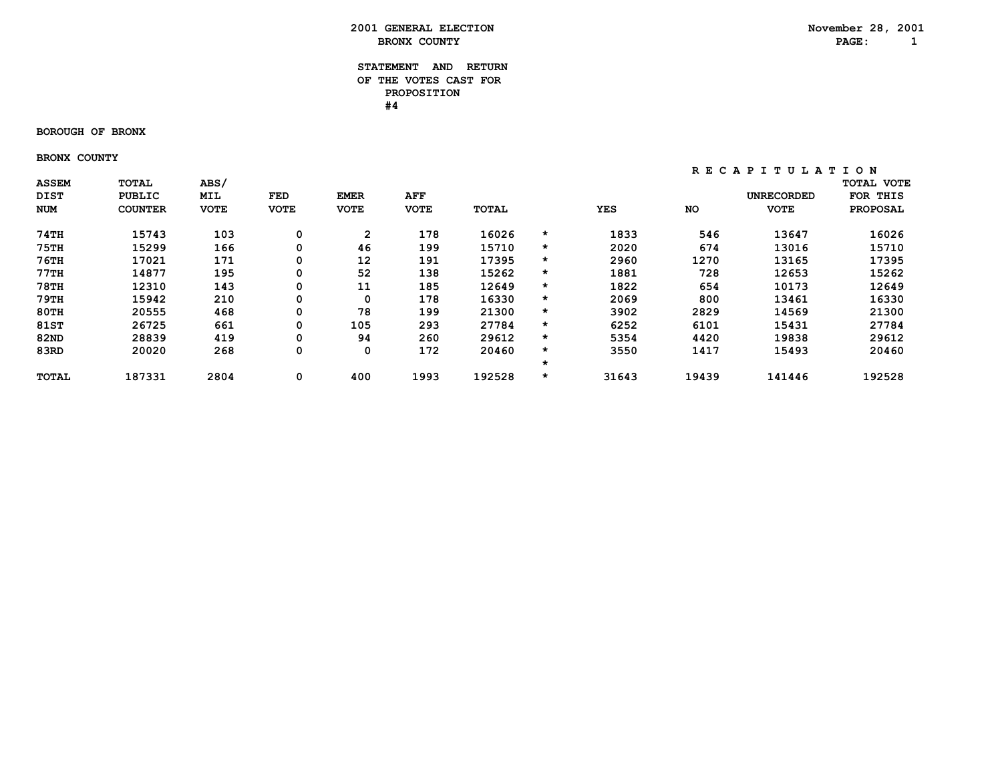#### **STATEMENT AND RETURN OF THE VOTES CAST FOR PROPOSITION #4**

#### **BOROUGH OF BRONX**

 **BRONX COUNTY**

| <b>ASSEM</b> | <b>TOTAL</b>   | ABS/        |             |                   |             |        |         |       |       |                   | <b>TOTAL VOTE</b> |
|--------------|----------------|-------------|-------------|-------------------|-------------|--------|---------|-------|-------|-------------------|-------------------|
| <b>DIST</b>  | <b>PUBLIC</b>  | <b>MIL</b>  | FED         | <b>EMER</b>       | AFF         |        |         |       |       | <b>UNRECORDED</b> | THIS<br>FOR       |
| NUM          | <b>COUNTER</b> | <b>VOTE</b> | <b>VOTE</b> | <b>VOTE</b>       | <b>VOTE</b> | TOTAL  |         | YES   | NO    | <b>VOTE</b>       | <b>PROPOSAL</b>   |
| 74TH         | 15743          | 103         | 0           | $\overline{2}$    | 178         | 16026  | *       | 1833  | 546   | 13647             | 16026             |
| <b>75TH</b>  | 15299          | 166         | 0           | 46                | 199         | 15710  | $\star$ | 2020  | 674   | 13016             | 15710             |
| $76$ TH      | 17021          | 171         | 0           | $12 \overline{ }$ | 191         | 17395  | $\star$ | 2960  | 1270  | 13165             | 17395             |
| 77TH         | 14877          | 195         | 0           | 52                | 138         | 15262  | $\star$ | 1881  | 728   | 12653             | 15262             |
| <b>78TH</b>  | 12310          | 143         | 0           | 11                | 185         | 12649  | $\star$ | 1822  | 654   | 10173             | 12649             |
| 79TH         | 15942          | 210         | 0           | 0                 | 178         | 16330  | $\star$ | 2069  | 800   | 13461             | 16330             |
| <b>80TH</b>  | 20555          | 468         | 0           | 78                | 199         | 21300  | $\star$ | 3902  | 2829  | 14569             | 21300             |
| <b>81ST</b>  | 26725          | 661         | 0           | 105               | 293         | 27784  | $\star$ | 6252  | 6101  | 15431             | 27784             |
| 82ND         | 28839          | 419         | 0           | 94                | 260         | 29612  | $\star$ | 5354  | 4420  | 19838             | 29612             |
| 83RD         | 20020          | 268         | 0           | $\mathbf 0$       | 172         | 20460  | $\star$ | 3550  | 1417  | 15493             | 20460             |
|              |                |             |             |                   |             |        | $\star$ |       |       |                   |                   |
| <b>TOTAL</b> | 187331         | 2804        | 0           | 400               | 1993        | 192528 | $\star$ | 31643 | 19439 | 141446            | 192528            |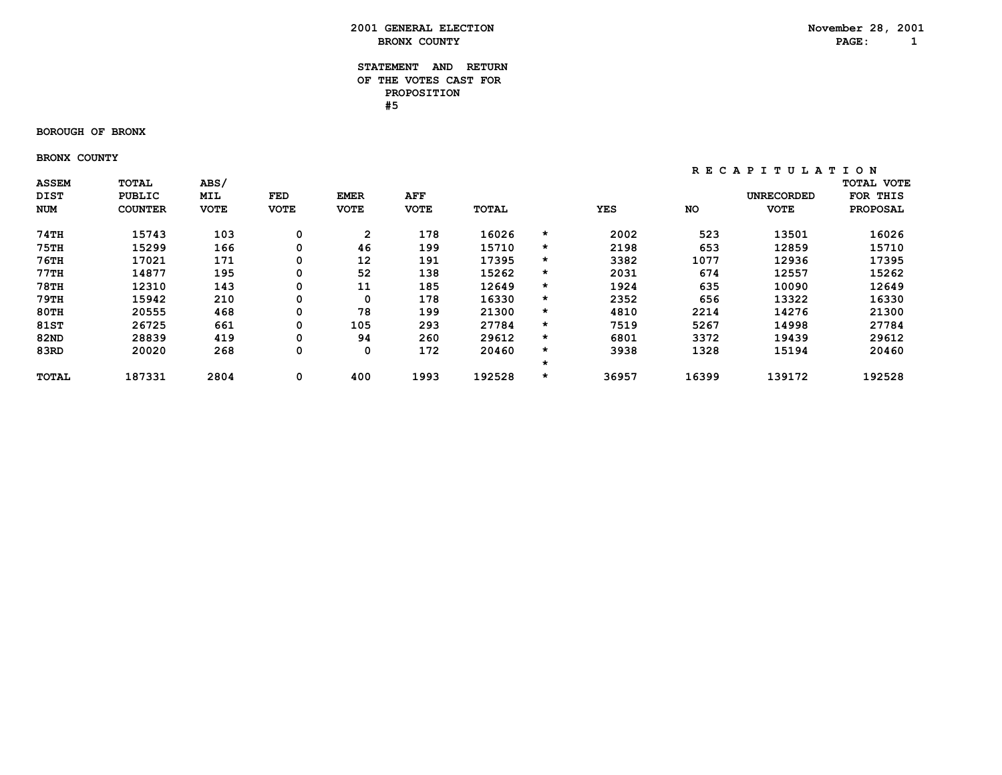#### **STATEMENT AND RETURN OF THE VOTES CAST FOR PROPOSITION #5**

#### **BOROUGH OF BRONX**

 **BRONX COUNTY**

| <b>ASSEM</b> | <b>TOTAL</b>   | ABS/        |             |                   |             |              |         |       |       |                   | <b>TOTAL VOTE</b> |
|--------------|----------------|-------------|-------------|-------------------|-------------|--------------|---------|-------|-------|-------------------|-------------------|
| <b>DIST</b>  | <b>PUBLIC</b>  | <b>MIL</b>  | FED         | <b>EMER</b>       | AFF         |              |         |       |       | <b>UNRECORDED</b> | THIS<br>FOR       |
| NUM          | <b>COUNTER</b> | <b>VOTE</b> | <b>VOTE</b> | <b>VOTE</b>       | <b>VOTE</b> | <b>TOTAL</b> |         | YES   | NO    | <b>VOTE</b>       | <b>PROPOSAL</b>   |
| 74TH         | 15743          | 103         | 0           | $\overline{2}$    | 178         | 16026        | *       | 2002  | 523   | 13501             | 16026             |
| <b>75TH</b>  | 15299          | 166         | 0           | 46                | 199         | 15710        | $\star$ | 2198  | 653   | 12859             | 15710             |
| $76$ TH      | 17021          | 171         | 0           | $12 \overline{ }$ | 191         | 17395        | $\star$ | 3382  | 1077  | 12936             | 17395             |
| 77TH         | 14877          | 195         | 0           | 52                | 138         | 15262        | $\star$ | 2031  | 674   | 12557             | 15262             |
| <b>78TH</b>  | 12310          | 143         | 0           | 11                | 185         | 12649        | $\star$ | 1924  | 635   | 10090             | 12649             |
| 79TH         | 15942          | 210         | 0           | 0                 | 178         | 16330        | $\star$ | 2352  | 656   | 13322             | 16330             |
| <b>80TH</b>  | 20555          | 468         | 0           | 78                | 199         | 21300        | $\star$ | 4810  | 2214  | 14276             | 21300             |
| <b>81ST</b>  | 26725          | 661         | 0           | 105               | 293         | 27784        | $\star$ | 7519  | 5267  | 14998             | 27784             |
| 82ND         | 28839          | 419         | 0           | 94                | 260         | 29612        | $\star$ | 6801  | 3372  | 19439             | 29612             |
| 83RD         | 20020          | 268         | 0           | $\mathbf 0$       | 172         | 20460        | $\star$ | 3938  | 1328  | 15194             | 20460             |
|              |                |             |             |                   |             |              | $\star$ |       |       |                   |                   |
| <b>TOTAL</b> | 187331         | 2804        | 0           | 400               | 1993        | 192528       | $\star$ | 36957 | 16399 | 139172            | 192528            |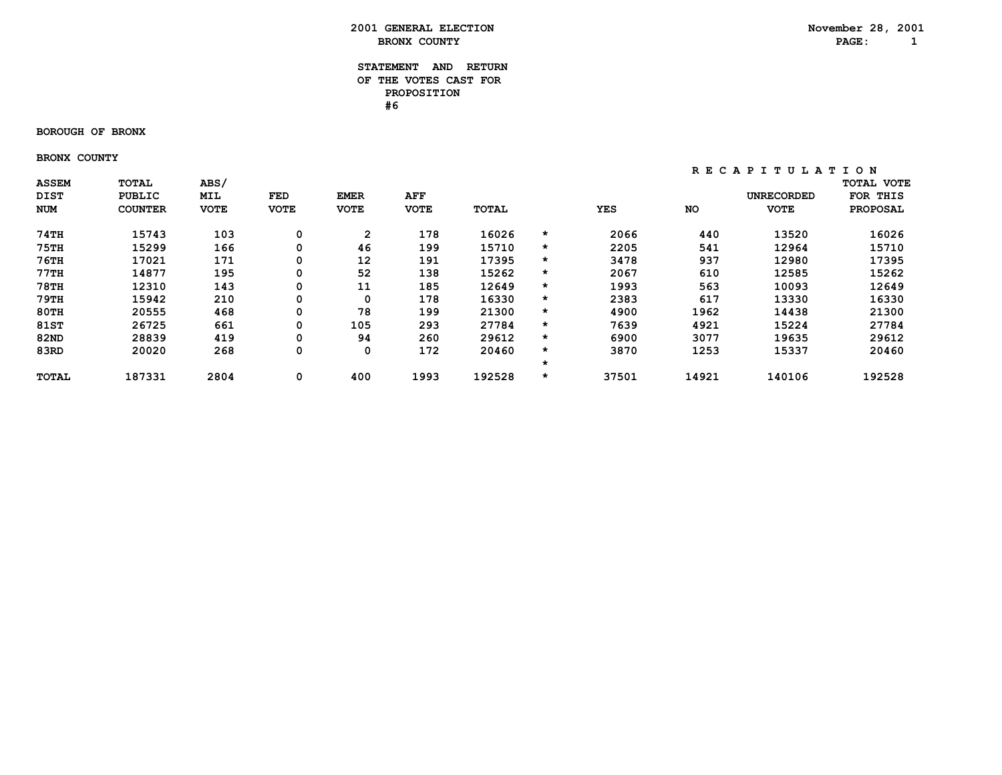#### **STATEMENT AND RETURN OF THE VOTES CAST FOR PROPOSITION #6**

#### **BOROUGH OF BRONX**

 **BRONX COUNTY**

| <b>ASSEM</b> | <b>TOTAL</b>   | ABS/        |             |                   |             |        |         |       |       |                   | <b>TOTAL VOTE</b> |
|--------------|----------------|-------------|-------------|-------------------|-------------|--------|---------|-------|-------|-------------------|-------------------|
| <b>DIST</b>  | <b>PUBLIC</b>  | <b>MIL</b>  | FED         | <b>EMER</b>       | AFF         |        |         |       |       | <b>UNRECORDED</b> | THIS<br>FOR       |
| NUM          | <b>COUNTER</b> | <b>VOTE</b> | <b>VOTE</b> | <b>VOTE</b>       | <b>VOTE</b> | TOTAL  |         | YES   | NO    | <b>VOTE</b>       | <b>PROPOSAL</b>   |
| 74TH         | 15743          | 103         | 0           | 2                 | 178         | 16026  | *       | 2066  | 440   | 13520             | 16026             |
| <b>75TH</b>  | 15299          | 166         | 0           | 46                | 199         | 15710  | $\star$ | 2205  | 541   | 12964             | 15710             |
| $76$ TH      | 17021          | 171         | 0           | $12 \overline{ }$ | 191         | 17395  | $\star$ | 3478  | 937   | 12980             | 17395             |
| 77TH         | 14877          | 195         | 0           | 52                | 138         | 15262  | $\star$ | 2067  | 610   | 12585             | 15262             |
| <b>78TH</b>  | 12310          | 143         | 0           | 11                | 185         | 12649  | $\star$ | 1993  | 563   | 10093             | 12649             |
| 79TH         | 15942          | 210         | 0           | 0                 | 178         | 16330  | $\star$ | 2383  | 617   | 13330             | 16330             |
| <b>80TH</b>  | 20555          | 468         | 0           | 78                | 199         | 21300  | $\star$ | 4900  | 1962  | 14438             | 21300             |
| <b>81ST</b>  | 26725          | 661         | 0           | 105               | 293         | 27784  | $\star$ | 7639  | 4921  | 15224             | 27784             |
| 82ND         | 28839          | 419         | 0           | 94                | 260         | 29612  | $\star$ | 6900  | 3077  | 19635             | 29612             |
| 83RD         | 20020          | 268         | 0           | $\mathbf 0$       | 172         | 20460  | $\star$ | 3870  | 1253  | 15337             | 20460             |
|              |                |             |             |                   |             |        | $\star$ |       |       |                   |                   |
| <b>TOTAL</b> | 187331         | 2804        | 0           | 400               | 1993        | 192528 | $\star$ | 37501 | 14921 | 140106            | 192528            |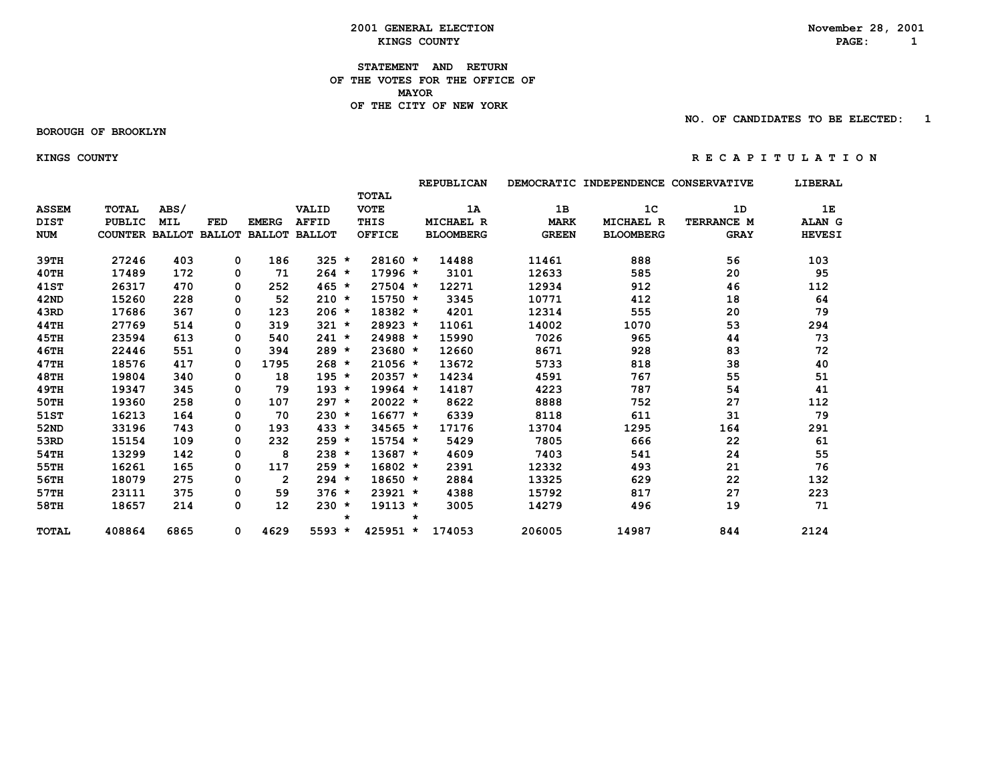**2001 GENERAL ELECTION**<br> *KINGS COUNTY***<br>
RAGE: 1 EXINGS COUNTY** AND **RAGE:** 1

**STATEMENT AND RETURN OF THE VOTES FOR THE OFFICE OF MAYORMAYOR OF THE CITY OF NEW YORK**

 **BOROUGH OF BROOKLYN**

 **NO. OF CANDIDATES TO BE ELECTED: 1**

#### **KINGS COUNTY R E C A P I T U L A T I O N**

|              |                       |            |            |                      |              |               |         | <b>REPUBLICAN</b> |              | DEMOCRATIC INDEPENDENCE CONSERVATIVE |             | LIBERAL       |
|--------------|-----------------------|------------|------------|----------------------|--------------|---------------|---------|-------------------|--------------|--------------------------------------|-------------|---------------|
|              |                       |            |            |                      |              | <b>TOTAL</b>  |         |                   |              |                                      |             |               |
| <b>ASSEM</b> | <b>TOTAL</b>          | ABS/       |            |                      | VALID        | <b>VOTE</b>   |         | 1A                | 1B           | 1 <sup>c</sup>                       | 1D          | 1E            |
| <b>DIST</b>  | <b>PUBLIC</b>         | <b>MIL</b> | <b>FED</b> | <b>EMERG</b>         | <b>AFFID</b> | THIS          |         | <b>MICHAEL R</b>  | <b>MARK</b>  | <b>MICHAEL R</b>                     | TERRANCE M  | <b>ALAN G</b> |
| <b>NUM</b>   | COUNTER BALLOT BALLOT |            |            | <b>BALLOT BALLOT</b> |              | <b>OFFICE</b> |         | <b>BLOOMBERG</b>  | <b>GREEN</b> | <b>BLOOMBERG</b>                     | <b>GRAY</b> | <b>HEVESI</b> |
|              |                       |            |            |                      |              |               |         |                   |              |                                      |             |               |
| 39TH         | 27246                 | 403        | 0          | 186                  | $325 *$      | $28160 *$     |         | 14488             | 11461        | 888                                  | 56          | 103           |
| $40$ TH      | 17489                 | 172        | 0          | 71                   | $264 *$      | $17996 *$     |         | 3101              | 12633        | 585                                  | 20          | 95            |
| <b>41ST</b>  | 26317                 | 470        | 0          | 252                  | $465 *$      | $27504$ *     |         | 12271             | 12934        | 912                                  | 46          | 112           |
| 42ND         | 15260                 | 228        | 0          | 52                   | $210 *$      | $15750 *$     |         | 3345              | 10771        | 412                                  | 18          | 64            |
| 43RD         | 17686                 | 367        | 0          | 123                  | $206 *$      | $18382 *$     |         | 4201              | 12314        | 555                                  | 20          | 79            |
| 44TH         | 27769                 | 514        | 0          | 319                  | $321 *$      | 28923 *       |         | 11061             | 14002        | 1070                                 | 53          | 294           |
| 45TH         | 23594                 | 613        | 0          | 540                  | $241 *$      | 24988 *       |         | 15990             | 7026         | 965                                  | 44          | 73            |
| 46TH         | 22446                 | 551        | 0          | 394                  | $289 *$      | $23680 *$     |         | 12660             | 8671         | 928                                  | 83          | 72            |
| 47TH         | 18576                 | 417        | 0          | 1795                 | $268 *$      | $21056 *$     |         | 13672             | 5733         | 818                                  | 38          | 40            |
| <b>48TH</b>  | 19804                 | 340        | 0          | 18                   | $195 *$      | $20357 *$     |         | 14234             | 4591         | 767                                  | 55          | 51            |
| 49TH         | 19347                 | 345        | 0          | 79                   | $193 *$      | $19964 *$     |         | 14187             | 4223         | 787                                  | 54          | 41            |
| 50TH         | 19360                 | 258        | 0          | 107                  | $297 *$      | $20022 *$     |         | 8622              | 8888         | 752                                  | 27          | 112           |
| 51ST         | 16213                 | 164        | 0          | 70                   | $230 *$      | $16677 *$     |         | 6339              | 8118         | 611                                  | 31          | 79            |
| 52ND         | 33196                 | 743        | 0          | 193                  | $433 *$      | $34565 *$     |         | 17176             | 13704        | 1295                                 | 164         | 291           |
| 53RD         | 15154                 | 109        | 0          | 232                  | $259 *$      | $15754$ *     |         | 5429              | 7805         | 666                                  | 22          | 61            |
| 54TH         | 13299                 | 142        | 0          | 8                    | $238 *$      | $13687 *$     |         | 4609              | 7403         | 541                                  | 24          | 55            |
| 55TH         | 16261                 | 165        | 0          | 117                  | $259 *$      | $16802 *$     |         | 2391              | 12332        | 493                                  | 21          | 76            |
| 56TH         | 18079                 | 275        | 0          | $\overline{2}$       | $294 *$      | $18650 *$     |         | 2884              | 13325        | 629                                  | 22          | 132           |
| 57TH         | 23111                 | 375        | 0          | 59                   | $376 *$      | $23921 *$     |         | 4388              | 15792        | 817                                  | 27          | 223           |
| 58TH         | 18657                 | 214        | 0          | 12                   | $230 *$      | $19113 *$     |         | 3005              | 14279        | 496                                  | 19          | 71            |
|              |                       |            |            |                      |              | $\star$       | $\star$ |                   |              |                                      |             |               |
| <b>TOTAL</b> | 408864                | 6865       | 0          | 4629                 | $5593 *$     | $425951 *$    |         | 174053            | 206005       | 14987                                | 844         | 2124          |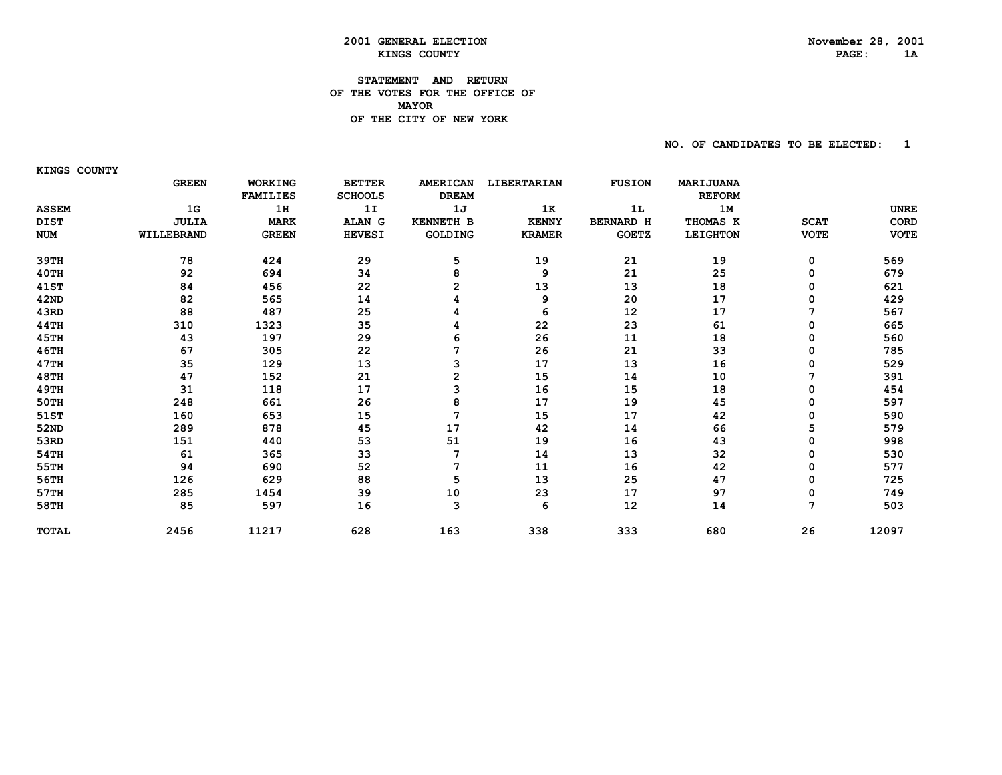# PAGE: 1A

# **2001 GENERAL ELECTION November 28, 2001 KINGS COUNTY**

#### **STATEMENT AND RETURN OF THE VOTES FOR THE OFFICE OF MAYORDE THE CITY OF NEW YORK**

 **NO. OF CANDIDATES TO BE ELECTED: 1**

 **KINGS COUNTY**

|              | <b>GREEN</b>   | WORKING         | <b>BETTER</b>  | <b>AMERICAN</b>  | LIBERTARIAN   | <b>FUSION</b>    | MARIJUANA       |             |             |
|--------------|----------------|-----------------|----------------|------------------|---------------|------------------|-----------------|-------------|-------------|
|              |                | <b>FAMILIES</b> | <b>SCHOOLS</b> | <b>DREAM</b>     |               |                  | <b>REFORM</b>   |             |             |
| <b>ASSEM</b> | 1 <sub>G</sub> | 1H              | 1I             | 1J               | 1K            | 1L               | 1M              |             | <b>UNRE</b> |
| <b>DIST</b>  | <b>JULIA</b>   | <b>MARK</b>     | ALAN G         | <b>KENNETH B</b> | <b>KENNY</b>  | <b>BERNARD H</b> | THOMAS K        | <b>SCAT</b> | CORD        |
| <b>NUM</b>   | WILLEBRAND     | <b>GREEN</b>    | <b>HEVESI</b>  | GOLDING          | <b>KRAMER</b> | <b>GOETZ</b>     | <b>LEIGHTON</b> | <b>VOTE</b> | <b>VOTE</b> |
| 39тн         | 78             | 424             | 29             | 5                | 19            | 21               | 19              | 0           | 569         |
| 40TH         | 92             | 694             | 34             | 8                | 9             | 21               | 25              | 0           | 679         |
| 41ST         | 84             | 456             | 22             | 2                | 13            | 13               | 18              | 0           | 621         |
| 42ND         | 82             | 565             | 14             |                  | 9             | 20               | 17              | 0           | 429         |
| 43RD         | 88             | 487             | 25             |                  | 6             | 12               | 17              | 7           | 567         |
| 44TH         | 310            | 1323            | 35             |                  | 22            | 23               | 61              | 0           | 665         |
| 45TH         | 43             | 197             | 29             | 6                | 26            | 11               | 18              | 0           | 560         |
| <b>46TH</b>  | 67             | 305             | 22             |                  | 26            | 21               | 33              | 0           | 785         |
| 47TH         | 35             | 129             | 13             | 3                | 17            | 13               | 16              | 0           | 529         |
| 48TH         | 47             | 152             | 21             | $\overline{2}$   | 15            | 14               | 10              |             | 391         |
| 49TH         | 31             | 118             | 17             | 3                | 16            | 15               | 18              | 0           | 454         |
| 50TH         | 248            | 661             | 26             | 8                | 17            | 19               | 45              | 0           | 597         |
| 51ST         | 160            | 653             | 15             | 7                | 15            | 17               | 42              | 0           | 590         |
| 52ND         | 289            | 878             | 45             | 17               | 42            | 14               | 66              | 5           | 579         |
| 53RD         | 151            | 440             | 53             | 51               | 19            | 16               | 43              | 0           | 998         |
| 54TH         | 61             | 365             | 33             |                  | 14            | 13               | 32              | 0           | 530         |
| 55TH         | 94             | 690             | 52             |                  | 11            | 16               | 42              | 0           | 577         |
| 56TH         | 126            | 629             | 88             | 5                | 13            | 25               | 47              | 0           | 725         |
| 57TH         | 285            | 1454            | 39             | 10               | 23            | 17               | 97              | 0           | 749         |
| 58TH         | 85             | 597             | 16             | 3                | 6             | 12               | 14              | 7           | 503         |
| <b>TOTAL</b> | 2456           | 11217           | 628            | 163              | 338           | 333              | 680             | 26          | 12097       |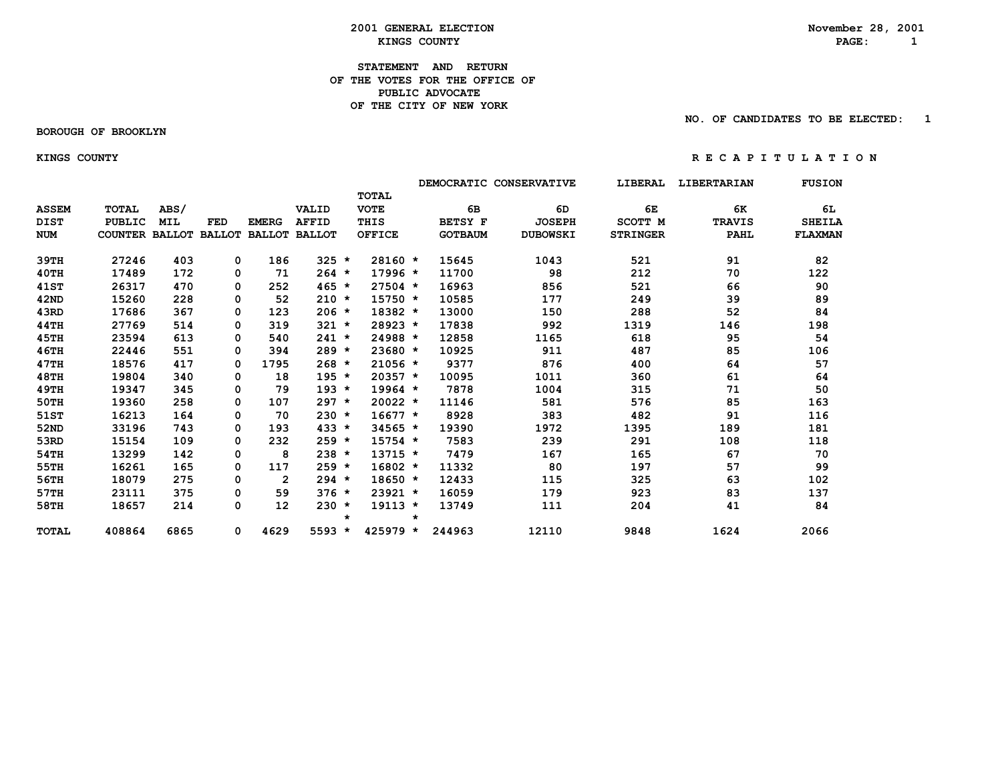#### **2001 GENERAL ELECTION**<br> *KINGS COUNTY***<br>
RAGE: 1 EXINGS COUNTY** AND **RAGE:** 1

#### **STATEMENT AND RETURN OF THE VOTES FOR THE OFFICE OFPUBLIC ADVOCATE OF THE CITY OF NEW YORK**

 **BOROUGH OF BROOKLYN**

 **NO. OF CANDIDATES TO BE ELECTED: 1**

#### **KINGS COUNTY R E C A P I T U L A T I O N**

|              |                       |            |            |                |                      |         |               |         |                | DEMOCRATIC CONSERVATIVE | LIBERAL         | LIBERTARIAN   | <b>FUSION</b> |
|--------------|-----------------------|------------|------------|----------------|----------------------|---------|---------------|---------|----------------|-------------------------|-----------------|---------------|---------------|
|              |                       |            |            |                |                      |         | <b>TOTAL</b>  |         |                |                         |                 |               |               |
| <b>ASSEM</b> | <b>TOTAL</b>          | ABS/       |            |                | VALID                |         | <b>VOTE</b>   |         | 6В             | 6D                      | 6E              | 6K            | 6L            |
| <b>DIST</b>  | <b>PUBLIC</b>         | <b>MIL</b> | <b>FED</b> | <b>EMERG</b>   | <b>AFFID</b>         |         | THIS          |         | <b>BETSY F</b> | <b>JOSEPH</b>           | SCOTT M         | <b>TRAVIS</b> | <b>SHEILA</b> |
| <b>NUM</b>   | COUNTER BALLOT BALLOT |            |            |                | <b>BALLOT BALLOT</b> |         | <b>OFFICE</b> |         | <b>GOTBAUM</b> | <b>DUBOWSKI</b>         | <b>STRINGER</b> | PAHL          | FLAXMAN       |
| 39TH         | 27246                 | 403        | 0          | 186            | $325 *$              |         | 28160 *       |         | 15645          | 1043                    | 521             | 91            | 82            |
| 40TH         | 17489                 | 172        | 0          | 71             | $264 *$              |         | $17996 *$     |         | 11700          | 98                      | 212             | 70            | 122           |
| <b>41ST</b>  | 26317                 | 470        | 0          | 252            | $465 *$              |         | $27504$ *     |         | 16963          | 856                     | 521             | 66            | 90            |
| 42ND         | 15260                 | 228        | 0          | 52             | $210 *$              |         | $15750 *$     |         | 10585          | 177                     | 249             | 39            | 89            |
| 43RD         | 17686                 | 367        | 0          | 123            | $206 *$              |         | 18382 *       |         | 13000          | 150                     | 288             | 52            | 84            |
| 44TH         | 27769                 | 514        | 0          | 319            | $321 *$              |         | 28923 *       |         | 17838          | 992                     | 1319            | 146           | 198           |
| 45TH         | 23594                 | 613        | 0          | 540            | $241 *$              |         | 24988 *       |         | 12858          | 1165                    | 618             | 95            | 54            |
| <b>46TH</b>  | 22446                 | 551        | 0          | 394            | $289 *$              |         | $23680 *$     |         | 10925          | 911                     | 487             | 85            | 106           |
| 47TH         | 18576                 | 417        | 0          | 1795           | $268 *$              |         | $21056 *$     |         | 9377           | 876                     | 400             | 64            | 57            |
| <b>48TH</b>  | 19804                 | 340        | 0          | 18             | $195 *$              |         | $20357 *$     |         | 10095          | 1011                    | 360             | 61            | 64            |
| <b>49TH</b>  | 19347                 | 345        | 0          | 79             | $193 *$              |         | $19964 *$     |         | 7878           | 1004                    | 315             | 71            | 50            |
| 50TH         | 19360                 | 258        | 0          | 107            | $297 *$              |         | $20022 *$     |         | 11146          | 581                     | 576             | 85            | 163           |
| 51ST         | 16213                 | 164        | 0          | 70             | $230 *$              |         | $16677 *$     |         | 8928           | 383                     | 482             | 91            | 116           |
| 52ND         | 33196                 | 743        | 0          | 193            | $433 *$              |         | $34565 *$     |         | 19390          | 1972                    | 1395            | 189           | 181           |
| 53RD         | 15154                 | 109        | 0          | 232            | $259 *$              |         | $15754$ *     |         | 7583           | 239                     | 291             | 108           | 118           |
| 54TH         | 13299                 | 142        | 0          | 8              | $238 *$              |         | $13715 *$     |         | 7479           | 167                     | 165             | 67            | 70            |
| 55TH         | 16261                 | 165        | 0          | 117            | $259 *$              |         | $16802 *$     |         | 11332          | 80                      | 197             | 57            | 99            |
| 56TH         | 18079                 | 275        | 0          | $\overline{2}$ | $294 *$              |         | $18650 *$     |         | 12433          | 115                     | 325             | 63            | 102           |
| 57TH         | 23111                 | 375        | 0          | 59             | $376 *$              |         | $23921 *$     |         | 16059          | 179                     | 923             | 83            | 137           |
| 58TH         | 18657                 | 214        | 0          | 12             | $230 *$              | $\star$ | $19113 *$     | $\star$ | 13749          | 111                     | 204             | 41            | 84            |
| <b>TOTAL</b> | 408864                | 6865       | 0          | 4629           | $5593 *$             |         | 425979 *      |         | 244963         | 12110                   | 9848            | 1624          | 2066          |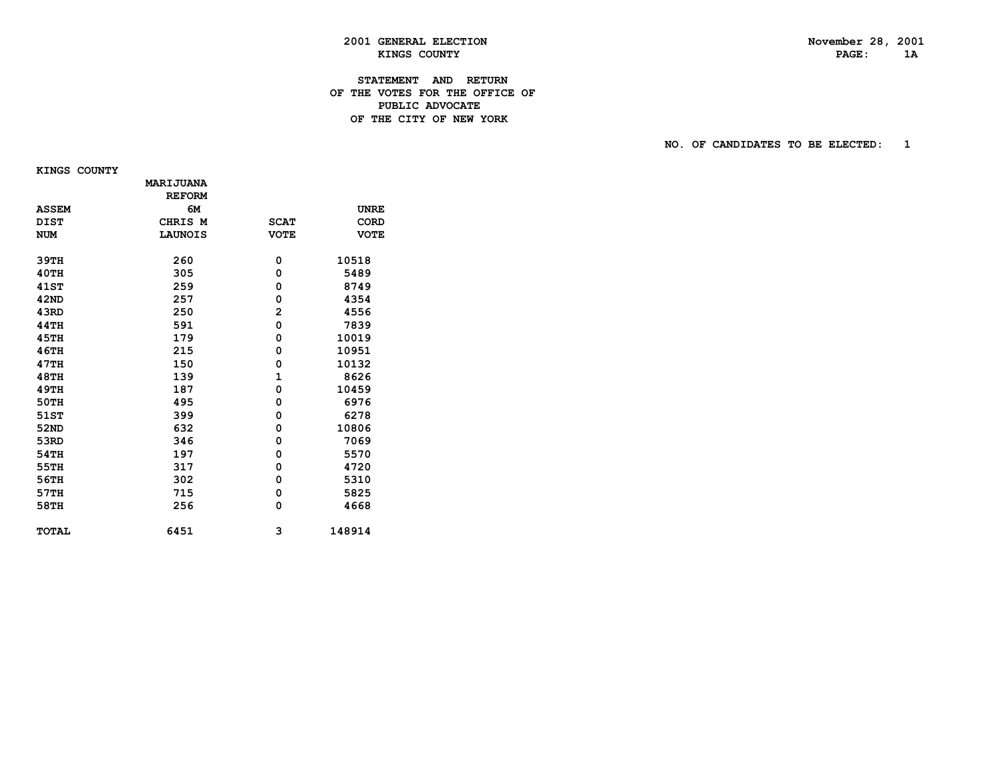# PAGE: 1A

# **2001 GENERAL ELECTION November 28, 2001 KINGS COUNTY**

#### **STATEMENT AND RETURN OF THE VOTES FOR THE OFFICE OF PUBLIC ADVOCATEDE THE CITY OF NEW YORK**

**NO. OF CANDIDATES TO BE ELECTED:** 1

 **KINGS COUNTY**

|              | MARIJUANA<br><b>REFORM</b> |                |             |
|--------------|----------------------------|----------------|-------------|
| <b>ASSEM</b> | 6м                         |                | <b>UNRE</b> |
| <b>DIST</b>  | CHRIS M                    | <b>SCAT</b>    | <b>CORD</b> |
| <b>NUM</b>   | <b>LAUNOIS</b>             | <b>VOTE</b>    | <b>VOTE</b> |
|              |                            |                |             |
| 39TH         | 260                        | 0              | 10518       |
| 40TH         | 305                        | 0              | 5489        |
| <b>41ST</b>  | 259                        | 0              | 8749        |
| 42ND         | 257                        | 0              | 4354        |
| 43RD         | 250                        | $\overline{2}$ | 4556        |
| <b>44TH</b>  | 591                        | 0              | 7839        |
| 45TH         | 179                        | 0              | 10019       |
| <b>46TH</b>  | 215                        | 0              | 10951       |
| 47TH         | 150                        | 0              | 10132       |
| <b>48TH</b>  | 139                        | $\mathbf{1}$   | 8626        |
| <b>49TH</b>  | 187                        | 0              | 10459       |
| <b>50TH</b>  | 495                        | 0              | 6976        |
| 51ST         | 399                        | 0              | 6278        |
| 52ND         | 632                        | 0              | 10806       |
| 53RD         | 346                        | 0              | 7069        |
| 54TH         | 197                        | 0              | 5570        |
| 55TH         | 317                        | 0              | 4720        |
| 56TH         | 302                        | 0              | 5310        |
| 57TH         | 715                        | 0              | 5825        |
| 58TH         | 256                        | 0              | 4668        |
|              |                            |                |             |
| <b>TOTAL</b> | 6451                       | 3              | 148914      |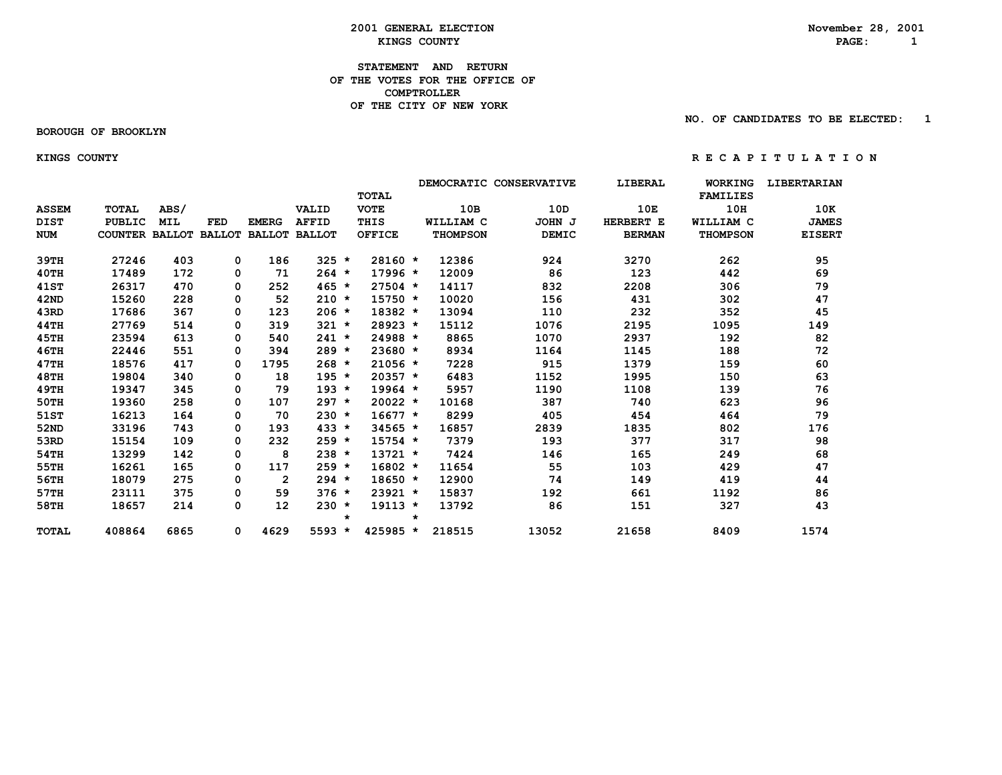#### **2001 GENERAL ELECTION**<br> *KINGS COUNTY***<br>
RAGE: 1 EXINGS COUNTY** AND **RAGE:** 1

#### **STATEMENT AND RETURN OF THE VOTES FOR THE OFFICE OF COMPTROLLER OF THE CITY OF NEW YORK**

#### **BOROUGH OF BROOKLYN**

 **NO. OF CANDIDATES TO BE ELECTED: 1**

 **KINGS COUNTY R E C A P I T U L A T I O N**

|              |                       |            |            |                      |              |         |               |         |                 | DEMOCRATIC CONSERVATIVE | LIBERAL       | <b>WORKING</b>  | <b>LIBERTARIAN</b> |
|--------------|-----------------------|------------|------------|----------------------|--------------|---------|---------------|---------|-----------------|-------------------------|---------------|-----------------|--------------------|
|              |                       |            |            |                      |              |         | <b>TOTAL</b>  |         |                 |                         |               | <b>FAMILIES</b> |                    |
| <b>ASSEM</b> | <b>TOTAL</b>          | ABS/       |            |                      | VALID        |         | <b>VOTE</b>   |         | 10B             | 10D                     | 10E           | 10H             | 10K                |
| <b>DIST</b>  | <b>PUBLIC</b>         | <b>MIL</b> | <b>FED</b> | <b>EMERG</b>         | <b>AFFID</b> |         | THIS          |         | WILLIAM C       | JOHN J                  | HERBERT E     | WILLIAM C       | <b>JAMES</b>       |
| <b>NUM</b>   | COUNTER BALLOT BALLOT |            |            | <b>BALLOT BALLOT</b> |              |         | <b>OFFICE</b> |         | <b>THOMPSON</b> | <b>DEMIC</b>            | <b>BERMAN</b> | <b>THOMPSON</b> | <b>EISERT</b>      |
|              |                       |            |            |                      |              |         |               |         |                 |                         |               |                 |                    |
| 39TH         | 27246                 | 403        | 0          | 186                  | $325 *$      |         | $28160 *$     |         | 12386           | 924                     | 3270          | 262             | 95                 |
| 40TH         | 17489                 | 172        | 0          | 71                   | $264 *$      |         | $17996 *$     |         | 12009           | 86                      | 123           | 442             | 69                 |
| <b>41ST</b>  | 26317                 | 470        | 0          | 252                  | $465 *$      |         | $27504$ *     |         | 14117           | 832                     | 2208          | 306             | 79                 |
| 42ND         | 15260                 | 228        | 0          | 52                   | $210 *$      |         | $15750 *$     |         | 10020           | 156                     | 431           | 302             | 47                 |
| 43RD         | 17686                 | 367        | 0          | 123                  | $206 *$      |         | 18382 *       |         | 13094           | 110                     | 232           | 352             | 45                 |
| 44TH         | 27769                 | 514        | 0          | 319                  | $321 *$      |         | 28923 *       |         | 15112           | 1076                    | 2195          | 1095            | 149                |
| 45TH         | 23594                 | 613        | 0          | 540                  | $241 *$      |         | 24988 *       |         | 8865            | 1070                    | 2937          | 192             | 82                 |
| 46TH         | 22446                 | 551        | 0          | 394                  | $289 *$      |         | $23680 *$     |         | 8934            | 1164                    | 1145          | 188             | 72                 |
| 47TH         | 18576                 | 417        | 0          | 1795                 | $268 *$      |         | $21056 *$     |         | 7228            | 915                     | 1379          | 159             | 60                 |
| <b>48TH</b>  | 19804                 | 340        | 0          | 18                   | $195 *$      |         | $20357 *$     |         | 6483            | 1152                    | 1995          | 150             | 63                 |
| 49TH         | 19347                 | 345        | 0          | 79                   | $193 *$      |         | $19964 *$     |         | 5957            | 1190                    | 1108          | 139             | 76                 |
| <b>50TH</b>  | 19360                 | 258        | 0          | 107                  | $297 *$      |         | $20022 *$     |         | 10168           | 387                     | 740           | 623             | 96                 |
| 51ST         | 16213                 | 164        | 0          | 70                   | $230 *$      |         | $16677 *$     |         | 8299            | 405                     | 454           | 464             | 79                 |
| 52ND         | 33196                 | 743        | 0          | 193                  | $433 *$      |         | $34565 *$     |         | 16857           | 2839                    | 1835          | 802             | 176                |
| 53RD         | 15154                 | 109        | 0          | 232                  | $259 *$      |         | $15754$ *     |         | 7379            | 193                     | 377           | 317             | 98                 |
| 54TH         | 13299                 | 142        | 0          | 8                    | $238 *$      |         | $13721 *$     |         | 7424            | 146                     | 165           | 249             | 68                 |
| 55TH         | 16261                 | 165        | 0          | 117                  | $259 *$      |         | $16802 *$     |         | 11654           | 55                      | 103           | 429             | 47                 |
| 56TH         | 18079                 | 275        | 0          | $\overline{2}$       | $294 *$      |         | $18650 *$     |         | 12900           | 74                      | 149           | 419             | 44                 |
| 57TH         | 23111                 | 375        | 0          | 59                   | $376 *$      |         | $23921 *$     |         | 15837           | 192                     | 661           | 1192            | 86                 |
| 58TH         | 18657                 | 214        | 0          | 12                   | $230 *$      |         | $19113 *$     |         | 13792           | 86                      | 151           | 327             | 43                 |
|              |                       |            |            |                      |              | $\star$ |               | $\star$ |                 |                         |               |                 |                    |
| TOTAL        | 408864                | 6865       | 0          | 4629                 | $5593 *$     |         | 425985 *      |         | 218515          | 13052                   | 21658         | 8409            | 1574               |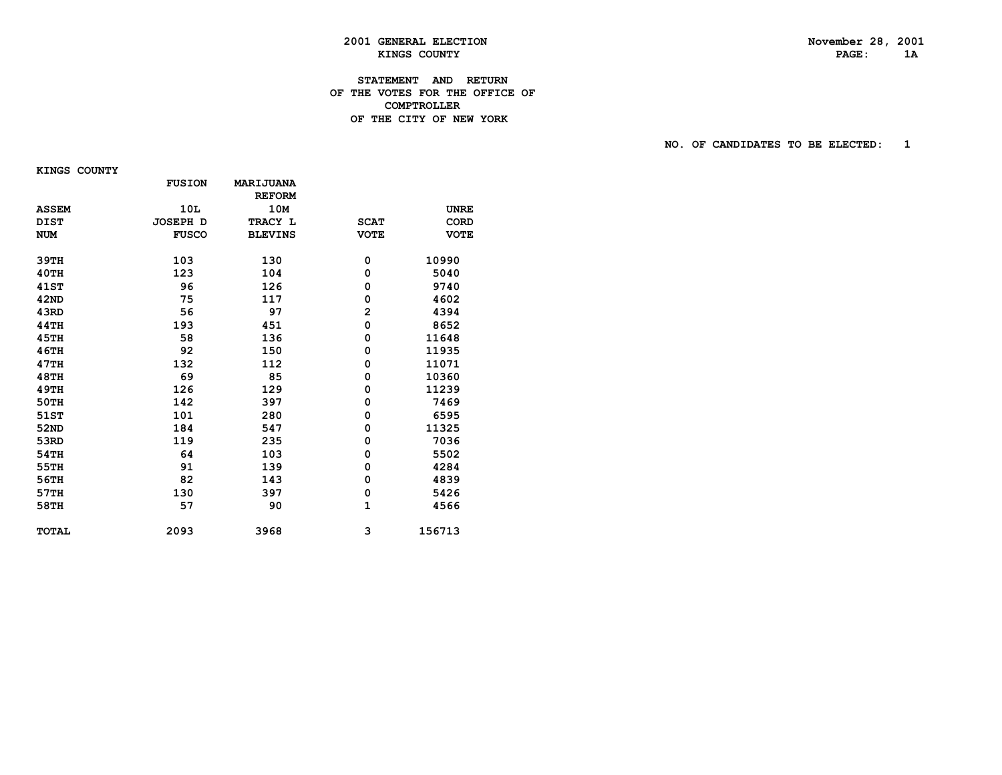# PAGE: 1A

# **2001 GENERAL ELECTION November 28, 2001 KINGS COUNTY**

#### **STATEMENT AND RETURN OF THE VOTES FOR THE OFFICE OF COMPTROLLERDE THE CITY OF NEW YORK**

#### **NO. OF CANDIDATES TO BE ELECTED: 1**

 **KINGS COUNTY**

|              | <b>FUSION</b>   | <b>MARIJUANA</b> |                |             |
|--------------|-----------------|------------------|----------------|-------------|
|              |                 | <b>REFORM</b>    |                |             |
| <b>ASSEM</b> | 10L             | 10M              |                | <b>UNRE</b> |
| <b>DIST</b>  | <b>JOSEPH D</b> | TRACY L          | <b>SCAT</b>    | <b>CORD</b> |
| <b>NUM</b>   | <b>FUSCO</b>    | <b>BLEVINS</b>   | <b>VOTE</b>    | <b>VOTE</b> |
| 39TH         | 103             | 130              | 0              | 10990       |
| 40TH         | 123             | 104              | 0              | 5040        |
| <b>41ST</b>  | 96              | 126              | 0              | 9740        |
| 42ND         | 75              | 117              | 0              | 4602        |
|              |                 |                  |                |             |
| 43RD         | 56              | 97               | $\overline{2}$ | 4394        |
| 44TH         | 193             | 451              | 0              | 8652        |
| <b>45TH</b>  | 58              | 136              | 0              | 11648       |
| 46TH         | 92              | 150              | 0              | 11935       |
| 47TH         | 132             | 112              | 0              | 11071       |
| <b>48TH</b>  | 69              | 85               | 0              | 10360       |
| <b>49TH</b>  | 126             | 129              | 0              | 11239       |
| 50TH         | 142             | 397              | 0              | 7469        |
| 51ST         | 101             | 280              | 0              | 6595        |
| 52ND         | 184             | 547              | 0              | 11325       |
| 53RD         | 119             | 235              | 0              | 7036        |
| 54TH         | 64              | 103              | 0              | 5502        |
| 55TH         | 91              | 139              | 0              | 4284        |
| 56TH         | 82              | 143              | 0              | 4839        |
| 57TH         | 130             | 397              | 0              | 5426        |
| 58TH         | 57              | 90               | 1              | 4566        |
| <b>TOTAL</b> | 2093            | 3968             | 3              | 156713      |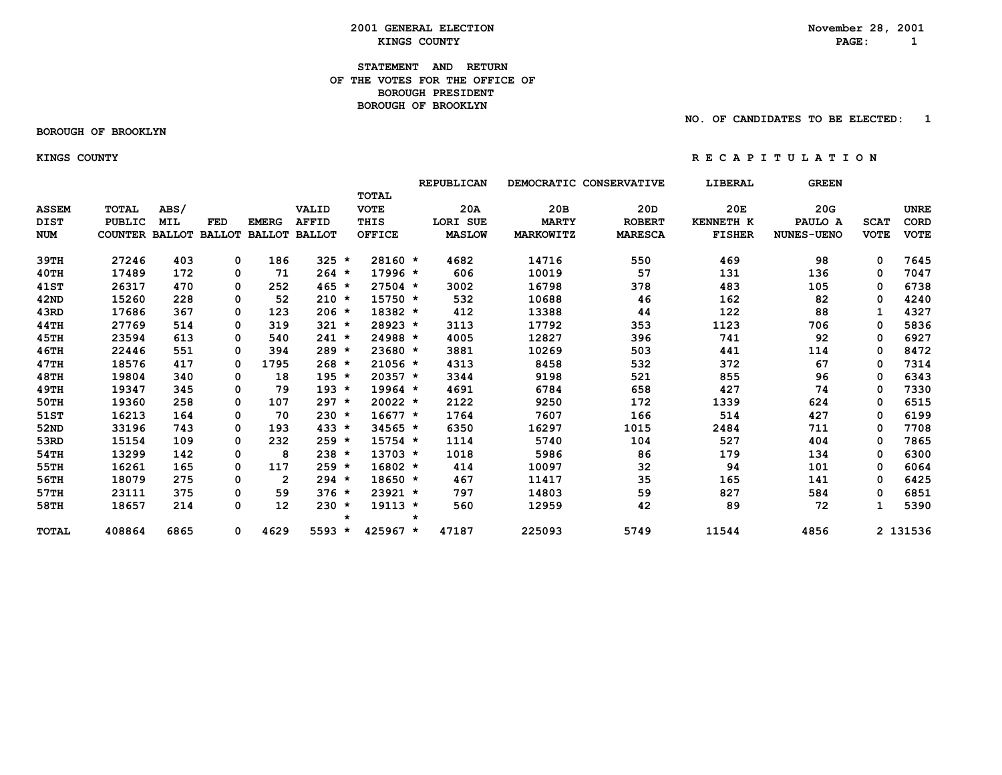#### **2001 GENERAL ELECTION**<br> *KINGS COUNTY***<br>
RAGE: 1 EXINGS COUNTY** AND **RAGE:** 1

#### **STATEMENT AND RETURN OF THE VOTES FOR THE OFFICE OFBOROUGH PRESIDENT BOROUGH OF BROOKLYN**

 **BOROUGH OF BROOKLYN**

 **NO. OF CANDIDATES TO BE ELECTED: 1**

 **KINGS COUNTY R E C A P I T U L A T I O N**

|              |                       |            |               |                   |                      |         |               |   | REPUBLICAN    |              | DEMOCRATIC CONSERVATIVE | LIBERAL          | <b>GREEN</b>      |              |             |
|--------------|-----------------------|------------|---------------|-------------------|----------------------|---------|---------------|---|---------------|--------------|-------------------------|------------------|-------------------|--------------|-------------|
|              |                       |            |               |                   |                      |         | <b>TOTAL</b>  |   |               |              |                         |                  |                   |              |             |
| <b>ASSEM</b> | <b>TOTAL</b>          | ABS/       |               |                   | VALID                |         | <b>VOTE</b>   |   | 20A           | 20B          | 20D                     | 20E              | 20G               |              | <b>UNRE</b> |
| <b>DIST</b>  | PUBLIC                | <b>MIL</b> | <b>FED</b>    | <b>EMERG</b>      | <b>AFFID</b>         |         | THIS          |   | LORI SUE      | <b>MARTY</b> | <b>ROBERT</b>           | <b>KENNETH K</b> | PAULO A           | <b>SCAT</b>  | CORD        |
| <b>NUM</b>   | <b>COUNTER BALLOT</b> |            | <b>BALLOT</b> |                   | <b>BALLOT BALLOT</b> |         | <b>OFFICE</b> |   | <b>MASLOW</b> | MARKOWITZ    | <b>MARESCA</b>          | <b>FISHER</b>    | <b>NUNES-UENO</b> | <b>VOTE</b>  | <b>VOTE</b> |
| 39TH         | 27246                 | 403        | 0             | 186               | $325 *$              |         | $28160 *$     |   | 4682          | 14716        | 550                     | 469              | 98                | 0            | 7645        |
| 40TH         | 17489                 | 172        | 0             | 71                | $264 *$              |         | $17996*$      |   | 606           | 10019        | 57                      | 131              | 136               | 0            | 7047        |
| 41ST         | 26317                 | 470        | 0             | 252               | $465 *$              |         | $27504$ *     |   | 3002          | 16798        | 378                     | 483              | 105               | 0            | 6738        |
| 42ND         | 15260                 | 228        | 0             | 52                | $210 *$              |         | $15750 *$     |   | 532           | 10688        | 46                      | 162              | 82                | 0            | 4240        |
| 43RD         | 17686                 | 367        | 0             | 123               | $206 *$              |         | 18382 *       |   | 412           | 13388        | 44                      | 122              | 88                | $\mathbf{1}$ | 4327        |
|              | 27769                 |            |               |                   | $321 *$              |         | 28923 *       |   |               | 17792        |                         |                  | 706               |              |             |
| 44TH         |                       | 514        | 0             | 319               |                      |         |               |   | 3113          |              | 353                     | 1123             |                   | 0            | 5836        |
| 45TH         | 23594                 | 613        | 0             | 540               | $241 *$              |         | 24988 *       |   | 4005          | 12827        | 396                     | 741              | 92                | 0            | 6927        |
| <b>46TH</b>  | 22446                 | 551        | 0             | 394               | $289 *$              |         | $23680 *$     |   | 3881          | 10269        | 503                     | 441              | 114               | 0            | 8472        |
| 47TH         | 18576                 | 417        | 0             | 1795              | $268 *$              |         | $21056 *$     |   | 4313          | 8458         | 532                     | 372              | 67                | 0            | 7314        |
| 48TH         | 19804                 | 340        | 0             | 18                | $195 *$              |         | $20357 *$     |   | 3344          | 9198         | 521                     | 855              | 96                | 0            | 6343        |
| <b>49TH</b>  | 19347                 | 345        | 0             | 79                | $193 *$              |         | $19964$ *     |   | 4691          | 6784         | 658                     | 427              | 74                | 0            | 7330        |
| 50TH         | 19360                 | 258        | 0             | 107               | $297 *$              |         | $20022 *$     |   | 2122          | 9250         | 172                     | 1339             | 624               | 0            | 6515        |
| 51ST         | 16213                 | 164        | 0             | 70                | $230 *$              |         | $16677 *$     |   | 1764          | 7607         | 166                     | 514              | 427               | 0            | 6199        |
| 52ND         | 33196                 | 743        | 0             | 193               | $433 *$              |         | 34565 *       |   | 6350          | 16297        | 1015                    | 2484             | 711               | 0            | 7708        |
| 53RD         | 15154                 | 109        | 0             | 232               | $259 *$              |         | $15754$ *     |   | 1114          | 5740         | 104                     | 527              | 404               | 0            | 7865        |
| 54TH         | 13299                 | 142        | 0             | 8                 | $238 *$              |         | $13703 *$     |   | 1018          | 5986         | 86                      | 179              | 134               | 0            | 6300        |
| 55TH         | 16261                 | 165        | 0             | 117               | $259 *$              |         | $16802 *$     |   | 414           | 10097        | 32                      | 94               | 101               | 0            | 6064        |
| 56TH         | 18079                 | 275        | 0             | 2                 | $294 *$              |         | 18650 *       |   | 467           | 11417        | 35                      | 165              | 141               | 0            | 6425        |
| 57TH         | 23111                 | 375        | 0             | 59                | $376 *$              |         | 23921 *       |   | 797           | 14803        | 59                      | 827              | 584               | 0            | 6851        |
| 58TH         | 18657                 | 214        | 0             | $12 \overline{ }$ | $230 *$              |         | $19113 *$     |   | 560           | 12959        | 42                      | 89               | 72                |              | 5390        |
|              |                       |            |               |                   |                      | $\star$ |               | * |               |              |                         |                  |                   |              |             |
| <b>TOTAL</b> | 408864                | 6865       | 0             | 4629              | 5593 *               |         | 425967 *      |   | 47187         | 225093       | 5749                    | 11544            | 4856              |              | 2 131536    |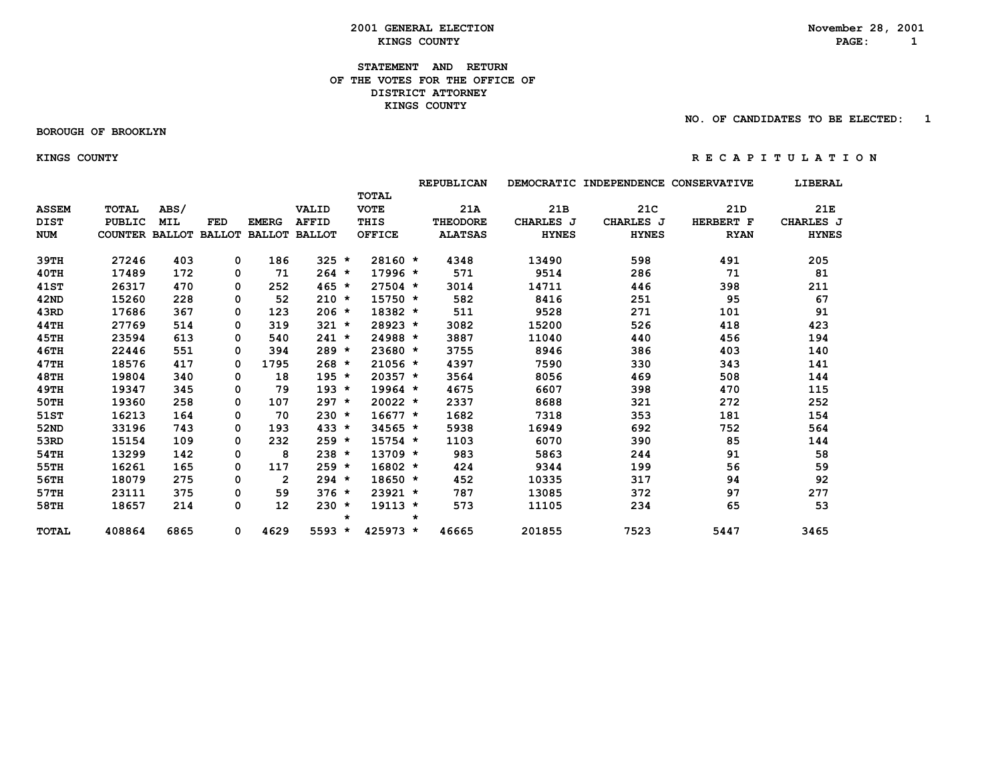#### **2001 GENERAL ELECTION**<br> *KINGS COUNTY***<br>
RAGE: 1 EXINGS COUNTY EXISTENTS PAGE:** 1

#### **STATEMENT AND RETURN OF THE VOTES FOR THE OFFICE OF DISTRICT ATTORNEY KINGS COUNTY**

#### **BOROUGH OF BROOKLYN**

 **NO. OF CANDIDATES TO BE ELECTED: 1**

#### **KINGS COUNTY R E C A P I T U L A T I O N**

|              |                       |            |            |                      |              |               |            | REPUBLICAN      |              | DEMOCRATIC INDEPENDENCE | <b>CONSERVATIVE</b> | LIBERAL      |
|--------------|-----------------------|------------|------------|----------------------|--------------|---------------|------------|-----------------|--------------|-------------------------|---------------------|--------------|
|              |                       |            |            |                      |              | <b>TOTAL</b>  |            |                 |              |                         |                     |              |
| <b>ASSEM</b> | <b>TOTAL</b>          | ABS/       |            |                      | VALID        | <b>VOTE</b>   |            | 21A             | 21B          | 21C                     | 21 <sub>D</sub>     | 21E          |
| <b>DIST</b>  | PUBLIC                | <b>MIL</b> | <b>FED</b> | <b>EMERG</b>         | <b>AFFID</b> | THIS          |            | <b>THEODORE</b> | CHARLES J    | CHARLES J               | HERBERT F           | CHARLES J    |
| <b>NUM</b>   | COUNTER BALLOT BALLOT |            |            | <b>BALLOT BALLOT</b> |              | <b>OFFICE</b> |            | <b>ALATSAS</b>  | <b>HYNES</b> | <b>HYNES</b>            | <b>RYAN</b>         | <b>HYNES</b> |
|              |                       |            |            |                      |              |               |            |                 |              |                         |                     |              |
| 39TH         | 27246                 | 403        | 0          | 186                  | $325 *$      |               | $28160 *$  | 4348            | 13490        | 598                     | 491                 | 205          |
| 40TH         | 17489                 | 172        | 0          | 71                   | $264 *$      |               | $17996 *$  | 571             | 9514         | 286                     | 71                  | 81           |
| <b>41ST</b>  | 26317                 | 470        | 0          | 252                  | $465 *$      |               | $27504$ *  | 3014            | 14711        | 446                     | 398                 | 211          |
| 42ND         | 15260                 | 228        | 0          | 52                   | $210 *$      |               | $15750 *$  | 582             | 8416         | 251                     | 95                  | 67           |
| 43RD         | 17686                 | 367        | 0          | 123                  | $206 *$      |               | $18382 *$  | 511             | 9528         | 271                     | 101                 | 91           |
| 44TH         | 27769                 | 514        | 0          | 319                  | $321 *$      |               | 28923 *    | 3082            | 15200        | 526                     | 418                 | 423          |
| 45TH         | 23594                 | 613        | 0          | 540                  | $241 *$      |               | 24988 *    | 3887            | 11040        | 440                     | 456                 | 194          |
| <b>46TH</b>  | 22446                 | 551        | 0          | 394                  | $289 *$      |               | $23680 *$  | 3755            | 8946         | 386                     | 403                 | 140          |
| 47TH         | 18576                 | 417        | 0          | 1795                 | $268 *$      |               | $21056 *$  | 4397            | 7590         | 330                     | 343                 | 141          |
| <b>48TH</b>  | 19804                 | 340        | 0          | 18                   | $195 *$      |               | $20357 *$  | 3564            | 8056         | 469                     | 508                 | 144          |
| <b>49TH</b>  | 19347                 | 345        | 0          | 79                   | $193 *$      |               | $19964 *$  | 4675            | 6607         | 398                     | 470                 | 115          |
| 50TH         | 19360                 | 258        | 0          | 107                  | $297 *$      |               | $20022 *$  | 2337            | 8688         | 321                     | 272                 | 252          |
| 51ST         | 16213                 | 164        | 0          | 70                   | $230 *$      |               | $16677 *$  | 1682            | 7318         | 353                     | 181                 | 154          |
| 52ND         | 33196                 | 743        | 0          | 193                  | $433 *$      |               | $34565 *$  | 5938            | 16949        | 692                     | 752                 | 564          |
| 53RD         | 15154                 | 109        | 0          | 232                  | $259 *$      |               | $15754$ *  | 1103            | 6070         | 390                     | 85                  | 144          |
| 54TH         | 13299                 | 142        | 0          | 8                    | $238 *$      |               | $13709 *$  | 983             | 5863         | 244                     | 91                  | 58           |
| 55TH         | 16261                 | 165        | 0          | 117                  | $259 *$      |               | $16802 *$  | 424             | 9344         | 199                     | 56                  | 59           |
| 56TH         | 18079                 | 275        | 0          | $\overline{2}$       | $294 *$      |               | $18650 *$  | 452             | 10335        | 317                     | 94                  | 92           |
| 57TH         | 23111                 | 375        | 0          | 59                   | $376 *$      |               | $23921 *$  | 787             | 13085        | 372                     | 97                  | 277          |
| 58TH         | 18657                 | 214        | 0          | 12                   | $230 *$      |               | $19113 *$  | 573             | 11105        | 234                     | 65                  | 53           |
|              |                       |            |            |                      |              | $\star$       |            | $\star$         |              |                         |                     |              |
| <b>TOTAL</b> | 408864                | 6865       | 0          | 4629                 | $5593 *$     |               | $425973 *$ | 46665           | 201855       | 7523                    | 5447                | 3465         |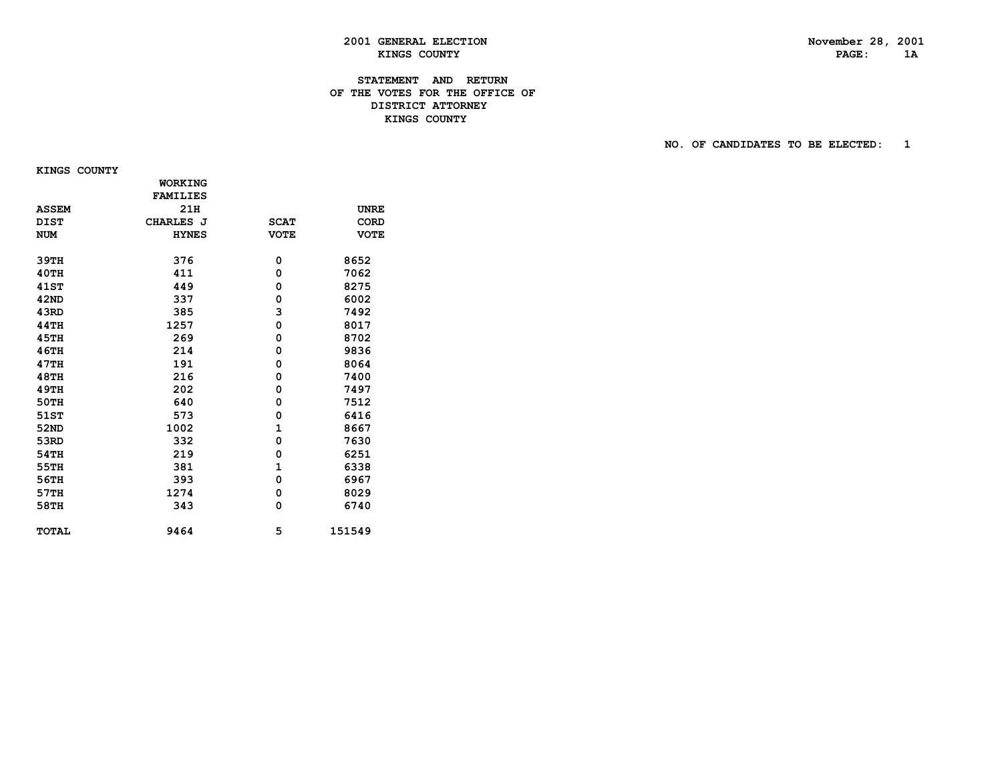# PAGE: 1A

#### **STATEMENT AND RETURN OF THE VOTES FOR THE OFFICE OF DISTRICT ATTORNEYEXECUTIVE STATES COUNTY EXECUTE STATES COUNTY**

 **NO. OF CANDIDATES TO BE ELECTED: 1**

 **KINGS COUNTY**

|              | <b>WORKING</b>  |              |             |
|--------------|-----------------|--------------|-------------|
|              | <b>FAMILIES</b> |              |             |
| <b>ASSEM</b> | 21H             |              | <b>UNRE</b> |
| <b>DIST</b>  | CHARLES J       | <b>SCAT</b>  | CORD        |
| <b>NUM</b>   | <b>HYNES</b>    | <b>VOTE</b>  | <b>VOTE</b> |
|              |                 |              |             |
| 39TH         | 376             | 0            | 8652        |
| 40TH         | 411             | 0            | 7062        |
| <b>41ST</b>  | 449             | 0            | 8275        |
| 42ND         | 337             | 0            | 6002        |
| 43RD         | 385             | 3            | 7492        |
| <b>44TH</b>  | 1257            | 0            | 8017        |
| <b>45TH</b>  | 269             | 0            | 8702        |
| 46TH         | 214             | 0            | 9836        |
| 47TH         | 191             | 0            | 8064        |
| <b>48TH</b>  | 216             | 0            | 7400        |
| <b>49TH</b>  | 202             | 0            | 7497        |
| 50TH         | 640             | 0            | 7512        |
| 51ST         | 573             | 0            | 6416        |
| 52ND         | 1002            | $\mathbf{1}$ | 8667        |
| 53RD         | 332             | 0            | 7630        |
| 54TH         | 219             | 0            | 6251        |
| 55TH         | 381             | $\mathbf{1}$ | 6338        |
| 56TH         | 393             | 0            | 6967        |
| 57TH         | 1274            | 0            | 8029        |
| 58TH         | 343             | 0            | 6740        |
|              |                 |              |             |
| <b>TOTAL</b> | 9464            | 5            | 151549      |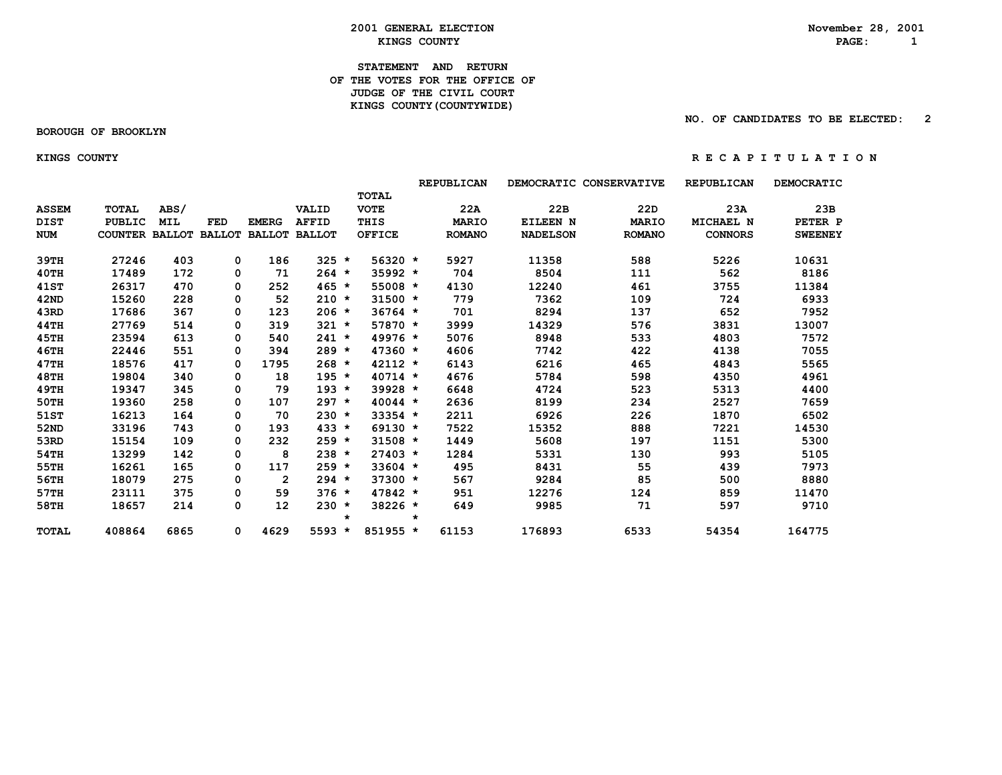**2001 GENERAL ELECTION**<br> *KINGS COUNTY***<br>
RAGE: 1 EXINGS COUNTY** AND **RAGE:** 1

**STATEMENT AND RETURN OF THE VOTES FOR THE OFFICE OF** *JUDGE OF THE CIVIL COURT*  **KINGS COUNTY(COUNTYWIDE)**

 **BOROUGH OF BROOKLYN**

 **NO. OF CANDIDATES TO BE ELECTED: 2**

#### **KINGS COUNTY R E C A P I T U L A T I O N**

|              |                       |            |          |                   |                      |         |               |         | <b>REPUBLICAN</b> |                 | DEMOCRATIC CONSERVATIVE | <b>REPUBLICAN</b> | DEMOCRATIC     |
|--------------|-----------------------|------------|----------|-------------------|----------------------|---------|---------------|---------|-------------------|-----------------|-------------------------|-------------------|----------------|
|              |                       |            |          |                   |                      |         | TOTAL         |         |                   |                 |                         |                   |                |
| <b>ASSEM</b> | <b>TOTAL</b>          | ABS/       |          |                   | VALID                |         | <b>VOTE</b>   |         | 22A               | 22B             | 22 <sub>D</sub>         | 23A               | 23B            |
| <b>DIST</b>  | <b>PUBLIC</b>         | <b>MIL</b> | FED      | <b>EMERG</b>      | <b>AFFID</b>         |         | THIS          |         | <b>MARIO</b>      | EILEEN N        | <b>MARIO</b>            | MICHAEL N         | PETER P        |
| <b>NUM</b>   | COUNTER BALLOT BALLOT |            |          |                   | <b>BALLOT BALLOT</b> |         | <b>OFFICE</b> |         | <b>ROMANO</b>     | <b>NADELSON</b> | <b>ROMANO</b>           | <b>CONNORS</b>    | <b>SWEENEY</b> |
| 39TH         | 27246                 | 403        | 0        | 186               | $325 *$              |         | $56320 *$     |         | 5927              | 11358           | 588                     | 5226              | 10631          |
| 40TH         | 17489                 | 172        | 0        | 71                | $264 *$              |         | $35992 *$     |         | 704               | 8504            | 111                     | 562               | 8186           |
| <b>41ST</b>  | 26317                 | 470        | 0        | 252               | $465 *$              |         | 55008 *       |         | 4130              | 12240           | 461                     | 3755              | 11384          |
| 42ND         | 15260                 | 228        | 0        | 52                | $210 *$              |         | $31500 *$     |         | 779               | 7362            | 109                     | 724               | 6933           |
| 43RD         | 17686                 | 367        | 0        | 123               | $206 *$              |         | $36764$ *     |         | 701               | 8294            | 137                     | 652               | 7952           |
| <b>44TH</b>  | 27769                 | 514        | 0        | 319               | $321 *$              |         | 57870 *       |         | 3999              | 14329           | 576                     | 3831              | 13007          |
| 45TH         | 23594                 | 613        | 0        | 540               | $241 *$              |         | $49976 *$     |         | 5076              | 8948            | 533                     | 4803              | 7572           |
| <b>46TH</b>  | 22446                 | 551        | 0        | 394               | $289 *$              |         | $47360 *$     |         | 4606              | 7742            | 422                     | 4138              | 7055           |
| <b>47TH</b>  | 18576                 | 417        | 0        | 1795              | $268 *$              |         | $42112 *$     |         | 6143              | 6216            | 465                     | 4843              | 5565           |
| <b>48TH</b>  | 19804                 | 340        | 0        | 18                | $195 *$              |         | $40714 *$     |         | 4676              | 5784            | 598                     | 4350              | 4961           |
| <b>49TH</b>  | 19347                 | 345        | 0        | 79                | $193 *$              |         | 39928 *       |         | 6648              | 4724            | 523                     | 5313              | 4400           |
| 50TH         | 19360                 | 258        | 0        | 107               | $297 *$              |         | $40044 *$     |         | 2636              | 8199            | 234                     | 2527              | 7659           |
| 51ST         | 16213                 | 164        | 0        | 70                | $230 *$              |         | $33354$ *     |         | 2211              | 6926            | 226                     | 1870              | 6502           |
| 52ND         | 33196                 | 743        | 0        | 193               | $433 *$              |         | $69130 *$     |         | 7522              | 15352           | 888                     | 7221              | 14530          |
| 53RD         | 15154                 | 109        | 0        | 232               | $259 *$              |         | $31508 *$     |         | 1449              | 5608            | 197                     | 1151              | 5300           |
| 54TH         | 13299                 | 142        | 0        | 8                 | $238 *$              |         | $27403 *$     |         | 1284              | 5331            | 130                     | 993               | 5105           |
| 55TH         | 16261                 | 165        | 0        | 117               | $259 *$              |         | $33604$ *     |         | 495               | 8431            | 55                      | 439               | 7973           |
| 56TH         | 18079                 | 275        | 0        | $\overline{2}$    | $294 *$              |         | $37300 *$     |         | 567               | 9284            | 85                      | 500               | 8880           |
| 57TH         | 23111                 | 375        | 0        | 59                | $376 *$              |         | $47842 *$     |         | 951               | 12276           | 124                     | 859               | 11470          |
| 58TH         | 18657                 | 214        | $\Omega$ | $12 \overline{ }$ | $230 *$              | $\star$ | 38226 *       | $\star$ | 649               | 9985            | 71                      | 597               | 9710           |
| TOTAL        | 408864                | 6865       | 0        | 4629              | $5593 *$             |         | 851955 *      |         | 61153             | 176893          | 6533                    | 54354             | 164775         |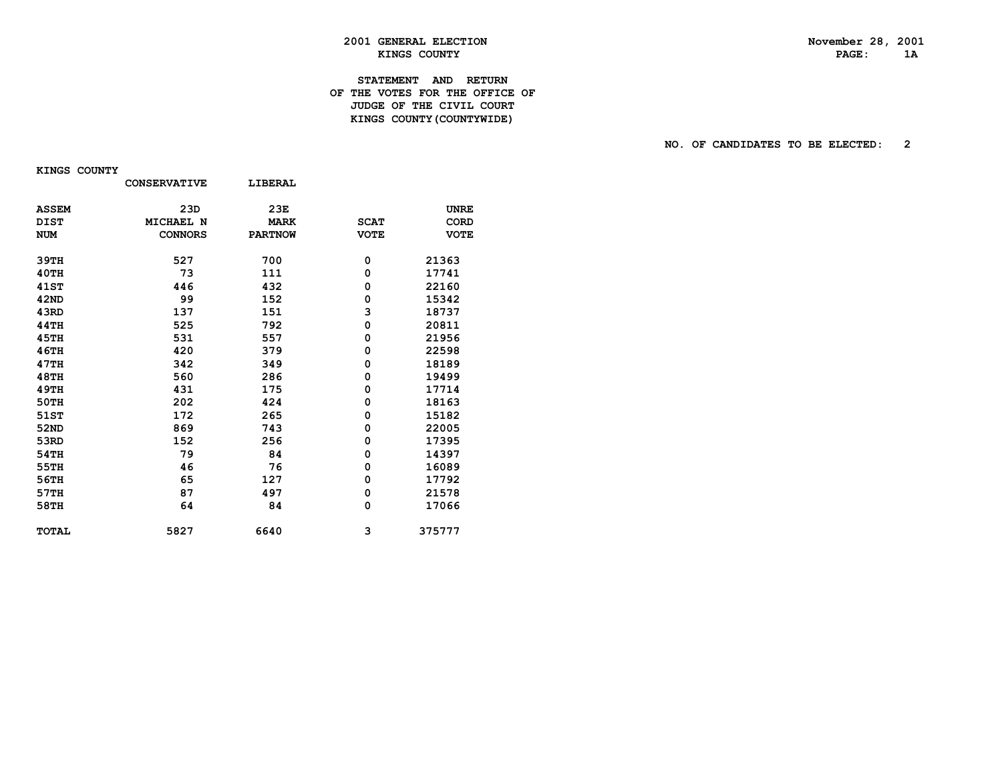PAGE: 1A

# **2001 GENERAL ELECTION November 28, 2001 KINGS COUNTY**

#### **STATEMENT AND RETURN OF THE VOTES FOR THE OFFICE OF JUDGE OF THE CIVIL COURT KINGS COUNTY(COUNTYWIDE)**

#### **NO. OF CANDIDATES TO BE ELECTED: 2**

 **KINGS COUNTY**

|              | <b>CONSERVATIVE</b> | LIBERAL        |             |             |
|--------------|---------------------|----------------|-------------|-------------|
| <b>ASSEM</b> | 23D                 | 23E            |             | <b>UNRE</b> |
| <b>DIST</b>  | MICHAEL N           | <b>MARK</b>    | <b>SCAT</b> | <b>CORD</b> |
| <b>NUM</b>   | <b>CONNORS</b>      | <b>PARTNOW</b> | <b>VOTE</b> | <b>VOTE</b> |
| 39TH         | 527                 | 700            | 0           | 21363       |
| 40TH         | 73                  | 111            | 0           | 17741       |
| <b>41ST</b>  | 446                 | 432            | 0           | 22160       |
| 42ND         | 99                  | 152            | 0           | 15342       |
| 43RD         | 137                 | 151            | 3           | 18737       |
| 44TH         | 525                 | 792            | 0           | 20811       |
| 45TH         | 531                 | 557            | 0           | 21956       |
| 46TH         | 420                 | 379            | 0           | 22598       |
| 47TH         | 342                 | 349            | 0           | 18189       |
| <b>48TH</b>  | 560                 | 286            | 0           | 19499       |
| <b>49TH</b>  | 431                 | 175            | 0           | 17714       |
| 50TH         | 202                 | 424            | 0           | 18163       |
| 51ST         | 172                 | 265            | 0           | 15182       |
| 52ND         | 869                 | 743            | 0           | 22005       |
| 53RD         | 152                 | 256            | 0           | 17395       |
| 54TH         | 79                  | 84             | 0           | 14397       |
| 55TH         | 46                  | 76             | 0           | 16089       |
| 56TH         | 65                  | 127            | 0           | 17792       |
| 57TH         | 87                  | 497            | 0           | 21578       |
| 58TH         | 64                  | 84             | 0           | 17066       |
| <b>TOTAL</b> | 5827                | 6640           | 3           | 375777      |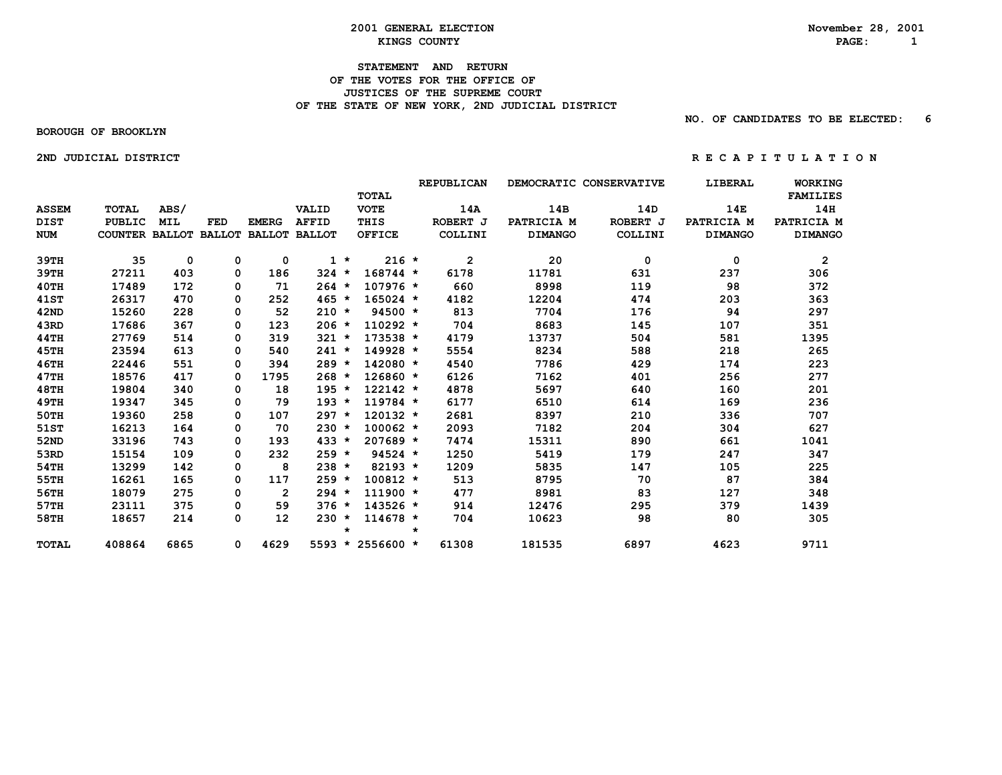#### **2001 GENERAL ELECTION November 28, 2001 EXAMPLE 2 KINGS COUNTY PAGE:** 1

#### **STATEMENT AND RETURN OF THE VOTES FOR THE OFFICE OF JUSTICES OF THE SUPREME COURT**OF THE STATE OF NEW YORK, 2ND JUDICIAL DISTRICT

 **NO. OF CANDIDATES TO BE ELECTED: 6**

 **BOROUGH OF BROOKLYN**

 **2NDJUDICIALDISTRICT R E C A P I T U L A T I O N**

 **REPUBLICAN DEMOCRATIC CONSERVATIVE LIBERAL WORKING TOTAL FAMILIES ASSEM TOTAL ABS/ VALID VOTE 14A 14B 14D 14E 14H DIST PUBLIC MIL FED EMERG AFFID THIS ROBERT J PATRICIA M ROBERT J PATRICIA M PATRICIA M NUM COUNTER BALLOT BALLOT BALLOT BALLOT OFFICE COLLINI DIMANGO COLLINI DIMANGO DIMANGO 39TH 35 0 0 0 1 \* 216 \* 2 20 0 0 2 39TH 27211 403 0 186 324 \* 168744 \* 6178 11781 631 237 306 40TH 17489 172 0 71 264 \* 107976 \* 660 8998 119 98 372 41ST 26317 470 0 252 465 \* 165024 \* 4182 12204 474 203 363 42ND 15260 228 0 52 210 \* 94500 \* 813 7704 176 94 297 43RD 17686 367 0 123 206 \* 110292 \* 704 8683 145 107 351 44TH 27769 514 0 319 321 \* 173538 \* 4179 13737 504 581 1395 45TH 23594 613 0 540 241 \* 149928 \* 5554 8234 588 218 265 46TH 22446 551 0 394 289 \* 142080 \* 4540 7786 429 174 223 47TH 18576 417 0 1795 268 \* 126860 \* 6126 7162 401 256 277 48TH 19804 340 0 18 195 \* 122142 \* 4878 5697 640 160 201 49TH 19347 345 0 79 193 \* 119784 \* 6177 6510 614 169 236 50TH 19360 258 0 107 297 \* 120132 \* 2681 8397 210 336 707 51ST 16213 164 0 70 230 \* 100062 \* 2093 7182 204 304 627 52ND 33196 743 0 193 433 \* 207689 \* 7474 15311 890 661 1041 53RD 15154 109 0 232 259 \* 94524 \* 1250 5419 179 247 347 54TH 13299 142 0 8 238 \* 82193 \* 1209 5835 147 105 225 55TH 16261 165 0 117 259 \* 100812 \* 513 8795 70 87 384 56TH 18079 275 0 2 294 \* 111900 \* 477 8981 83 127 348 57TH 23111 375 0 59 376 \* 143526 \* 914 12476 295 379 1439 58TH 18657 214 0 12 230 \* 114678 \* 704 10623 98 80 305 \* \* TOTAL 408864 6865 0 4629 5593 \* 2556600 \* 61308 181535 6897 4623 9711**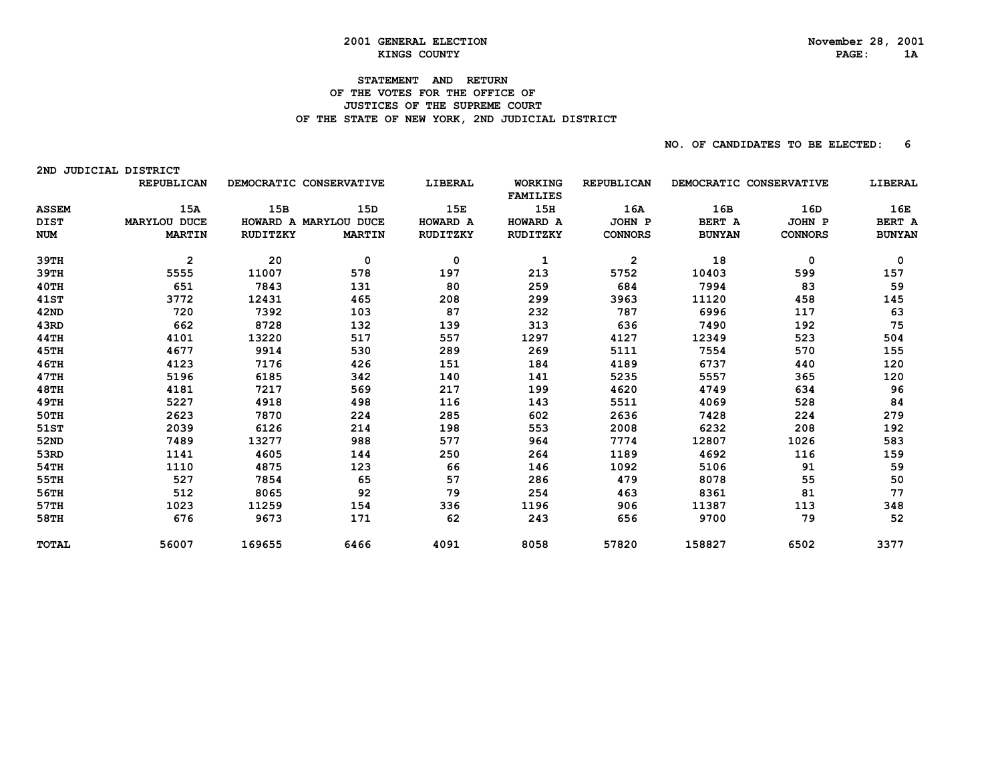#### **STATEMENT AND RETURN OF THE VOTES FOR THE OFFICE OF JUSTICES OF THE SUPREME COURT** OF THE STATE OF NEW YORK, 2ND JUDICIAL DISTRICT

| 2ND          | <b>JUDICIAL DISTRICT</b> |                         |               |          |                                   |                   |                         |                |               |
|--------------|--------------------------|-------------------------|---------------|----------|-----------------------------------|-------------------|-------------------------|----------------|---------------|
|              | <b>REPUBLICAN</b>        | DEMOCRATIC CONSERVATIVE |               | LIBERAL  | <b>WORKING</b><br><b>FAMILIES</b> | <b>REPUBLICAN</b> | DEMOCRATIC CONSERVATIVE |                | LIBERAL       |
| <b>ASSEM</b> | 15A                      | 15B                     | 15D           | 15E      | 15H                               | 16A               | 16B                     | 16D            | 16E           |
| <b>DIST</b>  | MARYLOU DUCE             | HOWARD A MARYLOU DUCE   |               | HOWARD A | <b>HOWARD A</b>                   | JOHN P            | BERT A                  | JOHN P         | BERT A        |
| <b>NUM</b>   | <b>MARTIN</b>            | RUDITZKY                | <b>MARTIN</b> | RUDITZKY | RUDITZKY                          | <b>CONNORS</b>    | <b>BUNYAN</b>           | <b>CONNORS</b> | <b>BUNYAN</b> |
| 39TH         | $\overline{2}$           | 20                      | 0             | 0        | 1                                 | $\overline{2}$    | 18                      | 0              | 0             |
| 39TH         | 5555                     | 11007                   | 578           | 197      | 213                               | 5752              | 10403                   | 599            | 157           |
| 40TH         | 651                      | 7843                    | 131           | 80       | 259                               | 684               | 7994                    | 83             | 59            |
| 41ST         | 3772                     | 12431                   | 465           | 208      | 299                               | 3963              | 11120                   | 458            | 145           |
| 42ND         | 720                      | 7392                    | 103           | 87       | 232                               | 787               | 6996                    | 117            | 63            |
| 43RD         | 662                      | 8728                    | 132           | 139      | 313                               | 636               | 7490                    | 192            | 75            |
| 44TH         | 4101                     | 13220                   | 517           | 557      | 1297                              | 4127              | 12349                   | 523            | 504           |
| 45TH         | 4677                     | 9914                    | 530           | 289      | 269                               | 5111              | 7554                    | 570            | 155           |
| 46TH         | 4123                     | 7176                    | 426           | 151      | 184                               | 4189              | 6737                    | 440            | 120           |
| 47TH         | 5196                     | 6185                    | 342           | 140      | 141                               | 5235              | 5557                    | 365            | 120           |
| 48TH         | 4181                     | 7217                    | 569           | 217      | 199                               | 4620              | 4749                    | 634            | 96            |
| 49TH         | 5227                     | 4918                    | 498           | 116      | 143                               | 5511              | 4069                    | 528            | 84            |
| <b>50TH</b>  | 2623                     | 7870                    | 224           | 285      | 602                               | 2636              | 7428                    | 224            | 279           |
| 51ST         | 2039                     | 6126                    | 214           | 198      | 553                               | 2008              | 6232                    | 208            | 192           |
| 52ND         | 7489                     | 13277                   | 988           | 577      | 964                               | 7774              | 12807                   | 1026           | 583           |
| 53RD         | 1141                     | 4605                    | 144           | 250      | 264                               | 1189              | 4692                    | 116            | 159           |
| 54TH         | 1110                     | 4875                    | 123           | 66       | 146                               | 1092              | 5106                    | 91             | 59            |
| 55TH         | 527                      | 7854                    | 65            | 57       | 286                               | 479               | 8078                    | 55             | 50            |
| 56TH         | 512                      | 8065                    | 92            | 79       | 254                               | 463               | 8361                    | 81             | 77            |
| 57TH         | 1023                     | 11259                   | 154           | 336      | 1196                              | 906               | 11387                   | 113            | 348           |
| 58TH         | 676                      | 9673                    | 171           | 62       | 243                               | 656               | 9700                    | 79             | 52            |
| <b>TOTAL</b> | 56007                    | 169655                  | 6466          | 4091     | 8058                              | 57820             | 158827                  | 6502           | 3377          |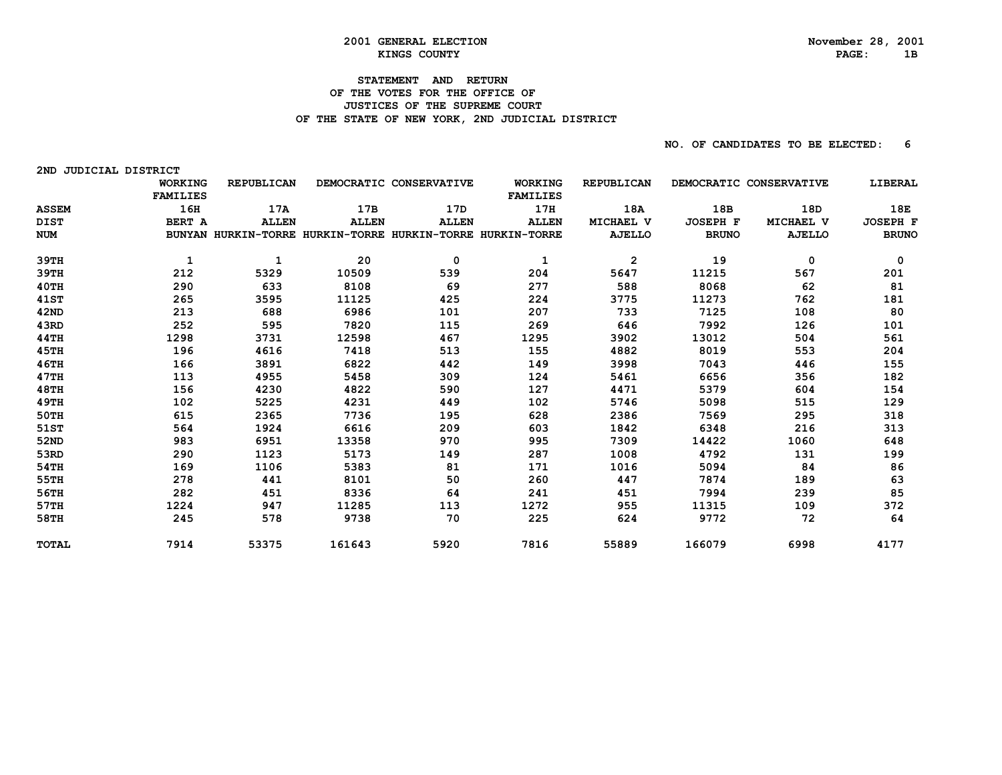2ND JUDICIAL DISTRICT

#### **STATEMENT AND RETURN OF THE VOTES FOR THE OFFICE OF JUSTICES OF THE SUPREME COURT** OF THE STATE OF NEW YORK, 2ND JUDICIAL DISTRICT

|              | <b>WORKING</b><br><b>FAMILIES</b> | <b>REPUBLICAN</b> |              | DEMOCRATIC CONSERVATIVE                                    | <b>WORKING</b><br><b>FAMILIES</b> | <b>REPUBLICAN</b> |                 | DEMOCRATIC CONSERVATIVE | LIBERAL         |
|--------------|-----------------------------------|-------------------|--------------|------------------------------------------------------------|-----------------------------------|-------------------|-----------------|-------------------------|-----------------|
| <b>ASSEM</b> | 16H                               | 17A               | 17B          | 17D                                                        | 17H                               | 18A               | 18B             | 18D                     | 18E             |
| <b>DIST</b>  | BERT A                            | <b>ALLEN</b>      | <b>ALLEN</b> | <b>ALLEN</b>                                               | <b>ALLEN</b>                      | MICHAEL V         | <b>JOSEPH F</b> | MICHAEL V               | <b>JOSEPH F</b> |
| <b>NUM</b>   |                                   |                   |              | BUNYAN HURKIN-TORRE HURKIN-TORRE HURKIN-TORRE HURKIN-TORRE |                                   | <b>AJELLO</b>     | <b>BRUNO</b>    | <b>AJELLO</b>           | <b>BRUNO</b>    |
| 39TH         | 1                                 | 1                 | 20           | 0                                                          | 1                                 | $\overline{2}$    | 19              | 0                       | 0               |
| 39TH         | 212                               | 5329              | 10509        | 539                                                        | 204                               | 5647              | 11215           | 567                     | 201             |
| 40TH         | 290                               | 633               | 8108         | 69                                                         | 277                               | 588               | 8068            | 62                      | 81              |
| 41ST         | 265                               | 3595              | 11125        | 425                                                        | 224                               | 3775              | 11273           | 762                     | 181             |
| 42ND         | 213                               | 688               | 6986         | 101                                                        | 207                               | 733               | 7125            | 108                     | 80              |
| 43RD         | 252                               | 595               | 7820         | 115                                                        | 269                               | 646               | 7992            | 126                     | 101             |
| 44TH         | 1298                              | 3731              | 12598        | 467                                                        | 1295                              | 3902              | 13012           | 504                     | 561             |
| 45TH         | 196                               | 4616              | 7418         | 513                                                        | 155                               | 4882              | 8019            | 553                     | 204             |
| 46TH         | 166                               | 3891              | 6822         | 442                                                        | 149                               | 3998              | 7043            | 446                     | 155             |
| 47TH         | 113                               | 4955              | 5458         | 309                                                        | 124                               | 5461              | 6656            | 356                     | 182             |
| 48TH         | 156                               | 4230              | 4822         | 590                                                        | 127                               | 4471              | 5379            | 604                     | 154             |
| 49TH         | 102                               | 5225              | 4231         | 449                                                        | 102                               | 5746              | 5098            | 515                     | 129             |
| 50TH         | 615                               | 2365              | 7736         | 195                                                        | 628                               | 2386              | 7569            | 295                     | 318             |
| 51ST         | 564                               | 1924              | 6616         | 209                                                        | 603                               | 1842              | 6348            | 216                     | 313             |
| 52ND         | 983                               | 6951              | 13358        | 970                                                        | 995                               | 7309              | 14422           | 1060                    | 648             |
| 53RD         | 290                               | 1123              | 5173         | 149                                                        | 287                               | 1008              | 4792            | 131                     | 199             |
| 54TH         | 169                               | 1106              | 5383         | 81                                                         | 171                               | 1016              | 5094            | 84                      | 86              |
| 55TH         | 278                               | 441               | 8101         | 50                                                         | 260                               | 447               | 7874            | 189                     | 63              |
| 56TH         | 282                               | 451               | 8336         | 64                                                         | 241                               | 451               | 7994            | 239                     | 85              |
| 57TH         | 1224                              | 947               | 11285        | 113                                                        | 1272                              | 955               | 11315           | 109                     | 372             |
| 58TH         | 245                               | 578               | 9738         | 70                                                         | 225                               | 624               | 9772            | 72                      | 64              |
| <b>TOTAL</b> | 7914                              | 53375             | 161643       | 5920                                                       | 7816                              | 55889             | 166079          | 6998                    | 4177            |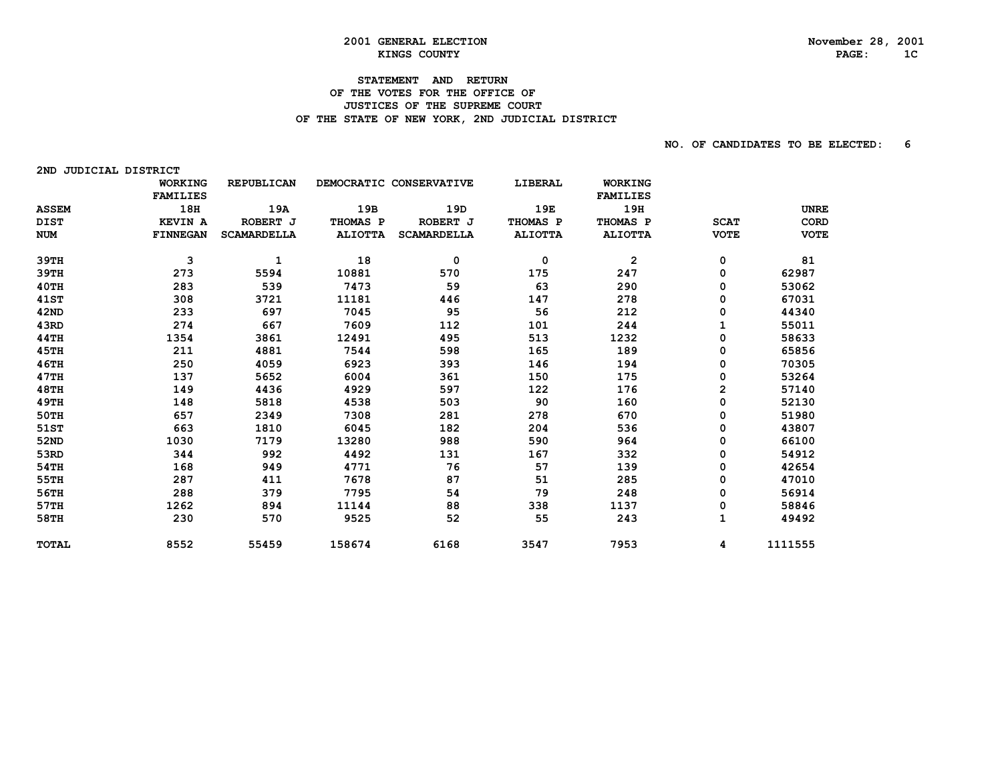2ND JUDICIAL DISTRICT

#### **STATEMENT AND RETURN OF THE VOTES FOR THE OFFICE OF JUSTICES OF THE SUPREME COURT** OF THE STATE OF NEW YORK, 2ND JUDICIAL DISTRICT

|              | <b>WORKING</b>  | <b>REPUBLICAN</b>  |                | DEMOCRATIC CONSERVATIVE | LIBERAL        | <b>WORKING</b>  |             |             |
|--------------|-----------------|--------------------|----------------|-------------------------|----------------|-----------------|-------------|-------------|
|              | <b>FAMILIES</b> |                    |                |                         |                | <b>FAMILIES</b> |             |             |
| <b>ASSEM</b> | 18H             | 19A                | 19B            | 19D                     | 19E            | 19H             |             | <b>UNRE</b> |
| <b>DIST</b>  | <b>KEVIN A</b>  | ROBERT J           | THOMAS P       | ROBERT J                | THOMAS P       | THOMAS P        | <b>SCAT</b> | CORD        |
| <b>NUM</b>   | <b>FINNEGAN</b> | <b>SCAMARDELLA</b> | <b>ALIOTTA</b> | <b>SCAMARDELLA</b>      | <b>ALIOTTA</b> | <b>ALIOTTA</b>  | <b>VOTE</b> | <b>VOTE</b> |
| 39TH         | 3               | 1                  | 18             | 0                       | 0              | $\overline{2}$  | 0           | 81          |
| 39TH         | 273             | 5594               | 10881          | 570                     | 175            | 247             | 0           | 62987       |
| 40TH         | 283             | 539                | 7473           | 59                      | 63             | 290             | 0           | 53062       |
| <b>41ST</b>  | 308             | 3721               | 11181          | 446                     | 147            | 278             | 0           | 67031       |
| 42ND         | 233             | 697                | 7045           | 95                      | 56             | 212             | 0           | 44340       |
| 43RD         | 274             | 667                | 7609           | 112                     | 101            | 244             |             | 55011       |
| <b>44TH</b>  | 1354            | 3861               | 12491          | 495                     | 513            | 1232            | 0           | 58633       |
| 45TH         | 211             | 4881               | 7544           | 598                     | 165            | 189             | 0           | 65856       |
| <b>46TH</b>  | 250             | 4059               | 6923           | 393                     | 146            | 194             | 0           | 70305       |
| 47TH         | 137             | 5652               | 6004           | 361                     | 150            | 175             | 0           | 53264       |
| <b>48TH</b>  | 149             | 4436               | 4929           | 597                     | 122            | 176             | 2           | 57140       |
| <b>49TH</b>  | 148             | 5818               | 4538           | 503                     | 90             | 160             | 0           | 52130       |
| 50TH         | 657             | 2349               | 7308           | 281                     | 278            | 670             | 0           | 51980       |
| 51ST         | 663             | 1810               | 6045           | 182                     | 204            | 536             | 0           | 43807       |
| 52ND         | 1030            | 7179               | 13280          | 988                     | 590            | 964             | 0           | 66100       |
| 53RD         | 344             | 992                | 4492           | 131                     | 167            | 332             | 0           | 54912       |
| 54TH         | 168             | 949                | 4771           | 76                      | 57             | 139             | 0           | 42654       |
| 55TH         | 287             | 411                | 7678           | 87                      | 51             | 285             | 0           | 47010       |
| 56TH         | 288             | 379                | 7795           | 54                      | 79             | 248             | 0           | 56914       |
| 57TH         | 1262            | 894                | 11144          | 88                      | 338            | 1137            | 0           | 58846       |
| 58TH         | 230             | 570                | 9525           | 52                      | 55             | 243             |             | 49492       |
| <b>TOTAL</b> | 8552            | 55459              | 158674         | 6168                    | 3547           | 7953            | 4           | 1111555     |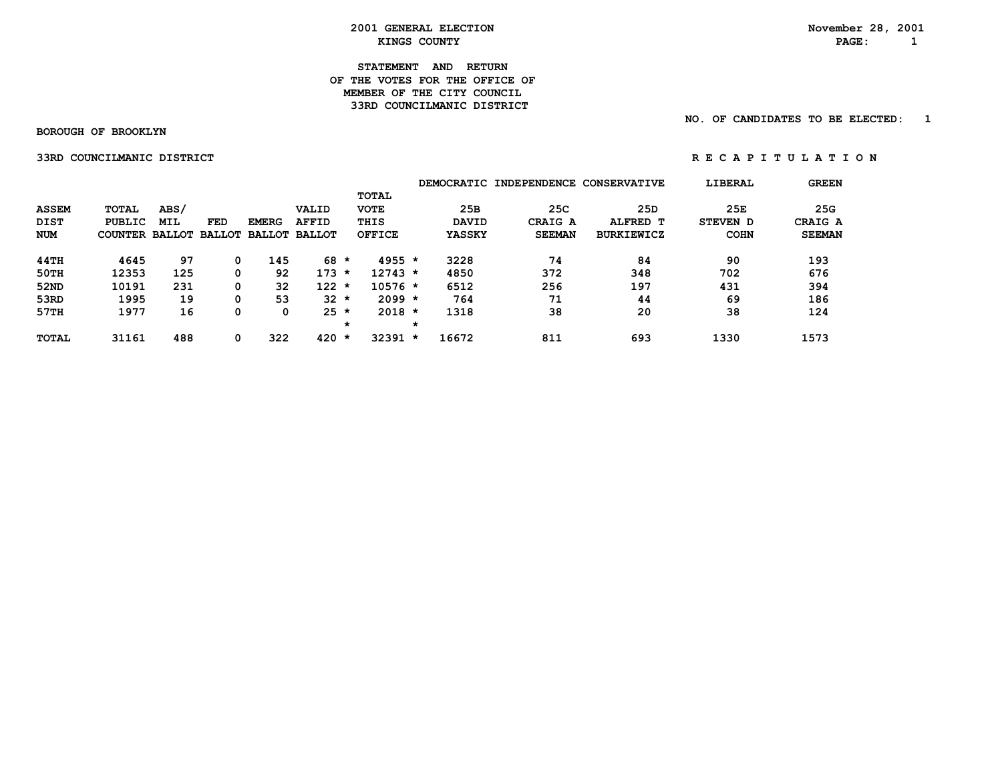## **STATEMENT AND RETURN OF THE VOTES FOR THE OFFICE OFMEMBER OF THE CITY COUNCIL 33RD COUNCILMANIC DISTRICT**

 **BOROUGH OF BROOKLYN**

 **NO. OF CANDIDATES TO BE ELECTED: 1**

 **33RDCOUNCILMANICDISTRICT R E C A P I T U L A T I O N**

|              |                       |      |     |              |                      |         |               |         | <b>DEMOCRATIC</b> | <b>INDEPENDENCE</b> | <b>CONSERVATIVE</b> | LIBERAL     | <b>GREEN</b>  |
|--------------|-----------------------|------|-----|--------------|----------------------|---------|---------------|---------|-------------------|---------------------|---------------------|-------------|---------------|
|              |                       |      |     |              |                      |         | <b>TOTAL</b>  |         |                   |                     |                     |             |               |
| <b>ASSEM</b> | <b>TOTAL</b>          | ABS/ |     |              | VALID                |         | <b>VOTE</b>   |         | 25B               | 25C                 | 25D                 | 25E         | 25G           |
| <b>DIST</b>  | <b>PUBLIC</b>         | MIL  | FED | <b>EMERG</b> | <b>AFFID</b>         |         | THIS          |         | <b>DAVID</b>      | CRAIG A             | ALFRED T            | STEVEN D    | CRAIG A       |
| <b>NUM</b>   | COUNTER BALLOT BALLOT |      |     |              | <b>BALLOT BALLOT</b> |         | <b>OFFICE</b> |         | <b>YASSKY</b>     | <b>SEEMAN</b>       | <b>BURKIEWICZ</b>   | <b>COHN</b> | <b>SEEMAN</b> |
| 44TH         | 4645                  | 97   |     | 145          | 68                   | $\star$ | $4955 *$      |         | 3228              | 74                  | 84                  | 90          | 193           |
| 50TH         | 12353                 | 125  |     | 92           | 173                  | $\star$ | $12743 *$     |         | 4850              | 372                 | 348                 | 702         | 676           |
| 52ND         | 10191                 | 231  |     | 32           | 122                  | $\star$ | $10576$ *     |         | 6512              | 256                 | 197                 | 431         | 394           |
| 53RD         | 1995                  | 19   | 0   | 53           | $32 \star$           |         | $2099 *$      |         | 764               | 71                  | 44                  | 69          | 186           |
| 57TH         | 1977                  | 16   | 0   | 0            | $25 *$               |         | $2018 *$      |         | 1318              | 38                  | 20                  | 38          | 124           |
|              |                       |      |     |              |                      | $\star$ |               | $\star$ |                   |                     |                     |             |               |
| <b>TOTAL</b> | 31161                 | 488  | 0   | 322          | 420                  | $\star$ | 32391         | $\star$ | 16672             | 811                 | 693                 | 1330        | 1573          |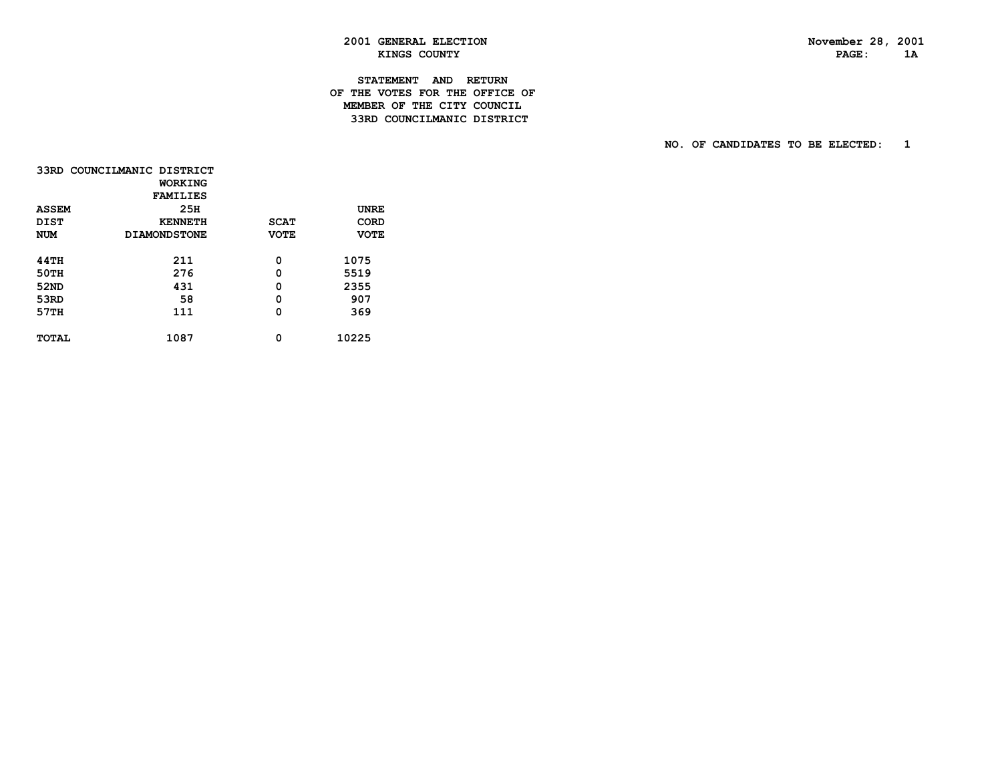PAGE: 1A

# **2001 GENERAL ELECTION November 28, 2001 KINGS COUNTY**

# **STATEMENT AND RETURN OF THE VOTES FOR THE OFFICE OF MEMBER OF THE CITY COUNCIL33RD COUNCILMANIC DISTRICT**

 **NO. OF CANDIDATES TO BE ELECTED: 1**

|              | 33RD COUNCILMANIC DISTRICT |             |             |
|--------------|----------------------------|-------------|-------------|
|              | WORKING                    |             |             |
|              | <b>FAMILIES</b>            |             |             |
| <b>ASSEM</b> | 25H                        |             | <b>UNRE</b> |
| <b>DIST</b>  | <b>KENNETH</b>             | <b>SCAT</b> | CORD        |
| <b>NUM</b>   | <b>DIAMONDSTONE</b>        | <b>VOTE</b> | <b>VOTE</b> |
|              |                            |             |             |
| <b>44TH</b>  | 211                        | 0           | 1075        |
| <b>50TH</b>  | 276                        | 0           | 5519        |
| 52ND         | 431                        | 0           | 2355        |
| 53RD         | 58                         | 0           | 907         |
| 57TH         | 111                        | 0           | 369         |
|              |                            |             |             |
| <b>TOTAL</b> | 1087                       | 0           | 10225       |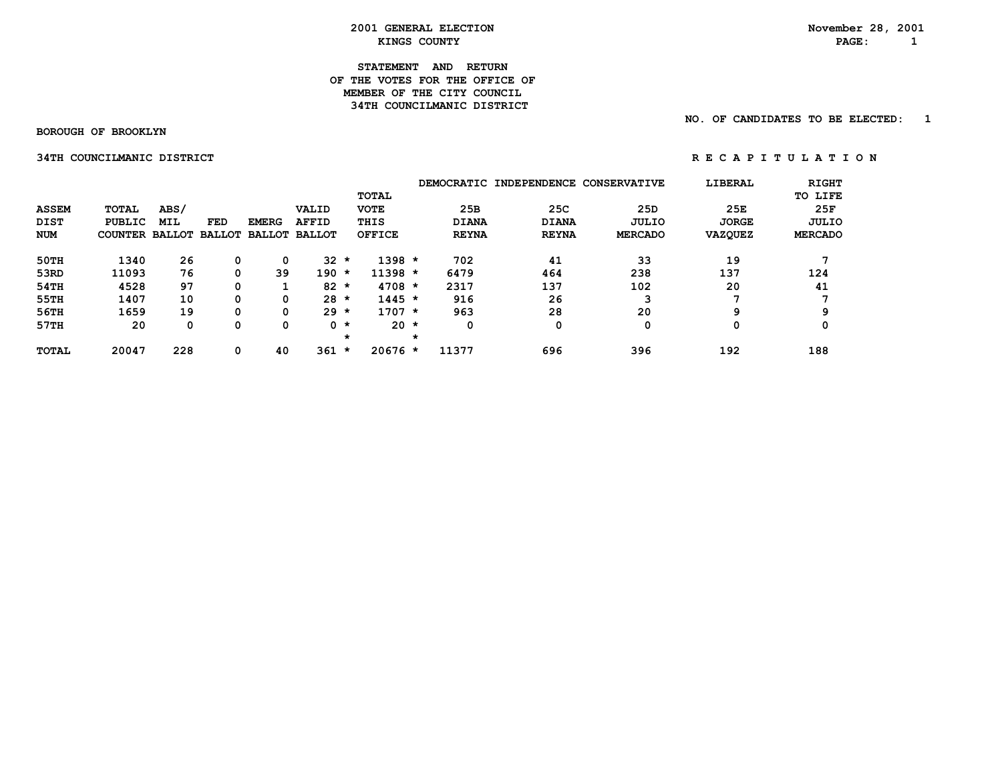## **STATEMENT AND RETURN OF THE VOTES FOR THE OFFICE OFMEMBER OF THE CITY COUNCIL 34TH COUNCILMANIC DISTRICT**

 **BOROUGH OF BROOKLYN**

 **NO. OF CANDIDATES TO BE ELECTED: 1**

 **34TH COUNCILMANIC DISTRICT A REPORT OF REGAPITULATION** 

|              |                       |      |     |              |                      |         |               |         |              | DEMOCRATIC INDEPENDENCE | <b>CONSERVATIVE</b> | LIBERAL        | <b>RIGHT</b>   |
|--------------|-----------------------|------|-----|--------------|----------------------|---------|---------------|---------|--------------|-------------------------|---------------------|----------------|----------------|
|              |                       |      |     |              |                      |         | <b>TOTAL</b>  |         |              |                         |                     |                | TO LIFE        |
| <b>ASSEM</b> | <b>TOTAL</b>          | ABS/ |     |              | VALID                |         | <b>VOTE</b>   |         | 25B          | 25C                     | 25D                 | 25E            | 25F            |
| <b>DIST</b>  | <b>PUBLIC</b>         | MIL  | FED | <b>EMERG</b> | <b>AFFID</b>         |         | THIS          |         | <b>DIANA</b> | <b>DIANA</b>            | JULIO               | <b>JORGE</b>   | JULIO          |
| <b>NUM</b>   | COUNTER BALLOT BALLOT |      |     |              | <b>BALLOT BALLOT</b> |         | <b>OFFICE</b> |         | <b>REYNA</b> | <b>REYNA</b>            | <b>MERCADO</b>      | <b>VAZQUEZ</b> | <b>MERCADO</b> |
| 50TH         | 1340                  | 26   |     | 0            | 32                   | $\star$ | $1398 *$      |         | 702          | 41                      | 33                  | 19             |                |
| 53RD         | 11093                 | 76   |     | 39           | 190                  | $\star$ | $11398 *$     |         | 6479         | 464                     | 238                 | 137            | 124            |
| 54TH         | 4528                  | 97   |     |              | 82                   | $\star$ | $4708 *$      |         | 2317         | 137                     | 102                 | 20             | 41             |
| 55TH         | 1407                  | 10   |     | 0            | 28                   | $\star$ | $1445 *$      |         | 916          | 26                      | 3                   | п.             |                |
| 56TH         | 1659                  | 19   |     | 0            | $29 *$               |         | $1707 *$      |         | 963          | 28                      | 20                  | 9              | 9              |
| 57TH         | 20                    | 0    |     | 0            |                      | 0 *     | $20 \star$    |         | 0            | 0                       | 0                   | 0              |                |
|              |                       |      |     |              |                      | $\star$ |               | $\star$ |              |                         |                     |                |                |
| <b>TOTAL</b> | 20047                 | 228  |     | 40           | 361                  | $\star$ | $20676$ *     |         | 11377        | 696                     | 396                 | 192            | 188            |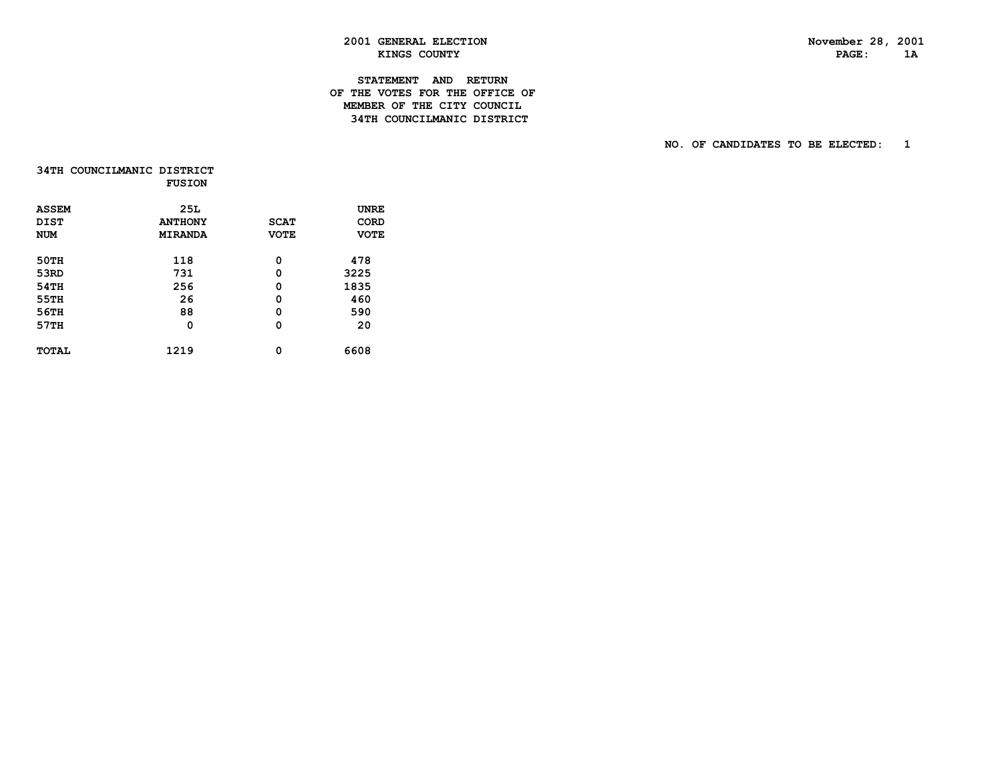$1A$ 

# **2001 GENERAL ELECTION November 28, 2001 EXINGS COUNTY PAGE:** 1

# **STATEMENT AND RETURN OF THE VOTES FOR THE OFFICE OF MEMBER OF THE CITY COUNCIL34TH COUNCILMANIC DISTRICT**

 **NO. OF CANDIDATES TO BE ELECTED: 1**

|              | 34TH COUNCILMANIC DISTRICT<br><b>FUSION</b> |             |             |
|--------------|---------------------------------------------|-------------|-------------|
| <b>ASSEM</b> | 25L                                         |             | UNRE        |
| DIST         | <b>ANTHONY</b>                              | <b>SCAT</b> | <b>CORD</b> |
| <b>NUM</b>   | <b>MIRANDA</b>                              | <b>VOTE</b> | <b>VOTE</b> |
| 50TH         | 118                                         | 0           | 478         |
| 53RD         | 731                                         | 0           | 3225        |
| 54TH         | 256                                         | 0           | 1835        |
| 55TH         | 26                                          | 0           | 460         |
| 56TH         | 88                                          | 0           | 590         |
| 57TH         | 0                                           | 0           | 20          |
| <b>TOTAL</b> | 1219                                        | 0           | 6608        |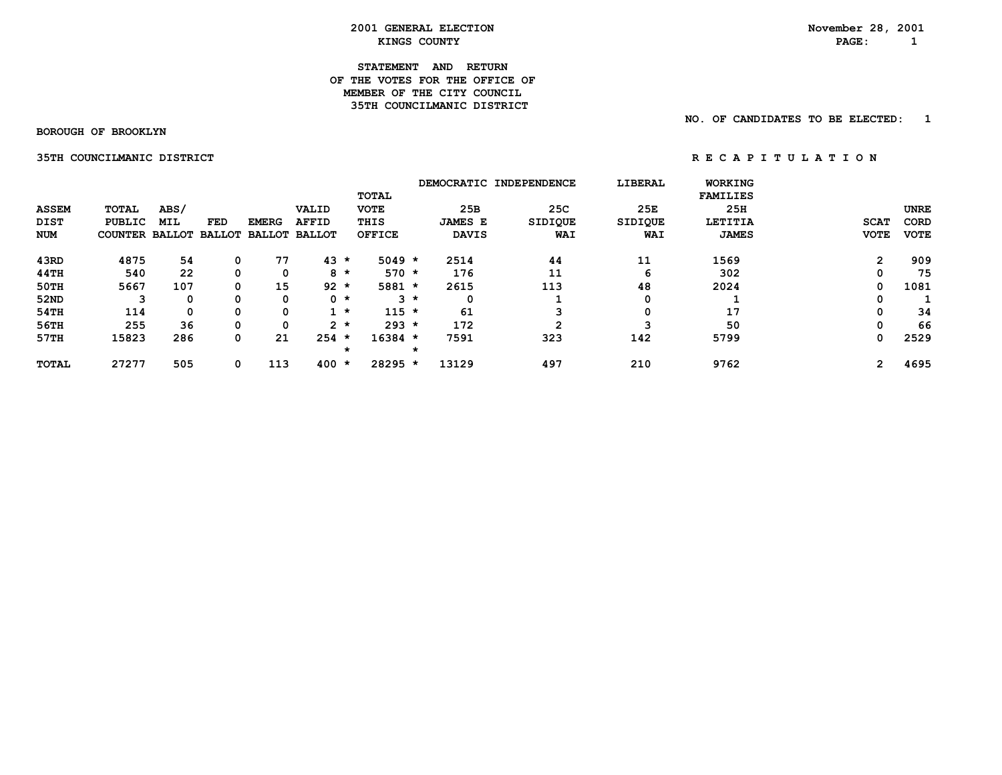#### **STATEMENT AND RETURN OF THE VOTES FOR THE OFFICE OFMEMBER OF THE CITY COUNCIL 35TH COUNCILMANIC DISTRICT**

 **BOROUGH OF BROOKLYN**

 **NO. OF CANDIDATES TO BE ELECTED: 1**

 **35TH COUNCILMANIC DISTRICT A REPORT ON REGAPITULATION** 

|              |                       |            |            |               |               |              |               |       |                | DEMOCRATIC INDEPENDENCE | LIBERAL        |                 | <b>WORKING</b> |                |             |
|--------------|-----------------------|------------|------------|---------------|---------------|--------------|---------------|-------|----------------|-------------------------|----------------|-----------------|----------------|----------------|-------------|
|              |                       |            |            |               |               | <b>TOTAL</b> |               |       |                |                         |                | <b>FAMILIES</b> |                |                |             |
| <b>ASSEM</b> | TOTAL                 | ABS/       |            |               | VALID         | <b>VOTE</b>  |               |       | 25B            | 25C                     | 25E            |                 | 25H            |                | <b>UNRE</b> |
| DIST         | PUBLIC                | <b>MIL</b> | <b>FED</b> | <b>EMERG</b>  | <b>AFFID</b>  | THIS         |               |       | <b>JAMES E</b> | SIDIQUE                 | <b>SIDIQUE</b> |                 | LETITIA        | <b>SCAT</b>    | CORD        |
| <b>NUM</b>   | <b>COUNTER BALLOT</b> |            | BALLOT     | <b>BALLOT</b> | <b>BALLOT</b> |              | <b>OFFICE</b> |       | <b>DAVIS</b>   | <b>WAI</b>              | WAI            |                 | <b>JAMES</b>   | <b>VOTE</b>    | <b>VOTE</b> |
| 43RD         | 4875                  | 54         | 0          | 77            | $43 *$        |              | $5049 *$      |       | 2514           | 44                      | 11             | 1569            |                | $\overline{2}$ | 909         |
| 44TH         | 540                   | 22         | 0          | 0             | $8 *$         |              | $570 *$       |       | 176            | 11                      | 6              |                 | 302            | 0              | 75          |
| 50TH         | 5667                  | 107        | 0          | 15            | $92 *$        |              | $5881 *$      |       | 2615           | 113                     | 48             | 2024            |                | 0              | 1081        |
| 52ND         | З                     | 0          | 0          | 0             | $0 \star$     |              |               | $3 *$ | 0              |                         | 0              |                 |                | 0              |             |
| 54TH         | 114                   | 0          | 0          | 0             | $1 *$         |              | $115 *$       |       | 61             |                         | 0              |                 | 17             | 0              | 34          |
| 56TH         | 255                   | 36         | 0          | 0             | $2 *$         |              | $293 *$       |       | 172            | 2                       |                |                 | 50             | 0              | 66          |
| 57TH         | 15823                 | 286        | 0          | 21            | $254 *$       |              | 16384 *       |       | 7591           | 323                     | 142            | 5799            |                | 0              | 2529        |
|              |                       |            |            |               |               | $\star$      |               |       |                |                         |                |                 |                |                |             |
| TOTAL        | 27277                 | 505        | 0          | 113           | 400           | ∗            | 28295 *       |       | 13129          | 497                     | 210            | 9762            |                | $\mathbf{2}$   | 4695        |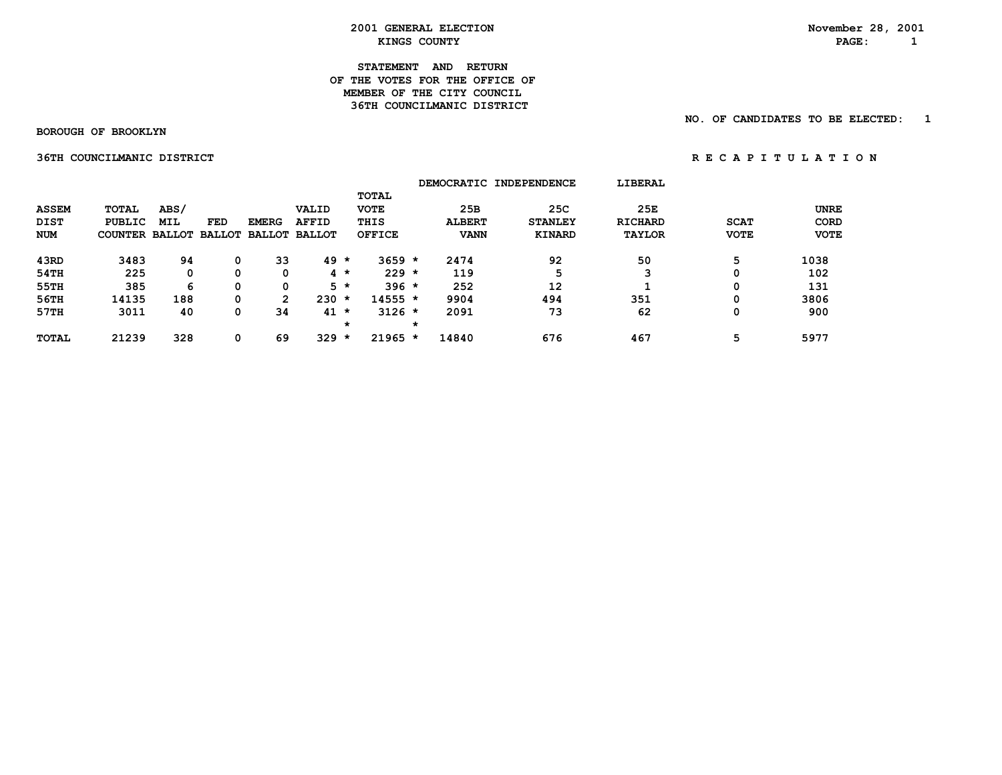#### **STATEMENT AND RETURN OF THE VOTES FOR THE OFFICE OFMEMBER OF THE CITY COUNCIL 36TH COUNCILMANIC DISTRICT**

 **BOROUGH OF BROOKLYN**

 **NO. OF CANDIDATES TO BE ELECTED: 1**

 **36TH COUNCILMANIC DISTRICT A REPORT ON REGAPITULATION** 

|              |                |            |     |              |                             |         |               |         |               | DEMOCRATIC INDEPENDENCE | <b>LIBERAL</b> |             |             |
|--------------|----------------|------------|-----|--------------|-----------------------------|---------|---------------|---------|---------------|-------------------------|----------------|-------------|-------------|
|              |                |            |     |              |                             |         | <b>TOTAL</b>  |         |               |                         |                |             |             |
| <b>ASSEM</b> | <b>TOTAL</b>   | ABS/       |     |              | VALID                       |         | <b>VOTE</b>   |         | 25B           | 25C                     | 25E            |             | <b>UNRE</b> |
| <b>DIST</b>  | <b>PUBLIC</b>  | <b>MIL</b> | FED | <b>EMERG</b> | <b>AFFID</b>                |         | THIS          |         | <b>ALBERT</b> | <b>STANLEY</b>          | <b>RICHARD</b> | <b>SCAT</b> | CORD        |
| <b>NUM</b>   | COUNTER BALLOT |            |     |              | <b>BALLOT BALLOT BALLOT</b> |         | <b>OFFICE</b> |         | <b>VANN</b>   | <b>KINARD</b>           | <b>TAYLOR</b>  | <b>VOTE</b> | <b>VOTE</b> |
| 43RD         | 3483           | 94         |     | 33           | 49                          | $\star$ | $3659 *$      |         | 2474          | 92                      | 50             | 5           | 1038        |
| 54TH         | 225            | 0          | 0   | 0            |                             | $4 *$   | $229 *$       |         | 119           | 5                       | 3              | 0           | 102         |
| 55TH         | 385            | 6          | 0   | 0            |                             | $5 *$   | $396 *$       |         | 252           | 12                      |                | 0           | 131         |
| 56TH         | 14135          | 188        | 0   | 2            | 230                         | $\star$ | $14555 *$     |         | 9904          | 494                     | 351            | 0           | 3806        |
| 57TH         | 3011           | 40         | 0   | 34           | 41                          | $\star$ | $3126 *$      |         | 2091          | 73                      | 62             | 0           | 900         |
|              |                |            |     |              |                             | *       |               | $\star$ |               |                         |                |             |             |
| <b>TOTAL</b> | 21239          | 328        |     | 69           | 329                         | $\star$ | $21965 *$     |         | 14840         | 676                     | 467            | 5           | 5977        |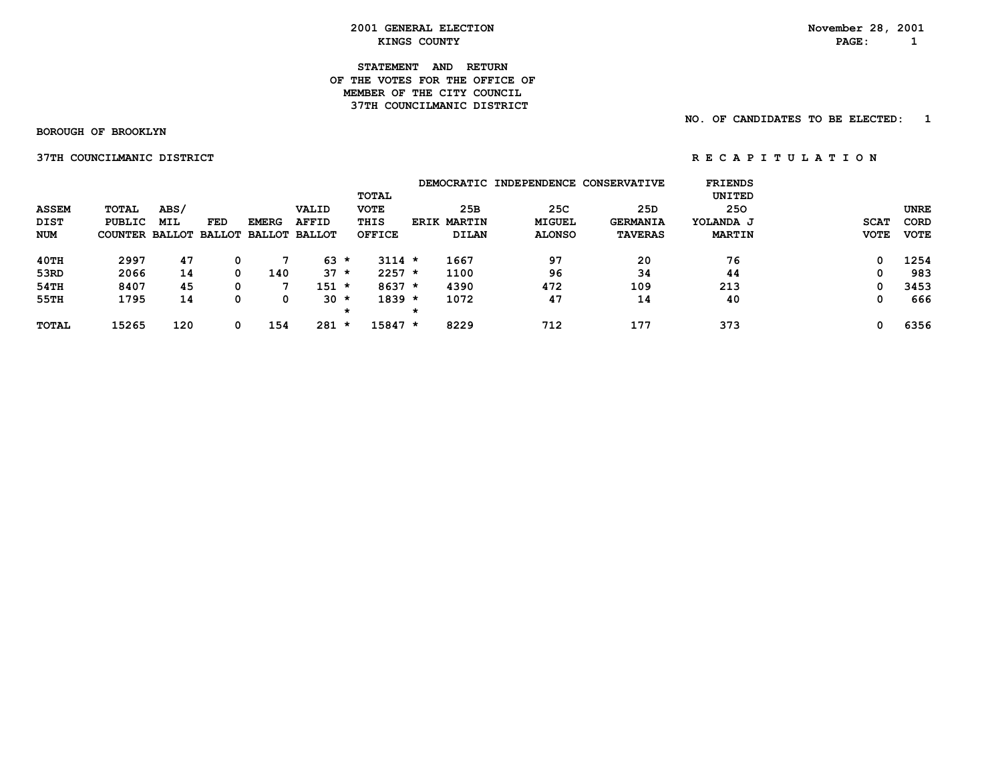**STATEMENT AND RETURN OF THE VOTES FOR THE OFFICE OFMEMBER OF THE CITY COUNCIL 37TH COUNCILMANIC DISTRICT** 

 **BOROUGH OF BROOKLYN**

 **37THCOUNCILMANICDISTRICT R E C A P I T U L A T I O N**

 **NO. OF CANDIDATES TO BE ELECTED: 1**

|              |                       |      |            |                      |              |               |                       | DEMOCRATIC INDEPENDENCE CONSERVATIVE |                 | <b>FRIENDS</b> |             |             |
|--------------|-----------------------|------|------------|----------------------|--------------|---------------|-----------------------|--------------------------------------|-----------------|----------------|-------------|-------------|
|              |                       |      |            |                      |              | TOTAL         |                       |                                      |                 | UNITED         |             |             |
| <b>ASSEM</b> | TOTAL                 | ABS/ |            |                      | VALID        | <b>VOTE</b>   | 25B                   | 25C                                  | 25D             | 250            |             | <b>UNRE</b> |
| DIST         | <b>PUBLIC</b>         | MIL  | <b>FED</b> | <b>EMERG</b>         | <b>AFFID</b> | THIS          | <b>MARTIN</b><br>ERIK | <b>MIGUEL</b>                        | <b>GERMANIA</b> | YOLANDA J      | <b>SCAT</b> | <b>CORD</b> |
| <b>NUM</b>   | <b>COUNTER BALLOT</b> |      |            | BALLOT BALLOT BALLOT |              | <b>OFFICE</b> | DILAN                 | <b>ALONSO</b>                        | <b>TAVERAS</b>  | <b>MARTIN</b>  | <b>VOTE</b> | <b>VOTE</b> |
| 40TH         | 2997                  | 47   |            |                      | $63 *$       | $3114 *$      | 1667                  | 97                                   | 20              | 76             | 0           | 1254        |
| 53RD         | 2066                  | 14   | 0          | 140                  | $37 *$       | $2257 *$      | 1100                  | 96                                   | 34              | 44             | 0           | 983         |
| 54TH         | 8407                  | 45   |            |                      | $151 *$      | $8637 *$      | 4390                  | 472                                  | 109             | 213            | 0           | 3453        |
| 55TH         | 1795                  | 14   | 0          | 0                    | $30 \star$   | $1839 *$      | 1072                  | 47                                   | 14              | 40             | 0           | 666         |
|              |                       |      |            |                      | *            |               | *                     |                                      |                 |                |             |             |
| <b>TOTAL</b> | 15265                 | 120  | 0          | 154                  | $281 *$      | 15847 *       | 8229                  | 712                                  | 177             | 373            | 0           | 6356        |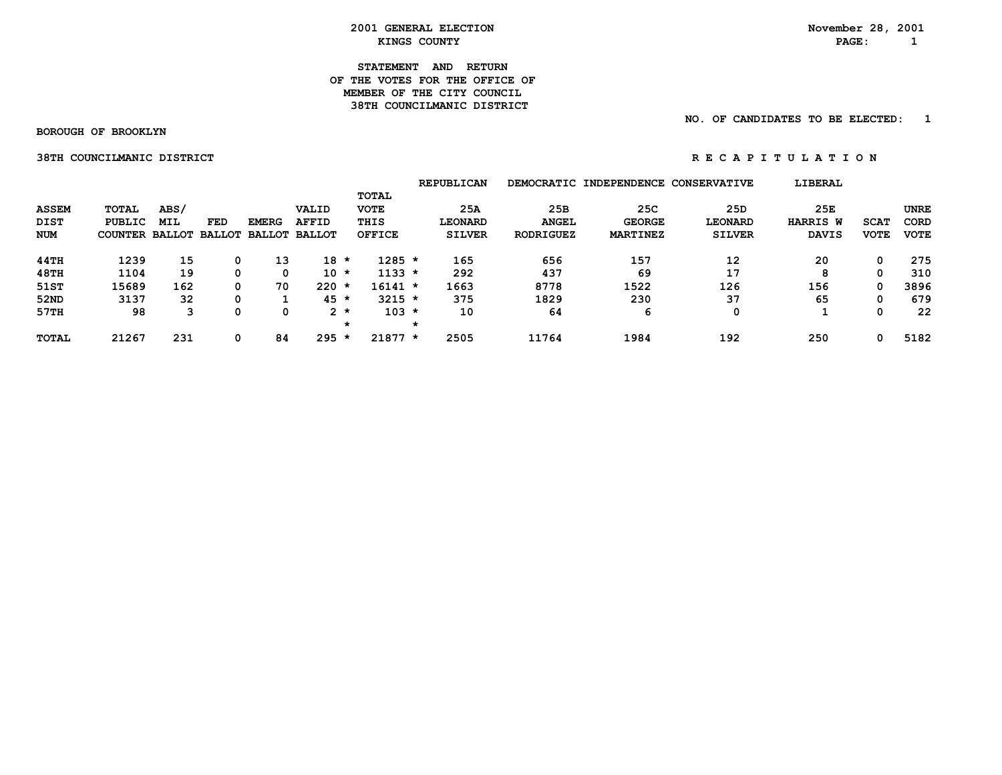## **STATEMENT AND RETURN OF THE VOTES FOR THE OFFICE OFMEMBER OF THE CITY COUNCIL 38TH COUNCILMANIC DISTRICT**

 **NO. OF CANDIDATES TO BE ELECTED: 1**

 **BOROUGH OF BROOKLYN**

 **38THCOUNCILMANICDISTRICT R E C A P I T U L A T I O N**

|              |                       |            |               |               |               |                      | <b>REPUBLICAN</b> |                  | DEMOCRATIC INDEPENDENCE | <b>CONSERVATIVE</b> | LIBERAL         |             |             |
|--------------|-----------------------|------------|---------------|---------------|---------------|----------------------|-------------------|------------------|-------------------------|---------------------|-----------------|-------------|-------------|
|              |                       |            |               |               |               | TOTAL                |                   |                  |                         |                     |                 |             |             |
| <b>ASSEM</b> | TOTAL                 | ABS/       |               |               | VALID         | <b>VOTE</b>          | 25A               | 25B              | 25C                     | 25D                 | 25E             |             | UNRE        |
| DIST         | <b>PUBLIC</b>         | <b>MIL</b> | FED           | <b>EMERG</b>  | <b>AFFID</b>  | THIS                 | <b>LEONARD</b>    | <b>ANGEL</b>     | <b>GEORGE</b>           | <b>LEONARD</b>      | <b>HARRIS W</b> | <b>SCAT</b> | CORD        |
| <b>NUM</b>   | <b>COUNTER BALLOT</b> |            | <b>BALLOT</b> | <b>BALLOT</b> | <b>BALLOT</b> | <b>OFFICE</b>        | <b>SILVER</b>     | <b>RODRIGUEZ</b> | <b>MARTINEZ</b>         | <b>SILVER</b>       | <b>DAVIS</b>    | <b>VOTE</b> | <b>VOTE</b> |
| 44TH         | 1239                  | 15         | 0             | 13            | $18 *$        | $1285 *$             | 165               | 656              | 157                     | 12                  | 20              | 0           | 275         |
| <b>48TH</b>  | 1104                  | 19         | 0             | 0             | $10 *$        | $1133 *$             | 292               | 437              | 69                      | 17                  | 8               | 0           | 310         |
| 51ST         | 15689                 | 162        | 0             | 70            | 220           | $16141 *$<br>$\star$ | 1663              | 8778             | 1522                    | 126                 | 156             | 0           | 3896        |
| 52ND         | 3137                  | 32         | 0             |               | $45 *$        | $3215 *$             | 375               | 1829             | 230                     | 37                  | 65              | 0           | 679         |
| 57TH         | 98                    | 3          | 0             | 0             | $2 *$         | $103 *$              | 10                | 64               | 6                       | 0                   |                 | 0           | 22          |
|              |                       |            |               |               |               | $\star$              | $\star$           |                  |                         |                     |                 |             |             |
| <b>TOTAL</b> | 21267                 | 231        | 0             | 84            | $295 *$       | $21877 *$            | 2505              | 11764            | 1984                    | 192                 | 250             | 0           | 5182        |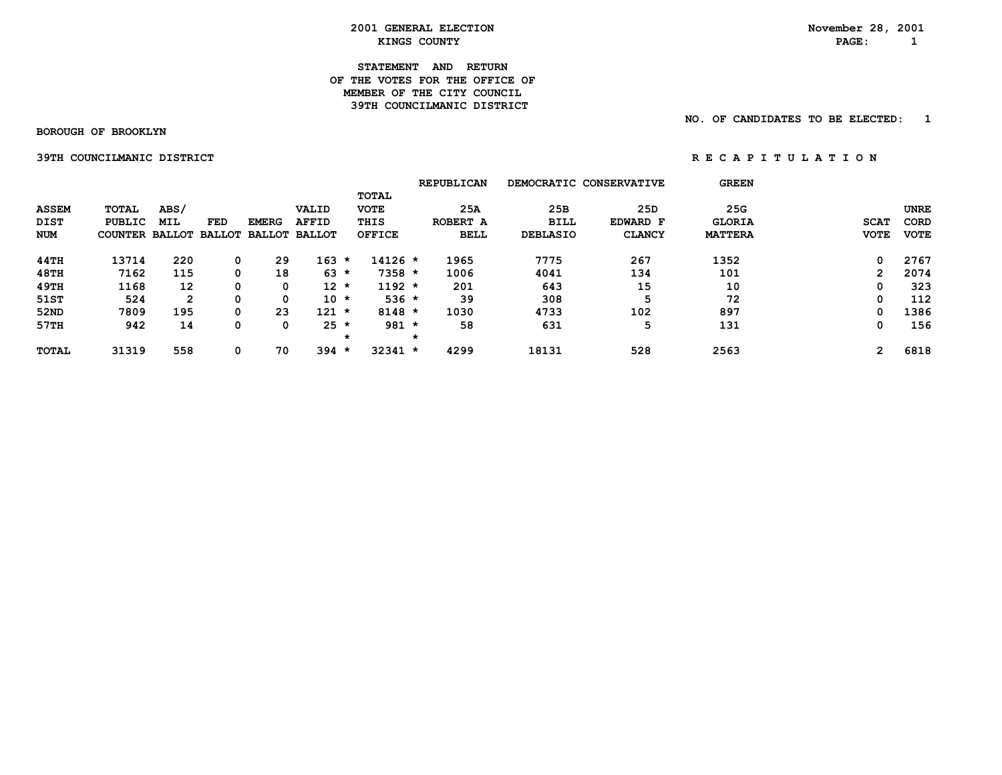### **STATEMENT AND RETURN OF THE VOTES FOR THE OFFICE OFMEMBER OF THE CITY COUNCIL 39TH COUNCILMANIC DISTRICT**

 **BOROUGH OF BROOKLYN**

 **NO. OF CANDIDATES TO BE ELECTED: 1**

 **39TH COUNCILMANIC DISTRICT A REPORT ON REGAPITULATION** 

|                                    |                                          |                    |            |                                             |                       |         |                                               | <b>REPUBLICAN</b>              |                                       | DEMOCRATIC CONSERVATIVE          | <b>GREEN</b>                           |                            |                                           |
|------------------------------------|------------------------------------------|--------------------|------------|---------------------------------------------|-----------------------|---------|-----------------------------------------------|--------------------------------|---------------------------------------|----------------------------------|----------------------------------------|----------------------------|-------------------------------------------|
| <b>ASSEM</b><br>DIST<br><b>NUM</b> | TOTAL<br>PUBLIC<br><b>COUNTER BALLOT</b> | ABS/<br><b>MIL</b> | <b>FED</b> | <b>EMERG</b><br><b>BALLOT BALLOT BALLOT</b> | VALID<br><b>AFFID</b> |         | TOTAL<br><b>VOTE</b><br>THIS<br><b>OFFICE</b> | 25A<br>ROBERT A<br><b>BELL</b> | 25B<br><b>BILL</b><br><b>DEBLASIO</b> | 25D<br>EDWARD F<br><b>CLANCY</b> | 25G<br><b>GLORIA</b><br><b>MATTERA</b> | <b>SCAT</b><br><b>VOTE</b> | <b>UNRE</b><br><b>CORD</b><br><b>VOTE</b> |
| 44TH                               | 13714                                    | 220                | 0          | 29                                          | 163                   | *       | $14126 *$                                     | 1965                           | 7775                                  | 267                              | 1352                                   | 0                          | 2767                                      |
| <b>48TH</b>                        | 7162                                     | 115                | 0          | 18                                          | $63 *$                |         | $7358 *$                                      | 1006                           | 4041                                  | 134                              | 101                                    | 2                          | 2074                                      |
| 49TH                               | 1168                                     | 12                 | 0          | 0                                           | $12 *$                |         | $1192 *$                                      | 201                            | 643                                   | 15                               | 10                                     | 0                          | 323                                       |
| 51ST                               | 524                                      | $\mathbf{2}$       | 0          | 0                                           | $10 *$                |         | $536 *$                                       | 39                             | 308                                   | 5                                | 72                                     | 0                          | 112                                       |
| 52ND                               | 7809                                     | 195                | 0          | 23                                          | 121                   | $\star$ | $8148 *$                                      | 1030                           | 4733                                  | 102                              | 897                                    | 0                          | 1386                                      |
| 57TH                               | 942                                      | 14                 | 0          | 0                                           | $25 *$                |         | $981 *$                                       | 58                             | 631                                   | 5                                | 131                                    | 0                          | 156                                       |
|                                    |                                          |                    |            |                                             |                       | $\star$ |                                               |                                |                                       |                                  |                                        |                            |                                           |
| <b>TOTAL</b>                       | 31319                                    | 558                | 0          | 70                                          | $394 *$               |         | $32341 *$                                     | 4299                           | 18131                                 | 528                              | 2563                                   | 2                          | 6818                                      |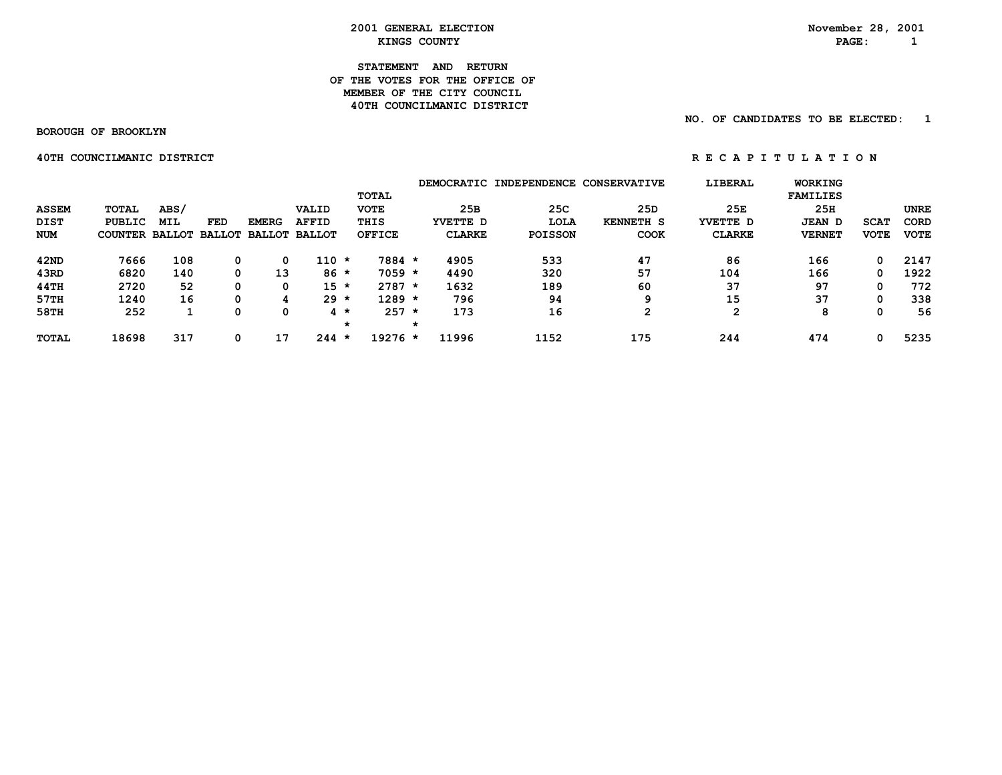**STATEMENT AND RETURN OF THE VOTES FOR THE OFFICE OFMEMBER OF THE CITY COUNCIL 40TH COUNCILMANIC DISTRICT** 

 **BOROUGH OF BROOKLYN**

 **40TH COUNCILMANIC DISTRICT A REPORT ON REGAPITULATION** 

 **NO. OF CANDIDATES TO BE ELECTED: 1**

|              |                |            |     |              |                             |         |               |   |               | DEMOCRATIC INDEPENDENCE CONSERVATIVE |                  | LIBERAL       | <b>WORKING</b>  |             |             |
|--------------|----------------|------------|-----|--------------|-----------------------------|---------|---------------|---|---------------|--------------------------------------|------------------|---------------|-----------------|-------------|-------------|
|              |                |            |     |              |                             |         | TOTAL         |   |               |                                      |                  |               | <b>FAMILIES</b> |             |             |
| <b>ASSEM</b> | TOTAL          | ABS/       |     |              | VALID                       |         | <b>VOTE</b>   |   | 25B           | 25C                                  | 25D              | 25E           | 25H             |             | <b>UNRE</b> |
| DIST         | PUBLIC         | <b>MIL</b> | FED | <b>EMERG</b> | <b>AFFID</b>                |         | THIS          |   | YVETTE D      | LOLA                                 | <b>KENNETH S</b> | YVETTE D      | <b>JEAN D</b>   | <b>SCAT</b> | <b>CORD</b> |
| <b>NUM</b>   | COUNTER BALLOT |            |     |              | <b>BALLOT BALLOT BALLOT</b> |         | <b>OFFICE</b> |   | <b>CLARKE</b> | <b>POISSON</b>                       | <b>COOK</b>      | <b>CLARKE</b> | <b>VERNET</b>   | <b>VOTE</b> | <b>VOTE</b> |
| 42ND         | 7666           | 108        | 0   | 0            | 110 *                       |         | 7884 *        |   | 4905          | 533                                  | 47               | 86            | 166             | 0           | 2147        |
| 43RD         | 6820           | 140        | 0   | 13           | $86*$                       |         | $7059 *$      |   | 4490          | 320                                  | 57               | 104           | 166             | 0           | 1922        |
| 44TH         | 2720           | 52         | 0   | 0            | $15 *$                      |         | $2787 *$      |   | 1632          | 189                                  | 60               | 37            | 97              | 0           | 772         |
| 57TH         | 1240           | 16         | 0   |              | $29 *$                      |         | $1289 *$      |   | 796           | 94                                   | 9                | 15            | 37              | 0           | 338         |
| 58TH         | 252            |            |     | 0            | $4 *$                       |         | 257           | ∗ | 173           | 16                                   | າ                | 2             | 8               | 0           | 56          |
|              |                |            |     |              |                             | $\star$ |               | * |               |                                      |                  |               |                 |             |             |
| <b>TOTAL</b> | 18698          | 317        | 0   | 17           | $244 *$                     |         | 19276 *       |   | 11996         | 1152                                 | 175              | 244           | 474             | 0           | 5235        |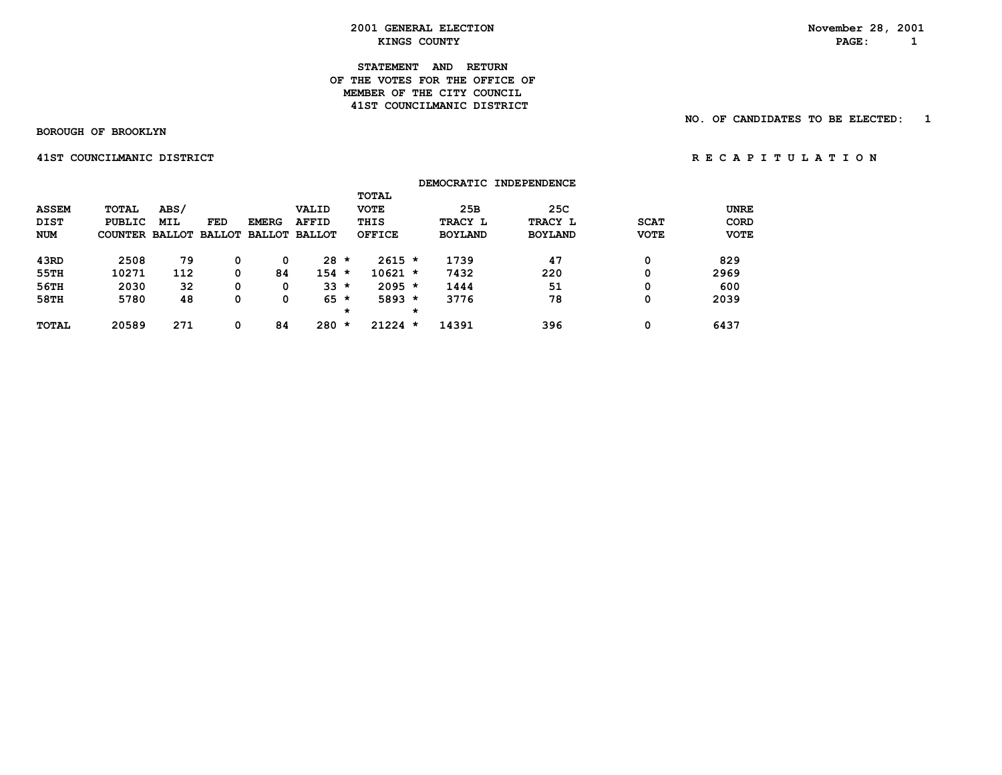## **STATEMENT AND RETURN OF THE VOTES FOR THE OFFICE OFMEMBER OF THE CITY COUNCIL 41ST COUNCILMANIC DISTRICT**

 **BOROUGH OF BROOKLYN**

 **NO. OF CANDIDATES TO BE ELECTED: 1**

 **41STCOUNCILMANICDISTRICT R E C A P I T U L A T I O N**

|              |                       |            |     |              |                      |         |               |         |                | DEMOCRATIC INDEPENDENCE |             |             |
|--------------|-----------------------|------------|-----|--------------|----------------------|---------|---------------|---------|----------------|-------------------------|-------------|-------------|
|              |                       |            |     |              |                      |         | <b>TOTAL</b>  |         |                |                         |             |             |
| <b>ASSEM</b> | <b>TOTAL</b>          | ABS/       |     |              | VALID                |         | <b>VOTE</b>   |         | 25B            | 25C                     |             | <b>UNRE</b> |
| <b>DIST</b>  | <b>PUBLIC</b>         | <b>MIL</b> | FED | <b>EMERG</b> | <b>AFFID</b>         |         | THIS          |         | TRACY L        | TRACY L                 | <b>SCAT</b> | <b>CORD</b> |
| <b>NUM</b>   | COUNTER BALLOT BALLOT |            |     |              | <b>BALLOT BALLOT</b> |         | <b>OFFICE</b> |         | <b>BOYLAND</b> | <b>BOYLAND</b>          | <b>VOTE</b> | <b>VOTE</b> |
| 43RD         | 2508                  | 79         | 0   | 0            | 28                   | $\star$ | $2615 *$      |         | 1739           | 47                      | 0           | 829         |
| 55TH         | 10271                 | 112        | 0   | 84           | $154 *$              |         | $10621 *$     |         | 7432           | 220                     | 0           | 2969        |
| 56TH         | 2030                  | 32         | 0   | 0            | $33 *$               |         | $2095 *$      |         | 1444           | 51                      | 0           | 600         |
| 58TH         | 5780                  | 48         | 0   | 0            | 65                   | $\star$ | $5893 *$      |         | 3776           | 78                      | 0           | 2039        |
|              |                       |            |     |              |                      | $\star$ |               | $\star$ |                |                         |             |             |
| <b>TOTAL</b> | 20589                 | 271        | 0   | 84           | 280                  | $\star$ | $21224$ *     |         | 14391          | 396                     | 0           | 6437        |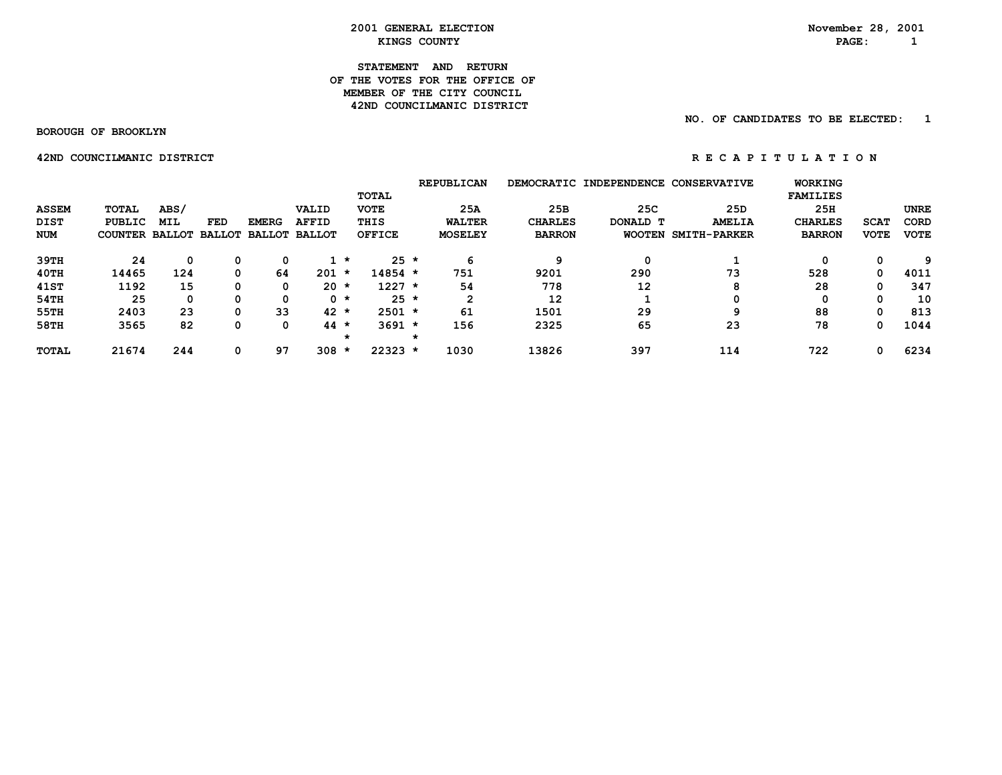#### **STATEMENT AND RETURN OF THE VOTES FOR THE OFFICE OFMEMBER OF THE CITY COUNCIL 42ND COUNCILMANIC DISTRICT**

## **NO. OF CANDIDATES TO BE ELECTED: 1**

 **BOROUGH OF BROOKLYN**

 **42NDCOUNCILMANICDISTRICT R E C A P I T U L A T I O N**

|              |                       |            |               |               |               |         |               | <b>REPUBLICAN</b> |                | DEMOCRATIC INDEPENDENCE CONSERVATIVE |                     | <b>WORKING</b>  |             |             |
|--------------|-----------------------|------------|---------------|---------------|---------------|---------|---------------|-------------------|----------------|--------------------------------------|---------------------|-----------------|-------------|-------------|
|              |                       |            |               |               |               |         | <b>TOTAL</b>  |                   |                |                                      |                     | <b>FAMILIES</b> |             |             |
| <b>ASSEM</b> | <b>TOTAL</b>          | ABS/       |               |               | VALID         |         | <b>VOTE</b>   | 25A               | 25B            | 25C                                  | 25D                 | 25H             |             | <b>UNRE</b> |
| DIST         | PUBLIC                | <b>MIL</b> | <b>FED</b>    | <b>EMERG</b>  | <b>AFFID</b>  |         | THIS          | <b>WALTER</b>     | <b>CHARLES</b> | DONALD T                             | <b>AMELIA</b>       | <b>CHARLES</b>  | <b>SCAT</b> | CORD        |
| <b>NUM</b>   | <b>COUNTER BALLOT</b> |            | <b>BALLOT</b> | <b>BALLOT</b> | <b>BALLOT</b> |         | <b>OFFICE</b> | <b>MOSELEY</b>    | <b>BARRON</b>  | <b>WOOTEN</b>                        | <b>SMITH-PARKER</b> | <b>BARRON</b>   | <b>VOTE</b> | <b>VOTE</b> |
| 39TH         | 24                    | 0          | 0             | 0             |               | *       | $25 *$        | 6                 | q              | 0                                    |                     | 0               | 0           | 9           |
| 40TH         | 14465                 | 124        | 0             | 64            | 201           | $\star$ | $14854 *$     | 751               | 9201           | 290                                  | 73                  | 528             | 0           | 4011        |
| 41ST         | 1192                  | 15         | 0             | 0             | $20 *$        |         | $1227 *$      | 54                | 778            | 12                                   | 8                   | 28              | 0           | 347         |
| 54TH         | 25                    | 0          | 0             | 0             |               | $0 *$   | $25 *$        | $\mathbf{2}$      | 12             |                                      | 0                   | 0               | 0           | 10          |
| 55TH         | 2403                  | 23         | 0             | 33            | $42 *$        |         | $2501 *$      | 61                | 1501           | 29                                   | 9                   | 88              | 0           | 813         |
| 58TH         | 3565                  | 82         | 0             | 0             | 44            | *       | $3691 *$      | 156               | 2325           | 65                                   | 23                  | 78              | 0           | 1044        |
|              |                       |            |               |               |               | *       |               |                   |                |                                      |                     |                 |             |             |
| <b>TOTAL</b> | 21674                 | 244        | 0             | 97            | 308           | *       | $22323 *$     | 1030              | 13826          | 397                                  | 114                 | 722             | 0           | 6234        |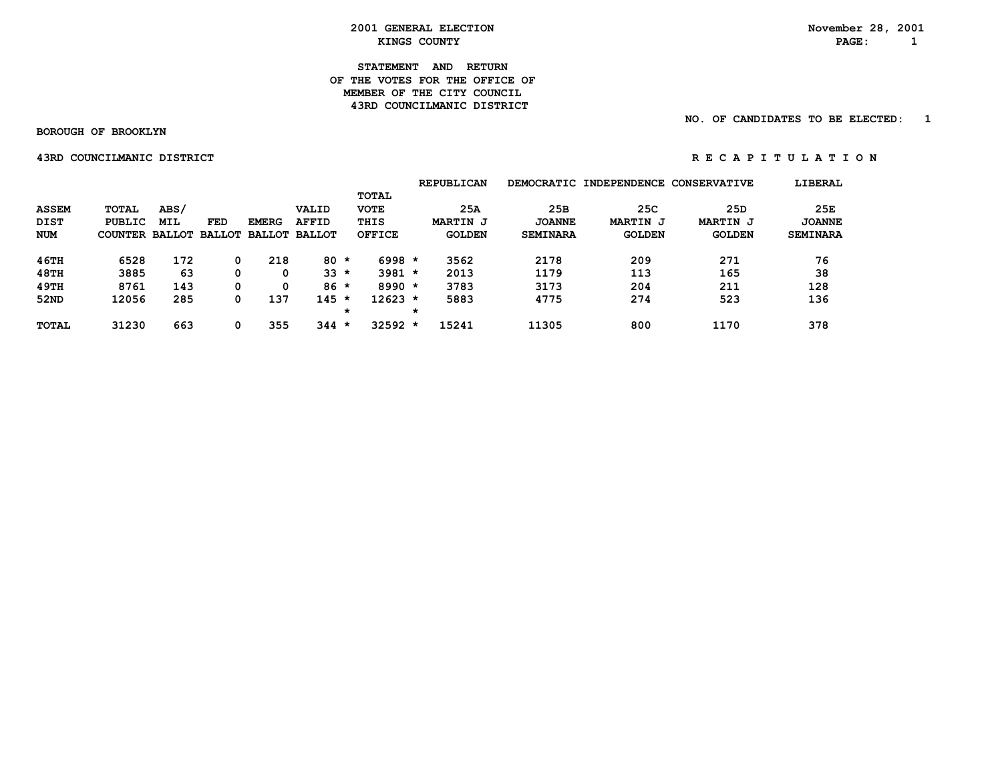## **STATEMENT AND RETURN OF THE VOTES FOR THE OFFICE OFMEMBER OF THE CITY COUNCIL 43RD COUNCILMANIC DISTRICT**

## **NO. OF CANDIDATES TO BE ELECTED: 1**

 **BOROUGH OF BROOKLYN**

#### **43RDCOUNCILMANICDISTRICT R E C A P I T U L A T I O N**

|              |                       |            |     |              |                      |              |           |         | <b>REPUBLICAN</b> |                 | DEMOCRATIC INDEPENDENCE | <b>CONSERVATIVE</b> | LIBERAL         |
|--------------|-----------------------|------------|-----|--------------|----------------------|--------------|-----------|---------|-------------------|-----------------|-------------------------|---------------------|-----------------|
|              |                       |            |     |              |                      | <b>TOTAL</b> |           |         |                   |                 |                         |                     |                 |
| <b>ASSEM</b> | TOTAL                 | ABS/       |     |              | VALID                | <b>VOTE</b>  |           |         | 25A               | 25B             | 25C                     | 25D                 | 25E             |
| <b>DIST</b>  | PUBLIC                | <b>MIL</b> | FED | <b>EMERG</b> | <b>AFFID</b>         | THIS         |           |         | <b>MARTIN J</b>   | <b>JOANNE</b>   | <b>MARTIN J</b>         | <b>MARTIN J</b>     | <b>JOANNE</b>   |
| NUM          | COUNTER BALLOT BALLOT |            |     |              | <b>BALLOT BALLOT</b> | OFFICE       |           |         | <b>GOLDEN</b>     | <b>SEMINARA</b> | <b>GOLDEN</b>           | <b>GOLDEN</b>       | <b>SEMINARA</b> |
| 46TH         | 6528                  | 172        |     | 218          | $80 *$               |              | $6998 *$  |         | 3562              | 2178            | 209                     | 271                 | 76              |
| 48TH         | 3885                  | 63         |     | 0            | $33 *$               |              | $3981 *$  |         | 2013              | 1179            | 113                     | 165                 | 38              |
| 49TH         | 8761                  | 143        |     | 0            | $86*$                |              | $8990 *$  |         | 3783              | 3173            | 204                     | 211                 | 128             |
| 52ND         | 12056                 | 285        |     | 137          | $145 *$              |              | $12623 *$ |         | 5883              | 4775            | 274                     | 523                 | 136             |
|              |                       |            |     |              |                      | $^\star$     |           | $\star$ |                   |                 |                         |                     |                 |
| <b>TOTAL</b> | 31230                 | 663        |     | 355          | 344                  | $\star$      | $32592 *$ |         | 15241             | 11305           | 800                     | 1170                | 378             |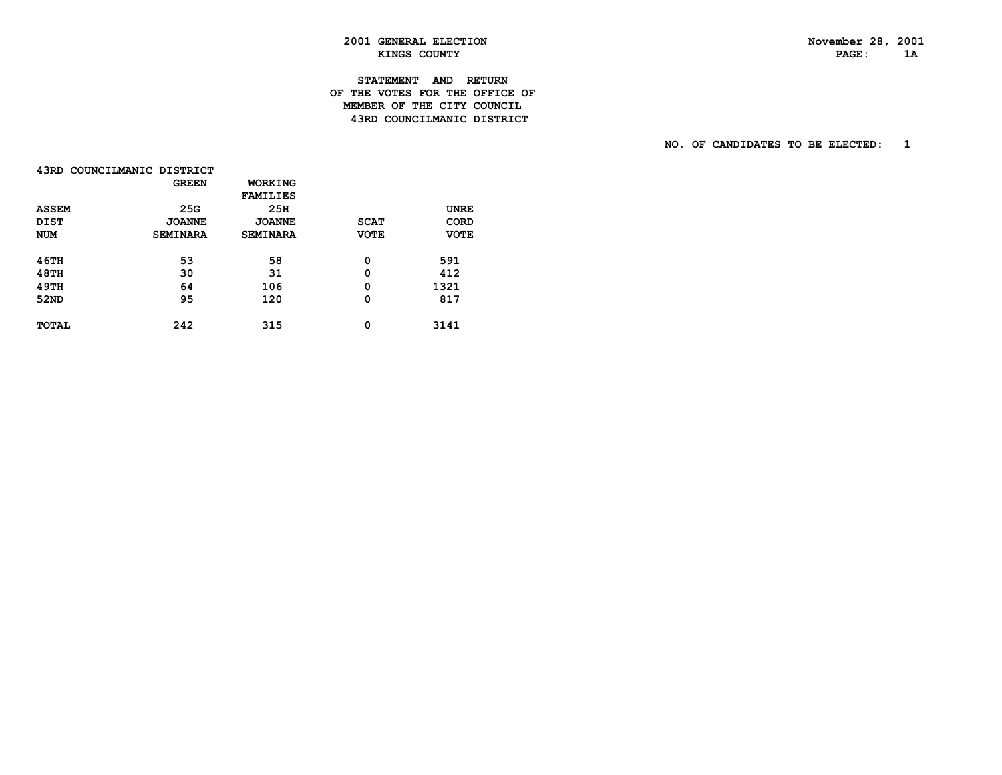PAGE: 1A

# **2001 GENERAL ELECTION November 28, 2001 KINGS COUNTY**

# **STATEMENT AND RETURN OF THE VOTES FOR THE OFFICE OF MEMBER OF THE CITY COUNCIL43RD COUNCILMANIC DISTRICT**

 **NO. OF CANDIDATES TO BE ELECTED: 1**

|              | 43RD COUNCILMANIC DISTRICT |                 |             |             |
|--------------|----------------------------|-----------------|-------------|-------------|
|              | <b>GREEN</b>               | WORKING         |             |             |
|              |                            | <b>FAMILIES</b> |             |             |
| <b>ASSEM</b> | 25G                        | 25H             |             | <b>UNRE</b> |
| <b>DIST</b>  | <b>JOANNE</b>              | <b>JOANNE</b>   | <b>SCAT</b> | CORD        |
| <b>NUM</b>   | <b>SEMINARA</b>            | <b>SEMINARA</b> | <b>VOTE</b> | <b>VOTE</b> |
| <b>46TH</b>  | 53                         | 58              | 0           | 591         |
| 48TH         | 30                         | 31              | 0           | 412         |
| 49TH         | 64                         | 106             | 0           | 1321        |
| 52ND         | 95                         | 120             | 0           | 817         |
| <b>TOTAL</b> | 242                        | 315             | 0           | 3141        |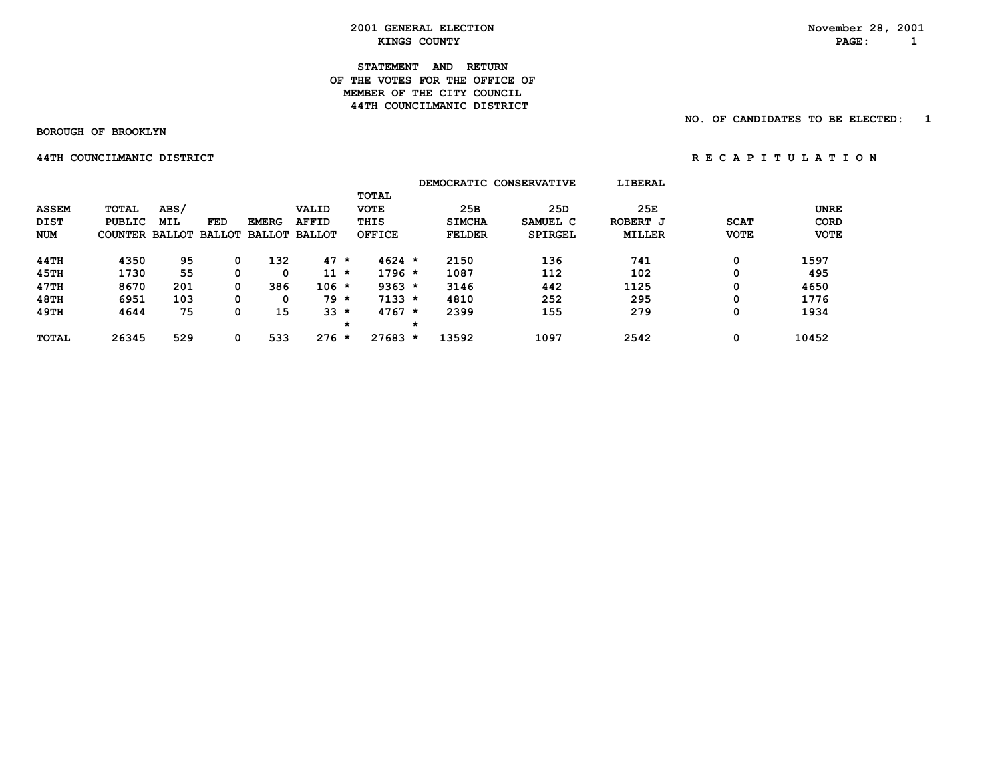**STATEMENT AND RETURN OF THE VOTES FOR THE OFFICE OFMEMBER OF THE CITY COUNCIL 44TH COUNCILMANIC DISTRICT** 

 **BOROUGH OF BROOKLYN**

 **NO. OF CANDIDATES TO BE ELECTED: 1**

 **44THCOUNCILMANICDISTRICT R E C A P I T U L A T I O N**

|              |                       |            |     |              |                      |         |               |         |               | DEMOCRATIC CONSERVATIVE | LIBERAL       |             |             |
|--------------|-----------------------|------------|-----|--------------|----------------------|---------|---------------|---------|---------------|-------------------------|---------------|-------------|-------------|
|              |                       |            |     |              |                      |         | <b>TOTAL</b>  |         |               |                         |               |             |             |
| <b>ASSEM</b> | <b>TOTAL</b>          | ABS/       |     |              | VALID                |         | <b>VOTE</b>   |         | 25B           | 25D                     | 25E           |             | <b>UNRE</b> |
| <b>DIST</b>  | <b>PUBLIC</b>         | <b>MIL</b> | FED | <b>EMERG</b> | <b>AFFID</b>         |         | THIS          |         | <b>SIMCHA</b> | SAMUEL C                | ROBERT J      | <b>SCAT</b> | <b>CORD</b> |
| <b>NUM</b>   | COUNTER BALLOT BALLOT |            |     |              | <b>BALLOT BALLOT</b> |         | <b>OFFICE</b> |         | <b>FELDER</b> | SPIRGEL                 | <b>MILLER</b> | <b>VOTE</b> | <b>VOTE</b> |
| 44TH         | 4350                  | 95         |     | 132          | 47                   | $\star$ | $4624 *$      |         | 2150          | 136                     | 741           | 0           | 1597        |
| 45TH         | 1730                  | 55         |     | 0            | 11                   | $\star$ | $1796 *$      |         | 1087          | 112                     | 102           | 0           | 495         |
| 47TH         | 8670                  | 201        |     | 386          | $106 *$              |         | $9363 *$      |         | 3146          | 442                     | 1125          | 0           | 4650        |
| 48TH         | 6951                  | 103        | 0   | 0            | $79 *$               |         | $7133 *$      |         | 4810          | 252                     | 295           | 0           | 1776        |
| 49TH         | 4644                  | 75         |     | 15           | $33 *$               |         | $4767 *$      |         | 2399          | 155                     | 279           | 0           | 1934        |
|              |                       |            |     |              |                      | $\star$ |               | $\star$ |               |                         |               |             |             |
| <b>TOTAL</b> | 26345                 | 529        |     | 533          | $276 *$              |         | $27683 *$     |         | 13592         | 1097                    | 2542          | 0           | 10452       |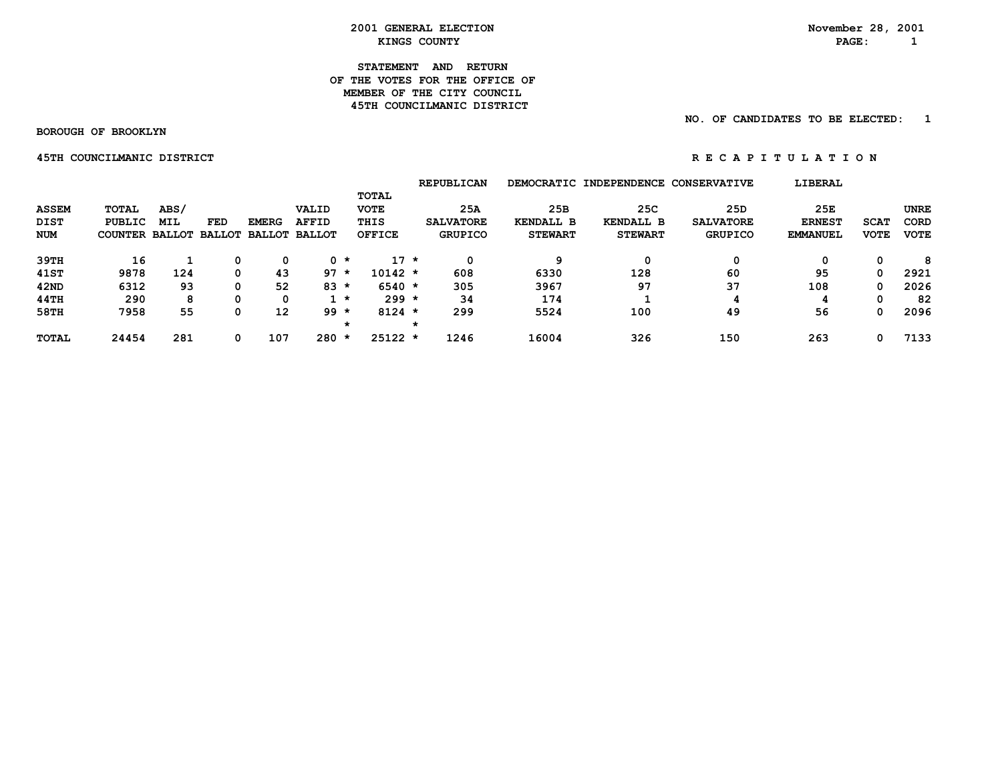#### **STATEMENT AND RETURN OF THE VOTES FOR THE OFFICE OFMEMBER OF THE CITY COUNCIL 45TH COUNCILMANIC DISTRICT**

## **NO. OF CANDIDATES TO BE ELECTED: 1**

 **BOROUGH OF BROOKLYN**

 **45TH COUNCILMANIC DISTRICT A REPORT ON REGAPITULATION** 

|              |                |               |               |               |               |         |               | <b>REPUBLICAN</b> |                  | DEMOCRATIC INDEPENDENCE CONSERVATIVE |                  | LIBERAL         |             |             |
|--------------|----------------|---------------|---------------|---------------|---------------|---------|---------------|-------------------|------------------|--------------------------------------|------------------|-----------------|-------------|-------------|
|              |                |               |               |               |               |         | <b>TOTAL</b>  |                   |                  |                                      |                  |                 |             |             |
| <b>ASSEM</b> | <b>TOTAL</b>   | ABS/          |               |               | VALID         |         | <b>VOTE</b>   | 25A               | 25B              | 25C                                  | 25D              | 25E             |             | UNRE        |
| <b>DIST</b>  | PUBLIC         | <b>MIL</b>    | <b>FED</b>    | <b>EMERG</b>  | <b>AFFID</b>  |         | THIS          | <b>SALVATORE</b>  | <b>KENDALL B</b> | <b>KENDALL B</b>                     | <b>SALVATORE</b> | <b>ERNEST</b>   | <b>SCAT</b> | CORD        |
| <b>NUM</b>   | <b>COUNTER</b> | <b>BALLOT</b> | <b>BALLOT</b> | <b>BALLOT</b> | <b>BALLOT</b> |         | <b>OFFICE</b> | <b>GRUPICO</b>    | <b>STEWART</b>   | <b>STEWART</b>                       | <b>GRUPICO</b>   | <b>EMMANUEL</b> | <b>VOTE</b> | <b>VOTE</b> |
| 39TH         | 16             |               | 0             | 0             |               | $0 *$   | $17 *$        | 0                 | q                | 0                                    | 0                | 0               | 0           | 8           |
| 41ST         | 9878           | 124           | 0             | 43            | $97*$         |         | $10142 *$     | 608               | 6330             | 128                                  | 60               | 95              | 0           | 2921        |
| 42ND         | 6312           | 93            | 0             | 52            | $83 *$        |         | $6540 *$      | 305               | 3967             | 97                                   | 37               | 108             | 0           | 2026        |
| 44TH         | 290            | 8             | 0             | 0             |               | $1 *$   | $299 *$       | 34                | 174              |                                      |                  | 4               | 0           | 82          |
| 58TH         | 7958           | 55            | 0             | 12            | $99*$         |         | $8124 *$      | 299               | 5524             | 100                                  | 49               | 56              | 0           | 2096        |
|              |                |               |               |               |               | $\star$ |               |                   |                  |                                      |                  |                 |             |             |
| <b>TOTAL</b> | 24454          | 281           | 0             | 107           | 280           | *       | $25122 *$     | 1246              | 16004            | 326                                  | 150              | 263             | 0           | 7133        |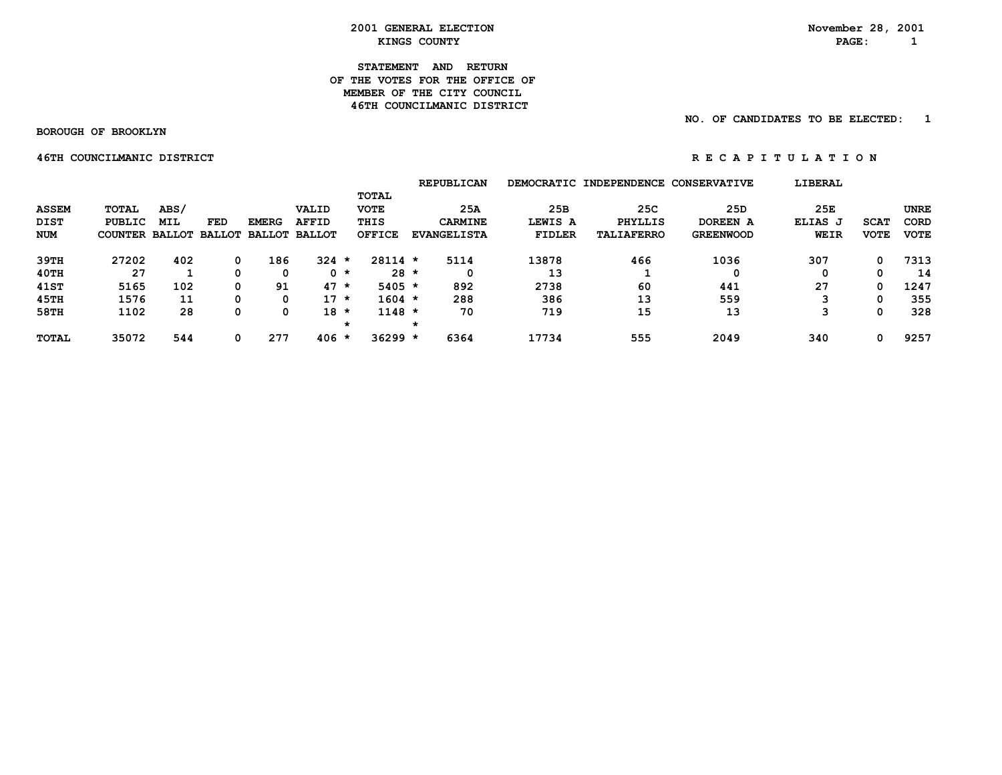> **STATEMENT AND RETURN OF THE VOTES FOR THE OFFICE OF MEMBER OF THE CITY COUNCIL46TH COUNCILMANIC DISTRICT**

> > **NO. OF CANDIDATES TO BE ELECTED: 1**

 **BOROUGH OF BROOKLYN**

 **46TH COUNCILMANIC DISTRICT A REPORT ON REGAPT TULATION** 

 **REPUBLICAN DEMOCRATIC INDEPENDENCE CONSERVATIVE LIBERAL TOTAL ASSEM TOTAL ABS/ VALID VOTE 25A 25B 25C 25D 25E UNRE DIST PUBLIC MIL FED EMERG AFFID THIS CARMINE LEWIS A PHYLLIS DOREEN A ELIAS J SCAT CORD NUM COUNTER BALLOT BALLOT BALLOT BALLOT OFFICE EVANGELISTA FIDLER TALIAFERRO GREENWOOD WEIR VOTE VOTE 39TH 27202 402 0 186 324 \* 28114 \* 5114 13878 466 1036 307 0 7313 40TH 27 1 0 0 0 \* 28 \* 0 13 1 0 0 0 14 41ST 5165 102 0 91 47 \* 5405 \* 892 2738 60 441 27 0 1247 45TH 1576 11 0 0 17 \* 1604 \* 288 386 13 559 3 0 355 58TH 1102 28 0 0 18 \* 1148 \* 70 719 15 13 3 0 328 \* \* TOTAL 35072 544 0 277 406 \* 36299 \* 6364 17734 555 2049 340 0 9257**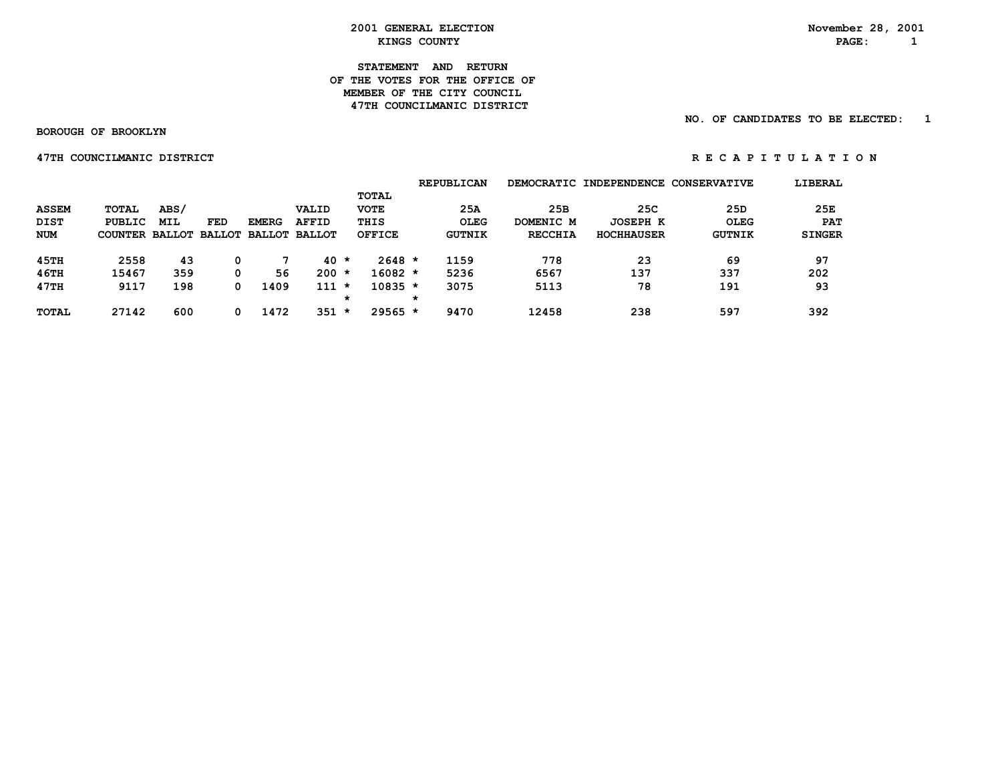**STATEMENT AND RETURN OF THE VOTES FOR THE OFFICE OFMEMBER OF THE CITY COUNCIL 47TH COUNCILMANIC DISTRICT** 

 **NO. OF CANDIDATES TO BE ELECTED: 1**

 **BOROUGH OF BROOKLYN**

 **47TH COUNCILMANIC DISTRICT** *A I I O N* **R** E C A P I T U L A T I O N

|              |         |            |                      |               |               |         |             |   | <b>REPUBLICAN</b> |                | DEMOCRATIC INDEPENDENCE CONSERVATIVE |                 | LIBERAL       |
|--------------|---------|------------|----------------------|---------------|---------------|---------|-------------|---|-------------------|----------------|--------------------------------------|-----------------|---------------|
|              |         |            |                      |               |               |         | TOTAL       |   |                   |                |                                      |                 |               |
| <b>ASSEM</b> | TOTAL   | ABS/       |                      |               | <b>VALID</b>  |         | <b>VOTE</b> |   | 25A               | 25B            | 25C                                  | 25 <sub>D</sub> | 25E           |
| <b>DIST</b>  | PUBLIC  | <b>MIL</b> | <b>FED</b>           | <b>EMERG</b>  | <b>AFFID</b>  |         | THIS        |   | <b>OLEG</b>       | DOMENIC M      | <b>JOSEPH K</b>                      | OLEG            | <b>PAT</b>    |
| <b>NUM</b>   | COUNTER |            | <b>BALLOT BALLOT</b> | <b>BALLOT</b> | <b>BALLOT</b> |         | OFFICE      |   | GUTNIK            | <b>RECCHIA</b> | <b>HOCHHAUSER</b>                    | <b>GUTNIK</b>   | <b>SINGER</b> |
| 45TH         | 2558    | 43         | 0                    |               | $40 \star$    |         | $2648 *$    |   | 1159              | 778            | 23                                   | 69              | 97            |
| 46TH         | 15467   | 359        | 0                    | 56            | $200 *$       |         | 16082 *     |   | 5236              | 6567           | 137                                  | 337             | 202           |
| 47TH         | 9117    | 198        | 0                    | 1409          | $111 *$       |         | $10835 *$   |   | 3075              | 5113           | 78                                   | 191             | 93            |
|              |         |            |                      |               |               | *       |             | * |                   |                |                                      |                 |               |
| <b>TOTAL</b> | 27142   | 600        | 0                    | 1472          | 351           | $\star$ | $29565 *$   |   | 9470              | 12458          | 238                                  | 597             | 392           |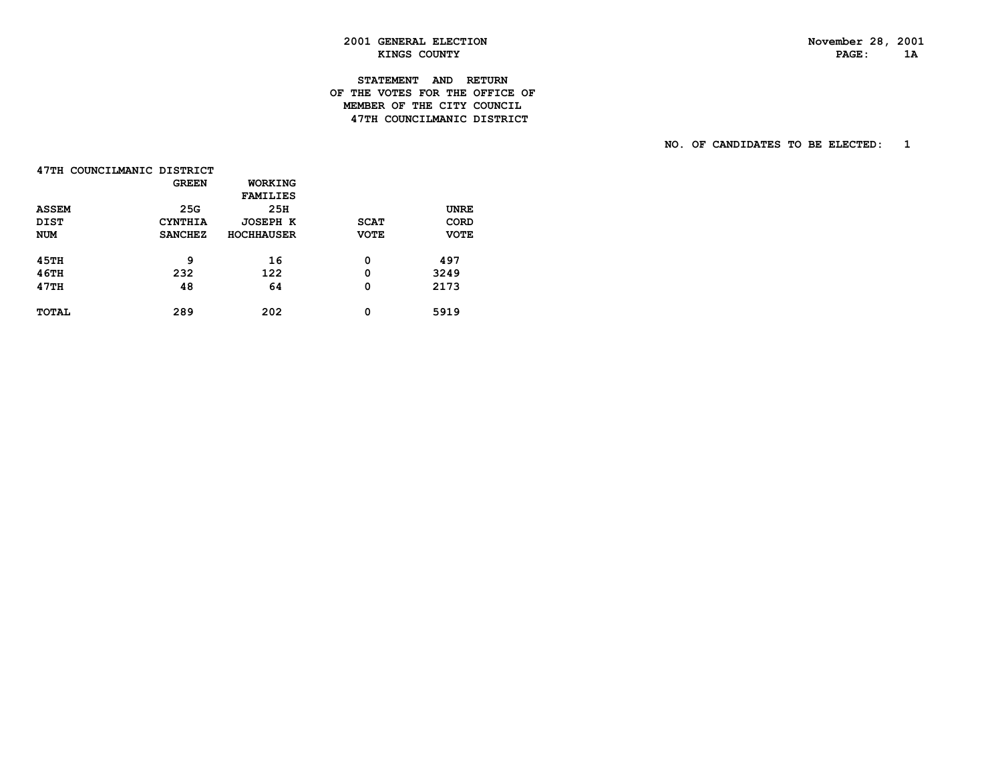PAGE: 1A

# **2001 GENERAL ELECTION November 28, 2001 KINGS COUNTY**

# **STATEMENT AND RETURN OF THE VOTES FOR THE OFFICE OF MEMBER OF THE CITY COUNCIL47TH COUNCILMANIC DISTRICT**

 **NO. OF CANDIDATES TO BE ELECTED: 1**

| 47TH COUNCILMANIC DISTRICT |                |                   |             |             |
|----------------------------|----------------|-------------------|-------------|-------------|
|                            | <b>GREEN</b>   | WORKING           |             |             |
|                            |                | <b>FAMILIES</b>   |             |             |
| <b>ASSEM</b>               | 25G            | 25H               |             | <b>UNRE</b> |
| <b>DIST</b>                | <b>CYNTHIA</b> | JOSEPH K          | <b>SCAT</b> | CORD        |
| <b>NUM</b>                 | <b>SANCHEZ</b> | <b>HOCHHAUSER</b> | <b>VOTE</b> | <b>VOTE</b> |
|                            |                |                   |             |             |
| <b>45TH</b>                | 9              | 16                | 0           | 497         |
| <b>46TH</b>                | 232            | 122               | 0           | 3249        |
| 47TH                       | 48             | 64                | 0           | 2173        |
|                            |                |                   |             |             |
| <b>TOTAL</b>               | 289            | 202               | 0           | 5919        |
|                            |                |                   |             |             |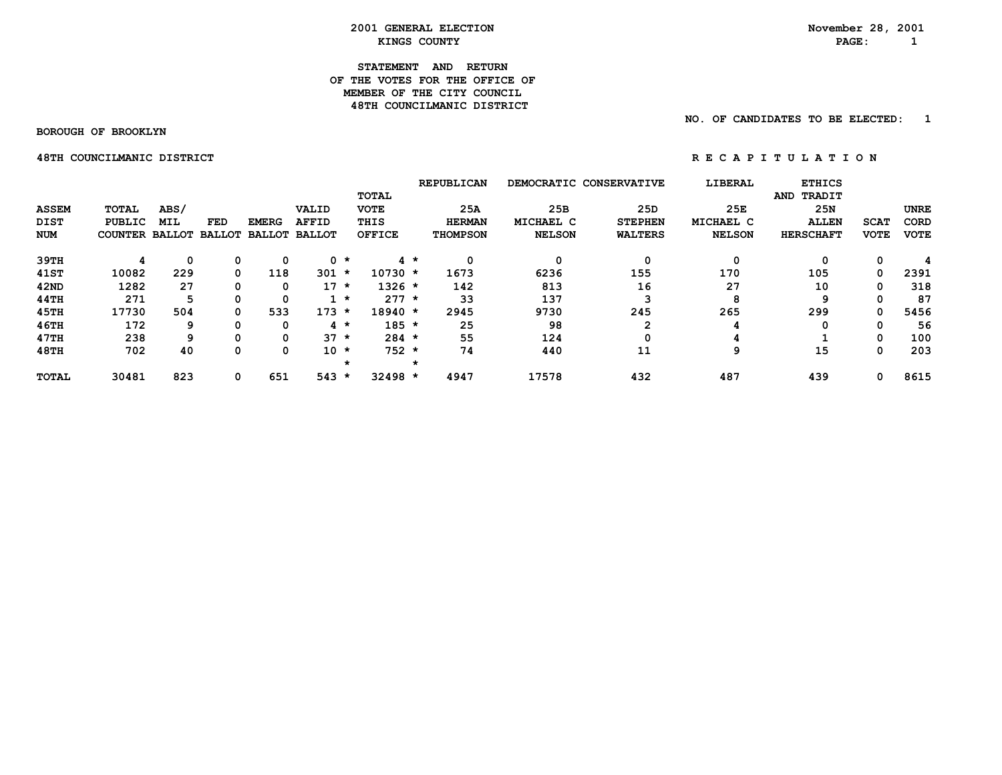# **STATEMENT AND RETURN OF THE VOTES FOR THE OFFICE OF MEMBER OF THE CITY COUNCIL48TH COUNCILMANIC DISTRICT**

 **NO. OF CANDIDATES TO BE ELECTED: 1**

 **BOROUGH OF BROOKLYN**

 **48TH COUNCILMANIC DISTRICT REGARIC POINT COUNCILMANIC DISTRICT** 

 **REPUBLICAN DEMOCRATIC CONSERVATIVE LIBERAL ETHICS TOTAL AND TRADIT ASSEM TOTAL ABS/ VALID VOTE 25A 25B 25D 25E 25N UNRE DIST PUBLIC MIL FED EMERG AFFID THIS HERMAN MICHAEL C STEPHEN MICHAEL C ALLEN SCAT CORD NUM COUNTER BALLOT BALLOT BALLOT BALLOT OFFICE THOMPSON NELSON WALTERS NELSON HERSCHAFT VOTE VOTE 39TH 4 0 0 0 0 \* 4 \* 0 0 0 0 0 0 4 41ST 10082 229 0 118 301 \* 10730 \* 1673 6236 155 170 105 0 2391 42ND 1282 27 0 0 17 \* 1326 \* 142 813 16 27 10 0 318 44TH 271 5 0 0 1 \* 277 \* 33 137 3 8 9 0 87 45TH 17730 504 0 533 173 \* 18940 \* 2945 9730 245 265 299 0 5456 46TH 172 9 0 0 4 \* 185 \* 25 98 2 4 0 0 56 47TH 238 9 0 0 37 \* 284 \* 55 124 0 4 1 0 100 48TH 702 40 0 0 10 \* 752 \* 74 440 11 9 15 0 203 \* \* TOTAL 30481 823 0 651 543 \* 32498 \* 4947 17578 432 487 439 0 8615**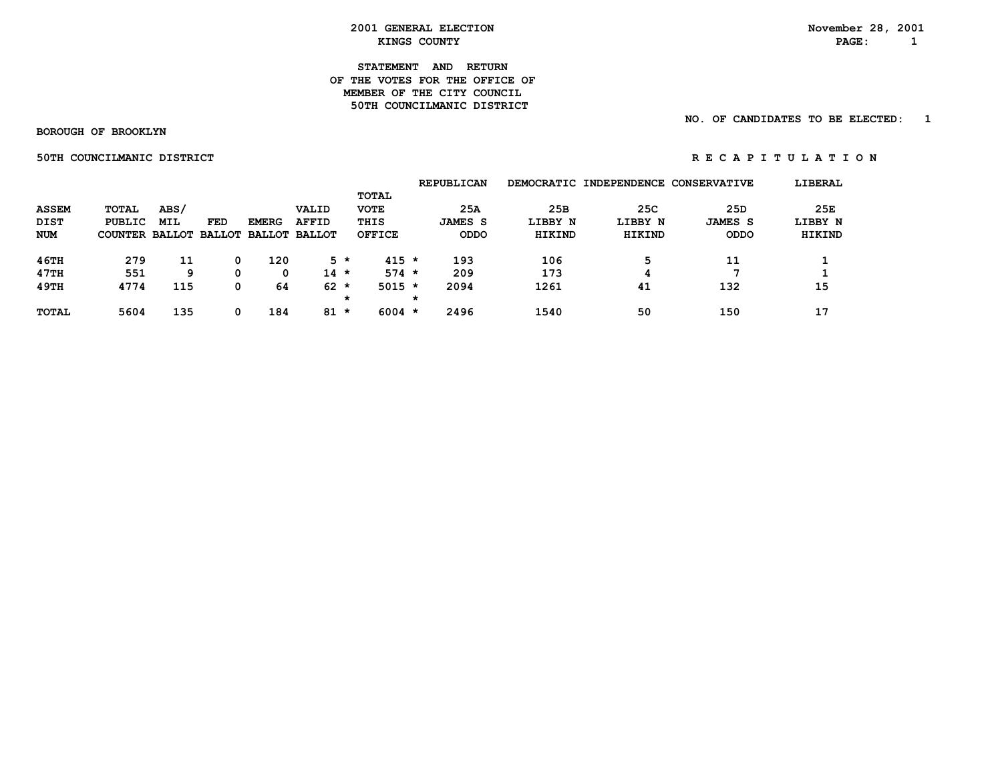#### **STATEMENT AND RETURN OF THE VOTES FOR THE OFFICE OFMEMBER OF THE CITY COUNCIL 50TH COUNCILMANIC DISTRICT**

## **NO. OF CANDIDATES TO BE ELECTED: 1**

 **BOROUGH OF BROOKLYN**

 **50TH COUNCILMANIC DISTRICT A REPORT ON REGAPITULATION** 

|              |                                     |      |     |              |              |       |               |   | <b>REPUBLICAN</b> |         | DEMOCRATIC INDEPENDENCE CONSERVATIVE |                 | LIBERAL |
|--------------|-------------------------------------|------|-----|--------------|--------------|-------|---------------|---|-------------------|---------|--------------------------------------|-----------------|---------|
|              |                                     |      |     |              |              |       | TOTAL         |   |                   |         |                                      |                 |         |
| <b>ASSEM</b> | TOTAL                               | ABS/ |     |              | VALID        |       | <b>VOTE</b>   |   | 25A               | 25B     | 25C                                  | 25 <sub>D</sub> | 25E     |
| <b>DIST</b>  | PUBLIC                              | MIL  | FED | <b>EMERG</b> | <b>AFFID</b> |       | THIS          |   | <b>JAMES S</b>    | LIBBY N | LIBBY N                              | <b>JAMES S</b>  | LIBBY N |
| <b>NUM</b>   | COUNTER BALLOT BALLOT BALLOT BALLOT |      |     |              |              |       | <b>OFFICE</b> |   | <b>ODDO</b>       | HIKIND  | HIKIND                               | <b>ODDO</b>     | HIKIND  |
| 46TH         | 279                                 | 11   | 0   | 120          |              | $5 *$ | $415 *$       |   | 193               | 106     | 5                                    | 11              |         |
| 47TH         | 551                                 | 9    | 0   | 0            | $14 \times$  |       | $574 *$       |   | 209               | 173     | 4                                    |                 |         |
| 49TH         | 4774                                | 115  | 0   | 64           | $62 *$       |       | $5015 *$      |   | 2094              | 1261    | 41                                   | 132             | 15      |
|              |                                     |      |     |              |              | *     |               | * |                   |         |                                      |                 |         |
| <b>TOTAL</b> | 5604                                | 135  |     | 184          | $81$ *       |       | $6004$ *      |   | 2496              | 1540    | 50                                   | 150             | 17      |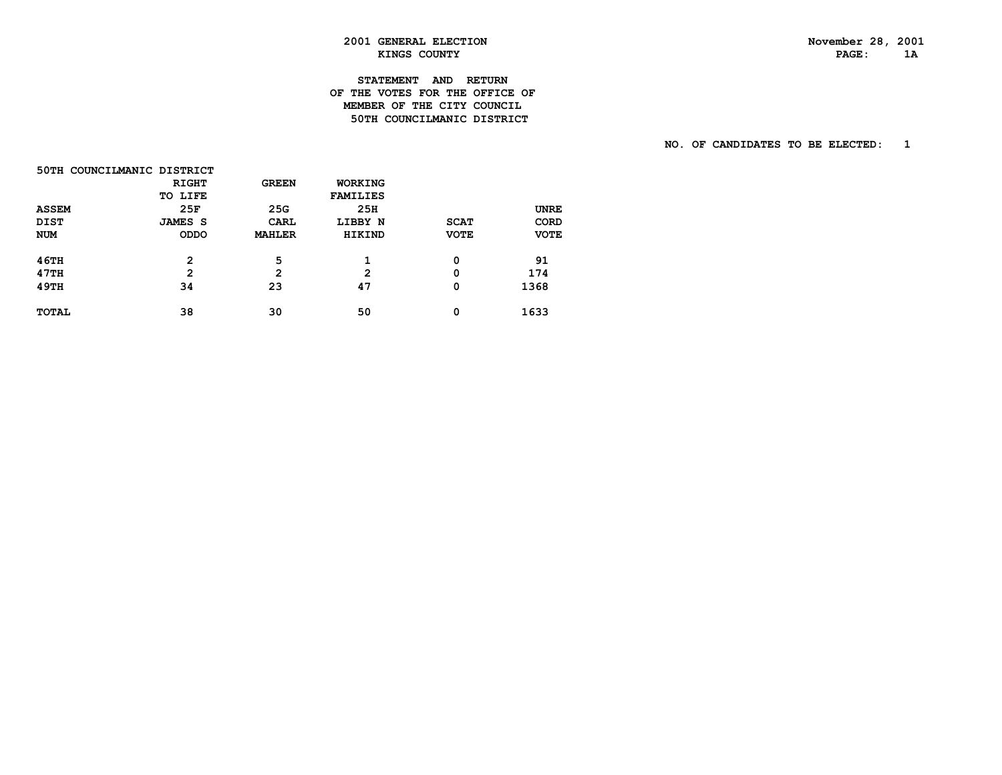PAGE: 1A

# **2001 GENERAL ELECTION November 28, 2001 KINGS COUNTY**

# **STATEMENT AND RETURN OF THE VOTES FOR THE OFFICE OF MEMBER OF THE CITY COUNCIL50TH COUNCILMANIC DISTRICT**

 **NO. OF CANDIDATES TO BE ELECTED: 1**

| 50TH COUNCILMANIC DISTRICT |                |                |                 |             |             |
|----------------------------|----------------|----------------|-----------------|-------------|-------------|
|                            | <b>RIGHT</b>   | <b>GREEN</b>   | WORKING         |             |             |
|                            | TO LIFE        |                | <b>FAMILIES</b> |             |             |
| <b>ASSEM</b>               | 25F            | 25G            | 25H             |             | <b>UNRE</b> |
| <b>DIST</b>                | <b>JAMES S</b> | CARL           | LIBBY N         | <b>SCAT</b> | <b>CORD</b> |
| <b>NUM</b>                 | <b>ODDO</b>    | <b>MAHLER</b>  | <b>HIKIND</b>   | <b>VOTE</b> | <b>VOTE</b> |
| <b>46TH</b>                | $\mathbf{2}$   | 5              | 1               | 0           | 91          |
| 47TH                       | $\mathbf{2}$   | $\overline{2}$ | 2               | 0           | 174         |
| 49TH                       | 34             | 23             | 47              | 0           | 1368        |
| <b>TOTAL</b>               | 38             | 30             | 50              | 0           | 1633        |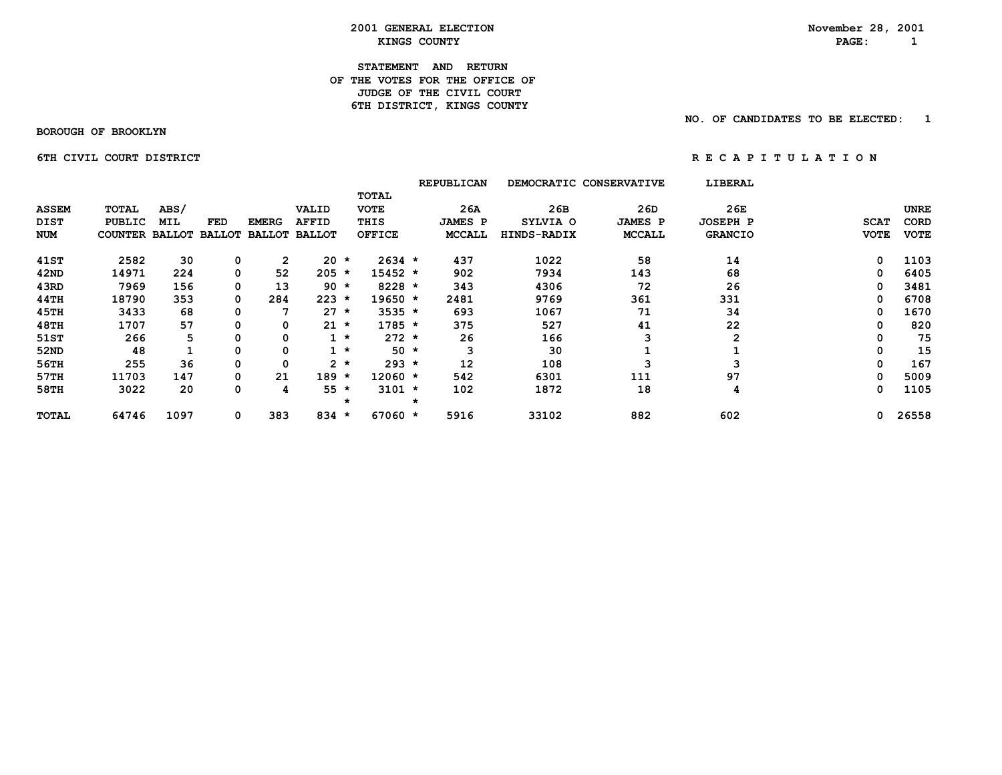**2001 GENERAL ELECTION**<br> *KINGS COUNTY***<br>
RAGE: 1 EXINGS COUNTY** AND **RAGE:** 1

**STATEMENT AND RETURN OF THE VOTES FOR THE OFFICE OF JUDGE OF THE CIVIL COURT 6TH DISTRICT, KINGS COUNTY** 

 **BOROUGH OF BROOKLYN**

 **NO. OF CANDIDATES TO BE ELECTED: 1**

 **6TH CIVIL COURT DISTRICT A RE C A P I T U L A T I O N** 

|              |                       |            |               |               |               |         |               |         | <b>REPUBLICAN</b> | DEMOCRATIC CONSERVATIVE |                | LIBERAL         |     |             |             |
|--------------|-----------------------|------------|---------------|---------------|---------------|---------|---------------|---------|-------------------|-------------------------|----------------|-----------------|-----|-------------|-------------|
|              |                       |            |               |               |               |         | TOTAL         |         |                   |                         |                |                 |     |             |             |
| <b>ASSEM</b> | TOTAL                 | ABS/       |               |               | VALID         |         | <b>VOTE</b>   |         | 26A               | 26B                     | 26D            |                 | 26E |             | <b>UNRE</b> |
| DIST         | <b>PUBLIC</b>         | <b>MIL</b> | FED           | <b>EMERG</b>  | <b>AFFID</b>  |         | THIS          |         | <b>JAMES P</b>    | SYLVIA O                | <b>JAMES P</b> | <b>JOSEPH P</b> |     | <b>SCAT</b> | <b>CORD</b> |
| <b>NUM</b>   | <b>COUNTER BALLOT</b> |            | <b>BALLOT</b> | <b>BALLOT</b> | <b>BALLOT</b> |         | <b>OFFICE</b> |         | <b>MCCALL</b>     | HINDS-RADIX             | MCCALL         | <b>GRANCIO</b>  |     | <b>VOTE</b> | <b>VOTE</b> |
| 41ST         | 2582                  | 30         | 0             | $\mathbf{2}$  | $20 *$        |         | $2634 *$      |         | 437               | 1022                    | 58             |                 | 14  | 0           | 1103        |
| 42ND         | 14971                 | 224        | 0             | 52            | $205 *$       |         | 15452 *       |         | 902               | 7934                    | 143            |                 | 68  | 0           | 6405        |
| 43RD         | 7969                  | 156        | 0             | 13            | $90 *$        |         | $8228 *$      |         | 343               | 4306                    | 72             |                 | 26  | 0           | 3481        |
| 44TH         | 18790                 | 353        | 0             | 284           | $223 *$       |         | $19650 *$     |         | 2481              | 9769                    | 361            | 331             |     | 0           | 6708        |
| 45TH         | 3433                  | 68         | 0             | 7             | $27 *$        |         | $3535 *$      |         | 693               | 1067                    | 71             |                 | 34  | 0           | 1670        |
| 48TH         | 1707                  | 57         | 0             | 0             | $21 \star$    |         | $1785 *$      |         | 375               | 527                     | 41             |                 | 22  | 0           | 820         |
| 51ST         | 266                   |            | 0             | 0             |               | $1 *$   | $272 *$       |         | 26                | 166                     |                |                 | 2   | 0           | 75          |
| 52ND         | 48                    |            | 0             | 0             |               | $\star$ | $50 *$        |         | з                 | 30                      |                |                 |     | 0           | 15          |
| 56TH         | 255                   | 36         | 0             | 0             |               | $2 *$   | $293 *$       |         | 12                | 108                     |                |                 | 3   | 0           | 167         |
| 57TH         | 11703                 | 147        | 0             | 21            | $189 *$       |         | $12060 *$     |         | 542               | 6301                    | 111            |                 | 97  | 0           | 5009        |
| 58TH         | 3022                  | 20         | 0             | 4             | $55*$         | $\star$ | $3101 *$      | $\star$ | 102               | 1872                    | 18             |                 | 4   | 0           | 1105        |
| TOTAL        | 64746                 | 1097       | 0             | 383           | $834 *$       |         | $67060 *$     |         | 5916              | 33102                   | 882            | 602             |     | 0           | 26558       |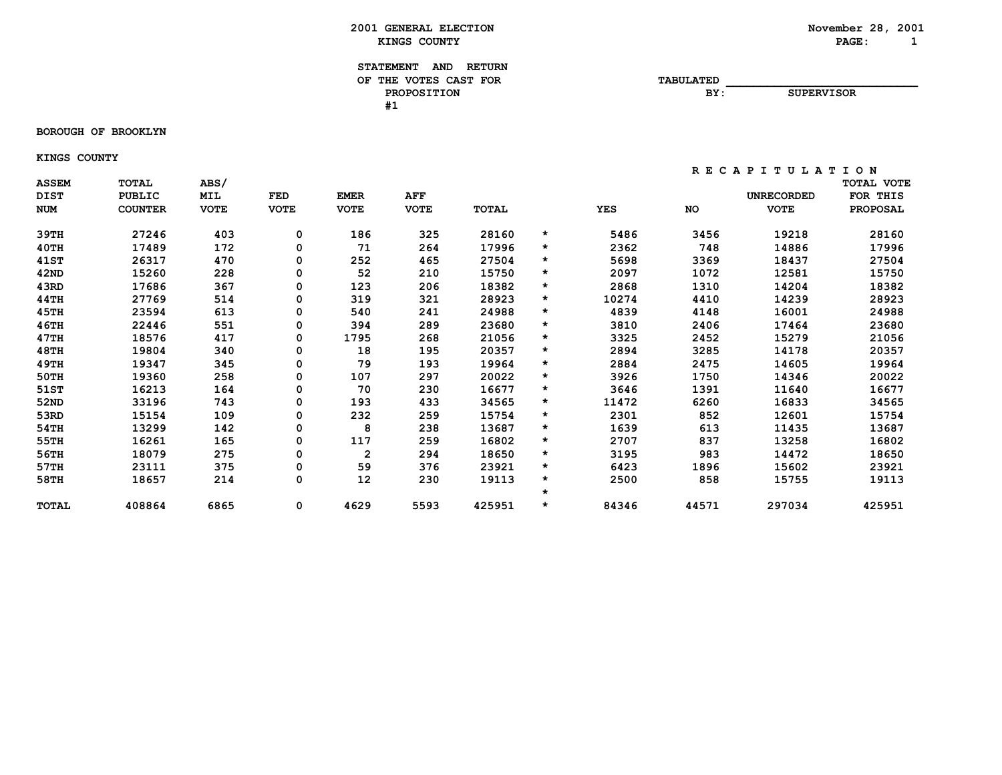**BOROUGH OF BROOKLYN**

 **KINGS COUNTY**

| <b>ASSEM</b><br><b>DIST</b> | <b>TOTAL</b><br><b>PUBLIC</b> | ABS/<br><b>MIL</b> | <b>FED</b>  | <b>EMER</b>    | AFF         |        |         |            |           | <b>UNRECORDED</b> | TOTAL VOTE<br>FOR THIS |
|-----------------------------|-------------------------------|--------------------|-------------|----------------|-------------|--------|---------|------------|-----------|-------------------|------------------------|
| <b>NUM</b>                  | <b>COUNTER</b>                | <b>VOTE</b>        | <b>VOTE</b> | <b>VOTE</b>    | <b>VOTE</b> | TOTAL  |         | <b>YES</b> | <b>NO</b> | <b>VOTE</b>       | <b>PROPOSAL</b>        |
| 39тн                        | 27246                         | 403                | 0           | 186            | 325         | 28160  | $\star$ | 5486       | 3456      | 19218             | 28160                  |
| 40TH                        | 17489                         | 172                | 0           | 71             | 264         | 17996  | $\star$ | 2362       | 748       | 14886             | 17996                  |
| 41ST                        | 26317                         | 470                | 0           | 252            | 465         | 27504  | $\star$ | 5698       | 3369      | 18437             | 27504                  |
| 42ND                        | 15260                         | 228                | 0           | 52             | 210         | 15750  | $\star$ | 2097       | 1072      | 12581             | 15750                  |
| 43RD                        | 17686                         | 367                | 0           | 123            | 206         | 18382  | $\star$ | 2868       | 1310      | 14204             | 18382                  |
| 44TH                        | 27769                         | 514                | 0           | 319            | 321         | 28923  | $\star$ | 10274      | 4410      | 14239             | 28923                  |
| 45TH                        | 23594                         | 613                | 0           | 540            | 241         | 24988  | $\star$ | 4839       | 4148      | 16001             | 24988                  |
| 46TH                        | 22446                         | 551                | 0           | 394            | 289         | 23680  | $\star$ | 3810       | 2406      | 17464             | 23680                  |
| 47TH                        | 18576                         | 417                | 0           | 1795           | 268         | 21056  | $\star$ | 3325       | 2452      | 15279             | 21056                  |
| 48TH                        | 19804                         | 340                | 0           | 18             | 195         | 20357  | $\star$ | 2894       | 3285      | 14178             | 20357                  |
| 49TH                        | 19347                         | 345                | 0           | 79             | 193         | 19964  | $\star$ | 2884       | 2475      | 14605             | 19964                  |
| 50TH                        | 19360                         | 258                | 0           | 107            | 297         | 20022  | $\star$ | 3926       | 1750      | 14346             | 20022                  |
| 51ST                        | 16213                         | 164                | 0           | 70             | 230         | 16677  | $\star$ | 3646       | 1391      | 11640             | 16677                  |
| 52ND                        | 33196                         | 743                | 0           | 193            | 433         | 34565  | $\star$ | 11472      | 6260      | 16833             | 34565                  |
| 53RD                        | 15154                         | 109                | 0           | 232            | 259         | 15754  | $\star$ | 2301       | 852       | 12601             | 15754                  |
| 54TH                        | 13299                         | 142                | 0           | 8              | 238         | 13687  | $\star$ | 1639       | 613       | 11435             | 13687                  |
| 55TH                        | 16261                         | 165                | 0           | 117            | 259         | 16802  | $\star$ | 2707       | 837       | 13258             | 16802                  |
| 56TH                        | 18079                         | 275                | 0           | $\overline{2}$ | 294         | 18650  | $\star$ | 3195       | 983       | 14472             | 18650                  |
| 57TH                        | 23111                         | 375                | 0           | 59             | 376         | 23921  | $\star$ | 6423       | 1896      | 15602             | 23921                  |
| 58TH                        | 18657                         | 214                | 0           | 12             | 230         | 19113  | $\star$ | 2500       | 858       | 15755             | 19113                  |
|                             |                               |                    |             |                |             |        | $\star$ |            |           |                   |                        |
| <b>TOTAL</b>                | 408864                        | 6865               | 0           | 4629           | 5593        | 425951 | $\star$ | 84346      | 44571     | 297034            | 425951                 |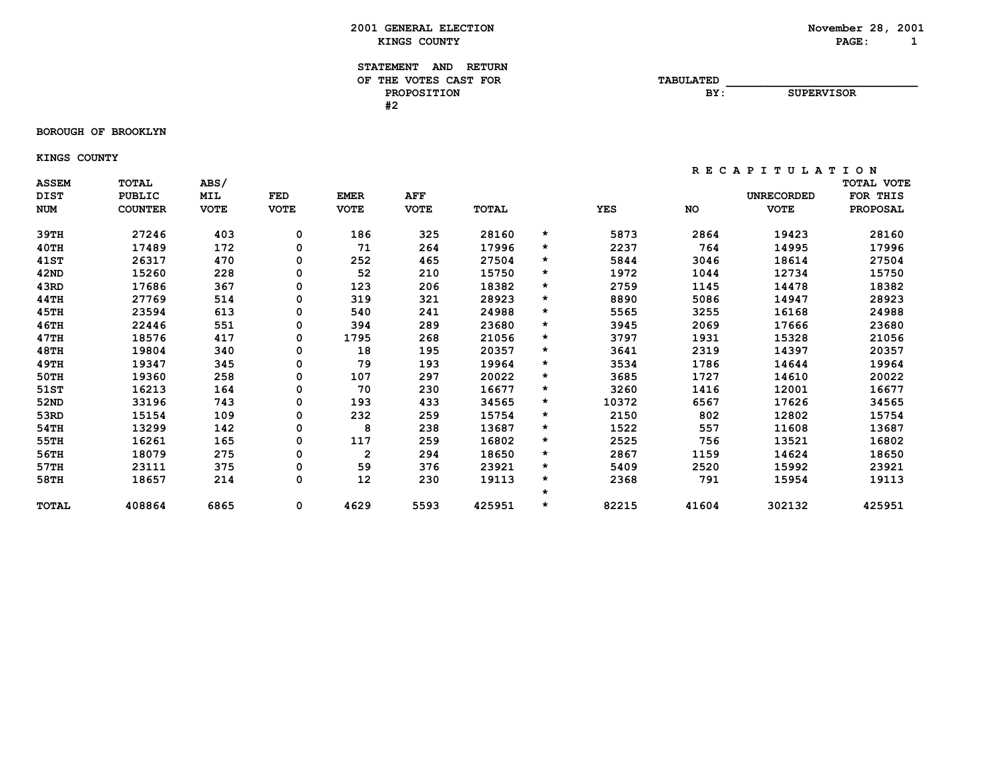#### **BOROUGH OF BROOKLYN**

 **KINGS COUNTY**

| <b>ASSEM</b><br><b>DIST</b> | TOTAL<br><b>PUBLIC</b> | ABS/<br>MIL | FED         | <b>EMER</b>    | AFF         |        |         |            |           | <b>UNRECORDED</b> | <b>TOTAL VOTE</b><br>FOR THIS |
|-----------------------------|------------------------|-------------|-------------|----------------|-------------|--------|---------|------------|-----------|-------------------|-------------------------------|
| <b>NUM</b>                  | <b>COUNTER</b>         | <b>VOTE</b> | <b>VOTE</b> | <b>VOTE</b>    | <b>VOTE</b> | TOTAL  |         | <b>YES</b> | <b>NO</b> | <b>VOTE</b>       | <b>PROPOSAL</b>               |
| 39TH                        | 27246                  | 403         | 0           | 186            | 325         | 28160  | *       | 5873       | 2864      | 19423             | 28160                         |
| 40TH                        | 17489                  | 172         | 0           | 71             | 264         | 17996  | $\star$ | 2237       | 764       | 14995             | 17996                         |
| 41ST                        | 26317                  | 470         | 0           | 252            | 465         | 27504  | *       | 5844       | 3046      | 18614             | 27504                         |
| 42ND                        | 15260                  | 228         | 0           | 52             | 210         | 15750  | *       | 1972       | 1044      | 12734             | 15750                         |
| 43RD                        | 17686                  | 367         | 0           | 123            | 206         | 18382  | *       | 2759       | 1145      | 14478             | 18382                         |
| 44TH                        | 27769                  | 514         | 0           | 319            | 321         | 28923  | $\star$ | 8890       | 5086      | 14947             | 28923                         |
| 45TH                        | 23594                  | 613         | 0           | 540            | 241         | 24988  | $\star$ | 5565       | 3255      | 16168             | 24988                         |
| 46TH                        | 22446                  | 551         | 0           | 394            | 289         | 23680  | $\star$ | 3945       | 2069      | 17666             | 23680                         |
| 47TH                        | 18576                  | 417         | 0           | 1795           | 268         | 21056  | $\star$ | 3797       | 1931      | 15328             | 21056                         |
| 48TH                        | 19804                  | 340         | 0           | 18             | 195         | 20357  | *       | 3641       | 2319      | 14397             | 20357                         |
| 49TH                        | 19347                  | 345         | 0           | 79             | 193         | 19964  | *       | 3534       | 1786      | 14644             | 19964                         |
| 50TH                        | 19360                  | 258         | 0           | 107            | 297         | 20022  | *       | 3685       | 1727      | 14610             | 20022                         |
| 51ST                        | 16213                  | 164         | 0           | 70             | 230         | 16677  | *       | 3260       | 1416      | 12001             | 16677                         |
| 52ND                        | 33196                  | 743         | 0           | 193            | 433         | 34565  | $\star$ | 10372      | 6567      | 17626             | 34565                         |
| 53RD                        | 15154                  | 109         | 0           | 232            | 259         | 15754  | *       | 2150       | 802       | 12802             | 15754                         |
| 54TH                        | 13299                  | 142         | 0           | 8              | 238         | 13687  | *       | 1522       | 557       | 11608             | 13687                         |
| 55TH                        | 16261                  | 165         | 0           | 117            | 259         | 16802  | *       | 2525       | 756       | 13521             | 16802                         |
| 56TH                        | 18079                  | 275         | 0           | $\overline{2}$ | 294         | 18650  | *       | 2867       | 1159      | 14624             | 18650                         |
| 57TH                        | 23111                  | 375         | 0           | 59             | 376         | 23921  | *       | 5409       | 2520      | 15992             | 23921                         |
| 58TH                        | 18657                  | 214         | 0           | 12             | 230         | 19113  | *       | 2368       | 791       | 15954             | 19113                         |
|                             |                        |             |             |                |             |        | $\star$ |            |           |                   |                               |
| <b>TOTAL</b>                | 408864                 | 6865        | 0           | 4629           | 5593        | 425951 | $\star$ | 82215      | 41604     | 302132            | 425951                        |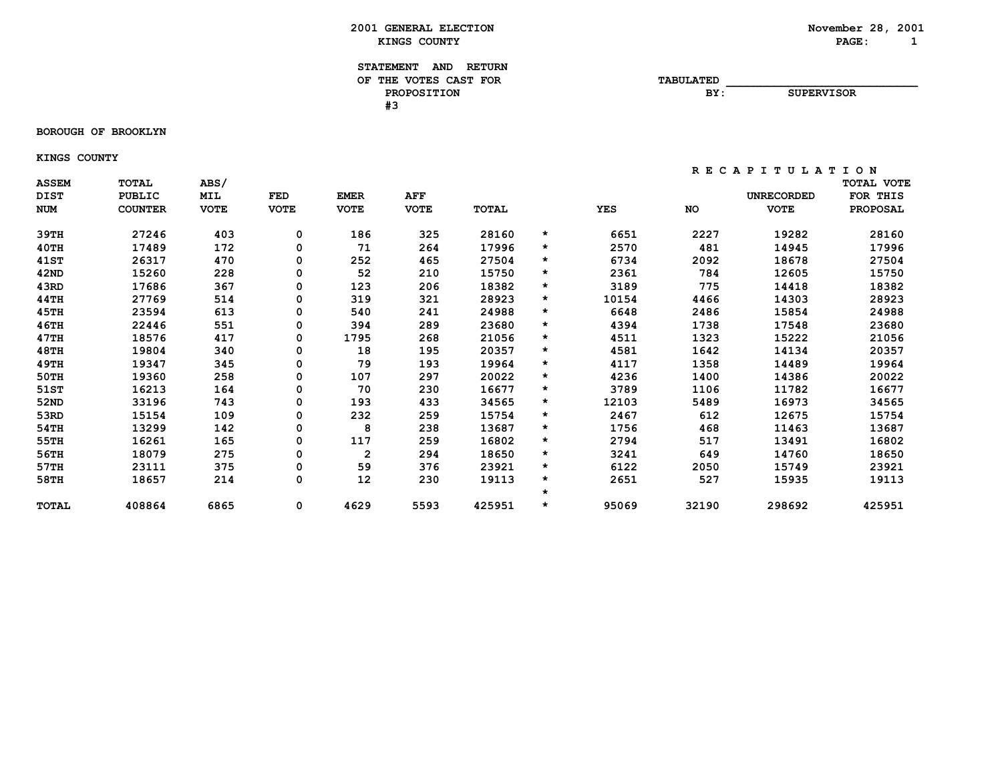**BOROUGH OF BROOKLYN**

 **KINGS COUNTY**

| <b>ASSEM</b><br><b>DIST</b> | <b>TOTAL</b><br><b>PUBLIC</b> | ABS/<br><b>MIL</b> | <b>FED</b>  | <b>EMER</b>    | AFF         |        |         |            |           | <b>UNRECORDED</b> | TOTAL VOTE<br>FOR THIS |
|-----------------------------|-------------------------------|--------------------|-------------|----------------|-------------|--------|---------|------------|-----------|-------------------|------------------------|
| <b>NUM</b>                  | <b>COUNTER</b>                | <b>VOTE</b>        | <b>VOTE</b> | <b>VOTE</b>    | <b>VOTE</b> | TOTAL  |         | <b>YES</b> | <b>NO</b> | <b>VOTE</b>       | <b>PROPOSAL</b>        |
| 39тн                        | 27246                         | 403                | 0           | 186            | 325         | 28160  | $\star$ | 6651       | 2227      | 19282             | 28160                  |
| $40$ TH                     | 17489                         | 172                | 0           | 71             | 264         | 17996  | $\star$ | 2570       | 481       | 14945             | 17996                  |
| 41ST                        | 26317                         | 470                | 0           | 252            | 465         | 27504  | $\star$ | 6734       | 2092      | 18678             | 27504                  |
| 42ND                        | 15260                         | 228                | 0           | 52             | 210         | 15750  | $\star$ | 2361       | 784       | 12605             | 15750                  |
| 43RD                        | 17686                         | 367                | 0           | 123            | 206         | 18382  | $\star$ | 3189       | 775       | 14418             | 18382                  |
| 44TH                        | 27769                         | 514                | 0           | 319            | 321         | 28923  | $\star$ | 10154      | 4466      | 14303             | 28923                  |
| 45TH                        | 23594                         | 613                | 0           | 540            | 241         | 24988  | $\star$ | 6648       | 2486      | 15854             | 24988                  |
| 46TH                        | 22446                         | 551                | 0           | 394            | 289         | 23680  | $\star$ | 4394       | 1738      | 17548             | 23680                  |
| 47TH                        | 18576                         | 417                | 0           | 1795           | 268         | 21056  | $\star$ | 4511       | 1323      | 15222             | 21056                  |
| 48TH                        | 19804                         | 340                | 0           | 18             | 195         | 20357  | $\star$ | 4581       | 1642      | 14134             | 20357                  |
| 49TH                        | 19347                         | 345                | 0           | 79             | 193         | 19964  | $\star$ | 4117       | 1358      | 14489             | 19964                  |
| 50TH                        | 19360                         | 258                | 0           | 107            | 297         | 20022  | $\star$ | 4236       | 1400      | 14386             | 20022                  |
| 51ST                        | 16213                         | 164                | 0           | 70             | 230         | 16677  | $\star$ | 3789       | 1106      | 11782             | 16677                  |
| 52ND                        | 33196                         | 743                | 0           | 193            | 433         | 34565  | $\star$ | 12103      | 5489      | 16973             | 34565                  |
| 53RD                        | 15154                         | 109                | 0           | 232            | 259         | 15754  | $\star$ | 2467       | 612       | 12675             | 15754                  |
| 54TH                        | 13299                         | 142                | 0           | 8              | 238         | 13687  | $\star$ | 1756       | 468       | 11463             | 13687                  |
| 55TH                        | 16261                         | 165                | 0           | 117            | 259         | 16802  | $\star$ | 2794       | 517       | 13491             | 16802                  |
| 56TH                        | 18079                         | 275                | 0           | $\overline{2}$ | 294         | 18650  | $\star$ | 3241       | 649       | 14760             | 18650                  |
| 57TH                        | 23111                         | 375                | 0           | 59             | 376         | 23921  | $\star$ | 6122       | 2050      | 15749             | 23921                  |
| 58TH                        | 18657                         | 214                | 0           | 12             | 230         | 19113  | $\star$ | 2651       | 527       | 15935             | 19113                  |
|                             |                               |                    |             |                |             |        | $\star$ |            |           |                   |                        |
| <b>TOTAL</b>                | 408864                        | 6865               | 0           | 4629           | 5593        | 425951 | $\star$ | 95069      | 32190     | 298692            | 425951                 |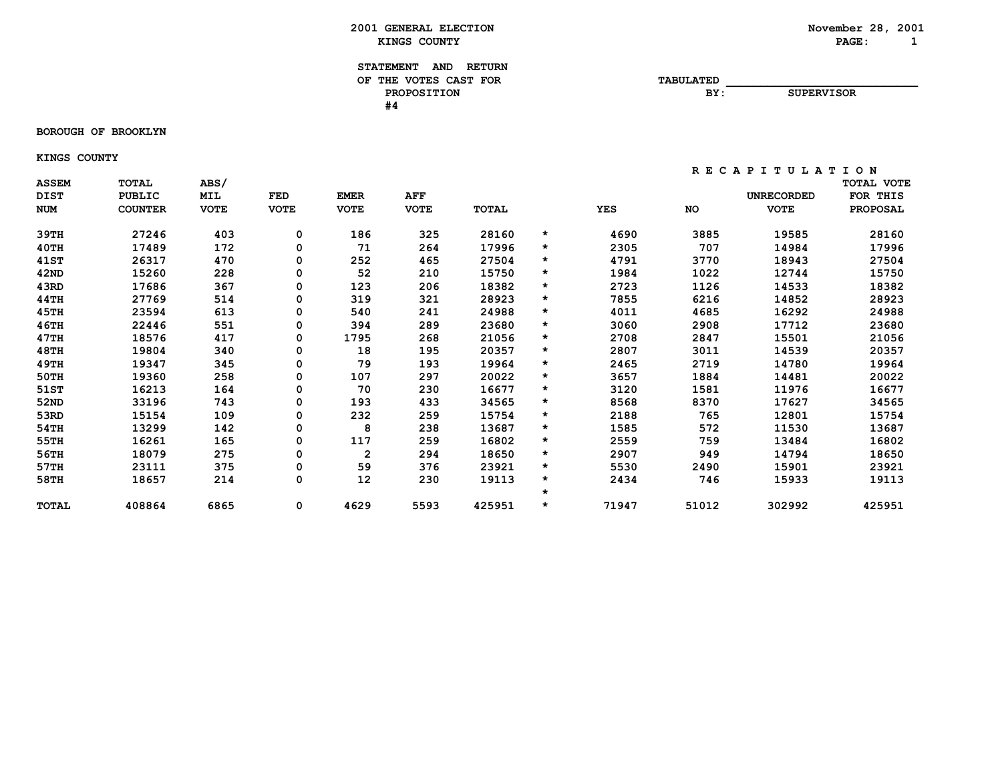**BOROUGH OF BROOKLYN**

 **KINGS COUNTY**

 **R E C A P I T U L A T I O N**

**SUPERVISOR** 

| <b>ASSEM</b><br><b>DIST</b> | <b>TOTAL</b><br><b>PUBLIC</b> | ABS/<br>MIL | <b>FED</b>  | <b>EMER</b>  | AFF         |        |         |            |           | <b>UNRECORDED</b> | TOTAL VOTE<br><b>FOR</b><br>THIS |
|-----------------------------|-------------------------------|-------------|-------------|--------------|-------------|--------|---------|------------|-----------|-------------------|----------------------------------|
| <b>NUM</b>                  | <b>COUNTER</b>                | <b>VOTE</b> | <b>VOTE</b> | <b>VOTE</b>  | <b>VOTE</b> | TOTAL  |         | <b>YES</b> | <b>NO</b> | <b>VOTE</b>       | <b>PROPOSAL</b>                  |
| 39TH                        | 27246                         | 403         | 0           | 186          | 325         | 28160  | $\star$ | 4690       | 3885      | 19585             | 28160                            |
| 40TH                        | 17489                         | 172         | 0           | 71           | 264         | 17996  | $\star$ | 2305       | 707       | 14984             | 17996                            |
| 41ST                        | 26317                         | 470         | 0           | 252          | 465         | 27504  | $\star$ | 4791       | 3770      | 18943             | 27504                            |
| 42ND                        | 15260                         | 228         | 0           | 52           | 210         | 15750  | $\star$ | 1984       | 1022      | 12744             | 15750                            |
| 43RD                        | 17686                         | 367         | 0           | 123          | 206         | 18382  | $\star$ | 2723       | 1126      | 14533             | 18382                            |
| 44TH                        | 27769                         | 514         | 0           | 319          | 321         | 28923  | $\star$ | 7855       | 6216      | 14852             | 28923                            |
| 45TH                        | 23594                         | 613         | 0           | 540          | 241         | 24988  | *       | 4011       | 4685      | 16292             | 24988                            |
| 46TH                        | 22446                         | 551         | 0           | 394          | 289         | 23680  | *       | 3060       | 2908      | 17712             | 23680                            |
| 47TH                        | 18576                         | 417         | 0           | 1795         | 268         | 21056  | $\star$ | 2708       | 2847      | 15501             | 21056                            |
| 48TH                        | 19804                         | 340         | 0           | 18           | 195         | 20357  | $\star$ | 2807       | 3011      | 14539             | 20357                            |
| 49TH                        | 19347                         | 345         | 0           | 79           | 193         | 19964  | $\star$ | 2465       | 2719      | 14780             | 19964                            |
| 50TH                        | 19360                         | 258         | 0           | 107          | 297         | 20022  | *       | 3657       | 1884      | 14481             | 20022                            |
| 51ST                        | 16213                         | 164         | 0           | 70           | 230         | 16677  | *       | 3120       | 1581      | 11976             | 16677                            |
| 52ND                        | 33196                         | 743         | 0           | 193          | 433         | 34565  | $\star$ | 8568       | 8370      | 17627             | 34565                            |
| 53RD                        | 15154                         | 109         | 0           | 232          | 259         | 15754  | $\star$ | 2188       | 765       | 12801             | 15754                            |
| 54TH                        | 13299                         | 142         | 0           | 8            | 238         | 13687  | *       | 1585       | 572       | 11530             | 13687                            |
| 55TH                        | 16261                         | 165         | 0           | 117          | 259         | 16802  | $\star$ | 2559       | 759       | 13484             | 16802                            |
| 56TH                        | 18079                         | 275         | 0           | $\mathbf{2}$ | 294         | 18650  | *       | 2907       | 949       | 14794             | 18650                            |
| 57TH                        | 23111                         | 375         | 0           | 59           | 376         | 23921  | $\star$ | 5530       | 2490      | 15901             | 23921                            |
| 58TH                        | 18657                         | 214         | 0           | 12           | 230         | 19113  | *       | 2434       | 746       | 15933             | 19113                            |
|                             |                               |             |             |              |             |        | $\star$ |            |           |                   |                                  |
| <b>TOTAL</b>                | 408864                        | 6865        | 0           | 4629         | 5593        | 425951 | *       | 71947      | 51012     | 302992            | 425951                           |
|                             |                               |             |             |              |             |        |         |            |           |                   |                                  |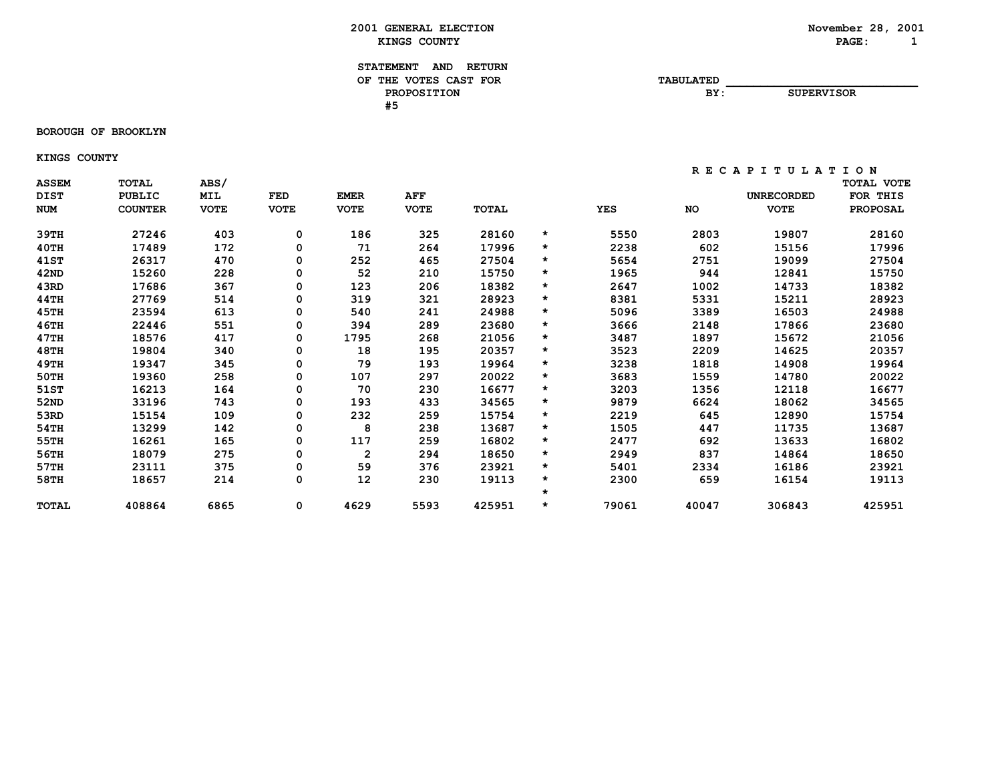**BOROUGH OF BROOKLYN**

 **KINGS COUNTY**

| <b>ASSEM</b><br><b>DIST</b><br><b>NUM</b> | <b>TOTAL</b><br><b>PUBLIC</b><br><b>COUNTER</b> | ABS/<br>MIL<br><b>VOTE</b> | <b>FED</b><br><b>VOTE</b> | <b>EMER</b><br><b>VOTE</b> | AFF<br><b>VOTE</b> | TOTAL  |         | <b>YES</b> | NO    | <b>UNRECORDED</b><br><b>VOTE</b> | <b>TOTAL VOTE</b><br>FOR THIS<br><b>PROPOSAL</b> |
|-------------------------------------------|-------------------------------------------------|----------------------------|---------------------------|----------------------------|--------------------|--------|---------|------------|-------|----------------------------------|--------------------------------------------------|
|                                           |                                                 |                            |                           |                            |                    |        |         |            |       |                                  |                                                  |
| 39TH                                      | 27246                                           | 403                        | 0                         | 186                        | 325                | 28160  | *       | 5550       | 2803  | 19807                            | 28160                                            |
| $40$ TH                                   | 17489                                           | 172                        | 0                         | 71                         | 264                | 17996  | $\star$ | 2238       | 602   | 15156                            | 17996                                            |
| <b>41ST</b>                               | 26317                                           | 470                        | 0                         | 252                        | 465                | 27504  | *       | 5654       | 2751  | 19099                            | 27504                                            |
| 42ND                                      | 15260                                           | 228                        | 0                         | 52                         | 210                | 15750  | $\star$ | 1965       | 944   | 12841                            | 15750                                            |
| 43RD                                      | 17686                                           | 367                        | 0                         | 123                        | 206                | 18382  | *       | 2647       | 1002  | 14733                            | 18382                                            |
| 44TH                                      | 27769                                           | 514                        | 0                         | 319                        | 321                | 28923  | *       | 8381       | 5331  | 15211                            | 28923                                            |
| 45TH                                      | 23594                                           | 613                        | 0                         | 540                        | 241                | 24988  | $\star$ | 5096       | 3389  | 16503                            | 24988                                            |
| 46TH                                      | 22446                                           | 551                        | 0                         | 394                        | 289                | 23680  | $\star$ | 3666       | 2148  | 17866                            | 23680                                            |
| 47TH                                      | 18576                                           | 417                        | 0                         | 1795                       | 268                | 21056  | *       | 3487       | 1897  | 15672                            | 21056                                            |
| 48TH                                      | 19804                                           | 340                        | 0                         | 18                         | 195                | 20357  | *       | 3523       | 2209  | 14625                            | 20357                                            |
| 49TH                                      | 19347                                           | 345                        | 0                         | 79                         | 193                | 19964  | *       | 3238       | 1818  | 14908                            | 19964                                            |
| 50TH                                      | 19360                                           | 258                        | 0                         | 107                        | 297                | 20022  | *       | 3683       | 1559  | 14780                            | 20022                                            |
| 51ST                                      | 16213                                           | 164                        | 0                         | 70                         | 230                | 16677  | *       | 3203       | 1356  | 12118                            | 16677                                            |
| 52ND                                      | 33196                                           | 743                        | 0                         | 193                        | 433                | 34565  | *       | 9879       | 6624  | 18062                            | 34565                                            |
| 53RD                                      | 15154                                           | 109                        | 0                         | 232                        | 259                | 15754  | $\star$ | 2219       | 645   | 12890                            | 15754                                            |
| 54TH                                      | 13299                                           | 142                        | 0                         | 8                          | 238                | 13687  | $\star$ | 1505       | 447   | 11735                            | 13687                                            |
| 55TH                                      | 16261                                           | 165                        | 0                         | 117                        | 259                | 16802  | *       | 2477       | 692   | 13633                            | 16802                                            |
| 56TH                                      | 18079                                           | 275                        | 0                         | $\mathbf{2}$               | 294                | 18650  | *       | 2949       | 837   | 14864                            | 18650                                            |
| 57TH                                      | 23111                                           | 375                        | 0                         | 59                         | 376                | 23921  | *       | 5401       | 2334  | 16186                            | 23921                                            |
| 58TH                                      | 18657                                           | 214                        | 0                         | 12                         | 230                | 19113  | $\star$ | 2300       | 659   | 16154                            | 19113                                            |
|                                           |                                                 |                            |                           |                            |                    |        | $\star$ |            |       |                                  |                                                  |
| <b>TOTAL</b>                              | 408864                                          | 6865                       | 0                         | 4629                       | 5593               | 425951 | $\star$ | 79061      | 40047 | 306843                           | 425951                                           |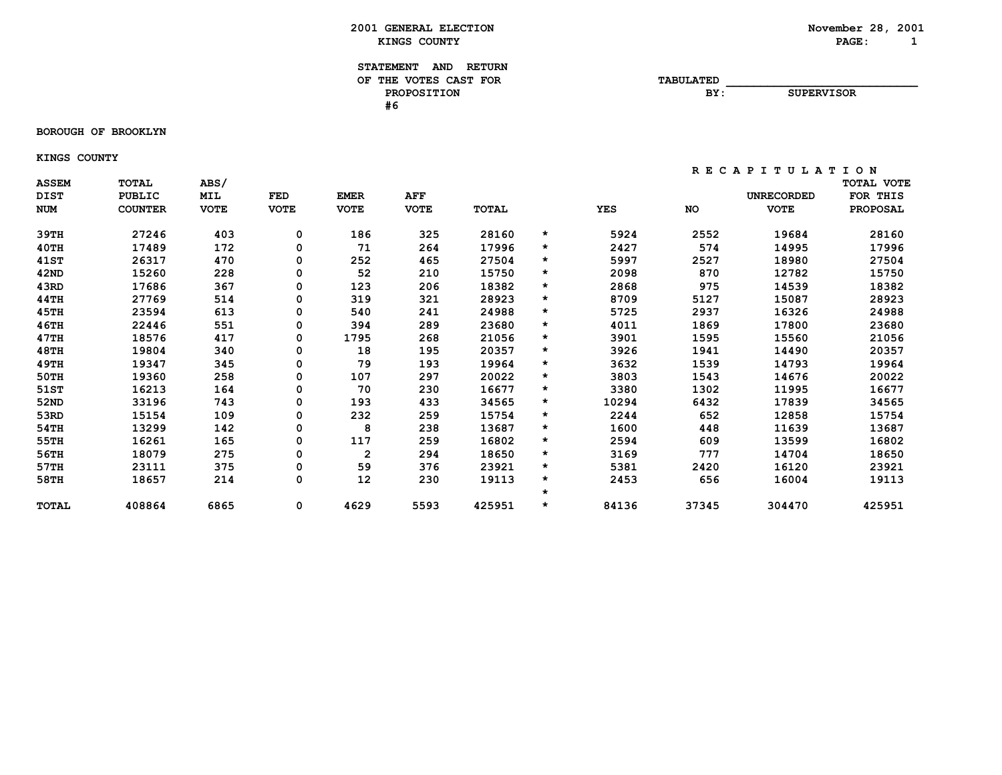**BOROUGH OF BROOKLYN**

 **KINGS COUNTY**

| <b>ASSEM</b><br><b>DIST</b> | <b>TOTAL</b><br><b>PUBLIC</b> | ABS/<br>MIL | <b>FED</b>  | <b>EMER</b>  | AFF         |        |         |            |       | <b>UNRECORDED</b> | <b>TOTAL VOTE</b><br>FOR THIS |
|-----------------------------|-------------------------------|-------------|-------------|--------------|-------------|--------|---------|------------|-------|-------------------|-------------------------------|
| <b>NUM</b>                  | <b>COUNTER</b>                | <b>VOTE</b> | <b>VOTE</b> | <b>VOTE</b>  | <b>VOTE</b> | TOTAL  |         | <b>YES</b> | NO    | <b>VOTE</b>       | <b>PROPOSAL</b>               |
| 39TH                        | 27246                         | 403         | 0           | 186          | 325         | 28160  | *       | 5924       | 2552  | 19684             | 28160                         |
| 40TH                        | 17489                         | 172         | 0           | 71           | 264         | 17996  | $\star$ | 2427       | 574   | 14995             | 17996                         |
| <b>41ST</b>                 | 26317                         | 470         | 0           | 252          | 465         | 27504  | *       | 5997       | 2527  | 18980             | 27504                         |
| 42ND                        | 15260                         | 228         | 0           | 52           | 210         | 15750  | $\star$ | 2098       | 870   | 12782             | 15750                         |
| 43RD                        | 17686                         | 367         | 0           | 123          | 206         | 18382  | *       | 2868       | 975   | 14539             | 18382                         |
| 44TH                        | 27769                         | 514         | 0           | 319          | 321         | 28923  | *       | 8709       | 5127  | 15087             | 28923                         |
| 45TH                        | 23594                         | 613         | 0           | 540          | 241         | 24988  | $\star$ | 5725       | 2937  | 16326             | 24988                         |
| 46TH                        | 22446                         | 551         | 0           | 394          | 289         | 23680  | $\star$ | 4011       | 1869  | 17800             | 23680                         |
| 47TH                        | 18576                         | 417         | 0           | 1795         | 268         | 21056  | *       | 3901       | 1595  | 15560             | 21056                         |
| 48TH                        | 19804                         | 340         | 0           | 18           | 195         | 20357  | *       | 3926       | 1941  | 14490             | 20357                         |
| 49TH                        | 19347                         | 345         | 0           | 79           | 193         | 19964  | *       | 3632       | 1539  | 14793             | 19964                         |
| 50TH                        | 19360                         | 258         | 0           | 107          | 297         | 20022  | $\star$ | 3803       | 1543  | 14676             | 20022                         |
| 51ST                        | 16213                         | 164         | 0           | 70           | 230         | 16677  | *       | 3380       | 1302  | 11995             | 16677                         |
| 52ND                        | 33196                         | 743         | 0           | 193          | 433         | 34565  | *       | 10294      | 6432  | 17839             | 34565                         |
| 53RD                        | 15154                         | 109         | 0           | 232          | 259         | 15754  | $\star$ | 2244       | 652   | 12858             | 15754                         |
| 54TH                        | 13299                         | 142         | 0           | 8            | 238         | 13687  | $\star$ | 1600       | 448   | 11639             | 13687                         |
| 55TH                        | 16261                         | 165         | 0           | 117          | 259         | 16802  | $\star$ | 2594       | 609   | 13599             | 16802                         |
| 56TH                        | 18079                         | 275         | 0           | $\mathbf{2}$ | 294         | 18650  | *       | 3169       | 777   | 14704             | 18650                         |
| 57TH                        | 23111                         | 375         | 0           | 59           | 376         | 23921  | *       | 5381       | 2420  | 16120             | 23921                         |
| 58TH                        | 18657                         | 214         | 0           | 12           | 230         | 19113  | $\star$ | 2453       | 656   | 16004             | 19113                         |
|                             |                               |             |             |              |             |        | $\star$ |            |       |                   |                               |
| <b>TOTAL</b>                | 408864                        | 6865        | 0           | 4629         | 5593        | 425951 | $\star$ | 84136      | 37345 | 304470            | 425951                        |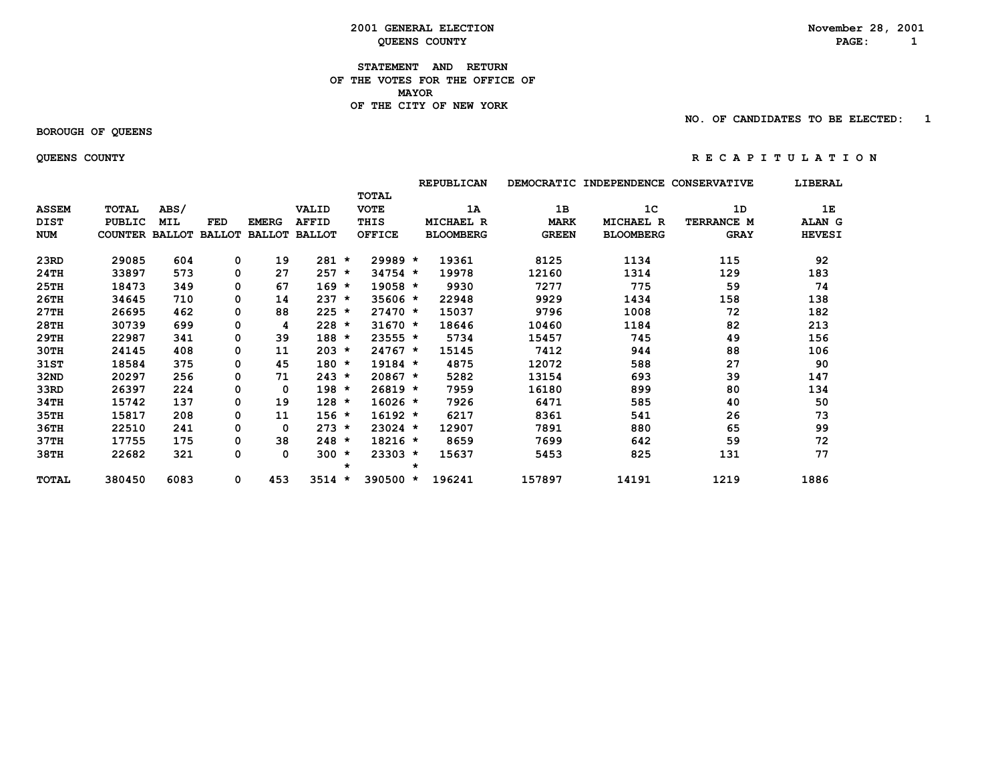#### **2001 GENERAL ELECTION November 28, 2001 COUNTY Example 2 DEENS COUNTY PAGE:**  $1$

 **STATEMENT AND RETURN OF THE VOTES FOR THE OFFICE OF MAYOR OF THE CITY OF NEW YORK**

 **NO. OF CANDIDATES TO BE ELECTED: 1**

#### **BOROUGH OF QUEENS**

#### **QUEENS COUNTY R E C A P I T U L A T I O N**

# **REPUBLICAN DEMOCRATIC INDEPENDENCE CONSERVATIVE LIBERAL TOTAL ASSEM TOTAL ABS/ VALID VOTE 1A 1B 1C 1D 1E DIST PUBLIC MIL FED EMERG AFFID THIS MICHAEL R MARK MICHAEL R TERRANCE M ALAN G NUM COUNTER BALLOT BALLOT BALLOT BALLOT OFFICE BLOOMBERG GREEN BLOOMBERG GRAY HEVESI 23RD 29085 604 0 19 281 \* 29989 \* 19361 8125 1134 115 92 24TH 33897 573 0 27 257 \* 34754 \* 19978 12160 1314 129 183 25TH 18473 349 0 67 169 \* 19058 \* 9930 7277 775 59 74 26TH 34645 710 0 14 237 \* 35606 \* 22948 9929 1434 158 138 27TH 26695 462 0 88 225 \* 27470 \* 15037 9796 1008 72 182 28TH 30739 699 0 4 228 \* 31670 \* 18646 10460 1184 82 213 29TH 22987 341 0 39 188 \* 23555 \* 5734 15457 745 49 156 30TH 24145 408 0 11 203 \* 24767 \* 15145 7412 944 88 106 31ST 18584 375 0 45 180 \* 19184 \* 4875 12072 588 27 90 32ND 20297 256 0 71 243 \* 20867 \* 5282 13154 693 39 147 33RD 26397 224 0 0 198 \* 26819 \* 7959 16180 899 80 134 34TH 15742 137 0 19 128 \* 16026 \* 7926 6471 585 40 50 35TH 15817 208 0 11 156 \* 16192 \* 6217 8361 541 26 73 36TH 22510 241 0 0 273 \* 23024 \* 12907 7891 880 65 99 37TH 17755 175 0 38 248 \* 18216 \* 8659 7699 642 59 72 38TH 22682 321 0 0 300 \* 23303 \* 15637 5453 825 131 77 \* \* TOTAL 380450 6083 0 453 3514 \* 390500 \* 196241 157897 14191 1219 1886**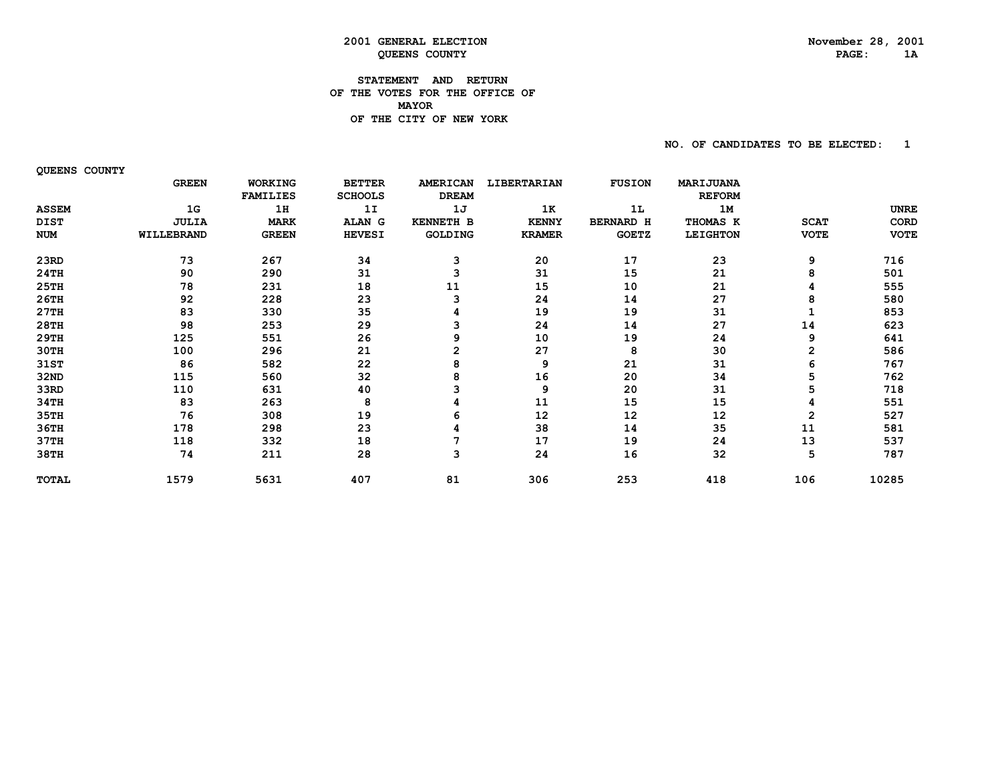#### **STATEMENT AND RETURN OF THE VOTES FOR THE OFFICE OF MAYORDE THE CITY OF NEW YORK**

 **NO. OF CANDIDATES TO BE ELECTED: 1**

 **QUEENS COUNTY**

|              | <b>GREEN</b> | WORKING         | <b>BETTER</b>  | <b>AMERICAN</b>  | LIBERTARIAN   | <b>FUSION</b>    | <b>MARIJUANA</b> |             |             |
|--------------|--------------|-----------------|----------------|------------------|---------------|------------------|------------------|-------------|-------------|
|              |              | <b>FAMILIES</b> | <b>SCHOOLS</b> | <b>DREAM</b>     |               |                  | <b>REFORM</b>    |             |             |
| <b>ASSEM</b> | 1G           | 1H              | 1I             | 1J               | 1K            | 1L               | 1M               |             | <b>UNRE</b> |
| DIST         | <b>JULIA</b> | <b>MARK</b>     | ALAN G         | <b>KENNETH B</b> | <b>KENNY</b>  | <b>BERNARD H</b> | THOMAS K         | <b>SCAT</b> | CORD        |
| <b>NUM</b>   | WILLEBRAND   | <b>GREEN</b>    | <b>HEVESI</b>  | GOLDING          | <b>KRAMER</b> | <b>GOETZ</b>     | <b>LEIGHTON</b>  | <b>VOTE</b> | <b>VOTE</b> |
| 23RD         | 73           | 267             | 34             | 3                | 20            | 17               | 23               | 9           | 716         |
| 24TH         | 90           | 290             | 31             |                  | 31            | 15               | 21               | 8           | 501         |
| 25TH         | 78           | 231             | 18             | 11               | 15            | 10               | 21               |             | 555         |
| 26TH         | 92           | 228             | 23             | з                | 24            | 14               | 27               | 8           | 580         |
| 27TH         | 83           | 330             | 35             |                  | 19            | 19               | 31               |             | 853         |
| 28TH         | 98           | 253             | 29             |                  | 24            | 14               | 27               | 14          | 623         |
| 29TH         | 125          | 551             | 26             | 9                | 10            | 19               | 24               | 9           | 641         |
| 30TH         | 100          | 296             | 21             | $\mathbf{2}$     | 27            | 8                | 30               | 2           | 586         |
| 31ST         | 86           | 582             | 22             | 8                | 9             | 21               | 31               | 6           | 767         |
| 32ND         | 115          | 560             | 32             | 8                | 16            | 20               | 34               | 5           | 762         |
| 33RD         | 110          | 631             | 40             |                  | 9             | 20               | 31               | 5           | 718         |
| 34TH         | 83           | 263             | 8              |                  | 11            | 15               | 15               |             | 551         |
| 35TH         | 76           | 308             | 19             |                  | 12            | 12               | 12               | 2           | 527         |
| 36TH         | 178          | 298             | 23             |                  | 38            | 14               | 35               | 11          | 581         |
| 37TH         | 118          | 332             | 18             |                  | 17            | 19               | 24               | 13          | 537         |
| 38TH         | 74           | 211             | 28             | 3                | 24            | 16               | 32               | 5           | 787         |
| <b>TOTAL</b> | 1579         | 5631            | 407            | 81               | 306           | 253              | 418              | 106         | 10285       |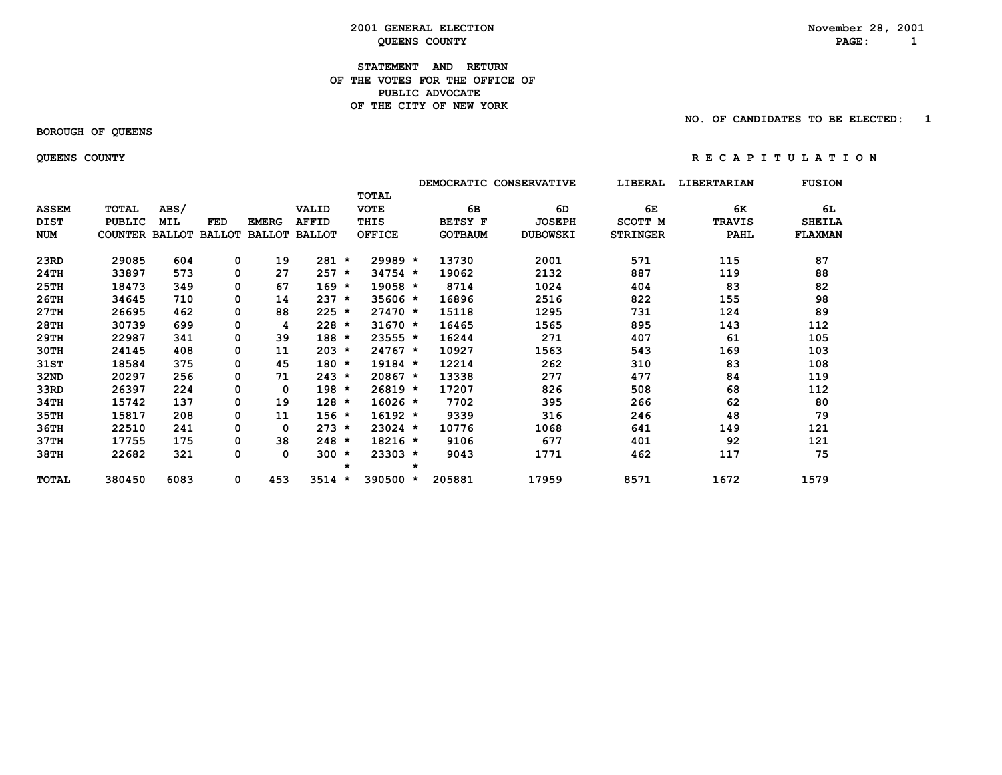# **2001 GENERAL ELECTION November 28, 2001 COUNTY Example 2 DEENS COUNTY PAGE:**  $1$

#### **STATEMENT AND RETURN OF THE VOTES FOR THE OFFICE OFPUBLIC ADVOCATE OF THE CITY OF NEW YORK**

 **BOROUGH OF QUEENS**

 **NO. OF CANDIDATES TO BE ELECTED: 1**

 **QUEENS COUNTY R E C A P I T U L A T I O N**

|              |                       |            |            |              |                      |         |               |         | DEMOCRATIC CONSERVATIVE |                 | LIBERAL         | LIBERTARIAN   | <b>FUSION</b>  |
|--------------|-----------------------|------------|------------|--------------|----------------------|---------|---------------|---------|-------------------------|-----------------|-----------------|---------------|----------------|
|              |                       |            |            |              |                      |         | <b>TOTAL</b>  |         |                         |                 |                 |               |                |
| <b>ASSEM</b> | TOTAL                 | ABS/       |            |              | <b>VALID</b>         |         | <b>VOTE</b>   |         | 6B                      | 6D              | 6E              | 6K            | 6L             |
| <b>DIST</b>  | <b>PUBLIC</b>         | <b>MIL</b> | <b>FED</b> | <b>EMERG</b> | <b>AFFID</b>         |         | THIS          |         | <b>BETSY F</b>          | <b>JOSEPH</b>   | SCOTT M         | <b>TRAVIS</b> | <b>SHEILA</b>  |
| <b>NUM</b>   | COUNTER BALLOT BALLOT |            |            |              | <b>BALLOT BALLOT</b> |         | <b>OFFICE</b> |         | <b>GOTBAUM</b>          | <b>DUBOWSKI</b> | <b>STRINGER</b> | <b>PAHL</b>   | <b>FLAXMAN</b> |
| 23RD         | 29085                 | 604        | 0          | 19           | $281 *$              |         | $29989 *$     |         | 13730                   | 2001            | 571             | 115           | 87             |
| 24TH         | 33897                 | 573        | 0          | 27           | $257 *$              |         | $34754 *$     |         | 19062                   | 2132            | 887             | 119           | 88             |
| 25TH         | 18473                 | 349        | 0          | 67           | $169 *$              |         | $19058 *$     |         | 8714                    | 1024            | 404             | 83            | 82             |
| 26TH         | 34645                 | 710        | 0          | 14           | $237 *$              |         | $35606 *$     |         | 16896                   | 2516            | 822             | 155           | 98             |
| 27TH         | 26695                 | 462        | 0          | 88           | $225 *$              |         | $27470 *$     |         | 15118                   | 1295            | 731             | 124           | 89             |
| 28TH         | 30739                 | 699        | 0          | 4            | $228 *$              |         | $31670 *$     |         | 16465                   | 1565            | 895             | 143           | 112            |
| 29TH         | 22987                 | 341        | 0          | 39           | $188 *$              |         | 23555 *       |         | 16244                   | 271             | 407             | 61            | 105            |
| 30TH         | 24145                 | 408        | 0          | 11           | $203 *$              |         | $24767 *$     |         | 10927                   | 1563            | 543             | 169           | 103            |
| 31ST         | 18584                 | 375        | 0          | 45           | $180 *$              |         | $19184 *$     |         | 12214                   | 262             | 310             | 83            | 108            |
| 32ND         | 20297                 | 256        | 0          | 71           | $243 *$              |         | $20867$ *     |         | 13338                   | 277             | 477             | 84            | 119            |
| 33RD         | 26397                 | 224        | 0          | $\mathbf 0$  | $198 *$              |         | $26819 *$     |         | 17207                   | 826             | 508             | 68            | 112            |
| 34TH         | 15742                 | 137        | 0          | 19           | $128 *$              |         | $16026 *$     |         | 7702                    | 395             | 266             | 62            | 80             |
| 35TH         | 15817                 | 208        | 0          | 11           | $156 *$              |         | $16192 *$     |         | 9339                    | 316             | 246             | 48            | 79             |
| 36TH         | 22510                 | 241        | 0          | 0            | $273 *$              |         | $23024$ *     |         | 10776                   | 1068            | 641             | 149           | 121            |
| 37TH         | 17755                 | 175        | 0          | 38           | $248 *$              |         | $18216 *$     |         | 9106                    | 677             | 401             | 92            | 121            |
| 38TH         | 22682                 | 321        | 0          | 0            | $300 *$              |         | $23303 *$     |         | 9043                    | 1771            | 462             | 117           | 75             |
|              |                       |            |            |              |                      | $\star$ |               | $\star$ |                         |                 |                 |               |                |
| <b>TOTAL</b> | 380450                | 6083       | 0          | 453          | $3514 *$             |         | $390500 *$    |         | 205881                  | 17959           | 8571            | 1672          | 1579           |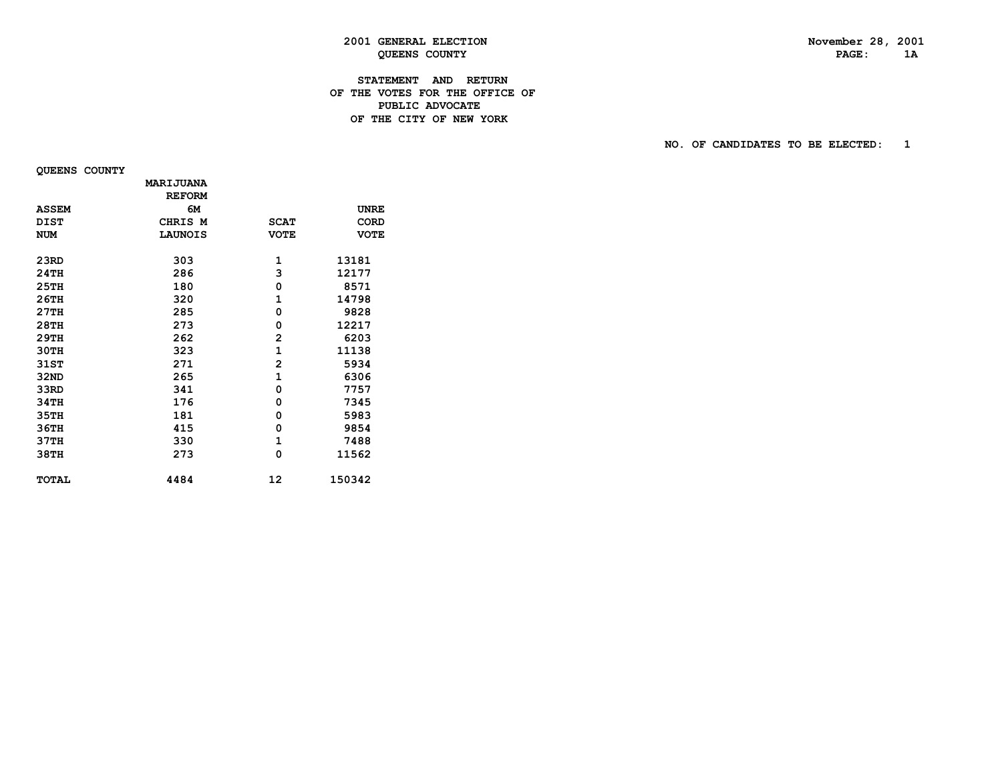# **STATEMENT AND RETURN OF THE VOTES FOR THE OFFICE OF PUBLIC ADVOCATEDE THE CITY OF NEW YORK**

**NO. OF CANDIDATES TO BE ELECTED:** 1

 **QUEENS COUNTY**

|              | <b>MARIJUANA</b> |                |             |
|--------------|------------------|----------------|-------------|
|              | <b>REFORM</b>    |                |             |
| <b>ASSEM</b> | 6м               |                | <b>UNRE</b> |
| <b>DIST</b>  | CHRIS M          | <b>SCAT</b>    | <b>CORD</b> |
| <b>NUM</b>   | <b>LAUNOIS</b>   | <b>VOTE</b>    | <b>VOTE</b> |
|              |                  |                |             |
| 23RD         | 303              | 1              | 13181       |
| 24TH         | 286              | 3              | 12177       |
| 25TH         | 180              | 0              | 8571        |
| 26TH         | 320              | 1              | 14798       |
| 27TH         | 285              | 0              | 9828        |
| 28TH         | 273              | 0              | 12217       |
| 29TH         | 262              | 2              | 6203        |
| 30TH         | 323              | $\mathbf{1}$   | 11138       |
| 31ST         | 271              | $\overline{2}$ | 5934        |
| 32ND         | 265              | $\mathbf{1}$   | 6306        |
| 33RD         | 341              | 0              | 7757        |
| 34TH         | 176              | 0              | 7345        |
| 35TH         | 181              | 0              | 5983        |
| 36TH         | 415              | 0              | 9854        |
| 37TH         | 330              | $\mathbf{1}$   | 7488        |
| 38TH         | 273              | 0              | 11562       |
| <b>TOTAL</b> | 4484             | 12             | 150342      |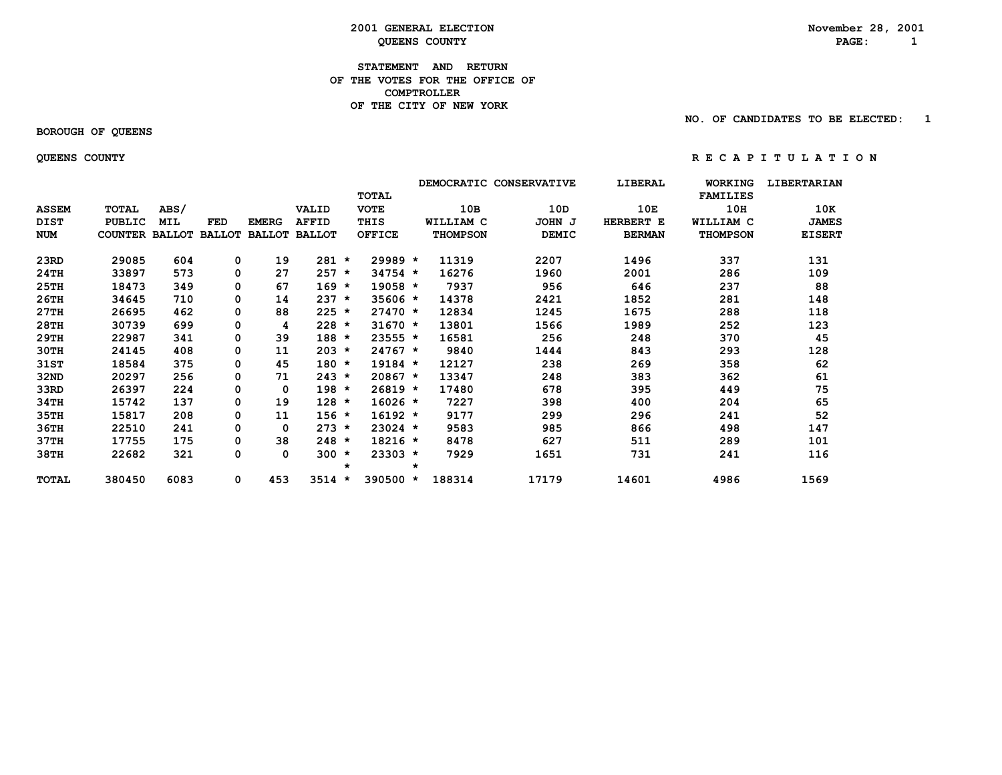# **2001 GENERAL ELECTION November 28, 2001 COUNTY Example 2 DEENS COUNTY PAGE:**  $1$

#### **STATEMENT AND RETURN OF THE VOTES FOR THE OFFICE OF COMPTROLLER OF THE CITY OF NEW YORK**

 **BOROUGH OF QUEENS**

 **NO. OF CANDIDATES TO BE ELECTED: 1**

 **QUEENS COUNTY R E C A P I T U L A T I O N**

|              |                       |            |            |              |                      |         |               |         |                 | DEMOCRATIC CONSERVATIVE | LIBERAL       | <b>WORKING</b>  | <b>LIBERTARIAN</b> |
|--------------|-----------------------|------------|------------|--------------|----------------------|---------|---------------|---------|-----------------|-------------------------|---------------|-----------------|--------------------|
|              |                       |            |            |              |                      |         | <b>TOTAL</b>  |         |                 |                         |               | <b>FAMILIES</b> |                    |
| <b>ASSEM</b> | <b>TOTAL</b>          | ABS/       |            |              | <b>VALID</b>         |         | <b>VOTE</b>   |         | 10B             | 10D                     | 10E           | 10H             | 10K                |
| <b>DIST</b>  | <b>PUBLIC</b>         | <b>MIL</b> | <b>FED</b> | <b>EMERG</b> | <b>AFFID</b>         |         | THIS          |         | WILLIAM C       | JOHN J                  | HERBERT E     | WILLIAM C       | <b>JAMES</b>       |
| NUM          | COUNTER BALLOT BALLOT |            |            |              | <b>BALLOT BALLOT</b> |         | <b>OFFICE</b> |         | <b>THOMPSON</b> | <b>DEMIC</b>            | <b>BERMAN</b> | <b>THOMPSON</b> | <b>EISERT</b>      |
| 23RD         | 29085                 | 604        | 0          | 19           | $281 *$              |         | $29989*$      |         | 11319           | 2207                    | 1496          | 337             | 131                |
| 24TH         | 33897                 | 573        | 0          | 27           | $257 *$              |         | $34754 *$     |         | 16276           | 1960                    | 2001          | 286             | 109                |
| 25TH         | 18473                 | 349        | 0          | 67           | $169 *$              |         | $19058 *$     |         | 7937            | 956                     | 646           | 237             | 88                 |
| 26TH         | 34645                 | 710        | 0          | 14           | $237 *$              |         | $35606 *$     |         | 14378           | 2421                    | 1852          | 281             | 148                |
| 27TH         | 26695                 | 462        | 0          | 88           | $225 *$              |         | $27470 *$     |         | 12834           | 1245                    | 1675          | 288             | 118                |
| 28TH         | 30739                 | 699        | 0          | 4            | $228 *$              |         | $31670 *$     |         | 13801           | 1566                    | 1989          | 252             | 123                |
| 29TH         | 22987                 | 341        | 0          | 39           | $188 *$              |         | 23555 *       |         | 16581           | 256                     | 248           | 370             | 45                 |
| 30TH         | 24145                 | 408        | 0          | 11           | $203 *$              |         | $24767 *$     |         | 9840            | 1444                    | 843           | 293             | 128                |
| 31ST         | 18584                 | 375        | 0          | 45           | $180 *$              |         | $19184 *$     |         | 12127           | 238                     | 269           | 358             | 62                 |
| 32ND         | 20297                 | 256        | 0          | 71           | $243 *$              |         | $20867 *$     |         | 13347           | 248                     | 383           | 362             | 61                 |
| 33RD         | 26397                 | 224        | 0          | 0            | $198 *$              |         | $26819 *$     |         | 17480           | 678                     | 395           | 449             | 75                 |
| 34TH         | 15742                 | 137        | 0          | 19           | $128 *$              |         | $16026 *$     |         | 7227            | 398                     | 400           | 204             | 65                 |
| 35TH         | 15817                 | 208        | 0          | 11           | $156 *$              |         | $16192 *$     |         | 9177            | 299                     | 296           | 241             | 52                 |
| 36TH         | 22510                 | 241        | 0          | 0            | $273 *$              |         | 23024 *       |         | 9583            | 985                     | 866           | 498             | 147                |
| 37TH         | 17755                 | 175        | 0          | 38           | $248 *$              |         | $18216 *$     |         | 8478            | 627                     | 511           | 289             | 101                |
| 38TH         | 22682                 | 321        | 0          | 0            | $300 *$              | $\star$ | $23303 *$     | $\star$ | 7929            | 1651                    | 731           | 241             | 116                |
| <b>TOTAL</b> | 380450                | 6083       | 0          | 453          | $3514 *$             |         | 390500 *      |         | 188314          | 17179                   | 14601         | 4986            | 1569               |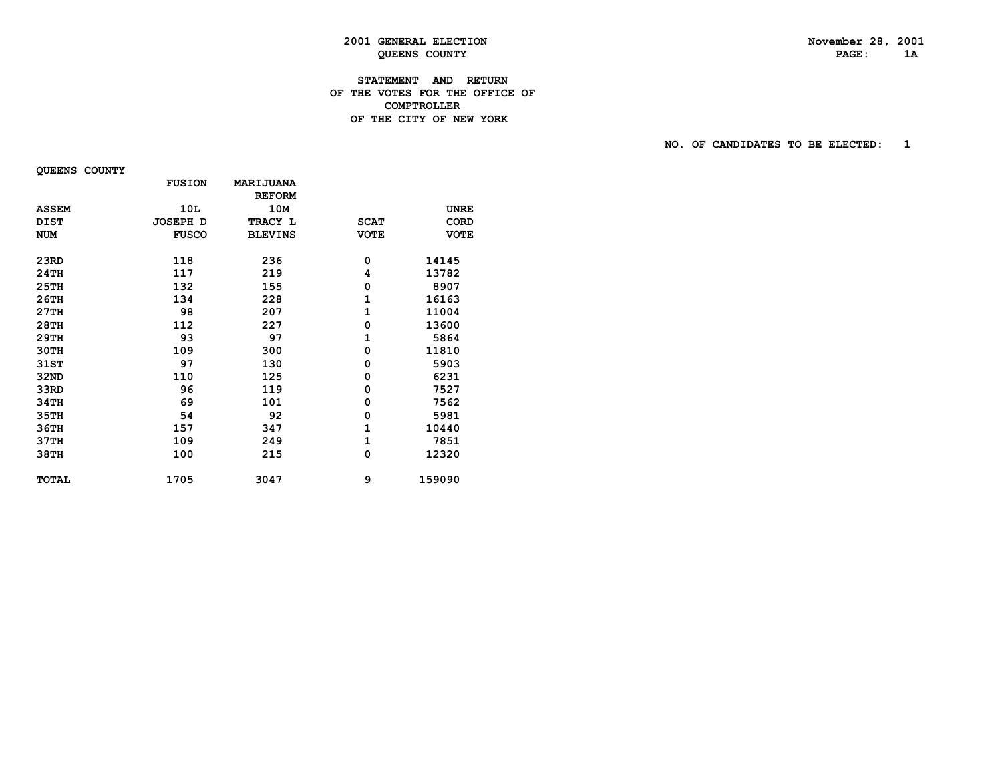# **STATEMENT AND RETURN OF THE VOTES FOR THE OFFICE OF COMPTROLLERDE THE CITY OF NEW YORK**

**NO. OF CANDIDATES TO BE ELECTED:** 1

 **QUEENS COUNTY**

|              | <b>FUSION</b>   | <b>MARIJUANA</b> |             |             |
|--------------|-----------------|------------------|-------------|-------------|
|              |                 | <b>REFORM</b>    |             |             |
| <b>ASSEM</b> | 10L             | 10M              |             | <b>UNRE</b> |
| <b>DIST</b>  | <b>JOSEPH D</b> | TRACY L          | <b>SCAT</b> | <b>CORD</b> |
| <b>NUM</b>   | <b>FUSCO</b>    | <b>BLEVINS</b>   | <b>VOTE</b> | <b>VOTE</b> |
| 23RD         | 118             | 236              | 0           | 14145       |
| 24TH         | 117             | 219              | 4           | 13782       |
| 25TH         | 132             | 155              | 0           | 8907        |
| 26TH         | 134             | 228              | 1           | 16163       |
| 27TH         | 98              | 207              | 1           | 11004       |
| 28TH         | 112             | 227              | 0           | 13600       |
| 29TH         | 93              | 97               | 1           | 5864        |
| 30TH         | 109             | 300              | 0           | 11810       |
| 31ST         | 97              | 130              | 0           | 5903        |
| 32ND         | 110             | 125              | 0           | 6231        |
| 33RD         | 96              | 119              | 0           | 7527        |
| 34TH         | 69              | 101              | 0           | 7562        |
| 35TH         | 54              | 92               | 0           | 5981        |
| 36TH         | 157             | 347              | 1           | 10440       |
| 37TH         | 109             | 249              | 1           | 7851        |
| 38TH         | 100             | 215              | 0           | 12320       |
| <b>TOTAL</b> | 1705            | 3047             | 9           | 159090      |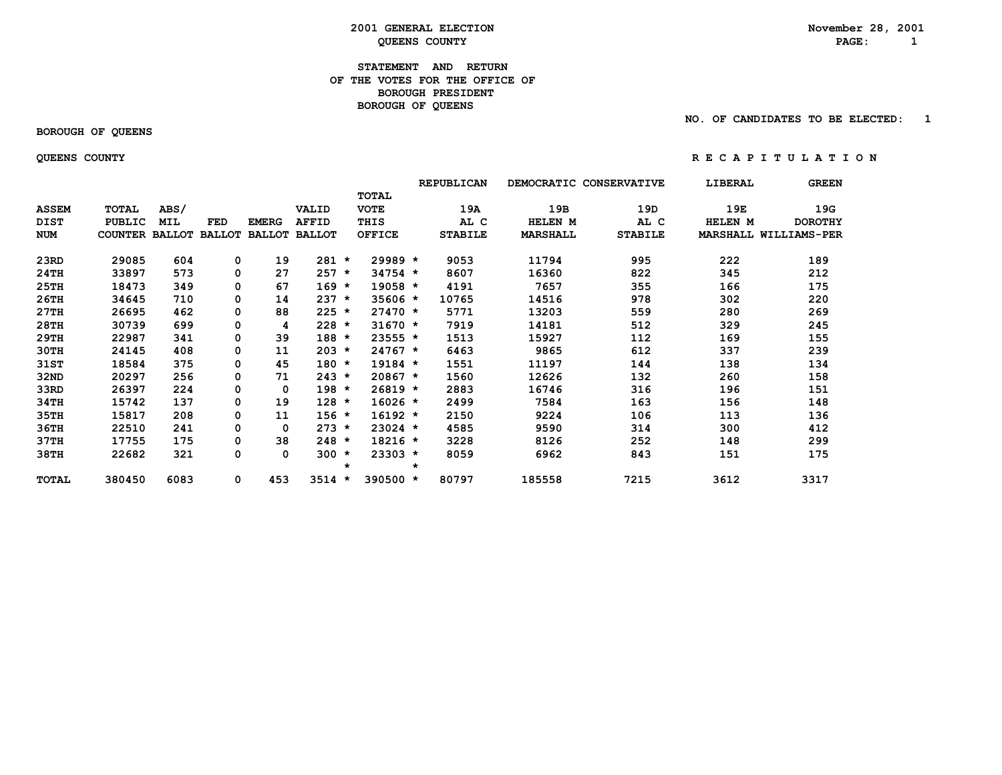# **2001 GENERAL ELECTION November 28, 2001 COUNTY Example 2 DEENS COUNTY PAGE:**  $1$

## **STATEMENT AND RETURN OF THE VOTES FOR THE OFFICE OFBOROUGH PRESIDENT BOROUGH OF QUEENS**

## **BOROUGH OF QUEENS**

 **NO. OF CANDIDATES TO BE ELECTED: 1**

## **QUEENS COUNTY R E C A P I T U L A T I O N**

|              |                |            |               |              |                      |         |               |         | REPUBLICAN     | <b>DEMOCRATIC</b> | <b>CONSERVATIVE</b> | LIBERAL | <b>GREEN</b>                 |
|--------------|----------------|------------|---------------|--------------|----------------------|---------|---------------|---------|----------------|-------------------|---------------------|---------|------------------------------|
|              |                |            |               |              |                      |         | <b>TOTAL</b>  |         |                |                   |                     |         |                              |
| <b>ASSEM</b> | TOTAL          | ABS/       |               |              | VALID                |         | <b>VOTE</b>   |         | 19A            | 19B               | 19D                 | 19E     | 19G                          |
| <b>DIST</b>  | <b>PUBLIC</b>  | <b>MIL</b> | <b>FED</b>    | <b>EMERG</b> | <b>AFFID</b>         |         | THIS          |         | AL C           | HELEN M           | AL C                | HELEN M | <b>DOROTHY</b>               |
| <b>NUM</b>   | COUNTER BALLOT |            | <b>BALLOT</b> |              | <b>BALLOT BALLOT</b> |         | <b>OFFICE</b> |         | <b>STABILE</b> | <b>MARSHALL</b>   | <b>STABILE</b>      |         | <b>MARSHALL WILLIAMS-PER</b> |
| 23RD         | 29085          | 604        | 0             | 19           | $281 *$              |         | $29989*$      |         | 9053           | 11794             | 995                 | 222     | 189                          |
| 24TH         | 33897          | 573        | 0             | 27           | $257 *$              |         | $34754$ *     |         | 8607           | 16360             | 822                 | 345     | 212                          |
| 25TH         | 18473          | 349        | 0             | 67           | $169 *$              |         | $19058 *$     |         | 4191           | 7657              | 355                 | 166     | 175                          |
| 26TH         | 34645          | 710        | 0             | 14           | $237 *$              |         | $35606 *$     |         | 10765          | 14516             | 978                 | 302     | 220                          |
| 27TH         | 26695          | 462        | 0             | 88           | $225 *$              |         | $27470 *$     |         | 5771           | 13203             | 559                 | 280     | 269                          |
| 28TH         | 30739          | 699        | 0             | 4            | $228 *$              |         | $31670 *$     |         | 7919           | 14181             | 512                 | 329     | 245                          |
| 29TH         | 22987          | 341        | 0             | 39           | $188 *$              |         | 23555 *       |         | 1513           | 15927             | 112                 | 169     | 155                          |
| 30TH         | 24145          | 408        | 0             | 11           | $203 *$              |         | $24767 *$     |         | 6463           | 9865              | 612                 | 337     | 239                          |
| 31ST         | 18584          | 375        | 0             | 45           | $180 *$              |         | $19184 *$     |         | 1551           | 11197             | 144                 | 138     | 134                          |
| 32ND         | 20297          | 256        | 0             | 71           | $243 *$              |         | $20867 *$     |         | 1560           | 12626             | 132                 | 260     | 158                          |
| 33RD         | 26397          | 224        | 0             | $\Omega$     | $198 *$              |         | $26819 *$     |         | 2883           | 16746             | 316                 | 196     | 151                          |
| 34TH         | 15742          | 137        | 0             | 19           | $128 *$              |         | $16026 *$     |         | 2499           | 7584              | 163                 | 156     | 148                          |
| 35TH         | 15817          | 208        | 0             | 11           | $156 *$              |         | $16192 *$     |         | 2150           | 9224              | 106                 | 113     | 136                          |
| 36TH         | 22510          | 241        | 0             | 0            | $273 *$              |         | $23024$ *     |         | 4585           | 9590              | 314                 | 300     | 412                          |
| 37TH         | 17755          | 175        | 0             | 38           | $248 *$              |         | $18216 *$     |         | 3228           | 8126              | 252                 | 148     | 299                          |
| 38TH         | 22682          | 321        | 0             | 0            | $300 *$              |         | $23303 *$     |         | 8059           | 6962              | 843                 | 151     | 175                          |
|              |                |            |               |              |                      | $\star$ |               | $\star$ |                |                   |                     |         |                              |
| <b>TOTAL</b> | 380450         | 6083       | 0             | 453          | $3514 *$             |         | 390500 *      |         | 80797          | 185558            | 7215                | 3612    | 3317                         |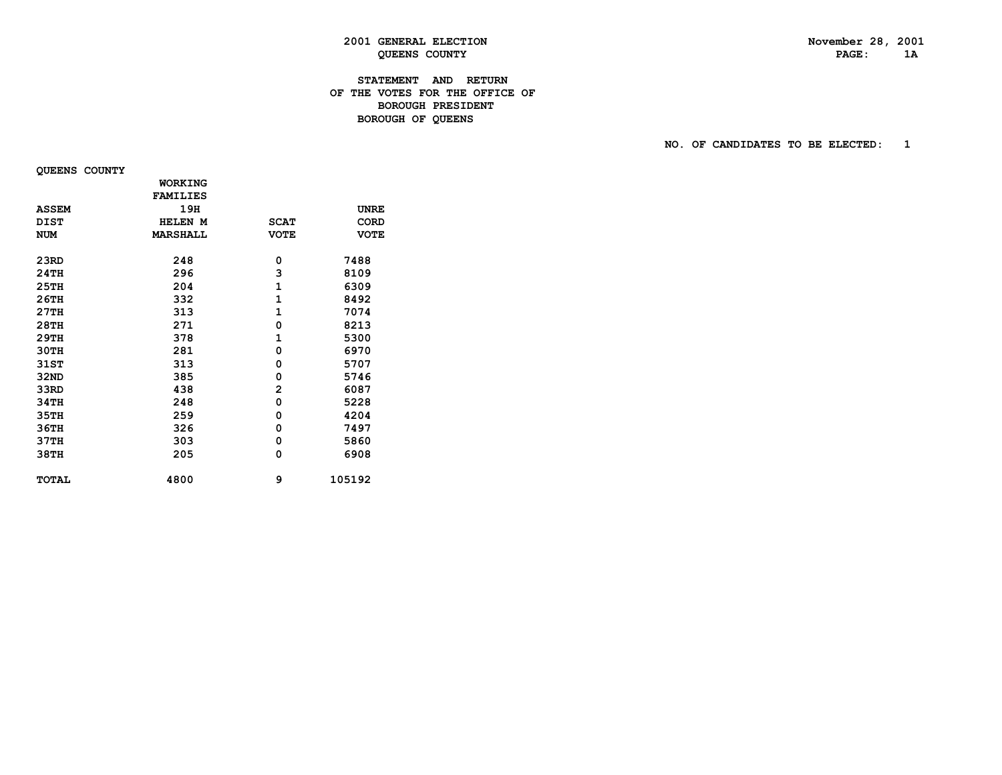# **STATEMENT AND RETURN OF THE VOTES FOR THE OFFICE OF BOROUGH PRESIDENT BOROUGH OF QUEENS**

 **NO. OF CANDIDATES TO BE ELECTED: 1**

 **QUEENS COUNTY**

|              | <b>WORKING</b>  |                |             |
|--------------|-----------------|----------------|-------------|
|              | <b>FAMILIES</b> |                |             |
| <b>ASSEM</b> | 19H             |                | <b>UNRE</b> |
| <b>DIST</b>  | HELEN M         | <b>SCAT</b>    | <b>CORD</b> |
| <b>NUM</b>   | <b>MARSHALL</b> | <b>VOTE</b>    | <b>VOTE</b> |
|              |                 |                |             |
| 23RD         | 248             | 0              | 7488        |
| 24TH         | 296             | 3              | 8109        |
| 25TH         | 204             | $\mathbf{1}$   | 6309        |
| 26TH         | 332             | 1              | 8492        |
| 27TH         | 313             | $\mathbf{1}$   | 7074        |
| 28TH         | 271             | 0              | 8213        |
| 29TH         | 378             | 1              | 5300        |
| <b>30TH</b>  | 281             | 0              | 6970        |
| 31ST         | 313             | 0              | 5707        |
| 32ND         | 385             | 0              | 5746        |
| 33RD         | 438             | $\overline{2}$ | 6087        |
| 34TH         | 248             | 0              | 5228        |
| 35TH         | 259             | 0              | 4204        |
| 36TH         | 326             | 0              | 7497        |
| 37TH         | 303             | 0              | 5860        |
| 38TH         | 205             | 0              | 6908        |
|              |                 |                |             |
| <b>TOTAL</b> | 4800            | 9              | 105192      |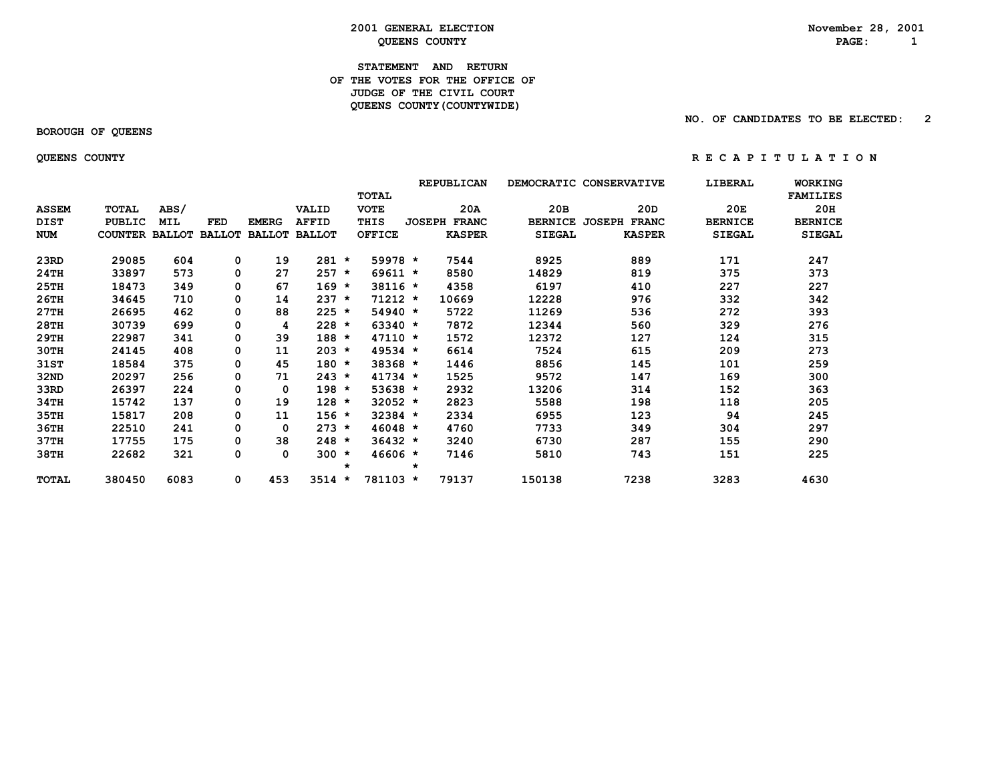#### **STATEMENT AND RETURN OF THE VOTES FOR THE OFFICE OF** *JUDGE OF THE CIVIL COURT*  **QUEENS COUNTY(COUNTYWIDE)**

 **BOROUGH OF QUEENS**

 **NO. OF CANDIDATES TO BE ELECTED: 2**

 **QUEENS COUNTY R E C A P I T U L A T I O N**

|              |                       |            |               |               |               |         | <b>TOTAL</b>  |         | <b>REPUBLICAN</b>   | DEMOCRATIC CONSERVATIVE |                               | LIBERAL        | WORKING<br><b>FAMILIES</b> |
|--------------|-----------------------|------------|---------------|---------------|---------------|---------|---------------|---------|---------------------|-------------------------|-------------------------------|----------------|----------------------------|
| <b>ASSEM</b> | TOTAL                 | ABS/       |               |               | VALID         |         | <b>VOTE</b>   |         | 20A                 | 20B                     | 20D                           | 20E            | 20H                        |
| DIST         | PUBLIC                | <b>MIL</b> | <b>FED</b>    | <b>EMERG</b>  | <b>AFFID</b>  |         | THIS          |         | <b>JOSEPH FRANC</b> | <b>BERNICE</b>          | <b>JOSEPH</b><br><b>FRANC</b> | <b>BERNICE</b> | <b>BERNICE</b>             |
| NUM          | <b>COUNTER BALLOT</b> |            | <b>BALLOT</b> | <b>BALLOT</b> | <b>BALLOT</b> |         | <b>OFFICE</b> |         | <b>KASPER</b>       | <b>SIEGAL</b>           | <b>KASPER</b>                 | <b>SIEGAL</b>  | <b>SIEGAL</b>              |
| 23RD         | 29085                 | 604        | 0             | 19            | $281 *$       |         | 59978 *       |         | 7544                | 8925                    | 889                           | 171            | 247                        |
| 24TH         | 33897                 | 573        | 0             | 27            | $257 *$       |         | $69611 *$     |         | 8580                | 14829                   | 819                           | 375            | 373                        |
| 25TH         | 18473                 | 349        | 0             | 67            | $169 *$       |         | 38116 *       |         | 4358                | 6197                    | 410                           | 227            | 227                        |
| 26TH         | 34645                 | 710        | 0             | 14            | $237 *$       |         | $71212 *$     |         | 10669               | 12228                   | 976                           | 332            | 342                        |
| 27TH         | 26695                 | 462        | 0             | 88            | $225 *$       |         | $54940 *$     |         | 5722                | 11269                   | 536                           | 272            | 393                        |
| 28TH         | 30739                 | 699        | 0             | 4             | $228 *$       |         | $63340 *$     |         | 7872                | 12344                   | 560                           | 329            | 276                        |
| 29TH         | 22987                 | 341        | 0             | 39            | $188 *$       |         | $47110 *$     |         | 1572                | 12372                   | 127                           | 124            | 315                        |
| 30TH         | 24145                 | 408        | 0             | 11            | $203 *$       |         | $49534 *$     |         | 6614                | 7524                    | 615                           | 209            | 273                        |
| 31ST         | 18584                 | 375        | 0             | 45            | $180 *$       |         | 38368 *       |         | 1446                | 8856                    | 145                           | 101            | 259                        |
| 32ND         | 20297                 | 256        | 0             | 71            | $243 *$       |         | $41734 *$     |         | 1525                | 9572                    | 147                           | 169            | 300                        |
| 33RD         | 26397                 | 224        | 0             | 0             | $198 *$       |         | $53638 *$     |         | 2932                | 13206                   | 314                           | 152            | 363                        |
| 34TH         | 15742                 | 137        | 0             | 19            | $128 *$       |         | $32052 *$     |         | 2823                | 5588                    | 198                           | 118            | 205                        |
| 35TH         | 15817                 | 208        | 0             | 11            | $156 *$       |         | $32384$ *     |         | 2334                | 6955                    | 123                           | 94             | 245                        |
| 36TH         | 22510                 | 241        | 0             | 0             | $273 *$       |         | $46048 *$     |         | 4760                | 7733                    | 349                           | 304            | 297                        |
| 37TH         | 17755                 | 175        | 0             | 38            | $248 *$       |         | $36432 *$     |         | 3240                | 6730                    | 287                           | 155            | 290                        |
| 38TH         | 22682                 | 321        | 0             | 0             | $300 *$       | $\star$ | $46606 *$     | $\star$ | 7146                | 5810                    | 743                           | 151            | 225                        |
| TOTAL        | 380450                | 6083       | 0             | 453           | 3514          | $\star$ | 781103 *      |         | 79137               | 150138                  | 7238                          | 3283           | 4630                       |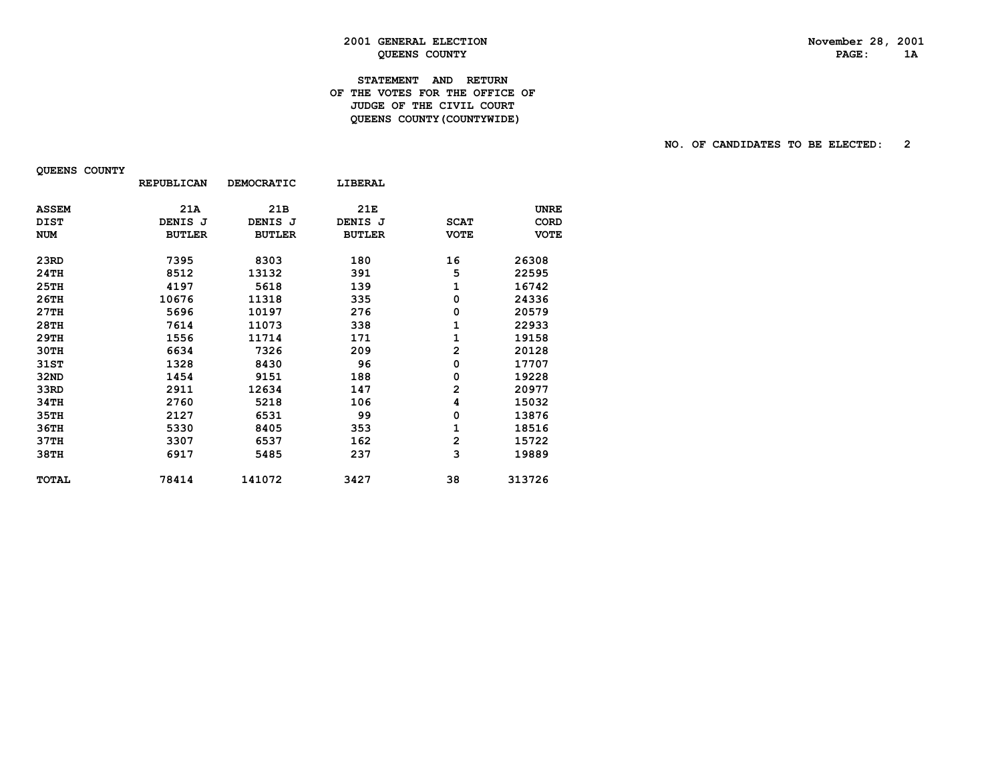# **2001 GENERAL ELECTION** November 28, 2001<br> **RAGE:** 1A **QUEENS COUNTY**

# **STATEMENT AND RETURN OF THE VOTES FOR THE OFFICE OF JUDGE OF THE CIVIL COURT QUEENS COUNTY(COUNTYWIDE)**

#### **NO. OF CANDIDATES TO BE ELECTED: 2**

|              | <b>REPUBLICAN</b> | <b>DEMOCRATIC</b> | LIBERAL       |                |             |
|--------------|-------------------|-------------------|---------------|----------------|-------------|
| <b>ASSEM</b> | 21A               | 21 <sub>B</sub>   | 21E           |                | <b>UNRE</b> |
| <b>DIST</b>  | DENIS J           | DENIS J           | DENIS J       | <b>SCAT</b>    | <b>CORD</b> |
| <b>NUM</b>   | <b>BUTLER</b>     | <b>BUTLER</b>     | <b>BUTLER</b> | <b>VOTE</b>    | <b>VOTE</b> |
| 23RD         | 7395              | 8303              | 180           | 16             | 26308       |
| 24TH         | 8512              | 13132             | 391           | 5              | 22595       |
| 25TH         | 4197              | 5618              | 139           | 1              | 16742       |
| 26TH         | 10676             | 11318             | 335           | 0              | 24336       |
| 27TH         | 5696              | 10197             | 276           | 0              | 20579       |
| 28TH         | 7614              | 11073             | 338           | 1              | 22933       |
| 29TH         | 1556              | 11714             | 171           | 1              | 19158       |
| 30TH         | 6634              | 7326              | 209           | $\overline{2}$ | 20128       |
| 31ST         | 1328              | 8430              | 96            | 0              | 17707       |
| 32ND         | 1454              | 9151              | 188           | 0              | 19228       |
| 33RD         | 2911              | 12634             | 147           | 2              | 20977       |
| 34TH         | 2760              | 5218              | 106           | 4              | 15032       |
| 35TH         | 2127              | 6531              | 99            | 0              | 13876       |
| 36TH         | 5330              | 8405              | 353           | 1              | 18516       |
| 37TH         | 3307              | 6537              | 162           | $\overline{2}$ | 15722       |
| 38TH         | 6917              | 5485              | 237           | 3              | 19889       |
| <b>TOTAL</b> | 78414             | 141072            | 3427          | 38             | 313726      |

 **QUEENS COUNTY**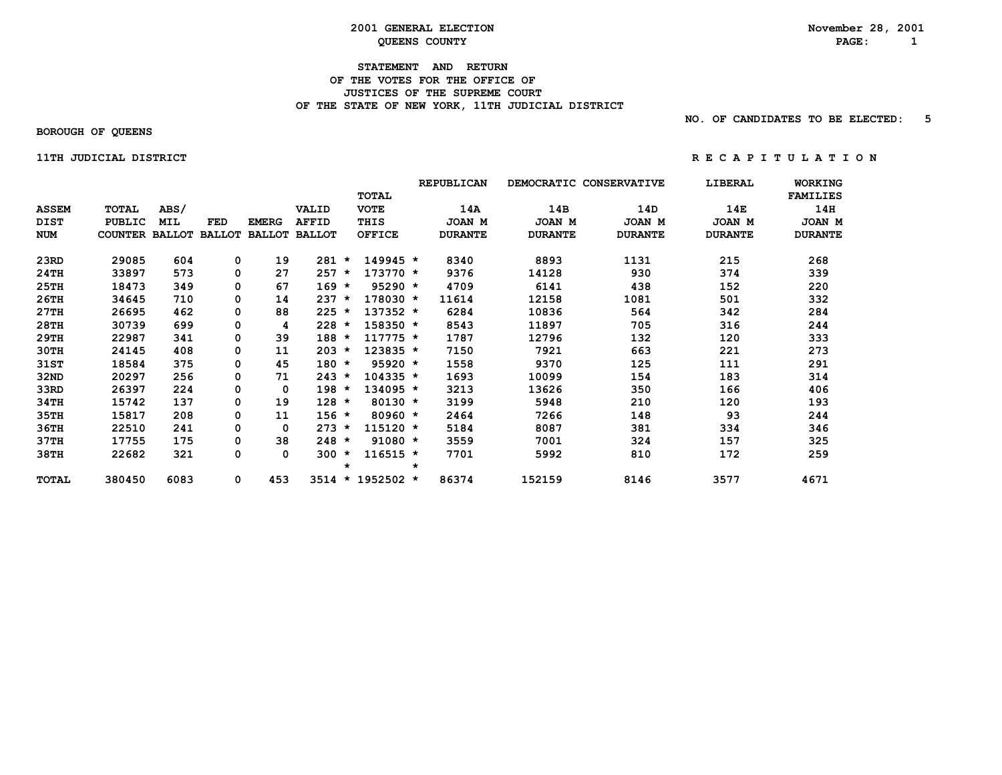#### **STATEMENT AND RETURN OF THE VOTES FOR THE OFFICE OF JUSTICES OF THE SUPREME COURT**OF THE STATE OF NEW YORK, 11TH JUDICIAL DISTRICT

 **NO. OF CANDIDATES TO BE ELECTED: 5**

 **BOROUGH OF QUEENS**

 **11TH JUDICIAL DISTRICT 11TH 11TH RECAPITULATION** 

|              |                       |      |               |               |               |         |               |         | REPUBLICAN     | DEMOCRATIC CONSERVATIVE |                | LIBERAL        | <b>WORKING</b>  |
|--------------|-----------------------|------|---------------|---------------|---------------|---------|---------------|---------|----------------|-------------------------|----------------|----------------|-----------------|
|              |                       |      |               |               |               |         | <b>TOTAL</b>  |         |                |                         |                |                | <b>FAMILIES</b> |
| <b>ASSEM</b> | TOTAL                 | ABS/ |               |               | VALID         |         | <b>VOTE</b>   |         | 14A            | 14B                     | 14D            | 14E            | 14H             |
| DIST         | <b>PUBLIC</b>         | MIL  | FED           | <b>EMERG</b>  | <b>AFFID</b>  |         | THIS          |         | JOAN M         | JOAN M                  | JOAN M         | JOAN M         | JOAN M          |
| <b>NUM</b>   | <b>COUNTER BALLOT</b> |      | <b>BALLOT</b> | <b>BALLOT</b> | <b>BALLOT</b> |         | <b>OFFICE</b> |         | <b>DURANTE</b> | <b>DURANTE</b>          | <b>DURANTE</b> | <b>DURANTE</b> | <b>DURANTE</b>  |
| 23RD         | 29085                 | 604  | 0             | 19            | 281           | $\star$ | 149945 *      |         | 8340           | 8893                    | 1131           | 215            | 268             |
| 24TH         | 33897                 | 573  | 0             | 27            | 257           | $\star$ | $173770 *$    |         | 9376           | 14128                   | 930            | 374            | 339             |
| 25TH         | 18473                 | 349  | 0             | 67            | $169 *$       |         | $95290 *$     |         | 4709           | 6141                    | 438            | 152            | 220             |
| 26TH         | 34645                 | 710  | 0             | 14            | 237           | $\star$ | $178030 *$    |         | 11614          | 12158                   | 1081           | 501            | 332             |
| 27TH         | 26695                 | 462  | 0             | 88            | $225 *$       |         | $137352 *$    |         | 6284           | 10836                   | 564            | 342            | 284             |
| 28TH         | 30739                 | 699  | 0             | 4             | $228 *$       |         | 158350 *      |         | 8543           | 11897                   | 705            | 316            | 244             |
| 29TH         | 22987                 | 341  | 0             | 39            | $188 *$       |         | $117775 *$    |         | 1787           | 12796                   | 132            | 120            | 333             |
| 30TH         | 24145                 | 408  | 0             | 11            | $203 *$       |         | 123835 *      |         | 7150           | 7921                    | 663            | 221            | 273             |
| 31ST         | 18584                 | 375  | 0             | 45            | $180 *$       |         | $95920 *$     |         | 1558           | 9370                    | 125            | 111            | 291             |
| 32ND         | 20297                 | 256  | 0             | 71            | $243 *$       |         | $104335 *$    |         | 1693           | 10099                   | 154            | 183            | 314             |
| 33RD         | 26397                 | 224  | 0             | 0             | $198 *$       |         | $134095 *$    |         | 3213           | 13626                   | 350            | 166            | 406             |
| 34TH         | 15742                 | 137  | 0             | 19            | $128 *$       |         | $80130 *$     |         | 3199           | 5948                    | 210            | 120            | 193             |
| 35TH         | 15817                 | 208  | 0             | 11            | $156 *$       |         | $80960 *$     |         | 2464           | 7266                    | 148            | 93             | 244             |
| 36TH         | 22510                 | 241  | 0             | 0             | $273 *$       |         | $115120 *$    |         | 5184           | 8087                    | 381            | 334            | 346             |
| 37TH         | 17755                 | 175  | 0             | 38            | $248 *$       |         | $91080 *$     |         | 3559           | 7001                    | 324            | 157            | 325             |
| 38TH         | 22682                 | 321  | 0             | 0             | $300 *$       |         | $116515 *$    |         | 7701           | 5992                    | 810            | 172            | 259             |
|              |                       |      |               |               |               | $\star$ |               | $\star$ |                |                         |                |                |                 |
| <b>TOTAL</b> | 380450                | 6083 | 0             | 453           | 3514          | $\star$ | 1952502 *     |         | 86374          | 152159                  | 8146           | 3577           | 4671            |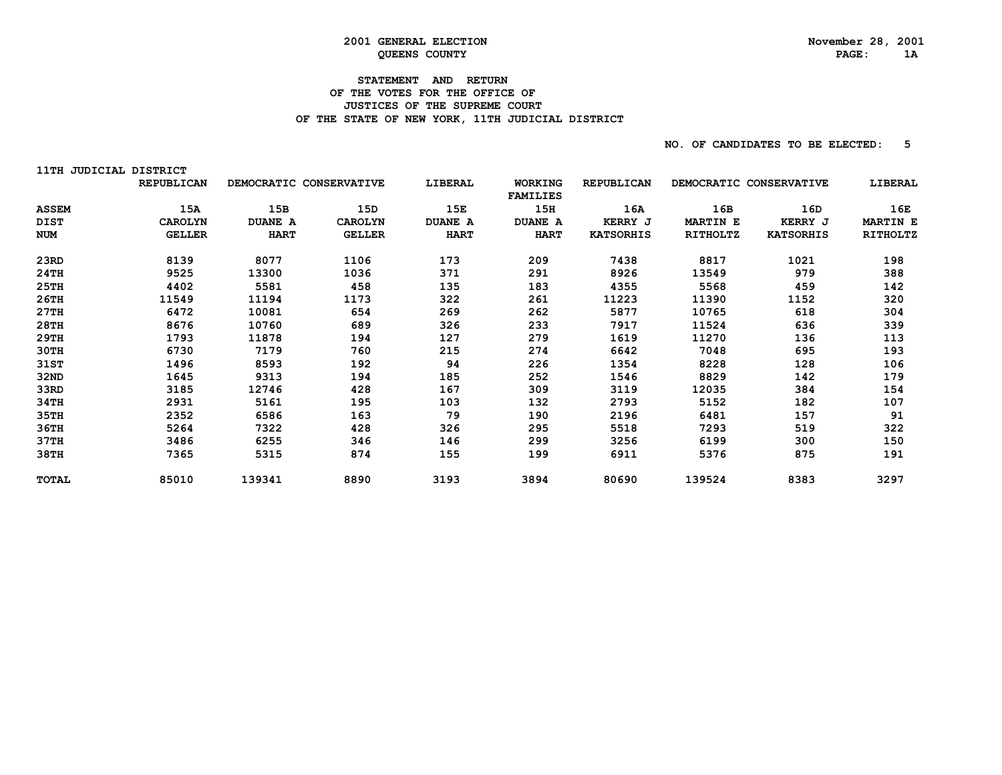# **2001 GENERAL ELECTION** November 28, 2001<br> **RAGE:** 1A **QUEENS COUNTY**

# **STATEMENT AND RETURN OF THE VOTES FOR THE OFFICE OF JUSTICES OF THE SUPREME COURT**OF THE STATE OF NEW YORK, 11TH JUDICIAL DISTRICT

| 11TH JUDICIAL DISTRICT |                   |                         |                |                |                 |                   |                         |                  |                 |
|------------------------|-------------------|-------------------------|----------------|----------------|-----------------|-------------------|-------------------------|------------------|-----------------|
|                        | <b>REPUBLICAN</b> | DEMOCRATIC CONSERVATIVE |                | LIBERAL        | <b>WORKING</b>  | <b>REPUBLICAN</b> | DEMOCRATIC CONSERVATIVE |                  | LIBERAL         |
|                        |                   |                         |                |                | <b>FAMILIES</b> |                   |                         |                  |                 |
| <b>ASSEM</b>           | 15A               | 15B                     | 15D            | 15E            | 15H             | 16A               | 16B                     | 16D              | 16E             |
| DIST                   | <b>CAROLYN</b>    | <b>DUANE A</b>          | <b>CAROLYN</b> | <b>DUANE A</b> | <b>DUANE A</b>  | <b>KERRY J</b>    | <b>MARTIN E</b>         | <b>KERRY J</b>   | <b>MARTIN E</b> |
| <b>NUM</b>             | <b>GELLER</b>     | <b>HART</b>             | <b>GELLER</b>  | <b>HART</b>    | <b>HART</b>     | <b>KATSORHIS</b>  | RITHOLTZ                | <b>KATSORHIS</b> | RITHOLTZ        |
| 23RD                   | 8139              | 8077                    | 1106           | 173            | 209             | 7438              | 8817                    | 1021             | 198             |
| 24TH                   | 9525              | 13300                   | 1036           | 371            | 291             | 8926              | 13549                   | 979              | 388             |
| 25TH                   | 4402              | 5581                    | 458            | 135            | 183             | 4355              | 5568                    | 459              | 142             |
| 26TH                   | 11549             | 11194                   | 1173           | 322            | 261             | 11223             | 11390                   | 1152             | 320             |
| 27TH                   | 6472              | 10081                   | 654            | 269            | 262             | 5877              | 10765                   | 618              | 304             |
| 28TH                   | 8676              | 10760                   | 689            | 326            | 233             | 7917              | 11524                   | 636              | 339             |
| 29TH                   | 1793              | 11878                   | 194            | 127            | 279             | 1619              | 11270                   | 136              | 113             |
| 30TH                   | 6730              | 7179                    | 760            | 215            | 274             | 6642              | 7048                    | 695              | 193             |
| 31ST                   | 1496              | 8593                    | 192            | 94             | 226             | 1354              | 8228                    | 128              | 106             |
| 32ND                   | 1645              | 9313                    | 194            | 185            | 252             | 1546              | 8829                    | 142              | 179             |
| 33RD                   | 3185              | 12746                   | 428            | 167            | 309             | 3119              | 12035                   | 384              | 154             |
| 34TH                   | 2931              | 5161                    | 195            | 103            | 132             | 2793              | 5152                    | 182              | 107             |
| 35TH                   | 2352              | 6586                    | 163            | 79             | 190             | 2196              | 6481                    | 157              | 91              |
| 36TH                   | 5264              | 7322                    | 428            | 326            | 295             | 5518              | 7293                    | 519              | 322             |
| 37TH                   | 3486              | 6255                    | 346            | 146            | 299             | 3256              | 6199                    | 300              | 150             |
| 38TH                   | 7365              | 5315                    | 874            | 155            | 199             | 6911              | 5376                    | 875              | 191             |
| <b>TOTAL</b>           | 85010             | 139341                  | 8890           | 3193           | 3894            | 80690             | 139524                  | 8383             | 3297            |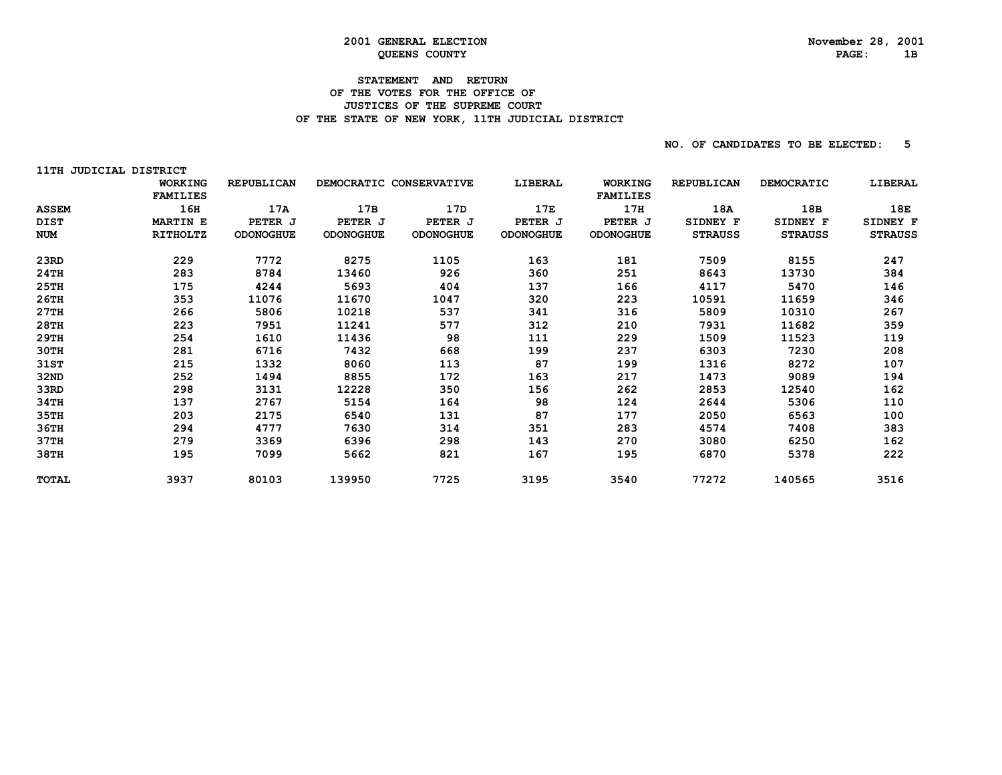# **2001 GENERAL ELECTION** November 28, 2001<br> **RAGE:** 1B **QUEENS COUNTY**

# **STATEMENT AND RETURN OF THE VOTES FOR THE OFFICE OF JUSTICES OF THE SUPREME COURT**OF THE STATE OF NEW YORK, 11TH JUDICIAL DISTRICT

| 11TH JUDICIAL DISTRICT |                 |                   |                         |           |                  |                  |                   |                   |                |
|------------------------|-----------------|-------------------|-------------------------|-----------|------------------|------------------|-------------------|-------------------|----------------|
|                        | <b>WORKING</b>  | <b>REPUBLICAN</b> | DEMOCRATIC CONSERVATIVE |           | LIBERAL          | <b>WORKING</b>   | <b>REPUBLICAN</b> | <b>DEMOCRATIC</b> | LIBERAL        |
|                        | <b>FAMILIES</b> |                   |                         |           |                  | <b>FAMILIES</b>  |                   |                   |                |
| <b>ASSEM</b>           | 16H             | 17A               | 17B                     | 17D       | 17E              | 17H              | 18A               | 18B               | 18E            |
| <b>DIST</b>            | <b>MARTIN E</b> | PETER J           | PETER J                 | PETER J   | PETER J          | PETER J          | SIDNEY F          | SIDNEY F          | SIDNEY F       |
| <b>NUM</b>             | RITHOLTZ        | <b>ODONOGHUE</b>  | <b>ODONOGHUE</b>        | ODONOGHUE | <b>ODONOGHUE</b> | <b>ODONOGHUE</b> | <b>STRAUSS</b>    | <b>STRAUSS</b>    | <b>STRAUSS</b> |
| 23RD                   | 229             | 7772              | 8275                    | 1105      | 163              | 181              | 7509              | 8155              | 247            |
| 24TH                   | 283             | 8784              | 13460                   | 926       | 360              | 251              | 8643              | 13730             | 384            |
| 25TH                   | 175             | 4244              | 5693                    | 404       | 137              | 166              | 4117              | 5470              | 146            |
| 26TH                   | 353             | 11076             | 11670                   | 1047      | 320              | 223              | 10591             | 11659             | 346            |
| 27TH                   | 266             | 5806              | 10218                   | 537       | 341              | 316              | 5809              | 10310             | 267            |
| 28TH                   | 223             | 7951              | 11241                   | 577       | 312              | 210              | 7931              | 11682             | 359            |
| 29TH                   | 254             | 1610              | 11436                   | 98        | 111              | 229              | 1509              | 11523             | 119            |
| 30TH                   | 281             | 6716              | 7432                    | 668       | 199              | 237              | 6303              | 7230              | 208            |
| 31ST                   | 215             | 1332              | 8060                    | 113       | 87               | 199              | 1316              | 8272              | 107            |
| 32ND                   | 252             | 1494              | 8855                    | 172       | 163              | 217              | 1473              | 9089              | 194            |
| 33RD                   | 298             | 3131              | 12228                   | 350       | 156              | 262              | 2853              | 12540             | 162            |
| 34TH                   | 137             | 2767              | 5154                    | 164       | 98               | 124              | 2644              | 5306              | 110            |
| 35TH                   | 203             | 2175              | 6540                    | 131       | 87               | 177              | 2050              | 6563              | 100            |
| 36TH                   | 294             | 4777              | 7630                    | 314       | 351              | 283              | 4574              | 7408              | 383            |
| 37TH                   | 279             | 3369              | 6396                    | 298       | 143              | 270              | 3080              | 6250              | 162            |
| 38TH                   | 195             | 7099              | 5662                    | 821       | 167              | 195              | 6870              | 5378              | 222            |
| <b>TOTAL</b>           | 3937            | 80103             | 139950                  | 7725      | 3195             | 3540             | 77272             | 140565            | 3516           |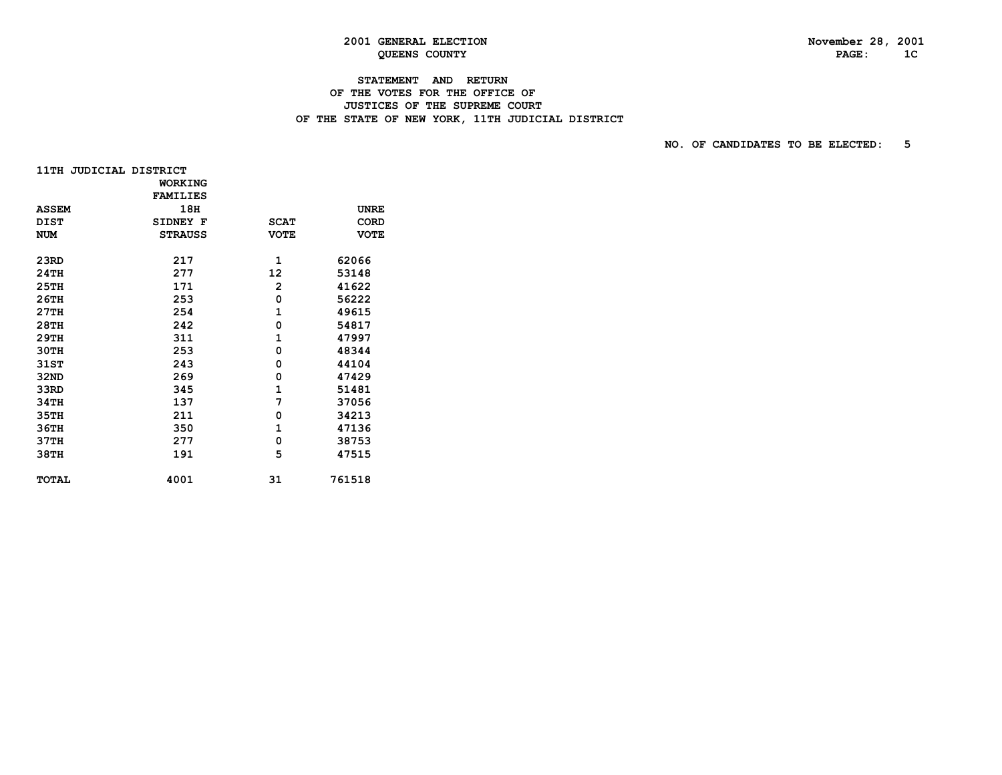# **2001 GENERAL ELECTION November 28, 2001**

# **STATEMENT AND RETURN OF THE VOTES FOR THE OFFICE OF JUSTICES OF THE SUPREME COURT**OF THE STATE OF NEW YORK, 11TH JUDICIAL DISTRICT

| 11TH JUDICIAL DISTRICT |                 |                |             |
|------------------------|-----------------|----------------|-------------|
|                        | <b>WORKING</b>  |                |             |
|                        | <b>FAMILIES</b> |                |             |
| <b>ASSEM</b>           | 18H             |                | <b>UNRE</b> |
| <b>DIST</b>            | SIDNEY F        | <b>SCAT</b>    | <b>CORD</b> |
| <b>NUM</b>             | <b>STRAUSS</b>  | <b>VOTE</b>    | <b>VOTE</b> |
|                        |                 |                |             |
| 23RD                   | 217             | 1              | 62066       |
| 24TH                   | 277             | 12             | 53148       |
| <b>25TH</b>            | 171             | $\overline{2}$ | 41622       |
| 26TH                   | 253             | 0              | 56222       |
| 27TH                   | 254             | $\mathbf{1}$   | 49615       |
| 28TH                   | 242             | 0              | 54817       |
| 29TH                   | 311             | 1              | 47997       |
| 30TH                   | 253             | 0              | 48344       |
| 31ST                   | 243             | 0              | 44104       |
| 32ND                   | 269             | 0              | 47429       |
| 33RD                   | 345             | $\mathbf{1}$   | 51481       |
| 34TH                   | 137             | 7              | 37056       |
| 35TH                   | 211             | 0              | 34213       |
| 36TH                   | 350             | $\mathbf{1}$   | 47136       |
| 37TH                   | 277             | 0              | 38753       |
| 38TH                   | 191             | 5              | 47515       |
|                        |                 |                |             |
| <b>TOTAL</b>           | 4001            | 31             | 761518      |
|                        |                 |                |             |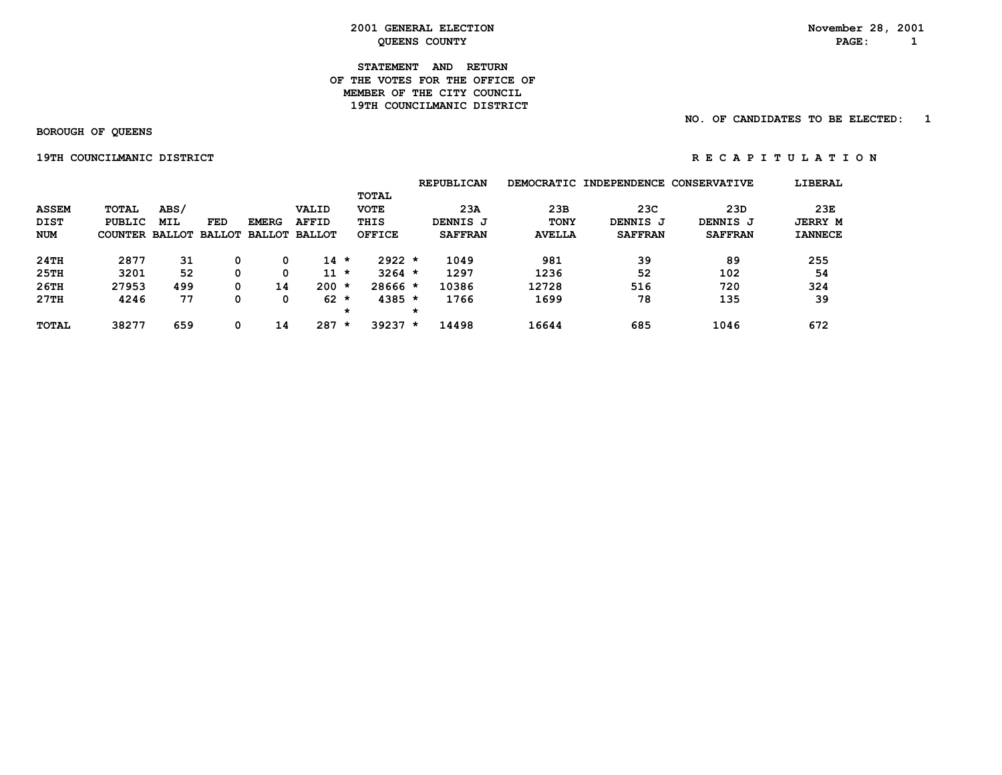#### **STATEMENT AND RETURN OF THE VOTES FOR THE OFFICE OFMEMBER OF THE CITY COUNCIL 19TH COUNCILMANIC DISTRICT**

#### **NO. OF CANDIDATES TO BE ELECTED: 1**

 **BOROUGH OF QUEENS**

 **19TH COUNCILMANIC DISTRICT R EXECUTE A P I RESPONSE A P I DISTRICT R** E R E R E C A P I DISTRICT

|  |  |  | R E C A P I T U L A T I O N |  |  |  |  |
|--|--|--|-----------------------------|--|--|--|--|
|  |  |  |                             |  |  |  |  |

|              |                                     |            |            |              |              |         |               |         | <b>REPUBLICAN</b> |               | DEMOCRATIC INDEPENDENCE CONSERVATIVE |                | LIBERAL        |
|--------------|-------------------------------------|------------|------------|--------------|--------------|---------|---------------|---------|-------------------|---------------|--------------------------------------|----------------|----------------|
|              |                                     |            |            |              |              |         | <b>TOTAL</b>  |         |                   |               |                                      |                |                |
| <b>ASSEM</b> | TOTAL                               | ABS/       |            |              | VALID        |         | <b>VOTE</b>   |         | 23A               | 23B           | 23C                                  | 23D            | 23E            |
| <b>DIST</b>  | <b>PUBLIC</b>                       | <b>MIL</b> | <b>FED</b> | <b>EMERG</b> | <b>AFFID</b> |         | THIS          |         | DENNIS J          | <b>TONY</b>   | DENNIS J                             | DENNIS J       | <b>JERRY M</b> |
| NUM          | COUNTER BALLOT BALLOT BALLOT BALLOT |            |            |              |              |         | <b>OFFICE</b> |         | <b>SAFFRAN</b>    | <b>AVELLA</b> | <b>SAFFRAN</b>                       | <b>SAFFRAN</b> | <b>IANNECE</b> |
| 24TH         | 2877                                | 31         |            | 0            | $14 \times$  |         | $2922 *$      |         | 1049              | 981           | 39                                   | 89             | 255            |
| 25TH         | 3201                                | 52         |            | 0            | $11 *$       |         | $3264$ *      |         | 1297              | 1236          | 52                                   | 102            | 54             |
| 26TH         | 27953                               | 499        |            | 14           | $200 *$      |         | $28666*$      |         | 10386             | 12728         | 516                                  | 720            | 324            |
| 27TH         | 4246                                | 77         |            | 0            | $62 *$       |         | $4385 *$      |         | 1766              | 1699          | 78                                   | 135            | 39             |
|              |                                     |            |            |              |              | $\star$ |               | $\star$ |                   |               |                                      |                |                |
| <b>TOTAL</b> | 38277                               | 659        |            | 14           | 287          | $\star$ | $39237 *$     |         | 14498             | 16644         | 685                                  | 1046           | 672            |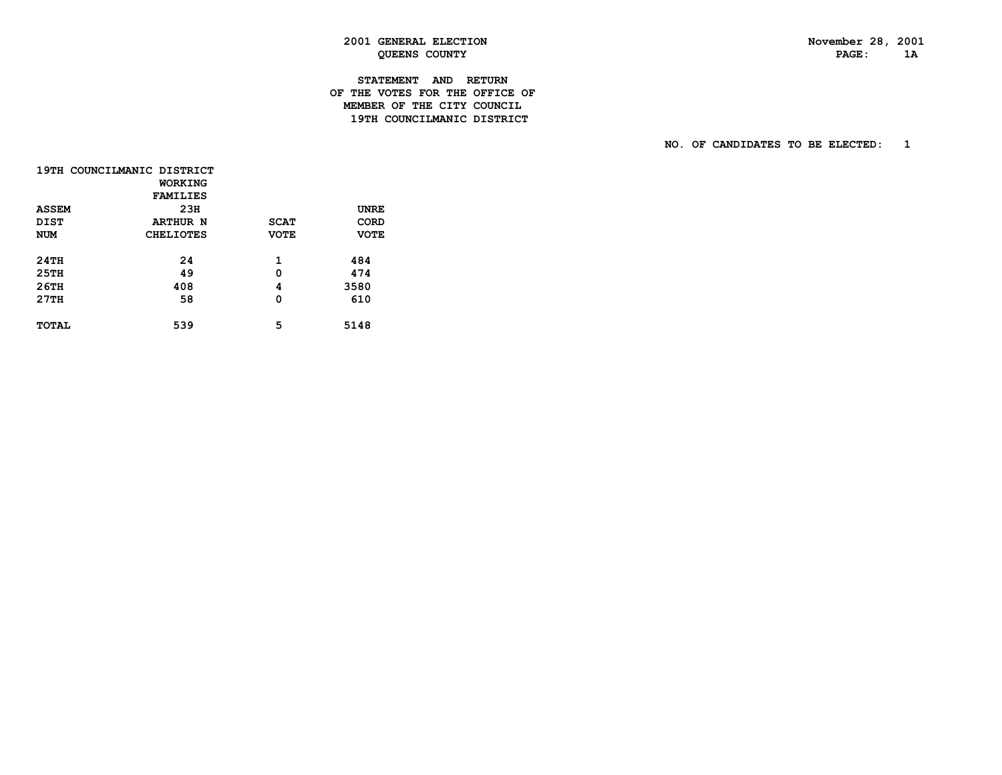# **STATEMENT AND RETURN OF THE VOTES FOR THE OFFICE OF MEMBER OF THE CITY COUNCIL19TH COUNCILMANIC DISTRICT**

|              | 19TH COUNCILMANIC DISTRICT |             |             |
|--------------|----------------------------|-------------|-------------|
|              | WORKING                    |             |             |
|              | <b>FAMILIES</b>            |             |             |
| <b>ASSEM</b> | 23H                        |             | UNRE        |
| <b>DIST</b>  | <b>ARTHUR N</b>            | <b>SCAT</b> | CORD        |
| <b>NUM</b>   | <b>CHELIOTES</b>           | <b>VOTE</b> | <b>VOTE</b> |
|              |                            |             |             |
| 24TH         | 24                         | 1           | 484         |
| 25TH         | 49                         | 0           | 474         |
| 26TH         | 408                        | 4           | 3580        |
| 27TH         | 58                         | 0           | 610         |
|              |                            |             |             |
| <b>TOTAL</b> | 539                        | 5           | 5148        |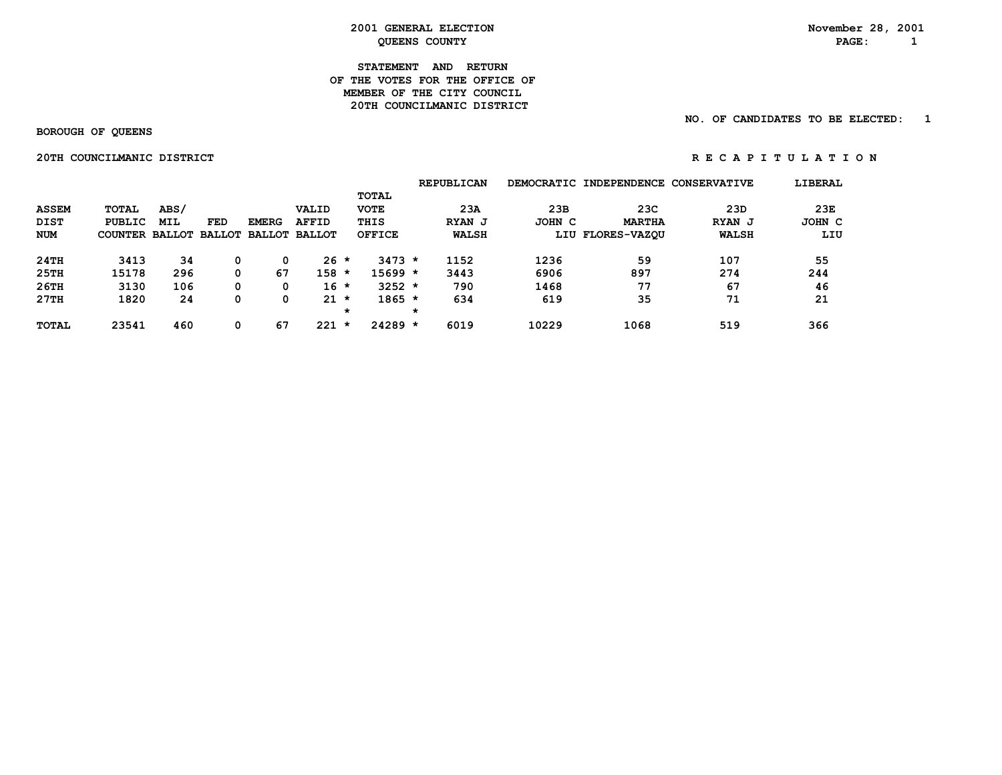#### **STATEMENT AND RETURN OF THE VOTES FOR THE OFFICE OFMEMBER OF THE CITY COUNCIL 20TH COUNCILMANIC DISTRICT**

#### **NO. OF CANDIDATES TO BE ELECTED: 1**

 **BOROUGH OF QUEENS**

 **20TH COUNCILMANIC DISTRICT A REPORT ON REGAPITULATION** 

|              |                       |      |            |              |                      |         |             |         | <b>REPUBLICAN</b> |        | DEMOCRATIC INDEPENDENCE CONSERVATIVE |              | LIBERAL |
|--------------|-----------------------|------|------------|--------------|----------------------|---------|-------------|---------|-------------------|--------|--------------------------------------|--------------|---------|
|              |                       |      |            |              |                      |         | TOTAL       |         |                   |        |                                      |              |         |
| <b>ASSEM</b> | <b>TOTAL</b>          | ABS/ |            |              | VALID                |         | <b>VOTE</b> |         | 23A               | 23B    | 23C                                  | 23D          | 23E     |
| <b>DIST</b>  | PUBLIC                | MIL  | <b>FED</b> | <b>EMERG</b> | <b>AFFID</b>         |         | THIS        |         | RYAN J            | JOHN C | <b>MARTHA</b>                        | RYAN J       | JOHN C  |
| <b>NUM</b>   | COUNTER BALLOT BALLOT |      |            |              | <b>BALLOT BALLOT</b> |         | OFFICE      |         | <b>WALSH</b>      |        | LIU FLORES-VAZOU                     | <b>WALSH</b> | LIU     |
| 24TH         | 3413                  | 34   | 0          |              | $26 *$               |         | $3473 *$    |         | 1152              | 1236   | 59                                   | 107          | 55      |
| 25TH         | 15178                 | 296  | 0          | 67           | 158                  | $\star$ | $15699 *$   |         | 3443              | 6906   | 897                                  | 274          | 244     |
| 26TH         | 3130                  | 106  | 0          |              | $16 *$               |         | $3252 *$    |         | 790               | 1468   | 77                                   | 67           | 46      |
| 27TH         | 1820                  | 24   | 0          |              | $21 *$               |         | $1865 *$    |         | 634               | 619    | 35                                   | 71           | 21      |
|              |                       |      |            |              |                      | $\star$ |             | $\star$ |                   |        |                                      |              |         |
| <b>TOTAL</b> | 23541                 | 460  | 0          | 67           | 221                  | *       | $24289 *$   |         | 6019              | 10229  | 1068                                 | 519          | 366     |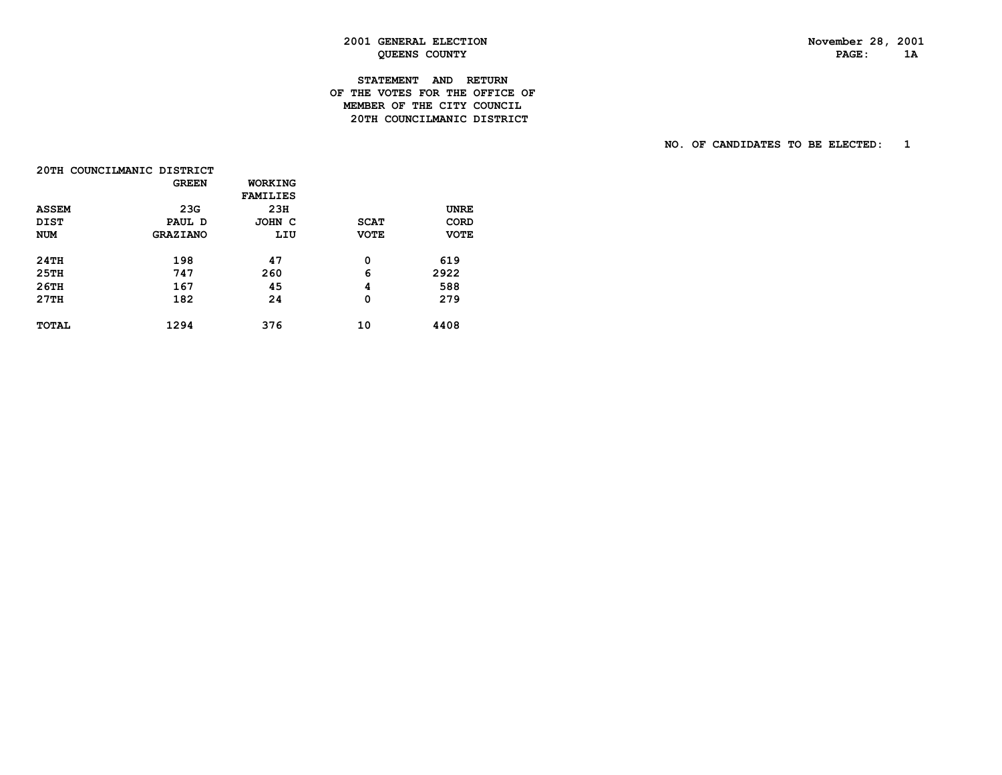# **STATEMENT AND RETURN OF THE VOTES FOR THE OFFICE OF MEMBER OF THE CITY COUNCIL20TH COUNCILMANIC DISTRICT**

|              | 20TH COUNCILMANIC DISTRICT |                 |             |             |
|--------------|----------------------------|-----------------|-------------|-------------|
|              | <b>GREEN</b>               | WORKING         |             |             |
|              |                            | <b>FAMILIES</b> |             |             |
| <b>ASSEM</b> | 23G                        | 23H             |             | <b>UNRE</b> |
| <b>DIST</b>  | PAUL D                     | JOHN C          | <b>SCAT</b> | CORD        |
| <b>NUM</b>   | <b>GRAZIANO</b>            | LIU             | <b>VOTE</b> | <b>VOTE</b> |
| 24TH         | 198                        | 47              | 0           | 619         |
| 25TH         | 747                        | 260             | 6           | 2922        |
| 26TH         | 167                        | 45              | 4           | 588         |
| 27TH         | 182                        | 24              | 0           | 279         |
| <b>TOTAL</b> | 1294                       | 376             | 10          | 4408        |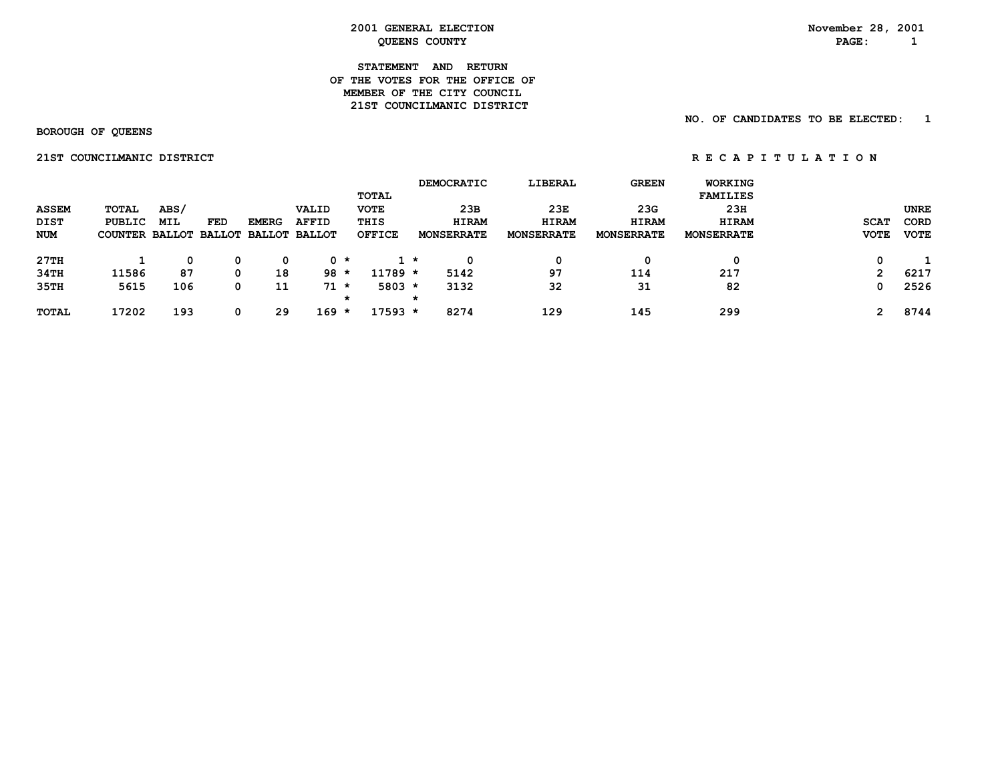#### **STATEMENT AND RETURN OF THE VOTES FOR THE OFFICE OFMEMBER OF THE CITY COUNCIL 21ST COUNCILMANIC DISTRICT**

 **BOROUGH OF QUEENS**

 **NO. OF CANDIDATES TO BE ELECTED: 1**

 **21STCOUNCILMANICDISTRICT R E C A P I T U L A T I O N**

|              |                                     |      |     |              |              |               |         | <b>DEMOCRATIC</b> | LIBERAL           | <b>GREEN</b>      | WORKING           |              |             |
|--------------|-------------------------------------|------|-----|--------------|--------------|---------------|---------|-------------------|-------------------|-------------------|-------------------|--------------|-------------|
|              |                                     |      |     |              |              | TOTAL         |         |                   |                   |                   | <b>FAMILIES</b>   |              |             |
| <b>ASSEM</b> | TOTAL                               | ABS/ |     |              | VALID        | <b>VOTE</b>   |         | 23B               | 23E               | 23G               | 23H               |              | <b>UNRE</b> |
| DIST         | PUBLIC                              | MIL  | FED | <b>EMERG</b> | <b>AFFID</b> | THIS          |         | <b>HIRAM</b>      | <b>HIRAM</b>      | <b>HIRAM</b>      | <b>HIRAM</b>      | <b>SCAT</b>  | <b>CORD</b> |
| <b>NUM</b>   | COUNTER BALLOT BALLOT BALLOT BALLOT |      |     |              |              | <b>OFFICE</b> |         | <b>MONSERRATE</b> | <b>MONSERRATE</b> | <b>MONSERRATE</b> | <b>MONSERRATE</b> | <b>VOTE</b>  | <b>VOTE</b> |
| 27TH         |                                     | 0    | 0   | 0            | 0 *          |               | 1 *     | 0                 | 0                 | 0                 | 0                 | 0            |             |
| 34TH         | 11586                               | 87   | 0   | 18           | $98 *$       | $11789 *$     |         | 5142              | 97                | 114               | 217               | $\mathbf{2}$ | 6217        |
| 35TH         | 5615                                | 106  | 0   | 11           | $71$ *       | $5803 *$      |         | 3132              | 32                | 31                | 82                | 0            | 2526        |
|              |                                     |      |     |              |              | $\star$       | $\star$ |                   |                   |                   |                   |              |             |
| <b>TOTAL</b> | 17202                               | 193  | 0   | 29           | $169 *$      | 17593 *       |         | 8274              | 129               | 145               | 299               |              | 8744        |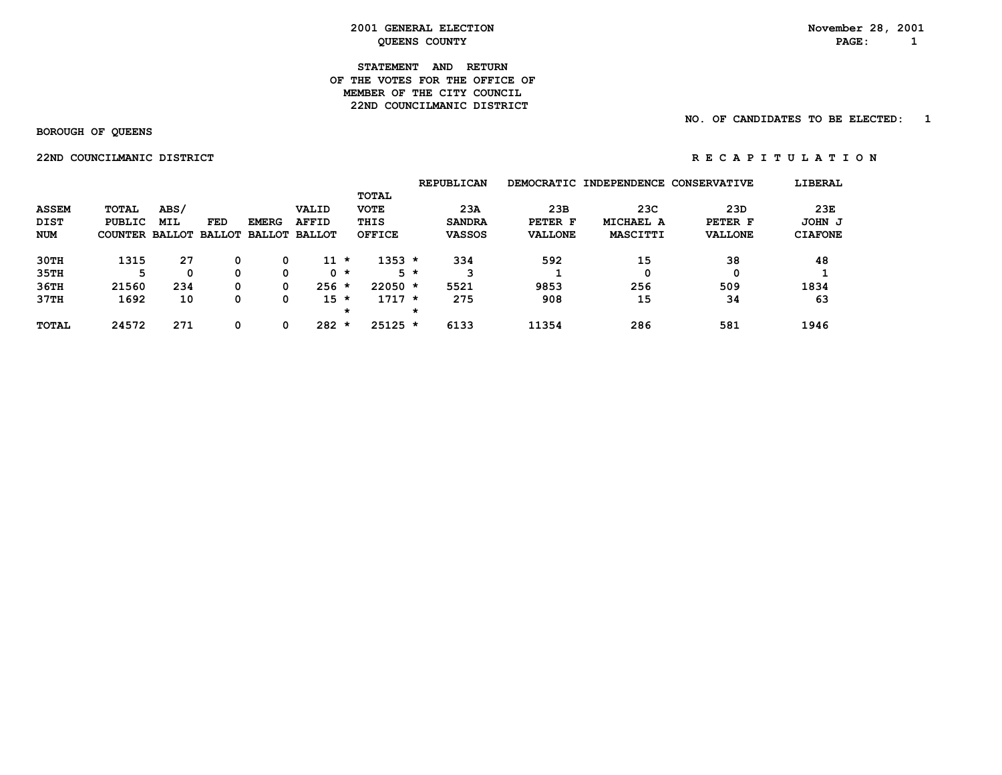#### **STATEMENT AND RETURN OF THE VOTES FOR THE OFFICE OFMEMBER OF THE CITY COUNCIL 22ND COUNCILMANIC DISTRICT**

#### **NO. OF CANDIDATES TO BE ELECTED: 1**

 **BOROUGH OF QUEENS**

 **22ND COUNCILMANIC DISTRICT** *RECAPITULATION* 

|                                           |                                          |                                            |     |              |                                               |         |                                               |         | <b>REPUBLICAN</b>                     |                                  | DEMOCRATIC INDEPENDENCE      | <b>CONSERVATIVE</b>              | LIBERAL                         |
|-------------------------------------------|------------------------------------------|--------------------------------------------|-----|--------------|-----------------------------------------------|---------|-----------------------------------------------|---------|---------------------------------------|----------------------------------|------------------------------|----------------------------------|---------------------------------|
| <b>ASSEM</b><br><b>DIST</b><br><b>NUM</b> | <b>TOTAL</b><br>PUBLIC<br><b>COUNTER</b> | ABS/<br><b>MIL</b><br><b>BALLOT BALLOT</b> | FED | <b>EMERG</b> | VALID<br><b>AFFID</b><br><b>BALLOT BALLOT</b> |         | TOTAL<br><b>VOTE</b><br>THIS<br><b>OFFICE</b> |         | 23A<br><b>SANDRA</b><br><b>VASSOS</b> | 23B<br>PETER F<br><b>VALLONE</b> | 23C<br>MICHAEL A<br>MASCITTI | 23D<br>PETER F<br><b>VALLONE</b> | 23E<br>JOHN J<br><b>CIAFONE</b> |
|                                           |                                          |                                            |     |              |                                               |         |                                               |         |                                       |                                  |                              |                                  |                                 |
| 30TH                                      | 1315                                     | 27                                         | 0   |              | $11 *$                                        |         | $1353 *$                                      |         | 334                                   | 592                              | 15                           | 38                               | 48                              |
| 35TH                                      | 5                                        |                                            | 0   | 0            |                                               | 0 *     |                                               | $5 *$   | 3                                     |                                  | 0                            |                                  |                                 |
| 36TH                                      | 21560                                    | 234                                        | 0   |              | $256 *$                                       |         | $22050 *$                                     |         | 5521                                  | 9853                             | 256                          | 509                              | 1834                            |
| 37TH                                      | 1692                                     | 10                                         | 0   |              | $15 *$                                        |         | $1717 *$                                      |         | 275                                   | 908                              | 15                           | 34                               | 63                              |
|                                           |                                          |                                            |     |              |                                               | $\star$ |                                               | $\star$ |                                       |                                  |                              |                                  |                                 |
| <b>TOTAL</b>                              | 24572                                    | 271                                        | 0   |              | 282                                           | $\star$ | $25125 *$                                     |         | 6133                                  | 11354                            | 286                          | 581                              | 1946                            |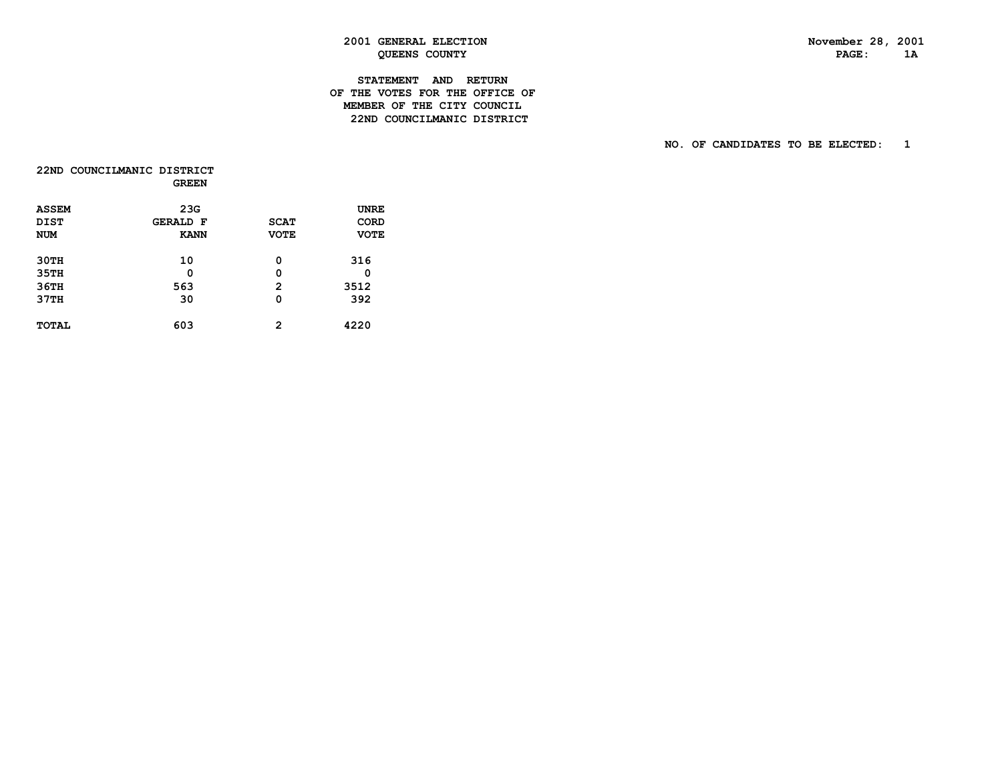# **STATEMENT AND RETURN OF THE VOTES FOR THE OFFICE OF MEMBER OF THE CITY COUNCIL22ND COUNCILMANIC DISTRICT**

|              | 22ND COUNCILMANIC DISTRICT<br><b>GREEN</b> |             |             |
|--------------|--------------------------------------------|-------------|-------------|
| <b>ASSEM</b> | 23G                                        |             | <b>UNRE</b> |
| DIST         | <b>GERALD F</b>                            | <b>SCAT</b> | CORD        |
| <b>NUM</b>   | <b>KANN</b>                                | <b>VOTE</b> | <b>VOTE</b> |
| 30TH         | 10                                         | 0           | 316         |
| 35TH         | Ω                                          | 0           | 0           |
| 36TH         | 563                                        | 2           | 3512        |
| 37TH         | 30                                         | 0           | 392         |
| <b>TOTAL</b> | 603                                        | 2           | 4220        |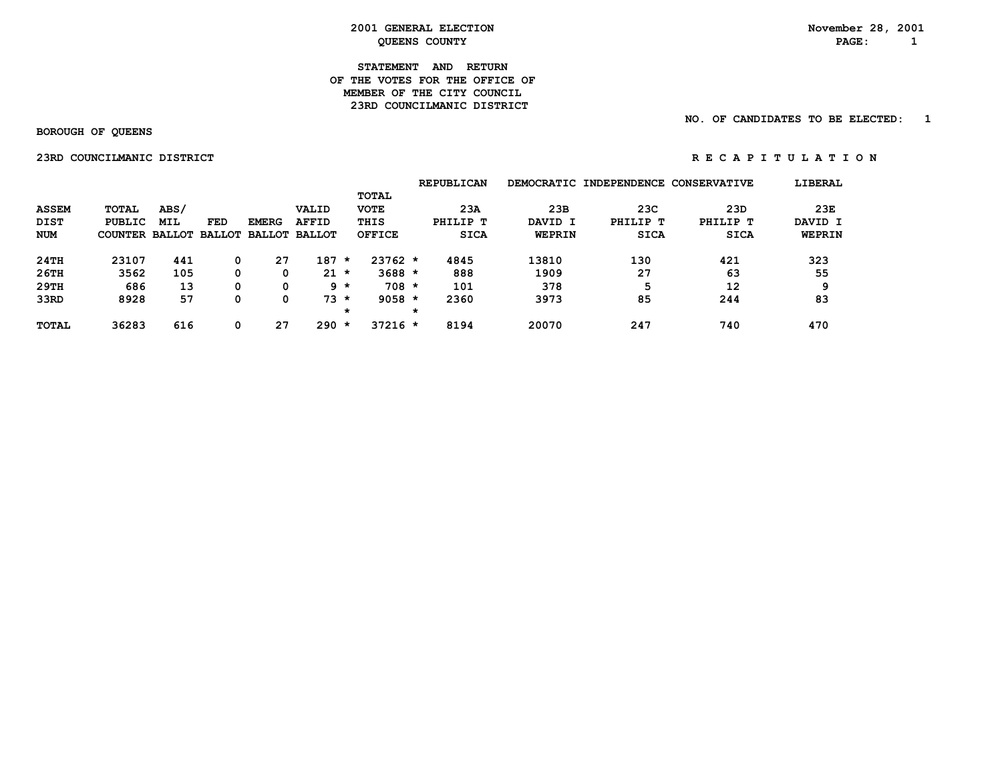#### **STATEMENT AND RETURN OF THE VOTES FOR THE OFFICE OFMEMBER OF THE CITY COUNCIL 23RD COUNCILMANIC DISTRICT**

#### **NO. OF CANDIDATES TO BE ELECTED: 1**

 **BOROUGH OF QUEENS**

 **23RDCOUNCILMANICDISTRICT R E C A P I T U L A T I O N**

|  |  | R E C A P I T O L A T I O |  |  |  |  |  |
|--|--|---------------------------|--|--|--|--|--|
|  |  |                           |  |  |  |  |  |
|  |  |                           |  |  |  |  |  |

|              |                       |            |     |              |                      |         |               |   | <b>REPUBLICAN</b> |         | DEMOCRATIC INDEPENDENCE | <b>CONSERVATIVE</b> | LIBERAL |
|--------------|-----------------------|------------|-----|--------------|----------------------|---------|---------------|---|-------------------|---------|-------------------------|---------------------|---------|
|              |                       |            |     |              |                      |         | <b>TOTAL</b>  |   |                   |         |                         |                     |         |
| <b>ASSEM</b> | <b>TOTAL</b>          | ABS/       |     |              | VALID                |         | <b>VOTE</b>   |   | 23A               | 23B     | 23C                     | 23D                 | 23E     |
| <b>DIST</b>  | <b>PUBLIC</b>         | <b>MIL</b> | FED | <b>EMERG</b> | <b>AFFID</b>         |         | THIS          |   | PHILIP T          | DAVID I | PHILIP T                | PHILIP T            | DAVID I |
| NUM          | COUNTER BALLOT BALLOT |            |     |              | <b>BALLOT BALLOT</b> |         | <b>OFFICE</b> |   | <b>SICA</b>       | WEPRIN  | <b>SICA</b>             | <b>SICA</b>         | WEPRIN  |
| 24TH         | 23107                 | 441        | 0   | 27           | 187                  | $\star$ | $23762 *$     |   | 4845              | 13810   | 130                     | 421                 | 323     |
| 26TH         | 3562                  | 105        | 0   | 0            | 21                   | $\star$ | $3688 *$      |   | 888               | 1909    | 27                      | 63                  | 55      |
| 29TH         | 686                   | 13         | 0   | 0            |                      | 9 *     | $708 *$       |   | 101               | 378     | 5                       | 12                  | ۵       |
| 33RD         | 8928                  | 57         | 0   | 0            | $73 *$               |         | $9058 *$      |   | 2360              | 3973    | 85                      | 244                 | 83      |
|              |                       |            |     |              |                      | *       |               | * |                   |         |                         |                     |         |
| <b>TOTAL</b> | 36283                 | 616        |     | 27           | 290                  | $\star$ | $37216 *$     |   | 8194              | 20070   | 247                     | 740                 | 470     |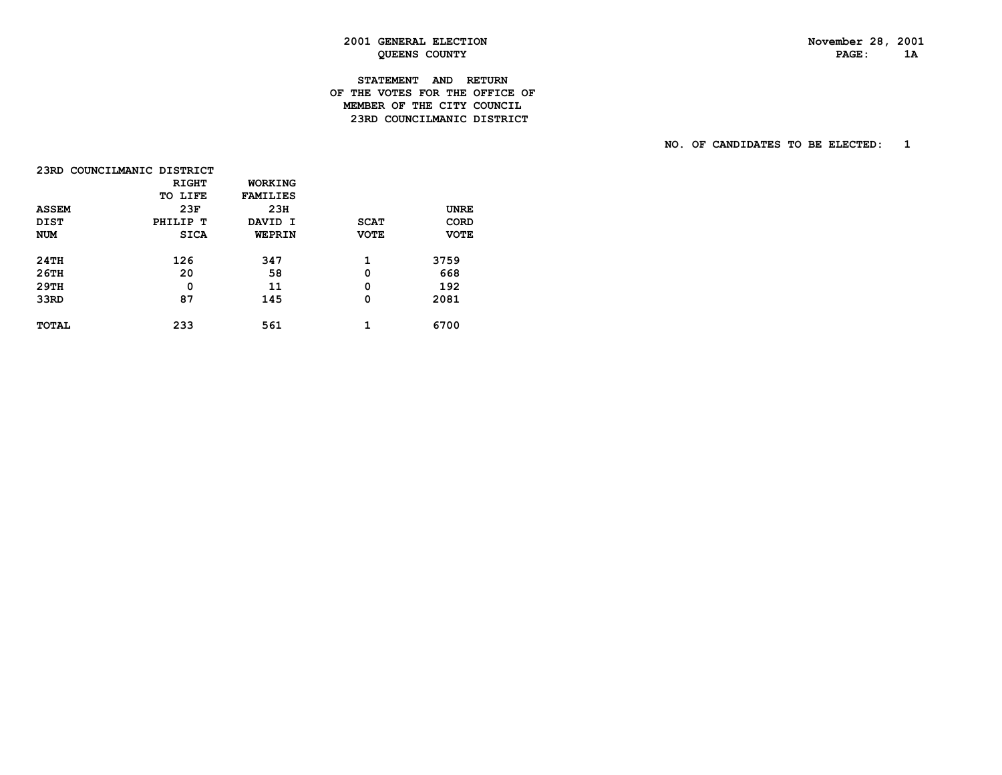# **STATEMENT AND RETURN OF THE VOTES FOR THE OFFICE OF MEMBER OF THE CITY COUNCIL23RD COUNCILMANIC DISTRICT**

| 23RD COUNCILMANIC DISTRICT |              |                 |             |             |
|----------------------------|--------------|-----------------|-------------|-------------|
|                            | <b>RIGHT</b> | WORKING         |             |             |
|                            | TO LIFE      | <b>FAMILIES</b> |             |             |
| <b>ASSEM</b>               | 23F          | 23H             |             | <b>UNRE</b> |
| <b>DIST</b>                | PHILIP T     | DAVID I         | <b>SCAT</b> | <b>CORD</b> |
| <b>NUM</b>                 | <b>SICA</b>  | WEPRIN          | <b>VOTE</b> | <b>VOTE</b> |
| 24TH                       | 126          | 347             | 1           | 3759        |
| $26$ TH                    | 20           | 58              | 0           | 668         |
| 29TH                       | 0            | 11              | 0           | 192         |
| 33RD                       | 87           | 145             | $\mathbf 0$ | 2081        |
| <b>TOTAL</b>               | 233          | 561             | 1           | 6700        |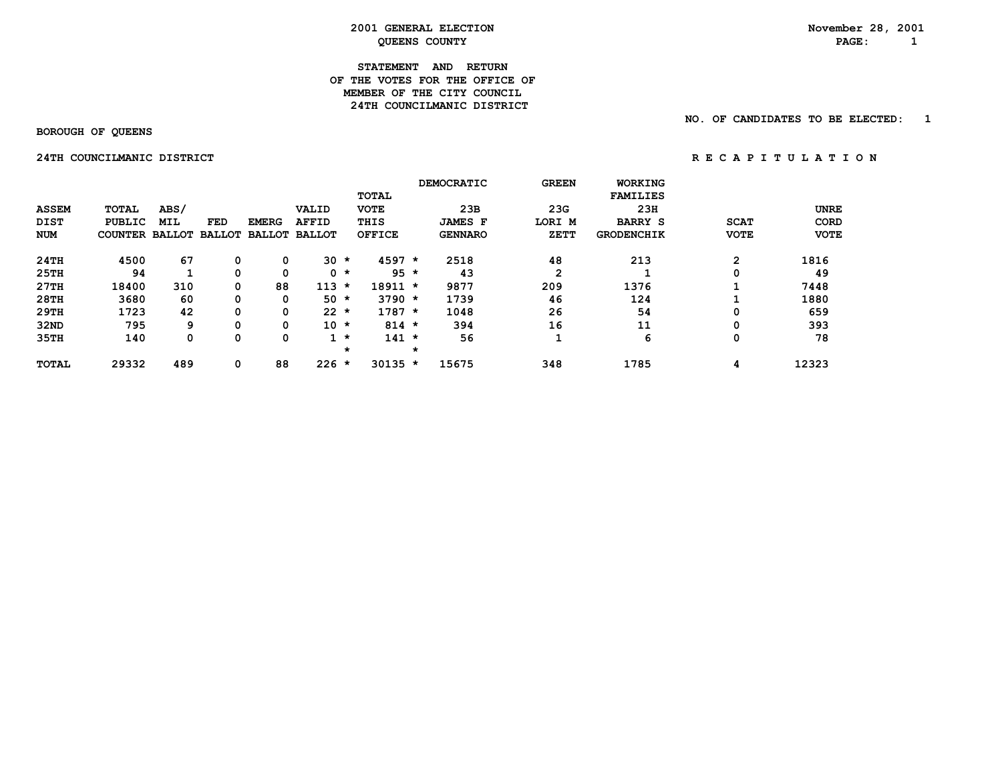#### **STATEMENT AND RETURN OF THE VOTES FOR THE OFFICE OFMEMBER OF THE CITY COUNCIL 24TH COUNCILMANIC DISTRICT**

 **BOROUGH OF QUEENS**

 **NO. OF CANDIDATES TO BE ELECTED: 1**

 **24TH COUNCILMANIC DISTRICT RECAPITULATION** 

|              |                       |      |               |               |               |         |               |         | <b>DEMOCRATIC</b> | <b>GREEN</b> | <b>WORKING</b>    |             |             |
|--------------|-----------------------|------|---------------|---------------|---------------|---------|---------------|---------|-------------------|--------------|-------------------|-------------|-------------|
|              |                       |      |               |               |               |         | <b>TOTAL</b>  |         |                   |              | <b>FAMILIES</b>   |             |             |
| <b>ASSEM</b> | <b>TOTAL</b>          | ABS/ |               |               | VALID         |         | <b>VOTE</b>   |         | 23B               | 23G          | 23H               |             | <b>UNRE</b> |
| <b>DIST</b>  | <b>PUBLIC</b>         | MIL  | <b>FED</b>    | <b>EMERG</b>  | <b>AFFID</b>  |         | THIS          |         | <b>JAMES F</b>    | LORI M       | <b>BARRY S</b>    | <b>SCAT</b> | <b>CORD</b> |
| <b>NUM</b>   | <b>COUNTER BALLOT</b> |      | <b>BALLOT</b> | <b>BALLOT</b> | <b>BALLOT</b> |         | <b>OFFICE</b> |         | <b>GENNARO</b>    | ZETT         | <b>GRODENCHIK</b> | <b>VOTE</b> | <b>VOTE</b> |
| 24TH         | 4500                  | 67   | 0             | 0             | 30            | $\star$ | $4597 *$      |         | 2518              | 48           | 213               | 2           | 1816        |
| 25TH         | 94                    |      |               | 0             |               | $0 *$   | $95 *$        |         | 43                | 2            |                   | 0           | 49          |
| 27TH         | 18400                 | 310  | 0             | 88            | 113           | $\star$ | $18911 *$     |         | 9877              | 209          | 1376              |             | 7448        |
| 28TH         | 3680                  | 60   | 0             | 0             | 50            | $\star$ | $3790 *$      |         | 1739              | 46           | 124               |             | 1880        |
| 29TH         | 1723                  | 42   | 0             | 0             | $22 *$        |         | $1787 *$      |         | 1048              | 26           | 54                | 0           | 659         |
| 32ND         | 795                   | 9    |               | 0             | $10 *$        |         | $814 *$       |         | 394               | 16           | 11                | 0           | 393         |
| 35TH         | 140                   | 0    | 0             | 0             |               | $1 *$   | $141 *$       |         | 56                |              | 6                 | 0           | 78          |
|              |                       |      |               |               |               | $\star$ |               | $\star$ |                   |              |                   |             |             |
| <b>TOTAL</b> | 29332                 | 489  | 0             | 88            | $226 *$       |         | $30135 *$     |         | 15675             | 348          | 1785              | 4           | 12323       |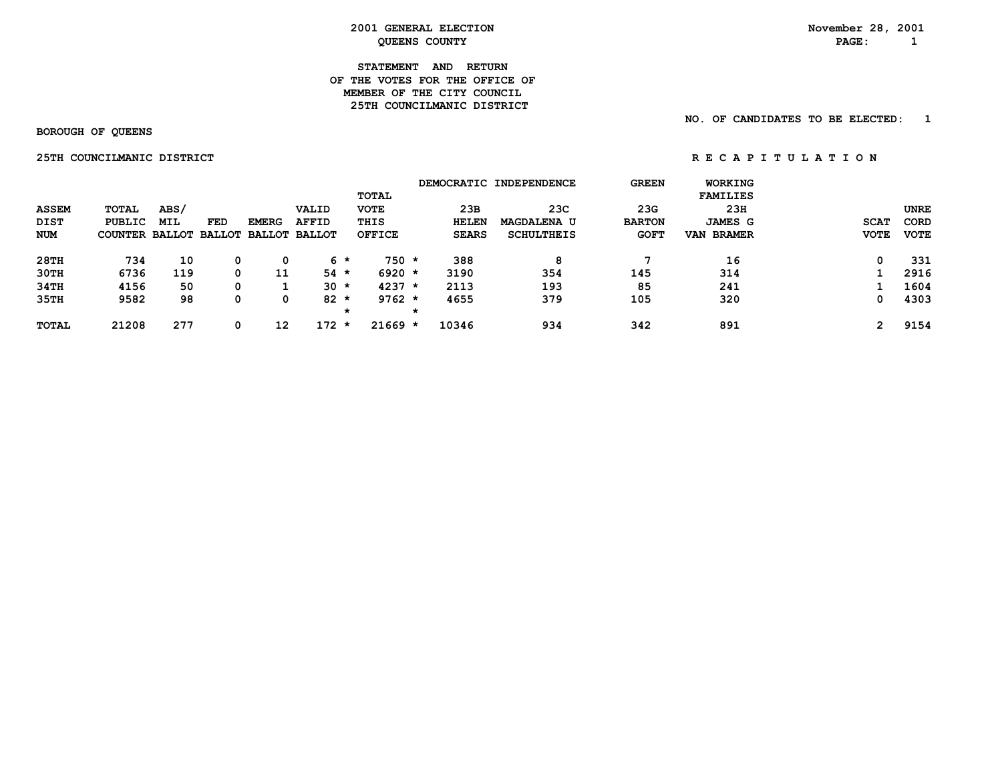#### **STATEMENT AND RETURN OF THE VOTES FOR THE OFFICE OFMEMBER OF THE CITY COUNCIL 25TH COUNCILMANIC DISTRICT**

 **BOROUGH OF QUEENS**

 **NO. OF CANDIDATES TO BE ELECTED: 1**

 **25THCOUNCILMANICDISTRICT R E C A P I T U L A T I O N**

|              |                       |            |            |                      |                |               |              | DEMOCRATIC INDEPENDENCE | <b>GREEN</b>  | <b>WORKING</b>  |             |             |
|--------------|-----------------------|------------|------------|----------------------|----------------|---------------|--------------|-------------------------|---------------|-----------------|-------------|-------------|
|              |                       |            |            |                      |                | <b>TOTAL</b>  |              |                         |               | <b>FAMILIES</b> |             |             |
| <b>ASSEM</b> | <b>TOTAL</b>          | ABS/       |            |                      | VALID          | <b>VOTE</b>   | 23B          | 23C                     | 23G           | 23H             |             | <b>UNRE</b> |
| DIST         | PUBLIC                | <b>MIL</b> | <b>FED</b> | <b>EMERG</b>         | <b>AFFID</b>   | THIS          | <b>HELEN</b> | <b>MAGDALENA U</b>      | <b>BARTON</b> | <b>JAMES G</b>  | <b>SCAT</b> | <b>CORD</b> |
| <b>NUM</b>   | <b>COUNTER BALLOT</b> |            |            | BALLOT BALLOT BALLOT |                | <b>OFFICE</b> | <b>SEARS</b> | <b>SCHULTHEIS</b>       | <b>GOFT</b>   | VAN BRAMER      | <b>VOTE</b> | <b>VOTE</b> |
| 28TH         | 734                   | 10         | 0          | 0                    | 6 *            | $750 *$       | 388          | 8                       |               | 16              | 0           | 331         |
| 30TH         | 6736                  | 119        | 0          | 11                   | $54 *$         | $6920 *$      | 3190         | 354                     | 145           | 314             |             | 2916        |
| 34TH         | 4156                  | 50         | 0          |                      | $30 *$         | $4237 *$      | 2113         | 193                     | 85            | 241             |             | 1604        |
| 35TH         | 9582                  | 98         | 0          | 0                    | $82 *$         | $9762 *$      | 4655         | 379                     | 105           | 320             | 0           | 4303        |
|              |                       |            |            |                      | $\star$        |               |              |                         |               |                 |             |             |
| <b>TOTAL</b> | 21208                 | 277        | 0          | 12                   | 172<br>$\star$ | $21669 *$     | 10346        | 934                     | 342           | 891             | 2           | 9154        |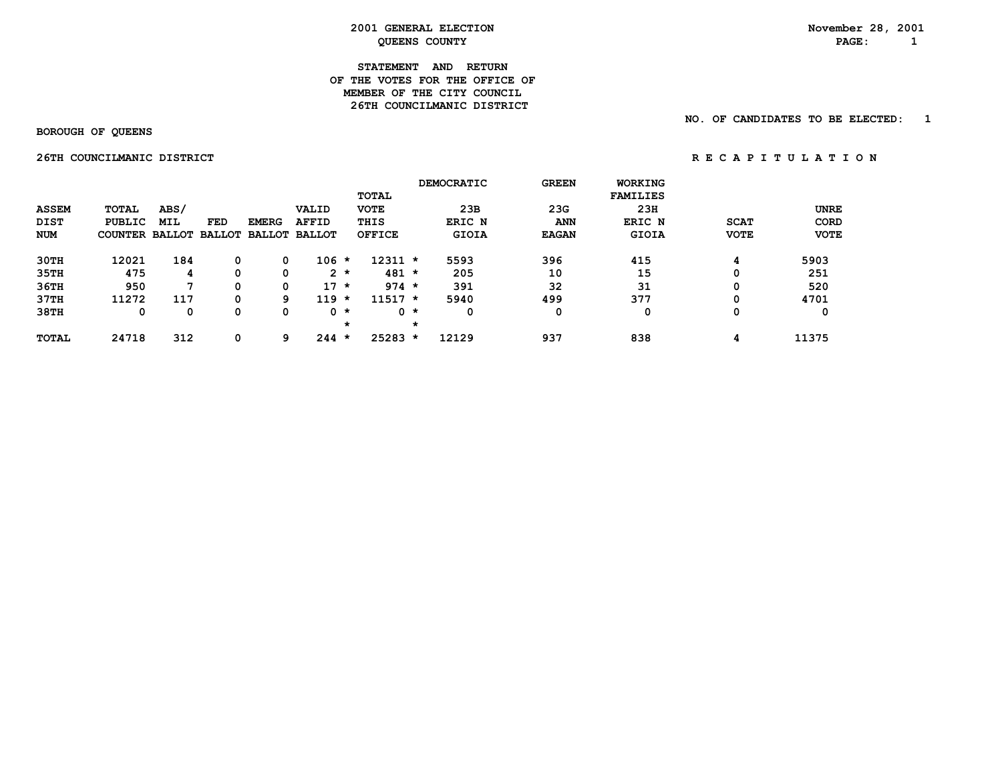#### **STATEMENT AND RETURN OF THE VOTES FOR THE OFFICE OFMEMBER OF THE CITY COUNCIL 26TH COUNCILMANIC DISTRICT**

 **BOROUGH OF QUEENS**

 **NO. OF CANDIDATES TO BE ELECTED: 1**

 **26THCOUNCILMANICDISTRICT R E C A P I T U L A T I O N**

|              |                       |              |     |               |               |           |               |         | DEMOCRATIC   | <b>GREEN</b> | <b>WORKING</b>  |             |             |
|--------------|-----------------------|--------------|-----|---------------|---------------|-----------|---------------|---------|--------------|--------------|-----------------|-------------|-------------|
|              |                       |              |     |               |               |           | TOTAL         |         |              |              | <b>FAMILIES</b> |             |             |
| <b>ASSEM</b> | <b>TOTAL</b>          | ABS/         |     |               | VALID         |           | <b>VOTE</b>   |         | 23B          | 23G          | 23H             |             | <b>UNRE</b> |
| <b>DIST</b>  | <b>PUBLIC</b>         | <b>MIL</b>   | FED | <b>EMERG</b>  | <b>AFFID</b>  |           | THIS          |         | ERIC N       | <b>ANN</b>   | ERIC N          | <b>SCAT</b> | <b>CORD</b> |
| <b>NUM</b>   | COUNTER BALLOT BALLOT |              |     | <b>BALLOT</b> | <b>BALLOT</b> |           | <b>OFFICE</b> |         | <b>GIOIA</b> | <b>EAGAN</b> | GIOIA           | <b>VOTE</b> | <b>VOTE</b> |
| 30TH         | 12021                 | 184          | 0   | 0             | $106 *$       |           | $12311 *$     |         | 5593         | 396          | 415             | 4           | 5903        |
| 35TH         | 475                   | 4            | 0   | 0             |               | $2 *$     | $481 *$       |         | 205          | 10           | 15              |             | 251         |
| 36TH         | 950                   | $\mathbf{z}$ | 0   | 0             | $17 \star$    |           | $974 *$       |         | 391          | 32           | 31              | 0           | 520         |
| 37TH         | 11272                 | 117          | 0   | 9.            | 119           | $\star$   | $11517 *$     |         | 5940         | 499          | 377             | $\Omega$    | 4701        |
| 38TH         | 0                     | 0            | 0   | 0             |               | $0 \star$ |               | $0 *$   | 0            | 0            | 0               | 0           | 0           |
|              |                       |              |     |               |               | $\star$   |               | $\star$ |              |              |                 |             |             |
| <b>TOTAL</b> | 24718                 | 312          | 0   | 9             | $244 *$       |           | $25283 *$     |         | 12129        | 937          | 838             | 4           | 11375       |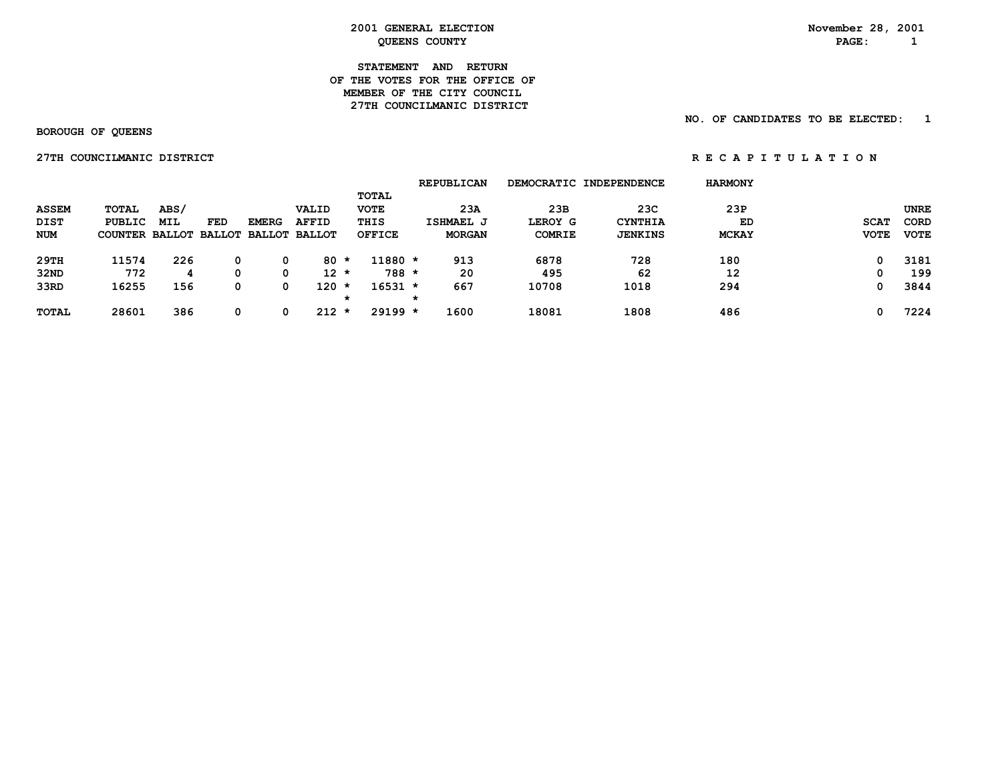#### **STATEMENT AND RETURN OF THE VOTES FOR THE OFFICE OFMEMBER OF THE CITY COUNCIL 27TH COUNCILMANIC DISTRICT**

 **NO. OF CANDIDATES TO BE ELECTED: 1**

 **BOROUGH OF QUEENS**

 **27TH COUNCILMANIC DISTRICT 1.2.1.1.2.1.1.2.1.1.2.1.1.2.1.1.2.1.1.2.1.1.2.1.1.2.1.1.2.1.1.2.1.1.2.1.1.2.1.1.2.1.1.2.1.1.2.1.1.2.1.1.2.1.1.2.1.1.2.1.1.2.1.1.2.1.1.2.1.1.2.1.1.2.1.1.2.1.1.2.1.1.2.1.1.2.1.1.2.1.1.2.1.1.2.1** 

|              |                       |            |     |              |                      |   |               | <b>REPUBLICAN</b> |               | DEMOCRATIC INDEPENDENCE | <b>HARMONY</b> |             |             |
|--------------|-----------------------|------------|-----|--------------|----------------------|---|---------------|-------------------|---------------|-------------------------|----------------|-------------|-------------|
|              |                       |            |     |              |                      |   | <b>TOTAL</b>  |                   |               |                         |                |             |             |
| <b>ASSEM</b> | <b>TOTAL</b>          | ABS/       |     |              | VALID                |   | <b>VOTE</b>   | 23A               | 23B           | 23C                     | 23P            |             | UNRE        |
| DIST         | PUBLIC                | <b>MIL</b> | FED | <b>EMERG</b> | <b>AFFID</b>         |   | THIS          | ISHMAEL J         | LEROY G       | <b>CYNTHIA</b>          | ED             | <b>SCAT</b> | CORD        |
| NUM          | COUNTER BALLOT BALLOT |            |     |              | <b>BALLOT BALLOT</b> |   | <b>OFFICE</b> | <b>MORGAN</b>     | <b>COMRIE</b> | <b>JENKINS</b>          | <b>MCKAY</b>   | <b>VOTE</b> | <b>VOTE</b> |
| 29TH         | 11574                 | 226        | 0   | 0            | 80 *                 |   | $11880 *$     | 913               | 6878          | 728                     | 180            |             | 3181        |
| 32ND         | 772                   |            | 0   | 0            | 12 *                 |   | $788 *$       | 20                | 495           | 62                      | 12             |             | 199         |
| 33RD         | 16255                 | 156        | 0   | 0            | $120 *$              |   | $16531 *$     | 667               | 10708         | 1018                    | 294            |             | 3844        |
|              |                       |            |     |              |                      | * |               | $\star$           |               |                         |                |             |             |
| <b>TOTAL</b> | 28601                 | 386        | 0   | 0            | $212 *$              |   | $29199 *$     | 1600              | 18081         | 1808                    | 486            |             | 7224        |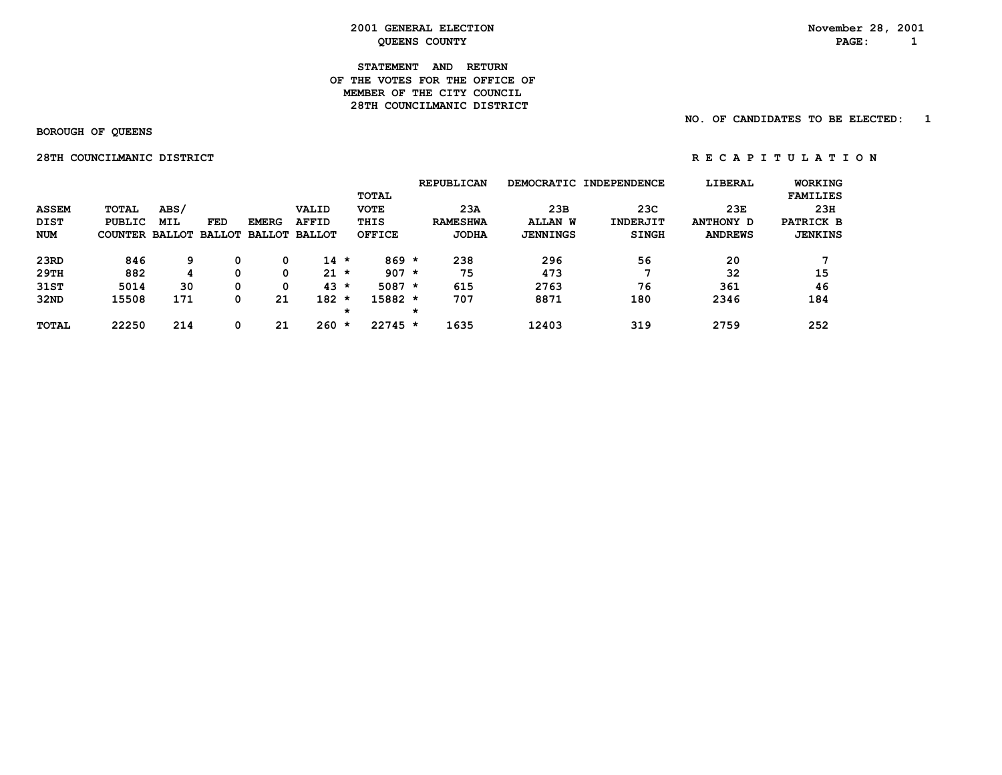#### **STATEMENT AND RETURN OF THE VOTES FOR THE OFFICE OFMEMBER OF THE CITY COUNCIL 28TH COUNCILMANIC DISTRICT**

 **NO. OF CANDIDATES TO BE ELECTED: 1**

 **BOROUGH OF QUEENS**

 **28TH COUNCILMANIC DISTRICT** *RECAPITULATION* 

|              |                              |            |            |              |               |         |               |         | <b>REPUBLICAN</b> |                 | DEMOCRATIC INDEPENDENCE | LIBERAL        | <b>WORKING</b>  |
|--------------|------------------------------|------------|------------|--------------|---------------|---------|---------------|---------|-------------------|-----------------|-------------------------|----------------|-----------------|
|              |                              |            |            |              |               |         | TOTAL         |         |                   |                 |                         |                | <b>FAMILIES</b> |
| <b>ASSEM</b> | TOTAL                        | ABS/       |            |              | VALID         |         | <b>VOTE</b>   |         | 23A               | 23B             | 23C                     | 23E            | 23H             |
| <b>DIST</b>  | PUBLIC                       | <b>MIL</b> | <b>FED</b> | <b>EMERG</b> | <b>AFFID</b>  |         | THIS          |         | <b>RAMESHWA</b>   | <b>ALLAN W</b>  | <b>INDERJIT</b>         | ANTHONY D      | PATRICK B       |
| <b>NUM</b>   | COUNTER BALLOT BALLOT BALLOT |            |            |              | <b>BALLOT</b> |         | <b>OFFICE</b> |         | <b>JODHA</b>      | <b>JENNINGS</b> | <b>SINGH</b>            | <b>ANDREWS</b> | <b>JENKINS</b>  |
| 23RD         | 846                          | 9          | 0          |              | $14 \times$   |         | $869 *$       |         | 238               | 296             | 56                      | 20             |                 |
| 29TH         | 882                          | 4          | 0          | 0            | $21 \star$    |         | $907 *$       |         | 75                | 473             |                         | 32             | 15              |
| 31ST         | 5014                         | 30         | 0          | 0            | $43 *$        |         | $5087 *$      |         | 615               | 2763            | 76                      | 361            | 46              |
| 32ND         | 15508                        | 171        | 0          | 21           | $182 *$       |         | 15882 *       |         | 707               | 8871            | 180                     | 2346           | 184             |
|              |                              |            |            |              |               | $\star$ |               | $\star$ |                   |                 |                         |                |                 |
| <b>TOTAL</b> | 22250                        | 214        | 0          | 21           | 260           | $\star$ | $22745$ *     |         | 1635              | 12403           | 319                     | 2759           | 252             |
|              |                              |            |            |              |               |         |               |         |                   |                 |                         |                |                 |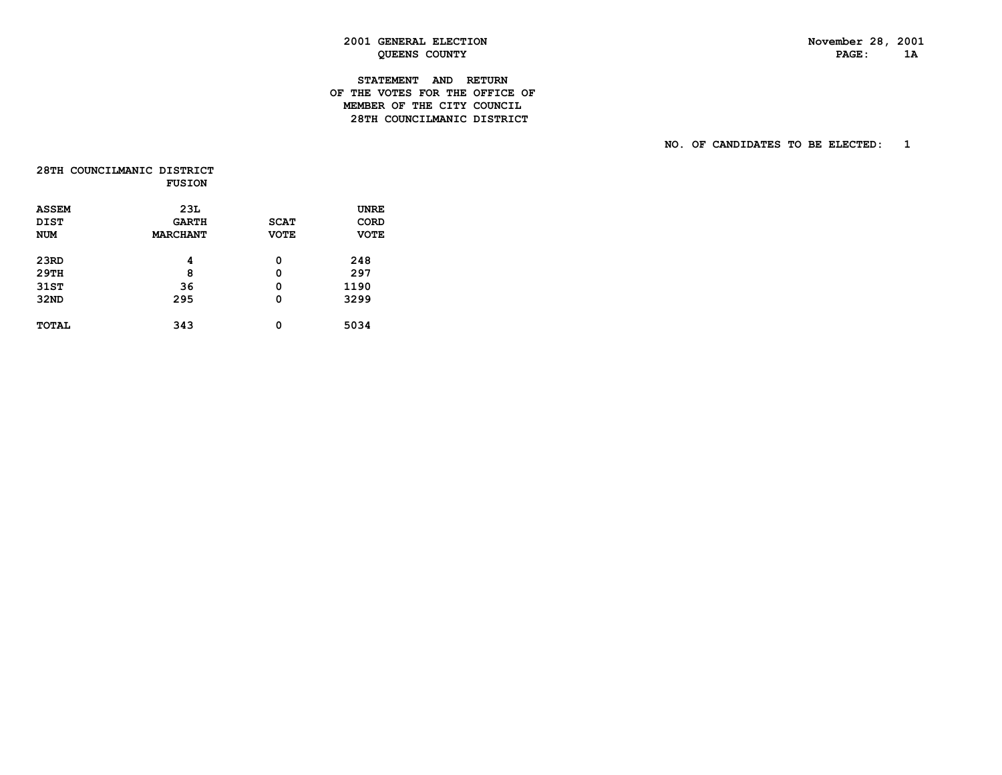# **STATEMENT AND RETURN OF THE VOTES FOR THE OFFICE OF MEMBER OF THE CITY COUNCIL28TH COUNCILMANIC DISTRICT**

|              | 28TH COUNCILMANIC DISTRICT |             |             |
|--------------|----------------------------|-------------|-------------|
|              | <b>FUSION</b>              |             |             |
| <b>ASSEM</b> | 23L                        |             | <b>UNRE</b> |
| DIST         | <b>GARTH</b>               | <b>SCAT</b> | CORD        |
| <b>NUM</b>   | <b>MARCHANT</b>            | <b>VOTE</b> | <b>VOTE</b> |
| 23RD         | 4                          | 0           | 248         |
| 29TH         | 8                          | 0           | 297         |
| 31ST         | 36                         | 0           | 1190        |
| 32ND         | 295                        | 0           | 3299        |
| <b>TOTAL</b> | 343                        | 0           | 5034        |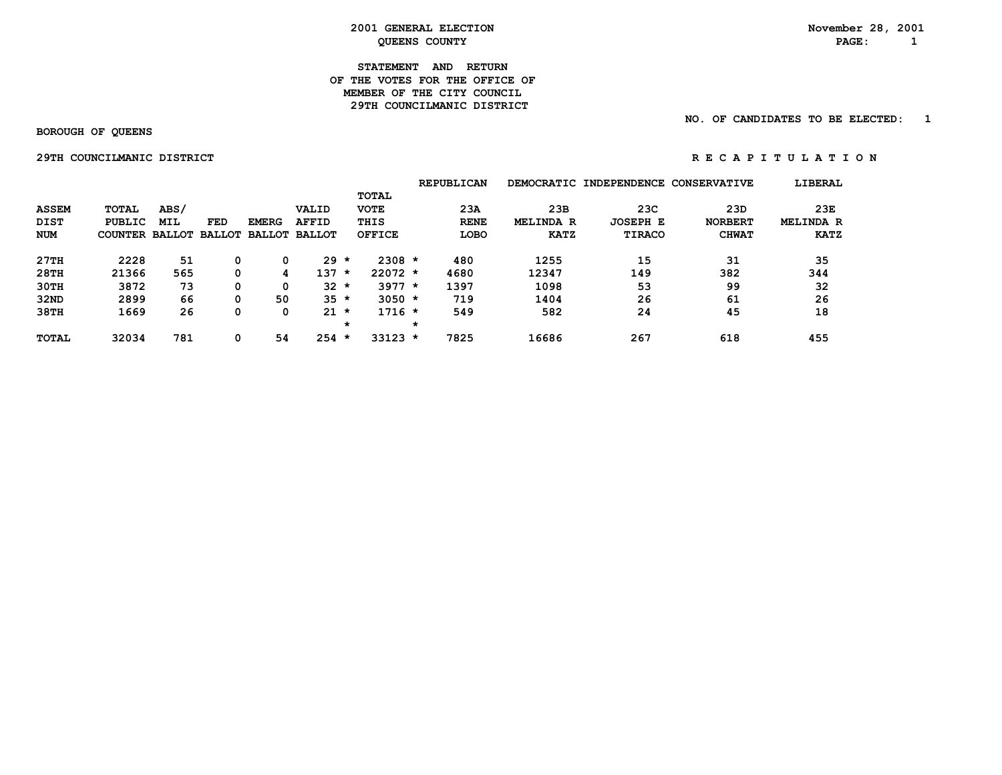#### **STATEMENT AND RETURN OF THE VOTES FOR THE OFFICE OFMEMBER OF THE CITY COUNCIL 29TH COUNCILMANIC DISTRICT**

#### **NO. OF CANDIDATES TO BE ELECTED: 1**

 **BOROUGH OF QUEENS**

 **29THCOUNCILMANICDISTRICT R E C A P I T U L A T I O N**

|              |                       |            |     |               |               |         |               |         | <b>REPUBLICAN</b> |                  | DEMOCRATIC INDEPENDENCE CONSERVATIVE |                | LIBERAL          |
|--------------|-----------------------|------------|-----|---------------|---------------|---------|---------------|---------|-------------------|------------------|--------------------------------------|----------------|------------------|
|              |                       |            |     |               |               |         | TOTAL         |         |                   |                  |                                      |                |                  |
| <b>ASSEM</b> | TOTAL                 | ABS/       |     |               | VALID         |         | <b>VOTE</b>   |         | 23A               | 23B              | 23C                                  | 23D            | 23E              |
| <b>DIST</b>  | <b>PUBLIC</b>         | <b>MIL</b> | FED | <b>EMERG</b>  | <b>AFFID</b>  |         | THIS          |         | <b>RENE</b>       | <b>MELINDA R</b> | <b>JOSEPH E</b>                      | <b>NORBERT</b> | <b>MELINDA R</b> |
| <b>NUM</b>   | COUNTER BALLOT BALLOT |            |     | <b>BALLOT</b> | <b>BALLOT</b> |         | <b>OFFICE</b> |         | <b>LOBO</b>       | <b>KATZ</b>      | <b>TIRACO</b>                        | <b>CHWAT</b>   | <b>KATZ</b>      |
| 27TH         | 2228                  | 51         |     | 0             | 29            | $\star$ | $2308 *$      |         | 480               | 1255             | 15                                   | 31             | 35               |
| 28TH         | 21366                 | 565        | 0   | 4             | 137           | $\star$ | $22072 *$     |         | 4680              | 12347            | 149                                  | 382            | 344              |
| 30TH         | 3872                  | 73         | 0   | 0             | 32            | $\star$ | $3977 *$      |         | 1397              | 1098             | 53                                   | 99             | 32               |
| 32ND         | 2899                  | 66         | 0   | 50            | $35 *$        |         | $3050 *$      |         | 719               | 1404             | 26                                   | 61             | 26               |
| 38TH         | 1669                  | 26         | 0   | 0             | 21            | $\star$ | $1716 *$      |         | 549               | 582              | 24                                   | 45             | 18               |
|              |                       |            |     |               |               | *       |               | $\star$ |                   |                  |                                      |                |                  |
| <b>TOTAL</b> | 32034                 | 781        | 0   | 54            | 254           | $\star$ | $33123 *$     |         | 7825              | 16686            | 267                                  | 618            | 455              |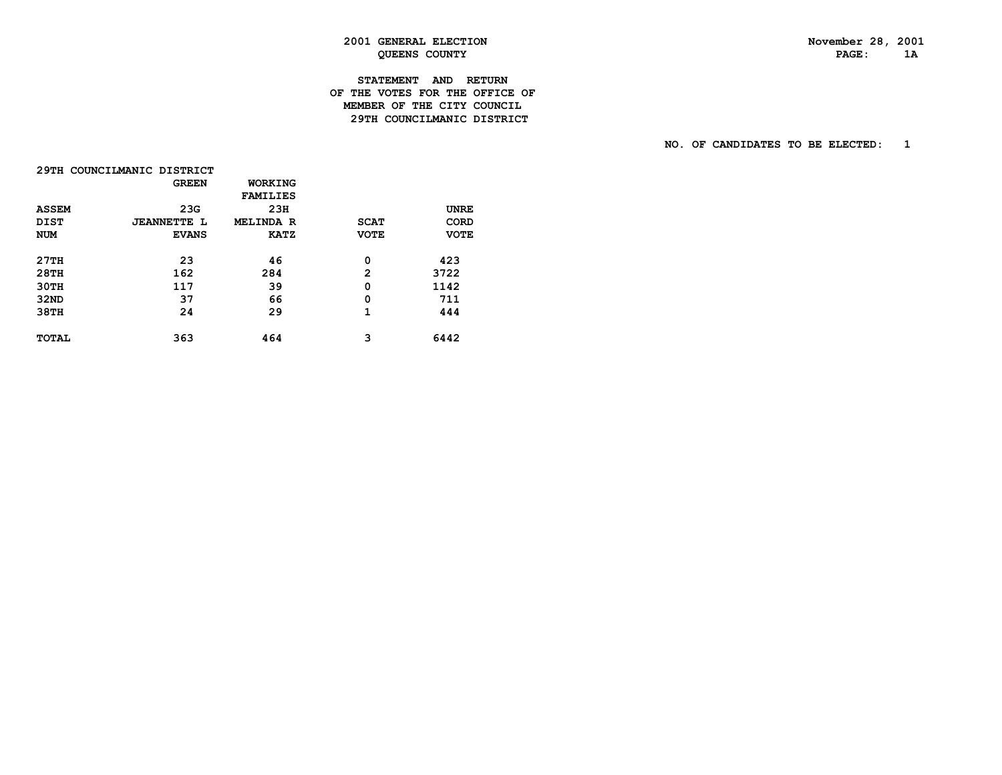# **STATEMENT AND RETURN OF THE VOTES FOR THE OFFICE OF MEMBER OF THE CITY COUNCIL29TH COUNCILMANIC DISTRICT**

|              | 29TH COUNCILMANIC DISTRICT |                  |              |             |
|--------------|----------------------------|------------------|--------------|-------------|
|              | <b>GREEN</b>               | WORKING          |              |             |
|              |                            | <b>FAMILIES</b>  |              |             |
| <b>ASSEM</b> | 23G                        | 23H              |              | <b>UNRE</b> |
| <b>DIST</b>  | <b>JEANNETTE L</b>         | <b>MELINDA R</b> | <b>SCAT</b>  | <b>CORD</b> |
| <b>NUM</b>   | <b>EVANS</b>               | <b>KATZ</b>      | <b>VOTE</b>  | <b>VOTE</b> |
| 27TH         | 23                         | 46               | 0            | 423         |
| 28TH         | 162                        | 284              | $\mathbf{2}$ | 3722        |
| 30TH         | 117                        | 39               | 0            | 1142        |
| 32ND         | 37                         | 66               | 0            | 711         |
| 38TH         | 24                         | 29               | 1            | 444         |
| <b>TOTAL</b> | 363                        | 464              | з            | 6442        |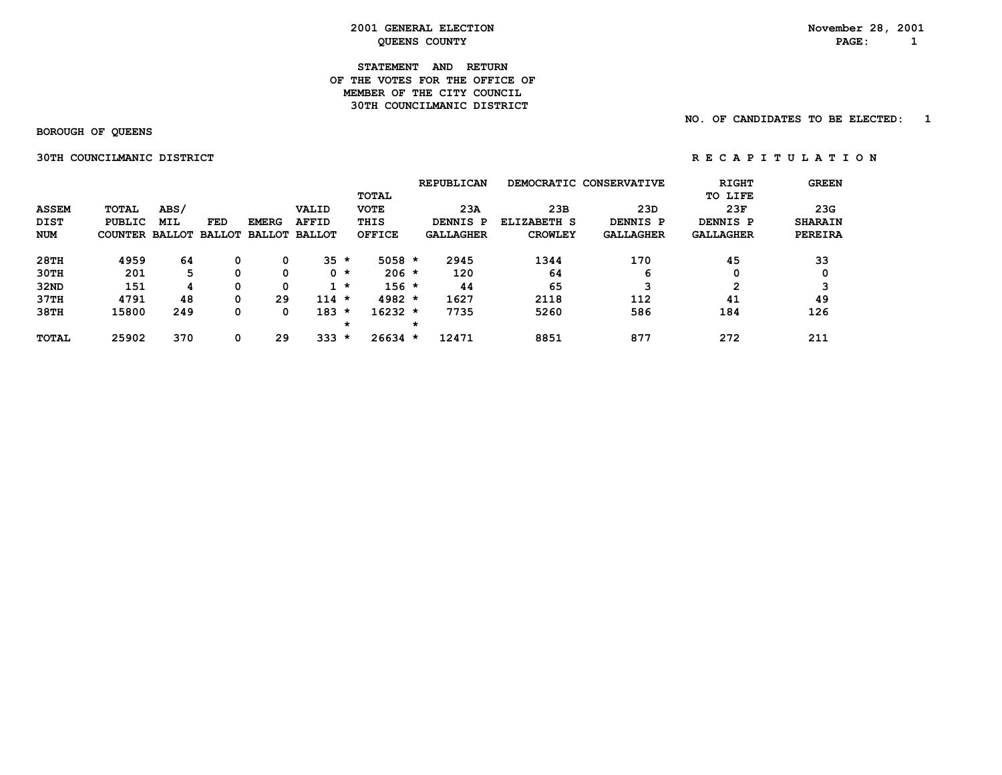#### **STATEMENT AND RETURN OF THE VOTES FOR THE OFFICE OF MEMBER OF THE CITY COUNCIL30TH COUNCILMANIC DISTRICT**

 **NO. OF CANDIDATES TO BE ELECTED: 1**

 **BOROUGH OF QUEENS**

 **30TH COUNCILMANIC DISTRICT A REPORT ON REGAPITULATION** 

**REPUBLICAN DEMOCRATIC CONSERVATIVE RIGHT GREEN TOTAL TO LIFE ASSEM TOTAL ABS/ VALID VOTE 23A 23B 23D 23F 23G DIST PUBLIC MIL FED EMERG AFFID THIS DENNIS P ELIZABETH S DENNIS P DENNIS P SHARAIN NUM COUNTER BALLOT BALLOT BALLOT BALLOT OFFICE GALLAGHER CROWLEY GALLAGHER GALLAGHER PEREIRA 28TH 4959 64 0 0 35 \* 5058 \* 2945 1344 170 45 33 30TH 201 5 0 0 0 \* 206 \* 120 64 6 0 0 32ND 151 4 0 0 1 \* 156 \* 44 65 3 2 3 37TH 4791 48 0 29 114 \* 4982 \* 1627 2118 112 41 49 38TH 15800 249 0 0 183 \* 16232 \* 7735 5260 586 184 126 \* \* TOTAL 25902 370 0 29 333 \* 26634 \* 12471 8851 877 272 211**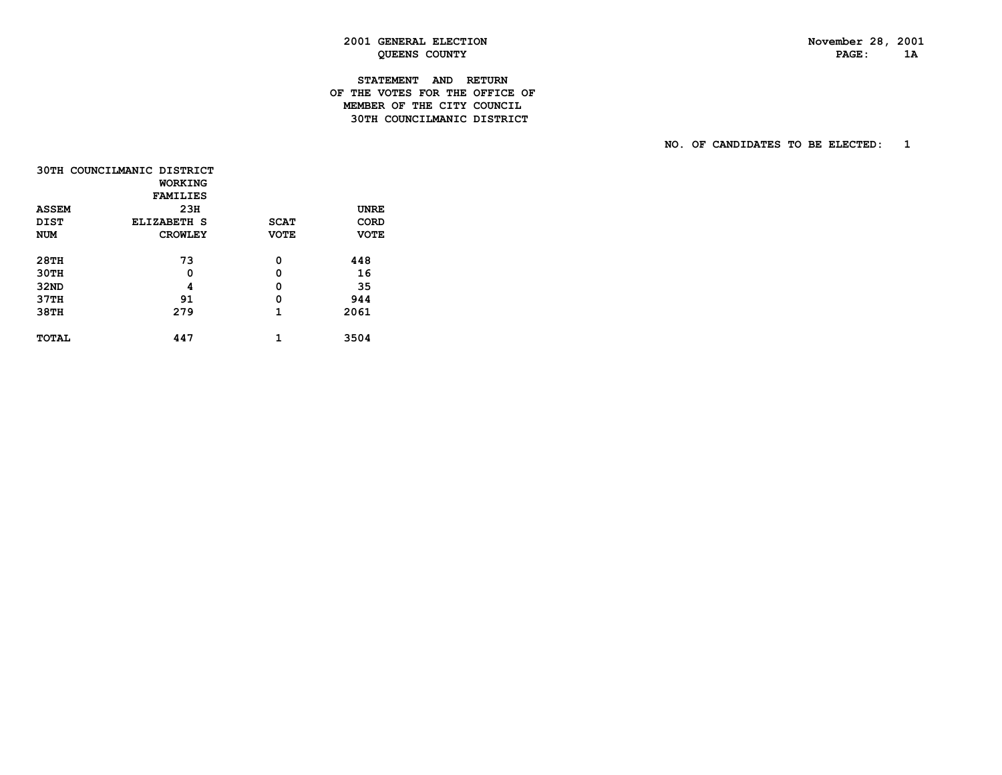# **STATEMENT AND RETURN OF THE VOTES FOR THE OFFICE OF MEMBER OF THE CITY COUNCIL30TH COUNCILMANIC DISTRICT**

|              | 30TH COUNCILMANIC DISTRICT<br><b>WORKING</b> |             |             |
|--------------|----------------------------------------------|-------------|-------------|
|              | <b>FAMILIES</b>                              |             |             |
| <b>ASSEM</b> | 23H                                          |             | <b>UNRE</b> |
| <b>DIST</b>  | ELIZABETH S                                  | <b>SCAT</b> | <b>CORD</b> |
| <b>NUM</b>   | <b>CROWLEY</b>                               | <b>VOTE</b> | <b>VOTE</b> |
|              |                                              |             |             |
| <b>28TH</b>  | 73                                           | 0           | 448         |
| 30TH         | 0                                            | 0           | 16          |
| 32ND         | 4                                            | 0           | 35          |
| 37TH         | 91                                           | 0           | 944         |
| 38TH         | 279                                          | 1           | 2061        |
|              |                                              |             |             |
| <b>TOTAL</b> | 447                                          | 1           | 3504        |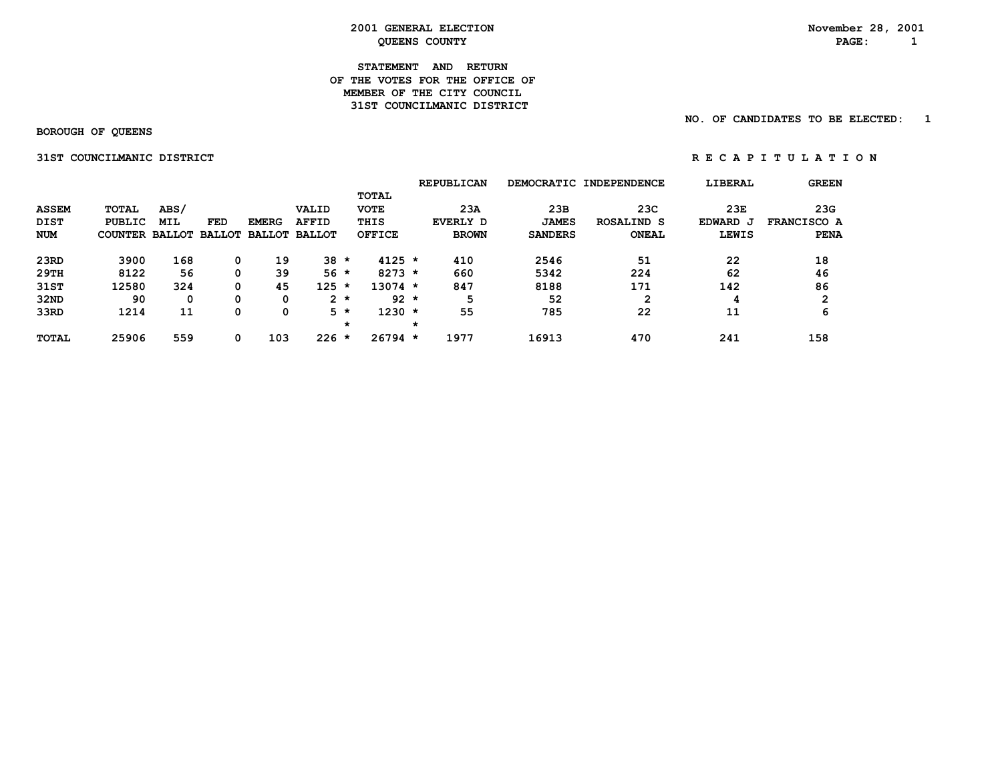#### **STATEMENT AND RETURN OF THE VOTES FOR THE OFFICE OFMEMBER OF THE CITY COUNCIL 31ST COUNCILMANIC DISTRICT**

 **NO. OF CANDIDATES TO BE ELECTED: 1**

 **BOROUGH OF QUEENS**

 **31STCOUNCILMANICDISTRICT R E C A P I T U L A T I O N**

|              |                       |      |     |              |                      |         |               |   | <b>REPUBLICAN</b> |                | DEMOCRATIC INDEPENDENCE | LIBERAL      | <b>GREEN</b>       |
|--------------|-----------------------|------|-----|--------------|----------------------|---------|---------------|---|-------------------|----------------|-------------------------|--------------|--------------------|
|              |                       |      |     |              |                      |         | <b>TOTAL</b>  |   |                   |                |                         |              |                    |
| <b>ASSEM</b> | <b>TOTAL</b>          | ABS/ |     |              | VALID                |         | <b>VOTE</b>   |   | 23A               | 23B            | 23C                     | 23E          | 23G                |
| <b>DIST</b>  | PUBLIC                | MIL  | FED | <b>EMERG</b> | <b>AFFID</b>         |         | THIS          |   | EVERLY D          | <b>JAMES</b>   | <b>ROSALIND S</b>       | EDWARD J     | <b>FRANCISCO A</b> |
| <b>NUM</b>   | COUNTER BALLOT BALLOT |      |     |              | <b>BALLOT BALLOT</b> |         | <b>OFFICE</b> |   | <b>BROWN</b>      | <b>SANDERS</b> | <b>ONEAL</b>            | <b>LEWIS</b> | <b>PENA</b>        |
| 23RD         | 3900                  | 168  | 0   | 19           | 38                   | $\star$ | $4125 *$      |   | 410               | 2546           | 51                      | 22           | 18                 |
| 29TH         | 8122                  | 56   | 0   | 39           | $56*$                |         | $8273 *$      |   | 660               | 5342           | 224                     | 62           | 46                 |
| 31ST         | 12580                 | 324  | 0   | 45           | 125                  | $\star$ | $13074$ *     |   | 847               | 8188           | 171                     | 142          | 86                 |
| 32ND         | 90                    | 0    | 0   | 0            |                      | $2 *$   | $92 *$        |   | 5                 | 52             | 2                       | 4            | $\mathbf{2}$       |
| 33RD         | 1214                  | 11   |     | 0            |                      | 5 *     | $1230 *$      |   | 55                | 785            | 22                      | 11           | 6                  |
|              |                       |      |     |              |                      | *       |               | * |                   |                |                         |              |                    |
| <b>TOTAL</b> | 25906                 | 559  | 0   | 103          | 226                  | $\star$ | $26794 *$     |   | 1977              | 16913          | 470                     | 241          | 158                |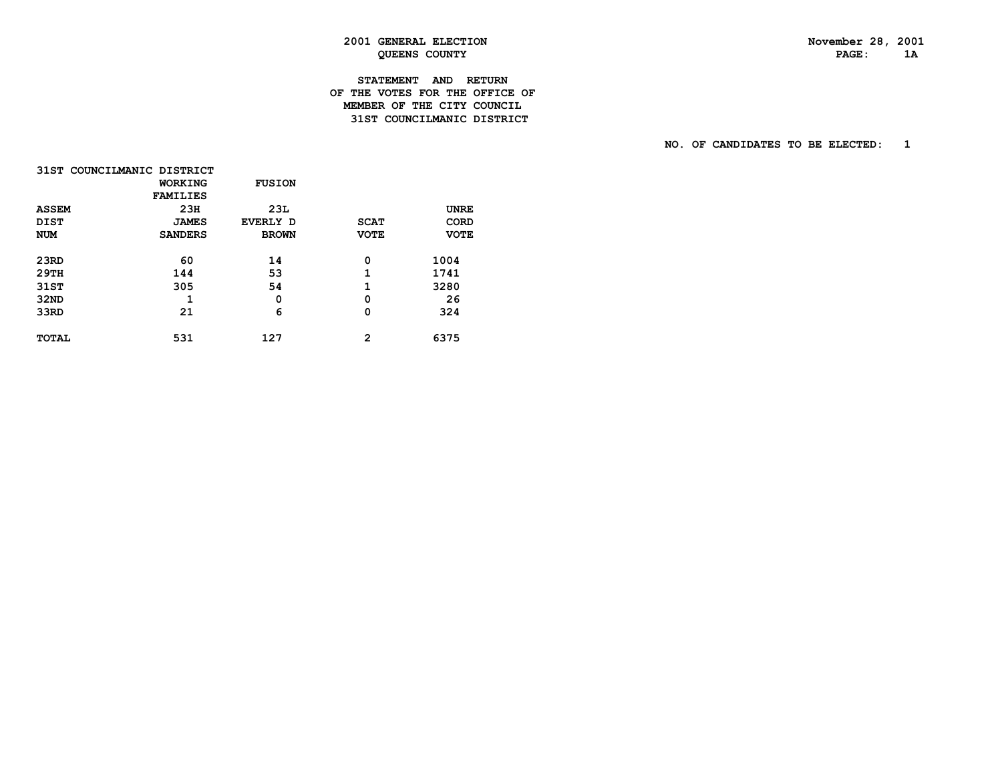# **STATEMENT AND RETURN OF THE VOTES FOR THE OFFICE OF MEMBER OF THE CITY COUNCIL31ST COUNCILMANIC DISTRICT**

|              | 31ST COUNCILMANIC DISTRICT |               |              |             |
|--------------|----------------------------|---------------|--------------|-------------|
|              | <b>WORKING</b>             | <b>FUSION</b> |              |             |
|              | <b>FAMILIES</b>            |               |              |             |
| <b>ASSEM</b> | 23H                        | 23L           |              | <b>UNRE</b> |
| <b>DIST</b>  | <b>JAMES</b>               | EVERLY D      | <b>SCAT</b>  | CORD        |
| <b>NUM</b>   | <b>SANDERS</b>             | <b>BROWN</b>  | <b>VOTE</b>  | <b>VOTE</b> |
| 23RD         | 60                         | 14            | 0            | 1004        |
| 29TH         | 144                        | 53            | 1            | 1741        |
| 31ST         | 305                        | 54            | 1            | 3280        |
| 32ND         | 1                          | 0             | 0            | 26          |
| 33RD         | 21                         | 6             | 0            | 324         |
| <b>TOTAL</b> | 531                        | 127           | $\mathbf{2}$ | 6375        |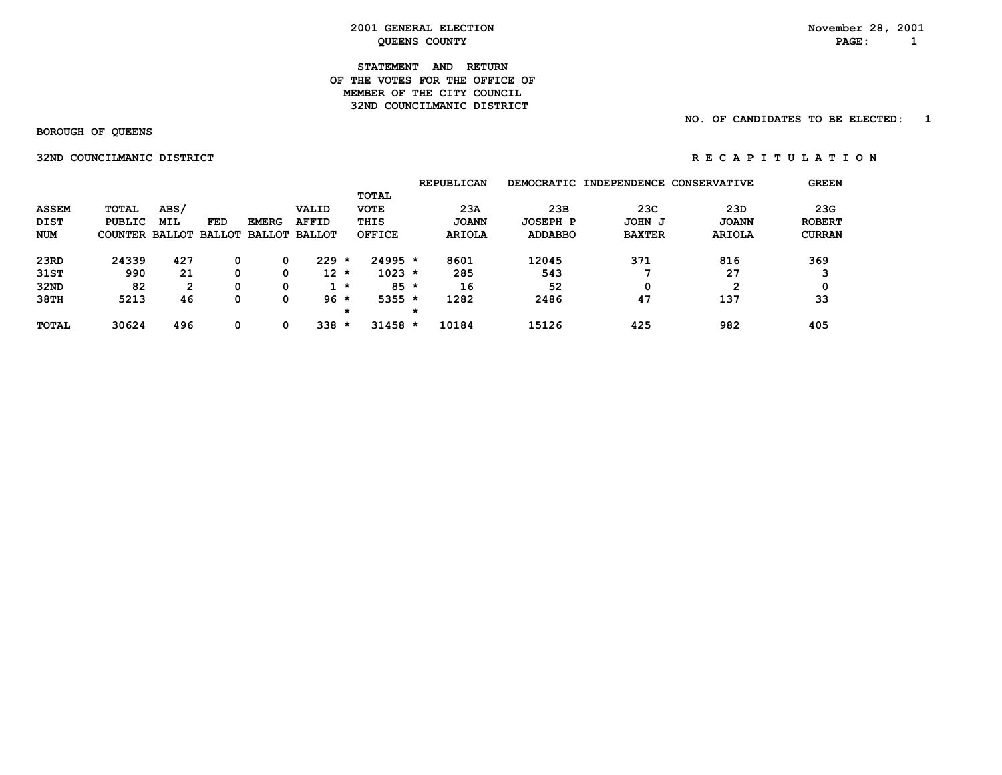#### **STATEMENT AND RETURN OF THE VOTES FOR THE OFFICE OFMEMBER OF THE CITY COUNCIL 32ND COUNCILMANIC DISTRICT**

#### **NO. OF CANDIDATES TO BE ELECTED: 1**

 **BOROUGH OF QUEENS**

 **32NDCOUNCILMANICDISTRICT R E C A P I T U L A T I O N**

|              |            |                |              |                      |                                        |                           |                                | <b>REPUBLICAN</b>                                        |                 |               |               | <b>GREEN</b>                                |
|--------------|------------|----------------|--------------|----------------------|----------------------------------------|---------------------------|--------------------------------|----------------------------------------------------------|-----------------|---------------|---------------|---------------------------------------------|
|              |            |                |              |                      |                                        |                           |                                |                                                          |                 |               |               |                                             |
| <b>TOTAL</b> | ABS/       |                |              | VALID                |                                        | <b>VOTE</b>               |                                | 23A                                                      | 23B             | 23C           | 23D           | 23G                                         |
| PUBLIC       | <b>MIL</b> | FED            | <b>EMERG</b> | <b>AFFID</b>         |                                        |                           |                                | <b>JOANN</b>                                             | <b>JOSEPH P</b> | JOHN J        | <b>JOANN</b>  | <b>ROBERT</b>                               |
|              |            |                |              | <b>BALLOT</b>        |                                        |                           |                                | <b>ARIOLA</b>                                            | <b>ADDABBO</b>  | <b>BAXTER</b> | <b>ARIOLA</b> | <b>CURRAN</b>                               |
|              |            |                |              | 229                  | $\star$                                |                           |                                |                                                          |                 |               |               | 369                                         |
| 990          | 21         | 0              |              |                      |                                        |                           |                                | 285                                                      | 543             |               | 27            |                                             |
| 82           | 2          | 0              |              |                      |                                        |                           |                                | 16                                                       | 52              | 0             |               |                                             |
| 5213         | 46         | 0              |              |                      |                                        |                           |                                | 1282                                                     | 2486            | 47            | 137           | 33                                          |
|              |            |                |              |                      | *                                      |                           | *                              |                                                          |                 |               |               |                                             |
| 30624        | 496        | 0              |              | 338                  | *                                      |                           |                                | 10184                                                    | 15126           | 425           | 982           | 405                                         |
|              | 24339      | COUNTER<br>427 |              | <b>BALLOT BALLOT</b> | <b>BALLOT</b><br>0<br>0<br>0<br>0<br>0 | $12 *$<br>$1 *$<br>$96 *$ | TOTAL<br>THIS<br><b>OFFICE</b> | $24995 *$<br>$1023 *$<br>$85 *$<br>$5355 *$<br>$31458 *$ | 8601            | 12045         | 371           | DEMOCRATIC INDEPENDENCE CONSERVATIVE<br>816 |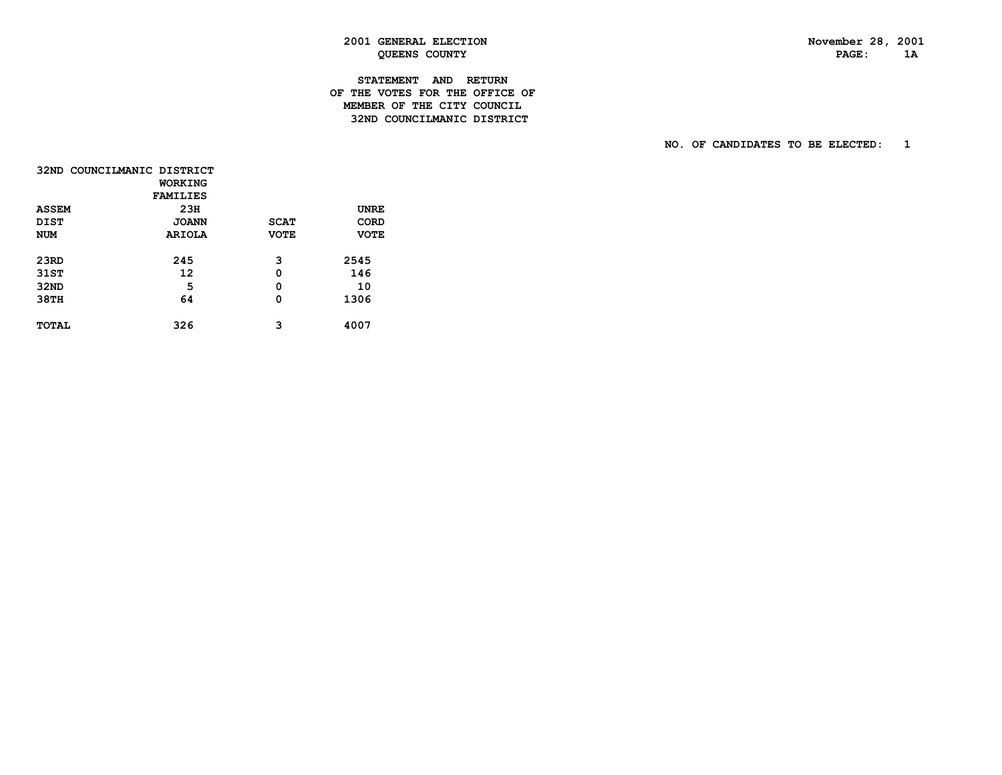# **STATEMENT AND RETURN OF THE VOTES FOR THE OFFICE OF MEMBER OF THE CITY COUNCIL32ND COUNCILMANIC DISTRICT**

| 32ND COUNCILMANIC DISTRICT |                 |             |             |
|----------------------------|-----------------|-------------|-------------|
|                            | <b>WORKING</b>  |             |             |
|                            | <b>FAMILIES</b> |             |             |
| <b>ASSEM</b>               | 23H             |             | <b>UNRE</b> |
| <b>DIST</b>                | <b>JOANN</b>    | <b>SCAT</b> | <b>CORD</b> |
| <b>NUM</b>                 | <b>ARIOLA</b>   | <b>VOTE</b> | <b>VOTE</b> |
|                            |                 |             |             |
| 23RD                       | 245             | 3           | 2545        |
| 31ST                       | 12              | 0           | 146         |
| 32ND                       | 5               | 0           | 10          |
| 38TH                       | 64              | 0           | 1306        |
|                            |                 |             |             |
| <b>TOTAL</b>               | 326             | 3           | 4007        |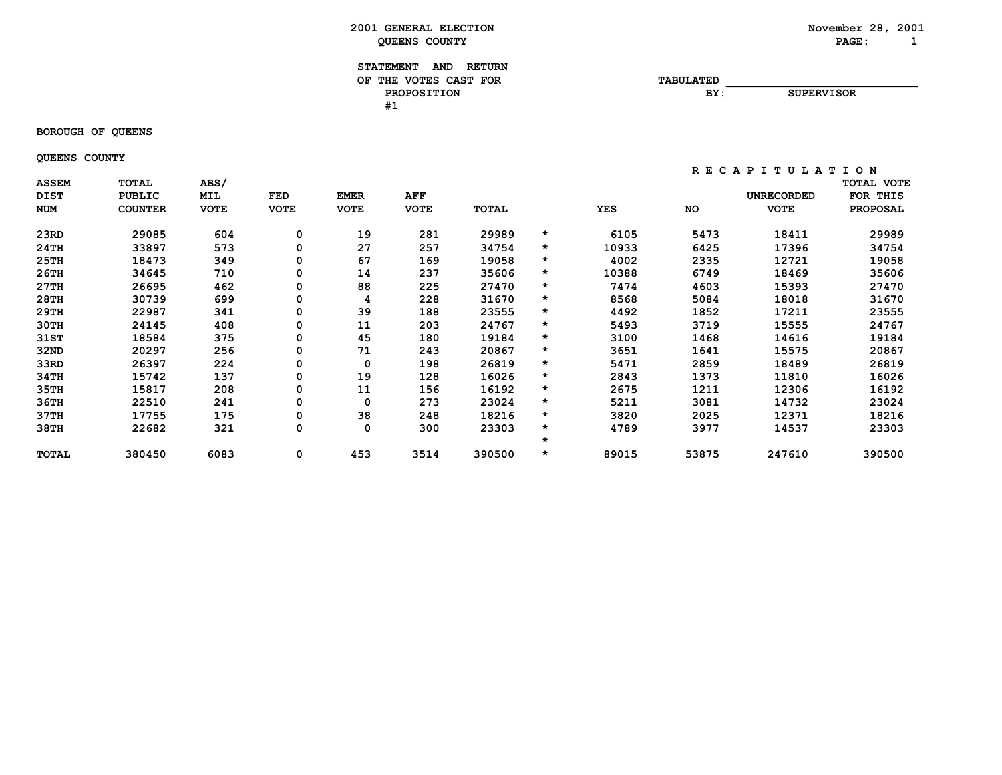#### **STATEMENT AND RETURN** OF THE VOTES CAST FOR **TABULATED PROPOSITION BY: SUPERVISOR #1**

 **BOROUGH OF QUEENS**

 **QUEENS COUNTY**

| <b>ASSEM</b><br><b>DIST</b> | <b>TOTAL</b><br><b>PUBLIC</b> | ABS/<br>MIL | FED         | <b>EMER</b> | AFF         |        |         |            |           | <b>UNRECORDED</b> | TOTAL VOTE<br>FOR<br>THIS |
|-----------------------------|-------------------------------|-------------|-------------|-------------|-------------|--------|---------|------------|-----------|-------------------|---------------------------|
| <b>NUM</b>                  | <b>COUNTER</b>                | <b>VOTE</b> | <b>VOTE</b> | <b>VOTE</b> | <b>VOTE</b> | TOTAL  |         | <b>YES</b> | <b>NO</b> | <b>VOTE</b>       | <b>PROPOSAL</b>           |
| 23RD                        | 29085                         | 604         | 0           | 19          | 281         | 29989  | $\star$ | 6105       | 5473      | 18411             | 29989                     |
| 24TH                        | 33897                         | 573         | 0           | 27          | 257         | 34754  | $\star$ | 10933      | 6425      | 17396             | 34754                     |
| 25TH                        | 18473                         | 349         | 0           | 67          | 169         | 19058  | $\star$ | 4002       | 2335      | 12721             | 19058                     |
| 26TH                        | 34645                         | 710         | 0           | 14          | 237         | 35606  | $\star$ | 10388      | 6749      | 18469             | 35606                     |
| 27TH                        | 26695                         | 462         | 0           | 88          | 225         | 27470  | $\star$ | 7474       | 4603      | 15393             | 27470                     |
| 28TH                        | 30739                         | 699         | 0           | 4           | 228         | 31670  | $\star$ | 8568       | 5084      | 18018             | 31670                     |
| 29TH                        | 22987                         | 341         | 0           | 39          | 188         | 23555  | $\star$ | 4492       | 1852      | 17211             | 23555                     |
| 30TH                        | 24145                         | 408         | 0           | 11          | 203         | 24767  | $\star$ | 5493       | 3719      | 15555             | 24767                     |
| 31ST                        | 18584                         | 375         | 0           | 45          | 180         | 19184  | $\star$ | 3100       | 1468      | 14616             | 19184                     |
| 32ND                        | 20297                         | 256         | 0           | 71          | 243         | 20867  | $\star$ | 3651       | 1641      | 15575             | 20867                     |
| 33RD                        | 26397                         | 224         | 0           | 0           | 198         | 26819  | $\star$ | 5471       | 2859      | 18489             | 26819                     |
| 34TH                        | 15742                         | 137         | 0           | 19          | 128         | 16026  | $\star$ | 2843       | 1373      | 11810             | 16026                     |
| 35TH                        | 15817                         | 208         | 0           | 11          | 156         | 16192  | $\star$ | 2675       | 1211      | 12306             | 16192                     |
| 36TH                        | 22510                         | 241         | 0           | 0           | 273         | 23024  | $\star$ | 5211       | 3081      | 14732             | 23024                     |
| 37TH                        | 17755                         | 175         | 0           | 38          | 248         | 18216  | $\star$ | 3820       | 2025      | 12371             | 18216                     |
| 38TH                        | 22682                         | 321         | 0           | 0           | 300         | 23303  | $\star$ | 4789       | 3977      | 14537             | 23303                     |
|                             |                               |             |             |             |             |        | $\star$ |            |           |                   |                           |
| <b>TOTAL</b>                | 380450                        | 6083        | 0           | 453         | 3514        | 390500 | $\star$ | 89015      | 53875     | 247610            | 390500                    |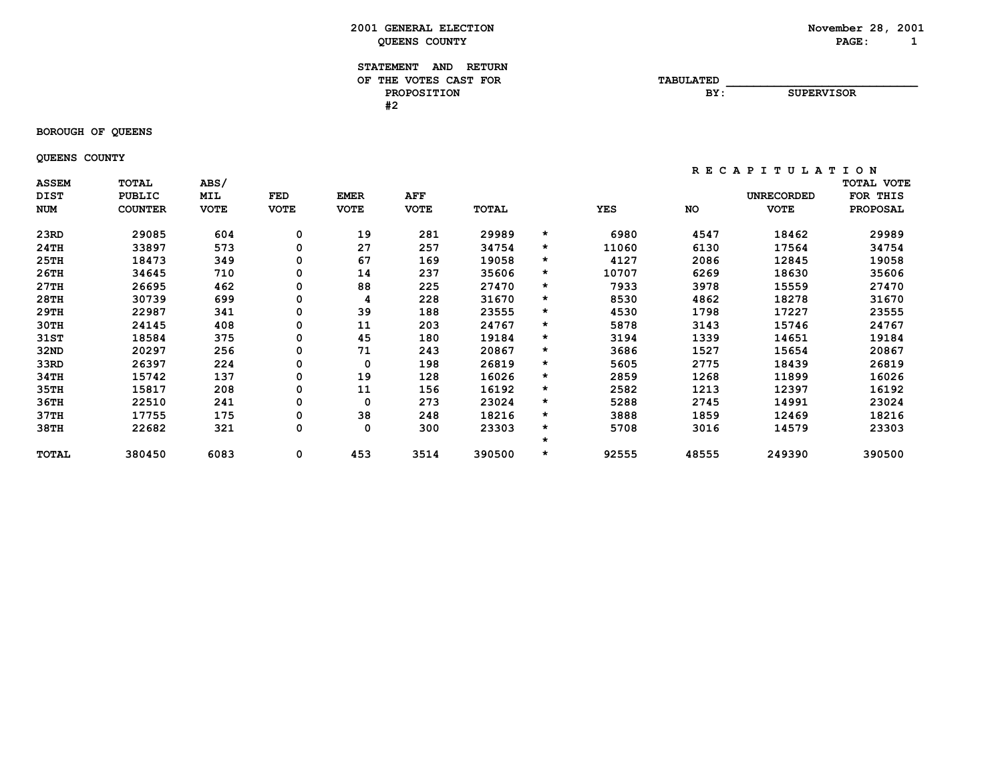**November 28, 2001**<br>**PAGE:** 1

| 2001<br><b>GENERAL ELECTION</b> | November 28, | 200 |
|---------------------------------|--------------|-----|
| <b>COUNTY</b><br>OUEENS         | <b>PAGE</b>  |     |

| <b>STATEMENT</b><br><b>AND</b><br><b>RETURN</b> |                  |                   |
|-------------------------------------------------|------------------|-------------------|
| THE VOTES CAST FOR<br>OF.                       | <b>TABULATED</b> |                   |
| <b>PROPOSITION</b>                              | BY:              | <b>SUPERVISOR</b> |
| #2                                              |                  |                   |

# **BOROUGH OF QUEENS**

 **QUEENS COUNTY**

| <b>ASSEM</b> | <b>TOTAL</b>   | ABS/        |             |             |             |              |         |            |           |                   | TOTAL VOTE      |
|--------------|----------------|-------------|-------------|-------------|-------------|--------------|---------|------------|-----------|-------------------|-----------------|
| <b>DIST</b>  | <b>PUBLIC</b>  | MIL         | FED         | <b>EMER</b> | <b>AFF</b>  |              |         |            |           | <b>UNRECORDED</b> | FOR THIS        |
| <b>NUM</b>   | <b>COUNTER</b> | <b>VOTE</b> | <b>VOTE</b> | <b>VOTE</b> | <b>VOTE</b> | <b>TOTAL</b> |         | <b>YES</b> | <b>NO</b> | <b>VOTE</b>       | <b>PROPOSAL</b> |
| 23RD         | 29085          | 604         | 0           | 19          | 281         | 29989        | $\star$ | 6980       | 4547      | 18462             | 29989           |
| 24TH         | 33897          | 573         | 0           | 27          | 257         | 34754        | $\star$ | 11060      | 6130      | 17564             | 34754           |
| 25TH         | 18473          | 349         | 0           | 67          | 169         | 19058        | *       | 4127       | 2086      | 12845             | 19058           |
| 26TH         | 34645          | 710         | 0           | 14          | 237         | 35606        | *       | 10707      | 6269      | 18630             | 35606           |
| 27TH         | 26695          | 462         | 0           | 88          | 225         | 27470        | $\star$ | 7933       | 3978      | 15559             | 27470           |
| 28TH         | 30739          | 699         | 0           | 4           | 228         | 31670        | *       | 8530       | 4862      | 18278             | 31670           |
| 29TH         | 22987          | 341         | 0           | 39          | 188         | 23555        | $\star$ | 4530       | 1798      | 17227             | 23555           |
| 30TH         | 24145          | 408         | 0           | 11          | 203         | 24767        | $\star$ | 5878       | 3143      | 15746             | 24767           |
| 31ST         | 18584          | 375         | 0           | 45          | 180         | 19184        | $\star$ | 3194       | 1339      | 14651             | 19184           |
| 32ND         | 20297          | 256         | 0           | 71          | 243         | 20867        | $\star$ | 3686       | 1527      | 15654             | 20867           |
| 33RD         | 26397          | 224         | 0           | 0           | 198         | 26819        | *       | 5605       | 2775      | 18439             | 26819           |
| 34TH         | 15742          | 137         | 0           | 19          | 128         | 16026        | $\star$ | 2859       | 1268      | 11899             | 16026           |
| 35TH         | 15817          | 208         | 0           | 11          | 156         | 16192        | $\star$ | 2582       | 1213      | 12397             | 16192           |
| 36TH         | 22510          | 241         | 0           | 0           | 273         | 23024        | *       | 5288       | 2745      | 14991             | 23024           |
| 37TH         | 17755          | 175         | 0           | 38          | 248         | 18216        | $\star$ | 3888       | 1859      | 12469             | 18216           |
| 38TH         | 22682          | 321         | 0           | 0           | 300         | 23303        | *       | 5708       | 3016      | 14579             | 23303           |
|              |                |             |             |             |             |              | $\star$ |            |           |                   |                 |
| <b>TOTAL</b> | 380450         | 6083        | 0           | 453         | 3514        | 390500       | *       | 92555      | 48555     | 249390            | 390500          |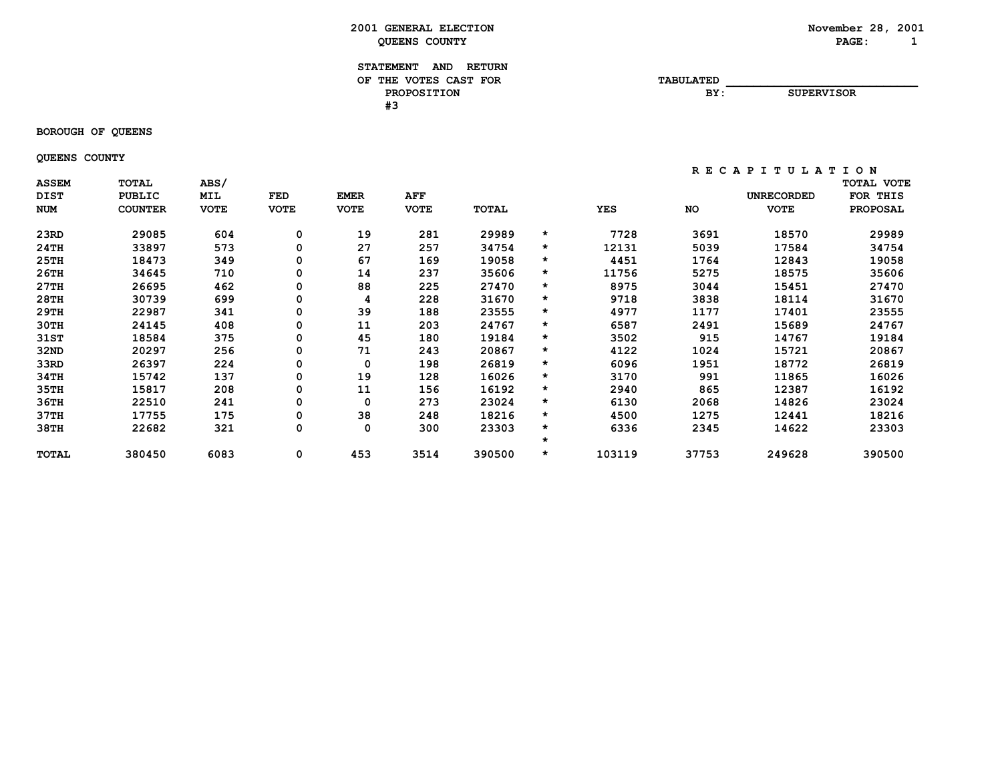**November 28, 2001**<br>**PAGE:** 1

| 2001<br><b>GENERAL ELECTION</b> | November 28, | 200 |
|---------------------------------|--------------|-----|
| <b>COUNTY</b><br>OUEENS         | <b>PAGE</b>  |     |

| <b>STATEMENT</b><br><b>AND</b><br><b>RETURN</b> |                  |                   |
|-------------------------------------------------|------------------|-------------------|
| THE VOTES CAST FOR<br>OF                        | <b>TABULATED</b> |                   |
| <b>PROPOSITION</b>                              | BY:              | <b>SUPERVISOR</b> |
| π-                                              |                  |                   |

 **BOROUGH OF QUEENS**

 **QUEENS COUNTY**

| <b>ASSEM</b><br><b>DIST</b> | <b>TOTAL</b><br><b>PUBLIC</b> | ABS/<br>MIL | FED         | <b>EMER</b> | AFF         |        |         |            |       | UNRECORDED  | TOTAL VOTE<br>FOR<br>THIS |
|-----------------------------|-------------------------------|-------------|-------------|-------------|-------------|--------|---------|------------|-------|-------------|---------------------------|
| <b>NUM</b>                  | <b>COUNTER</b>                | <b>VOTE</b> | <b>VOTE</b> | <b>VOTE</b> | <b>VOTE</b> | TOTAL  |         | <b>YES</b> | NO    | <b>VOTE</b> | <b>PROPOSAL</b>           |
| 23RD                        | 29085                         | 604         | 0           | 19          | 281         | 29989  | $\star$ | 7728       | 3691  | 18570       | 29989                     |
| 24TH                        | 33897                         | 573         | 0           | 27          | 257         | 34754  | $\star$ | 12131      | 5039  | 17584       | 34754                     |
| 25TH                        | 18473                         | 349         | 0           | 67          | 169         | 19058  | $\star$ | 4451       | 1764  | 12843       | 19058                     |
| 26TH                        | 34645                         | 710         | 0           | 14          | 237         | 35606  | $\star$ | 11756      | 5275  | 18575       | 35606                     |
| 27TH                        | 26695                         | 462         | 0           | 88          | 225         | 27470  | $\star$ | 8975       | 3044  | 15451       | 27470                     |
| 28TH                        | 30739                         | 699         | 0           | 4           | 228         | 31670  | *       | 9718       | 3838  | 18114       | 31670                     |
| 29TH                        | 22987                         | 341         | 0           | 39          | 188         | 23555  | $\star$ | 4977       | 1177  | 17401       | 23555                     |
| 30TH                        | 24145                         | 408         | 0           | 11          | 203         | 24767  | $\star$ | 6587       | 2491  | 15689       | 24767                     |
| 31ST                        | 18584                         | 375         | 0           | 45          | 180         | 19184  | $\star$ | 3502       | 915   | 14767       | 19184                     |
| 32ND                        | 20297                         | 256         | 0           | 71          | 243         | 20867  | $\star$ | 4122       | 1024  | 15721       | 20867                     |
| 33RD                        | 26397                         | 224         | 0           | 0           | 198         | 26819  | $\star$ | 6096       | 1951  | 18772       | 26819                     |
| 34TH                        | 15742                         | 137         | 0           | 19          | 128         | 16026  | $\star$ | 3170       | 991   | 11865       | 16026                     |
| 35TH                        | 15817                         | 208         | 0           | 11          | 156         | 16192  | $\star$ | 2940       | 865   | 12387       | 16192                     |
| 36TH                        | 22510                         | 241         | 0           | 0           | 273         | 23024  | $\star$ | 6130       | 2068  | 14826       | 23024                     |
| 37TH                        | 17755                         | 175         | 0           | 38          | 248         | 18216  | $\star$ | 4500       | 1275  | 12441       | 18216                     |
| 38TH                        | 22682                         | 321         | 0           | 0           | 300         | 23303  | *       | 6336       | 2345  | 14622       | 23303                     |
|                             |                               |             |             |             |             |        | *       |            |       |             |                           |
| <b>TOTAL</b>                | 380450                        | 6083        | 0           | 453         | 3514        | 390500 | *       | 103119     | 37753 | 249628      | 390500                    |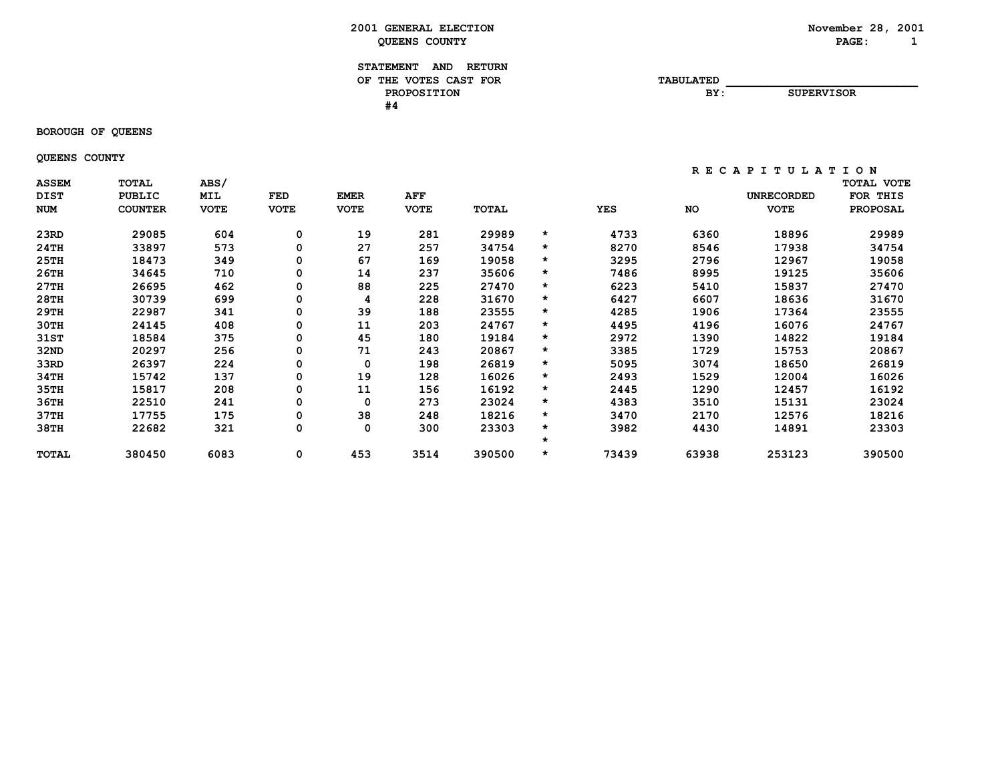#### **STATEMENT AND RETURN** OF THE VOTES CAST FOR **TABULATED PROPOSITION BY: SUPERVISOR #4**

 **BOROUGH OF QUEENS**

 **QUEENS COUNTY**

| <b>ASSEM</b><br><b>DIST</b> | <b>TOTAL</b><br><b>PUBLIC</b> | ABS/<br><b>MIL</b> | FED         | <b>EMER</b> | <b>AFF</b>  |        |         |            |           | UNRECORDED  | <b>TOTAL VOTE</b><br>FOR<br>THIS |
|-----------------------------|-------------------------------|--------------------|-------------|-------------|-------------|--------|---------|------------|-----------|-------------|----------------------------------|
| <b>NUM</b>                  | <b>COUNTER</b>                | <b>VOTE</b>        | <b>VOTE</b> | <b>VOTE</b> | <b>VOTE</b> | TOTAL  |         | <b>YES</b> | <b>NO</b> | <b>VOTE</b> | <b>PROPOSAL</b>                  |
| 23RD                        | 29085                         | 604                | 0           | 19          | 281         | 29989  | $\star$ | 4733       | 6360      | 18896       | 29989                            |
| 24TH                        | 33897                         | 573                | 0           | 27          | 257         | 34754  | $\star$ | 8270       | 8546      | 17938       | 34754                            |
| 25TH                        | 18473                         | 349                | 0           | 67          | 169         | 19058  | $\star$ | 3295       | 2796      | 12967       | 19058                            |
| 26TH                        | 34645                         | 710                | 0           | 14          | 237         | 35606  | $\star$ | 7486       | 8995      | 19125       | 35606                            |
| 27TH                        | 26695                         | 462                | 0           | 88          | 225         | 27470  | $\star$ | 6223       | 5410      | 15837       | 27470                            |
| 28TH                        | 30739                         | 699                | 0           | 4           | 228         | 31670  | $\star$ | 6427       | 6607      | 18636       | 31670                            |
| 29TH                        | 22987                         | 341                | 0           | 39          | 188         | 23555  | $\star$ | 4285       | 1906      | 17364       | 23555                            |
| 30TH                        | 24145                         | 408                | 0           | 11          | 203         | 24767  | $\star$ | 4495       | 4196      | 16076       | 24767                            |
| 31ST                        | 18584                         | 375                | 0           | 45          | 180         | 19184  | $\star$ | 2972       | 1390      | 14822       | 19184                            |
| 32ND                        | 20297                         | 256                | 0           | 71          | 243         | 20867  | $\star$ | 3385       | 1729      | 15753       | 20867                            |
| 33RD                        | 26397                         | 224                | 0           | 0           | 198         | 26819  | $\star$ | 5095       | 3074      | 18650       | 26819                            |
| 34TH                        | 15742                         | 137                | 0           | 19          | 128         | 16026  | $\star$ | 2493       | 1529      | 12004       | 16026                            |
| 35TH                        | 15817                         | 208                | 0           | 11          | 156         | 16192  | $\star$ | 2445       | 1290      | 12457       | 16192                            |
| 36TH                        | 22510                         | 241                | 0           | 0           | 273         | 23024  | $\star$ | 4383       | 3510      | 15131       | 23024                            |
| 37TH                        | 17755                         | 175                | 0           | 38          | 248         | 18216  | $\star$ | 3470       | 2170      | 12576       | 18216                            |
| 38TH                        | 22682                         | 321                | 0           | 0           | 300         | 23303  | $\star$ | 3982       | 4430      | 14891       | 23303                            |
|                             |                               |                    |             |             |             |        | *       |            |           |             |                                  |
| <b>TOTAL</b>                | 380450                        | 6083               | 0           | 453         | 3514        | 390500 | *       | 73439      | 63938     | 253123      | 390500                           |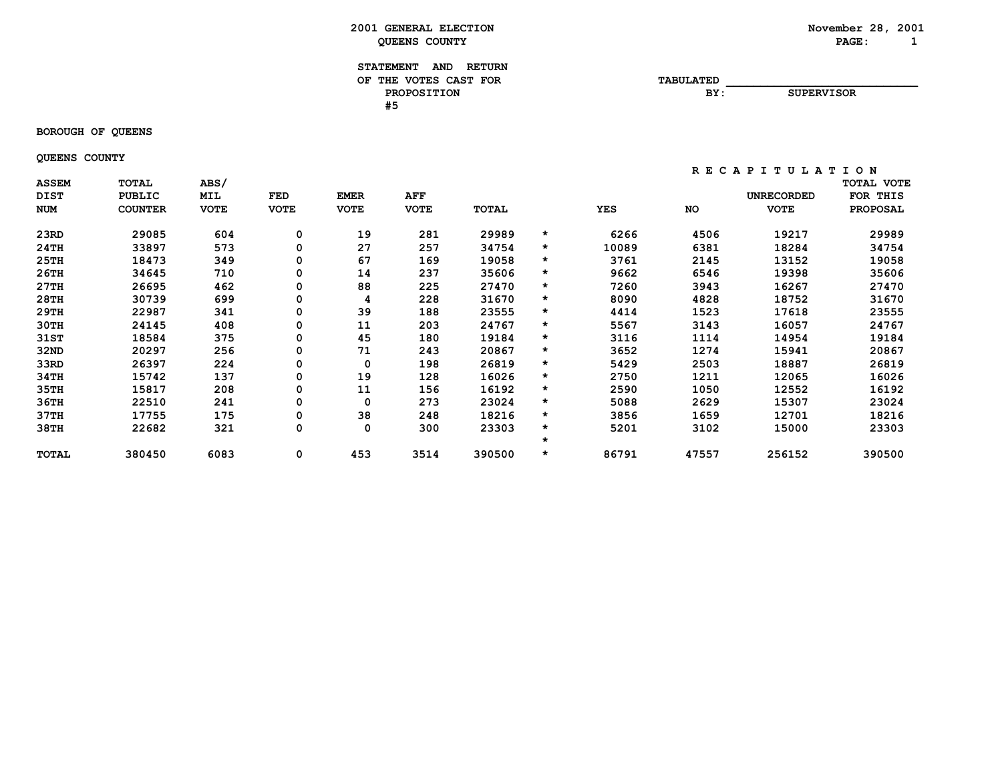**November 28, 2001**<br>**PAGE:** 1

| 2001<br><b>GENERAL ELECTION</b> | November 28, | 200 |
|---------------------------------|--------------|-----|
| <b>COUNTY</b><br>OUEENS         | <b>PAGE</b>  |     |

| <b>STATEMENT</b><br><b>AND</b><br><b>RETURN</b> |                  |                   |
|-------------------------------------------------|------------------|-------------------|
| THE VOTES CAST FOR<br>OF                        | <b>TABULATED</b> |                   |
| <b>PROPOSITION</b>                              | BY:              | <b>SUPERVISOR</b> |
| π.                                              |                  |                   |

# **BOROUGH OF QUEENS**

 **QUEENS COUNTY**

|              |                |             |             |             |             |              |         |            | . .<br>ີ  | .<br>ັ<br><u>.</u> | ັ               |
|--------------|----------------|-------------|-------------|-------------|-------------|--------------|---------|------------|-----------|--------------------|-----------------|
| <b>ASSEM</b> | <b>TOTAL</b>   | ABS/        |             |             |             |              |         |            |           |                    | TOTAL VOTE      |
| <b>DIST</b>  | PUBLIC         | MIL         | FED         | <b>EMER</b> | AFF         |              |         |            |           | <b>UNRECORDED</b>  | FOR THIS        |
| <b>NUM</b>   | <b>COUNTER</b> | <b>VOTE</b> | <b>VOTE</b> | <b>VOTE</b> | <b>VOTE</b> | <b>TOTAL</b> |         | <b>YES</b> | <b>NO</b> | <b>VOTE</b>        | <b>PROPOSAL</b> |
| 23RD         | 29085          | 604         | 0           | 19          | 281         | 29989        | $\star$ | 6266       | 4506      | 19217              | 29989           |
| 24TH         | 33897          | 573         | 0           | 27          | 257         | 34754        | $\star$ | 10089      | 6381      | 18284              | 34754           |
|              |                |             |             |             |             |              |         |            |           |                    |                 |
| 25TH         | 18473          | 349         | 0           | 67          | 169         | 19058        | $\star$ | 3761       | 2145      | 13152              | 19058           |
| 26TH         | 34645          | 710         | 0           | 14          | 237         | 35606        | $\star$ | 9662       | 6546      | 19398              | 35606           |
| 27TH         | 26695          | 462         | 0           | 88          | 225         | 27470        | $\star$ | 7260       | 3943      | 16267              | 27470           |
| 28TH         | 30739          | 699         | 0           | 4           | 228         | 31670        | $\star$ | 8090       | 4828      | 18752              | 31670           |
| 29TH         | 22987          | 341         | 0           | 39          | 188         | 23555        | $\star$ | 4414       | 1523      | 17618              | 23555           |
| 30TH         | 24145          | 408         | 0           | 11          | 203         | 24767        | $\star$ | 5567       | 3143      | 16057              | 24767           |
| 31ST         | 18584          | 375         | 0           | 45          | 180         | 19184        | $\star$ | 3116       | 1114      | 14954              | 19184           |
| 32ND         | 20297          | 256         | 0           | 71          | 243         | 20867        | $\star$ | 3652       | 1274      | 15941              | 20867           |
| 33RD         | 26397          | 224         | 0           | 0           | 198         | 26819        | $\star$ | 5429       | 2503      | 18887              | 26819           |
| 34TH         | 15742          | 137         | 0           | 19          | 128         | 16026        | $\star$ | 2750       | 1211      | 12065              | 16026           |
| 35TH         | 15817          | 208         | 0           | 11          | 156         | 16192        | $\star$ | 2590       | 1050      | 12552              | 16192           |
| 36TH         | 22510          | 241         | 0           | 0           | 273         | 23024        | $\star$ | 5088       | 2629      | 15307              | 23024           |
| 37TH         | 17755          | 175         | 0           | 38          | 248         | 18216        | $\star$ | 3856       | 1659      | 12701              | 18216           |
| 38TH         | 22682          | 321         | 0           | 0           | 300         | 23303        | $\star$ | 5201       | 3102      | 15000              | 23303           |
|              |                |             |             |             |             |              | $\star$ |            |           |                    |                 |
| <b>TOTAL</b> | 380450         | 6083        | 0           | 453         | 3514        | 390500       | $\star$ | 86791      | 47557     | 256152             | 390500          |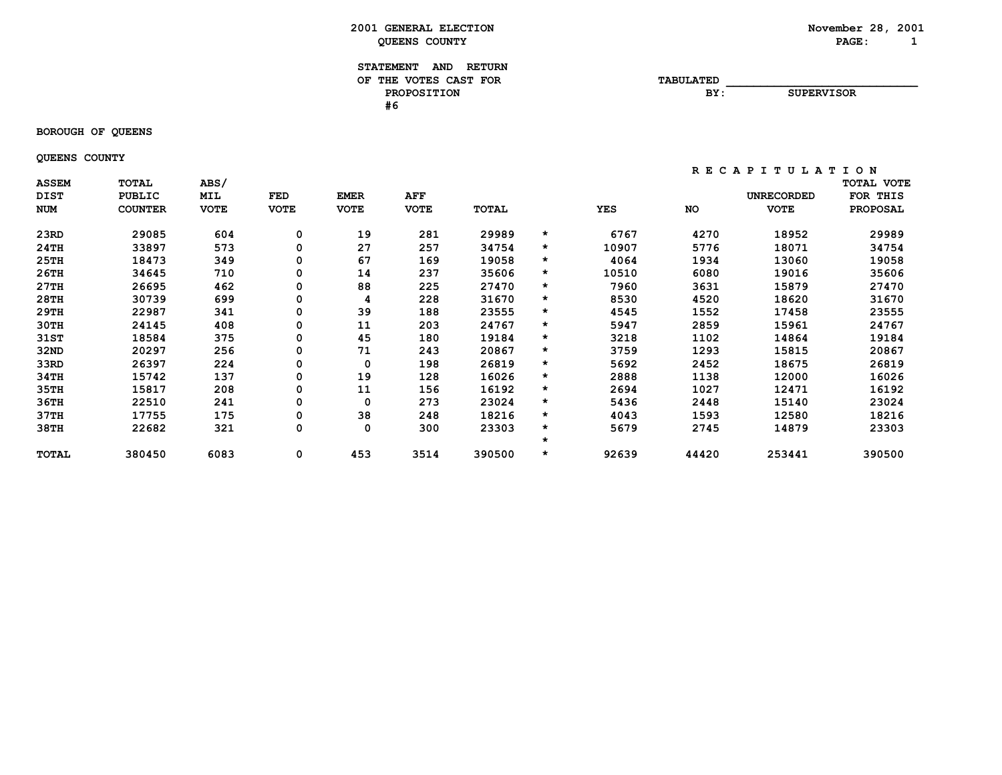#### **STATEMENT AND RETURN** OF THE VOTES CAST FOR **TABULATED PROPOSITION BY: SUPERVISOR #6**

#### **BOROUGH OF QUEENS**

 **QUEENS COUNTY**

| <b>ASSEM</b><br><b>DIST</b> | <b>TOTAL</b><br><b>PUBLIC</b> | ABS/<br>MIL | FED         | <b>EMER</b> | <b>AFF</b>  |        |         |            |       | UNRECORDED  | <b>TOTAL VOTE</b><br>FOR<br>THIS |
|-----------------------------|-------------------------------|-------------|-------------|-------------|-------------|--------|---------|------------|-------|-------------|----------------------------------|
| <b>NUM</b>                  | <b>COUNTER</b>                | <b>VOTE</b> | <b>VOTE</b> | <b>VOTE</b> | <b>VOTE</b> | TOTAL  |         | <b>YES</b> | NO    | <b>VOTE</b> | <b>PROPOSAL</b>                  |
| 23RD                        | 29085                         | 604         | 0           | 19          | 281         | 29989  | $\star$ | 6767       | 4270  | 18952       | 29989                            |
| 24TH                        | 33897                         | 573         | 0           | 27          | 257         | 34754  | $\star$ | 10907      | 5776  | 18071       | 34754                            |
| 25TH                        | 18473                         | 349         | 0           | 67          | 169         | 19058  | $\star$ | 4064       | 1934  | 13060       | 19058                            |
| 26TH                        | 34645                         | 710         | 0           | 14          | 237         | 35606  | $\star$ | 10510      | 6080  | 19016       | 35606                            |
| 27TH                        | 26695                         | 462         | 0           | 88          | 225         | 27470  | $\star$ | 7960       | 3631  | 15879       | 27470                            |
| 28TH                        | 30739                         | 699         | 0           | 4           | 228         | 31670  | $\star$ | 8530       | 4520  | 18620       | 31670                            |
| 29TH                        | 22987                         | 341         | 0           | 39          | 188         | 23555  | $\star$ | 4545       | 1552  | 17458       | 23555                            |
| 30TH                        | 24145                         | 408         | 0           | 11          | 203         | 24767  | *       | 5947       | 2859  | 15961       | 24767                            |
| 31ST                        | 18584                         | 375         | 0           | 45          | 180         | 19184  | $\star$ | 3218       | 1102  | 14864       | 19184                            |
| 32ND                        | 20297                         | 256         | 0           | 71          | 243         | 20867  | $\star$ | 3759       | 1293  | 15815       | 20867                            |
| 33RD                        | 26397                         | 224         | 0           | 0           | 198         | 26819  | $\star$ | 5692       | 2452  | 18675       | 26819                            |
| 34TH                        | 15742                         | 137         | 0           | 19          | 128         | 16026  | $\star$ | 2888       | 1138  | 12000       | 16026                            |
| 35TH                        | 15817                         | 208         | 0           | 11          | 156         | 16192  | $\star$ | 2694       | 1027  | 12471       | 16192                            |
| 36TH                        | 22510                         | 241         | 0           | 0           | 273         | 23024  | $\star$ | 5436       | 2448  | 15140       | 23024                            |
| 37TH                        | 17755                         | 175         | 0           | 38          | 248         | 18216  | $\star$ | 4043       | 1593  | 12580       | 18216                            |
| 38TH                        | 22682                         | 321         | 0           | 0           | 300         | 23303  | $\star$ | 5679       | 2745  | 14879       | 23303                            |
|                             |                               |             |             |             |             |        | $\star$ |            |       |             |                                  |
| <b>TOTAL</b>                | 380450                        | 6083        | 0           | 453         | 3514        | 390500 | $\star$ | 92639      | 44420 | 253441      | 390500                           |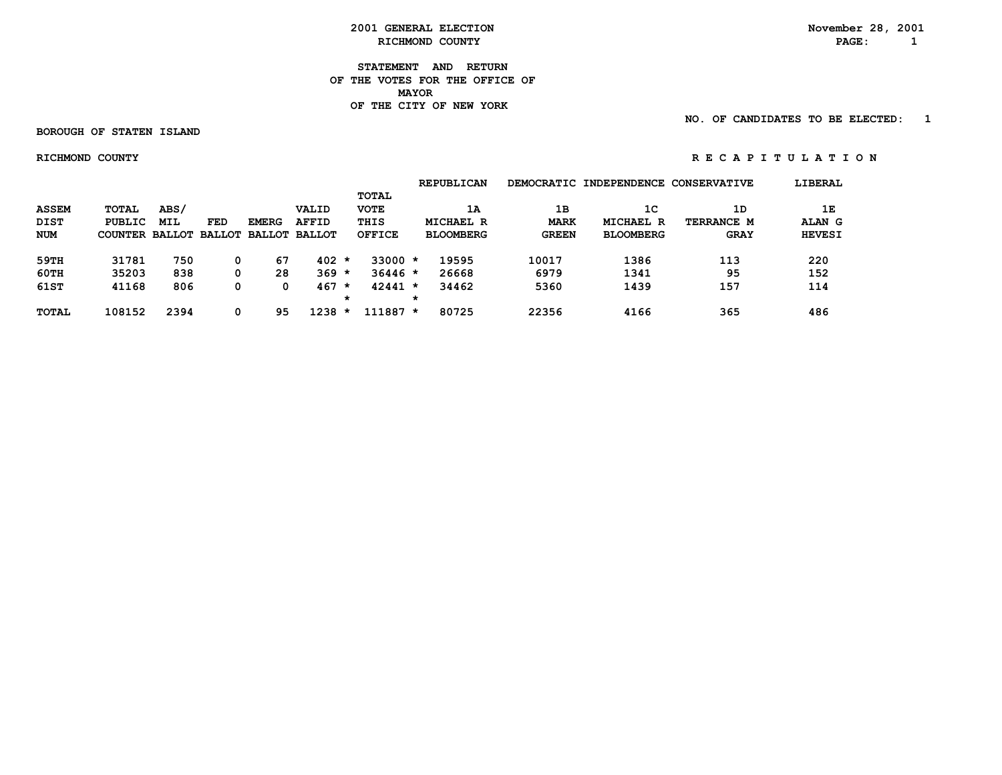**STATEMENT AND RETURN OF THE VOTES FOR THE OFFICE OF MAYOR OF THE CITY OF NEW YORK**

 **NO. OF CANDIDATES TO BE ELECTED: 1**

 **BOROUGH OF STATEN ISLAND**

 **RICHMOND COUNTY R E C A P I T U L A T I O N**

 **REPUBLICAN DEMOCRATIC INDEPENDENCE CONSERVATIVE LIBERAL TOTAL ASSEM TOTAL ABS/ VALID VOTE 1A 1B 1C 1D 1E DIST PUBLIC MIL FED EMERG AFFID THIS MICHAEL R MARK MICHAEL R TERRANCE M ALAN G NUM COUNTER BALLOT BALLOT BALLOT BALLOT OFFICE BLOOMBERG GREEN BLOOMBERG GRAY HEVESI 59TH 31781 750 0 67 402 \* 33000 \* 19595 10017 1386 113 220 60TH 35203 838 0 28 369 \* 36446 \* 26668 6979 1341 95 152 61ST 41168 806 0 0 467 \* 42441 \* 34462 5360 1439 157 114 \* \* TOTAL 108152 2394 0 95 1238 \* 111887 \* 80725 22356 4166 365 486**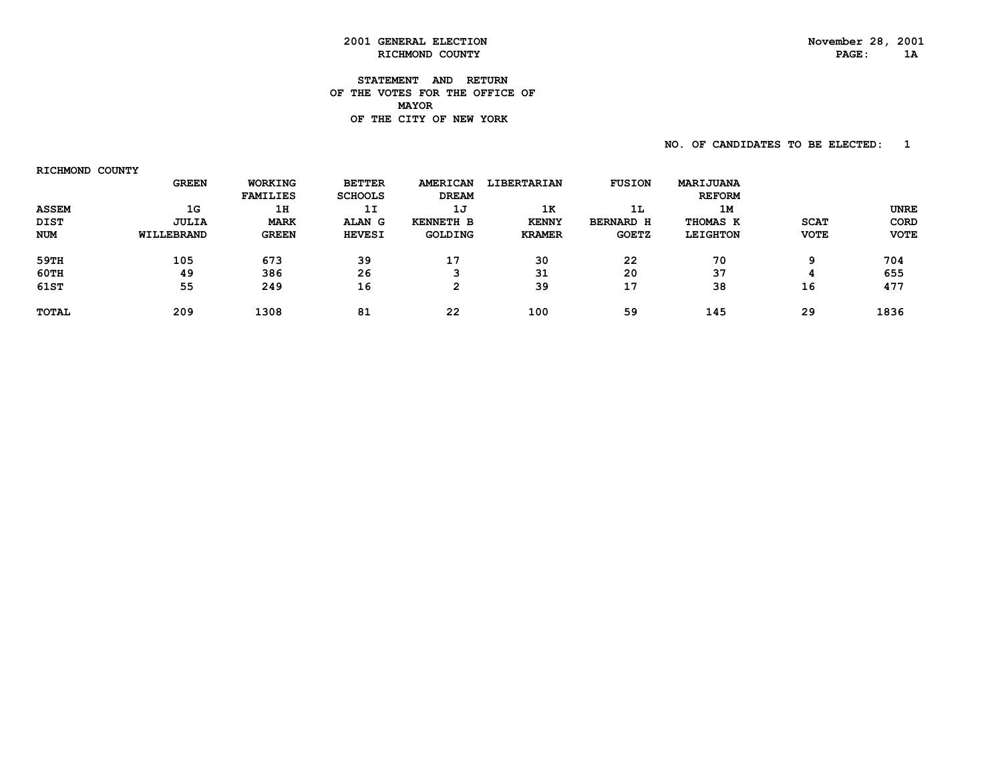#### **STATEMENT AND RETURN OF THE VOTES FOR THE OFFICE OF MAYOR OF THE CITY OF NEW YORK**

 **NO. OF CANDIDATES TO BE ELECTED: 1**

 **RICHMOND COUNTY GREEN WORKING BETTER AMERICAN LIBERTARIAN FUSION MARIJUANA FAMILIES SCHOOLS DREAM REFORM ASSEM 1G 1H 1I 1J 1K 1L 1M UNREUNRE DIST JULIA MARK ALAN G KENNETH B KENNY BERNARD H THOMAS K SCAT CORD NUM WILLEBRAND GREEN HEVESI GOLDING KRAMER GOETZ LEIGHTON VOTE VOTE 59TH 105 673 39 17 30 22 70 9 704 60TH 49 386 26 3 31 20 37 4 655**655  **61ST 55 249 16 2 39 17 38 16 477**477  **TOTAL 209 1308 81 22 100 59 145 29 1836**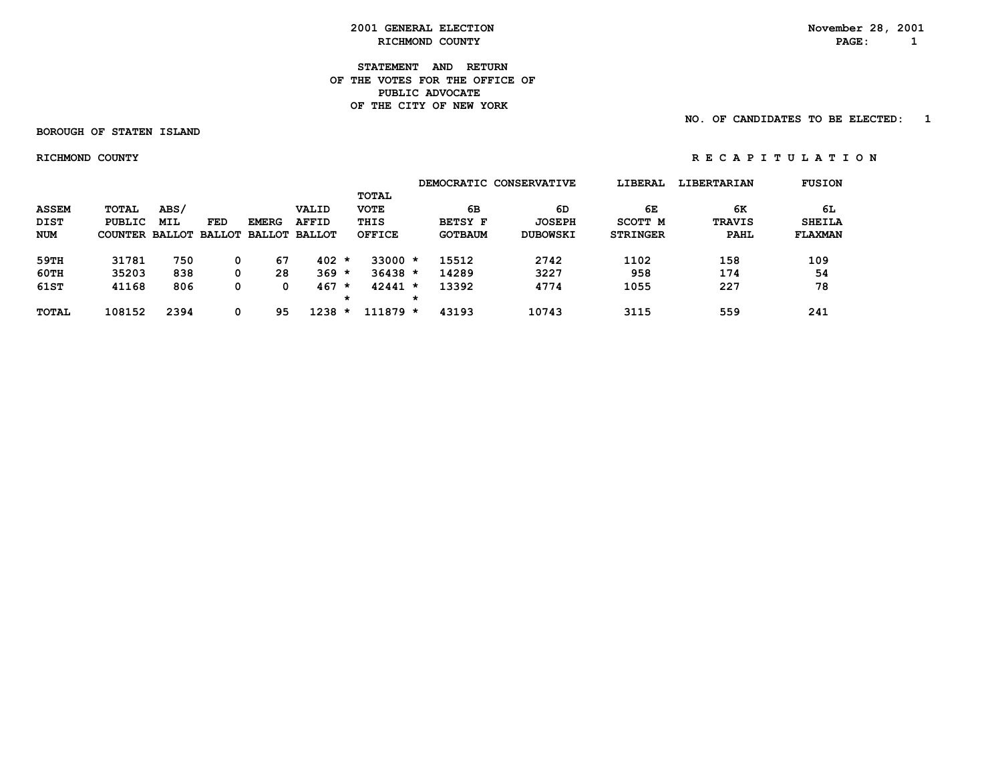**STATEMENT AND RETURN OF THE VOTES FOR THE OFFICE OFPUBLIC ADVOCATE OF THE CITY OF NEW YORK**

 **BOROUGH OF STATEN ISLAND**

 **NO. OF CANDIDATES TO BE ELECTED: 1**

 **RICHMOND COUNTY R E C A P I T U L A T I O N**

|              |                       |            |     |                      |              |         |               |         |                | DEMOCRATIC CONSERVATIVE | LIBERAL         | <b>LIBERTARIAN</b> | <b>FUSION</b>  |
|--------------|-----------------------|------------|-----|----------------------|--------------|---------|---------------|---------|----------------|-------------------------|-----------------|--------------------|----------------|
|              |                       |            |     |                      |              |         | TOTAL         |         |                |                         |                 |                    |                |
| <b>ASSEM</b> | <b>TOTAL</b>          | ABS/       |     |                      | VALID        |         | <b>VOTE</b>   |         | 6В             | 6D                      | 6Е              | 6K                 | 6L             |
| <b>DIST</b>  | PUBLIC                | <b>MIL</b> | FED | <b>EMERG</b>         | <b>AFFID</b> |         | THIS          |         | <b>BETSY F</b> | <b>JOSEPH</b>           | SCOTT M         | <b>TRAVIS</b>      | <b>SHEILA</b>  |
| NUM          | COUNTER BALLOT BALLOT |            |     | <b>BALLOT BALLOT</b> |              |         | <b>OFFICE</b> |         | <b>GOTBAUM</b> | <b>DUBOWSKI</b>         | <b>STRINGER</b> | <b>PAHL</b>        | <b>FLAXMAN</b> |
| 59TH         | 31781                 | 750        |     | 67                   | $402 *$      |         | $33000 *$     |         | 15512          | 2742                    | 1102            | 158                | 109            |
| 60TH         | 35203                 | 838        |     | 28                   | 369          | $\star$ | $36438 *$     |         | 14289          | 3227                    | 958             | 174                | 54             |
| 61ST         | 41168                 | 806        |     | 0                    | 467          | $\star$ | $42441 *$     |         | 13392          | 4774                    | 1055            | 227                | 78             |
|              |                       |            |     |                      |              | *       |               | $\star$ |                |                         |                 |                    |                |
| <b>TOTAL</b> | 108152                | 2394       |     | 95                   | 1238         | $\star$ | $111879 *$    |         | 43193          | 10743                   | 3115            | 559                | 241            |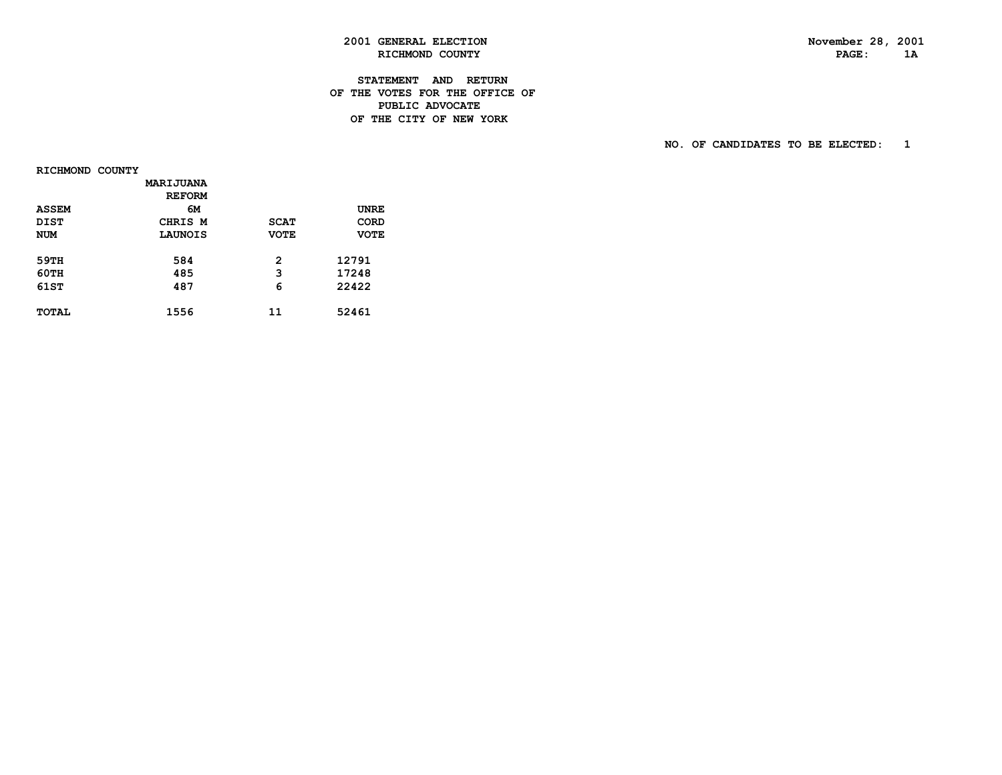# **2001 GENERAL ELECTION November 28, 2001 RICHMOND COUNTY**

#### **STATEMENT AND RETURN OF THE VOTES FOR THE OFFICE OF PUBLIC ADVOCATEDE THE CITY OF NEW YORK**

 **NO. OF CANDIDATES TO BE ELECTED: 1**

 **RICHMOND COUNTY**

|              | <b>MARIJUANA</b> |             |             |  |
|--------------|------------------|-------------|-------------|--|
|              | <b>REFORM</b>    |             |             |  |
| <b>ASSEM</b> | 6м               |             | <b>UNRE</b> |  |
| <b>DIST</b>  | CHRIS M          | <b>SCAT</b> | CORD        |  |
| <b>NUM</b>   | LAUNOIS          | <b>VOTE</b> | <b>VOTE</b> |  |
|              |                  |             |             |  |
| 59TH         | 584              | 2           | 12791       |  |
| <b>60TH</b>  | 485              | 3           | 17248       |  |
| 61ST         | 487              | 6           | 22422       |  |
|              |                  |             |             |  |
| TOTAL        | 1556             | 11          | 52461       |  |
|              |                  |             |             |  |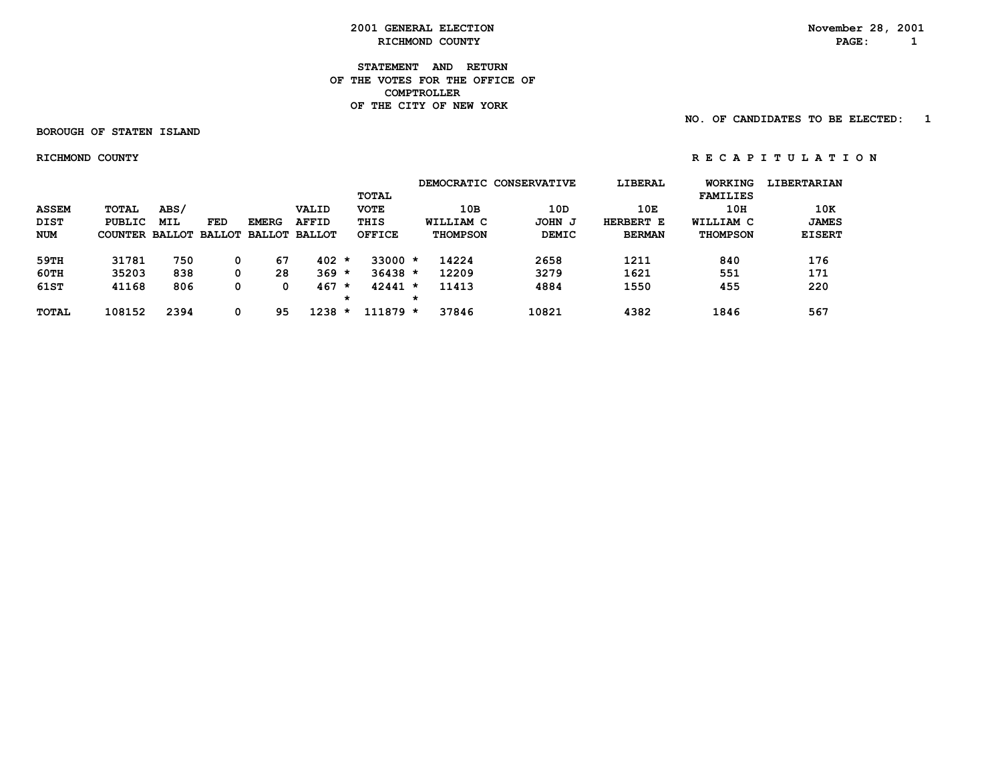**STATEMENT AND RETURN OF THE VOTES FOR THE OFFICE OF COMPTROLLER OF THE CITY OF NEW YORK**

 **BOROUGH OF STATEN ISLAND**

 **NO. OF CANDIDATES TO BE ELECTED: 1**

 **RICHMOND COUNTY R E C A P I T U L A T I O N**

|              |         |               |               |               |               |         |               |   |                 | DEMOCRATIC CONSERVATIVE | LIBERAL       | WORKING         | <b>LIBERTARIAN</b> |
|--------------|---------|---------------|---------------|---------------|---------------|---------|---------------|---|-----------------|-------------------------|---------------|-----------------|--------------------|
|              |         |               |               |               |               |         | TOTAL         |   |                 |                         |               | <b>FAMILIES</b> |                    |
| <b>ASSEM</b> | TOTAL   | ABS/          |               |               | <b>VALID</b>  |         | <b>VOTE</b>   |   | 10B             | 10D                     | 10E           | 10H             | 10K                |
| <b>DIST</b>  | PUBLIC  | <b>MIL</b>    | <b>FED</b>    | <b>EMERG</b>  | <b>AFFID</b>  |         | THIS          |   | WILLIAM C       | JOHN J                  | HERBERT E     | WILLIAM C       | <b>JAMES</b>       |
| <b>NUM</b>   | COUNTER | <b>BALLOT</b> | <b>BALLOT</b> | <b>BALLOT</b> | <b>BALLOT</b> |         | <b>OFFICE</b> |   | <b>THOMPSON</b> | <b>DEMIC</b>            | <b>BERMAN</b> | <b>THOMPSON</b> | <b>EISERT</b>      |
| 59TH         | 31781   | 750           | 0             | 67            | $402 *$       |         | $33000 *$     |   | 14224           | 2658                    | 1211          | 840             | 176                |
| 60TH         | 35203   | 838           | 0             | 28            | $369 *$       |         | $36438 *$     |   | 12209           | 3279                    | 1621          | 551             | 171                |
| 61ST         | 41168   | 806           | 0             |               | 467           | $\star$ | $42441 *$     |   | 11413           | 4884                    | 1550          | 455             | 220                |
|              |         |               |               |               |               | *       |               | * |                 |                         |               |                 |                    |
| <b>TOTAL</b> | 108152  | 2394          | 0             | 95            | 1238          | $\star$ | $111879*$     |   | 37846           | 10821                   | 4382          | 1846            | 567                |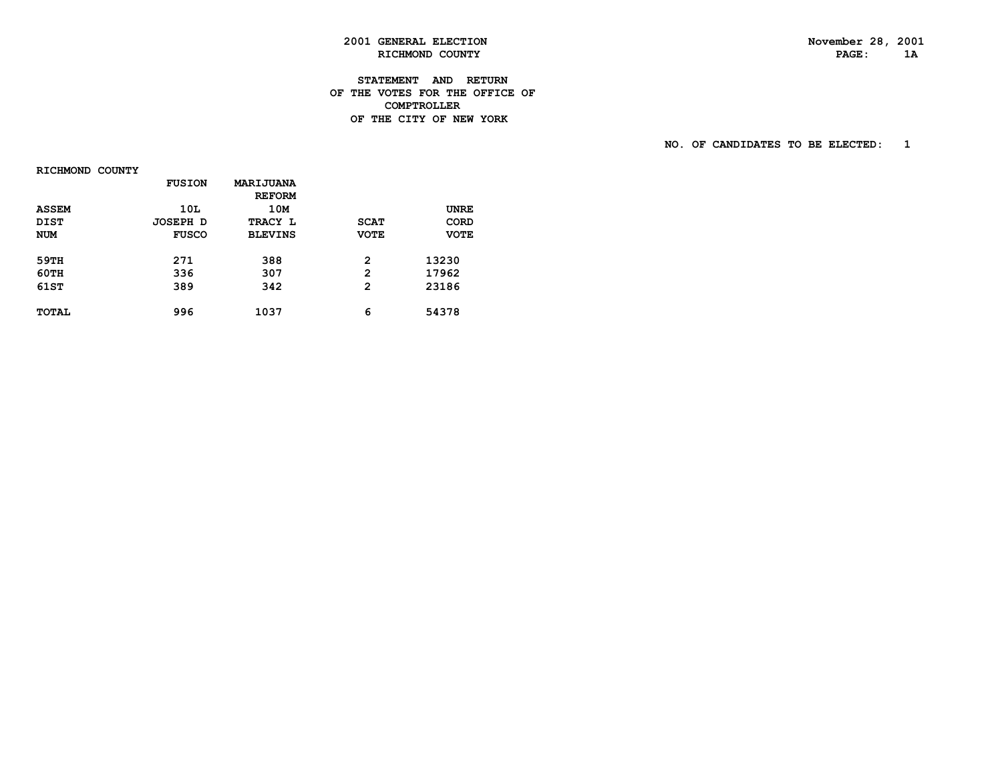# **2001 GENERAL ELECTION November 28, 2001 RICHMOND COUNTY**

#### **STATEMENT AND RETURN OF THE VOTES FOR THE OFFICE OF COMPTROLLERDE THE CITY OF NEW YORK**

 **NO. OF CANDIDATES TO BE ELECTED: 1**

 **RICHMOND COUNTY**

|              | <b>FUSION</b> | <b>MARIJUANA</b> |              |             |
|--------------|---------------|------------------|--------------|-------------|
|              |               | <b>REFORM</b>    |              |             |
| <b>ASSEM</b> | 10L           | 10M              |              | <b>UNRE</b> |
| <b>DIST</b>  | JOSEPH D      | TRACY L          | <b>SCAT</b>  | <b>CORD</b> |
| <b>NUM</b>   | <b>FUSCO</b>  | <b>BLEVINS</b>   | <b>VOTE</b>  | <b>VOTE</b> |
|              |               |                  |              |             |
| 59TH         | 271           | 388              | 2            | 13230       |
| 60TH         | 336           | 307              | $\mathbf{2}$ | 17962       |
| 61ST         | 389           | 342              | 2            | 23186       |
| <b>TOTAL</b> | 996           | 1037             | 6            | 54378       |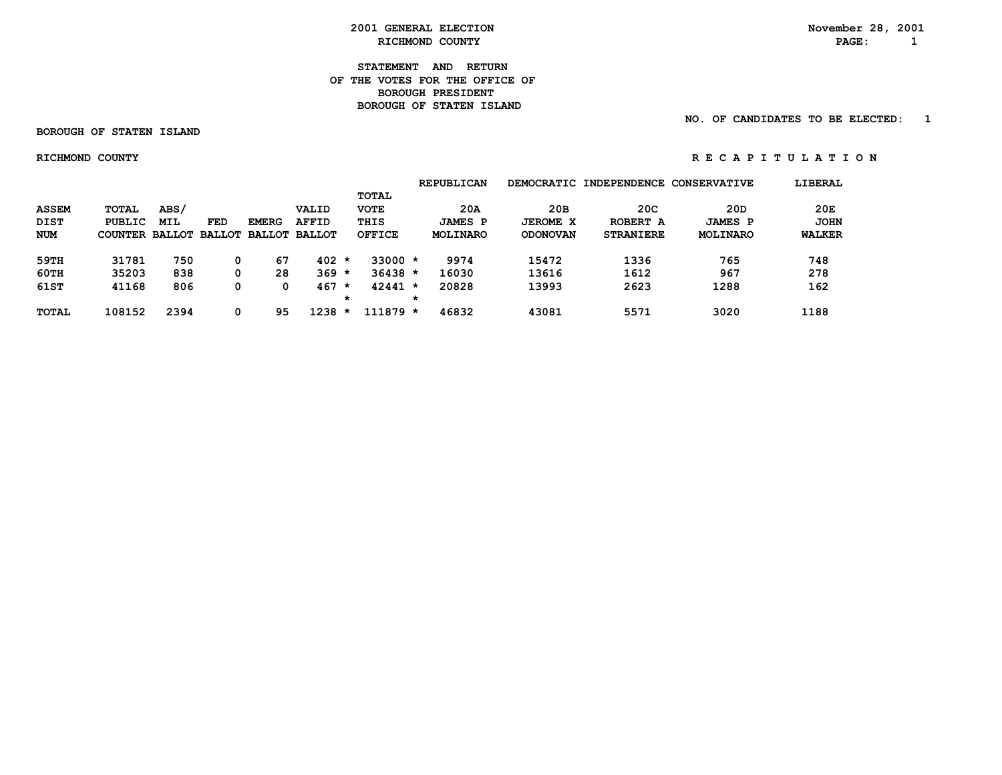RICHMOND COUNTY **PAGE:** 1

 **2001 GENERAL ELECTION November 28, 2001**

 **STATEMENT AND RETURN OF THE VOTES FOR THE OFFICE OF BOROUGH PRESIDENT BOROUGH OF STATEN ISLAND**

 **NO. OF CANDIDATES TO BE ELECTED: 1**

 **BOROUGH OF STATEN ISLAND**

 **RICHMOND COUNTY R E C A P I T U L A T I O N**

 **REPUBLICAN DEMOCRATIC INDEPENDENCE CONSERVATIVE LIBERAL TOTAL ASSEM TOTAL ABS/ VALID VOTE 20A 20B 20C 20D 20E DIST PUBLIC MIL FED EMERG AFFID THIS JAMES P JEROME X ROBERT A JAMES P JOHN NUM COUNTER BALLOT BALLOT BALLOT BALLOT OFFICE MOLINARO ODONOVAN STRANIERE MOLINARO WALKER 59TH 31781 750 0 67 402 \* 33000 \* 9974 15472 1336 765 748 60TH 35203 838 0 28 369 \* 36438 \* 16030 13616 1612 967 278 61ST 41168 806 0 0 467 \* 42441 \* 20828 13993 2623 1288 162 \* \* TOTAL 108152 2394 0 95 1238 \* 111879 \* 46832 43081 5571 3020 1188**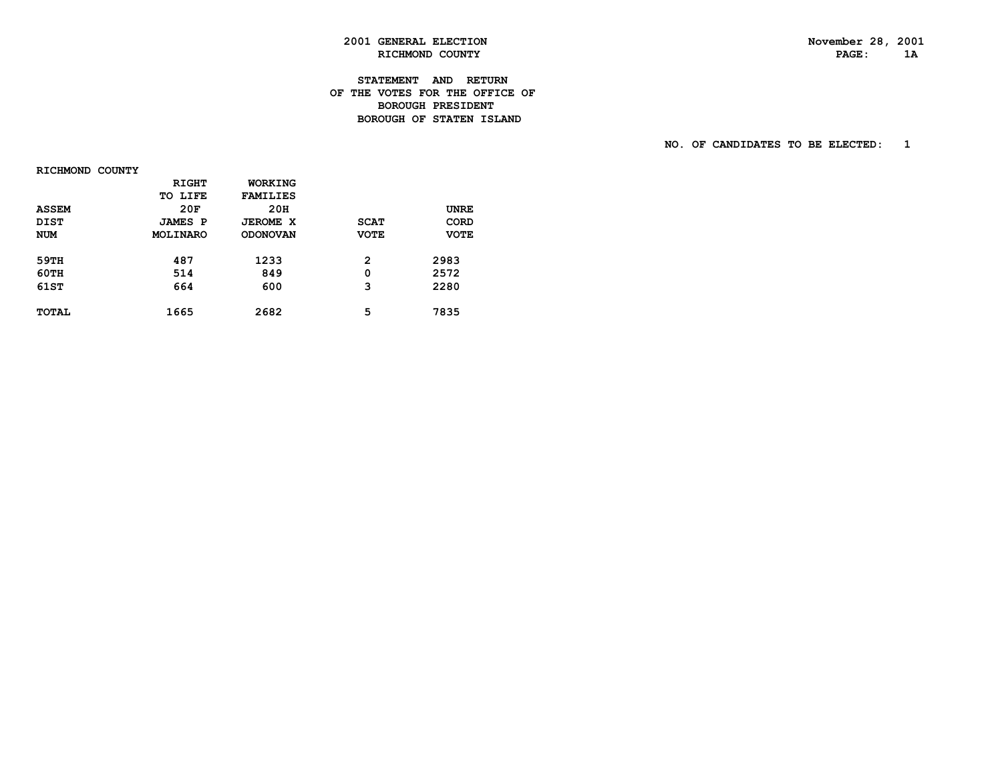# **2001 GENERAL ELECTION November 28, 2001 RICHMOND COUNTY**

#### **STATEMENT AND RETURN OF THE VOTES FOR THE OFFICE OF BOROUGH PRESIDENTBOROUGH OF STATEN ISLAND**

 **NO. OF CANDIDATES TO BE ELECTED: 1**

 **RICHMOND COUNTY**

|              | <b>RIGHT</b>   | WORKING         |             |             |
|--------------|----------------|-----------------|-------------|-------------|
|              | TO LIFE        | <b>FAMILIES</b> |             |             |
| <b>ASSEM</b> | 20F            | 20H             |             | <b>UNRE</b> |
| <b>DIST</b>  | <b>JAMES P</b> | <b>JEROME X</b> | <b>SCAT</b> | CORD        |
| <b>NUM</b>   | MOLINARO       | <b>ODONOVAN</b> | <b>VOTE</b> | <b>VOTE</b> |
|              |                |                 |             |             |
| 59TH         | 487            | 1233            | 2           | 2983        |
| <b>60TH</b>  | 514            | 849             | 0           | 2572        |
| 61ST         | 664            | 600             | 3           | 2280        |
|              |                |                 |             |             |
| <b>TOTAL</b> | 1665           | 2682            | 5           | 7835        |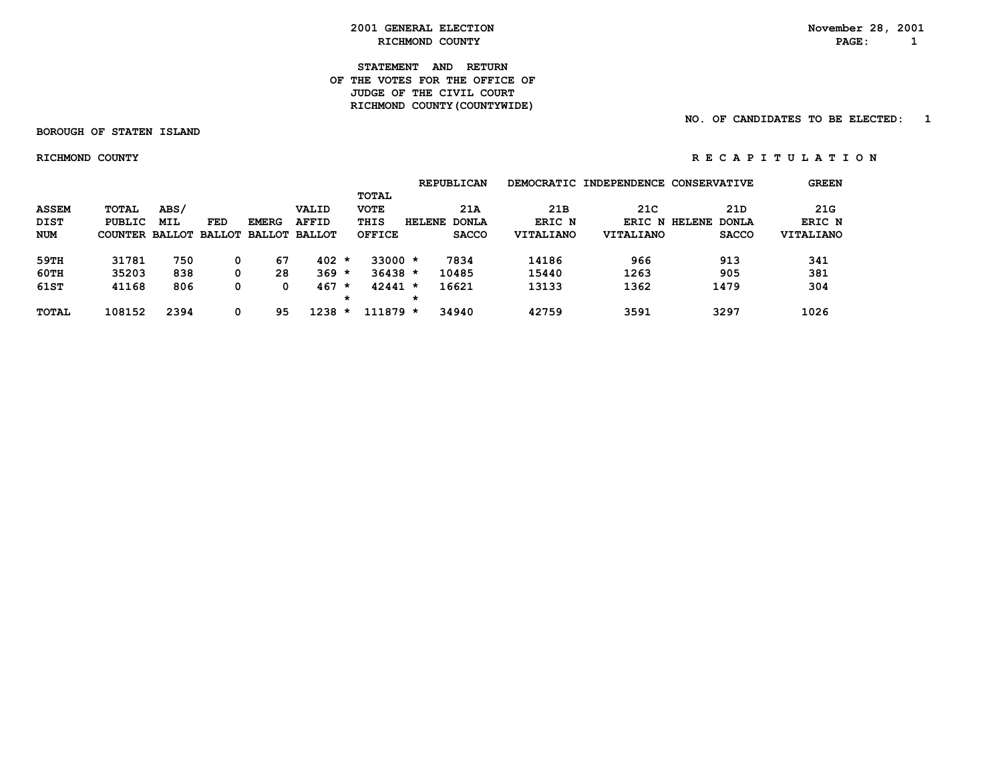RICHMOND COUNTY **PAGE:** 1

 **2001 GENERAL ELECTION November 28, 2001**

**STATEMENT AND RETURN OF THE VOTES FOR THE OFFICE OF JUDGE OF THE CIVIL COURT RICHMOND COUNTY(COUNTYWIDE)**

 **NO. OF CANDIDATES TO BE ELECTED: 1**

 **BOROUGH OF STATEN ISLAND**

 **RICHMOND COUNTY R E C A P I T U L A T I O N**

 **REPUBLICAN DEMOCRATIC INDEPENDENCE CONSERVATIVE GREEN TOTAL ASSEM TOTAL ABS/ VALID VOTE 21A 21B 21C 21D 21G DIST PUBLIC MIL FED EMERG AFFID THIS HELENE DONLA ERIC N ERIC N HELENE DONLA ERIC N NUM COUNTER BALLOT BALLOT BALLOT BALLOT OFFICE SACCO VITALIANO VITALIANO SACCO VITALIANO 59TH 31781 750 0 67 402 \* 33000 \* 7834 14186 966 913 341 60TH 35203 838 0 28 369 \* 36438 \* 10485 15440 1263 905 381 61ST 41168 806 0 0 467 \* 42441 \* 16621 13133 1362 1479 304 \* \* TOTAL 108152 2394 0 95 1238 \* 111879 \* 34940 42759 3591 3297 1026**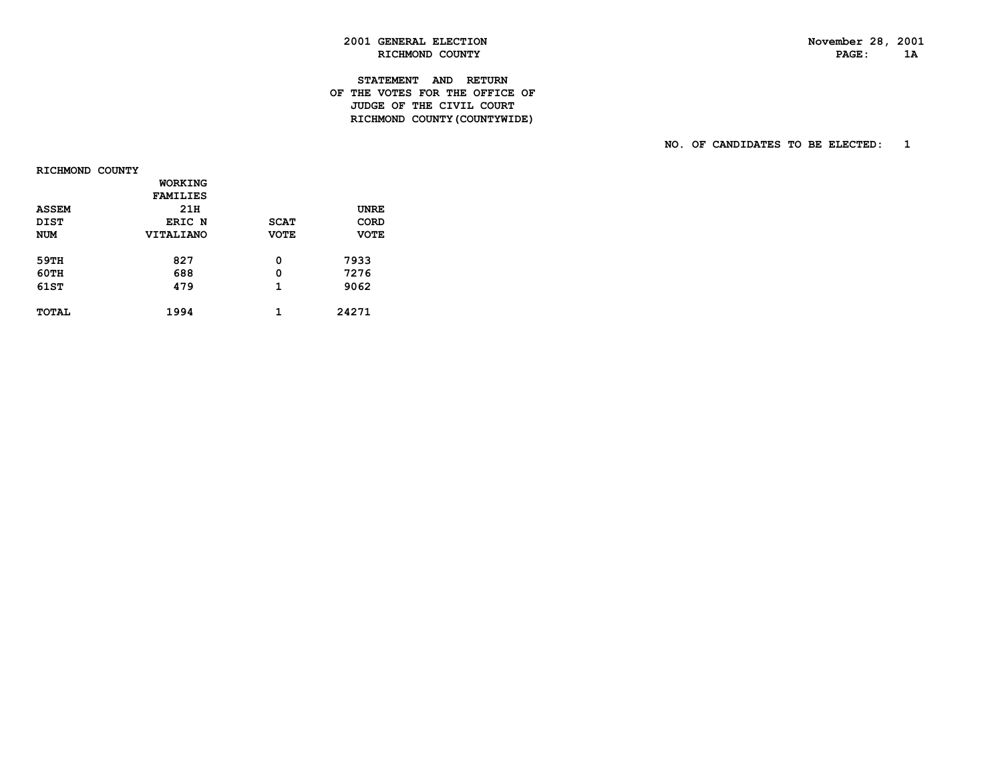# **2001 GENERAL ELECTION November 28, 2001 RICHMOND COUNTY**

#### **STATEMENT AND RETURN OF THE VOTES FOR THE OFFICE OF JUDGE OF THE CIVIL COURT RICHMOND COUNTY(COUNTYWIDE)**

 **NO. OF CANDIDATES TO BE ELECTED: 1**

 **RICHMOND COUNTY**

|              | WORKING          |             |             |  |
|--------------|------------------|-------------|-------------|--|
|              | <b>FAMILIES</b>  |             |             |  |
| <b>ASSEM</b> | 21H              |             | <b>UNRE</b> |  |
| <b>DIST</b>  | ERIC N           | <b>SCAT</b> | CORD        |  |
| <b>NUM</b>   | <b>VITALIANO</b> | <b>VOTE</b> | <b>VOTE</b> |  |
|              |                  |             |             |  |
| 59TH         | 827              | 0           | 7933        |  |
| 60TH         | 688              | 0           | 7276        |  |
| 61ST         | 479              | 1           | 9062        |  |
|              |                  |             |             |  |
| TOTAL        | 1994             | 1           | 24271       |  |
|              |                  |             |             |  |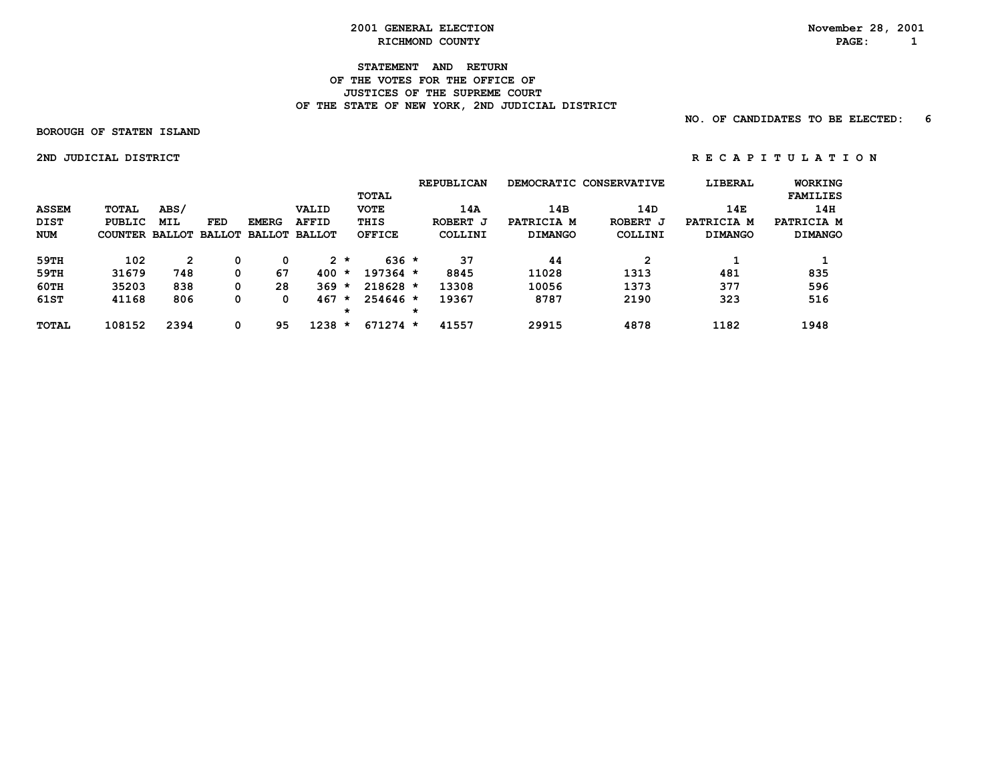#### **STATEMENT AND RETURN OF THE VOTES FOR THE OFFICE OF JUSTICES OF THE SUPREME COURT** OF THE STATE OF NEW YORK, 2ND JUDICIAL DISTRICT

 **NO. OF CANDIDATES TO BE ELECTED: 6**

 **BOROUGH OF STATEN ISLAND**

 **2NDJUDICIALDISTRICT R E C A P I T U L A T I O N**

|              |                                     |              |     |              |              |         |               |   | <b>REPUBLICAN</b> |                | DEMOCRATIC CONSERVATIVE | LIBERAL        | <b>WORKING</b>  |
|--------------|-------------------------------------|--------------|-----|--------------|--------------|---------|---------------|---|-------------------|----------------|-------------------------|----------------|-----------------|
|              |                                     |              |     |              |              |         | <b>TOTAL</b>  |   |                   |                |                         |                | <b>FAMILIES</b> |
| <b>ASSEM</b> | <b>TOTAL</b>                        | ABS/         |     |              | <b>VALID</b> |         | <b>VOTE</b>   |   | 14A               | 14B            | 14D                     | 14E            | 14H             |
| <b>DIST</b>  | <b>PUBLIC</b>                       | <b>MIL</b>   | FED | <b>EMERG</b> | <b>AFFID</b> |         | THIS          |   | ROBERT J          | PATRICIA M     | ROBERT J                | PATRICIA M     | PATRICIA M      |
| NUM          | COUNTER BALLOT BALLOT BALLOT BALLOT |              |     |              |              |         | <b>OFFICE</b> |   | COLLINI           | <b>DIMANGO</b> | COLLINI                 | <b>DIMANGO</b> | <b>DIMANGO</b>  |
| 59TH         | 102                                 | $\mathbf{2}$ | 0   | 0            |              | $2 *$   | $636 *$       |   | 37                | 44             | 2                       |                |                 |
| 59TH         | 31679                               | 748          | 0   | 67           | 400          | $\star$ | $197364 *$    |   | 8845              | 11028          | 1313                    | 481            | 835             |
| 60TH         | 35203                               | 838          | 0   | 28           | $369 *$      |         | $218628 *$    |   | 13308             | 10056          | 1373                    | 377            | 596             |
| 61ST         | 41168                               | 806          | 0   | 0            | 467          | $\star$ | $254646*$     |   | 19367             | 8787           | 2190                    | 323            | 516             |
|              |                                     |              |     |              |              | *       |               | * |                   |                |                         |                |                 |
| <b>TOTAL</b> | 108152                              | 2394         | 0   | 95           | 1238         | $\star$ | $671274 *$    |   | 41557             | 29915          | 4878                    | 1182           | 1948            |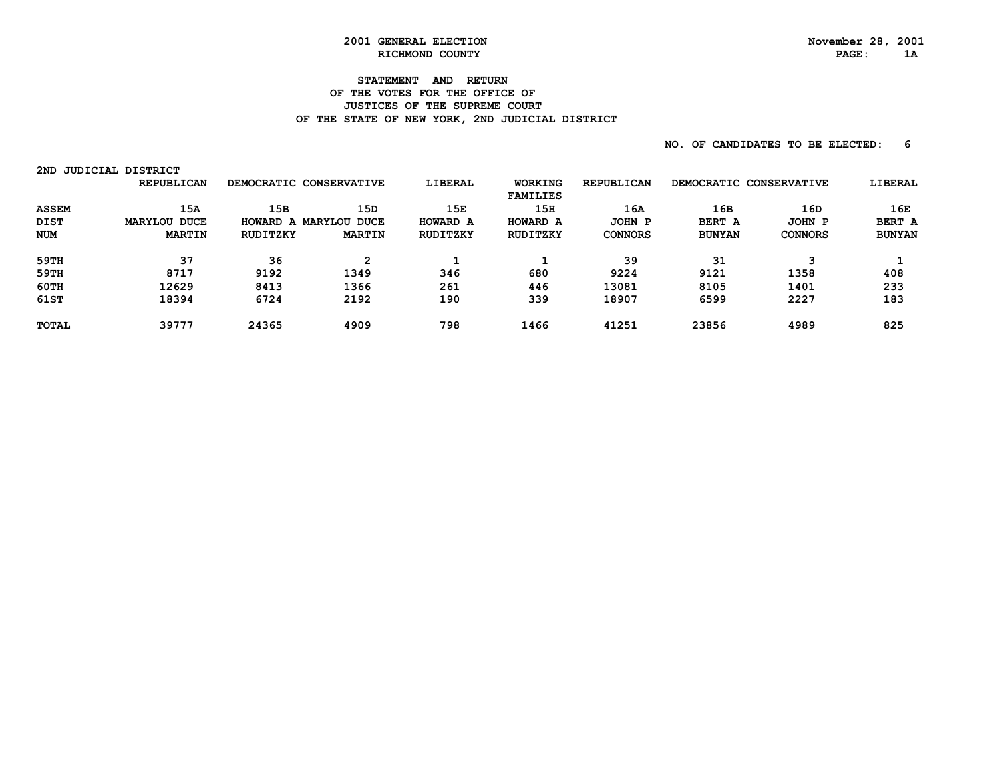# **2001 GENERAL ELECTION November 28, 2001**

#### **STATEMENT AND RETURN OF THE VOTES FOR THE OFFICE OF JUSTICES OF THE SUPREME COURT** OF THE STATE OF NEW YORK, 2ND JUDICIAL DISTRICT

| 2ND          | JUDICIAL DISTRICT |          |                         |                |                                   |                   |                         |                |               |
|--------------|-------------------|----------|-------------------------|----------------|-----------------------------------|-------------------|-------------------------|----------------|---------------|
|              | <b>REPUBLICAN</b> |          | DEMOCRATIC CONSERVATIVE | <b>LIBERAL</b> | <b>WORKING</b><br><b>FAMILIES</b> | <b>REPUBLICAN</b> | DEMOCRATIC CONSERVATIVE |                | LIBERAL       |
| <b>ASSEM</b> | 15A               | 15B      | 15 <sub>D</sub>         | 15E            | 15H                               | 1 6 A             | 16B                     | 16D            | 16E           |
| <b>DIST</b>  | MARYLOU DUCE      | HOWARD A | <b>MARYLOU DUCE</b>     | HOWARD A       | HOWARD A                          | JOHN P            | BERT A                  | JOHN P         | BERT A        |
| <b>NUM</b>   | <b>MARTIN</b>     | RUDITZKY | <b>MARTIN</b>           | RUDITZKY       | RUDITZKY                          | <b>CONNORS</b>    | <b>BUNYAN</b>           | <b>CONNORS</b> | <b>BUNYAN</b> |
| 59TH         | 37                | 36       | $\mathbf{2}$            |                |                                   | 39                | 31                      | 3              |               |
| 59TH         | 8717              | 9192     | 1349                    | 346            | 680                               | 9224              | 9121                    | 1358           | 408           |
| 60TH         | 12629             | 8413     | 1366                    | 261            | 446                               | 13081             | 8105                    | 1401           | 233           |
| 61ST         | 18394             | 6724     | 2192                    | 190            | 339                               | 18907             | 6599                    | 2227           | 183           |
| <b>TOTAL</b> | 39777             | 24365    | 4909                    | 798            | 1466                              | 41251             | 23856                   | 4989           | 825           |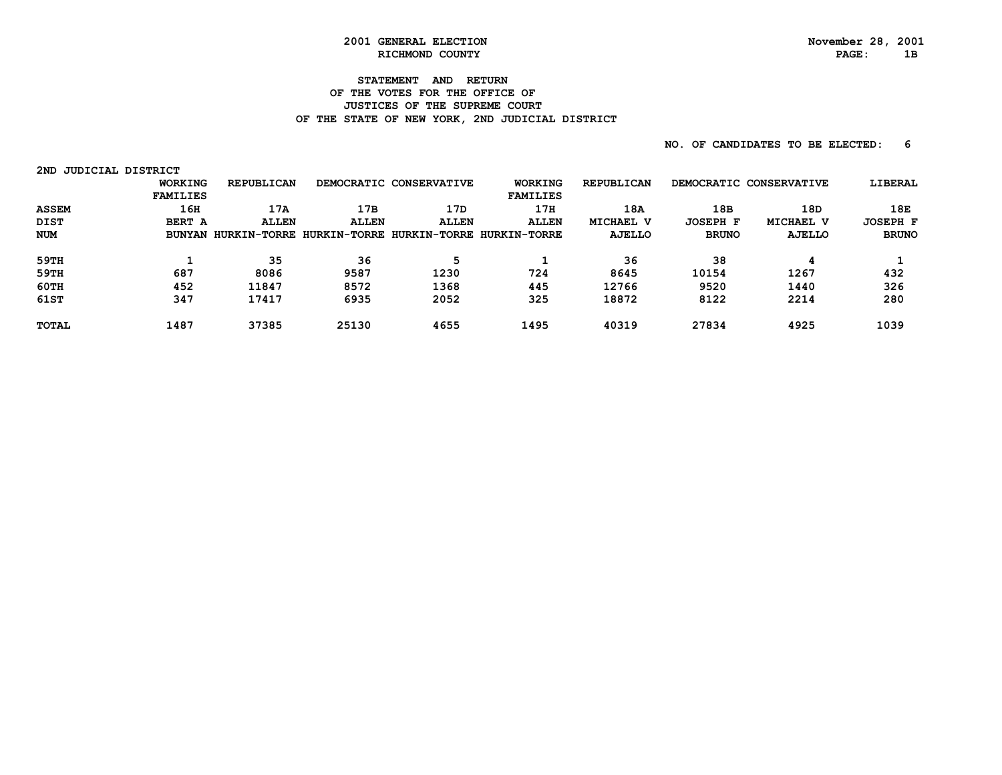#### **STATEMENT AND RETURN OF THE VOTES FOR THE OFFICE OF JUSTICES OF THE SUPREME COURT** OF THE STATE OF NEW YORK, 2ND JUDICIAL DISTRICT

| 2ND          | JUDICIAL DISTRICT |                                  |              |                         |                           |                   |                         |               |                 |
|--------------|-------------------|----------------------------------|--------------|-------------------------|---------------------------|-------------------|-------------------------|---------------|-----------------|
|              | <b>WORKING</b>    | <b>REPUBLICAN</b>                |              | DEMOCRATIC CONSERVATIVE | <b>WORKING</b>            | <b>REPUBLICAN</b> | DEMOCRATIC CONSERVATIVE |               | LIBERAL         |
|              | <b>FAMILIES</b>   |                                  |              |                         | <b>FAMILIES</b>           |                   |                         |               |                 |
| <b>ASSEM</b> | 16H               | 17A                              | 17B          | 17D                     | 17H                       | 18A               | 18B                     | 18D           | 18E             |
| DIST         | BERT A            | <b>ALLEN</b>                     | <b>ALLEN</b> | <b>ALLEN</b>            | <b>ALLEN</b>              | MICHAEL V         | <b>JOSEPH F</b>         | MICHAEL V     | <b>JOSEPH F</b> |
| <b>NUM</b>   |                   | BUNYAN HURKIN-TORRE HURKIN-TORRE |              |                         | HURKIN-TORRE HURKIN-TORRE | AJELLO            | <b>BRUNO</b>            | <b>AJELLO</b> | <b>BRUNO</b>    |
| 59TH         |                   | 35                               | 36           | 5                       |                           | 36                | 38                      | 4             |                 |
| 59TH         | 687               | 8086                             | 9587         | 1230                    | 724                       | 8645              | 10154                   | 1267          | 432             |
| 60TH         | 452               | 11847                            | 8572         | 1368                    | 445                       | 12766             | 9520                    | 1440          | 326             |
| 61ST         | 347               | 17417                            | 6935         | 2052                    | 325                       | 18872             | 8122                    | 2214          | 280             |
| <b>TOTAL</b> | 1487              | 37385                            | 25130        | 4655                    | 1495                      | 40319             | 27834                   | 4925          | 1039            |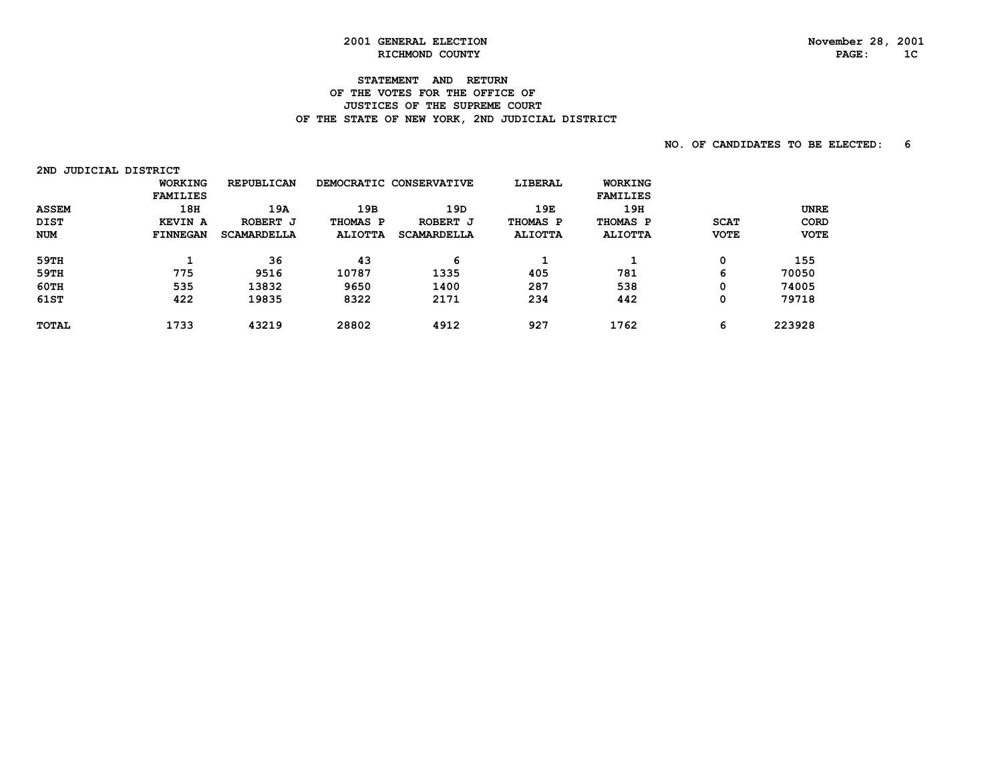# **STATEMENT AND RETURN**

#### **OF THE VOTES FOR THE OFFICE OF JUSTICES OF THE SUPREME COURT** OF THE STATE OF NEW YORK, 2ND JUDICIAL DISTRICT

| JUDICIAL DISTRICT<br>2ND |                 |                    |                |                         |                |                 |             |             |
|--------------------------|-----------------|--------------------|----------------|-------------------------|----------------|-----------------|-------------|-------------|
|                          | <b>WORKING</b>  | <b>REPUBLICAN</b>  |                | DEMOCRATIC CONSERVATIVE | LIBERAL        | <b>WORKING</b>  |             |             |
|                          | <b>FAMILIES</b> |                    |                |                         |                | <b>FAMILIES</b> |             |             |
| <b>ASSEM</b>             | 18 <sub>H</sub> | 19A                | 19B            | 19D                     | 19E            | 19H             |             | <b>UNRE</b> |
| <b>DIST</b>              | <b>KEVIN A</b>  | ROBERT J           | THOMAS P       | ROBERT J                | THOMAS P       | THOMAS P        | <b>SCAT</b> | <b>CORD</b> |
| <b>NUM</b>               | <b>FINNEGAN</b> | <b>SCAMARDELLA</b> | <b>ALIOTTA</b> | <b>SCAMARDELLA</b>      | <b>ALIOTTA</b> | <b>ALIOTTA</b>  | <b>VOTE</b> | <b>VOTE</b> |
| 59TH                     |                 | 36                 | 43             | 6                       | ᅩ              |                 |             | 155         |
| 59TH                     | 775             | 9516               | 10787          | 1335                    | 405            | 781             | 6           | 70050       |
| 60TH                     | 535             | 13832              | 9650           | 1400                    | 287            | 538             |             | 74005       |
| 61ST                     | 422             | 19835              | 8322           | 2171                    | 234            | 442             |             | 79718       |
| <b>TOTAL</b>             | 1733            | 43219              | 28802          | 4912                    | 927            | 1762            | 6           | 223928      |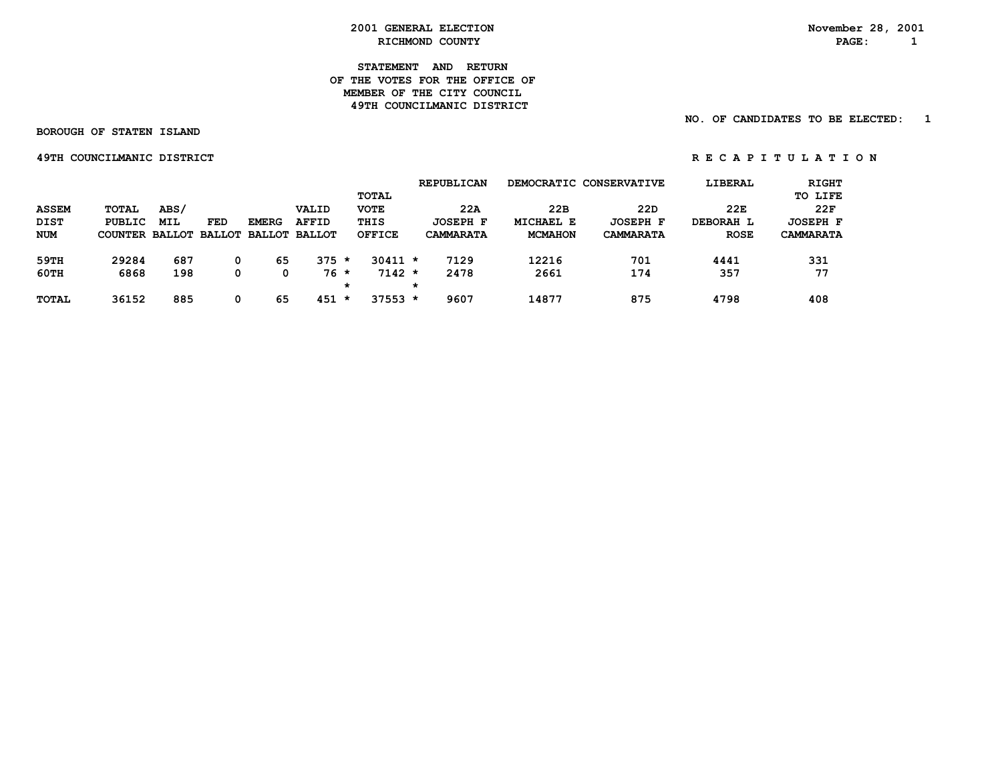**STATEMENT AND RETURN OF THE VOTES FOR THE OFFICE OFMEMBER OF THE CITY COUNCIL 49TH COUNCILMANIC DISTRICT** 

 **NO. OF CANDIDATES TO BE ELECTED: 1**

 **BOROUGH OF STATEN ISLAND**

 **49TH COUNCILMANIC DISTRICT A REPORT ON REGAPITULATION** 

|              |         |      |     |              |                             |   |               |         | <b>REPUBLICAN</b> |                | DEMOCRATIC CONSERVATIVE | LIBERAL     | <b>RIGHT</b>     |
|--------------|---------|------|-----|--------------|-----------------------------|---|---------------|---------|-------------------|----------------|-------------------------|-------------|------------------|
|              |         |      |     |              |                             |   | TOTAL         |         |                   |                |                         |             | TO LIFE          |
| <b>ASSEM</b> | TOTAL   | ABS/ |     |              | VALID                       |   | <b>VOTE</b>   |         | 22A               | 22B            | 22D                     | 22E         | 22F              |
| <b>DIST</b>  | PUBLIC  | MIL  | FED | <b>EMERG</b> | <b>AFFID</b>                |   | THIS          |         | JOSEPH F          | MICHAEL E      | <b>JOSEPH F</b>         | DEBORAH L   | <b>JOSEPH F</b>  |
| <b>NUM</b>   | COUNTER |      |     |              | BALLOT BALLOT BALLOT BALLOT |   | <b>OFFICE</b> |         | <b>CAMMARATA</b>  | <b>MCMAHON</b> | <b>CAMMARATA</b>        | <b>ROSE</b> | <b>CAMMARATA</b> |
| 59TH         | 29284   | 687  | 0   | 65           | $375 *$                     |   | $30411 *$     |         | 7129              | 12216          | 701                     | 4441        | 331              |
| 60TH         | 6868    | 198  | 0   |              | $76*$                       |   | $7142 *$      |         | 2478              | 2661           | 174                     | 357         | 77               |
|              |         |      |     |              |                             | * |               | $\star$ |                   |                |                         |             |                  |
| <b>TOTAL</b> | 36152   | 885  | 0   | 65           | $451 *$                     |   | $37553 *$     |         | 9607              | 14877          | 875                     | 4798        | 408              |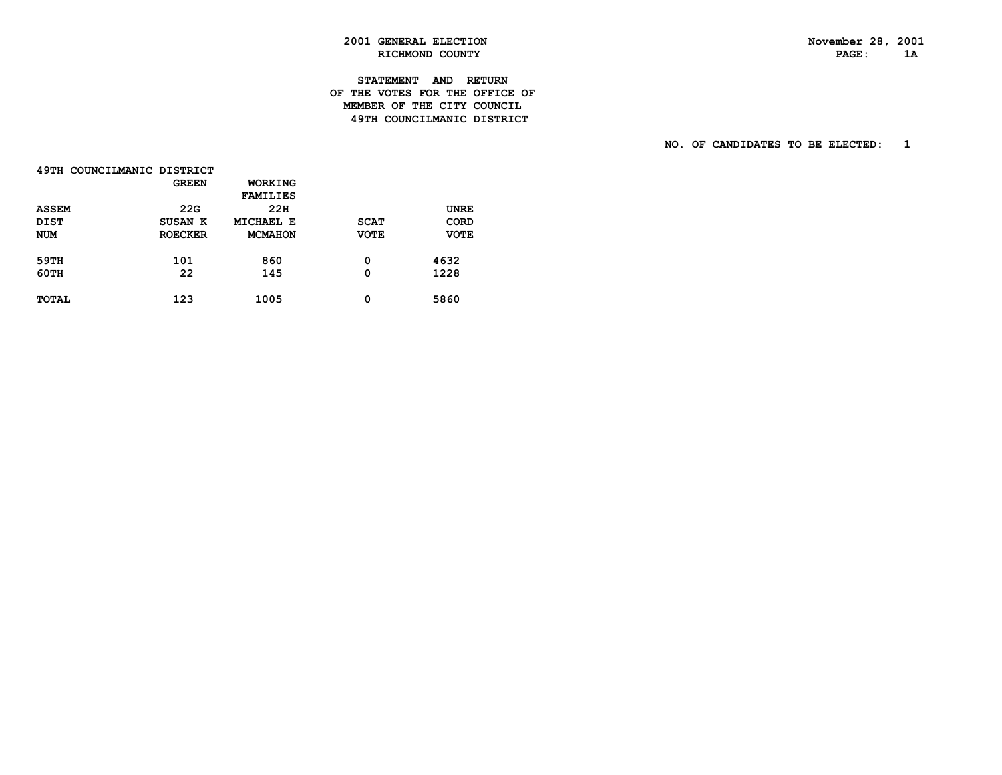# **2001 GENERAL ELECTION November 28, 2001 RICHMOND COUNTY**

#### **STATEMENT AND RETURN OF THE VOTES FOR THE OFFICE OF MEMBER OF THE CITY COUNCIL49TH COUNCILMANIC DISTRICT**

| 49TH COUNCILMANIC DISTRICT |                |                 |             |             |
|----------------------------|----------------|-----------------|-------------|-------------|
|                            | <b>GREEN</b>   | <b>WORKING</b>  |             |             |
|                            |                | <b>FAMILIES</b> |             |             |
| <b>ASSEM</b>               | 22G            | 22H             |             | <b>UNRE</b> |
| <b>DIST</b>                | SUSAN K        | MICHAEL E       | <b>SCAT</b> | <b>CORD</b> |
| <b>NUM</b>                 | <b>ROECKER</b> | <b>MCMAHON</b>  | <b>VOTE</b> | <b>VOTE</b> |
| 59TH                       | 101            | 860             | 0           | 4632        |
| <b>60TH</b>                | 22             | 145             | 0           | 1228        |
| <b>TOTAL</b>               | 123            | 1005            | 0           | 5860        |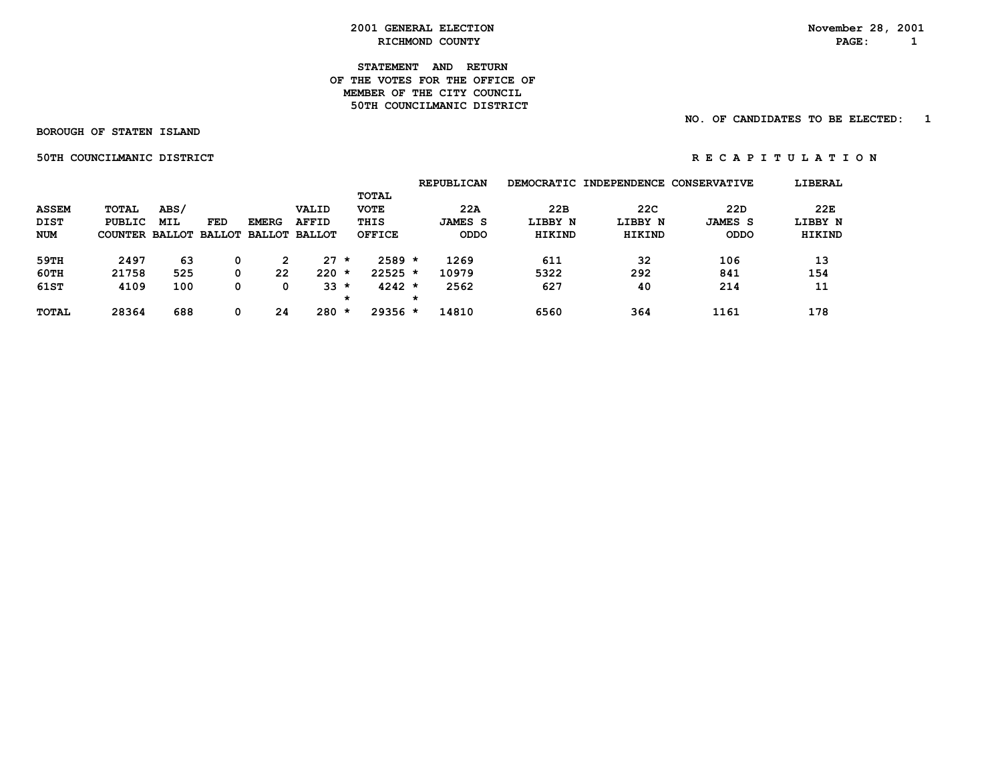#### **STATEMENT AND RETURN OF THE VOTES FOR THE OFFICE OFMEMBER OF THE CITY COUNCIL 50TH COUNCILMANIC DISTRICT**

 **NO. OF CANDIDATES TO BE ELECTED: 1**

 **BOROUGH OF STATEN ISLAND**

 **50THCOUNCILMANICDISTRICT R E C A P I T U L A T I O N**

|              |        |      |     |              |                                     |         |               |         | <b>REPUBLICAN</b> |         | DEMOCRATIC INDEPENDENCE CONSERVATIVE |                | LIBERAL |
|--------------|--------|------|-----|--------------|-------------------------------------|---------|---------------|---------|-------------------|---------|--------------------------------------|----------------|---------|
|              |        |      |     |              |                                     |         | TOTAL         |         |                   |         |                                      |                |         |
| <b>ASSEM</b> | TOTAL  | ABS/ |     |              | VALID                               |         | <b>VOTE</b>   |         | 22A               | 22B     | 22C                                  | 22D            | 22E     |
| <b>DIST</b>  | PUBLIC | MIL  | FED | <b>EMERG</b> | <b>AFFID</b>                        |         | THIS          |         | <b>JAMES S</b>    | LIBBY N | LIBBY N                              | <b>JAMES S</b> | LIBBY N |
| NUM          |        |      |     |              | COUNTER BALLOT BALLOT BALLOT BALLOT |         | <b>OFFICE</b> |         | <b>ODDO</b>       | HIKIND  | HIKIND                               | <b>ODDO</b>    | HIKIND  |
| 59TH         | 2497   | 63   | 0   | 2            | $27 \star$                          |         | $2589 *$      |         | 1269              | 611     | 32                                   | 106            | 13      |
| 60TH         | 21758  | 525  | 0   | 22           | $220 *$                             |         | $22525$ *     |         | 10979             | 5322    | 292                                  | 841            | 154     |
|              |        |      |     |              |                                     |         |               |         |                   |         |                                      |                |         |
| 61ST         | 4109   | 100  | 0   | 0            | $33 *$                              |         | $4242 *$      |         | 2562              | 627     | 40                                   | 214            | 11      |
|              |        |      |     |              |                                     | $\star$ |               | $\star$ |                   |         |                                      |                |         |
| <b>TOTAL</b> | 28364  | 688  | 0   | 24           | 280                                 | $\star$ | $29356 *$     |         | 14810             | 6560    | 364                                  | 1161           | 178     |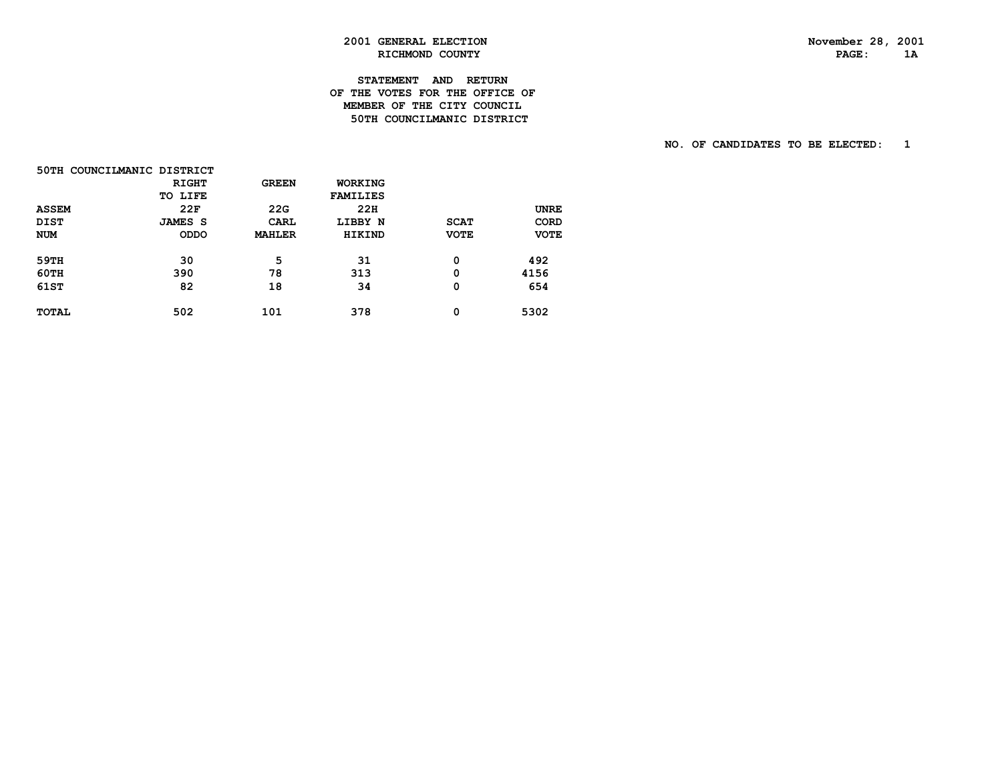# **2001 GENERAL ELECTION November 28, 2001 RICHMOND COUNTY**

#### **STATEMENT AND RETURN OF THE VOTES FOR THE OFFICE OF MEMBER OF THE CITY COUNCIL50TH COUNCILMANIC DISTRICT**

|              | 50TH COUNCILMANIC DISTRICT |               |                 |             |             |
|--------------|----------------------------|---------------|-----------------|-------------|-------------|
|              | <b>RIGHT</b>               | <b>GREEN</b>  | WORKING         |             |             |
|              | TO LIFE                    |               | <b>FAMILIES</b> |             |             |
| <b>ASSEM</b> | 22F                        | 22G           | 22H             |             | UNRE        |
| <b>DIST</b>  | <b>JAMES S</b>             | CARL          | LIBBY N         | <b>SCAT</b> | CORD        |
| <b>NUM</b>   | <b>ODDO</b>                | <b>MAHLER</b> | <b>HIKIND</b>   | <b>VOTE</b> | <b>VOTE</b> |
| 59TH         | 30                         | 5             | 31              | 0           | 492         |
| <b>60TH</b>  | 390                        | 78            | 313             | 0           | 4156        |
| 61ST         | 82                         | 18            | 34              | 0           | 654         |
| <b>TOTAL</b> | 502                        | 101           | 378             | 0           | 5302        |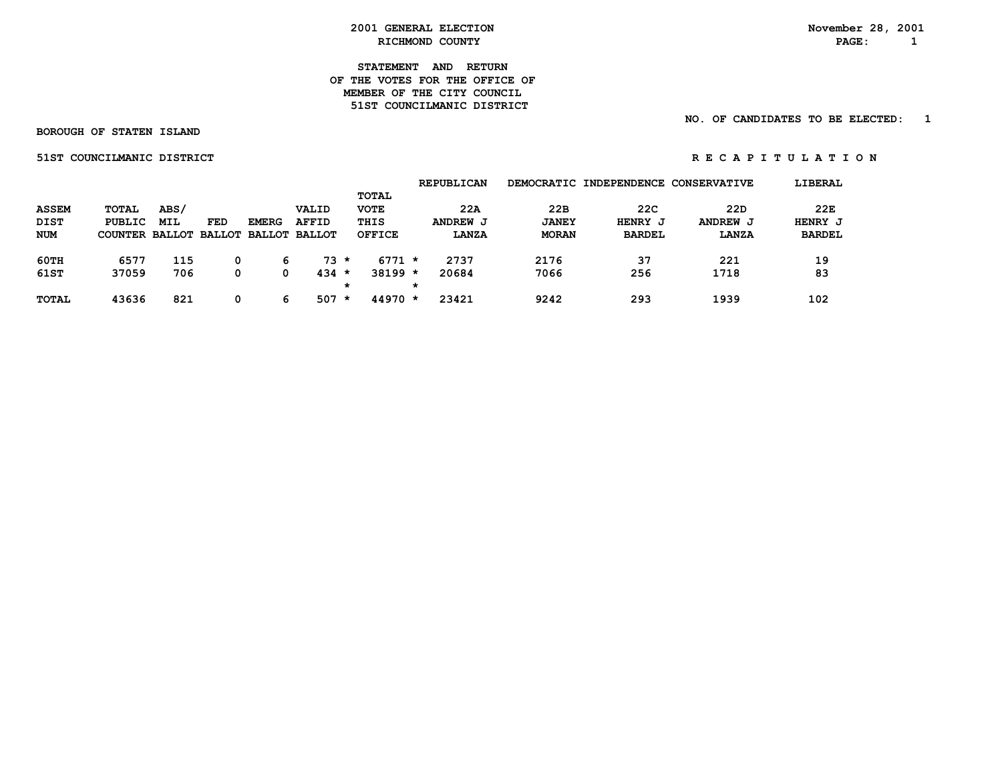#### **STATEMENT AND RETURN OF THE VOTES FOR THE OFFICE OF MEMBER OF THE CITY COUNCIL 51ST COUNCILMANIC DISTRICT**

#### **NO. OF CANDIDATES TO BE ELECTED: 1**

 **BOROUGH OF STATEN ISLAND**

**51ST COUNCILMANIC DISTRICT** 

| RECAPITULATION |  |  |  |  |  |  |  |  |  |  |  |  |  |
|----------------|--|--|--|--|--|--|--|--|--|--|--|--|--|
|----------------|--|--|--|--|--|--|--|--|--|--|--|--|--|

|              |                                     |            |            |              |              |         |               |         | <b>REPUBLICAN</b> |              | DEMOCRATIC INDEPENDENCE | <b>CONSERVATIVE</b> | LIBERAL       |
|--------------|-------------------------------------|------------|------------|--------------|--------------|---------|---------------|---------|-------------------|--------------|-------------------------|---------------------|---------------|
|              |                                     |            |            |              |              |         | <b>TOTAL</b>  |         |                   |              |                         |                     |               |
| <b>ASSEM</b> | <b>TOTAL</b>                        | ABS/       |            |              | VALID        |         | <b>VOTE</b>   |         | 22A               | 22B          | 22C                     | 22D                 | 22E           |
| <b>DIST</b>  | PUBLIC                              | <b>MIL</b> | <b>FED</b> | <b>EMERG</b> | <b>AFFID</b> |         | THIS          |         | ANDREW J          | <b>JANEY</b> | HENRY J                 | ANDREW J            | HENRY J       |
| NUM          | COUNTER BALLOT BALLOT BALLOT BALLOT |            |            |              |              |         | <b>OFFICE</b> |         | <b>LANZA</b>      | <b>MORAN</b> | <b>BARDEL</b>           | LANZA               | <b>BARDEL</b> |
|              |                                     |            |            |              |              |         |               |         |                   |              |                         |                     |               |
| 60TH         | 6577                                | 115        |            | 6            | $73 *$       |         | $6771 *$      |         | 2737              | 2176         | 37                      | 221                 | 19            |
| 61ST         | 37059                               | 706        | 0          | 0            | $434 *$      |         | $38199 *$     |         | 20684             | 7066         | 256                     | 1718                | 83            |
|              |                                     |            |            |              |              | $\star$ |               | $\star$ |                   |              |                         |                     |               |
| <b>TOTAL</b> | 43636                               | 821        |            | 6            | 507          | $\star$ | $44970 *$     |         | 23421             | 9242         | 293                     | 1939                | 102           |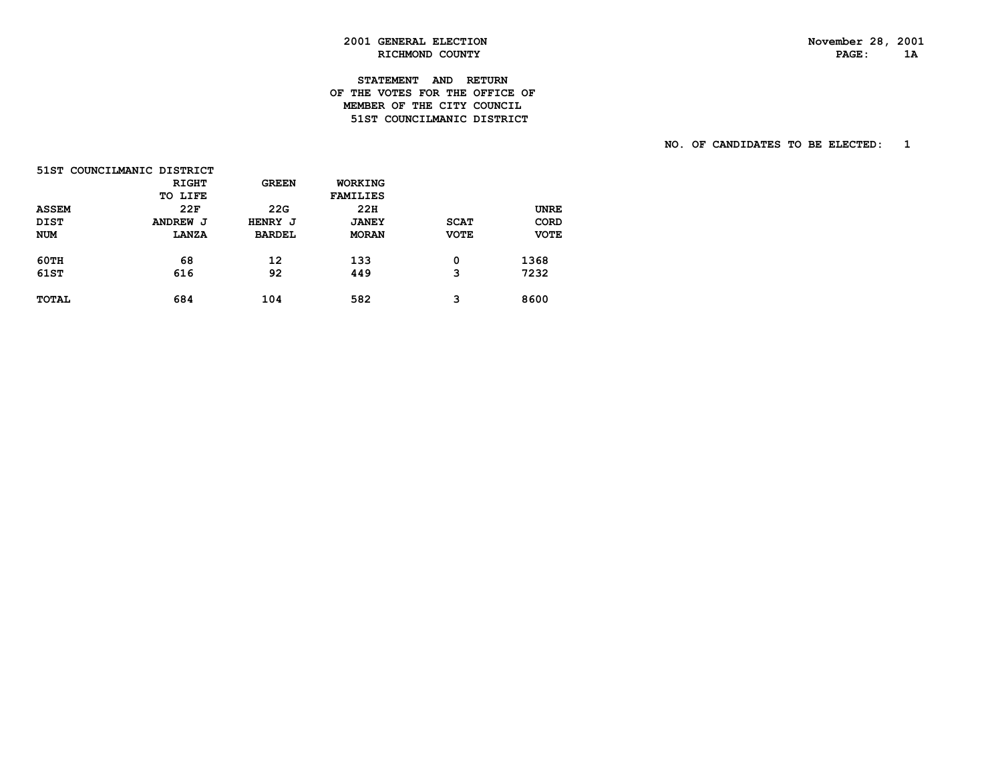# **2001 GENERAL ELECTION November 28, 2001 RICHMOND COUNTY**

#### **STATEMENT AND RETURN OF THE VOTES FOR THE OFFICE OF MEMBER OF THE CITY COUNCIL51ST COUNCILMANIC DISTRICT**

|              | 51ST COUNCILMANIC DISTRICT |               |                 |             |             |
|--------------|----------------------------|---------------|-----------------|-------------|-------------|
|              | <b>RIGHT</b>               | <b>GREEN</b>  | WORKING         |             |             |
|              | TO LIFE                    |               | <b>FAMILIES</b> |             |             |
| <b>ASSEM</b> | 22F                        | 22G           | 22H             |             | <b>UNRE</b> |
| <b>DIST</b>  | ANDREW J                   | HENRY J       | <b>JANEY</b>    | <b>SCAT</b> | CORD        |
| <b>NUM</b>   | <b>LANZA</b>               | <b>BARDEL</b> | <b>MORAN</b>    | <b>VOTE</b> | <b>VOTE</b> |
| <b>60TH</b>  | 68                         | 12            | 133             | 0           | 1368        |
| 61ST         | 616                        | 92            | 449             | 3           | 7232        |
| <b>TOTAL</b> | 684                        | 104           | 582             | 3           | 8600        |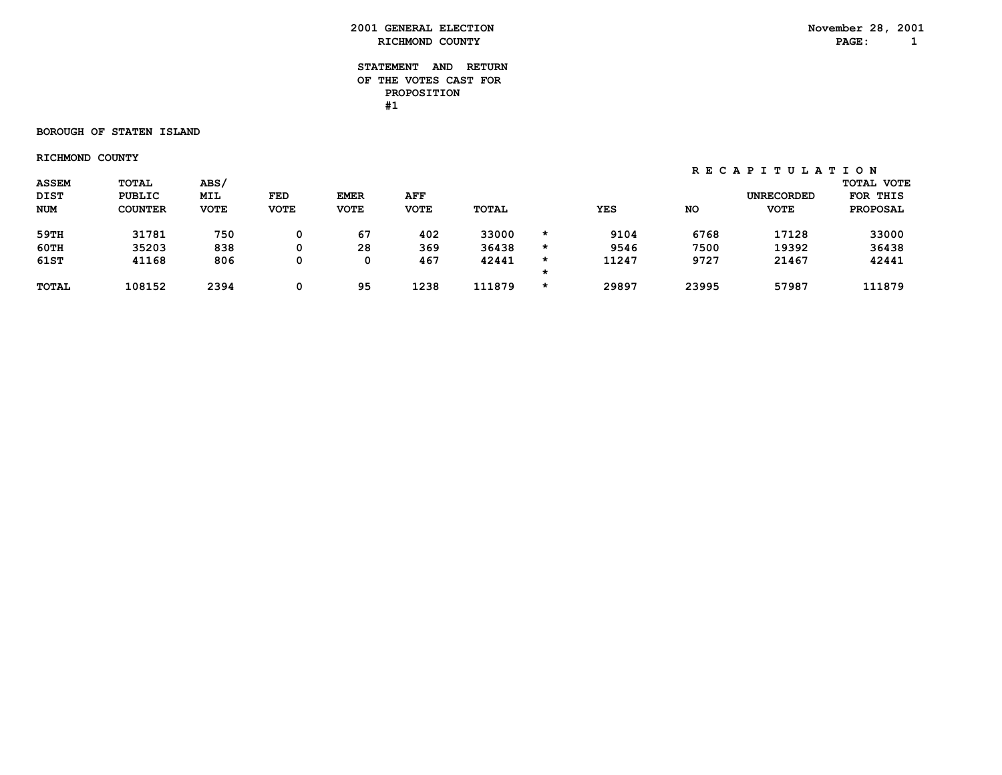| 2001<br><b>GENERAL</b> | <b>ELECTION</b> | 28<br>November | 200 |
|------------------------|-----------------|----------------|-----|
| <b>RICHMOND</b>        | <b>COUNTY</b>   | <b>PAGE</b>    |     |

#### **STATEMENT AND RETURN OF THE VOTES CAST FOR PROPOSITION #1**

#### **BOROUGH OF STATEN ISLAND**

 **RICHMOND COUNTY**

 **R E C A P I T U L A T I O N**

| <b>ASSEM</b> | <b>TOTAL</b>   | ABS/        |             |             |             |              |         |            |           |                   | <b>TOTAL VOTE</b> |
|--------------|----------------|-------------|-------------|-------------|-------------|--------------|---------|------------|-----------|-------------------|-------------------|
| <b>DIST</b>  | <b>PUBLIC</b>  | MIL         | FED         | <b>EMER</b> | AFF         |              |         |            |           | <b>UNRECORDED</b> | FOR THIS          |
| <b>NUM</b>   | <b>COUNTER</b> | <b>VOTE</b> | <b>VOTE</b> | <b>VOTE</b> | <b>VOTE</b> | <b>TOTAL</b> |         | <b>YES</b> | <b>NO</b> | <b>VOTE</b>       | <b>PROPOSAL</b>   |
| 59TH         | 31781          | 750         | 0           | 67          | 402         | 33000        | *       | 9104       | 6768      | 17128             | 33000             |
| 60TH         | 35203          | 838         | 0           | 28          | 369         | 36438        | *       | 9546       | 7500      | 19392             | 36438             |
| 61ST         | 41168          | 806         | 0           | 0           | 467         | 42441        | $\star$ | 11247      | 9727      | 21467             | 42441             |
|              |                |             |             |             |             |              |         |            |           |                   |                   |
| <b>TOTAL</b> | 108152         | 2394        | 0           | 95          | 1238        | 111879       | $\star$ | 29897      | 23995     | 57987             | 111879            |
|              |                |             |             |             |             |              |         |            |           |                   |                   |

**November 28, 2001**<br>**PAGE:** 1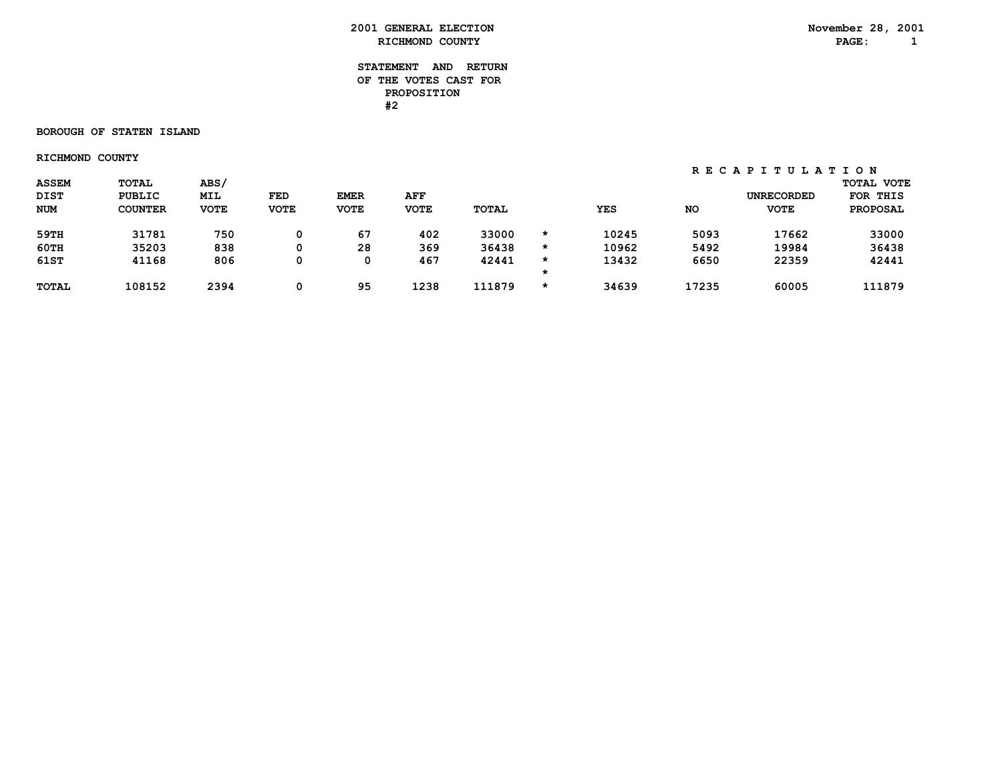| 2001<br><b>GENERAL</b> | <b>ELECTION</b> | 28<br>November | 200 |
|------------------------|-----------------|----------------|-----|
| <b>RICHMOND</b>        | <b>COUNTY</b>   | <b>PAGE</b>    |     |

#### **STATEMENT AND RETURN OF THE VOTES CAST FOR PROPOSITION #2**

#### **BOROUGH OF STATEN ISLAND**

 **RICHMOND COUNTY**

 **R E C A P I T U L A T I O N**

| <b>ASSEM</b> | <b>TOTAL</b>   | ABS/        |             |             |             |              |         |            |           |                   | <b>TOTAL VOTE</b> |
|--------------|----------------|-------------|-------------|-------------|-------------|--------------|---------|------------|-----------|-------------------|-------------------|
| <b>DIST</b>  | <b>PUBLIC</b>  | MIL         | FED         | <b>EMER</b> | AFF         |              |         |            |           | <b>UNRECORDED</b> | FOR THIS          |
| <b>NUM</b>   | <b>COUNTER</b> | <b>VOTE</b> | <b>VOTE</b> | <b>VOTE</b> | <b>VOTE</b> | <b>TOTAL</b> |         | <b>YES</b> | <b>NO</b> | <b>VOTE</b>       | <b>PROPOSAL</b>   |
| 59TH         | 31781          | 750         | 0           | 67          | 402         | 33000        | $\star$ | 10245      | 5093      | 17662             | 33000             |
| 60TH         | 35203          | 838         | 0           | 28          | 369         | 36438        | $\star$ | 10962      | 5492      | 19984             | 36438             |
| 61ST         | 41168          | 806         | 0           | 0           | 467         | 42441        | $\star$ | 13432      | 6650      | 22359             | 42441             |
|              |                |             |             |             |             |              |         |            |           |                   |                   |
| <b>TOTAL</b> | 108152         | 2394        | 0           | 95          | 1238        | 111879       | $\star$ | 34639      | 17235     | 60005             | 111879            |
|              |                |             |             |             |             |              |         |            |           |                   |                   |

**November 28, 2001**<br>**PAGE:** 1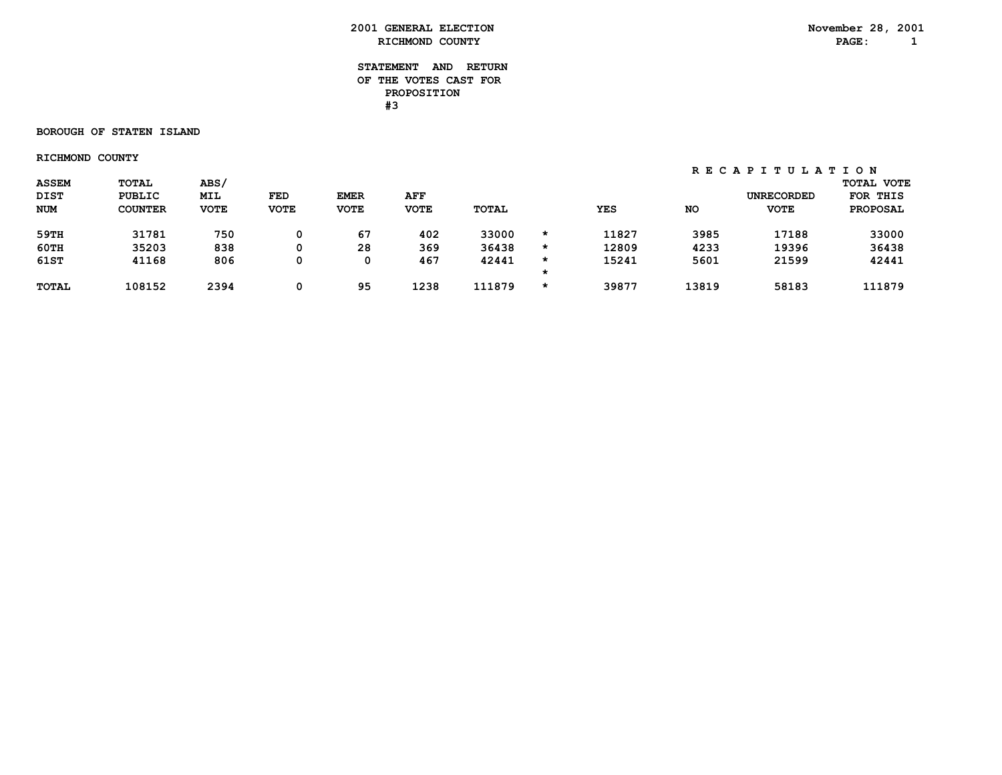| 2001<br><b>GENERAL</b> | <b>ELECTION</b> | 28<br>November | 200 |
|------------------------|-----------------|----------------|-----|
| <b>RICHMOND</b>        | <b>COUNTY</b>   | <b>PAGE</b>    |     |

#### **STATEMENT AND RETURN OF THE VOTES CAST FOR PROPOSITION #3**

#### **BOROUGH OF STATEN ISLAND**

 **RICHMOND COUNTY**

 **R E C A P I T U L A T I O N**

| <b>ASSEM</b> | <b>TOTAL</b>   | ABS/        |             |             |             |              |         |            |           |                   | <b>TOTAL VOTE</b> |
|--------------|----------------|-------------|-------------|-------------|-------------|--------------|---------|------------|-----------|-------------------|-------------------|
| <b>DIST</b>  | <b>PUBLIC</b>  | MIL         | FED         | <b>EMER</b> | AFF         |              |         |            |           | <b>UNRECORDED</b> | FOR THIS          |
| <b>NUM</b>   | <b>COUNTER</b> | <b>VOTE</b> | <b>VOTE</b> | <b>VOTE</b> | <b>VOTE</b> | <b>TOTAL</b> |         | <b>YES</b> | <b>NO</b> | <b>VOTE</b>       | <b>PROPOSAL</b>   |
| 59TH         | 31781          | 750         | 0           | 67          | 402         | 33000        | $\star$ | 11827      | 3985      | 17188             | 33000             |
| 60TH         | 35203          | 838         | 0           | 28          | 369         | 36438        | $\star$ | 12809      | 4233      | 19396             | 36438             |
| 61ST         | 41168          | 806         | 0           | 0           | 467         | 42441        | $\star$ | 15241      | 5601      | 21599             | 42441             |
|              |                |             |             |             |             |              |         |            |           |                   |                   |
| <b>TOTAL</b> | 108152         | 2394        | 0           | 95          | 1238        | 111879       | $\star$ | 39877      | 13819     | 58183             | 111879            |
|              |                |             |             |             |             |              |         |            |           |                   |                   |

**November 28, 2001**<br>**PAGE:** 1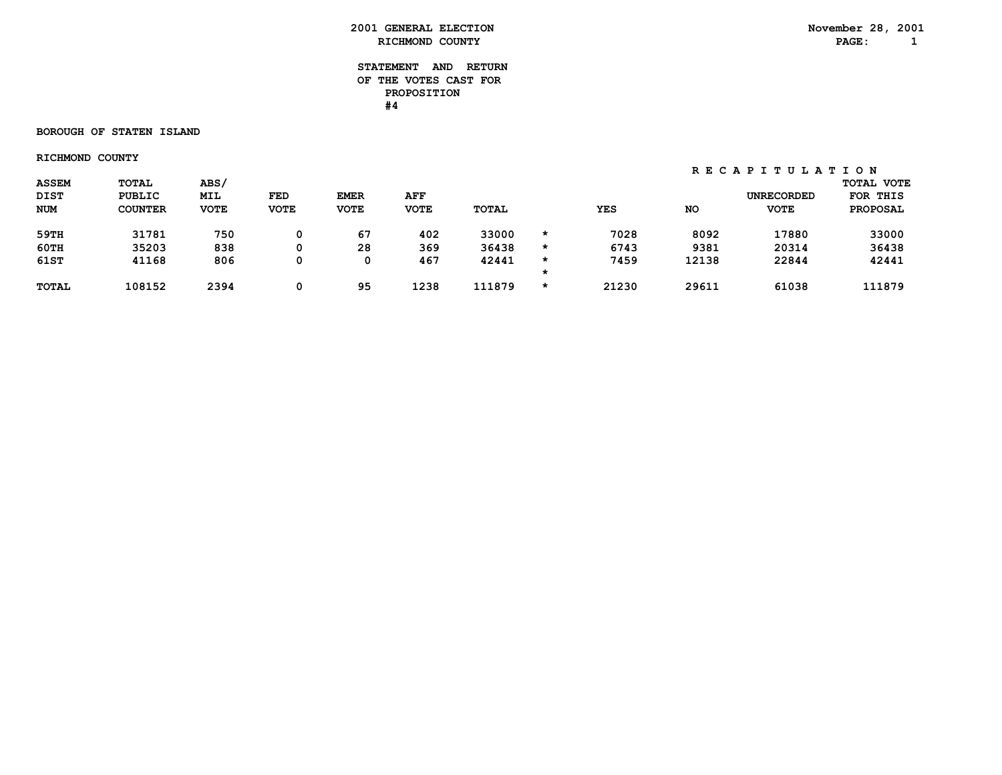#### **STATEMENT AND RETURN OF THE VOTES CAST FOR PROPOSITION #4**

#### **BOROUGH OF STATEN ISLAND**

 **RICHMOND COUNTY**

 **R E C A P I T U L A T I O N**

| <b>DIST</b><br>MIL<br><b>UNRECORDED</b><br>FED<br><b>EMER</b><br><b>PUBLIC</b><br>AFF                                                       | FOR THIS        |
|---------------------------------------------------------------------------------------------------------------------------------------------|-----------------|
|                                                                                                                                             |                 |
| <b>NUM</b><br><b>VOTE</b><br><b>VOTE</b><br><b>TOTAL</b><br><b>COUNTER</b><br><b>VOTE</b><br><b>VOTE</b><br><b>YES</b><br>NO<br><b>VOTE</b> | <b>PROPOSAL</b> |
| 750<br>67<br>33000<br>31781<br>402<br>7028<br>8092<br>17880<br>59TH<br>0<br>$\star$                                                         | 33000           |
| $60$ TH<br>35203<br>838<br>28<br>36438<br>369<br>9381<br>20314<br>6743<br>0<br>$\star$                                                      | 36438           |
| 61ST<br>467<br>806<br>12138<br>22844<br>41168<br>42441<br>7459<br>0<br>0<br>$\star$                                                         | 42441           |
|                                                                                                                                             |                 |
| 1238<br>95<br>111879<br>29611<br>108152<br>2394<br>21230<br>61038<br><b>TOTAL</b><br>0<br>$\star$                                           | 111879          |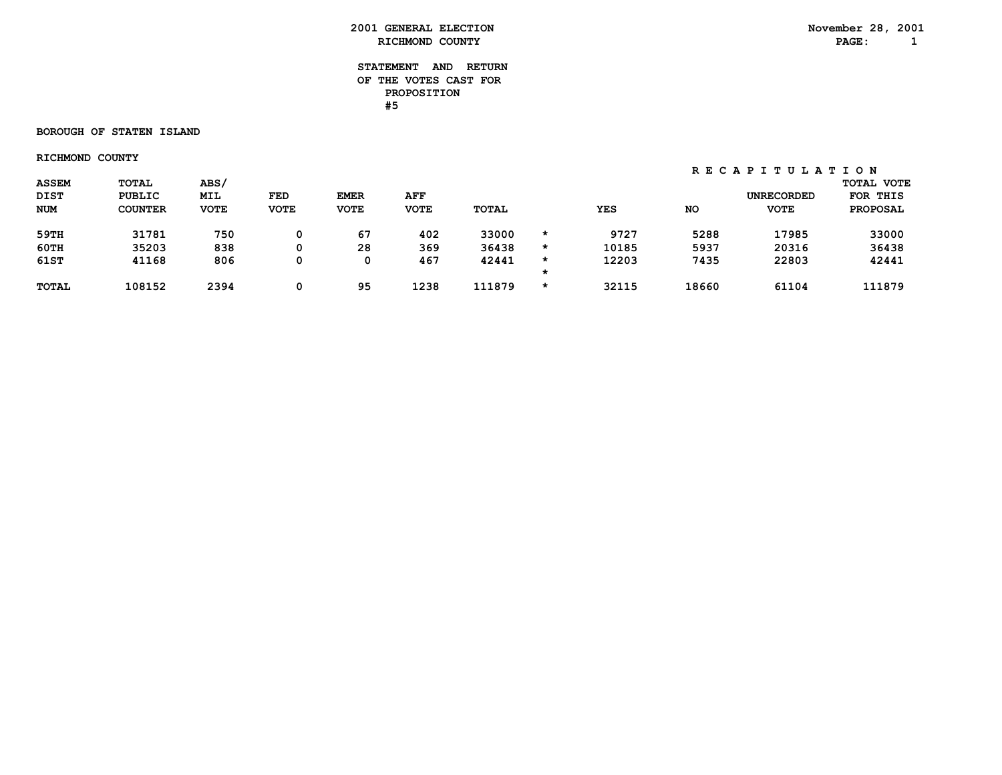#### **STATEMENT AND RETURN OF THE VOTES CAST FOR PROPOSITION #5**

#### **BOROUGH OF STATEN ISLAND**

 **RICHMOND COUNTY**

 **R E C A P I T U L A T I O N**

| <b>ASSEM</b> | <b>TOTAL</b>   | ABS/        |             |             |             |              |         |            |           |                   | <b>TOTAL VOTE</b> |
|--------------|----------------|-------------|-------------|-------------|-------------|--------------|---------|------------|-----------|-------------------|-------------------|
| <b>DIST</b>  | <b>PUBLIC</b>  | MIL         | FED         | <b>EMER</b> | AFF         |              |         |            |           | <b>UNRECORDED</b> | FOR THIS          |
| <b>NUM</b>   | <b>COUNTER</b> | <b>VOTE</b> | <b>VOTE</b> | <b>VOTE</b> | <b>VOTE</b> | <b>TOTAL</b> |         | <b>YES</b> | <b>NO</b> | <b>VOTE</b>       | <b>PROPOSAL</b>   |
| 59TH         | 31781          | 750         | 0           | 67          | 402         | 33000        | $\star$ | 9727       | 5288      | 17985             | 33000             |
| 60TH         | 35203          | 838         | 0           | 28          | 369         | 36438        | $\star$ | 10185      | 5937      | 20316             | 36438             |
| 61ST         | 41168          | 806         | 0           | 0           | 467         | 42441        | $\star$ | 12203      | 7435      | 22803             | 42441             |
|              |                |             |             |             |             |              |         |            |           |                   |                   |
| <b>TOTAL</b> | 108152         | 2394        | 0           | 95          | 1238        | 111879       | $\star$ | 32115      | 18660     | 61104             | 111879            |
|              |                |             |             |             |             |              |         |            |           |                   |                   |